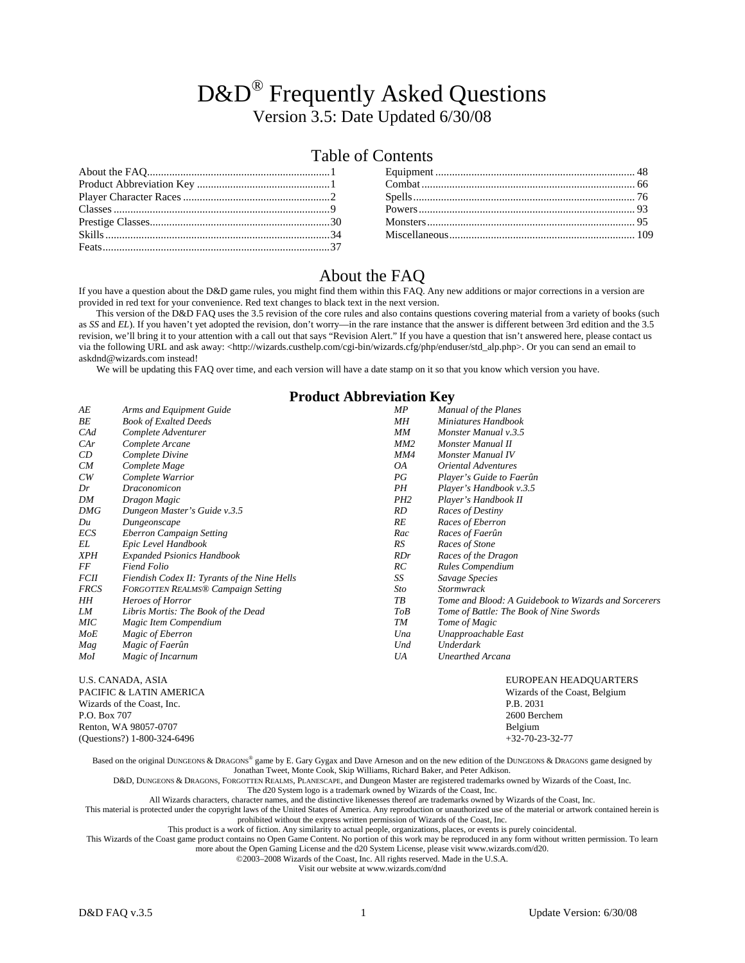# D&D<sup>®</sup> Frequently Asked Questions Version 3.5: Date Updated 6/30/08

# Table of Contents

## About the FAQ

If you have a question about the D&D game rules, you might find them within this FAQ. Any new additions or major corrections in a version are provided in red text for your convenience. Red text changes to black text in the next version.

This version of the D&D FAQ uses the 3.5 revision of the core rules and also contains questions covering material from a variety of books (such as *SS* and *EL*). If you haven't yet adopted the revision, don't worry—in the rare instance that the answer is different between 3rd edition and the 3.5 revision, we'll bring it to your attention with a call out that says "Revision Alert." If you have a question that isn't answered here, please contact us via the following URL and ask away: <http://wizards.custhelp.com/cgi-bin/wizards.cfg/php/enduser/std\_alp.php>. Or you can send an email to askdnd@wizards.com instead!

We will be updating this FAQ over time, and each version will have a date stamp on it so that you know which version you have.

## **Product Abbreviation Key**

|                 | 11000000110010110011101                      |                 |                                                      |  |  |  |  |  |
|-----------------|----------------------------------------------|-----------------|------------------------------------------------------|--|--|--|--|--|
| АE              | Arms and Equipment Guide                     | MP              | <b>Manual of the Planes</b>                          |  |  |  |  |  |
| ВE              | <b>Book of Exalted Deeds</b>                 | MН              | Miniatures Handbook                                  |  |  |  |  |  |
| $C\mathcal{A}d$ | Complete Adventurer                          | MМ              | Monster Manual v.3.5                                 |  |  |  |  |  |
| CAr             | Complete Arcane                              | MM2             | Monster Manual II                                    |  |  |  |  |  |
| CD              | Complete Divine                              | MM4             | Monster Manual IV                                    |  |  |  |  |  |
| CM              | Complete Mage                                | OA              | <b>Oriental Adventures</b>                           |  |  |  |  |  |
| CW              | Complete Warrior                             | PG              | Player's Guide to Faerûn                             |  |  |  |  |  |
| Dr              | Draconomicon                                 | PН              | Player's Handbook v.3.5                              |  |  |  |  |  |
| DM              | Dragon Magic                                 | PH <sub>2</sub> | Player's Handbook II                                 |  |  |  |  |  |
| DMG             | Dungeon Master's Guide v.3.5                 | RD              | Races of Destiny                                     |  |  |  |  |  |
| Du              | Dungeonscape                                 | RE              | Races of Eberron                                     |  |  |  |  |  |
| ECS             | Eberron Campaign Setting                     | Rac             | Races of Faerûn                                      |  |  |  |  |  |
| EL              | Epic Level Handbook                          | RS              | Races of Stone                                       |  |  |  |  |  |
| <b>XPH</b>      | <b>Expanded Psionics Handbook</b>            | RDr             | Races of the Dragon                                  |  |  |  |  |  |
| FF              | <b>Fiend Folio</b>                           | RC              | Rules Compendium                                     |  |  |  |  |  |
| <b>FCII</b>     | Fiendish Codex II: Tyrants of the Nine Hells | SS              | Savage Species                                       |  |  |  |  |  |
| <b>FRCS</b>     | <b>FORGOTTEN REALMS® Campaign Setting</b>    | Sto             | Stormwrack                                           |  |  |  |  |  |
| HН              | Heroes of Horror                             | ТB              | Tome and Blood: A Guidebook to Wizards and Sorcerers |  |  |  |  |  |
| LM              | Libris Mortis: The Book of the Dead          | <b>ToB</b>      | Tome of Battle: The Book of Nine Swords              |  |  |  |  |  |
| <b>MIC</b>      | Magic Item Compendium                        | TМ              | Tome of Magic                                        |  |  |  |  |  |
| MoE             | Magic of Eberron                             | Una             | Unapproachable East                                  |  |  |  |  |  |
| Mag             | Magic of Faerûn                              | Und             | Underdark                                            |  |  |  |  |  |
| Mol             | Magic of Incarnum                            | UA              | <b>Unearthed Arcana</b>                              |  |  |  |  |  |
|                 |                                              |                 |                                                      |  |  |  |  |  |

U.S. CANADA, ASIA EUROPEAN HEADQUARTERS PACIFIC & LATIN AMERICA EUROPEAN HEADQUARTERS PACIFIC & LATIN AMERICA Wizards of the Coast, Inc. P.O. Box 707 2600 Berchem Renton, WA 98057-0707 Belgium (Questions?) 1-800-324-6496 +32-70-23-32-77

Based on the original DUNGEONS & DRAGONS® game by E. Gary Gygax and Dave Arneson and on the new edition of the DUNGEONS & DRAGONS game designed by Jonathan Tweet, Monte Cook, Skip Williams, Richard Baker, and Peter Adkison.

D&D, DUNGEONS & DRAGONS, FORGOTTEN REALMS, PLANESCAPE, and Dungeon Master are registered trademarks owned by Wizards of the Coast, Inc.

The d20 System logo is a trademark owned by Wizards of the Coast, Inc.

All Wizards characters, character names, and the distinctive likenesses thereof are trademarks owned by Wizards of the Coast, Inc. This material is protected under the copyright laws of the United States of America. Any reproduction or unauthorized use of the material or artwork contained herein is prohibited without the express written permission of Wizards of the Coast, Inc.

This product is a work of fiction. Any similarity to actual people, organizations, places, or events is purely coincidental.

This Wizards of the Coast game product contains no Open Game Content. No portion of this work may be reproduced in any form without written permission. To learn

more about the Open Gaming License and the d20 System License, please visit www.wizards.com/d20.

©2003–2008 Wizards of the Coast, Inc. All rights reserved. Made in the U.S.A.

Visit our website at www.wizards.com/dnd

Wizards of the Coast, Belgium<br>P.B. 2031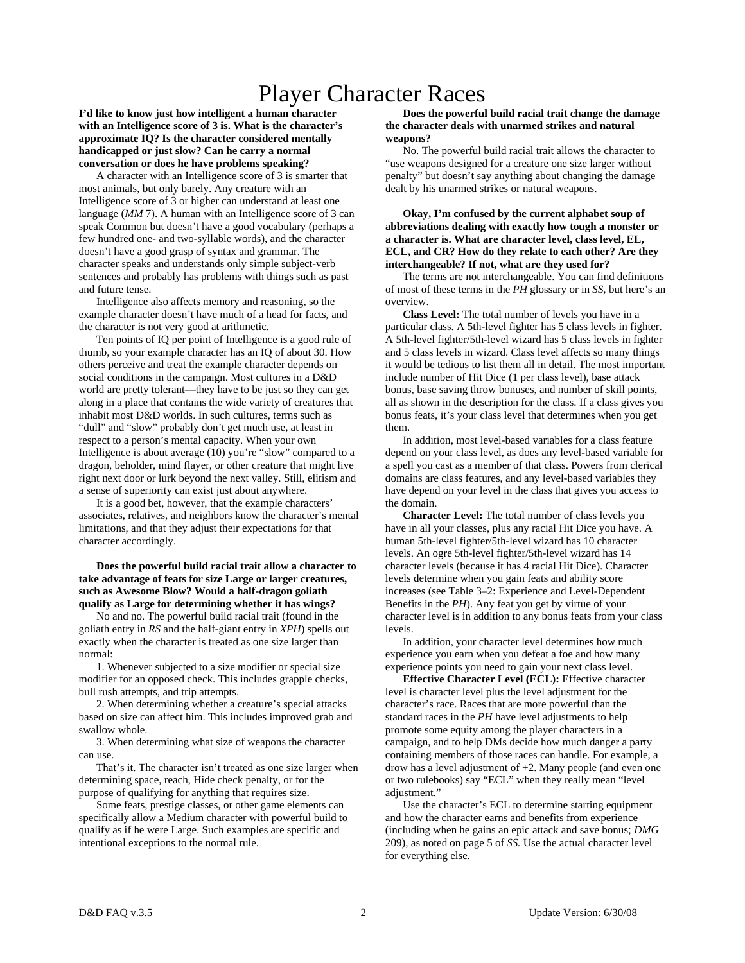# Player Character Races

**I'd like to know just how intelligent a human character with an Intelligence score of 3 is. What is the character's approximate IQ? Is the character considered mentally handicapped or just slow? Can he carry a normal conversation or does he have problems speaking?** 

 A character with an Intelligence score of 3 is smarter that most animals, but only barely. Any creature with an Intelligence score of 3 or higher can understand at least one language (*MM* 7). A human with an Intelligence score of 3 can speak Common but doesn't have a good vocabulary (perhaps a few hundred one- and two-syllable words), and the character doesn't have a good grasp of syntax and grammar. The character speaks and understands only simple subject-verb sentences and probably has problems with things such as past and future tense.

 Intelligence also affects memory and reasoning, so the example character doesn't have much of a head for facts, and the character is not very good at arithmetic.

 Ten points of IQ per point of Intelligence is a good rule of thumb, so your example character has an IQ of about 30. How others perceive and treat the example character depends on social conditions in the campaign. Most cultures in a D&D world are pretty tolerant—they have to be just so they can get along in a place that contains the wide variety of creatures that inhabit most D&D worlds. In such cultures, terms such as "dull" and "slow" probably don't get much use, at least in respect to a person's mental capacity. When your own Intelligence is about average (10) you're "slow" compared to a dragon, beholder, mind flayer, or other creature that might live right next door or lurk beyond the next valley. Still, elitism and a sense of superiority can exist just about anywhere.

 It is a good bet, however, that the example characters' associates, relatives, and neighbors know the character's mental limitations, and that they adjust their expectations for that character accordingly.

#### **Does the powerful build racial trait allow a character to take advantage of feats for size Large or larger creatures, such as Awesome Blow? Would a half-dragon goliath qualify as Large for determining whether it has wings?**

 No and no. The powerful build racial trait (found in the goliath entry in *RS* and the half-giant entry in *XPH*) spells out exactly when the character is treated as one size larger than normal:

 1. Whenever subjected to a size modifier or special size modifier for an opposed check. This includes grapple checks, bull rush attempts, and trip attempts.

 2. When determining whether a creature's special attacks based on size can affect him. This includes improved grab and swallow whole.

 3. When determining what size of weapons the character can use.

 That's it. The character isn't treated as one size larger when determining space, reach, Hide check penalty, or for the purpose of qualifying for anything that requires size.

 Some feats, prestige classes, or other game elements can specifically allow a Medium character with powerful build to qualify as if he were Large. Such examples are specific and intentional exceptions to the normal rule.

 **Does the powerful build racial trait change the damage the character deals with unarmed strikes and natural weapons?** 

 No. The powerful build racial trait allows the character to "use weapons designed for a creature one size larger without penalty" but doesn't say anything about changing the damage dealt by his unarmed strikes or natural weapons.

#### **Okay, I'm confused by the current alphabet soup of abbreviations dealing with exactly how tough a monster or a character is. What are character level, class level, EL, ECL, and CR? How do they relate to each other? Are they interchangeable? If not, what are they used for?**

 The terms are not interchangeable. You can find definitions of most of these terms in the *PH* glossary or in *SS,* but here's an overview.

 **Class Level:** The total number of levels you have in a particular class. A 5th-level fighter has 5 class levels in fighter. A 5th-level fighter/5th-level wizard has 5 class levels in fighter and 5 class levels in wizard. Class level affects so many things it would be tedious to list them all in detail. The most important include number of Hit Dice (1 per class level), base attack bonus, base saving throw bonuses, and number of skill points, all as shown in the description for the class. If a class gives you bonus feats, it's your class level that determines when you get them.

 In addition, most level-based variables for a class feature depend on your class level, as does any level-based variable for a spell you cast as a member of that class. Powers from clerical domains are class features, and any level-based variables they have depend on your level in the class that gives you access to the domain.

 **Character Level:** The total number of class levels you have in all your classes, plus any racial Hit Dice you have. A human 5th-level fighter/5th-level wizard has 10 character levels. An ogre 5th-level fighter/5th-level wizard has 14 character levels (because it has 4 racial Hit Dice). Character levels determine when you gain feats and ability score increases (see Table 3–2: Experience and Level-Dependent Benefits in the *PH*). Any feat you get by virtue of your character level is in addition to any bonus feats from your class levels.

 In addition, your character level determines how much experience you earn when you defeat a foe and how many experience points you need to gain your next class level.

 **Effective Character Level (ECL):** Effective character level is character level plus the level adjustment for the character's race. Races that are more powerful than the standard races in the *PH* have level adjustments to help promote some equity among the player characters in a campaign, and to help DMs decide how much danger a party containing members of those races can handle. For example, a drow has a level adjustment of +2. Many people (and even one or two rulebooks) say "ECL" when they really mean "level adjustment."

 Use the character's ECL to determine starting equipment and how the character earns and benefits from experience (including when he gains an epic attack and save bonus; *DMG* 209), as noted on page 5 of *SS.* Use the actual character level for everything else.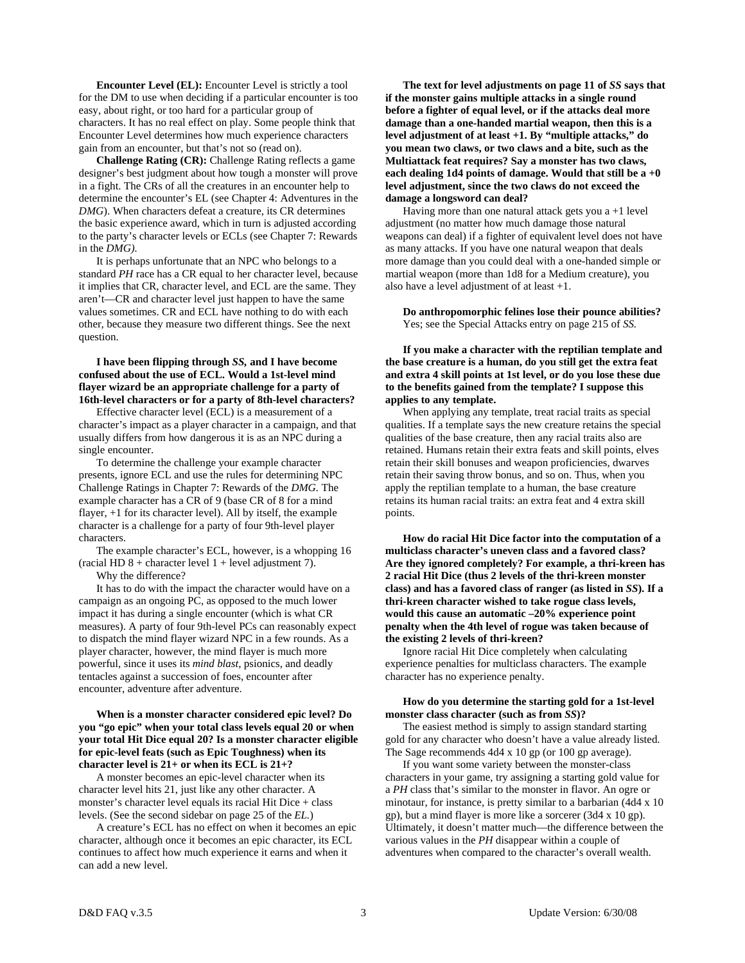**Encounter Level (EL):** Encounter Level is strictly a tool for the DM to use when deciding if a particular encounter is too easy, about right, or too hard for a particular group of characters. It has no real effect on play. Some people think that Encounter Level determines how much experience characters gain from an encounter, but that's not so (read on).

 **Challenge Rating (CR):** Challenge Rating reflects a game designer's best judgment about how tough a monster will prove in a fight. The CRs of all the creatures in an encounter help to determine the encounter's EL (see Chapter 4: Adventures in the *DMG*). When characters defeat a creature, its CR determines the basic experience award, which in turn is adjusted according to the party's character levels or ECLs (see Chapter 7: Rewards in the *DMG).* 

 It is perhaps unfortunate that an NPC who belongs to a standard *PH* race has a CR equal to her character level, because it implies that CR, character level, and ECL are the same. They aren't—CR and character level just happen to have the same values sometimes. CR and ECL have nothing to do with each other, because they measure two different things. See the next question.

 **I have been flipping through** *SS,* **and I have become confused about the use of ECL. Would a 1st-level mind flayer wizard be an appropriate challenge for a party of 16th-level characters or for a party of 8th-level characters?** 

 Effective character level (ECL) is a measurement of a character's impact as a player character in a campaign, and that usually differs from how dangerous it is as an NPC during a single encounter.

 To determine the challenge your example character presents, ignore ECL and use the rules for determining NPC Challenge Ratings in Chapter 7: Rewards of the *DMG.* The example character has a CR of 9 (base CR of 8 for a mind flayer, +1 for its character level). All by itself, the example character is a challenge for a party of four 9th-level player characters.

 The example character's ECL, however, is a whopping 16 (racial HD  $8 +$  character level  $1 +$  level adjustment 7). Why the difference?

 It has to do with the impact the character would have on a campaign as an ongoing PC, as opposed to the much lower impact it has during a single encounter (which is what CR measures). A party of four 9th-level PCs can reasonably expect to dispatch the mind flayer wizard NPC in a few rounds. As a player character, however, the mind flayer is much more powerful, since it uses its *mind blast,* psionics, and deadly tentacles against a succession of foes, encounter after encounter, adventure after adventure.

#### **When is a monster character considered epic level? Do you "go epic" when your total class levels equal 20 or when your total Hit Dice equal 20? Is a monster character eligible for epic-level feats (such as Epic Toughness) when its character level is 21+ or when its ECL is 21+?**

 A monster becomes an epic-level character when its character level hits 21, just like any other character. A monster's character level equals its racial Hit Dice + class levels. (See the second sidebar on page 25 of the *EL.*)

 A creature's ECL has no effect on when it becomes an epic character, although once it becomes an epic character, its ECL continues to affect how much experience it earns and when it can add a new level.

 **The text for level adjustments on page 11 of** *SS* **says that if the monster gains multiple attacks in a single round before a fighter of equal level, or if the attacks deal more damage than a one-handed martial weapon, then this is a level adjustment of at least +1. By "multiple attacks," do you mean two claws, or two claws and a bite, such as the Multiattack feat requires? Say a monster has two claws, each dealing 1d4 points of damage. Would that still be a +0 level adjustment, since the two claws do not exceed the damage a longsword can deal?** 

Having more than one natural attack gets you  $a + 1$  level adjustment (no matter how much damage those natural weapons can deal) if a fighter of equivalent level does not have as many attacks. If you have one natural weapon that deals more damage than you could deal with a one-handed simple or martial weapon (more than 1d8 for a Medium creature), you also have a level adjustment of at least +1.

 **Do anthropomorphic felines lose their pounce abilities?**  Yes; see the Special Attacks entry on page 215 of *SS.* 

 **If you make a character with the reptilian template and the base creature is a human, do you still get the extra feat and extra 4 skill points at 1st level, or do you lose these due to the benefits gained from the template? I suppose this applies to any template.** 

 When applying any template, treat racial traits as special qualities. If a template says the new creature retains the special qualities of the base creature, then any racial traits also are retained. Humans retain their extra feats and skill points, elves retain their skill bonuses and weapon proficiencies, dwarves retain their saving throw bonus, and so on. Thus, when you apply the reptilian template to a human, the base creature retains its human racial traits: an extra feat and 4 extra skill points.

 **How do racial Hit Dice factor into the computation of a multiclass character's uneven class and a favored class? Are they ignored completely? For example, a thri-kreen has 2 racial Hit Dice (thus 2 levels of the thri-kreen monster class) and has a favored class of ranger (as listed in** *SS***). If a thri-kreen character wished to take rogue class levels, would this cause an automatic –20% experience point penalty when the 4th level of rogue was taken because of the existing 2 levels of thri-kreen?** 

 Ignore racial Hit Dice completely when calculating experience penalties for multiclass characters. The example character has no experience penalty.

#### **How do you determine the starting gold for a 1st-level monster class character (such as from** *SS***)?**

 The easiest method is simply to assign standard starting gold for any character who doesn't have a value already listed. The Sage recommends 4d4 x 10 gp (or 100 gp average).

 If you want some variety between the monster-class characters in your game, try assigning a starting gold value for a *PH* class that's similar to the monster in flavor. An ogre or minotaur, for instance, is pretty similar to a barbarian (4d4 x 10 gp), but a mind flayer is more like a sorcerer (3d4 x 10 gp). Ultimately, it doesn't matter much—the difference between the various values in the *PH* disappear within a couple of adventures when compared to the character's overall wealth.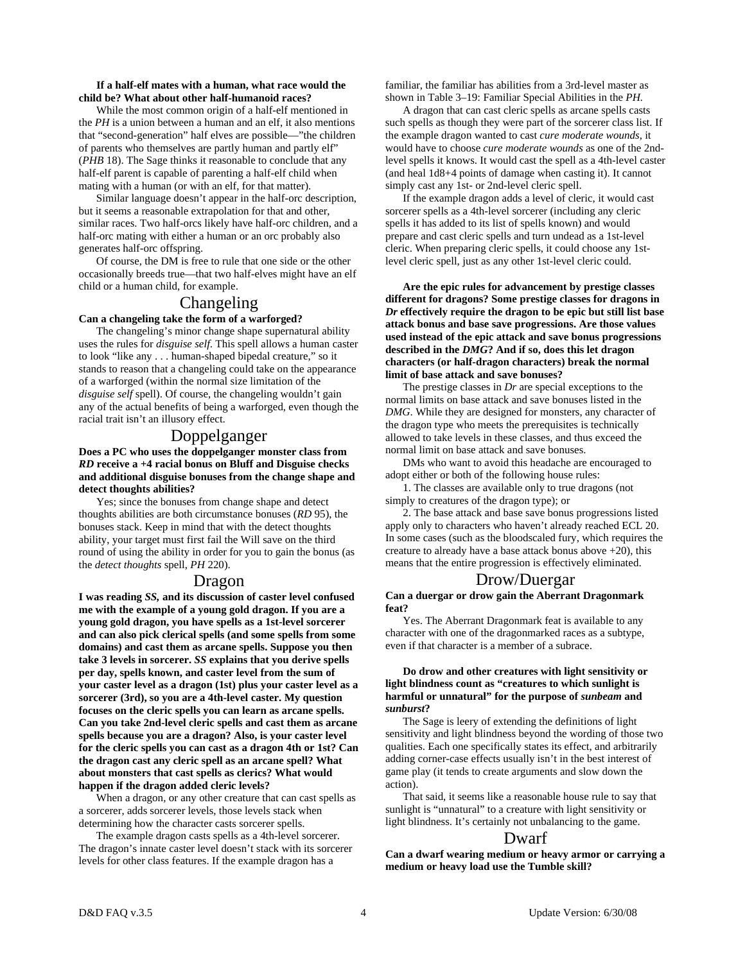#### **If a half-elf mates with a human, what race would the child be? What about other half-humanoid races?**

 While the most common origin of a half-elf mentioned in the *PH* is a union between a human and an elf, it also mentions that "second-generation" half elves are possible—"the children of parents who themselves are partly human and partly elf" (*PHB* 18). The Sage thinks it reasonable to conclude that any half-elf parent is capable of parenting a half-elf child when mating with a human (or with an elf, for that matter).

 Similar language doesn't appear in the half-orc description, but it seems a reasonable extrapolation for that and other, similar races. Two half-orcs likely have half-orc children, and a half-orc mating with either a human or an orc probably also generates half-orc offspring.

 Of course, the DM is free to rule that one side or the other occasionally breeds true—that two half-elves might have an elf child or a human child, for example.

## Changeling

#### **Can a changeling take the form of a warforged?**

 The changeling's minor change shape supernatural ability uses the rules for *disguise self*. This spell allows a human caster to look "like any . . . human-shaped bipedal creature," so it stands to reason that a changeling could take on the appearance of a warforged (within the normal size limitation of the *disguise self* spell). Of course, the changeling wouldn't gain any of the actual benefits of being a warforged, even though the racial trait isn't an illusory effect.

### Doppelganger

**Does a PC who uses the doppelganger monster class from**  *RD* **receive a +4 racial bonus on Bluff and Disguise checks and additional disguise bonuses from the change shape and detect thoughts abilities?** 

 Yes; since the bonuses from change shape and detect thoughts abilities are both circumstance bonuses (*RD* 95), the bonuses stack. Keep in mind that with the detect thoughts ability, your target must first fail the Will save on the third round of using the ability in order for you to gain the bonus (as the *detect thoughts* spell, *PH* 220).

### Dragon

**I was reading** *SS,* **and its discussion of caster level confused me with the example of a young gold dragon. If you are a young gold dragon, you have spells as a 1st-level sorcerer and can also pick clerical spells (and some spells from some domains) and cast them as arcane spells. Suppose you then take 3 levels in sorcerer.** *SS* **explains that you derive spells per day, spells known, and caster level from the sum of your caster level as a dragon (1st) plus your caster level as a sorcerer (3rd), so you are a 4th-level caster. My question focuses on the cleric spells you can learn as arcane spells. Can you take 2nd-level cleric spells and cast them as arcane spells because you are a dragon? Also, is your caster level for the cleric spells you can cast as a dragon 4th or 1st? Can the dragon cast any cleric spell as an arcane spell? What about monsters that cast spells as clerics? What would happen if the dragon added cleric levels?** 

 When a dragon, or any other creature that can cast spells as a sorcerer, adds sorcerer levels, those levels stack when determining how the character casts sorcerer spells.

 The example dragon casts spells as a 4th-level sorcerer. The dragon's innate caster level doesn't stack with its sorcerer levels for other class features. If the example dragon has a

familiar, the familiar has abilities from a 3rd-level master as shown in Table 3–19: Familiar Special Abilities in the *PH.* 

 A dragon that can cast cleric spells as arcane spells casts such spells as though they were part of the sorcerer class list. If the example dragon wanted to cast *cure moderate wounds,* it would have to choose *cure moderate wounds* as one of the 2ndlevel spells it knows. It would cast the spell as a 4th-level caster (and heal 1d8+4 points of damage when casting it). It cannot simply cast any 1st- or 2nd-level cleric spell.

 If the example dragon adds a level of cleric, it would cast sorcerer spells as a 4th-level sorcerer (including any cleric spells it has added to its list of spells known) and would prepare and cast cleric spells and turn undead as a 1st-level cleric. When preparing cleric spells, it could choose any 1stlevel cleric spell, just as any other 1st-level cleric could.

 **Are the epic rules for advancement by prestige classes different for dragons? Some prestige classes for dragons in**  *Dr* **effectively require the dragon to be epic but still list base attack bonus and base save progressions. Are those values used instead of the epic attack and save bonus progressions described in the** *DMG***? And if so, does this let dragon characters (or half-dragon characters) break the normal limit of base attack and save bonuses?** 

 The prestige classes in *Dr* are special exceptions to the normal limits on base attack and save bonuses listed in the *DMG*. While they are designed for monsters, any character of the dragon type who meets the prerequisites is technically allowed to take levels in these classes, and thus exceed the normal limit on base attack and save bonuses.

 DMs who want to avoid this headache are encouraged to adopt either or both of the following house rules:

 1. The classes are available only to true dragons (not simply to creatures of the dragon type); or

 2. The base attack and base save bonus progressions listed apply only to characters who haven't already reached ECL 20. In some cases (such as the bloodscaled fury, which requires the creature to already have a base attack bonus above +20), this means that the entire progression is effectively eliminated.

#### Drow/Duergar

**Can a duergar or drow gain the Aberrant Dragonmark feat?** 

 Yes. The Aberrant Dragonmark feat is available to any character with one of the dragonmarked races as a subtype, even if that character is a member of a subrace.

#### **Do drow and other creatures with light sensitivity or light blindness count as "creatures to which sunlight is harmful or unnatural" for the purpose of** *sunbeam* **and**  *sunburst***?**

 The Sage is leery of extending the definitions of light sensitivity and light blindness beyond the wording of those two qualities. Each one specifically states its effect, and arbitrarily adding corner-case effects usually isn't in the best interest of game play (it tends to create arguments and slow down the action).

 That said, it seems like a reasonable house rule to say that sunlight is "unnatural" to a creature with light sensitivity or light blindness. It's certainly not unbalancing to the game.

#### Dwarf

**Can a dwarf wearing medium or heavy armor or carrying a medium or heavy load use the Tumble skill?**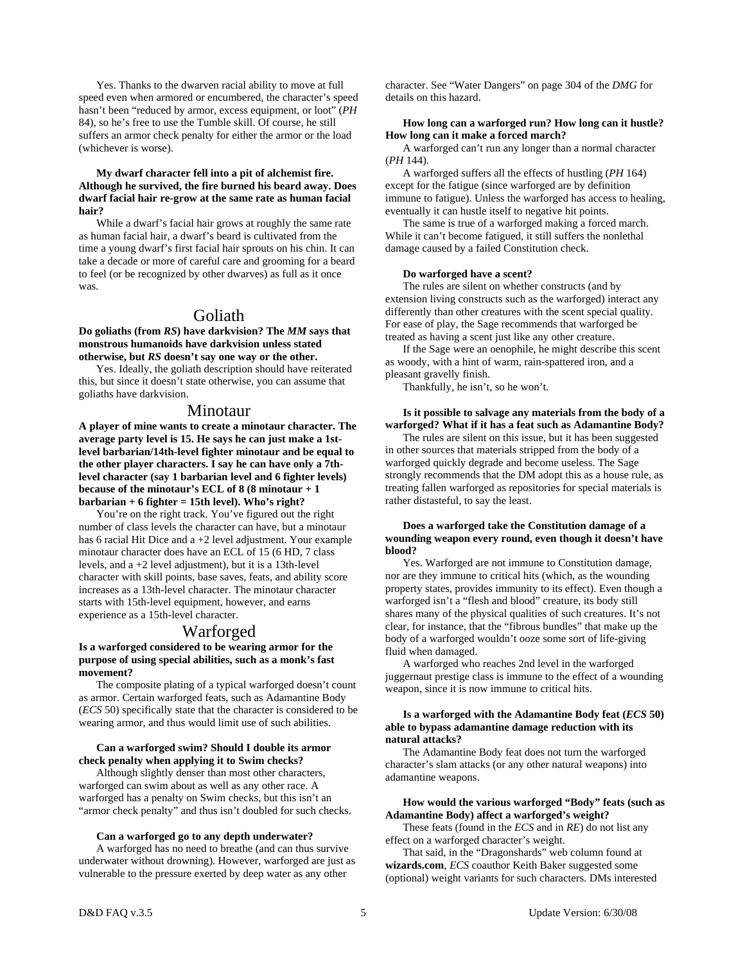Yes. Thanks to the dwarven racial ability to move at full speed even when armored or encumbered, the character's speed hasn't been "reduced by armor, excess equipment, or loot" (*PH* 84), so he's free to use the Tumble skill. Of course, he still suffers an armor check penalty for either the armor or the load (whichever is worse).

#### **My dwarf character fell into a pit of alchemist fire. Although he survived, the fire burned his beard away. Does dwarf facial hair re-grow at the same rate as human facial hair?**

 While a dwarf's facial hair grows at roughly the same rate as human facial hair, a dwarf's beard is cultivated from the time a young dwarf's first facial hair sprouts on his chin. It can take a decade or more of careful care and grooming for a beard to feel (or be recognized by other dwarves) as full as it once was.

## Goliath

#### **Do goliaths (from** *RS***) have darkvision? The** *MM* **says that monstrous humanoids have darkvision unless stated otherwise, but** *RS* **doesn't say one way or the other.**

 Yes. Ideally, the goliath description should have reiterated this, but since it doesn't state otherwise, you can assume that goliaths have darkvision.

## Minotaur

**A player of mine wants to create a minotaur character. The average party level is 15. He says he can just make a 1stlevel barbarian/14th-level fighter minotaur and be equal to the other player characters. I say he can have only a 7thlevel character (say 1 barbarian level and 6 fighter levels) because of the minotaur's ECL of 8 (8 minotaur + 1 barbarian + 6 fighter = 15th level). Who's right?** 

 You're on the right track. You've figured out the right number of class levels the character can have, but a minotaur has 6 racial Hit Dice and a +2 level adjustment. Your example minotaur character does have an ECL of 15 (6 HD, 7 class levels, and a +2 level adjustment), but it is a 13th-level character with skill points, base saves, feats, and ability score increases as a 13th-level character. The minotaur character starts with 15th-level equipment, however, and earns experience as a 15th-level character.

## Warforged

#### **Is a warforged considered to be wearing armor for the purpose of using special abilities, such as a monk's fast movement?**

 The composite plating of a typical warforged doesn't count as armor. Certain warforged feats, such as Adamantine Body (*ECS* 50) specifically state that the character is considered to be wearing armor, and thus would limit use of such abilities.

#### **Can a warforged swim? Should I double its armor check penalty when applying it to Swim checks?**

 Although slightly denser than most other characters, warforged can swim about as well as any other race. A warforged has a penalty on Swim checks, but this isn't an "armor check penalty" and thus isn't doubled for such checks.

#### **Can a warforged go to any depth underwater?**

 A warforged has no need to breathe (and can thus survive underwater without drowning). However, warforged are just as vulnerable to the pressure exerted by deep water as any other

character. See "Water Dangers" on page 304 of the *DMG* for details on this hazard.

#### **How long can a warforged run? How long can it hustle? How long can it make a forced march?**

 A warforged can't run any longer than a normal character (*PH* 144).

 A warforged suffers all the effects of hustling (*PH* 164) except for the fatigue (since warforged are by definition immune to fatigue). Unless the warforged has access to healing, eventually it can hustle itself to negative hit points.

 The same is true of a warforged making a forced march. While it can't become fatigued, it still suffers the nonlethal damage caused by a failed Constitution check.

#### **Do warforged have a scent?**

 The rules are silent on whether constructs (and by extension living constructs such as the warforged) interact any differently than other creatures with the scent special quality. For ease of play, the Sage recommends that warforged be treated as having a scent just like any other creature.

 If the Sage were an oenophile, he might describe this scent as woody, with a hint of warm, rain-spattered iron, and a pleasant gravelly finish.

Thankfully, he isn't, so he won't.

#### **Is it possible to salvage any materials from the body of a warforged? What if it has a feat such as Adamantine Body?**

 The rules are silent on this issue, but it has been suggested in other sources that materials stripped from the body of a warforged quickly degrade and become useless. The Sage strongly recommends that the DM adopt this as a house rule, as treating fallen warforged as repositories for special materials is rather distasteful, to say the least.

#### **Does a warforged take the Constitution damage of a wounding weapon every round, even though it doesn't have blood?**

 Yes. Warforged are not immune to Constitution damage, nor are they immune to critical hits (which, as the wounding property states, provides immunity to its effect). Even though a warforged isn't a "flesh and blood" creature, its body still shares many of the physical qualities of such creatures. It's not clear, for instance, that the "fibrous bundles" that make up the body of a warforged wouldn't ooze some sort of life-giving fluid when damaged.

 A warforged who reaches 2nd level in the warforged juggernaut prestige class is immune to the effect of a wounding weapon, since it is now immune to critical hits.

#### **Is a warforged with the Adamantine Body feat (***ECS* **50) able to bypass adamantine damage reduction with its natural attacks?**

 The Adamantine Body feat does not turn the warforged character's slam attacks (or any other natural weapons) into adamantine weapons.

#### **How would the various warforged "Body" feats (such as Adamantine Body) affect a warforged's weight?**

 These feats (found in the *ECS* and in *RE*) do not list any effect on a warforged character's weight.

 That said, in the "Dragonshards" web column found at **wizards.com**, *ECS* coauthor Keith Baker suggested some (optional) weight variants for such characters. DMs interested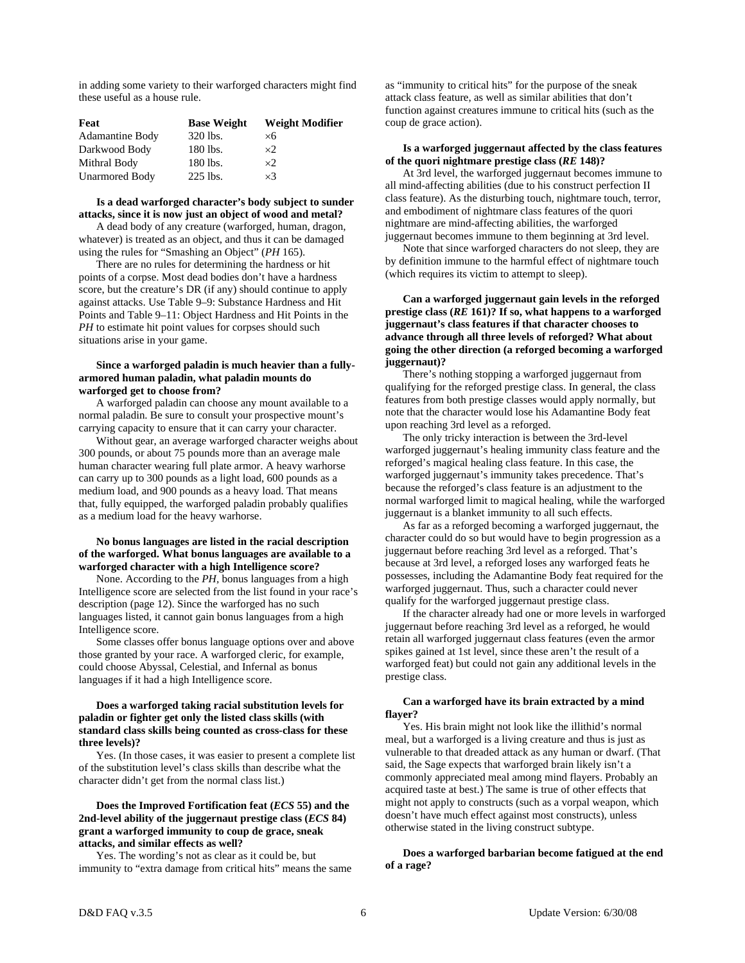in adding some variety to their warforged characters might find these useful as a house rule.

| Feat                   | <b>Base Weight</b> | <b>Weight Modifier</b> |
|------------------------|--------------------|------------------------|
| <b>Adamantine Body</b> | 320 lbs.           | ×б                     |
| Darkwood Body          | 180 lbs.           | ×2                     |
| Mithral Body           | 180 lbs.           | $\times$               |
| <b>Unarmored Body</b>  | 225 lbs.           | $\times$ 3             |

#### **Is a dead warforged character's body subject to sunder attacks, since it is now just an object of wood and metal?**

 A dead body of any creature (warforged, human, dragon, whatever) is treated as an object, and thus it can be damaged using the rules for "Smashing an Object" (*PH* 165).

 There are no rules for determining the hardness or hit points of a corpse. Most dead bodies don't have a hardness score, but the creature's DR (if any) should continue to apply against attacks. Use Table 9–9: Substance Hardness and Hit Points and Table 9–11: Object Hardness and Hit Points in the *PH* to estimate hit point values for corpses should such situations arise in your game.

#### **Since a warforged paladin is much heavier than a fullyarmored human paladin, what paladin mounts do warforged get to choose from?**

 A warforged paladin can choose any mount available to a normal paladin. Be sure to consult your prospective mount's carrying capacity to ensure that it can carry your character.

 Without gear, an average warforged character weighs about 300 pounds, or about 75 pounds more than an average male human character wearing full plate armor. A heavy warhorse can carry up to 300 pounds as a light load, 600 pounds as a medium load, and 900 pounds as a heavy load. That means that, fully equipped, the warforged paladin probably qualifies as a medium load for the heavy warhorse.

#### **No bonus languages are listed in the racial description of the warforged. What bonus languages are available to a warforged character with a high Intelligence score?**

 None. According to the *PH,* bonus languages from a high Intelligence score are selected from the list found in your race's description (page 12). Since the warforged has no such languages listed, it cannot gain bonus languages from a high Intelligence score.

 Some classes offer bonus language options over and above those granted by your race. A warforged cleric, for example, could choose Abyssal, Celestial, and Infernal as bonus languages if it had a high Intelligence score.

#### **Does a warforged taking racial substitution levels for paladin or fighter get only the listed class skills (with standard class skills being counted as cross-class for these three levels)?**

 Yes. (In those cases, it was easier to present a complete list of the substitution level's class skills than describe what the character didn't get from the normal class list.)

#### **Does the Improved Fortification feat (***ECS* **55) and the 2nd-level ability of the juggernaut prestige class (***ECS* **84) grant a warforged immunity to coup de grace, sneak attacks, and similar effects as well?**

 Yes. The wording's not as clear as it could be, but immunity to "extra damage from critical hits" means the same as "immunity to critical hits" for the purpose of the sneak attack class feature, as well as similar abilities that don't function against creatures immune to critical hits (such as the coup de grace action).

#### **Is a warforged juggernaut affected by the class features of the quori nightmare prestige class (***RE* **148)?**

 At 3rd level, the warforged juggernaut becomes immune to all mind-affecting abilities (due to his construct perfection II class feature). As the disturbing touch, nightmare touch, terror, and embodiment of nightmare class features of the quori nightmare are mind-affecting abilities, the warforged juggernaut becomes immune to them beginning at 3rd level.

 Note that since warforged characters do not sleep, they are by definition immune to the harmful effect of nightmare touch (which requires its victim to attempt to sleep).

 **Can a warforged juggernaut gain levels in the reforged prestige class (***RE* **161)? If so, what happens to a warforged juggernaut's class features if that character chooses to advance through all three levels of reforged? What about going the other direction (a reforged becoming a warforged juggernaut)?** 

 There's nothing stopping a warforged juggernaut from qualifying for the reforged prestige class. In general, the class features from both prestige classes would apply normally, but note that the character would lose his Adamantine Body feat upon reaching 3rd level as a reforged.

 The only tricky interaction is between the 3rd-level warforged juggernaut's healing immunity class feature and the reforged's magical healing class feature. In this case, the warforged juggernaut's immunity takes precedence. That's because the reforged's class feature is an adjustment to the normal warforged limit to magical healing, while the warforged juggernaut is a blanket immunity to all such effects.

 As far as a reforged becoming a warforged juggernaut, the character could do so but would have to begin progression as a juggernaut before reaching 3rd level as a reforged. That's because at 3rd level, a reforged loses any warforged feats he possesses, including the Adamantine Body feat required for the warforged juggernaut. Thus, such a character could never qualify for the warforged juggernaut prestige class.

 If the character already had one or more levels in warforged juggernaut before reaching 3rd level as a reforged, he would retain all warforged juggernaut class features (even the armor spikes gained at 1st level, since these aren't the result of a warforged feat) but could not gain any additional levels in the prestige class.

#### **Can a warforged have its brain extracted by a mind flayer?**

 Yes. His brain might not look like the illithid's normal meal, but a warforged is a living creature and thus is just as vulnerable to that dreaded attack as any human or dwarf. (That said, the Sage expects that warforged brain likely isn't a commonly appreciated meal among mind flayers. Probably an acquired taste at best.) The same is true of other effects that might not apply to constructs (such as a vorpal weapon, which doesn't have much effect against most constructs), unless otherwise stated in the living construct subtype.

#### **Does a warforged barbarian become fatigued at the end of a rage?**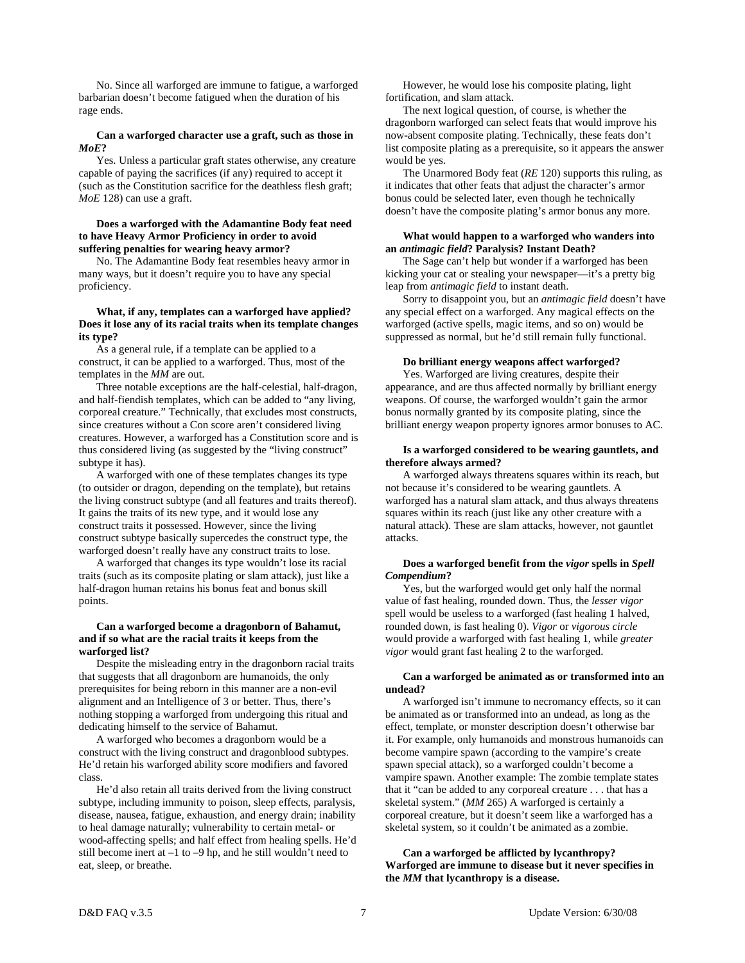No. Since all warforged are immune to fatigue, a warforged barbarian doesn't become fatigued when the duration of his rage ends.

#### **Can a warforged character use a graft, such as those in**  *MoE***?**

 Yes. Unless a particular graft states otherwise, any creature capable of paying the sacrifices (if any) required to accept it (such as the Constitution sacrifice for the deathless flesh graft; *MoE* 128) can use a graft.

#### **Does a warforged with the Adamantine Body feat need to have Heavy Armor Proficiency in order to avoid suffering penalties for wearing heavy armor?**

 No. The Adamantine Body feat resembles heavy armor in many ways, but it doesn't require you to have any special proficiency.

#### **What, if any, templates can a warforged have applied? Does it lose any of its racial traits when its template changes its type?**

 As a general rule, if a template can be applied to a construct, it can be applied to a warforged. Thus, most of the templates in the *MM* are out.

 Three notable exceptions are the half-celestial, half-dragon, and half-fiendish templates, which can be added to "any living, corporeal creature." Technically, that excludes most constructs, since creatures without a Con score aren't considered living creatures. However, a warforged has a Constitution score and is thus considered living (as suggested by the "living construct" subtype it has).

 A warforged with one of these templates changes its type (to outsider or dragon, depending on the template), but retains the living construct subtype (and all features and traits thereof). It gains the traits of its new type, and it would lose any construct traits it possessed. However, since the living construct subtype basically supercedes the construct type, the warforged doesn't really have any construct traits to lose.

 A warforged that changes its type wouldn't lose its racial traits (such as its composite plating or slam attack), just like a half-dragon human retains his bonus feat and bonus skill points.

#### **Can a warforged become a dragonborn of Bahamut, and if so what are the racial traits it keeps from the warforged list?**

 Despite the misleading entry in the dragonborn racial traits that suggests that all dragonborn are humanoids, the only prerequisites for being reborn in this manner are a non-evil alignment and an Intelligence of 3 or better. Thus, there's nothing stopping a warforged from undergoing this ritual and dedicating himself to the service of Bahamut.

 A warforged who becomes a dragonborn would be a construct with the living construct and dragonblood subtypes. He'd retain his warforged ability score modifiers and favored class.

 He'd also retain all traits derived from the living construct subtype, including immunity to poison, sleep effects, paralysis, disease, nausea, fatigue, exhaustion, and energy drain; inability to heal damage naturally; vulnerability to certain metal- or wood-affecting spells; and half effect from healing spells. He'd still become inert at  $-1$  to  $-9$  hp, and he still wouldn't need to eat, sleep, or breathe.

 However, he would lose his composite plating, light fortification, and slam attack.

 The next logical question, of course, is whether the dragonborn warforged can select feats that would improve his now-absent composite plating. Technically, these feats don't list composite plating as a prerequisite, so it appears the answer would be yes.

 The Unarmored Body feat (*RE* 120) supports this ruling, as it indicates that other feats that adjust the character's armor bonus could be selected later, even though he technically doesn't have the composite plating's armor bonus any more.

#### **What would happen to a warforged who wanders into an** *antimagic field***? Paralysis? Instant Death?**

 The Sage can't help but wonder if a warforged has been kicking your cat or stealing your newspaper—it's a pretty big leap from *antimagic field* to instant death.

 Sorry to disappoint you, but an *antimagic field* doesn't have any special effect on a warforged. Any magical effects on the warforged (active spells, magic items, and so on) would be suppressed as normal, but he'd still remain fully functional.

#### **Do brilliant energy weapons affect warforged?**

 Yes. Warforged are living creatures, despite their appearance, and are thus affected normally by brilliant energy weapons. Of course, the warforged wouldn't gain the armor bonus normally granted by its composite plating, since the brilliant energy weapon property ignores armor bonuses to AC.

#### **Is a warforged considered to be wearing gauntlets, and therefore always armed?**

 A warforged always threatens squares within its reach, but not because it's considered to be wearing gauntlets. A warforged has a natural slam attack, and thus always threatens squares within its reach (just like any other creature with a natural attack). These are slam attacks, however, not gauntlet attacks.

#### **Does a warforged benefit from the** *vigor* **spells in** *Spell Compendium***?**

 Yes, but the warforged would get only half the normal value of fast healing, rounded down. Thus, the *lesser vigor* spell would be useless to a warforged (fast healing 1 halved, rounded down, is fast healing 0). *Vigor* or *vigorous circle* would provide a warforged with fast healing 1, while *greater vigor* would grant fast healing 2 to the warforged.

#### **Can a warforged be animated as or transformed into an undead?**

 A warforged isn't immune to necromancy effects, so it can be animated as or transformed into an undead, as long as the effect, template, or monster description doesn't otherwise bar it. For example, only humanoids and monstrous humanoids can become vampire spawn (according to the vampire's create spawn special attack), so a warforged couldn't become a vampire spawn. Another example: The zombie template states that it "can be added to any corporeal creature . . . that has a skeletal system." (*MM* 265) A warforged is certainly a corporeal creature, but it doesn't seem like a warforged has a skeletal system, so it couldn't be animated as a zombie.

#### **Can a warforged be afflicted by lycanthropy? Warforged are immune to disease but it never specifies in the** *MM* **that lycanthropy is a disease.**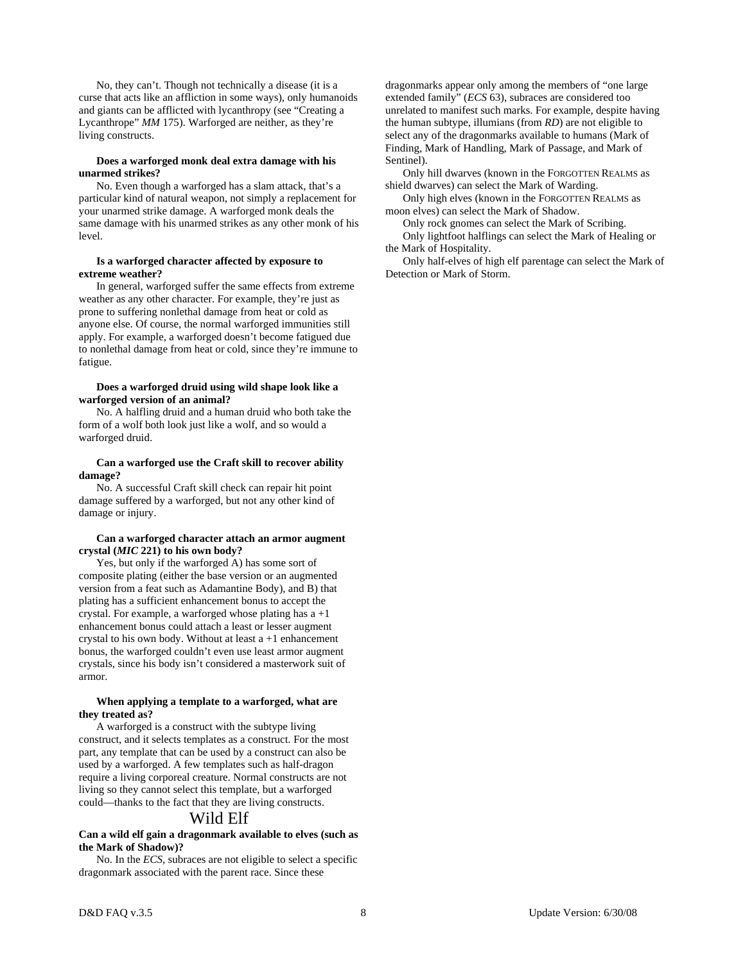No, they can't. Though not technically a disease (it is a curse that acts like an affliction in some ways), only humanoids and giants can be afflicted with lycanthropy (see "Creating a Lycanthrope" *MM* 175). Warforged are neither, as they're living constructs.

#### **Does a warforged monk deal extra damage with his unarmed strikes?**

 No. Even though a warforged has a slam attack, that's a particular kind of natural weapon, not simply a replacement for your unarmed strike damage. A warforged monk deals the same damage with his unarmed strikes as any other monk of his level.

#### **Is a warforged character affected by exposure to extreme weather?**

 In general, warforged suffer the same effects from extreme weather as any other character. For example, they're just as prone to suffering nonlethal damage from heat or cold as anyone else. Of course, the normal warforged immunities still apply. For example, a warforged doesn't become fatigued due to nonlethal damage from heat or cold, since they're immune to fatigue.

#### **Does a warforged druid using wild shape look like a warforged version of an animal?**

 No. A halfling druid and a human druid who both take the form of a wolf both look just like a wolf, and so would a warforged druid.

#### **Can a warforged use the Craft skill to recover ability damage?**

 No. A successful Craft skill check can repair hit point damage suffered by a warforged, but not any other kind of damage or injury.

#### **Can a warforged character attach an armor augment crystal (***MIC* **221) to his own body?**

 Yes, but only if the warforged A) has some sort of composite plating (either the base version or an augmented version from a feat such as Adamantine Body), and B) that plating has a sufficient enhancement bonus to accept the crystal. For example, a warforged whose plating has  $a + 1$ enhancement bonus could attach a least or lesser augment crystal to his own body. Without at least  $a + 1$  enhancement bonus, the warforged couldn't even use least armor augment crystals, since his body isn't considered a masterwork suit of armor.

#### **When applying a template to a warforged, what are they treated as?**

 A warforged is a construct with the subtype living construct, and it selects templates as a construct. For the most part, any template that can be used by a construct can also be used by a warforged. A few templates such as half-dragon require a living corporeal creature. Normal constructs are not living so they cannot select this template, but a warforged could—thanks to the fact that they are living constructs.

## Wild Elf

#### **Can a wild elf gain a dragonmark available to elves (such as the Mark of Shadow)?**

 No. In the *ECS,* subraces are not eligible to select a specific dragonmark associated with the parent race. Since these

dragonmarks appear only among the members of "one large extended family" (*ECS* 63), subraces are considered too unrelated to manifest such marks. For example, despite having the human subtype, illumians (from *RD*) are not eligible to select any of the dragonmarks available to humans (Mark of Finding, Mark of Handling, Mark of Passage, and Mark of Sentinel).

 Only hill dwarves (known in the FORGOTTEN REALMS as shield dwarves) can select the Mark of Warding.

 Only high elves (known in the FORGOTTEN REALMS as moon elves) can select the Mark of Shadow.

 Only rock gnomes can select the Mark of Scribing. Only lightfoot halflings can select the Mark of Healing or the Mark of Hospitality.

 Only half-elves of high elf parentage can select the Mark of Detection or Mark of Storm.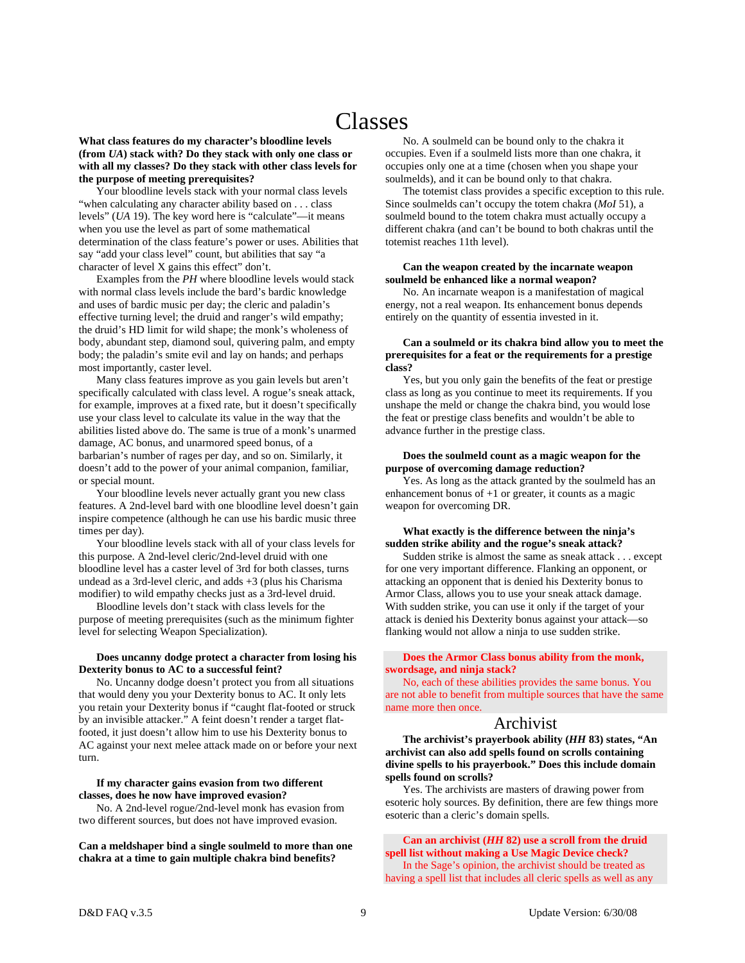# Classes

**What class features do my character's bloodline levels (from** *UA***) stack with? Do they stack with only one class or with all my classes? Do they stack with other class levels for the purpose of meeting prerequisites?** 

 Your bloodline levels stack with your normal class levels "when calculating any character ability based on . . . class levels" (*UA* 19). The key word here is "calculate"—it means when you use the level as part of some mathematical determination of the class feature's power or uses. Abilities that say "add your class level" count, but abilities that say "a character of level X gains this effect" don't.

 Examples from the *PH* where bloodline levels would stack with normal class levels include the bard's bardic knowledge and uses of bardic music per day; the cleric and paladin's effective turning level; the druid and ranger's wild empathy; the druid's HD limit for wild shape; the monk's wholeness of body, abundant step, diamond soul, quivering palm, and empty body; the paladin's smite evil and lay on hands; and perhaps most importantly, caster level.

 Many class features improve as you gain levels but aren't specifically calculated with class level. A rogue's sneak attack, for example, improves at a fixed rate, but it doesn't specifically use your class level to calculate its value in the way that the abilities listed above do. The same is true of a monk's unarmed damage, AC bonus, and unarmored speed bonus, of a barbarian's number of rages per day, and so on. Similarly, it doesn't add to the power of your animal companion, familiar, or special mount.

 Your bloodline levels never actually grant you new class features. A 2nd-level bard with one bloodline level doesn't gain inspire competence (although he can use his bardic music three times per day).

 Your bloodline levels stack with all of your class levels for this purpose. A 2nd-level cleric/2nd-level druid with one bloodline level has a caster level of 3rd for both classes, turns undead as a 3rd-level cleric, and adds +3 (plus his Charisma modifier) to wild empathy checks just as a 3rd-level druid.

 Bloodline levels don't stack with class levels for the purpose of meeting prerequisites (such as the minimum fighter level for selecting Weapon Specialization).

#### **Does uncanny dodge protect a character from losing his Dexterity bonus to AC to a successful feint?**

 No. Uncanny dodge doesn't protect you from all situations that would deny you your Dexterity bonus to AC. It only lets you retain your Dexterity bonus if "caught flat-footed or struck by an invisible attacker." A feint doesn't render a target flatfooted, it just doesn't allow him to use his Dexterity bonus to AC against your next melee attack made on or before your next turn.

#### **If my character gains evasion from two different classes, does he now have improved evasion?**

 No. A 2nd-level rogue/2nd-level monk has evasion from two different sources, but does not have improved evasion.

**Can a meldshaper bind a single soulmeld to more than one chakra at a time to gain multiple chakra bind benefits?** 

 No. A soulmeld can be bound only to the chakra it occupies. Even if a soulmeld lists more than one chakra, it occupies only one at a time (chosen when you shape your soulmelds), and it can be bound only to that chakra.

 The totemist class provides a specific exception to this rule. Since soulmelds can't occupy the totem chakra (*MoI* 51), a soulmeld bound to the totem chakra must actually occupy a different chakra (and can't be bound to both chakras until the totemist reaches 11th level).

#### **Can the weapon created by the incarnate weapon soulmeld be enhanced like a normal weapon?**

 No. An incarnate weapon is a manifestation of magical energy, not a real weapon. Its enhancement bonus depends entirely on the quantity of essentia invested in it.

#### **Can a soulmeld or its chakra bind allow you to meet the prerequisites for a feat or the requirements for a prestige class?**

 Yes, but you only gain the benefits of the feat or prestige class as long as you continue to meet its requirements. If you unshape the meld or change the chakra bind, you would lose the feat or prestige class benefits and wouldn't be able to advance further in the prestige class.

#### **Does the soulmeld count as a magic weapon for the purpose of overcoming damage reduction?**

 Yes. As long as the attack granted by the soulmeld has an enhancement bonus of +1 or greater, it counts as a magic weapon for overcoming DR.

#### **What exactly is the difference between the ninja's sudden strike ability and the rogue's sneak attack?**

Sudden strike is almost the same as sneak attack . . . except for one very important difference. Flanking an opponent, or attacking an opponent that is denied his Dexterity bonus to Armor Class, allows you to use your sneak attack damage. With sudden strike, you can use it only if the target of your attack is denied his Dexterity bonus against your attack—so flanking would not allow a ninja to use sudden strike.

#### **Does the Armor Class bonus ability from the monk, swordsage, and ninja stack?**

 No, each of these abilities provides the same bonus. You are not able to benefit from multiple sources that have the same name more then once.

## Archivist

 **The archivist's prayerbook ability (***HH* **83) states, "An archivist can also add spells found on scrolls containing divine spells to his prayerbook." Does this include domain spells found on scrolls?** 

 Yes. The archivists are masters of drawing power from esoteric holy sources. By definition, there are few things more esoteric than a cleric's domain spells.

 **Can an archivist (***HH* **82) use a scroll from the druid spell list without making a Use Magic Device check?**  In the Sage's opinion, the archivist should be treated as having a spell list that includes all cleric spells as well as any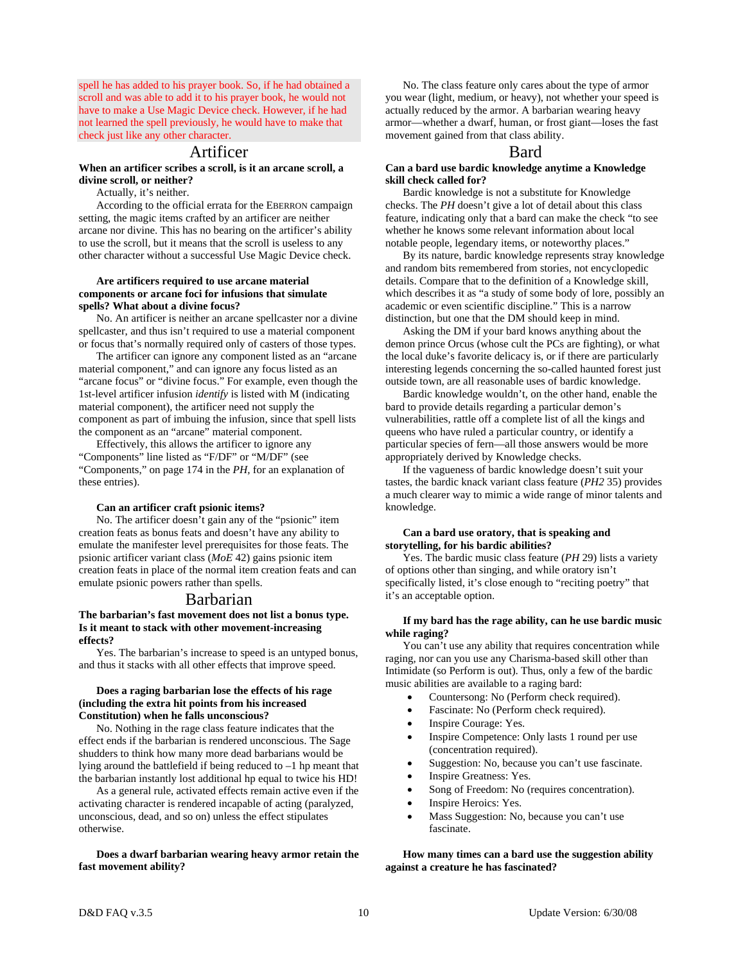spell he has added to his prayer book. So, if he had obtained a scroll and was able to add it to his prayer book, he would not have to make a Use Magic Device check. However, if he had not learned the spell previously, he would have to make that check just like any other character.

## Artificer

#### **When an artificer scribes a scroll, is it an arcane scroll, a divine scroll, or neither?**

Actually, it's neither.

 According to the official errata for the EBERRON campaign setting, the magic items crafted by an artificer are neither arcane nor divine. This has no bearing on the artificer's ability to use the scroll, but it means that the scroll is useless to any other character without a successful Use Magic Device check.

#### **Are artificers required to use arcane material components or arcane foci for infusions that simulate spells? What about a divine focus?**

 No. An artificer is neither an arcane spellcaster nor a divine spellcaster, and thus isn't required to use a material component or focus that's normally required only of casters of those types.

 The artificer can ignore any component listed as an "arcane material component," and can ignore any focus listed as an "arcane focus" or "divine focus." For example, even though the 1st-level artificer infusion *identify* is listed with M (indicating material component), the artificer need not supply the component as part of imbuing the infusion, since that spell lists the component as an "arcane" material component.

 Effectively, this allows the artificer to ignore any "Components" line listed as "F/DF" or "M/DF" (see "Components," on page 174 in the *PH,* for an explanation of these entries).

#### **Can an artificer craft psionic items?**

 No. The artificer doesn't gain any of the "psionic" item creation feats as bonus feats and doesn't have any ability to emulate the manifester level prerequisites for those feats. The psionic artificer variant class (*MoE* 42) gains psionic item creation feats in place of the normal item creation feats and can emulate psionic powers rather than spells.

#### Barbarian

#### **The barbarian's fast movement does not list a bonus type. Is it meant to stack with other movement-increasing effects?**

 Yes. The barbarian's increase to speed is an untyped bonus, and thus it stacks with all other effects that improve speed.

#### **Does a raging barbarian lose the effects of his rage (including the extra hit points from his increased Constitution) when he falls unconscious?**

 No. Nothing in the rage class feature indicates that the effect ends if the barbarian is rendered unconscious. The Sage shudders to think how many more dead barbarians would be lying around the battlefield if being reduced to –1 hp meant that the barbarian instantly lost additional hp equal to twice his HD!

 As a general rule, activated effects remain active even if the activating character is rendered incapable of acting (paralyzed, unconscious, dead, and so on) unless the effect stipulates otherwise.

#### **Does a dwarf barbarian wearing heavy armor retain the fast movement ability?**

 No. The class feature only cares about the type of armor you wear (light, medium, or heavy), not whether your speed is actually reduced by the armor. A barbarian wearing heavy armor—whether a dwarf, human, or frost giant—loses the fast movement gained from that class ability.

## Bard

#### **Can a bard use bardic knowledge anytime a Knowledge skill check called for?**

 Bardic knowledge is not a substitute for Knowledge checks. The *PH* doesn't give a lot of detail about this class feature, indicating only that a bard can make the check "to see whether he knows some relevant information about local notable people, legendary items, or noteworthy places."

 By its nature, bardic knowledge represents stray knowledge and random bits remembered from stories, not encyclopedic details. Compare that to the definition of a Knowledge skill, which describes it as "a study of some body of lore, possibly an academic or even scientific discipline." This is a narrow distinction, but one that the DM should keep in mind.

 Asking the DM if your bard knows anything about the demon prince Orcus (whose cult the PCs are fighting), or what the local duke's favorite delicacy is, or if there are particularly interesting legends concerning the so-called haunted forest just outside town, are all reasonable uses of bardic knowledge.

 Bardic knowledge wouldn't, on the other hand, enable the bard to provide details regarding a particular demon's vulnerabilities, rattle off a complete list of all the kings and queens who have ruled a particular country, or identify a particular species of fern—all those answers would be more appropriately derived by Knowledge checks.

 If the vagueness of bardic knowledge doesn't suit your tastes, the bardic knack variant class feature (*PH2* 35) provides a much clearer way to mimic a wide range of minor talents and knowledge.

#### **Can a bard use oratory, that is speaking and storytelling, for his bardic abilities?**

 Yes. The bardic music class feature (*PH* 29) lists a variety of options other than singing, and while oratory isn't specifically listed, it's close enough to "reciting poetry" that it's an acceptable option.

#### **If my bard has the rage ability, can he use bardic music while raging?**

 You can't use any ability that requires concentration while raging, nor can you use any Charisma-based skill other than Intimidate (so Perform is out). Thus, only a few of the bardic music abilities are available to a raging bard:

- Countersong: No (Perform check required).
- Fascinate: No (Perform check required).
- Inspire Courage: Yes.
- Inspire Competence: Only lasts 1 round per use (concentration required).
- Suggestion: No, because you can't use fascinate.
- Inspire Greatness: Yes.
- Song of Freedom: No (requires concentration).
- Inspire Heroics: Yes.
- Mass Suggestion: No, because you can't use fascinate.

 **How many times can a bard use the suggestion ability against a creature he has fascinated?**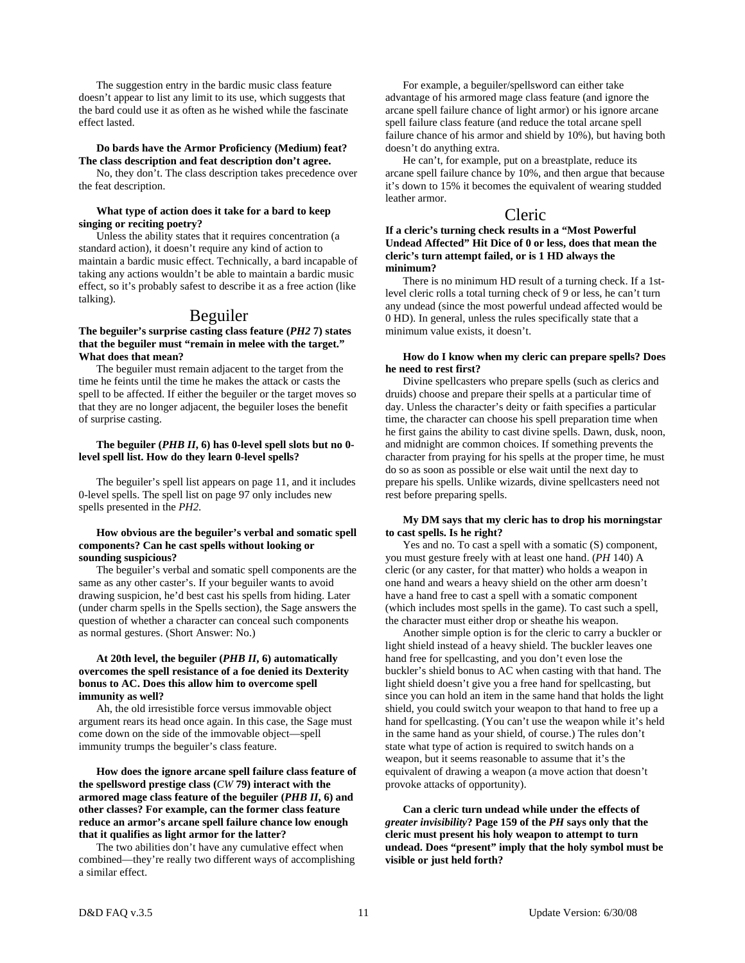The suggestion entry in the bardic music class feature doesn't appear to list any limit to its use, which suggests that the bard could use it as often as he wished while the fascinate effect lasted.

#### **Do bards have the Armor Proficiency (Medium) feat? The class description and feat description don't agree.**

 No, they don't. The class description takes precedence over the feat description.

#### **What type of action does it take for a bard to keep singing or reciting poetry?**

 Unless the ability states that it requires concentration (a standard action), it doesn't require any kind of action to maintain a bardic music effect. Technically, a bard incapable of taking any actions wouldn't be able to maintain a bardic music effect, so it's probably safest to describe it as a free action (like talking).

## Beguiler

#### **The beguiler's surprise casting class feature (***PH2* **7) states that the beguiler must "remain in melee with the target." What does that mean?**

 The beguiler must remain adjacent to the target from the time he feints until the time he makes the attack or casts the spell to be affected. If either the beguiler or the target moves so that they are no longer adjacent, the beguiler loses the benefit of surprise casting.

#### **The beguiler (***PHB II***, 6) has 0-level spell slots but no 0 level spell list. How do they learn 0-level spells?**

 The beguiler's spell list appears on page 11, and it includes 0-level spells. The spell list on page 97 only includes new spells presented in the *PH2*.

#### **How obvious are the beguiler's verbal and somatic spell components? Can he cast spells without looking or sounding suspicious?**

 The beguiler's verbal and somatic spell components are the same as any other caster's. If your beguiler wants to avoid drawing suspicion, he'd best cast his spells from hiding. Later (under charm spells in the Spells section), the Sage answers the question of whether a character can conceal such components as normal gestures. (Short Answer: No.)

#### **At 20th level, the beguiler (***PHB II***, 6) automatically overcomes the spell resistance of a foe denied its Dexterity bonus to AC. Does this allow him to overcome spell immunity as well?**

 Ah, the old irresistible force versus immovable object argument rears its head once again. In this case, the Sage must come down on the side of the immovable object—spell immunity trumps the beguiler's class feature.

 **How does the ignore arcane spell failure class feature of the spellsword prestige class (***CW* **79) interact with the armored mage class feature of the beguiler (***PHB II***, 6) and other classes? For example, can the former class feature reduce an armor's arcane spell failure chance low enough that it qualifies as light armor for the latter?** 

 The two abilities don't have any cumulative effect when combined—they're really two different ways of accomplishing a similar effect.

 For example, a beguiler/spellsword can either take advantage of his armored mage class feature (and ignore the arcane spell failure chance of light armor) or his ignore arcane spell failure class feature (and reduce the total arcane spell failure chance of his armor and shield by 10%), but having both doesn't do anything extra.

 He can't, for example, put on a breastplate, reduce its arcane spell failure chance by 10%, and then argue that because it's down to 15% it becomes the equivalent of wearing studded leather armor.

## Cleric

#### **If a cleric's turning check results in a "Most Powerful Undead Affected" Hit Dice of 0 or less, does that mean the cleric's turn attempt failed, or is 1 HD always the minimum?**

 There is no minimum HD result of a turning check. If a 1stlevel cleric rolls a total turning check of 9 or less, he can't turn any undead (since the most powerful undead affected would be 0 HD). In general, unless the rules specifically state that a minimum value exists, it doesn't.

#### **How do I know when my cleric can prepare spells? Does he need to rest first?**

 Divine spellcasters who prepare spells (such as clerics and druids) choose and prepare their spells at a particular time of day. Unless the character's deity or faith specifies a particular time, the character can choose his spell preparation time when he first gains the ability to cast divine spells. Dawn, dusk, noon, and midnight are common choices. If something prevents the character from praying for his spells at the proper time, he must do so as soon as possible or else wait until the next day to prepare his spells. Unlike wizards, divine spellcasters need not rest before preparing spells.

#### **My DM says that my cleric has to drop his morningstar to cast spells. Is he right?**

 Yes and no. To cast a spell with a somatic (S) component, you must gesture freely with at least one hand. (*PH* 140) A cleric (or any caster, for that matter) who holds a weapon in one hand and wears a heavy shield on the other arm doesn't have a hand free to cast a spell with a somatic component (which includes most spells in the game). To cast such a spell, the character must either drop or sheathe his weapon.

 Another simple option is for the cleric to carry a buckler or light shield instead of a heavy shield. The buckler leaves one hand free for spellcasting, and you don't even lose the buckler's shield bonus to AC when casting with that hand. The light shield doesn't give you a free hand for spellcasting, but since you can hold an item in the same hand that holds the light shield, you could switch your weapon to that hand to free up a hand for spellcasting. (You can't use the weapon while it's held in the same hand as your shield, of course.) The rules don't state what type of action is required to switch hands on a weapon, but it seems reasonable to assume that it's the equivalent of drawing a weapon (a move action that doesn't provoke attacks of opportunity).

 **Can a cleric turn undead while under the effects of**  *greater invisibility***? Page 159 of the** *PH* **says only that the cleric must present his holy weapon to attempt to turn undead. Does "present" imply that the holy symbol must be visible or just held forth?**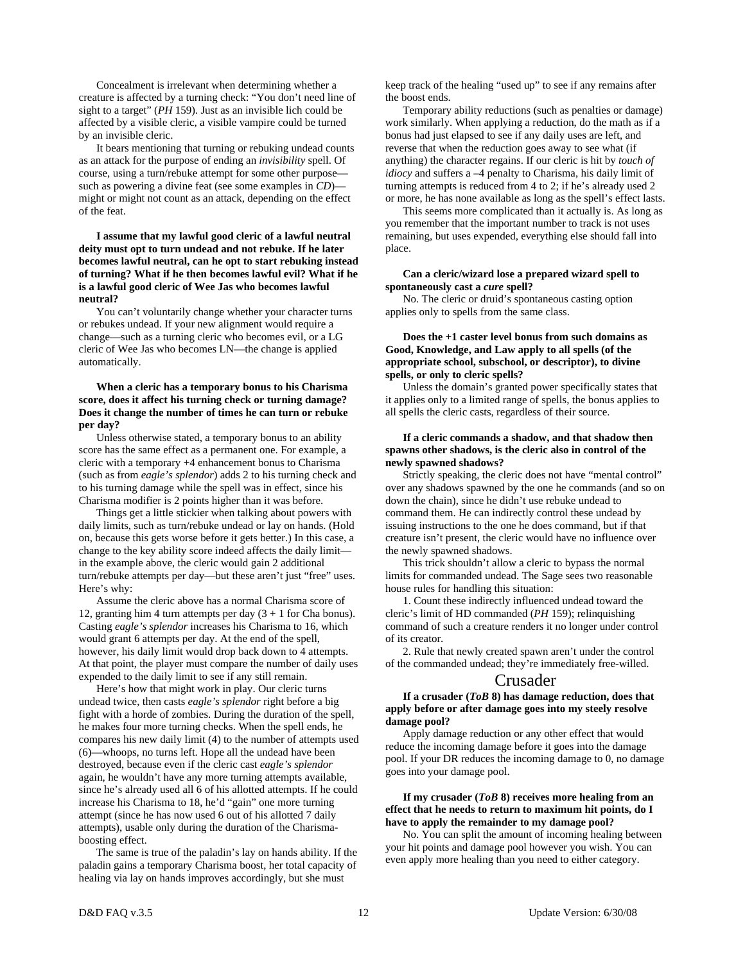Concealment is irrelevant when determining whether a creature is affected by a turning check: "You don't need line of sight to a target" (*PH* 159). Just as an invisible lich could be affected by a visible cleric, a visible vampire could be turned by an invisible cleric.

 It bears mentioning that turning or rebuking undead counts as an attack for the purpose of ending an *invisibility* spell. Of course, using a turn/rebuke attempt for some other purpose such as powering a divine feat (see some examples in *CD*) might or might not count as an attack, depending on the effect of the feat.

#### **I assume that my lawful good cleric of a lawful neutral deity must opt to turn undead and not rebuke. If he later becomes lawful neutral, can he opt to start rebuking instead of turning? What if he then becomes lawful evil? What if he is a lawful good cleric of Wee Jas who becomes lawful neutral?**

 You can't voluntarily change whether your character turns or rebukes undead. If your new alignment would require a change—such as a turning cleric who becomes evil, or a LG cleric of Wee Jas who becomes LN—the change is applied automatically.

#### **When a cleric has a temporary bonus to his Charisma score, does it affect his turning check or turning damage? Does it change the number of times he can turn or rebuke per day?**

 Unless otherwise stated, a temporary bonus to an ability score has the same effect as a permanent one. For example, a cleric with a temporary +4 enhancement bonus to Charisma (such as from *eagle's splendor*) adds 2 to his turning check and to his turning damage while the spell was in effect, since his Charisma modifier is 2 points higher than it was before.

 Things get a little stickier when talking about powers with daily limits, such as turn/rebuke undead or lay on hands. (Hold on, because this gets worse before it gets better.) In this case, a change to the key ability score indeed affects the daily limit in the example above, the cleric would gain 2 additional turn/rebuke attempts per day—but these aren't just "free" uses. Here's why:

 Assume the cleric above has a normal Charisma score of 12, granting him 4 turn attempts per day  $(3 + 1)$  for Cha bonus). Casting *eagle's splendor* increases his Charisma to 16, which would grant 6 attempts per day. At the end of the spell, however, his daily limit would drop back down to 4 attempts. At that point, the player must compare the number of daily uses expended to the daily limit to see if any still remain.

 Here's how that might work in play. Our cleric turns undead twice, then casts *eagle's splendor* right before a big fight with a horde of zombies. During the duration of the spell, he makes four more turning checks. When the spell ends, he compares his new daily limit (4) to the number of attempts used (6)—whoops, no turns left. Hope all the undead have been destroyed, because even if the cleric cast *eagle's splendor* again, he wouldn't have any more turning attempts available, since he's already used all 6 of his allotted attempts. If he could increase his Charisma to 18, he'd "gain" one more turning attempt (since he has now used 6 out of his allotted 7 daily attempts), usable only during the duration of the Charismaboosting effect.

 The same is true of the paladin's lay on hands ability. If the paladin gains a temporary Charisma boost, her total capacity of healing via lay on hands improves accordingly, but she must

keep track of the healing "used up" to see if any remains after the boost ends.

 Temporary ability reductions (such as penalties or damage) work similarly. When applying a reduction, do the math as if a bonus had just elapsed to see if any daily uses are left, and reverse that when the reduction goes away to see what (if anything) the character regains. If our cleric is hit by *touch of idiocy* and suffers a –4 penalty to Charisma, his daily limit of turning attempts is reduced from 4 to 2; if he's already used 2 or more, he has none available as long as the spell's effect lasts.

 This seems more complicated than it actually is. As long as you remember that the important number to track is not uses remaining, but uses expended, everything else should fall into place.

#### **Can a cleric/wizard lose a prepared wizard spell to spontaneously cast a** *cure* **spell?**

 No. The cleric or druid's spontaneous casting option applies only to spells from the same class.

#### **Does the +1 caster level bonus from such domains as Good, Knowledge, and Law apply to all spells (of the appropriate school, subschool, or descriptor), to divine spells, or only to cleric spells?**

 Unless the domain's granted power specifically states that it applies only to a limited range of spells, the bonus applies to all spells the cleric casts, regardless of their source.

#### **If a cleric commands a shadow, and that shadow then spawns other shadows, is the cleric also in control of the newly spawned shadows?**

 Strictly speaking, the cleric does not have "mental control" over any shadows spawned by the one he commands (and so on down the chain), since he didn't use rebuke undead to command them. He can indirectly control these undead by issuing instructions to the one he does command, but if that creature isn't present, the cleric would have no influence over the newly spawned shadows.

 This trick shouldn't allow a cleric to bypass the normal limits for commanded undead. The Sage sees two reasonable house rules for handling this situation:

 1. Count these indirectly influenced undead toward the cleric's limit of HD commanded (*PH* 159); relinquishing command of such a creature renders it no longer under control of its creator.

 2. Rule that newly created spawn aren't under the control of the commanded undead; they're immediately free-willed.

### Crusader

**If a crusader (***ToB* **8) has damage reduction, does that apply before or after damage goes into my steely resolve damage pool?** 

 Apply damage reduction or any other effect that would reduce the incoming damage before it goes into the damage pool. If your DR reduces the incoming damage to 0, no damage goes into your damage pool.

#### **If my crusader (***ToB* **8) receives more healing from an effect that he needs to return to maximum hit points, do I have to apply the remainder to my damage pool?**

 No. You can split the amount of incoming healing between your hit points and damage pool however you wish. You can even apply more healing than you need to either category.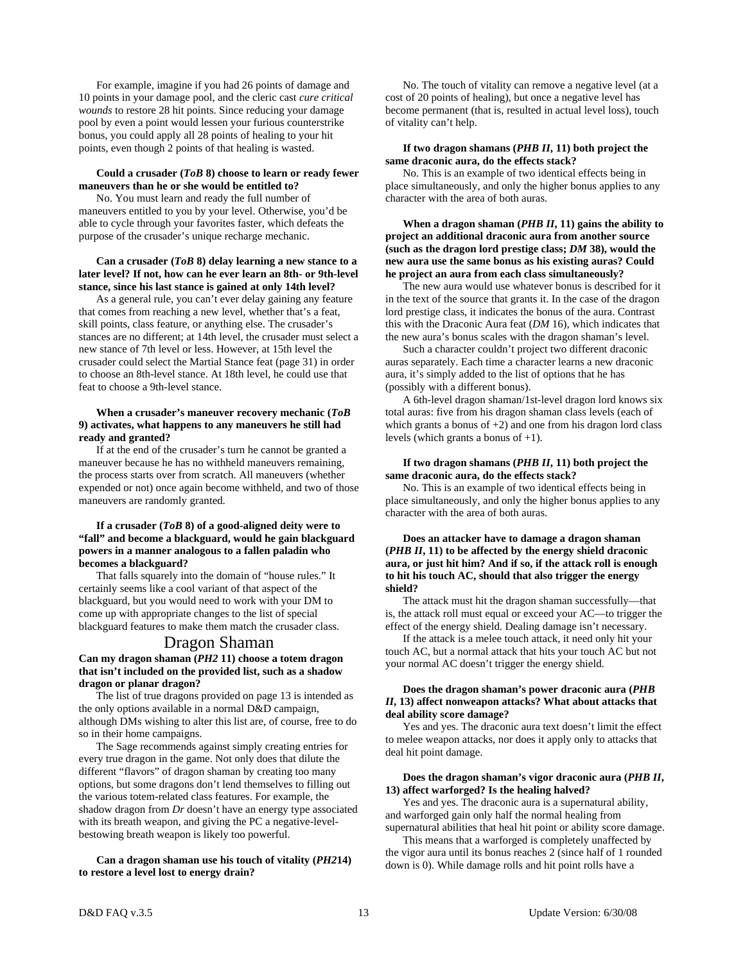For example, imagine if you had 26 points of damage and 10 points in your damage pool, and the cleric cast *cure critical wounds* to restore 28 hit points. Since reducing your damage pool by even a point would lessen your furious counterstrike bonus, you could apply all 28 points of healing to your hit points, even though 2 points of that healing is wasted.

#### **Could a crusader (***ToB* **8) choose to learn or ready fewer maneuvers than he or she would be entitled to?**

 No. You must learn and ready the full number of maneuvers entitled to you by your level. Otherwise, you'd be able to cycle through your favorites faster, which defeats the purpose of the crusader's unique recharge mechanic.

#### **Can a crusader (***ToB* **8) delay learning a new stance to a later level? If not, how can he ever learn an 8th- or 9th-level stance, since his last stance is gained at only 14th level?**

 As a general rule, you can't ever delay gaining any feature that comes from reaching a new level, whether that's a feat, skill points, class feature, or anything else. The crusader's stances are no different; at 14th level, the crusader must select a new stance of 7th level or less. However, at 15th level the crusader could select the Martial Stance feat (page 31) in order to choose an 8th-level stance. At 18th level, he could use that feat to choose a 9th-level stance.

#### **When a crusader's maneuver recovery mechanic (***ToB*  **9) activates, what happens to any maneuvers he still had ready and granted?**

 If at the end of the crusader's turn he cannot be granted a maneuver because he has no withheld maneuvers remaining, the process starts over from scratch. All maneuvers (whether expended or not) once again become withheld, and two of those maneuvers are randomly granted.

#### **If a crusader (***ToB* **8) of a good-aligned deity were to "fall" and become a blackguard, would he gain blackguard powers in a manner analogous to a fallen paladin who becomes a blackguard?**

 That falls squarely into the domain of "house rules." It certainly seems like a cool variant of that aspect of the blackguard, but you would need to work with your DM to come up with appropriate changes to the list of special blackguard features to make them match the crusader class.

#### Dragon Shaman

#### **Can my dragon shaman (***PH2* **11) choose a totem dragon that isn't included on the provided list, such as a shadow dragon or planar dragon?**

 The list of true dragons provided on page 13 is intended as the only options available in a normal D&D campaign, although DMs wishing to alter this list are, of course, free to do so in their home campaigns.

 The Sage recommends against simply creating entries for every true dragon in the game. Not only does that dilute the different "flavors" of dragon shaman by creating too many options, but some dragons don't lend themselves to filling out the various totem-related class features. For example, the shadow dragon from *Dr* doesn't have an energy type associated with its breath weapon, and giving the PC a negative-levelbestowing breath weapon is likely too powerful.

#### **Can a dragon shaman use his touch of vitality (***PH2***14) to restore a level lost to energy drain?**

 No. The touch of vitality can remove a negative level (at a cost of 20 points of healing), but once a negative level has become permanent (that is, resulted in actual level loss), touch of vitality can't help.

#### **If two dragon shamans (***PHB II***, 11) both project the same draconic aura, do the effects stack?**

 No. This is an example of two identical effects being in place simultaneously, and only the higher bonus applies to any character with the area of both auras.

 **When a dragon shaman (***PHB II***, 11) gains the ability to project an additional draconic aura from another source (such as the dragon lord prestige class;** *DM* **38), would the new aura use the same bonus as his existing auras? Could he project an aura from each class simultaneously?** 

 The new aura would use whatever bonus is described for it in the text of the source that grants it. In the case of the dragon lord prestige class, it indicates the bonus of the aura. Contrast this with the Draconic Aura feat (*DM* 16), which indicates that the new aura's bonus scales with the dragon shaman's level.

 Such a character couldn't project two different draconic auras separately. Each time a character learns a new draconic aura, it's simply added to the list of options that he has (possibly with a different bonus).

 A 6th-level dragon shaman/1st-level dragon lord knows six total auras: five from his dragon shaman class levels (each of which grants a bonus of  $+2$ ) and one from his dragon lord class levels (which grants a bonus of +1).

#### **If two dragon shamans (***PHB II***, 11) both project the same draconic aura, do the effects stack?**

 No. This is an example of two identical effects being in place simultaneously, and only the higher bonus applies to any character with the area of both auras.

#### **Does an attacker have to damage a dragon shaman (***PHB II***, 11) to be affected by the energy shield draconic aura, or just hit him? And if so, if the attack roll is enough to hit his touch AC, should that also trigger the energy shield?**

 The attack must hit the dragon shaman successfully—that is, the attack roll must equal or exceed your AC—to trigger the effect of the energy shield. Dealing damage isn't necessary.

 If the attack is a melee touch attack, it need only hit your touch AC, but a normal attack that hits your touch AC but not your normal AC doesn't trigger the energy shield.

#### **Does the dragon shaman's power draconic aura (***PHB II***, 13) affect nonweapon attacks? What about attacks that deal ability score damage?**

 Yes and yes. The draconic aura text doesn't limit the effect to melee weapon attacks, nor does it apply only to attacks that deal hit point damage.

#### **Does the dragon shaman's vigor draconic aura (***PHB II***, 13) affect warforged? Is the healing halved?**

 Yes and yes. The draconic aura is a supernatural ability, and warforged gain only half the normal healing from supernatural abilities that heal hit point or ability score damage.

 This means that a warforged is completely unaffected by the vigor aura until its bonus reaches 2 (since half of 1 rounded down is 0). While damage rolls and hit point rolls have a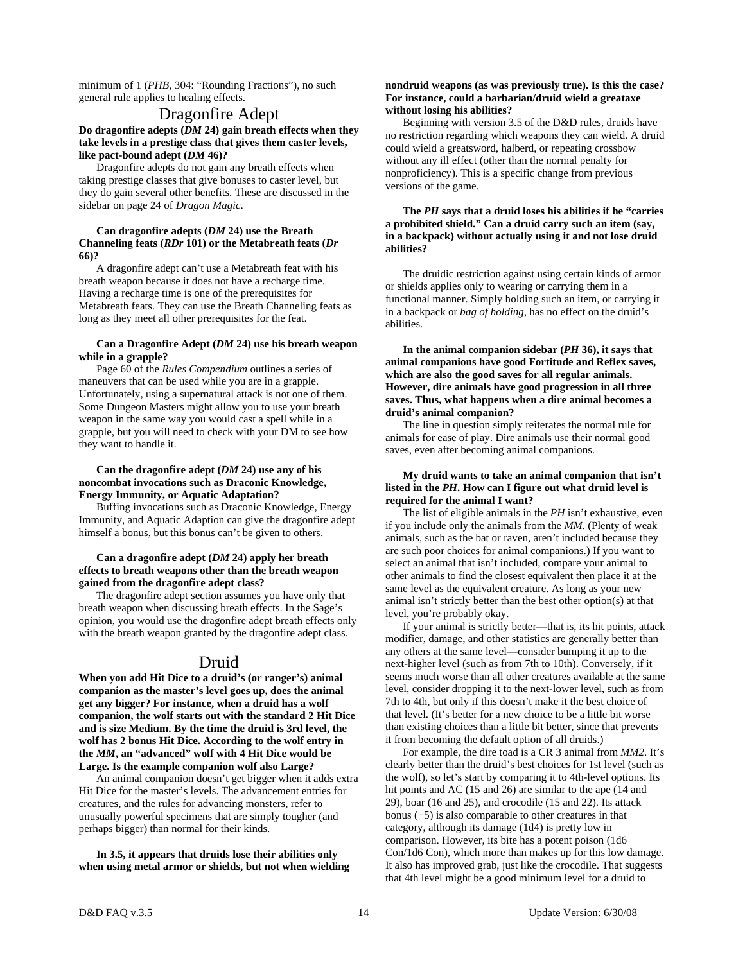minimum of 1 (*PHB*, 304: "Rounding Fractions"), no such general rule applies to healing effects.

## Dragonfire Adept

#### **Do dragonfire adepts (***DM* **24) gain breath effects when they take levels in a prestige class that gives them caster levels, like pact-bound adept (***DM* **46)?**

 Dragonfire adepts do not gain any breath effects when taking prestige classes that give bonuses to caster level, but they do gain several other benefits. These are discussed in the sidebar on page 24 of *Dragon Magic*.

#### **Can dragonfire adepts (***DM* **24) use the Breath Channeling feats (***RDr* **101) or the Metabreath feats (***Dr* **66)?**

 A dragonfire adept can't use a Metabreath feat with his breath weapon because it does not have a recharge time. Having a recharge time is one of the prerequisites for Metabreath feats. They can use the Breath Channeling feats as long as they meet all other prerequisites for the feat.

#### **Can a Dragonfire Adept (***DM* **24) use his breath weapon while in a grapple?**

 Page 60 of the *Rules Compendium* outlines a series of maneuvers that can be used while you are in a grapple. Unfortunately, using a supernatural attack is not one of them. Some Dungeon Masters might allow you to use your breath weapon in the same way you would cast a spell while in a grapple, but you will need to check with your DM to see how they want to handle it.

#### **Can the dragonfire adept (***DM* **24) use any of his noncombat invocations such as Draconic Knowledge, Energy Immunity, or Aquatic Adaptation?**

 Buffing invocations such as Draconic Knowledge, Energy Immunity, and Aquatic Adaption can give the dragonfire adept himself a bonus, but this bonus can't be given to others.

#### **Can a dragonfire adept (***DM* **24) apply her breath effects to breath weapons other than the breath weapon gained from the dragonfire adept class?**

 The dragonfire adept section assumes you have only that breath weapon when discussing breath effects. In the Sage's opinion, you would use the dragonfire adept breath effects only with the breath weapon granted by the dragonfire adept class.

## Druid

**When you add Hit Dice to a druid's (or ranger's) animal companion as the master's level goes up, does the animal get any bigger? For instance, when a druid has a wolf companion, the wolf starts out with the standard 2 Hit Dice and is size Medium. By the time the druid is 3rd level, the wolf has 2 bonus Hit Dice. According to the wolf entry in the** *MM***, an "advanced" wolf with 4 Hit Dice would be Large. Is the example companion wolf also Large?** 

 An animal companion doesn't get bigger when it adds extra Hit Dice for the master's levels. The advancement entries for creatures, and the rules for advancing monsters, refer to unusually powerful specimens that are simply tougher (and perhaps bigger) than normal for their kinds.

 **In 3.5, it appears that druids lose their abilities only when using metal armor or shields, but not when wielding** 

#### **nondruid weapons (as was previously true). Is this the case? For instance, could a barbarian/druid wield a greataxe without losing his abilities?**

 Beginning with version 3.5 of the D&D rules, druids have no restriction regarding which weapons they can wield. A druid could wield a greatsword, halberd, or repeating crossbow without any ill effect (other than the normal penalty for nonproficiency). This is a specific change from previous versions of the game.

#### **The** *PH* **says that a druid loses his abilities if he "carries a prohibited shield." Can a druid carry such an item (say, in a backpack) without actually using it and not lose druid abilities?**

 The druidic restriction against using certain kinds of armor or shields applies only to wearing or carrying them in a functional manner. Simply holding such an item, or carrying it in a backpack or *bag of holding,* has no effect on the druid's abilities.

 **In the animal companion sidebar (***PH* **36), it says that animal companions have good Fortitude and Reflex saves, which are also the good saves for all regular animals. However, dire animals have good progression in all three saves. Thus, what happens when a dire animal becomes a druid's animal companion?** 

 The line in question simply reiterates the normal rule for animals for ease of play. Dire animals use their normal good saves, even after becoming animal companions.

#### **My druid wants to take an animal companion that isn't listed in the** *PH***. How can I figure out what druid level is required for the animal I want?**

 The list of eligible animals in the *PH* isn't exhaustive, even if you include only the animals from the *MM*. (Plenty of weak animals, such as the bat or raven, aren't included because they are such poor choices for animal companions.) If you want to select an animal that isn't included, compare your animal to other animals to find the closest equivalent then place it at the same level as the equivalent creature. As long as your new animal isn't strictly better than the best other option(s) at that level, you're probably okay.

 If your animal is strictly better—that is, its hit points, attack modifier, damage, and other statistics are generally better than any others at the same level—consider bumping it up to the next-higher level (such as from 7th to 10th). Conversely, if it seems much worse than all other creatures available at the same level, consider dropping it to the next-lower level, such as from 7th to 4th, but only if this doesn't make it the best choice of that level. (It's better for a new choice to be a little bit worse than existing choices than a little bit better, since that prevents it from becoming the default option of all druids.)

 For example, the dire toad is a CR 3 animal from *MM2*. It's clearly better than the druid's best choices for 1st level (such as the wolf), so let's start by comparing it to 4th-level options. Its hit points and AC (15 and 26) are similar to the ape (14 and 29), boar (16 and 25), and crocodile (15 and 22). Its attack bonus (+5) is also comparable to other creatures in that category, although its damage (1d4) is pretty low in comparison. However, its bite has a potent poison (1d6 Con/1d6 Con), which more than makes up for this low damage. It also has improved grab, just like the crocodile. That suggests that 4th level might be a good minimum level for a druid to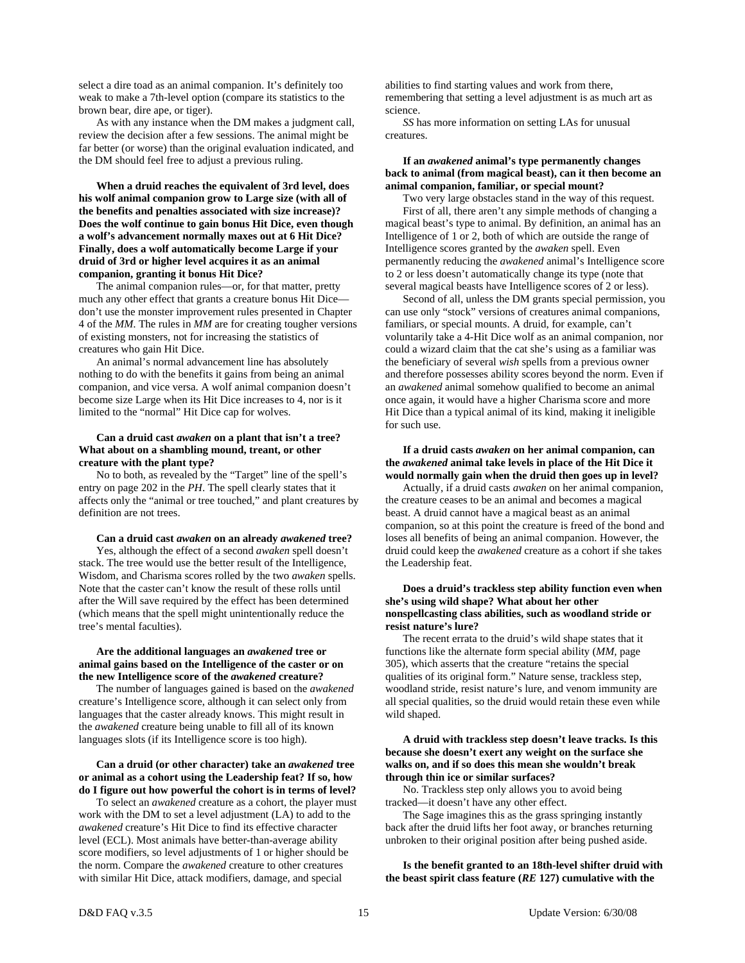select a dire toad as an animal companion. It's definitely too weak to make a 7th-level option (compare its statistics to the brown bear, dire ape, or tiger).

 As with any instance when the DM makes a judgment call, review the decision after a few sessions. The animal might be far better (or worse) than the original evaluation indicated, and the DM should feel free to adjust a previous ruling.

**When a druid reaches the equivalent of 3rd level, does his wolf animal companion grow to Large size (with all of the benefits and penalties associated with size increase)? Does the wolf continue to gain bonus Hit Dice, even though a wolf's advancement normally maxes out at 6 Hit Dice? Finally, does a wolf automatically become Large if your druid of 3rd or higher level acquires it as an animal companion, granting it bonus Hit Dice?** 

 The animal companion rules—or, for that matter, pretty much any other effect that grants a creature bonus Hit Dice don't use the monster improvement rules presented in Chapter 4 of the *MM*. The rules in *MM* are for creating tougher versions of existing monsters, not for increasing the statistics of creatures who gain Hit Dice.

 An animal's normal advancement line has absolutely nothing to do with the benefits it gains from being an animal companion, and vice versa. A wolf animal companion doesn't become size Large when its Hit Dice increases to 4, nor is it limited to the "normal" Hit Dice cap for wolves.

#### **Can a druid cast** *awaken* **on a plant that isn't a tree? What about on a shambling mound, treant, or other creature with the plant type?**

 No to both, as revealed by the "Target" line of the spell's entry on page 202 in the *PH*. The spell clearly states that it affects only the "animal or tree touched," and plant creatures by definition are not trees.

#### **Can a druid cast** *awaken* **on an already** *awakened* **tree?**

 Yes, although the effect of a second *awaken* spell doesn't stack. The tree would use the better result of the Intelligence, Wisdom, and Charisma scores rolled by the two *awaken* spells. Note that the caster can't know the result of these rolls until after the Will save required by the effect has been determined (which means that the spell might unintentionally reduce the tree's mental faculties).

#### **Are the additional languages an** *awakened* **tree or animal gains based on the Intelligence of the caster or on the new Intelligence score of the** *awakened* **creature?**

 The number of languages gained is based on the *awakened* creature's Intelligence score, although it can select only from languages that the caster already knows. This might result in the *awakened* creature being unable to fill all of its known languages slots (if its Intelligence score is too high).

#### **Can a druid (or other character) take an** *awakened* **tree or animal as a cohort using the Leadership feat? If so, how do I figure out how powerful the cohort is in terms of level?**

 To select an *awakened* creature as a cohort, the player must work with the DM to set a level adjustment (LA) to add to the *awakened* creature's Hit Dice to find its effective character level (ECL). Most animals have better-than-average ability score modifiers, so level adjustments of 1 or higher should be the norm. Compare the *awakened* creature to other creatures with similar Hit Dice, attack modifiers, damage, and special

abilities to find starting values and work from there, remembering that setting a level adjustment is as much art as science.

*SS* has more information on setting LAs for unusual creatures.

#### **If an** *awakened* **animal's type permanently changes back to animal (from magical beast), can it then become an animal companion, familiar, or special mount?**

 Two very large obstacles stand in the way of this request. First of all, there aren't any simple methods of changing a magical beast's type to animal. By definition, an animal has an Intelligence of 1 or 2, both of which are outside the range of Intelligence scores granted by the *awaken* spell. Even permanently reducing the *awakened* animal's Intelligence score to 2 or less doesn't automatically change its type (note that several magical beasts have Intelligence scores of 2 or less).

 Second of all, unless the DM grants special permission, you can use only "stock" versions of creatures animal companions, familiars, or special mounts. A druid, for example, can't voluntarily take a 4-Hit Dice wolf as an animal companion, nor could a wizard claim that the cat she's using as a familiar was the beneficiary of several *wish* spells from a previous owner and therefore possesses ability scores beyond the norm. Even if an *awakened* animal somehow qualified to become an animal once again, it would have a higher Charisma score and more Hit Dice than a typical animal of its kind, making it ineligible for such use.

#### **If a druid casts** *awaken* **on her animal companion, can the** *awakened* **animal take levels in place of the Hit Dice it would normally gain when the druid then goes up in level?**

Actually, if a druid casts *awaken* on her animal companion, the creature ceases to be an animal and becomes a magical beast. A druid cannot have a magical beast as an animal companion, so at this point the creature is freed of the bond and loses all benefits of being an animal companion. However, the druid could keep the *awakened* creature as a cohort if she takes the Leadership feat.

#### **Does a druid's trackless step ability function even when she's using wild shape? What about her other nonspellcasting class abilities, such as woodland stride or resist nature's lure?**

 The recent errata to the druid's wild shape states that it functions like the alternate form special ability (*MM,* page 305), which asserts that the creature "retains the special qualities of its original form." Nature sense, trackless step, woodland stride, resist nature's lure, and venom immunity are all special qualities, so the druid would retain these even while wild shaped.

#### **A druid with trackless step doesn't leave tracks. Is this because she doesn't exert any weight on the surface she walks on, and if so does this mean she wouldn't break through thin ice or similar surfaces?**

 No. Trackless step only allows you to avoid being tracked—it doesn't have any other effect.

 The Sage imagines this as the grass springing instantly back after the druid lifts her foot away, or branches returning unbroken to their original position after being pushed aside.

 **Is the benefit granted to an 18th-level shifter druid with the beast spirit class feature (***RE* **127) cumulative with the**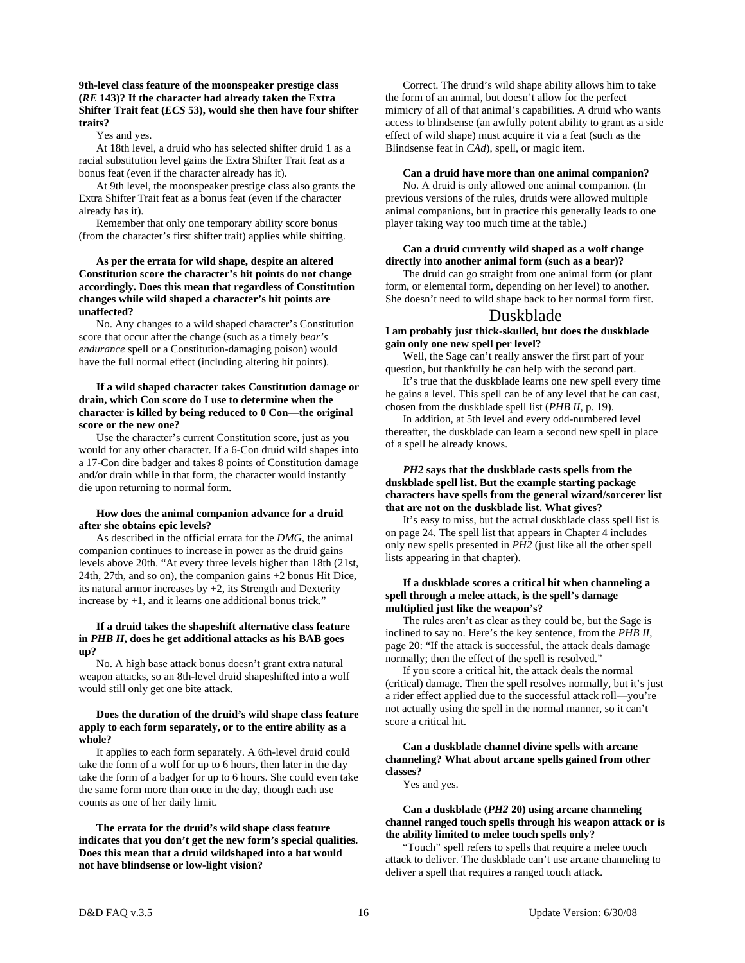#### **9th-level class feature of the moonspeaker prestige class (***RE* **143)? If the character had already taken the Extra Shifter Trait feat (***ECS* **53), would she then have four shifter traits?**

Yes and yes.

 At 18th level, a druid who has selected shifter druid 1 as a racial substitution level gains the Extra Shifter Trait feat as a bonus feat (even if the character already has it).

 At 9th level, the moonspeaker prestige class also grants the Extra Shifter Trait feat as a bonus feat (even if the character already has it).

 Remember that only one temporary ability score bonus (from the character's first shifter trait) applies while shifting.

#### **As per the errata for wild shape, despite an altered Constitution score the character's hit points do not change accordingly. Does this mean that regardless of Constitution changes while wild shaped a character's hit points are unaffected?**

No. Any changes to a wild shaped character's Constitution score that occur after the change (such as a timely *bear's endurance* spell or a Constitution-damaging poison) would have the full normal effect (including altering hit points).

#### **If a wild shaped character takes Constitution damage or drain, which Con score do I use to determine when the character is killed by being reduced to 0 Con—the original score or the new one?**

Use the character's current Constitution score, just as you would for any other character. If a 6-Con druid wild shapes into a 17-Con dire badger and takes 8 points of Constitution damage and/or drain while in that form, the character would instantly die upon returning to normal form.

#### **How does the animal companion advance for a druid after she obtains epic levels?**

 As described in the official errata for the *DMG,* the animal companion continues to increase in power as the druid gains levels above 20th. "At every three levels higher than 18th (21st, 24th, 27th, and so on), the companion gains +2 bonus Hit Dice, its natural armor increases by  $+2$ , its Strength and Dexterity increase by +1, and it learns one additional bonus trick."

#### **If a druid takes the shapeshift alternative class feature in** *PHB II***, does he get additional attacks as his BAB goes up?**

 No. A high base attack bonus doesn't grant extra natural weapon attacks, so an 8th-level druid shapeshifted into a wolf would still only get one bite attack.

#### **Does the duration of the druid's wild shape class feature apply to each form separately, or to the entire ability as a whole?**

 It applies to each form separately. A 6th-level druid could take the form of a wolf for up to 6 hours, then later in the day take the form of a badger for up to 6 hours. She could even take the same form more than once in the day, though each use counts as one of her daily limit.

 **The errata for the druid's wild shape class feature indicates that you don't get the new form's special qualities. Does this mean that a druid wildshaped into a bat would not have blindsense or low-light vision?** 

 Correct. The druid's wild shape ability allows him to take the form of an animal, but doesn't allow for the perfect mimicry of all of that animal's capabilities. A druid who wants access to blindsense (an awfully potent ability to grant as a side effect of wild shape) must acquire it via a feat (such as the Blindsense feat in *CAd*), spell, or magic item.

#### **Can a druid have more than one animal companion?**

 No. A druid is only allowed one animal companion. (In previous versions of the rules, druids were allowed multiple animal companions, but in practice this generally leads to one player taking way too much time at the table.)

#### **Can a druid currently wild shaped as a wolf change directly into another animal form (such as a bear)?**

 The druid can go straight from one animal form (or plant form, or elemental form, depending on her level) to another. She doesn't need to wild shape back to her normal form first.

## Duskblade

#### **I am probably just thick-skulled, but does the duskblade gain only one new spell per level?**

 Well, the Sage can't really answer the first part of your question, but thankfully he can help with the second part.

 It's true that the duskblade learns one new spell every time he gains a level. This spell can be of any level that he can cast, chosen from the duskblade spell list (*PHB II*, p. 19).

 In addition, at 5th level and every odd-numbered level thereafter, the duskblade can learn a second new spell in place of a spell he already knows.

#### *PH2* **says that the duskblade casts spells from the duskblade spell list. But the example starting package characters have spells from the general wizard/sorcerer list that are not on the duskblade list. What gives?**

 It's easy to miss, but the actual duskblade class spell list is on page 24. The spell list that appears in Chapter 4 includes only new spells presented in *PH2* (just like all the other spell lists appearing in that chapter).

#### **If a duskblade scores a critical hit when channeling a spell through a melee attack, is the spell's damage multiplied just like the weapon's?**

 The rules aren't as clear as they could be, but the Sage is inclined to say no. Here's the key sentence, from the *PHB II*, page 20: "If the attack is successful, the attack deals damage normally; then the effect of the spell is resolved."

 If you score a critical hit, the attack deals the normal (critical) damage. Then the spell resolves normally, but it's just a rider effect applied due to the successful attack roll—you're not actually using the spell in the normal manner, so it can't score a critical hit.

#### **Can a duskblade channel divine spells with arcane channeling? What about arcane spells gained from other classes?**

Yes and yes.

#### **Can a duskblade (***PH2* **20) using arcane channeling channel ranged touch spells through his weapon attack or is the ability limited to melee touch spells only?**

 "Touch" spell refers to spells that require a melee touch attack to deliver. The duskblade can't use arcane channeling to deliver a spell that requires a ranged touch attack.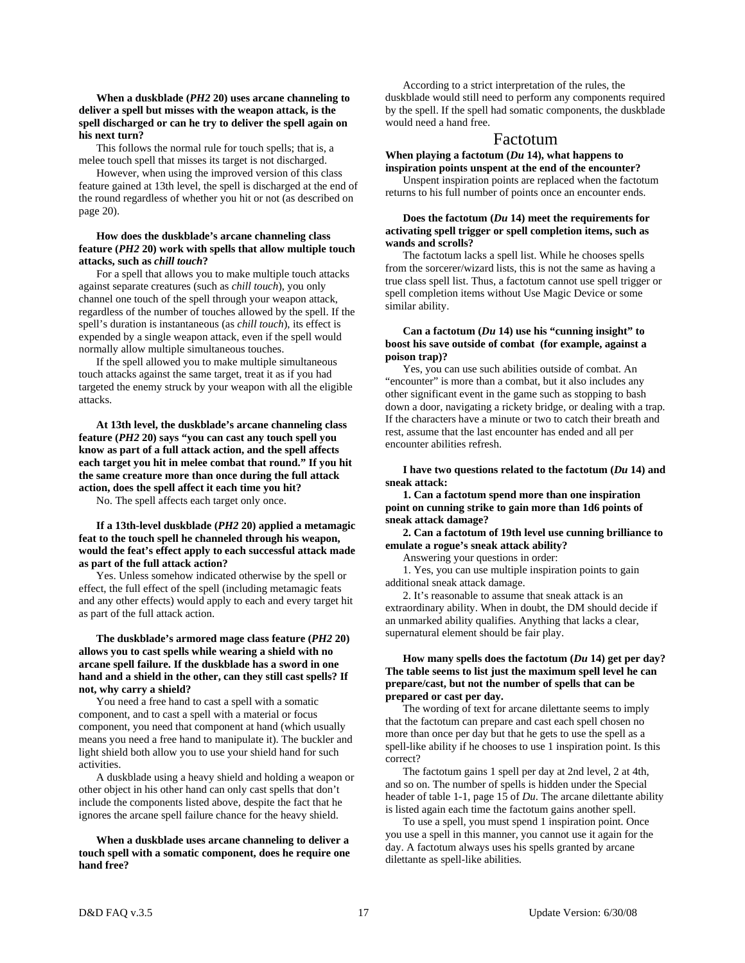#### **When a duskblade (***PH2* **20) uses arcane channeling to deliver a spell but misses with the weapon attack, is the spell discharged or can he try to deliver the spell again on his next turn?**

 This follows the normal rule for touch spells; that is, a melee touch spell that misses its target is not discharged.

 However, when using the improved version of this class feature gained at 13th level, the spell is discharged at the end of the round regardless of whether you hit or not (as described on page 20).

#### **How does the duskblade's arcane channeling class feature (***PH2* **20) work with spells that allow multiple touch attacks, such as** *chill touch***?**

 For a spell that allows you to make multiple touch attacks against separate creatures (such as *chill touch*), you only channel one touch of the spell through your weapon attack, regardless of the number of touches allowed by the spell. If the spell's duration is instantaneous (as *chill touch*), its effect is expended by a single weapon attack, even if the spell would normally allow multiple simultaneous touches.

 If the spell allowed you to make multiple simultaneous touch attacks against the same target, treat it as if you had targeted the enemy struck by your weapon with all the eligible attacks.

 **At 13th level, the duskblade's arcane channeling class feature (***PH2* **20) says "you can cast any touch spell you know as part of a full attack action, and the spell affects each target you hit in melee combat that round." If you hit the same creature more than once during the full attack action, does the spell affect it each time you hit?** 

No. The spell affects each target only once.

**If a 13th-level duskblade (***PH2* **20) applied a metamagic feat to the touch spell he channeled through his weapon, would the feat's effect apply to each successful attack made as part of the full attack action?** 

 Yes. Unless somehow indicated otherwise by the spell or effect, the full effect of the spell (including metamagic feats and any other effects) would apply to each and every target hit as part of the full attack action.

#### **The duskblade's armored mage class feature (***PH2* **20) allows you to cast spells while wearing a shield with no arcane spell failure. If the duskblade has a sword in one hand and a shield in the other, can they still cast spells? If not, why carry a shield?**

 You need a free hand to cast a spell with a somatic component, and to cast a spell with a material or focus component, you need that component at hand (which usually means you need a free hand to manipulate it). The buckler and light shield both allow you to use your shield hand for such activities.

 A duskblade using a heavy shield and holding a weapon or other object in his other hand can only cast spells that don't include the components listed above, despite the fact that he ignores the arcane spell failure chance for the heavy shield.

#### **When a duskblade uses arcane channeling to deliver a touch spell with a somatic component, does he require one hand free?**

 According to a strict interpretation of the rules, the duskblade would still need to perform any components required by the spell. If the spell had somatic components, the duskblade would need a hand free.

#### Factotum

**When playing a factotum (***Du* **14), what happens to inspiration points unspent at the end of the encounter?** 

 Unspent inspiration points are replaced when the factotum returns to his full number of points once an encounter ends.

#### **Does the factotum (***Du* **14) meet the requirements for activating spell trigger or spell completion items, such as wands and scrolls?**

The factotum lacks a spell list. While he chooses spells from the sorcerer/wizard lists, this is not the same as having a true class spell list. Thus, a factotum cannot use spell trigger or spell completion items without Use Magic Device or some similar ability.

#### **Can a factotum (***Du* **14) use his "cunning insight" to boost his save outside of combat (for example, against a poison trap)?**

 Yes, you can use such abilities outside of combat. An "encounter" is more than a combat, but it also includes any other significant event in the game such as stopping to bash down a door, navigating a rickety bridge, or dealing with a trap. If the characters have a minute or two to catch their breath and rest, assume that the last encounter has ended and all per encounter abilities refresh.

 **I have two questions related to the factotum (***Du* **14) and sneak attack:** 

 **1. Can a factotum spend more than one inspiration point on cunning strike to gain more than 1d6 points of sneak attack damage?** 

 **2. Can a factotum of 19th level use cunning brilliance to emulate a rogue's sneak attack ability?** 

Answering your questions in order:

 1. Yes, you can use multiple inspiration points to gain additional sneak attack damage.

 2. It's reasonable to assume that sneak attack is an extraordinary ability. When in doubt, the DM should decide if an unmarked ability qualifies. Anything that lacks a clear, supernatural element should be fair play.

#### **How many spells does the factotum (***Du* **14) get per day? The table seems to list just the maximum spell level he can prepare/cast, but not the number of spells that can be prepared or cast per day.**

 The wording of text for arcane dilettante seems to imply that the factotum can prepare and cast each spell chosen no more than once per day but that he gets to use the spell as a spell-like ability if he chooses to use 1 inspiration point. Is this correct?

 The factotum gains 1 spell per day at 2nd level, 2 at 4th, and so on. The number of spells is hidden under the Special header of table 1-1, page 15 of *Du*. The arcane dilettante ability is listed again each time the factotum gains another spell.

 To use a spell, you must spend 1 inspiration point. Once you use a spell in this manner, you cannot use it again for the day. A factotum always uses his spells granted by arcane dilettante as spell-like abilities.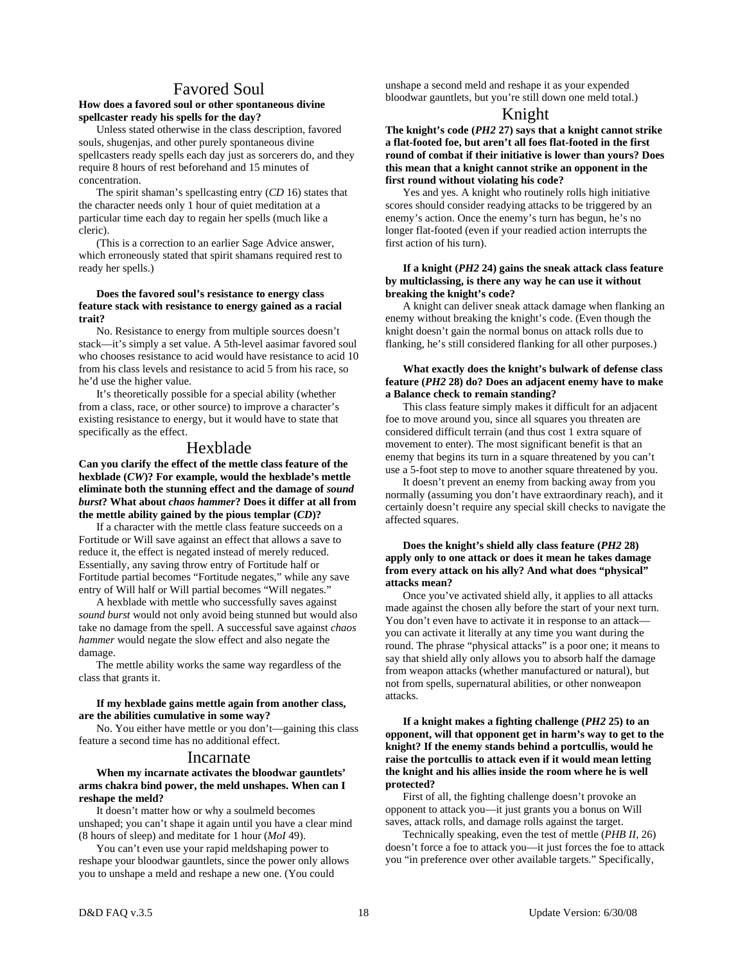## Favored Soul

#### **How does a favored soul or other spontaneous divine spellcaster ready his spells for the day?**

 Unless stated otherwise in the class description, favored souls, shugenjas, and other purely spontaneous divine spellcasters ready spells each day just as sorcerers do, and they require 8 hours of rest beforehand and 15 minutes of concentration.

 The spirit shaman's spellcasting entry (*CD* 16) states that the character needs only 1 hour of quiet meditation at a particular time each day to regain her spells (much like a cleric).

 (This is a correction to an earlier Sage Advice answer, which erroneously stated that spirit shamans required rest to ready her spells.)

#### **Does the favored soul's resistance to energy class feature stack with resistance to energy gained as a racial trait?**

 No. Resistance to energy from multiple sources doesn't stack—it's simply a set value. A 5th-level aasimar favored soul who chooses resistance to acid would have resistance to acid 10 from his class levels and resistance to acid 5 from his race, so he'd use the higher value.

 It's theoretically possible for a special ability (whether from a class, race, or other source) to improve a character's existing resistance to energy, but it would have to state that specifically as the effect.

## Hexblade

**Can you clarify the effect of the mettle class feature of the hexblade (***CW***)? For example, would the hexblade's mettle eliminate both the stunning effect and the damage of** *sound burst***? What about** *chaos hammer***? Does it differ at all from the mettle ability gained by the pious templar (***CD***)?** 

 If a character with the mettle class feature succeeds on a Fortitude or Will save against an effect that allows a save to reduce it, the effect is negated instead of merely reduced. Essentially, any saving throw entry of Fortitude half or Fortitude partial becomes "Fortitude negates," while any save entry of Will half or Will partial becomes "Will negates."

 A hexblade with mettle who successfully saves against *sound burst* would not only avoid being stunned but would also take no damage from the spell. A successful save against *chaos hammer* would negate the slow effect and also negate the damage.

 The mettle ability works the same way regardless of the class that grants it.

#### **If my hexblade gains mettle again from another class, are the abilities cumulative in some way?**

 No. You either have mettle or you don't—gaining this class feature a second time has no additional effect.

#### Incarnate

#### **When my incarnate activates the bloodwar gauntlets' arms chakra bind power, the meld unshapes. When can I reshape the meld?**

 It doesn't matter how or why a soulmeld becomes unshaped; you can't shape it again until you have a clear mind (8 hours of sleep) and meditate for 1 hour (*MoI* 49).

 You can't even use your rapid meldshaping power to reshape your bloodwar gauntlets, since the power only allows you to unshape a meld and reshape a new one. (You could

unshape a second meld and reshape it as your expended bloodwar gauntlets, but you're still down one meld total.)

## Knight

**The knight's code (***PH2* **27) says that a knight cannot strike a flat-footed foe, but aren't all foes flat-footed in the first round of combat if their initiative is lower than yours? Does this mean that a knight cannot strike an opponent in the first round without violating his code?** 

Yes and yes. A knight who routinely rolls high initiative scores should consider readying attacks to be triggered by an enemy's action. Once the enemy's turn has begun, he's no longer flat-footed (even if your readied action interrupts the first action of his turn).

#### **If a knight (***PH2* **24) gains the sneak attack class feature by multiclassing, is there any way he can use it without breaking the knight's code?**

 A knight can deliver sneak attack damage when flanking an enemy without breaking the knight's code. (Even though the knight doesn't gain the normal bonus on attack rolls due to flanking, he's still considered flanking for all other purposes.)

#### **What exactly does the knight's bulwark of defense class feature (***PH2* **28) do? Does an adjacent enemy have to make a Balance check to remain standing?**

 This class feature simply makes it difficult for an adjacent foe to move around you, since all squares you threaten are considered difficult terrain (and thus cost 1 extra square of movement to enter). The most significant benefit is that an enemy that begins its turn in a square threatened by you can't use a 5-foot step to move to another square threatened by you.

 It doesn't prevent an enemy from backing away from you normally (assuming you don't have extraordinary reach), and it certainly doesn't require any special skill checks to navigate the affected squares.

#### **Does the knight's shield ally class feature (***PH2* **28) apply only to one attack or does it mean he takes damage from every attack on his ally? And what does "physical" attacks mean?**

 Once you've activated shield ally, it applies to all attacks made against the chosen ally before the start of your next turn. You don't even have to activate it in response to an attack you can activate it literally at any time you want during the round. The phrase "physical attacks" is a poor one; it means to say that shield ally only allows you to absorb half the damage from weapon attacks (whether manufactured or natural), but not from spells, supernatural abilities, or other nonweapon attacks.

 **If a knight makes a fighting challenge (***PH2* **25) to an opponent, will that opponent get in harm's way to get to the knight? If the enemy stands behind a portcullis, would he raise the portcullis to attack even if it would mean letting the knight and his allies inside the room where he is well protected?** 

 First of all, the fighting challenge doesn't provoke an opponent to attack you—it just grants you a bonus on Will saves, attack rolls, and damage rolls against the target.

 Technically speaking, even the test of mettle (*PHB II*, 26) doesn't force a foe to attack you—it just forces the foe to attack you "in preference over other available targets." Specifically,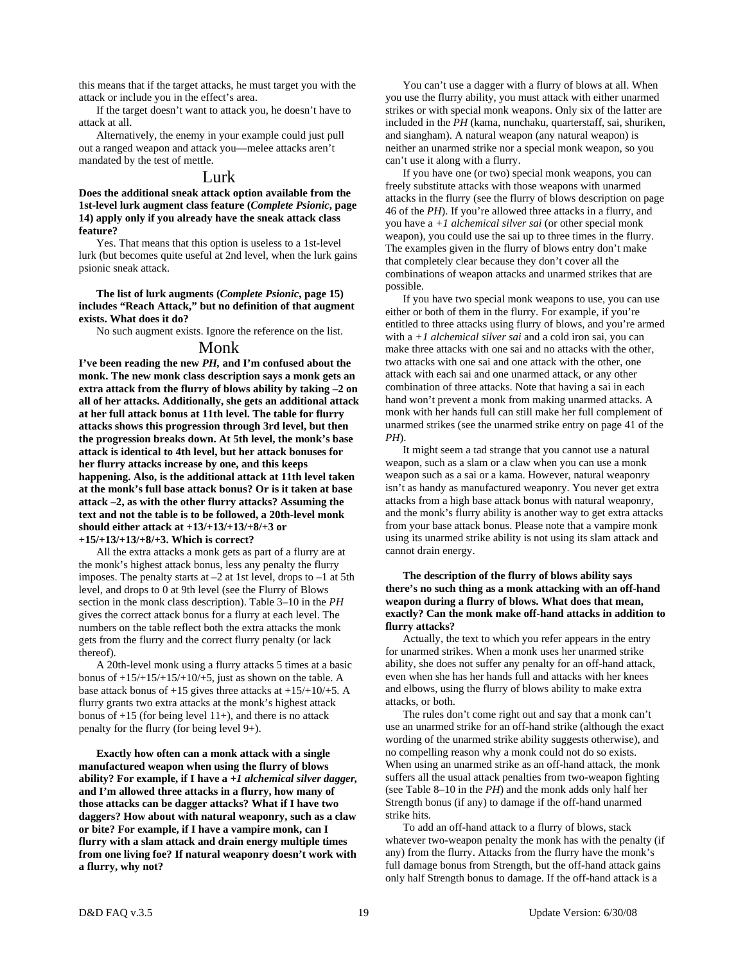this means that if the target attacks, he must target you with the attack or include you in the effect's area.

 If the target doesn't want to attack you, he doesn't have to attack at all.

 Alternatively, the enemy in your example could just pull out a ranged weapon and attack you—melee attacks aren't mandated by the test of mettle.

#### Lurk

**Does the additional sneak attack option available from the 1st-level lurk augment class feature (***Complete Psionic***, page 14) apply only if you already have the sneak attack class feature?** 

 Yes. That means that this option is useless to a 1st-level lurk (but becomes quite useful at 2nd level, when the lurk gains psionic sneak attack.

 **The list of lurk augments (***Complete Psionic***, page 15) includes "Reach Attack," but no definition of that augment exists. What does it do?** 

No such augment exists. Ignore the reference on the list.

### Monk

**I've been reading the new** *PH,* **and I'm confused about the monk. The new monk class description says a monk gets an extra attack from the flurry of blows ability by taking –2 on all of her attacks. Additionally, she gets an additional attack at her full attack bonus at 11th level. The table for flurry attacks shows this progression through 3rd level, but then the progression breaks down. At 5th level, the monk's base attack is identical to 4th level, but her attack bonuses for her flurry attacks increase by one, and this keeps happening. Also, is the additional attack at 11th level taken at the monk's full base attack bonus? Or is it taken at base attack –2, as with the other flurry attacks? Assuming the text and not the table is to be followed, a 20th-level monk should either attack at +13/+13/+13/+8/+3 or +15/+13/+13/+8/+3. Which is correct?** 

 All the extra attacks a monk gets as part of a flurry are at the monk's highest attack bonus, less any penalty the flurry imposes. The penalty starts at  $-2$  at 1st level, drops to  $-1$  at 5th level, and drops to 0 at 9th level (see the Flurry of Blows section in the monk class description). Table 3–10 in the *PH* gives the correct attack bonus for a flurry at each level. The numbers on the table reflect both the extra attacks the monk gets from the flurry and the correct flurry penalty (or lack thereof).

 A 20th-level monk using a flurry attacks 5 times at a basic bonus of  $+15/+15/+15/+10/+5$ , just as shown on the table. A base attack bonus of  $+15$  gives three attacks at  $+15/+10/+5$ . A flurry grants two extra attacks at the monk's highest attack bonus of  $+15$  (for being level  $11+$ ), and there is no attack penalty for the flurry (for being level 9+).

 **Exactly how often can a monk attack with a single manufactured weapon when using the flurry of blows ability? For example, if I have a** *+1 alchemical silver dagger,* **and I'm allowed three attacks in a flurry, how many of those attacks can be dagger attacks? What if I have two daggers? How about with natural weaponry, such as a claw or bite? For example, if I have a vampire monk, can I flurry with a slam attack and drain energy multiple times from one living foe? If natural weaponry doesn't work with a flurry, why not?** 

 You can't use a dagger with a flurry of blows at all. When you use the flurry ability, you must attack with either unarmed strikes or with special monk weapons. Only six of the latter are included in the *PH* (kama, nunchaku, quarterstaff, sai, shuriken, and siangham). A natural weapon (any natural weapon) is neither an unarmed strike nor a special monk weapon, so you can't use it along with a flurry.

 If you have one (or two) special monk weapons, you can freely substitute attacks with those weapons with unarmed attacks in the flurry (see the flurry of blows description on page 46 of the *PH*). If you're allowed three attacks in a flurry, and you have a *+1 alchemical silver sai* (or other special monk weapon), you could use the sai up to three times in the flurry. The examples given in the flurry of blows entry don't make that completely clear because they don't cover all the combinations of weapon attacks and unarmed strikes that are possible.

 If you have two special monk weapons to use, you can use either or both of them in the flurry. For example, if you're entitled to three attacks using flurry of blows, and you're armed with a *+1 alchemical silver sai* and a cold iron sai, you can make three attacks with one sai and no attacks with the other, two attacks with one sai and one attack with the other, one attack with each sai and one unarmed attack, or any other combination of three attacks. Note that having a sai in each hand won't prevent a monk from making unarmed attacks. A monk with her hands full can still make her full complement of unarmed strikes (see the unarmed strike entry on page 41 of the *PH*).

 It might seem a tad strange that you cannot use a natural weapon, such as a slam or a claw when you can use a monk weapon such as a sai or a kama. However, natural weaponry isn't as handy as manufactured weaponry. You never get extra attacks from a high base attack bonus with natural weaponry, and the monk's flurry ability is another way to get extra attacks from your base attack bonus. Please note that a vampire monk using its unarmed strike ability is not using its slam attack and cannot drain energy.

#### **The description of the flurry of blows ability says there's no such thing as a monk attacking with an off-hand weapon during a flurry of blows. What does that mean, exactly? Can the monk make off-hand attacks in addition to flurry attacks?**

 Actually, the text to which you refer appears in the entry for unarmed strikes. When a monk uses her unarmed strike ability, she does not suffer any penalty for an off-hand attack, even when she has her hands full and attacks with her knees and elbows, using the flurry of blows ability to make extra attacks, or both.

 The rules don't come right out and say that a monk can't use an unarmed strike for an off-hand strike (although the exact wording of the unarmed strike ability suggests otherwise), and no compelling reason why a monk could not do so exists. When using an unarmed strike as an off-hand attack, the monk suffers all the usual attack penalties from two-weapon fighting (see Table 8–10 in the *PH*) and the monk adds only half her Strength bonus (if any) to damage if the off-hand unarmed strike hits.

 To add an off-hand attack to a flurry of blows, stack whatever two-weapon penalty the monk has with the penalty (if any) from the flurry. Attacks from the flurry have the monk's full damage bonus from Strength, but the off-hand attack gains only half Strength bonus to damage. If the off-hand attack is a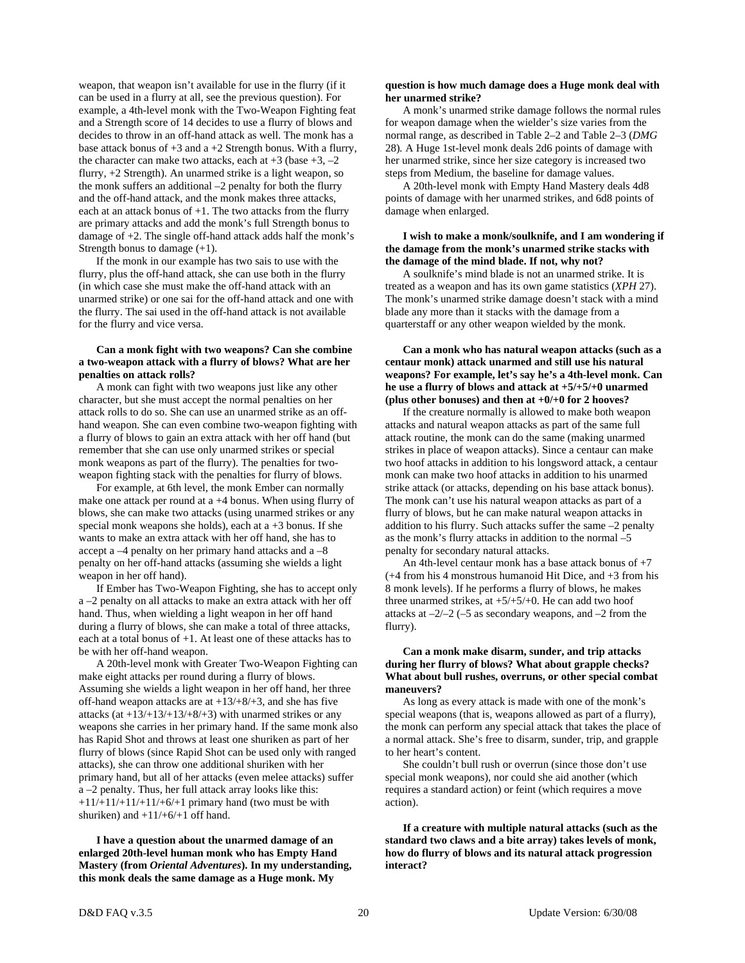weapon, that weapon isn't available for use in the flurry (if it can be used in a flurry at all, see the previous question). For example, a 4th-level monk with the Two-Weapon Fighting feat and a Strength score of 14 decides to use a flurry of blows and decides to throw in an off-hand attack as well. The monk has a base attack bonus of  $+3$  and a  $+2$  Strength bonus. With a flurry, the character can make two attacks, each at  $+3$  (base  $+3$ ,  $-2$ ) flurry, +2 Strength). An unarmed strike is a light weapon, so the monk suffers an additional –2 penalty for both the flurry and the off-hand attack, and the monk makes three attacks, each at an attack bonus of  $+1$ . The two attacks from the flurry are primary attacks and add the monk's full Strength bonus to damage of +2. The single off-hand attack adds half the monk's Strength bonus to damage (+1).

 If the monk in our example has two sais to use with the flurry, plus the off-hand attack, she can use both in the flurry (in which case she must make the off-hand attack with an unarmed strike) or one sai for the off-hand attack and one with the flurry. The sai used in the off-hand attack is not available for the flurry and vice versa.

#### **Can a monk fight with two weapons? Can she combine a two-weapon attack with a flurry of blows? What are her penalties on attack rolls?**

 A monk can fight with two weapons just like any other character, but she must accept the normal penalties on her attack rolls to do so. She can use an unarmed strike as an offhand weapon. She can even combine two-weapon fighting with a flurry of blows to gain an extra attack with her off hand (but remember that she can use only unarmed strikes or special monk weapons as part of the flurry). The penalties for twoweapon fighting stack with the penalties for flurry of blows.

 For example, at 6th level, the monk Ember can normally make one attack per round at a +4 bonus. When using flurry of blows, she can make two attacks (using unarmed strikes or any special monk weapons she holds), each at  $a + 3$  bonus. If she wants to make an extra attack with her off hand, she has to accept a –4 penalty on her primary hand attacks and a –8 penalty on her off-hand attacks (assuming she wields a light weapon in her off hand).

 If Ember has Two-Weapon Fighting, she has to accept only a –2 penalty on all attacks to make an extra attack with her off hand. Thus, when wielding a light weapon in her off hand during a flurry of blows, she can make a total of three attacks, each at a total bonus of  $+1$ . At least one of these attacks has to be with her off-hand weapon.

 A 20th-level monk with Greater Two-Weapon Fighting can make eight attacks per round during a flurry of blows. Assuming she wields a light weapon in her off hand, her three off-hand weapon attacks are at  $+13/+8/+3$ , and she has five attacks (at  $+13/+13/+13/+8/+3$ ) with unarmed strikes or any weapons she carries in her primary hand. If the same monk also has Rapid Shot and throws at least one shuriken as part of her flurry of blows (since Rapid Shot can be used only with ranged attacks), she can throw one additional shuriken with her primary hand, but all of her attacks (even melee attacks) suffer a –2 penalty. Thus, her full attack array looks like this:  $+11/+11/+11/+11/+6/+1$  primary hand (two must be with shuriken) and  $+11/+6/+1$  off hand.

 **I have a question about the unarmed damage of an enlarged 20th-level human monk who has Empty Hand Mastery (from** *Oriental Adventures***). In my understanding, this monk deals the same damage as a Huge monk. My** 

#### **question is how much damage does a Huge monk deal with her unarmed strike?**

 A monk's unarmed strike damage follows the normal rules for weapon damage when the wielder's size varies from the normal range, as described in Table 2–2 and Table 2–3 (*DMG* 28)*.* A Huge 1st-level monk deals 2d6 points of damage with her unarmed strike, since her size category is increased two steps from Medium, the baseline for damage values.

 A 20th-level monk with Empty Hand Mastery deals 4d8 points of damage with her unarmed strikes, and 6d8 points of damage when enlarged.

#### **I wish to make a monk/soulknife, and I am wondering if the damage from the monk's unarmed strike stacks with the damage of the mind blade. If not, why not?**

 A soulknife's mind blade is not an unarmed strike. It is treated as a weapon and has its own game statistics (*XPH* 27). The monk's unarmed strike damage doesn't stack with a mind blade any more than it stacks with the damage from a quarterstaff or any other weapon wielded by the monk.

#### **Can a monk who has natural weapon attacks (such as a centaur monk) attack unarmed and still use his natural weapons? For example, let's say he's a 4th-level monk. Can he use a flurry of blows and attack at +5/+5/+0 unarmed (plus other bonuses) and then at +0/+0 for 2 hooves?**

 If the creature normally is allowed to make both weapon attacks and natural weapon attacks as part of the same full attack routine, the monk can do the same (making unarmed strikes in place of weapon attacks). Since a centaur can make two hoof attacks in addition to his longsword attack, a centaur monk can make two hoof attacks in addition to his unarmed strike attack (or attacks, depending on his base attack bonus). The monk can't use his natural weapon attacks as part of a flurry of blows, but he can make natural weapon attacks in addition to his flurry. Such attacks suffer the same –2 penalty as the monk's flurry attacks in addition to the normal –5 penalty for secondary natural attacks.

 An 4th-level centaur monk has a base attack bonus of +7 (+4 from his 4 monstrous humanoid Hit Dice, and +3 from his 8 monk levels). If he performs a flurry of blows, he makes three unarmed strikes, at  $+5/+5/+0$ . He can add two hoof attacks at  $-2/-2$  (-5 as secondary weapons, and  $-2$  from the flurry).

#### **Can a monk make disarm, sunder, and trip attacks during her flurry of blows? What about grapple checks? What about bull rushes, overruns, or other special combat maneuvers?**

 As long as every attack is made with one of the monk's special weapons (that is, weapons allowed as part of a flurry), the monk can perform any special attack that takes the place of a normal attack. She's free to disarm, sunder, trip, and grapple to her heart's content.

 She couldn't bull rush or overrun (since those don't use special monk weapons), nor could she aid another (which requires a standard action) or feint (which requires a move action).

 **If a creature with multiple natural attacks (such as the standard two claws and a bite array) takes levels of monk, how do flurry of blows and its natural attack progression interact?**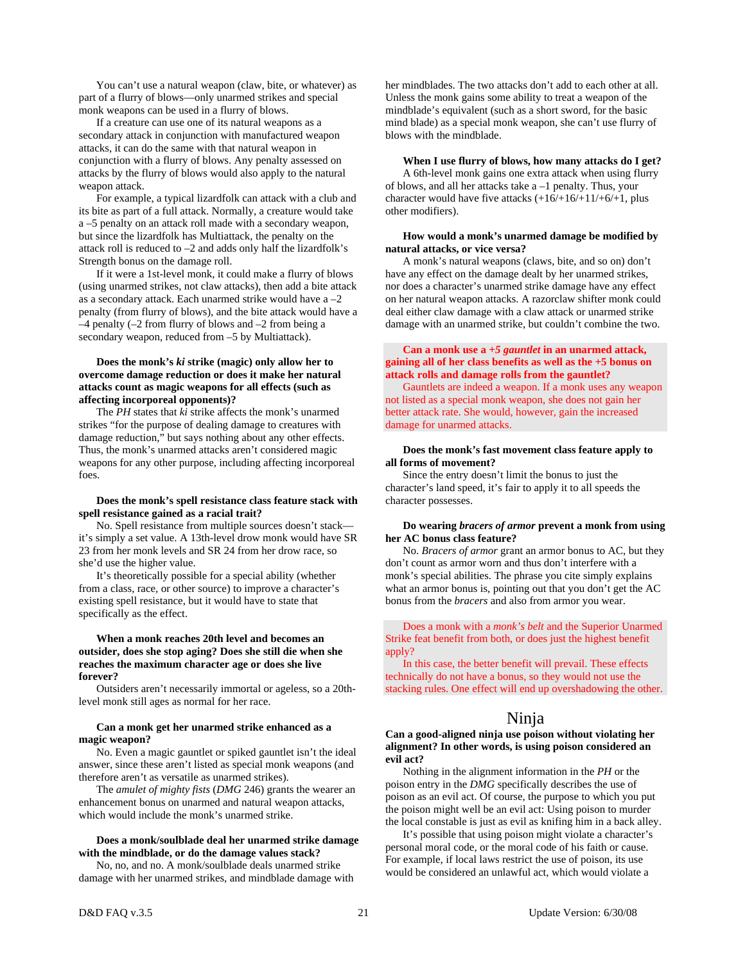You can't use a natural weapon (claw, bite, or whatever) as part of a flurry of blows—only unarmed strikes and special monk weapons can be used in a flurry of blows.

 If a creature can use one of its natural weapons as a secondary attack in conjunction with manufactured weapon attacks, it can do the same with that natural weapon in conjunction with a flurry of blows. Any penalty assessed on attacks by the flurry of blows would also apply to the natural weapon attack.

 For example, a typical lizardfolk can attack with a club and its bite as part of a full attack. Normally, a creature would take a –5 penalty on an attack roll made with a secondary weapon, but since the lizardfolk has Multiattack, the penalty on the attack roll is reduced to –2 and adds only half the lizardfolk's Strength bonus on the damage roll.

 If it were a 1st-level monk, it could make a flurry of blows (using unarmed strikes, not claw attacks), then add a bite attack as a secondary attack. Each unarmed strike would have  $a - 2$ penalty (from flurry of blows), and the bite attack would have a  $-4$  penalty ( $-2$  from flurry of blows and  $-2$  from being a secondary weapon, reduced from –5 by Multiattack).

#### **Does the monk's** *ki* **strike (magic) only allow her to overcome damage reduction or does it make her natural attacks count as magic weapons for all effects (such as affecting incorporeal opponents)?**

 The *PH* states that *ki* strike affects the monk's unarmed strikes "for the purpose of dealing damage to creatures with damage reduction," but says nothing about any other effects. Thus, the monk's unarmed attacks aren't considered magic weapons for any other purpose, including affecting incorporeal foes.

#### **Does the monk's spell resistance class feature stack with spell resistance gained as a racial trait?**

 No. Spell resistance from multiple sources doesn't stack it's simply a set value. A 13th-level drow monk would have SR 23 from her monk levels and SR 24 from her drow race, so she'd use the higher value.

 It's theoretically possible for a special ability (whether from a class, race, or other source) to improve a character's existing spell resistance, but it would have to state that specifically as the effect.

#### **When a monk reaches 20th level and becomes an outsider, does she stop aging? Does she still die when she reaches the maximum character age or does she live forever?**

 Outsiders aren't necessarily immortal or ageless, so a 20thlevel monk still ages as normal for her race.

#### **Can a monk get her unarmed strike enhanced as a magic weapon?**

 No. Even a magic gauntlet or spiked gauntlet isn't the ideal answer, since these aren't listed as special monk weapons (and therefore aren't as versatile as unarmed strikes).

 The *amulet of mighty fists* (*DMG* 246) grants the wearer an enhancement bonus on unarmed and natural weapon attacks, which would include the monk's unarmed strike.

#### **Does a monk/soulblade deal her unarmed strike damage with the mindblade, or do the damage values stack?**

 No, no, and no. A monk/soulblade deals unarmed strike damage with her unarmed strikes, and mindblade damage with her mindblades. The two attacks don't add to each other at all. Unless the monk gains some ability to treat a weapon of the mindblade's equivalent (such as a short sword, for the basic mind blade) as a special monk weapon, she can't use flurry of blows with the mindblade.

#### **When I use flurry of blows, how many attacks do I get?**

 A 6th-level monk gains one extra attack when using flurry of blows, and all her attacks take a –1 penalty. Thus, your character would have five attacks  $(+16/+16/+11/+6/+1,$  plus other modifiers).

#### **How would a monk's unarmed damage be modified by natural attacks, or vice versa?**

 A monk's natural weapons (claws, bite, and so on) don't have any effect on the damage dealt by her unarmed strikes, nor does a character's unarmed strike damage have any effect on her natural weapon attacks. A razorclaw shifter monk could deal either claw damage with a claw attack or unarmed strike damage with an unarmed strike, but couldn't combine the two.

#### **Can a monk use a** *+5 gauntlet* **in an unarmed attack, gaining all of her class benefits as well as the +5 bonus on attack rolls and damage rolls from the gauntlet?**

 Gauntlets are indeed a weapon. If a monk uses any weapon not listed as a special monk weapon, she does not gain her better attack rate. She would, however, gain the increased damage for unarmed attacks.

#### **Does the monk's fast movement class feature apply to all forms of movement?**

 Since the entry doesn't limit the bonus to just the character's land speed, it's fair to apply it to all speeds the character possesses.

#### **Do wearing** *bracers of armor* **prevent a monk from using her AC bonus class feature?**

 No. *Bracers of armor* grant an armor bonus to AC, but they don't count as armor worn and thus don't interfere with a monk's special abilities. The phrase you cite simply explains what an armor bonus is, pointing out that you don't get the AC bonus from the *bracers* and also from armor you wear.

 Does a monk with a *monk's belt* and the Superior Unarmed Strike feat benefit from both, or does just the highest benefit apply?

 In this case, the better benefit will prevail. These effects technically do not have a bonus, so they would not use the stacking rules. One effect will end up overshadowing the other.

## Ninja

**Can a good-aligned ninja use poison without violating her alignment? In other words, is using poison considered an evil act?** 

 Nothing in the alignment information in the *PH* or the poison entry in the *DMG* specifically describes the use of poison as an evil act. Of course, the purpose to which you put the poison might well be an evil act: Using poison to murder the local constable is just as evil as knifing him in a back alley.

 It's possible that using poison might violate a character's personal moral code, or the moral code of his faith or cause. For example, if local laws restrict the use of poison, its use would be considered an unlawful act, which would violate a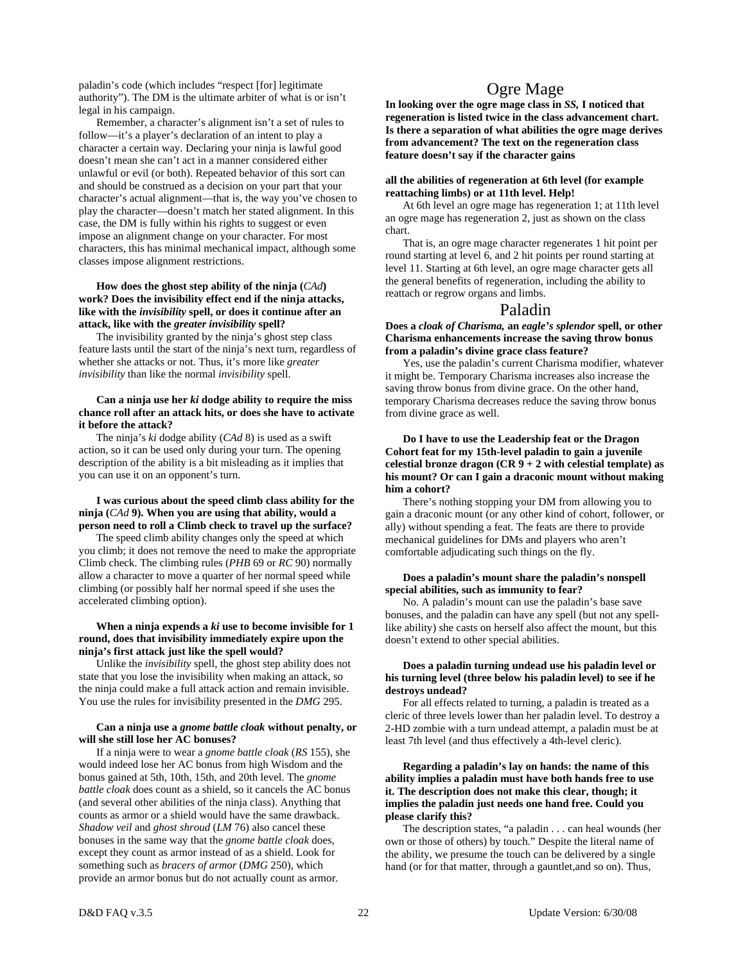paladin's code (which includes "respect [for] legitimate authority"). The DM is the ultimate arbiter of what is or isn't legal in his campaign.

 Remember, a character's alignment isn't a set of rules to follow—it's a player's declaration of an intent to play a character a certain way. Declaring your ninja is lawful good doesn't mean she can't act in a manner considered either unlawful or evil (or both). Repeated behavior of this sort can and should be construed as a decision on your part that your character's actual alignment—that is, the way you've chosen to play the character—doesn't match her stated alignment. In this case, the DM is fully within his rights to suggest or even impose an alignment change on your character. For most characters, this has minimal mechanical impact, although some classes impose alignment restrictions.

#### **How does the ghost step ability of the ninja (***CAd***) work? Does the invisibility effect end if the ninja attacks, like with the** *invisibility* **spell, or does it continue after an attack, like with the** *greater invisibility* **spell?**

 The invisibility granted by the ninja's ghost step class feature lasts until the start of the ninja's next turn, regardless of whether she attacks or not. Thus, it's more like *greater invisibility* than like the normal *invisibility* spell.

#### **Can a ninja use her** *ki* **dodge ability to require the miss chance roll after an attack hits, or does she have to activate it before the attack?**

The ninja's *ki* dodge ability (*CAd* 8) is used as a swift action, so it can be used only during your turn. The opening description of the ability is a bit misleading as it implies that you can use it on an opponent's turn.

#### **I was curious about the speed climb class ability for the ninja (***CAd* **9). When you are using that ability, would a person need to roll a Climb check to travel up the surface?**

The speed climb ability changes only the speed at which you climb; it does not remove the need to make the appropriate Climb check. The climbing rules (*PHB* 69 or *RC* 90) normally allow a character to move a quarter of her normal speed while climbing (or possibly half her normal speed if she uses the accelerated climbing option).

#### **When a ninja expends a** *ki* **use to become invisible for 1 round, does that invisibility immediately expire upon the ninja's first attack just like the spell would?**

Unlike the *invisibility* spell, the ghost step ability does not state that you lose the invisibility when making an attack, so the ninja could make a full attack action and remain invisible. You use the rules for invisibility presented in the *DMG* 295.

#### **Can a ninja use a** *gnome battle cloak* **without penalty, or will she still lose her AC bonuses?**

If a ninja were to wear a *gnome battle cloak* (*RS* 155), she would indeed lose her AC bonus from high Wisdom and the bonus gained at 5th, 10th, 15th, and 20th level. The *gnome battle cloak* does count as a shield, so it cancels the AC bonus (and several other abilities of the ninja class). Anything that counts as armor or a shield would have the same drawback. *Shadow veil* and *ghost shroud* (*LM* 76) also cancel these bonuses in the same way that the *gnome battle cloak* does, except they count as armor instead of as a shield. Look for something such as *bracers of armor* (*DMG* 250), which provide an armor bonus but do not actually count as armor.

## Ogre Mage

**In looking over the ogre mage class in** *SS,* **I noticed that regeneration is listed twice in the class advancement chart. Is there a separation of what abilities the ogre mage derives from advancement? The text on the regeneration class feature doesn't say if the character gains** 

#### **all the abilities of regeneration at 6th level (for example reattaching limbs) or at 11th level. Help!**

 At 6th level an ogre mage has regeneration 1; at 11th level an ogre mage has regeneration 2, just as shown on the class chart.

 That is, an ogre mage character regenerates 1 hit point per round starting at level 6, and 2 hit points per round starting at level 11. Starting at 6th level, an ogre mage character gets all the general benefits of regeneration, including the ability to reattach or regrow organs and limbs.

## Paladin

**Does a** *cloak of Charisma,* **an** *eagle's splendor* **spell, or other Charisma enhancements increase the saving throw bonus from a paladin's divine grace class feature?** 

 Yes, use the paladin's current Charisma modifier, whatever it might be. Temporary Charisma increases also increase the saving throw bonus from divine grace. On the other hand, temporary Charisma decreases reduce the saving throw bonus from divine grace as well.

 **Do I have to use the Leadership feat or the Dragon Cohort feat for my 15th-level paladin to gain a juvenile celestial bronze dragon (CR 9 + 2 with celestial template) as his mount? Or can I gain a draconic mount without making him a cohort?** 

 There's nothing stopping your DM from allowing you to gain a draconic mount (or any other kind of cohort, follower, or ally) without spending a feat. The feats are there to provide mechanical guidelines for DMs and players who aren't comfortable adjudicating such things on the fly.

#### **Does a paladin's mount share the paladin's nonspell special abilities, such as immunity to fear?**

 No. A paladin's mount can use the paladin's base save bonuses, and the paladin can have any spell (but not any spelllike ability) she casts on herself also affect the mount, but this doesn't extend to other special abilities.

#### **Does a paladin turning undead use his paladin level or his turning level (three below his paladin level) to see if he destroys undead?**

 For all effects related to turning, a paladin is treated as a cleric of three levels lower than her paladin level. To destroy a 2-HD zombie with a turn undead attempt, a paladin must be at least 7th level (and thus effectively a 4th-level cleric).

#### **Regarding a paladin's lay on hands: the name of this ability implies a paladin must have both hands free to use it. The description does not make this clear, though; it implies the paladin just needs one hand free. Could you please clarify this?**

 The description states, "a paladin . . . can heal wounds (her own or those of others) by touch." Despite the literal name of the ability, we presume the touch can be delivered by a single hand (or for that matter, through a gauntlet, and so on). Thus,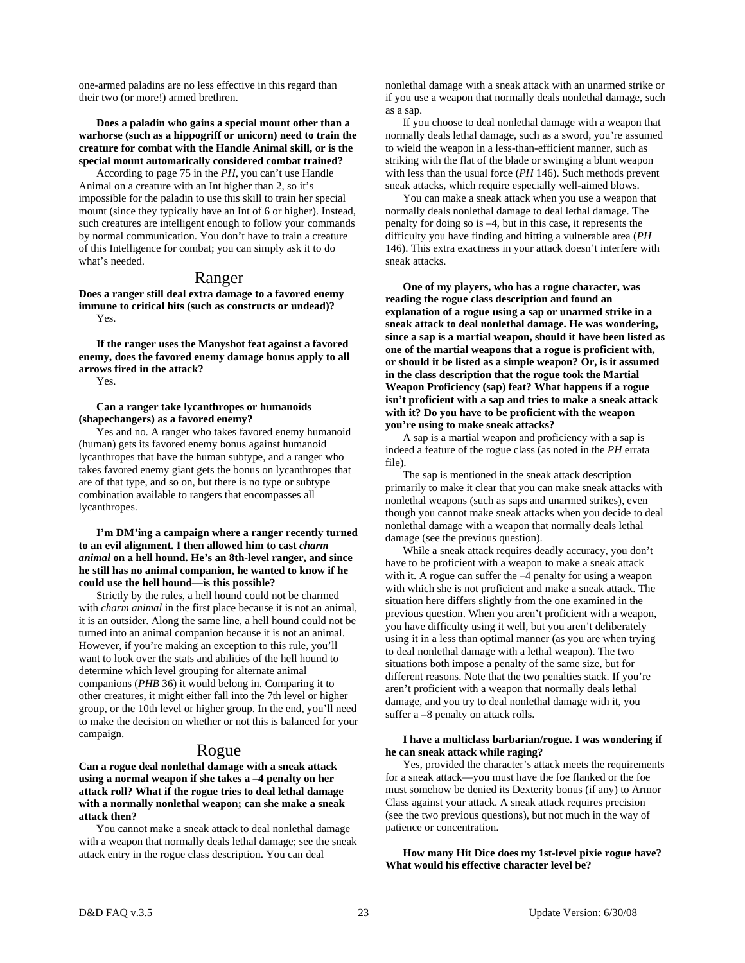one-armed paladins are no less effective in this regard than their two (or more!) armed brethren.

#### **Does a paladin who gains a special mount other than a warhorse (such as a hippogriff or unicorn) need to train the creature for combat with the Handle Animal skill, or is the special mount automatically considered combat trained?**

 According to page 75 in the *PH,* you can't use Handle Animal on a creature with an Int higher than 2, so it's impossible for the paladin to use this skill to train her special mount (since they typically have an Int of 6 or higher). Instead, such creatures are intelligent enough to follow your commands by normal communication. You don't have to train a creature of this Intelligence for combat; you can simply ask it to do what's needed.

#### Ranger

**Does a ranger still deal extra damage to a favored enemy immune to critical hits (such as constructs or undead)?**  Yes.

 **If the ranger uses the Manyshot feat against a favored enemy, does the favored enemy damage bonus apply to all arrows fired in the attack?** 

Yes.

#### **Can a ranger take lycanthropes or humanoids (shapechangers) as a favored enemy?**

 Yes and no. A ranger who takes favored enemy humanoid (human) gets its favored enemy bonus against humanoid lycanthropes that have the human subtype, and a ranger who takes favored enemy giant gets the bonus on lycanthropes that are of that type, and so on, but there is no type or subtype combination available to rangers that encompasses all lycanthropes.

#### **I'm DM'ing a campaign where a ranger recently turned to an evil alignment. I then allowed him to cast** *charm animal* **on a hell hound. He's an 8th-level ranger, and since he still has no animal companion, he wanted to know if he could use the hell hound—is this possible?**

Strictly by the rules, a hell hound could not be charmed with *charm animal* in the first place because it is not an animal, it is an outsider. Along the same line, a hell hound could not be turned into an animal companion because it is not an animal. However, if you're making an exception to this rule, you'll want to look over the stats and abilities of the hell hound to determine which level grouping for alternate animal companions (*PHB* 36) it would belong in. Comparing it to other creatures, it might either fall into the 7th level or higher group, or the 10th level or higher group. In the end, you'll need to make the decision on whether or not this is balanced for your campaign.

## Rogue

**Can a rogue deal nonlethal damage with a sneak attack using a normal weapon if she takes a –4 penalty on her attack roll? What if the rogue tries to deal lethal damage with a normally nonlethal weapon; can she make a sneak attack then?** 

 You cannot make a sneak attack to deal nonlethal damage with a weapon that normally deals lethal damage; see the sneak attack entry in the rogue class description. You can deal

nonlethal damage with a sneak attack with an unarmed strike or if you use a weapon that normally deals nonlethal damage, such as a sap.

 If you choose to deal nonlethal damage with a weapon that normally deals lethal damage, such as a sword, you're assumed to wield the weapon in a less-than-efficient manner, such as striking with the flat of the blade or swinging a blunt weapon with less than the usual force (*PH* 146). Such methods prevent sneak attacks, which require especially well-aimed blows.

 You can make a sneak attack when you use a weapon that normally deals nonlethal damage to deal lethal damage. The penalty for doing so is –4, but in this case, it represents the difficulty you have finding and hitting a vulnerable area (*PH*  146). This extra exactness in your attack doesn't interfere with sneak attacks.

 **One of my players, who has a rogue character, was reading the rogue class description and found an explanation of a rogue using a sap or unarmed strike in a sneak attack to deal nonlethal damage. He was wondering, since a sap is a martial weapon, should it have been listed as one of the martial weapons that a rogue is proficient with, or should it be listed as a simple weapon? Or, is it assumed in the class description that the rogue took the Martial Weapon Proficiency (sap) feat? What happens if a rogue isn't proficient with a sap and tries to make a sneak attack with it? Do you have to be proficient with the weapon you're using to make sneak attacks?** 

 A sap is a martial weapon and proficiency with a sap is indeed a feature of the rogue class (as noted in the *PH* errata file).

 The sap is mentioned in the sneak attack description primarily to make it clear that you can make sneak attacks with nonlethal weapons (such as saps and unarmed strikes), even though you cannot make sneak attacks when you decide to deal nonlethal damage with a weapon that normally deals lethal damage (see the previous question).

 While a sneak attack requires deadly accuracy, you don't have to be proficient with a weapon to make a sneak attack with it. A rogue can suffer the  $-4$  penalty for using a weapon with which she is not proficient and make a sneak attack. The situation here differs slightly from the one examined in the previous question. When you aren't proficient with a weapon, you have difficulty using it well, but you aren't deliberately using it in a less than optimal manner (as you are when trying to deal nonlethal damage with a lethal weapon). The two situations both impose a penalty of the same size, but for different reasons. Note that the two penalties stack. If you're aren't proficient with a weapon that normally deals lethal damage, and you try to deal nonlethal damage with it, you suffer a –8 penalty on attack rolls.

#### **I have a multiclass barbarian/rogue. I was wondering if he can sneak attack while raging?**

 Yes, provided the character's attack meets the requirements for a sneak attack—you must have the foe flanked or the foe must somehow be denied its Dexterity bonus (if any) to Armor Class against your attack. A sneak attack requires precision (see the two previous questions), but not much in the way of patience or concentration.

 **How many Hit Dice does my 1st-level pixie rogue have? What would his effective character level be?**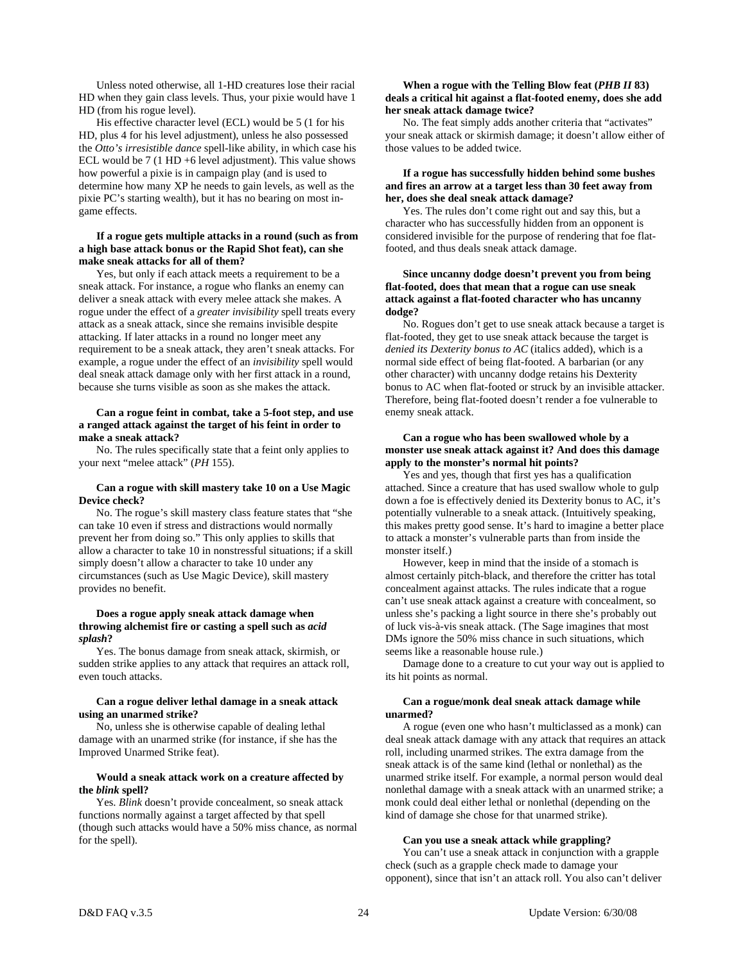Unless noted otherwise, all 1-HD creatures lose their racial HD when they gain class levels. Thus, your pixie would have 1 HD (from his rogue level).

 His effective character level (ECL) would be 5 (1 for his HD, plus 4 for his level adjustment), unless he also possessed the *Otto's irresistible dance* spell-like ability, in which case his ECL would be 7 (1 HD +6 level adjustment). This value shows how powerful a pixie is in campaign play (and is used to determine how many XP he needs to gain levels, as well as the pixie PC's starting wealth), but it has no bearing on most ingame effects.

#### **If a rogue gets multiple attacks in a round (such as from a high base attack bonus or the Rapid Shot feat), can she make sneak attacks for all of them?**

 Yes, but only if each attack meets a requirement to be a sneak attack. For instance, a rogue who flanks an enemy can deliver a sneak attack with every melee attack she makes. A rogue under the effect of a *greater invisibility* spell treats every attack as a sneak attack, since she remains invisible despite attacking. If later attacks in a round no longer meet any requirement to be a sneak attack, they aren't sneak attacks. For example, a rogue under the effect of an *invisibility* spell would deal sneak attack damage only with her first attack in a round, because she turns visible as soon as she makes the attack.

#### **Can a rogue feint in combat, take a 5-foot step, and use a ranged attack against the target of his feint in order to make a sneak attack?**

 No. The rules specifically state that a feint only applies to your next "melee attack" (*PH* 155).

#### **Can a rogue with skill mastery take 10 on a Use Magic Device check?**

 No. The rogue's skill mastery class feature states that "she can take 10 even if stress and distractions would normally prevent her from doing so." This only applies to skills that allow a character to take 10 in nonstressful situations; if a skill simply doesn't allow a character to take 10 under any circumstances (such as Use Magic Device), skill mastery provides no benefit.

#### **Does a rogue apply sneak attack damage when throwing alchemist fire or casting a spell such as** *acid splash***?**

 Yes. The bonus damage from sneak attack, skirmish, or sudden strike applies to any attack that requires an attack roll, even touch attacks.

#### **Can a rogue deliver lethal damage in a sneak attack using an unarmed strike?**

 No, unless she is otherwise capable of dealing lethal damage with an unarmed strike (for instance, if she has the Improved Unarmed Strike feat).

#### **Would a sneak attack work on a creature affected by the** *blink* **spell?**

 Yes. *Blink* doesn't provide concealment, so sneak attack functions normally against a target affected by that spell (though such attacks would have a 50% miss chance, as normal for the spell).

#### **When a rogue with the Telling Blow feat (***PHB II* **83) deals a critical hit against a flat-footed enemy, does she add her sneak attack damage twice?**

 No. The feat simply adds another criteria that "activates" your sneak attack or skirmish damage; it doesn't allow either of those values to be added twice.

#### **If a rogue has successfully hidden behind some bushes and fires an arrow at a target less than 30 feet away from her, does she deal sneak attack damage?**

 Yes. The rules don't come right out and say this, but a character who has successfully hidden from an opponent is considered invisible for the purpose of rendering that foe flatfooted, and thus deals sneak attack damage.

#### **Since uncanny dodge doesn't prevent you from being flat-footed, does that mean that a rogue can use sneak attack against a flat-footed character who has uncanny dodge?**

 No. Rogues don't get to use sneak attack because a target is flat-footed, they get to use sneak attack because the target is *denied its Dexterity bonus to AC* (italics added), which is a normal side effect of being flat-footed. A barbarian (or any other character) with uncanny dodge retains his Dexterity bonus to AC when flat-footed or struck by an invisible attacker. Therefore, being flat-footed doesn't render a foe vulnerable to enemy sneak attack.

#### **Can a rogue who has been swallowed whole by a monster use sneak attack against it? And does this damage apply to the monster's normal hit points?**

 Yes and yes, though that first yes has a qualification attached. Since a creature that has used swallow whole to gulp down a foe is effectively denied its Dexterity bonus to AC, it's potentially vulnerable to a sneak attack. (Intuitively speaking, this makes pretty good sense. It's hard to imagine a better place to attack a monster's vulnerable parts than from inside the monster itself.)

 However, keep in mind that the inside of a stomach is almost certainly pitch-black, and therefore the critter has total concealment against attacks. The rules indicate that a rogue can't use sneak attack against a creature with concealment, so unless she's packing a light source in there she's probably out of luck vis-à-vis sneak attack. (The Sage imagines that most DMs ignore the 50% miss chance in such situations, which seems like a reasonable house rule.)

 Damage done to a creature to cut your way out is applied to its hit points as normal.

#### **Can a rogue/monk deal sneak attack damage while unarmed?**

 A rogue (even one who hasn't multiclassed as a monk) can deal sneak attack damage with any attack that requires an attack roll, including unarmed strikes. The extra damage from the sneak attack is of the same kind (lethal or nonlethal) as the unarmed strike itself. For example, a normal person would deal nonlethal damage with a sneak attack with an unarmed strike; a monk could deal either lethal or nonlethal (depending on the kind of damage she chose for that unarmed strike).

#### **Can you use a sneak attack while grappling?**

 You can't use a sneak attack in conjunction with a grapple check (such as a grapple check made to damage your opponent), since that isn't an attack roll. You also can't deliver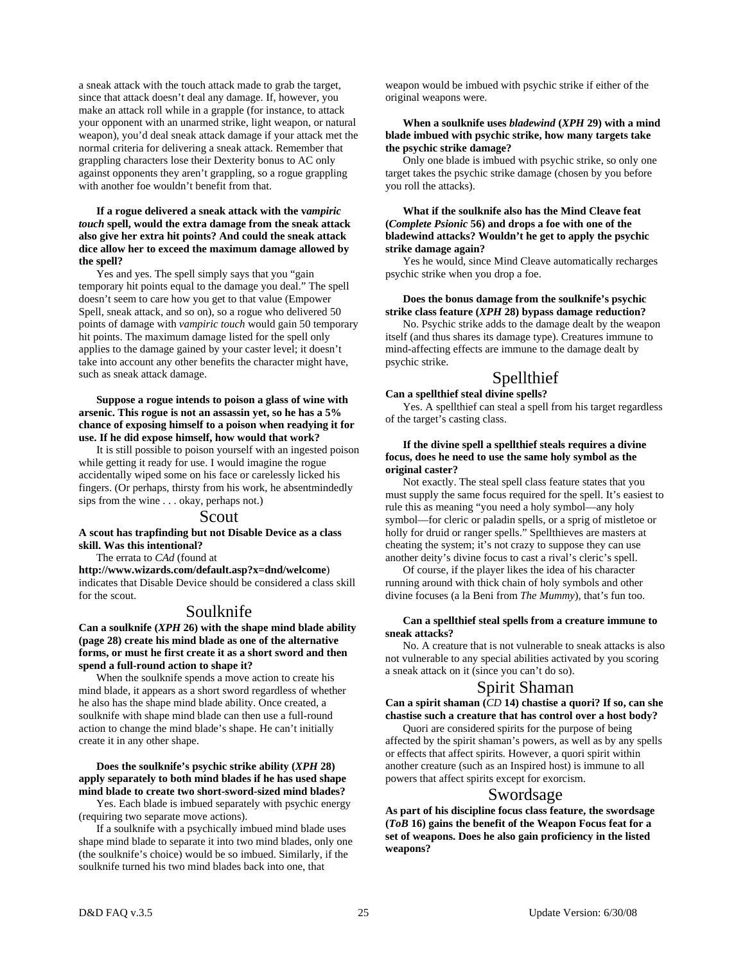a sneak attack with the touch attack made to grab the target, since that attack doesn't deal any damage. If, however, you make an attack roll while in a grapple (for instance, to attack your opponent with an unarmed strike, light weapon, or natural weapon), you'd deal sneak attack damage if your attack met the normal criteria for delivering a sneak attack. Remember that grappling characters lose their Dexterity bonus to AC only against opponents they aren't grappling, so a rogue grappling with another foe wouldn't benefit from that.

#### **If a rogue delivered a sneak attack with the v***ampiric touch* **spell, would the extra damage from the sneak attack also give her extra hit points? And could the sneak attack dice allow her to exceed the maximum damage allowed by the spell?**

 Yes and yes. The spell simply says that you "gain temporary hit points equal to the damage you deal." The spell doesn't seem to care how you get to that value (Empower Spell, sneak attack, and so on), so a rogue who delivered 50 points of damage with *vampiric touch* would gain 50 temporary hit points. The maximum damage listed for the spell only applies to the damage gained by your caster level; it doesn't take into account any other benefits the character might have, such as sneak attack damage.

#### **Suppose a rogue intends to poison a glass of wine with arsenic. This rogue is not an assassin yet, so he has a 5% chance of exposing himself to a poison when readying it for use. If he did expose himself, how would that work?**

 It is still possible to poison yourself with an ingested poison while getting it ready for use. I would imagine the rogue accidentally wiped some on his face or carelessly licked his fingers. (Or perhaps, thirsty from his work, he absentmindedly sips from the wine . . . okay, perhaps not.)

#### Scout

**A scout has trapfinding but not Disable Device as a class skill. Was this intentional?** 

The errata to *CAd* (found at

**http://www.wizards.com/default.asp?x=dnd/welcome**) indicates that Disable Device should be considered a class skill for the scout.

## Soulknife

**Can a soulknife (***XPH* **26) with the shape mind blade ability (page 28) create his mind blade as one of the alternative forms, or must he first create it as a short sword and then spend a full-round action to shape it?** 

 When the soulknife spends a move action to create his mind blade, it appears as a short sword regardless of whether he also has the shape mind blade ability. Once created, a soulknife with shape mind blade can then use a full-round action to change the mind blade's shape. He can't initially create it in any other shape.

 **Does the soulknife's psychic strike ability (***XPH* **28) apply separately to both mind blades if he has used shape mind blade to create two short-sword-sized mind blades?** 

 Yes. Each blade is imbued separately with psychic energy (requiring two separate move actions).

 If a soulknife with a psychically imbued mind blade uses shape mind blade to separate it into two mind blades, only one (the soulknife's choice) would be so imbued. Similarly, if the soulknife turned his two mind blades back into one, that

weapon would be imbued with psychic strike if either of the original weapons were.

#### **When a soulknife uses** *bladewind* **(***XPH* **29) with a mind blade imbued with psychic strike, how many targets take the psychic strike damage?**

 Only one blade is imbued with psychic strike, so only one target takes the psychic strike damage (chosen by you before you roll the attacks).

#### **What if the soulknife also has the Mind Cleave feat (***Complete Psionic* **56) and drops a foe with one of the bladewind attacks? Wouldn't he get to apply the psychic strike damage again?**

Yes he would, since Mind Cleave automatically recharges psychic strike when you drop a foe.

#### **Does the bonus damage from the soulknife's psychic strike class feature (***XPH* **28) bypass damage reduction?**

 No. Psychic strike adds to the damage dealt by the weapon itself (and thus shares its damage type). Creatures immune to mind-affecting effects are immune to the damage dealt by psychic strike.

## Spellthief

## **Can a spellthief steal divine spells?**

 Yes. A spellthief can steal a spell from his target regardless of the target's casting class.

#### **If the divine spell a spellthief steals requires a divine focus, does he need to use the same holy symbol as the original caster?**

 Not exactly. The steal spell class feature states that you must supply the same focus required for the spell. It's easiest to rule this as meaning "you need a holy symbol—any holy symbol—for cleric or paladin spells, or a sprig of mistletoe or holly for druid or ranger spells." Spellthieves are masters at cheating the system; it's not crazy to suppose they can use another deity's divine focus to cast a rival's cleric's spell.

 Of course, if the player likes the idea of his character running around with thick chain of holy symbols and other divine focuses (a la Beni from *The Mummy*), that's fun too.

#### **Can a spellthief steal spells from a creature immune to sneak attacks?**

 No. A creature that is not vulnerable to sneak attacks is also not vulnerable to any special abilities activated by you scoring a sneak attack on it (since you can't do so).

## Spirit Shaman

**Can a spirit shaman (***CD* **14) chastise a quori? If so, can she chastise such a creature that has control over a host body?** 

Quori are considered spirits for the purpose of being affected by the spirit shaman's powers, as well as by any spells or effects that affect spirits. However, a quori spirit within another creature (such as an Inspired host) is immune to all powers that affect spirits except for exorcism.

## Swordsage

**As part of his discipline focus class feature, the swordsage (***ToB* **16) gains the benefit of the Weapon Focus feat for a set of weapons. Does he also gain proficiency in the listed weapons?**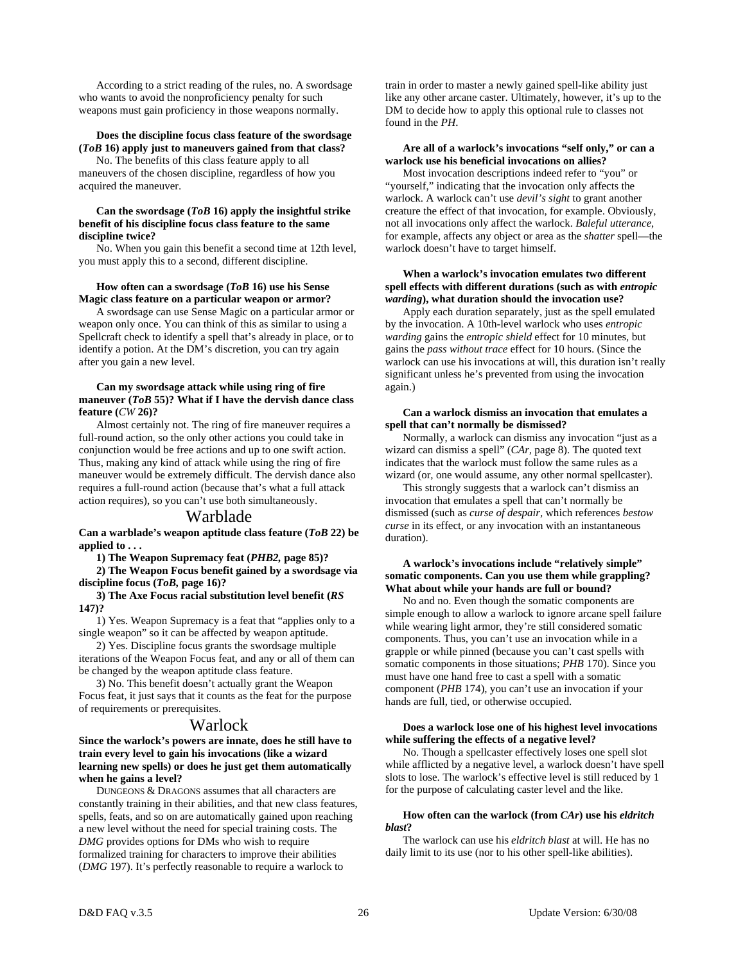According to a strict reading of the rules, no. A swordsage who wants to avoid the nonproficiency penalty for such weapons must gain proficiency in those weapons normally.

#### **Does the discipline focus class feature of the swordsage (***ToB* **16) apply just to maneuvers gained from that class?**

 No. The benefits of this class feature apply to all maneuvers of the chosen discipline, regardless of how you acquired the maneuver.

#### **Can the swordsage (***ToB* **16) apply the insightful strike benefit of his discipline focus class feature to the same discipline twice?**

 No. When you gain this benefit a second time at 12th level, you must apply this to a second, different discipline.

#### **How often can a swordsage (***ToB* **16) use his Sense Magic class feature on a particular weapon or armor?**

 A swordsage can use Sense Magic on a particular armor or weapon only once. You can think of this as similar to using a Spellcraft check to identify a spell that's already in place, or to identify a potion. At the DM's discretion, you can try again after you gain a new level.

#### **Can my swordsage attack while using ring of fire maneuver (***ToB* **55)? What if I have the dervish dance class feature (***CW* **26)?**

 Almost certainly not. The ring of fire maneuver requires a full-round action, so the only other actions you could take in conjunction would be free actions and up to one swift action. Thus, making any kind of attack while using the ring of fire maneuver would be extremely difficult. The dervish dance also requires a full-round action (because that's what a full attack action requires), so you can't use both simultaneously.

#### Warblade

**Can a warblade's weapon aptitude class feature (***ToB* **22) be applied to . . .** 

 **1) The Weapon Supremacy feat (***PHB2,* **page 85)?** 

 **2) The Weapon Focus benefit gained by a swordsage via discipline focus (***ToB,* **page 16)?** 

 **3) The Axe Focus racial substitution level benefit (***RS* **147)?** 

 1) Yes. Weapon Supremacy is a feat that "applies only to a single weapon" so it can be affected by weapon aptitude.

 2) Yes. Discipline focus grants the swordsage multiple iterations of the Weapon Focus feat, and any or all of them can be changed by the weapon aptitude class feature.

 3) No. This benefit doesn't actually grant the Weapon Focus feat, it just says that it counts as the feat for the purpose of requirements or prerequisites.

## Warlock

#### **Since the warlock's powers are innate, does he still have to train every level to gain his invocations (like a wizard learning new spells) or does he just get them automatically when he gains a level?**

 DUNGEONS & DRAGONS assumes that all characters are constantly training in their abilities, and that new class features, spells, feats, and so on are automatically gained upon reaching a new level without the need for special training costs. The *DMG* provides options for DMs who wish to require formalized training for characters to improve their abilities (*DMG* 197). It's perfectly reasonable to require a warlock to

train in order to master a newly gained spell-like ability just like any other arcane caster. Ultimately, however, it's up to the DM to decide how to apply this optional rule to classes not found in the *PH*.

#### **Are all of a warlock's invocations "self only," or can a warlock use his beneficial invocations on allies?**

 Most invocation descriptions indeed refer to "you" or "yourself," indicating that the invocation only affects the warlock. A warlock can't use *devil's sight* to grant another creature the effect of that invocation, for example. Obviously, not all invocations only affect the warlock. *Baleful utterance*, for example, affects any object or area as the *shatter* spell—the warlock doesn't have to target himself.

#### **When a warlock's invocation emulates two different spell effects with different durations (such as with** *entropic warding***), what duration should the invocation use?**

 Apply each duration separately, just as the spell emulated by the invocation. A 10th-level warlock who uses *entropic warding* gains the *entropic shield* effect for 10 minutes, but gains the *pass without trace* effect for 10 hours. (Since the warlock can use his invocations at will, this duration isn't really significant unless he's prevented from using the invocation again.)

#### **Can a warlock dismiss an invocation that emulates a spell that can't normally be dismissed?**

 Normally, a warlock can dismiss any invocation "just as a wizard can dismiss a spell" (*CAr,* page 8). The quoted text indicates that the warlock must follow the same rules as a wizard (or, one would assume, any other normal spellcaster).

 This strongly suggests that a warlock can't dismiss an invocation that emulates a spell that can't normally be dismissed (such as *curse of despair,* which references *bestow curse* in its effect, or any invocation with an instantaneous duration).

#### **A warlock's invocations include "relatively simple" somatic components. Can you use them while grappling? What about while your hands are full or bound?**

 No and no. Even though the somatic components are simple enough to allow a warlock to ignore arcane spell failure while wearing light armor, they're still considered somatic components. Thus, you can't use an invocation while in a grapple or while pinned (because you can't cast spells with somatic components in those situations; *PHB* 170). Since you must have one hand free to cast a spell with a somatic component (*PHB* 174), you can't use an invocation if your hands are full, tied, or otherwise occupied.

#### **Does a warlock lose one of his highest level invocations while suffering the effects of a negative level?**

 No. Though a spellcaster effectively loses one spell slot while afflicted by a negative level, a warlock doesn't have spell slots to lose. The warlock's effective level is still reduced by 1 for the purpose of calculating caster level and the like.

#### **How often can the warlock (from** *CAr***) use his** *eldritch blast***?**

 The warlock can use his *eldritch blast* at will. He has no daily limit to its use (nor to his other spell-like abilities).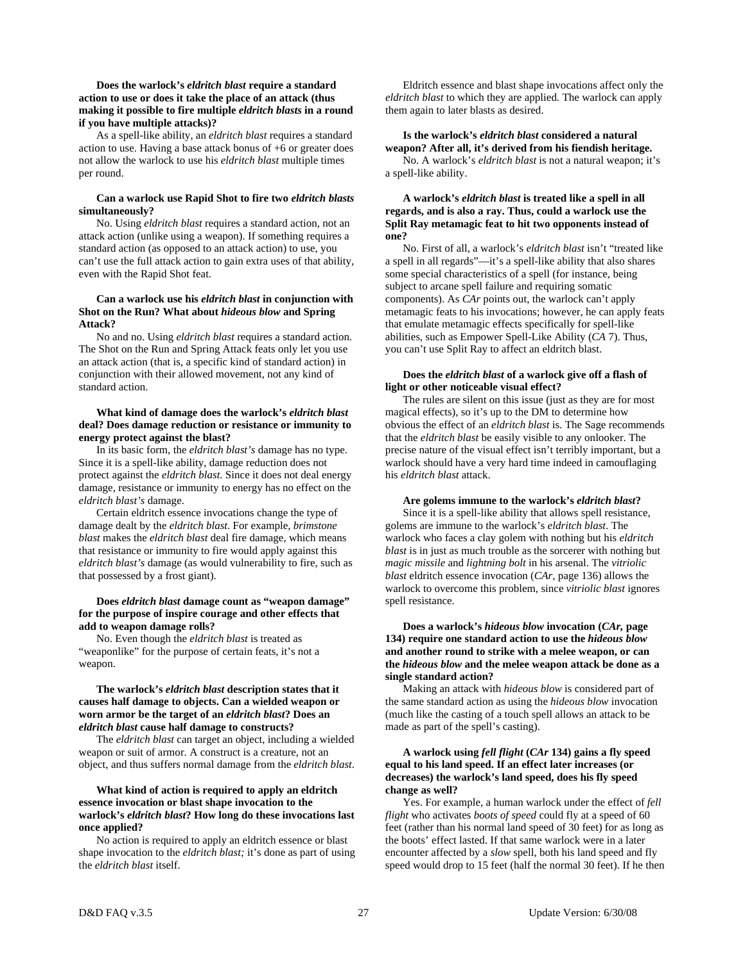#### **Does the warlock's** *eldritch blast* **require a standard action to use or does it take the place of an attack (thus making it possible to fire multiple** *eldritch blasts* **in a round if you have multiple attacks)?**

 As a spell-like ability, an *eldritch blast* requires a standard action to use. Having a base attack bonus of +6 or greater does not allow the warlock to use his *eldritch blast* multiple times per round.

#### **Can a warlock use Rapid Shot to fire two** *eldritch blasts* **simultaneously?**

 No. Using *eldritch blast* requires a standard action, not an attack action (unlike using a weapon). If something requires a standard action (as opposed to an attack action) to use, you can't use the full attack action to gain extra uses of that ability, even with the Rapid Shot feat.

#### **Can a warlock use his** *eldritch blast* **in conjunction with Shot on the Run? What about** *hideous blow* **and Spring Attack?**

 No and no. Using *eldritch blast* requires a standard action. The Shot on the Run and Spring Attack feats only let you use an attack action (that is, a specific kind of standard action) in conjunction with their allowed movement, not any kind of standard action.

#### **What kind of damage does the warlock's** *eldritch blast* **deal? Does damage reduction or resistance or immunity to energy protect against the blast?**

 In its basic form, the *eldritch blast's* damage has no type. Since it is a spell-like ability, damage reduction does not protect against the *eldritch blast*. Since it does not deal energy damage, resistance or immunity to energy has no effect on the *eldritch blast's* damage.

 Certain eldritch essence invocations change the type of damage dealt by the *eldritch blast*. For example, *brimstone blast* makes the *eldritch blast* deal fire damage, which means that resistance or immunity to fire would apply against this *eldritch blast's* damage (as would vulnerability to fire, such as that possessed by a frost giant).

#### **Does** *eldritch blast* **damage count as "weapon damage" for the purpose of inspire courage and other effects that add to weapon damage rolls?**

 No. Even though the *eldritch blast* is treated as "weaponlike" for the purpose of certain feats, it's not a weapon.

#### **The warlock's** *eldritch blast* **description states that it causes half damage to objects. Can a wielded weapon or worn armor be the target of an** *eldritch blast***? Does an**  *eldritch blast* **cause half damage to constructs?**

 The *eldritch blast* can target an object, including a wielded weapon or suit of armor. A construct is a creature, not an object, and thus suffers normal damage from the *eldritch blast*.

#### **What kind of action is required to apply an eldritch essence invocation or blast shape invocation to the warlock's** *eldritch blast***? How long do these invocations last once applied?**

 No action is required to apply an eldritch essence or blast shape invocation to the *eldritch blast;* it's done as part of using the *eldritch blast* itself.

 Eldritch essence and blast shape invocations affect only the *eldritch blast* to which they are applied. The warlock can apply them again to later blasts as desired.

#### **Is the warlock's** *eldritch blast* **considered a natural weapon? After all, it's derived from his fiendish heritage.**  No. A warlock's *eldritch blast* is not a natural weapon; it's a spell-like ability.

#### **A warlock's** *eldritch blast* **is treated like a spell in all regards, and is also a ray. Thus, could a warlock use the Split Ray metamagic feat to hit two opponents instead of one?**

 No. First of all, a warlock's *eldritch blast* isn't "treated like a spell in all regards"—it's a spell-like ability that also shares some special characteristics of a spell (for instance, being subject to arcane spell failure and requiring somatic components). As *CAr* points out, the warlock can't apply metamagic feats to his invocations; however, he can apply feats that emulate metamagic effects specifically for spell-like abilities, such as Empower Spell-Like Ability (*CA* 7). Thus, you can't use Split Ray to affect an eldritch blast.

#### **Does the** *eldritch blast* **of a warlock give off a flash of light or other noticeable visual effect?**

 The rules are silent on this issue (just as they are for most magical effects), so it's up to the DM to determine how obvious the effect of an *eldritch blast* is. The Sage recommends that the *eldritch blast* be easily visible to any onlooker. The precise nature of the visual effect isn't terribly important, but a warlock should have a very hard time indeed in camouflaging his *eldritch blast* attack.

#### **Are golems immune to the warlock's** *eldritch blast***?**

 Since it is a spell-like ability that allows spell resistance, golems are immune to the warlock's *eldritch blast*. The warlock who faces a clay golem with nothing but his *eldritch blast* is in just as much trouble as the sorcerer with nothing but *magic missile* and *lightning bolt* in his arsenal. The *vitriolic blast* eldritch essence invocation (*CAr,* page 136) allows the warlock to overcome this problem, since *vitriolic blast* ignores spell resistance.

#### **Does a warlock's** *hideous blow* **invocation (***CAr,* **page 134) require one standard action to use the** *hideous blow* **and another round to strike with a melee weapon, or can the** *hideous blow* **and the melee weapon attack be done as a single standard action?**

 Making an attack with *hideous blow* is considered part of the same standard action as using the *hideous blow* invocation (much like the casting of a touch spell allows an attack to be made as part of the spell's casting).

#### **A warlock using** *fell flight* **(***CAr* **134) gains a fly speed equal to his land speed. If an effect later increases (or decreases) the warlock's land speed, does his fly speed change as well?**

 Yes. For example, a human warlock under the effect of *fell flight* who activates *boots of speed* could fly at a speed of 60 feet (rather than his normal land speed of 30 feet) for as long as the boots' effect lasted. If that same warlock were in a later encounter affected by a *slow* spell, both his land speed and fly speed would drop to 15 feet (half the normal 30 feet). If he then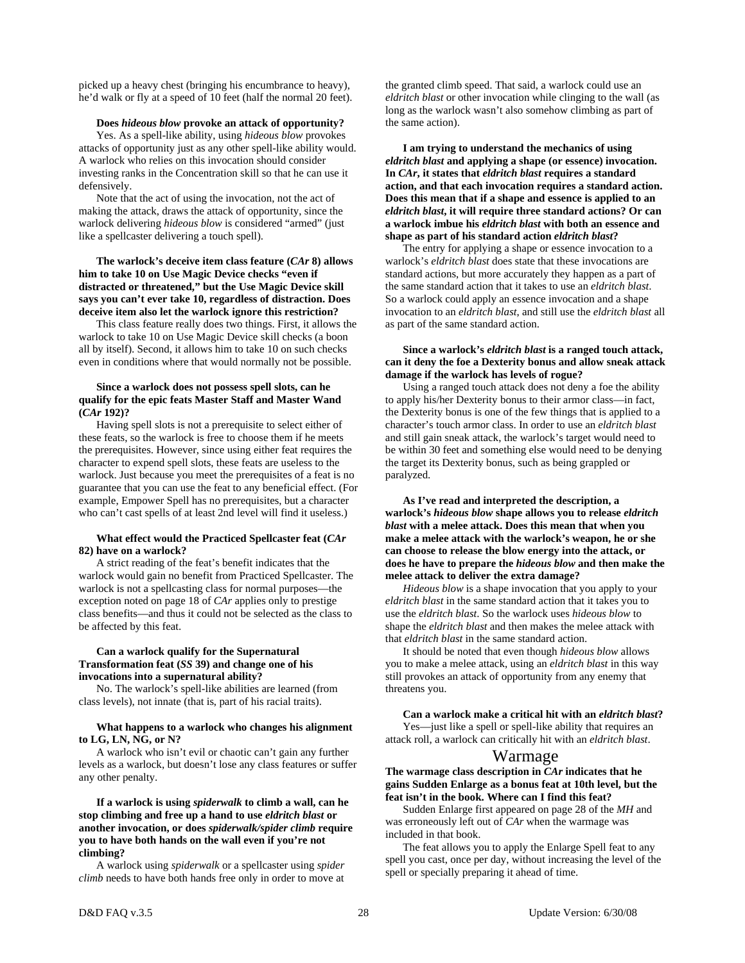picked up a heavy chest (bringing his encumbrance to heavy), he'd walk or fly at a speed of 10 feet (half the normal 20 feet).

#### **Does** *hideous blow* **provoke an attack of opportunity?**

 Yes. As a spell-like ability, using *hideous blow* provokes attacks of opportunity just as any other spell-like ability would. A warlock who relies on this invocation should consider investing ranks in the Concentration skill so that he can use it defensively.

 Note that the act of using the invocation, not the act of making the attack, draws the attack of opportunity, since the warlock delivering *hideous blow* is considered "armed" (just like a spellcaster delivering a touch spell).

#### **The warlock's deceive item class feature (***CAr* **8) allows him to take 10 on Use Magic Device checks "even if distracted or threatened," but the Use Magic Device skill says you can't ever take 10, regardless of distraction. Does deceive item also let the warlock ignore this restriction?**

 This class feature really does two things. First, it allows the warlock to take 10 on Use Magic Device skill checks (a boon all by itself). Second, it allows him to take 10 on such checks even in conditions where that would normally not be possible.

#### **Since a warlock does not possess spell slots, can he qualify for the epic feats Master Staff and Master Wand (***CAr* **192)?**

 Having spell slots is not a prerequisite to select either of these feats, so the warlock is free to choose them if he meets the prerequisites. However, since using either feat requires the character to expend spell slots, these feats are useless to the warlock. Just because you meet the prerequisites of a feat is no guarantee that you can use the feat to any beneficial effect. (For example, Empower Spell has no prerequisites, but a character who can't cast spells of at least 2nd level will find it useless.)

#### **What effect would the Practiced Spellcaster feat (***CAr*  **82) have on a warlock?**

 A strict reading of the feat's benefit indicates that the warlock would gain no benefit from Practiced Spellcaster. The warlock is not a spellcasting class for normal purposes—the exception noted on page 18 of *CAr* applies only to prestige class benefits—and thus it could not be selected as the class to be affected by this feat.

#### **Can a warlock qualify for the Supernatural Transformation feat (***SS* **39) and change one of his invocations into a supernatural ability?**

 No. The warlock's spell-like abilities are learned (from class levels), not innate (that is, part of his racial traits).

#### **What happens to a warlock who changes his alignment to LG, LN, NG, or N?**

 A warlock who isn't evil or chaotic can't gain any further levels as a warlock, but doesn't lose any class features or suffer any other penalty.

#### **If a warlock is using** *spiderwalk* **to climb a wall, can he stop climbing and free up a hand to use** *eldritch blast* **or another invocation, or does** *spiderwalk/spider climb* **require you to have both hands on the wall even if you're not climbing?**

 A warlock using *spiderwalk* or a spellcaster using *spider climb* needs to have both hands free only in order to move at the granted climb speed. That said, a warlock could use an *eldritch blast* or other invocation while clinging to the wall (as long as the warlock wasn't also somehow climbing as part of the same action).

#### **I am trying to understand the mechanics of using**  *eldritch blast* **and applying a shape (or essence) invocation. In** *CAr***, it states that** *eldritch blast* **requires a standard action, and that each invocation requires a standard action. Does this mean that if a shape and essence is applied to an**  *eldritch blast***, it will require three standard actions? Or can a warlock imbue his** *eldritch blast* **with both an essence and shape as part of his standard action** *eldritch blast***?**

 The entry for applying a shape or essence invocation to a warlock's *eldritch blast* does state that these invocations are standard actions, but more accurately they happen as a part of the same standard action that it takes to use an *eldritch blast*. So a warlock could apply an essence invocation and a shape invocation to an *eldritch blast*, and still use the *eldritch blast* all as part of the same standard action.

#### **Since a warlock's** *eldritch blast* **is a ranged touch attack, can it deny the foe a Dexterity bonus and allow sneak attack damage if the warlock has levels of rogue?**

 Using a ranged touch attack does not deny a foe the ability to apply his/her Dexterity bonus to their armor class—in fact, the Dexterity bonus is one of the few things that is applied to a character's touch armor class. In order to use an *eldritch blast* and still gain sneak attack, the warlock's target would need to be within 30 feet and something else would need to be denying the target its Dexterity bonus, such as being grappled or paralyzed.

#### **As I've read and interpreted the description, a warlock's** *hideous blow* **shape allows you to release** *eldritch blast* **with a melee attack. Does this mean that when you make a melee attack with the warlock's weapon, he or she can choose to release the blow energy into the attack, or does he have to prepare the** *hideous blow* **and then make the melee attack to deliver the extra damage?**

*Hideous blow* is a shape invocation that you apply to your *eldritch blast* in the same standard action that it takes you to use the *eldritch blast*. So the warlock uses *hideous blow* to shape the *eldritch blast* and then makes the melee attack with that *eldritch blast* in the same standard action.

 It should be noted that even though *hideous blow* allows you to make a melee attack, using an *eldritch blast* in this way still provokes an attack of opportunity from any enemy that threatens you.

#### **Can a warlock make a critical hit with an** *eldritch blast***?**  Yes—just like a spell or spell-like ability that requires an

attack roll, a warlock can critically hit with an *eldritch blast*.

## Warmage

#### **The warmage class description in** *CAr* **indicates that he gains Sudden Enlarge as a bonus feat at 10th level, but the feat isn't in the book. Where can I find this feat?**

 Sudden Enlarge first appeared on page 28 of the *MH* and was erroneously left out of *CAr* when the warmage was included in that book.

 The feat allows you to apply the Enlarge Spell feat to any spell you cast, once per day, without increasing the level of the spell or specially preparing it ahead of time.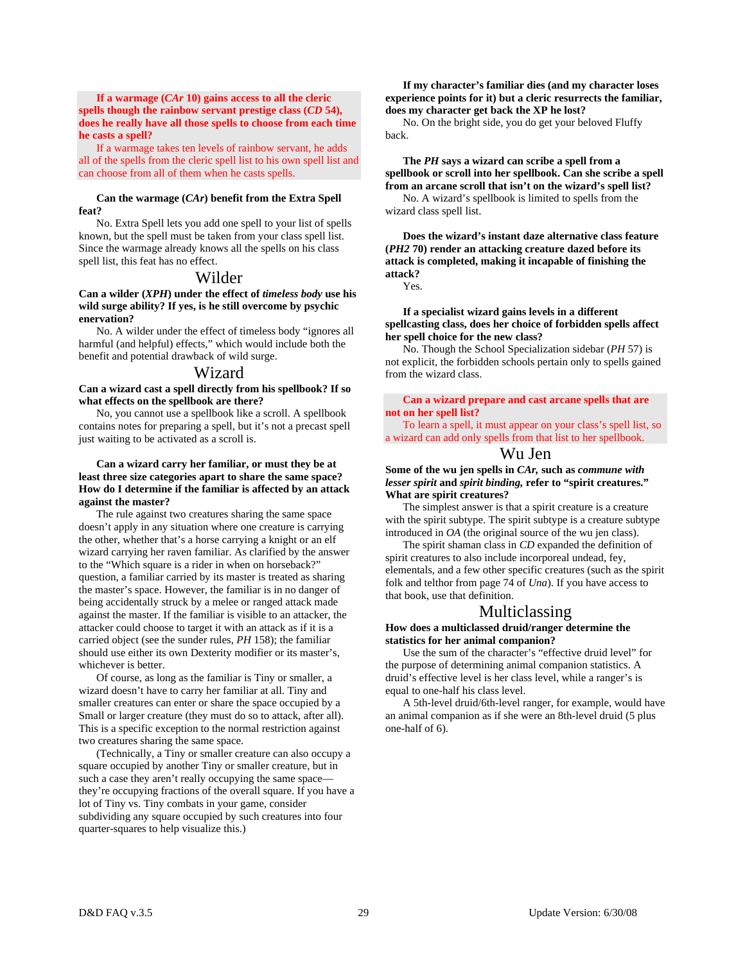#### **If a warmage (***CAr* **10) gains access to all the cleric spells though the rainbow servant prestige class (***CD* **54), does he really have all those spells to choose from each time he casts a spell?**

 If a warmage takes ten levels of rainbow servant, he adds all of the spells from the cleric spell list to his own spell list and can choose from all of them when he casts spells.

#### **Can the warmage (***CAr***) benefit from the Extra Spell feat?**

 No. Extra Spell lets you add one spell to your list of spells known, but the spell must be taken from your class spell list. Since the warmage already knows all the spells on his class spell list, this feat has no effect.

#### Wilder

**Can a wilder (***XPH***) under the effect of** *timeless body* **use his wild surge ability? If yes, is he still overcome by psychic enervation?** 

 No. A wilder under the effect of timeless body "ignores all harmful (and helpful) effects," which would include both the benefit and potential drawback of wild surge.

#### Wizard

**Can a wizard cast a spell directly from his spellbook? If so what effects on the spellbook are there?** 

 No, you cannot use a spellbook like a scroll. A spellbook contains notes for preparing a spell, but it's not a precast spell just waiting to be activated as a scroll is.

#### **Can a wizard carry her familiar, or must they be at least three size categories apart to share the same space? How do I determine if the familiar is affected by an attack against the master?**

 The rule against two creatures sharing the same space doesn't apply in any situation where one creature is carrying the other, whether that's a horse carrying a knight or an elf wizard carrying her raven familiar. As clarified by the answer to the "Which square is a rider in when on horseback?" question, a familiar carried by its master is treated as sharing the master's space. However, the familiar is in no danger of being accidentally struck by a melee or ranged attack made against the master. If the familiar is visible to an attacker, the attacker could choose to target it with an attack as if it is a carried object (see the sunder rules, *PH* 158); the familiar should use either its own Dexterity modifier or its master's, whichever is better.

 Of course, as long as the familiar is Tiny or smaller, a wizard doesn't have to carry her familiar at all. Tiny and smaller creatures can enter or share the space occupied by a Small or larger creature (they must do so to attack, after all). This is a specific exception to the normal restriction against two creatures sharing the same space.

 (Technically, a Tiny or smaller creature can also occupy a square occupied by another Tiny or smaller creature, but in such a case they aren't really occupying the same space they're occupying fractions of the overall square. If you have a lot of Tiny vs. Tiny combats in your game, consider subdividing any square occupied by such creatures into four quarter-squares to help visualize this.)

#### **If my character's familiar dies (and my character loses experience points for it) but a cleric resurrects the familiar, does my character get back the XP he lost?**

 No. On the bright side, you do get your beloved Fluffy back.

 **The** *PH* **says a wizard can scribe a spell from a spellbook or scroll into her spellbook. Can she scribe a spell from an arcane scroll that isn't on the wizard's spell list?**  No. A wizard's spellbook is limited to spells from the wizard class spell list.

 **Does the wizard's instant daze alternative class feature (***PH2* **70) render an attacking creature dazed before its attack is completed, making it incapable of finishing the attack?** 

Yes.

 **If a specialist wizard gains levels in a different spellcasting class, does her choice of forbidden spells affect her spell choice for the new class?** 

 No. Though the School Specialization sidebar (*PH* 57) is not explicit, the forbidden schools pertain only to spells gained from the wizard class.

 **Can a wizard prepare and cast arcane spells that are not on her spell list?** 

 To learn a spell, it must appear on your class's spell list, so a wizard can add only spells from that list to her spellbook.

## Wu Jen

**Some of the wu jen spells in** *CAr,* **such as** *commune with lesser spirit* **and** *spirit binding,* **refer to "spirit creatures." What are spirit creatures?** 

 The simplest answer is that a spirit creature is a creature with the spirit subtype. The spirit subtype is a creature subtype introduced in *OA* (the original source of the wu jen class).

 The spirit shaman class in *CD* expanded the definition of spirit creatures to also include incorporeal undead, fey, elementals, and a few other specific creatures (such as the spirit folk and telthor from page 74 of *Una*). If you have access to that book, use that definition.

## Multiclassing

#### **How does a multiclassed druid/ranger determine the statistics for her animal companion?**

 Use the sum of the character's "effective druid level" for the purpose of determining animal companion statistics. A druid's effective level is her class level, while a ranger's is equal to one-half his class level.

 A 5th-level druid/6th-level ranger, for example, would have an animal companion as if she were an 8th-level druid (5 plus one-half of 6).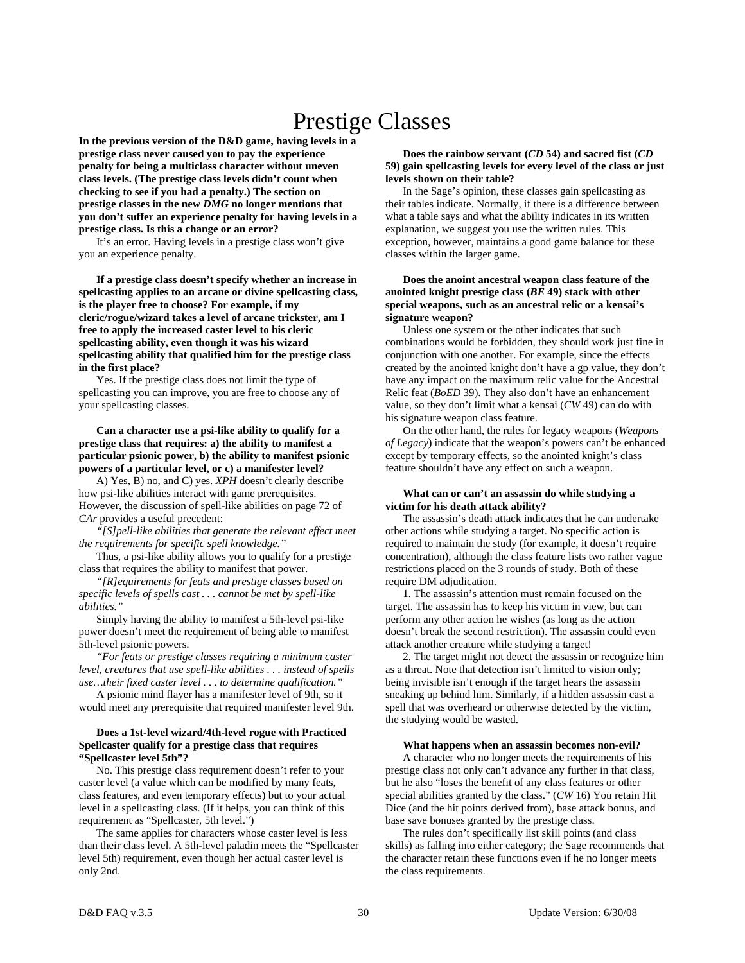# Prestige Classes

**In the previous version of the D&D game, having levels in a prestige class never caused you to pay the experience penalty for being a multiclass character without uneven class levels. (The prestige class levels didn't count when checking to see if you had a penalty.) The section on prestige classes in the new** *DMG* **no longer mentions that you don't suffer an experience penalty for having levels in a prestige class. Is this a change or an error?** 

 It's an error. Having levels in a prestige class won't give you an experience penalty.

 **If a prestige class doesn't specify whether an increase in spellcasting applies to an arcane or divine spellcasting class, is the player free to choose? For example, if my cleric/rogue/wizard takes a level of arcane trickster, am I free to apply the increased caster level to his cleric spellcasting ability, even though it was his wizard spellcasting ability that qualified him for the prestige class in the first place?** 

 Yes. If the prestige class does not limit the type of spellcasting you can improve, you are free to choose any of your spellcasting classes.

 **Can a character use a psi-like ability to qualify for a prestige class that requires: a) the ability to manifest a particular psionic power, b) the ability to manifest psionic powers of a particular level, or c) a manifester level?** 

A) Yes, B) no, and C) yes. *XPH* doesn't clearly describe how psi-like abilities interact with game prerequisites. However, the discussion of spell-like abilities on page 72 of *CAr* provides a useful precedent:

 *"[S]pell-like abilities that generate the relevant effect meet the requirements for specific spell knowledge."* 

 Thus, a psi-like ability allows you to qualify for a prestige class that requires the ability to manifest that power.

 *"[R]equirements for feats and prestige classes based on specific levels of spells cast . . . cannot be met by spell-like abilities."*

 Simply having the ability to manifest a 5th-level psi-like power doesn't meet the requirement of being able to manifest 5th-level psionic powers.

 *"For feats or prestige classes requiring a minimum caster level, creatures that use spell-like abilities . . . instead of spells use…their fixed caster level . . . to determine qualification."*

 A psionic mind flayer has a manifester level of 9th, so it would meet any prerequisite that required manifester level 9th.

#### **Does a 1st-level wizard/4th-level rogue with Practiced Spellcaster qualify for a prestige class that requires "Spellcaster level 5th"?**

 No. This prestige class requirement doesn't refer to your caster level (a value which can be modified by many feats, class features, and even temporary effects) but to your actual level in a spellcasting class. (If it helps, you can think of this requirement as "Spellcaster, 5th level.")

 The same applies for characters whose caster level is less than their class level. A 5th-level paladin meets the "Spellcaster level 5th) requirement, even though her actual caster level is only 2nd.

#### **Does the rainbow servant (***CD* **54) and sacred fist (***CD* **59) gain spellcasting levels for every level of the class or just levels shown on their table?**

 In the Sage's opinion, these classes gain spellcasting as their tables indicate. Normally, if there is a difference between what a table says and what the ability indicates in its written explanation, we suggest you use the written rules. This exception, however, maintains a good game balance for these classes within the larger game.

#### **Does the anoint ancestral weapon class feature of the anointed knight prestige class (***BE* **49) stack with other special weapons, such as an ancestral relic or a kensai's signature weapon?**

Unless one system or the other indicates that such combinations would be forbidden, they should work just fine in conjunction with one another. For example, since the effects created by the anointed knight don't have a gp value, they don't have any impact on the maximum relic value for the Ancestral Relic feat (*BoED* 39). They also don't have an enhancement value, so they don't limit what a kensai (*CW* 49) can do with his signature weapon class feature.

 On the other hand, the rules for legacy weapons (*Weapons of Legacy*) indicate that the weapon's powers can't be enhanced except by temporary effects, so the anointed knight's class feature shouldn't have any effect on such a weapon.

#### **What can or can't an assassin do while studying a victim for his death attack ability?**

 The assassin's death attack indicates that he can undertake other actions while studying a target. No specific action is required to maintain the study (for example, it doesn't require concentration), although the class feature lists two rather vague restrictions placed on the 3 rounds of study. Both of these require DM adjudication.

 1. The assassin's attention must remain focused on the target. The assassin has to keep his victim in view, but can perform any other action he wishes (as long as the action doesn't break the second restriction). The assassin could even attack another creature while studying a target!

 2. The target might not detect the assassin or recognize him as a threat. Note that detection isn't limited to vision only; being invisible isn't enough if the target hears the assassin sneaking up behind him. Similarly, if a hidden assassin cast a spell that was overheard or otherwise detected by the victim, the studying would be wasted.

#### **What happens when an assassin becomes non-evil?**

 A character who no longer meets the requirements of his prestige class not only can't advance any further in that class, but he also "loses the benefit of any class features or other special abilities granted by the class." (*CW* 16) You retain Hit Dice (and the hit points derived from), base attack bonus, and base save bonuses granted by the prestige class.

 The rules don't specifically list skill points (and class skills) as falling into either category; the Sage recommends that the character retain these functions even if he no longer meets the class requirements.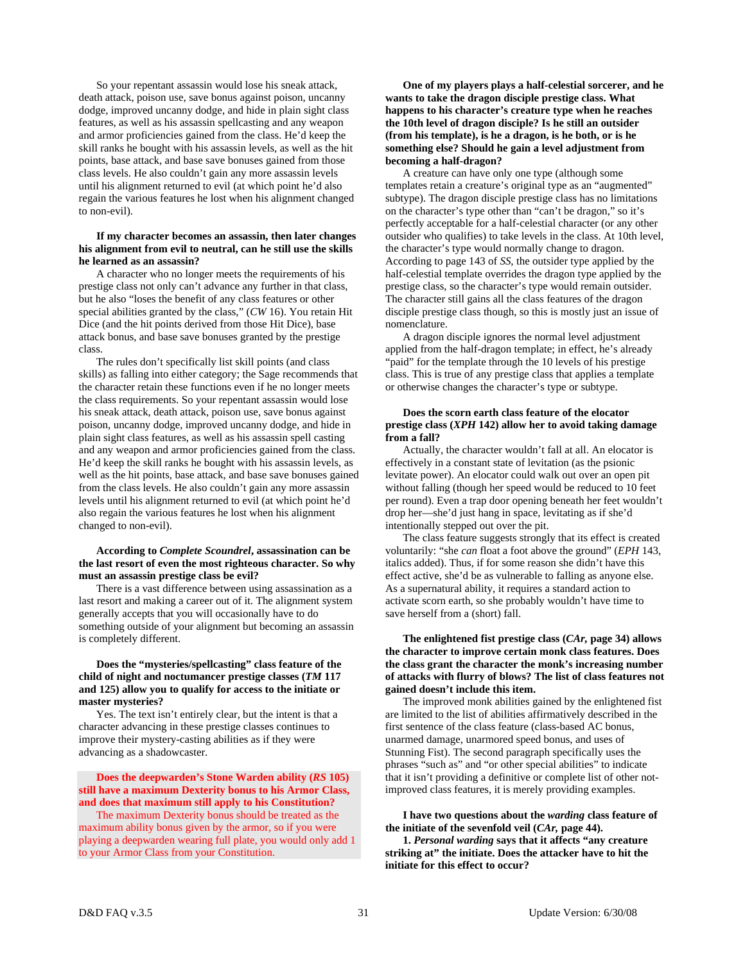So your repentant assassin would lose his sneak attack, death attack, poison use, save bonus against poison, uncanny dodge, improved uncanny dodge, and hide in plain sight class features, as well as his assassin spellcasting and any weapon and armor proficiencies gained from the class. He'd keep the skill ranks he bought with his assassin levels, as well as the hit points, base attack, and base save bonuses gained from those class levels. He also couldn't gain any more assassin levels until his alignment returned to evil (at which point he'd also regain the various features he lost when his alignment changed to non-evil).

#### **If my character becomes an assassin, then later changes his alignment from evil to neutral, can he still use the skills he learned as an assassin?**

 A character who no longer meets the requirements of his prestige class not only can't advance any further in that class, but he also "loses the benefit of any class features or other special abilities granted by the class," (*CW* 16). You retain Hit Dice (and the hit points derived from those Hit Dice), base attack bonus, and base save bonuses granted by the prestige class.

 The rules don't specifically list skill points (and class skills) as falling into either category; the Sage recommends that the character retain these functions even if he no longer meets the class requirements. So your repentant assassin would lose his sneak attack, death attack, poison use, save bonus against poison, uncanny dodge, improved uncanny dodge, and hide in plain sight class features, as well as his assassin spell casting and any weapon and armor proficiencies gained from the class. He'd keep the skill ranks he bought with his assassin levels, as well as the hit points, base attack, and base save bonuses gained from the class levels. He also couldn't gain any more assassin levels until his alignment returned to evil (at which point he'd also regain the various features he lost when his alignment changed to non-evil).

#### **According to** *Complete Scoundrel***, assassination can be the last resort of even the most righteous character. So why must an assassin prestige class be evil?**

 There is a vast difference between using assassination as a last resort and making a career out of it. The alignment system generally accepts that you will occasionally have to do something outside of your alignment but becoming an assassin is completely different.

#### **Does the "mysteries/spellcasting" class feature of the child of night and noctumancer prestige classes (***TM* **117 and 125) allow you to qualify for access to the initiate or master mysteries?**

 Yes. The text isn't entirely clear, but the intent is that a character advancing in these prestige classes continues to improve their mystery-casting abilities as if they were advancing as a shadowcaster.

#### **Does the deepwarden's Stone Warden ability (***RS* **105) still have a maximum Dexterity bonus to his Armor Class, and does that maximum still apply to his Constitution?**

 The maximum Dexterity bonus should be treated as the maximum ability bonus given by the armor, so if you were playing a deepwarden wearing full plate, you would only add 1 to your Armor Class from your Constitution.

 **One of my players plays a half-celestial sorcerer, and he wants to take the dragon disciple prestige class. What happens to his character's creature type when he reaches the 10th level of dragon disciple? Is he still an outsider (from his template), is he a dragon, is he both, or is he something else? Should he gain a level adjustment from becoming a half-dragon?** 

 A creature can have only one type (although some templates retain a creature's original type as an "augmented" subtype). The dragon disciple prestige class has no limitations on the character's type other than "can't be dragon," so it's perfectly acceptable for a half-celestial character (or any other outsider who qualifies) to take levels in the class. At 10th level, the character's type would normally change to dragon. According to page 143 of *SS,* the outsider type applied by the half-celestial template overrides the dragon type applied by the prestige class, so the character's type would remain outsider. The character still gains all the class features of the dragon disciple prestige class though, so this is mostly just an issue of nomenclature.

 A dragon disciple ignores the normal level adjustment applied from the half-dragon template; in effect, he's already "paid" for the template through the 10 levels of his prestige class. This is true of any prestige class that applies a template or otherwise changes the character's type or subtype.

#### **Does the scorn earth class feature of the elocator prestige class (***XPH* **142) allow her to avoid taking damage from a fall?**

 Actually, the character wouldn't fall at all. An elocator is effectively in a constant state of levitation (as the psionic levitate power). An elocator could walk out over an open pit without falling (though her speed would be reduced to 10 feet per round). Even a trap door opening beneath her feet wouldn't drop her—she'd just hang in space, levitating as if she'd intentionally stepped out over the pit.

 The class feature suggests strongly that its effect is created voluntarily: "she *can* float a foot above the ground" (*EPH* 143, italics added). Thus, if for some reason she didn't have this effect active, she'd be as vulnerable to falling as anyone else. As a supernatural ability, it requires a standard action to activate scorn earth, so she probably wouldn't have time to save herself from a (short) fall.

#### **The enlightened fist prestige class (***CAr,* **page 34) allows the character to improve certain monk class features. Does the class grant the character the monk's increasing number of attacks with flurry of blows? The list of class features not gained doesn't include this item.**

 The improved monk abilities gained by the enlightened fist are limited to the list of abilities affirmatively described in the first sentence of the class feature (class-based AC bonus, unarmed damage, unarmored speed bonus, and uses of Stunning Fist). The second paragraph specifically uses the phrases "such as" and "or other special abilities" to indicate that it isn't providing a definitive or complete list of other notimproved class features, it is merely providing examples.

 **I have two questions about the** *warding* **class feature of the initiate of the sevenfold veil (***CAr,* **page 44).** 

 **1.** *Personal warding* **says that it affects "any creature striking at" the initiate. Does the attacker have to hit the initiate for this effect to occur?**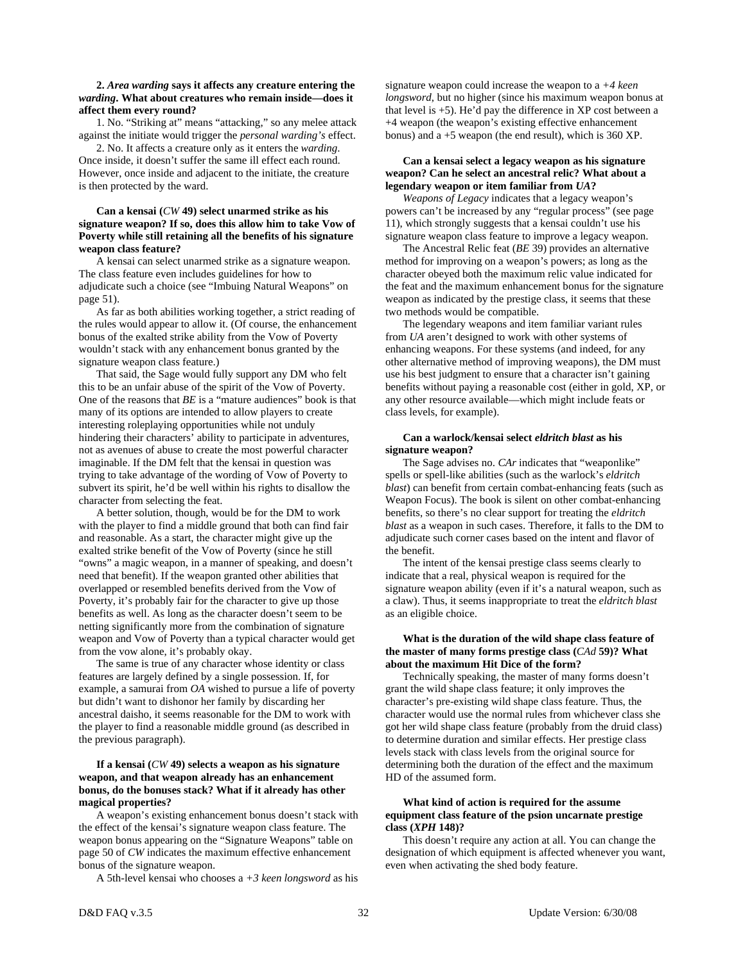#### **2.** *Area warding* **says it affects any creature entering the**  *warding***. What about creatures who remain inside—does it affect them every round?**

 1. No. "Striking at" means "attacking," so any melee attack against the initiate would trigger the *personal warding's* effect.

 2. No. It affects a creature only as it enters the *warding*. Once inside, it doesn't suffer the same ill effect each round. However, once inside and adjacent to the initiate, the creature is then protected by the ward.

#### **Can a kensai (***CW* **49) select unarmed strike as his signature weapon? If so, does this allow him to take Vow of Poverty while still retaining all the benefits of his signature weapon class feature?**

 A kensai can select unarmed strike as a signature weapon. The class feature even includes guidelines for how to adjudicate such a choice (see "Imbuing Natural Weapons" on page 51).

 As far as both abilities working together, a strict reading of the rules would appear to allow it. (Of course, the enhancement bonus of the exalted strike ability from the Vow of Poverty wouldn't stack with any enhancement bonus granted by the signature weapon class feature.)

 That said, the Sage would fully support any DM who felt this to be an unfair abuse of the spirit of the Vow of Poverty. One of the reasons that *BE* is a "mature audiences" book is that many of its options are intended to allow players to create interesting roleplaying opportunities while not unduly hindering their characters' ability to participate in adventures, not as avenues of abuse to create the most powerful character imaginable. If the DM felt that the kensai in question was trying to take advantage of the wording of Vow of Poverty to subvert its spirit, he'd be well within his rights to disallow the character from selecting the feat.

 A better solution, though, would be for the DM to work with the player to find a middle ground that both can find fair and reasonable. As a start, the character might give up the exalted strike benefit of the Vow of Poverty (since he still "owns" a magic weapon, in a manner of speaking, and doesn't need that benefit). If the weapon granted other abilities that overlapped or resembled benefits derived from the Vow of Poverty, it's probably fair for the character to give up those benefits as well. As long as the character doesn't seem to be netting significantly more from the combination of signature weapon and Vow of Poverty than a typical character would get from the vow alone, it's probably okay.

 The same is true of any character whose identity or class features are largely defined by a single possession. If, for example, a samurai from *OA* wished to pursue a life of poverty but didn't want to dishonor her family by discarding her ancestral daisho, it seems reasonable for the DM to work with the player to find a reasonable middle ground (as described in the previous paragraph).

#### **If a kensai (***CW* **49) selects a weapon as his signature weapon, and that weapon already has an enhancement bonus, do the bonuses stack? What if it already has other magical properties?**

 A weapon's existing enhancement bonus doesn't stack with the effect of the kensai's signature weapon class feature. The weapon bonus appearing on the "Signature Weapons" table on page 50 of *CW* indicates the maximum effective enhancement bonus of the signature weapon.

A 5th-level kensai who chooses a *+3 keen longsword* as his

signature weapon could increase the weapon to a *+4 keen longsword*, but no higher (since his maximum weapon bonus at that level is  $+5$ ). He'd pay the difference in XP cost between a +4 weapon (the weapon's existing effective enhancement bonus) and a +5 weapon (the end result), which is 360 XP.

#### **Can a kensai select a legacy weapon as his signature weapon? Can he select an ancestral relic? What about a legendary weapon or item familiar from** *UA***?**

 *Weapons of Legacy* indicates that a legacy weapon's powers can't be increased by any "regular process" (see page 11), which strongly suggests that a kensai couldn't use his signature weapon class feature to improve a legacy weapon.

 The Ancestral Relic feat (*BE* 39) provides an alternative method for improving on a weapon's powers; as long as the character obeyed both the maximum relic value indicated for the feat and the maximum enhancement bonus for the signature weapon as indicated by the prestige class, it seems that these two methods would be compatible.

 The legendary weapons and item familiar variant rules from *UA* aren't designed to work with other systems of enhancing weapons. For these systems (and indeed, for any other alternative method of improving weapons), the DM must use his best judgment to ensure that a character isn't gaining benefits without paying a reasonable cost (either in gold, XP, or any other resource available—which might include feats or class levels, for example).

#### **Can a warlock/kensai select** *eldritch blast* **as his signature weapon?**

 The Sage advises no. *CAr* indicates that "weaponlike" spells or spell-like abilities (such as the warlock's *eldritch blast*) can benefit from certain combat-enhancing feats (such as Weapon Focus). The book is silent on other combat-enhancing benefits, so there's no clear support for treating the *eldritch blast* as a weapon in such cases. Therefore, it falls to the DM to adjudicate such corner cases based on the intent and flavor of the benefit.

 The intent of the kensai prestige class seems clearly to indicate that a real, physical weapon is required for the signature weapon ability (even if it's a natural weapon, such as a claw). Thus, it seems inappropriate to treat the *eldritch blast* as an eligible choice.

#### **What is the duration of the wild shape class feature of the master of many forms prestige class (***CAd* **59)? What about the maximum Hit Dice of the form?**

 Technically speaking, the master of many forms doesn't grant the wild shape class feature; it only improves the character's pre-existing wild shape class feature. Thus, the character would use the normal rules from whichever class she got her wild shape class feature (probably from the druid class) to determine duration and similar effects. Her prestige class levels stack with class levels from the original source for determining both the duration of the effect and the maximum HD of the assumed form.

#### **What kind of action is required for the assume equipment class feature of the psion uncarnate prestige class (***XPH* **148)?**

 This doesn't require any action at all. You can change the designation of which equipment is affected whenever you want, even when activating the shed body feature.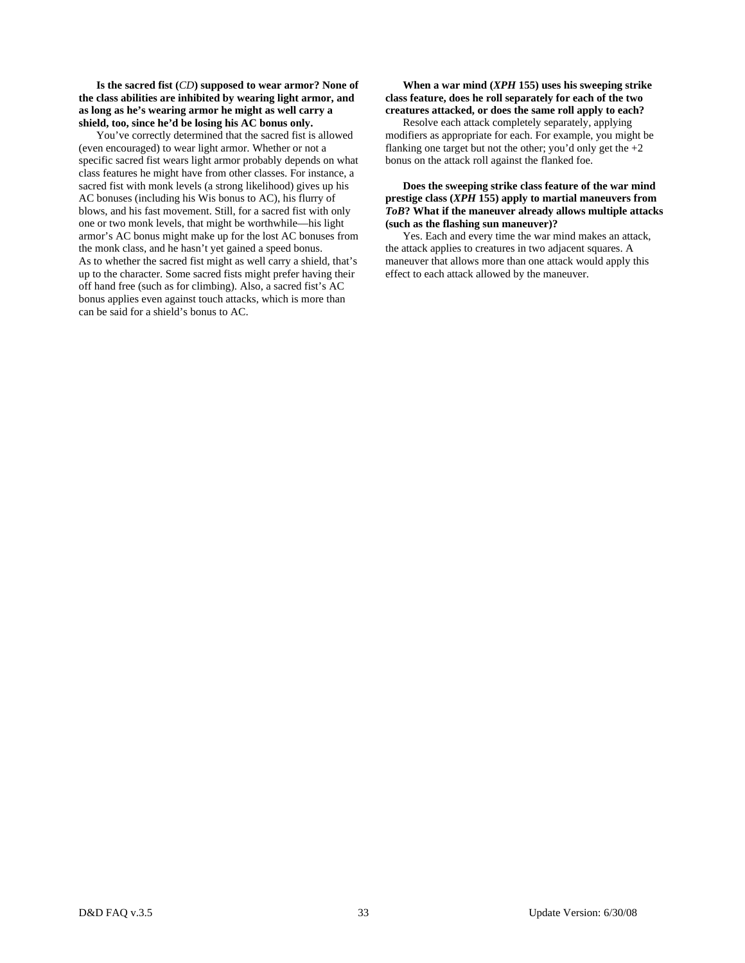**Is the sacred fist (***CD***) supposed to wear armor? None of the class abilities are inhibited by wearing light armor, and as long as he's wearing armor he might as well carry a shield, too, since he'd be losing his AC bonus only.** 

 You've correctly determined that the sacred fist is allowed (even encouraged) to wear light armor. Whether or not a specific sacred fist wears light armor probably depends on what class features he might have from other classes. For instance, a sacred fist with monk levels (a strong likelihood) gives up his AC bonuses (including his Wis bonus to AC), his flurry of blows, and his fast movement. Still, for a sacred fist with only one or two monk levels, that might be worthwhile—his light armor's AC bonus might make up for the lost AC bonuses from the monk class, and he hasn't yet gained a speed bonus. As to whether the sacred fist might as well carry a shield, that's up to the character. Some sacred fists might prefer having their off hand free (such as for climbing). Also, a sacred fist's AC bonus applies even against touch attacks, which is more than can be said for a shield's bonus to AC.

#### **When a war mind (***XPH* **155) uses his sweeping strike class feature, does he roll separately for each of the two creatures attacked, or does the same roll apply to each?**

 Resolve each attack completely separately, applying modifiers as appropriate for each. For example, you might be flanking one target but not the other; you'd only get the  $+2$ bonus on the attack roll against the flanked foe.

#### **Does the sweeping strike class feature of the war mind prestige class (***XPH* **155) apply to martial maneuvers from**  *ToB***? What if the maneuver already allows multiple attacks (such as the flashing sun maneuver)?**

 Yes. Each and every time the war mind makes an attack, the attack applies to creatures in two adjacent squares. A maneuver that allows more than one attack would apply this effect to each attack allowed by the maneuver.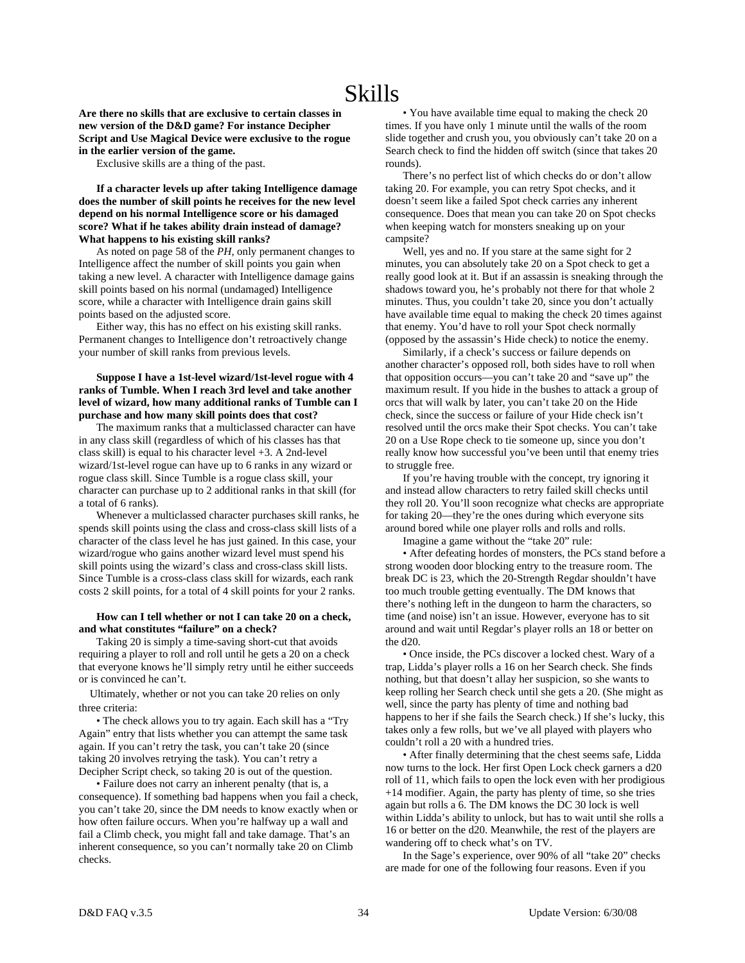# Skills

**Are there no skills that are exclusive to certain classes in new version of the D&D game? For instance Decipher Script and Use Magical Device were exclusive to the rogue in the earlier version of the game.** 

Exclusive skills are a thing of the past.

 **If a character levels up after taking Intelligence damage does the number of skill points he receives for the new level depend on his normal Intelligence score or his damaged score? What if he takes ability drain instead of damage? What happens to his existing skill ranks?** 

 As noted on page 58 of the *PH,* only permanent changes to Intelligence affect the number of skill points you gain when taking a new level. A character with Intelligence damage gains skill points based on his normal (undamaged) Intelligence score, while a character with Intelligence drain gains skill points based on the adjusted score.

 Either way, this has no effect on his existing skill ranks. Permanent changes to Intelligence don't retroactively change your number of skill ranks from previous levels.

#### **Suppose I have a 1st-level wizard/1st-level rogue with 4 ranks of Tumble. When I reach 3rd level and take another level of wizard, how many additional ranks of Tumble can I purchase and how many skill points does that cost?**

 The maximum ranks that a multiclassed character can have in any class skill (regardless of which of his classes has that class skill) is equal to his character level +3. A 2nd-level wizard/1st-level rogue can have up to 6 ranks in any wizard or rogue class skill. Since Tumble is a rogue class skill, your character can purchase up to 2 additional ranks in that skill (for a total of 6 ranks).

 Whenever a multiclassed character purchases skill ranks, he spends skill points using the class and cross-class skill lists of a character of the class level he has just gained. In this case, your wizard/rogue who gains another wizard level must spend his skill points using the wizard's class and cross-class skill lists. Since Tumble is a cross-class class skill for wizards, each rank costs 2 skill points, for a total of 4 skill points for your 2 ranks.

#### **How can I tell whether or not I can take 20 on a check, and what constitutes "failure" on a check?**

 Taking 20 is simply a time-saving short-cut that avoids requiring a player to roll and roll until he gets a 20 on a check that everyone knows he'll simply retry until he either succeeds or is convinced he can't.

 Ultimately, whether or not you can take 20 relies on only three criteria:

 • The check allows you to try again. Each skill has a "Try Again" entry that lists whether you can attempt the same task again. If you can't retry the task, you can't take 20 (since taking 20 involves retrying the task). You can't retry a Decipher Script check, so taking 20 is out of the question.

 • Failure does not carry an inherent penalty (that is, a consequence). If something bad happens when you fail a check, you can't take 20, since the DM needs to know exactly when or how often failure occurs. When you're halfway up a wall and fail a Climb check, you might fall and take damage. That's an inherent consequence, so you can't normally take 20 on Climb checks.

 • You have available time equal to making the check 20 times. If you have only 1 minute until the walls of the room slide together and crush you, you obviously can't take 20 on a Search check to find the hidden off switch (since that takes 20 rounds).

 There's no perfect list of which checks do or don't allow taking 20. For example, you can retry Spot checks, and it doesn't seem like a failed Spot check carries any inherent consequence. Does that mean you can take 20 on Spot checks when keeping watch for monsters sneaking up on your campsite?

 Well, yes and no. If you stare at the same sight for 2 minutes, you can absolutely take 20 on a Spot check to get a really good look at it. But if an assassin is sneaking through the shadows toward you, he's probably not there for that whole 2 minutes. Thus, you couldn't take 20, since you don't actually have available time equal to making the check 20 times against that enemy. You'd have to roll your Spot check normally (opposed by the assassin's Hide check) to notice the enemy.

 Similarly, if a check's success or failure depends on another character's opposed roll, both sides have to roll when that opposition occurs—you can't take 20 and "save up" the maximum result. If you hide in the bushes to attack a group of orcs that will walk by later, you can't take 20 on the Hide check, since the success or failure of your Hide check isn't resolved until the orcs make their Spot checks. You can't take 20 on a Use Rope check to tie someone up, since you don't really know how successful you've been until that enemy tries to struggle free.

 If you're having trouble with the concept, try ignoring it and instead allow characters to retry failed skill checks until they roll 20. You'll soon recognize what checks are appropriate for taking 20—they're the ones during which everyone sits around bored while one player rolls and rolls and rolls.

Imagine a game without the "take 20" rule:

 • After defeating hordes of monsters, the PCs stand before a strong wooden door blocking entry to the treasure room. The break DC is 23, which the 20-Strength Regdar shouldn't have too much trouble getting eventually. The DM knows that there's nothing left in the dungeon to harm the characters, so time (and noise) isn't an issue. However, everyone has to sit around and wait until Regdar's player rolls an 18 or better on the d20.

 • Once inside, the PCs discover a locked chest. Wary of a trap, Lidda's player rolls a 16 on her Search check. She finds nothing, but that doesn't allay her suspicion, so she wants to keep rolling her Search check until she gets a 20. (She might as well, since the party has plenty of time and nothing bad happens to her if she fails the Search check.) If she's lucky, this takes only a few rolls, but we've all played with players who couldn't roll a 20 with a hundred tries.

 • After finally determining that the chest seems safe, Lidda now turns to the lock. Her first Open Lock check garners a d20 roll of 11, which fails to open the lock even with her prodigious +14 modifier. Again, the party has plenty of time, so she tries again but rolls a 6. The DM knows the DC 30 lock is well within Lidda's ability to unlock, but has to wait until she rolls a 16 or better on the d20. Meanwhile, the rest of the players are wandering off to check what's on TV.

 In the Sage's experience, over 90% of all "take 20" checks are made for one of the following four reasons. Even if you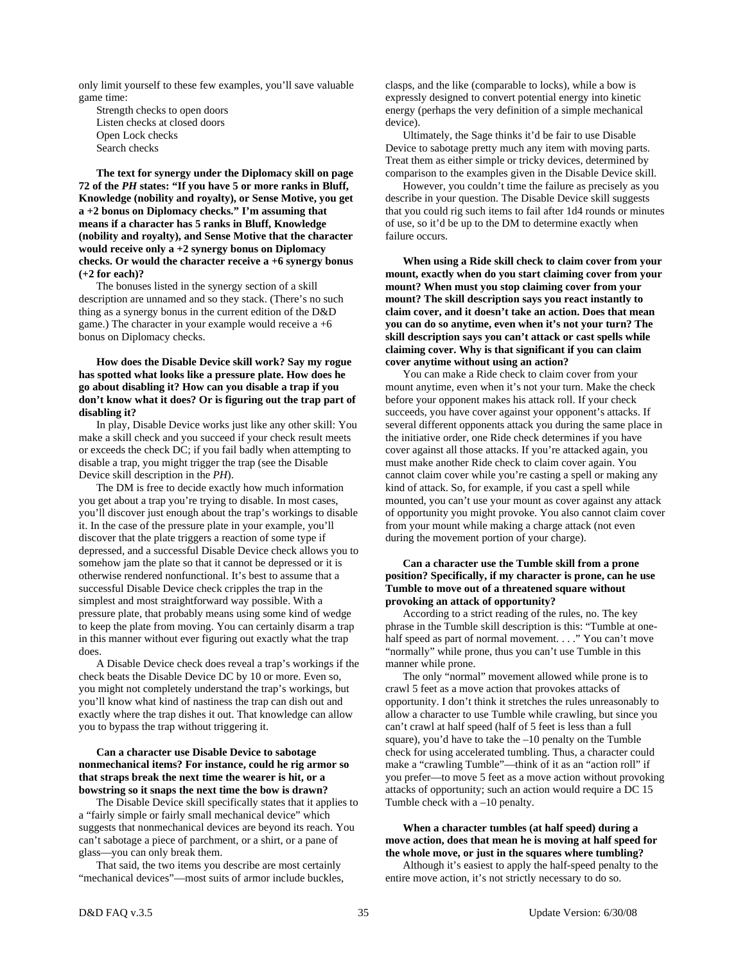only limit yourself to these few examples, you'll save valuable game time:

 Strength checks to open doors Listen checks at closed doors Open Lock checks Search checks

 **The text for synergy under the Diplomacy skill on page 72 of the** *PH* **states: "If you have 5 or more ranks in Bluff, Knowledge (nobility and royalty), or Sense Motive, you get a +2 bonus on Diplomacy checks." I'm assuming that means if a character has 5 ranks in Bluff, Knowledge (nobility and royalty), and Sense Motive that the character would receive only a +2 synergy bonus on Diplomacy checks. Or would the character receive a +6 synergy bonus (+2 for each)?** 

 The bonuses listed in the synergy section of a skill description are unnamed and so they stack. (There's no such thing as a synergy bonus in the current edition of the D&D game.) The character in your example would receive  $a + 6$ bonus on Diplomacy checks.

 **How does the Disable Device skill work? Say my rogue has spotted what looks like a pressure plate. How does he go about disabling it? How can you disable a trap if you don't know what it does? Or is figuring out the trap part of disabling it?** 

 In play, Disable Device works just like any other skill: You make a skill check and you succeed if your check result meets or exceeds the check DC; if you fail badly when attempting to disable a trap, you might trigger the trap (see the Disable Device skill description in the *PH*).

 The DM is free to decide exactly how much information you get about a trap you're trying to disable. In most cases, you'll discover just enough about the trap's workings to disable it. In the case of the pressure plate in your example, you'll discover that the plate triggers a reaction of some type if depressed, and a successful Disable Device check allows you to somehow jam the plate so that it cannot be depressed or it is otherwise rendered nonfunctional. It's best to assume that a successful Disable Device check cripples the trap in the simplest and most straightforward way possible. With a pressure plate, that probably means using some kind of wedge to keep the plate from moving. You can certainly disarm a trap in this manner without ever figuring out exactly what the trap does.

 A Disable Device check does reveal a trap's workings if the check beats the Disable Device DC by 10 or more. Even so, you might not completely understand the trap's workings, but you'll know what kind of nastiness the trap can dish out and exactly where the trap dishes it out. That knowledge can allow you to bypass the trap without triggering it.

#### **Can a character use Disable Device to sabotage nonmechanical items? For instance, could he rig armor so that straps break the next time the wearer is hit, or a bowstring so it snaps the next time the bow is drawn?**

 The Disable Device skill specifically states that it applies to a "fairly simple or fairly small mechanical device" which suggests that nonmechanical devices are beyond its reach. You can't sabotage a piece of parchment, or a shirt, or a pane of glass—you can only break them.

 That said, the two items you describe are most certainly "mechanical devices"—most suits of armor include buckles, clasps, and the like (comparable to locks), while a bow is expressly designed to convert potential energy into kinetic energy (perhaps the very definition of a simple mechanical device).

 Ultimately, the Sage thinks it'd be fair to use Disable Device to sabotage pretty much any item with moving parts. Treat them as either simple or tricky devices, determined by comparison to the examples given in the Disable Device skill.

 However, you couldn't time the failure as precisely as you describe in your question. The Disable Device skill suggests that you could rig such items to fail after 1d4 rounds or minutes of use, so it'd be up to the DM to determine exactly when failure occurs.

 **When using a Ride skill check to claim cover from your mount, exactly when do you start claiming cover from your mount? When must you stop claiming cover from your mount? The skill description says you react instantly to claim cover, and it doesn't take an action. Does that mean you can do so anytime, even when it's not your turn? The skill description says you can't attack or cast spells while claiming cover. Why is that significant if you can claim cover anytime without using an action?** 

 You can make a Ride check to claim cover from your mount anytime, even when it's not your turn. Make the check before your opponent makes his attack roll. If your check succeeds, you have cover against your opponent's attacks. If several different opponents attack you during the same place in the initiative order, one Ride check determines if you have cover against all those attacks. If you're attacked again, you must make another Ride check to claim cover again. You cannot claim cover while you're casting a spell or making any kind of attack. So, for example, if you cast a spell while mounted, you can't use your mount as cover against any attack of opportunity you might provoke. You also cannot claim cover from your mount while making a charge attack (not even during the movement portion of your charge).

#### **Can a character use the Tumble skill from a prone position? Specifically, if my character is prone, can he use Tumble to move out of a threatened square without provoking an attack of opportunity?**

 According to a strict reading of the rules, no. The key phrase in the Tumble skill description is this: "Tumble at onehalf speed as part of normal movement. . . ." You can't move "normally" while prone, thus you can't use Tumble in this manner while prone.

 The only "normal" movement allowed while prone is to crawl 5 feet as a move action that provokes attacks of opportunity. I don't think it stretches the rules unreasonably to allow a character to use Tumble while crawling, but since you can't crawl at half speed (half of 5 feet is less than a full square), you'd have to take the –10 penalty on the Tumble check for using accelerated tumbling. Thus, a character could make a "crawling Tumble"—think of it as an "action roll" if you prefer—to move 5 feet as a move action without provoking attacks of opportunity; such an action would require a DC 15 Tumble check with a –10 penalty.

 **When a character tumbles (at half speed) during a move action, does that mean he is moving at half speed for the whole move, or just in the squares where tumbling?** 

 Although it's easiest to apply the half-speed penalty to the entire move action, it's not strictly necessary to do so.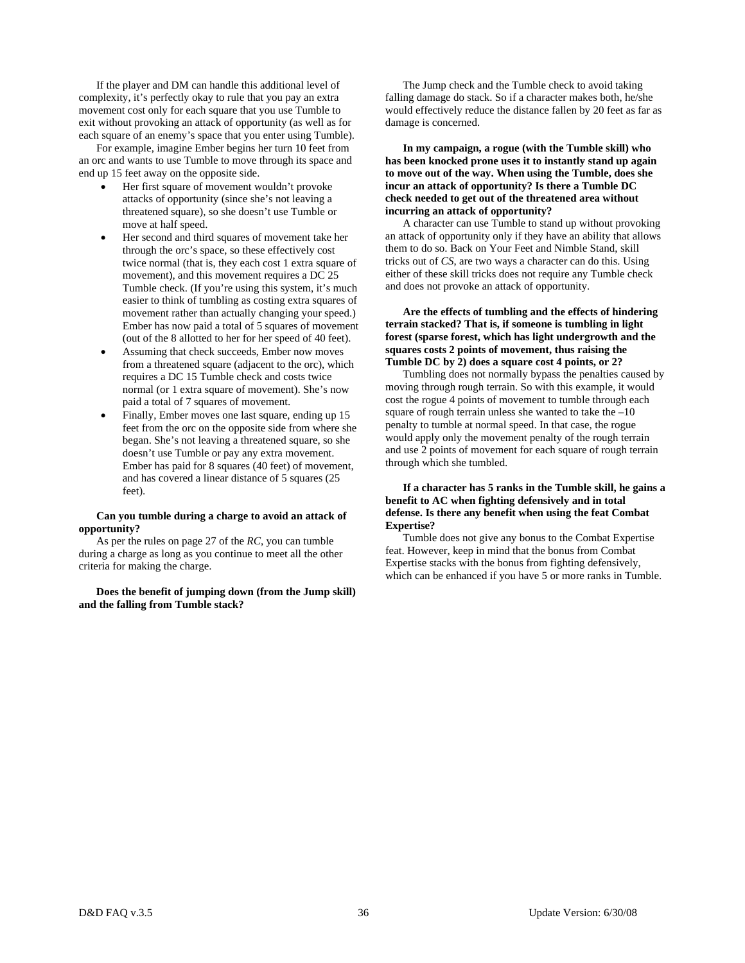If the player and DM can handle this additional level of complexity, it's perfectly okay to rule that you pay an extra movement cost only for each square that you use Tumble to exit without provoking an attack of opportunity (as well as for each square of an enemy's space that you enter using Tumble).

 For example, imagine Ember begins her turn 10 feet from an orc and wants to use Tumble to move through its space and end up 15 feet away on the opposite side.

- Her first square of movement wouldn't provoke attacks of opportunity (since she's not leaving a threatened square), so she doesn't use Tumble or move at half speed.
- Her second and third squares of movement take her through the orc's space, so these effectively cost twice normal (that is, they each cost 1 extra square of movement), and this movement requires a DC 25 Tumble check. (If you're using this system, it's much easier to think of tumbling as costing extra squares of movement rather than actually changing your speed.) Ember has now paid a total of 5 squares of movement (out of the 8 allotted to her for her speed of 40 feet).
- Assuming that check succeeds, Ember now moves from a threatened square (adjacent to the orc), which requires a DC 15 Tumble check and costs twice normal (or 1 extra square of movement). She's now paid a total of 7 squares of movement.
- Finally, Ember moves one last square, ending up 15 feet from the orc on the opposite side from where she began. She's not leaving a threatened square, so she doesn't use Tumble or pay any extra movement. Ember has paid for 8 squares (40 feet) of movement, and has covered a linear distance of 5 squares (25 feet).

#### **Can you tumble during a charge to avoid an attack of opportunity?**

 As per the rules on page 27 of the *RC*, you can tumble during a charge as long as you continue to meet all the other criteria for making the charge.

 **Does the benefit of jumping down (from the Jump skill) and the falling from Tumble stack?** 

 The Jump check and the Tumble check to avoid taking falling damage do stack. So if a character makes both, he/she would effectively reduce the distance fallen by 20 feet as far as damage is concerned.

 **In my campaign, a rogue (with the Tumble skill) who has been knocked prone uses it to instantly stand up again to move out of the way. When using the Tumble, does she incur an attack of opportunity? Is there a Tumble DC check needed to get out of the threatened area without incurring an attack of opportunity?** 

 A character can use Tumble to stand up without provoking an attack of opportunity only if they have an ability that allows them to do so. Back on Your Feet and Nimble Stand, skill tricks out of *CS*, are two ways a character can do this. Using either of these skill tricks does not require any Tumble check and does not provoke an attack of opportunity.

#### **Are the effects of tumbling and the effects of hindering terrain stacked? That is, if someone is tumbling in light forest (sparse forest, which has light undergrowth and the squares costs 2 points of movement, thus raising the Tumble DC by 2) does a square cost 4 points, or 2?**

Tumbling does not normally bypass the penalties caused by moving through rough terrain. So with this example, it would cost the rogue 4 points of movement to tumble through each square of rough terrain unless she wanted to take the –10 penalty to tumble at normal speed. In that case, the rogue would apply only the movement penalty of the rough terrain and use 2 points of movement for each square of rough terrain through which she tumbled.

#### **If a character has 5 ranks in the Tumble skill, he gains a benefit to AC when fighting defensively and in total defense. Is there any benefit when using the feat Combat Expertise?**

Tumble does not give any bonus to the Combat Expertise feat. However, keep in mind that the bonus from Combat Expertise stacks with the bonus from fighting defensively, which can be enhanced if you have 5 or more ranks in Tumble.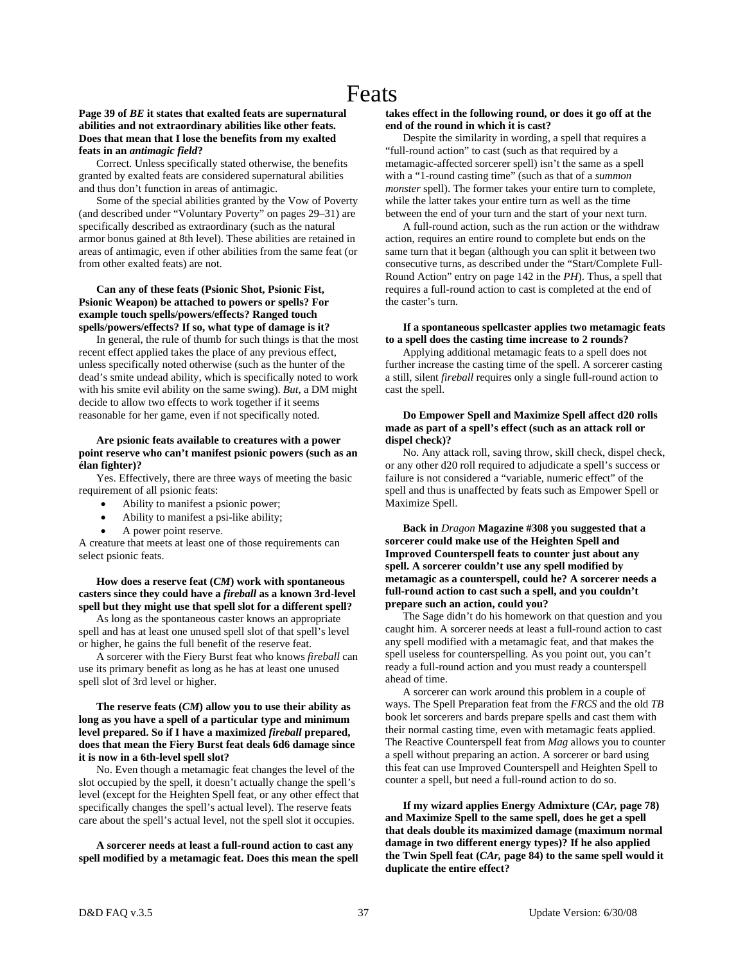# **Page 39 of** *BE* **it states that exalted feats are supernatural abilities and not extraordinary abilities like other feats. Does that mean that I lose the benefits from my exalted feats in an** *antimagic field***?**

 Correct. Unless specifically stated otherwise, the benefits granted by exalted feats are considered supernatural abilities and thus don't function in areas of antimagic.

 Some of the special abilities granted by the Vow of Poverty (and described under "Voluntary Poverty" on pages 29–31) are specifically described as extraordinary (such as the natural armor bonus gained at 8th level). These abilities are retained in areas of antimagic, even if other abilities from the same feat (or from other exalted feats) are not.

# **Can any of these feats (Psionic Shot, Psionic Fist, Psionic Weapon) be attached to powers or spells? For example touch spells/powers/effects? Ranged touch spells/powers/effects? If so, what type of damage is it?**

 In general, the rule of thumb for such things is that the most recent effect applied takes the place of any previous effect, unless specifically noted otherwise (such as the hunter of the dead's smite undead ability, which is specifically noted to work with his smite evil ability on the same swing). *But*, a DM might decide to allow two effects to work together if it seems reasonable for her game, even if not specifically noted.

# **Are psionic feats available to creatures with a power point reserve who can't manifest psionic powers (such as an élan fighter)?**

 Yes. Effectively, there are three ways of meeting the basic requirement of all psionic feats:

- Ability to manifest a psionic power;
- Ability to manifest a psi-like ability;
- A power point reserve.

A creature that meets at least one of those requirements can select psionic feats.

# **How does a reserve feat (***CM***) work with spontaneous casters since they could have a** *fireball* **as a known 3rd-level spell but they might use that spell slot for a different spell?**

 As long as the spontaneous caster knows an appropriate spell and has at least one unused spell slot of that spell's level or higher, he gains the full benefit of the reserve feat.

 A sorcerer with the Fiery Burst feat who knows *fireball* can use its primary benefit as long as he has at least one unused spell slot of 3rd level or higher.

# **The reserve feats (***CM***) allow you to use their ability as long as you have a spell of a particular type and minimum level prepared. So if I have a maximized** *fireball* **prepared, does that mean the Fiery Burst feat deals 6d6 damage since it is now in a 6th-level spell slot?**

 No. Even though a metamagic feat changes the level of the slot occupied by the spell, it doesn't actually change the spell's level (except for the Heighten Spell feat, or any other effect that specifically changes the spell's actual level). The reserve feats care about the spell's actual level, not the spell slot it occupies.

 **A sorcerer needs at least a full-round action to cast any spell modified by a metamagic feat. Does this mean the spell** 

#### **takes effect in the following round, or does it go off at the end of the round in which it is cast?**

 Despite the similarity in wording, a spell that requires a "full-round action" to cast (such as that required by a metamagic-affected sorcerer spell) isn't the same as a spell with a "1-round casting time" (such as that of a *summon monster* spell). The former takes your entire turn to complete, while the latter takes your entire turn as well as the time between the end of your turn and the start of your next turn.

 A full-round action, such as the run action or the withdraw action, requires an entire round to complete but ends on the same turn that it began (although you can split it between two consecutive turns, as described under the "Start/Complete Full-Round Action" entry on page 142 in the *PH*). Thus, a spell that requires a full-round action to cast is completed at the end of the caster's turn.

# **If a spontaneous spellcaster applies two metamagic feats to a spell does the casting time increase to 2 rounds?**

 Applying additional metamagic feats to a spell does not further increase the casting time of the spell. A sorcerer casting a still, silent *fireball* requires only a single full-round action to cast the spell.

# **Do Empower Spell and Maximize Spell affect d20 rolls made as part of a spell's effect (such as an attack roll or dispel check)?**

 No. Any attack roll, saving throw, skill check, dispel check, or any other d20 roll required to adjudicate a spell's success or failure is not considered a "variable, numeric effect" of the spell and thus is unaffected by feats such as Empower Spell or Maximize Spell.

# **Back in** *Dragon* **Magazine #308 you suggested that a sorcerer could make use of the Heighten Spell and Improved Counterspell feats to counter just about any spell. A sorcerer couldn't use any spell modified by metamagic as a counterspell, could he? A sorcerer needs a full-round action to cast such a spell, and you couldn't prepare such an action, could you?**

 The Sage didn't do his homework on that question and you caught him. A sorcerer needs at least a full-round action to cast any spell modified with a metamagic feat, and that makes the spell useless for counterspelling. As you point out, you can't ready a full-round action and you must ready a counterspell ahead of time.

 A sorcerer can work around this problem in a couple of ways. The Spell Preparation feat from the *FRCS* and the old *TB*  book let sorcerers and bards prepare spells and cast them with their normal casting time, even with metamagic feats applied. The Reactive Counterspell feat from *Mag* allows you to counter a spell without preparing an action. A sorcerer or bard using this feat can use Improved Counterspell and Heighten Spell to counter a spell, but need a full-round action to do so.

 **If my wizard applies Energy Admixture (***CAr,* **page 78) and Maximize Spell to the same spell, does he get a spell that deals double its maximized damage (maximum normal damage in two different energy types)? If he also applied the Twin Spell feat (***CAr,* **page 84) to the same spell would it duplicate the entire effect?**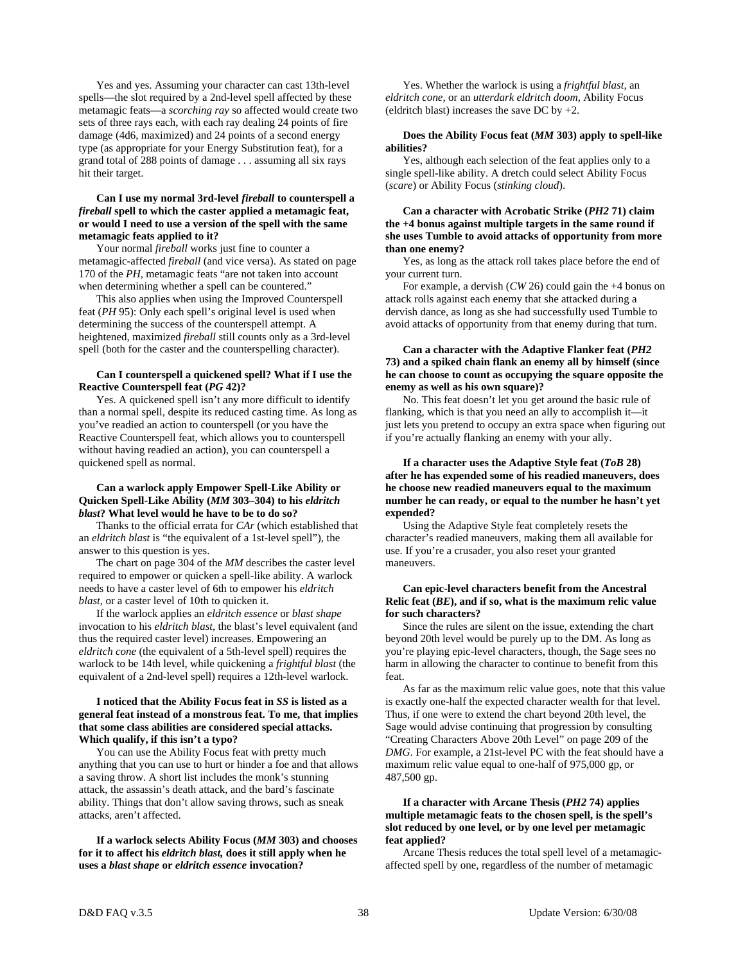Yes and yes. Assuming your character can cast 13th-level spells—the slot required by a 2nd-level spell affected by these metamagic feats—a *scorching ray* so affected would create two sets of three rays each, with each ray dealing 24 points of fire damage (4d6, maximized) and 24 points of a second energy type (as appropriate for your Energy Substitution feat), for a grand total of 288 points of damage . . . assuming all six rays hit their target.

# **Can I use my normal 3rd-level** *fireball* **to counterspell a**  *fireball* **spell to which the caster applied a metamagic feat, or would I need to use a version of the spell with the same metamagic feats applied to it?**

 Your normal *fireball* works just fine to counter a metamagic-affected *fireball* (and vice versa). As stated on page 170 of the *PH,* metamagic feats "are not taken into account when determining whether a spell can be countered."

 This also applies when using the Improved Counterspell feat (*PH* 95): Only each spell's original level is used when determining the success of the counterspell attempt. A heightened, maximized *fireball* still counts only as a 3rd-level spell (both for the caster and the counterspelling character).

# **Can I counterspell a quickened spell? What if I use the Reactive Counterspell feat (***PG* **42)?**

 Yes. A quickened spell isn't any more difficult to identify than a normal spell, despite its reduced casting time. As long as you've readied an action to counterspell (or you have the Reactive Counterspell feat, which allows you to counterspell without having readied an action), you can counterspell a quickened spell as normal.

# **Can a warlock apply Empower Spell-Like Ability or Quicken Spell-Like Ability (***MM* **303–304) to his** *eldritch blast***? What level would he have to be to do so?**

 Thanks to the official errata for *CAr* (which established that an *eldritch blast* is "the equivalent of a 1st-level spell"), the answer to this question is yes.

 The chart on page 304 of the *MM* describes the caster level required to empower or quicken a spell-like ability. A warlock needs to have a caster level of 6th to empower his *eldritch blast,* or a caster level of 10th to quicken it.

 If the warlock applies an *eldritch essence* or *blast shape* invocation to his *eldritch blast,* the blast's level equivalent (and thus the required caster level) increases. Empowering an *eldritch cone* (the equivalent of a 5th-level spell) requires the warlock to be 14th level, while quickening a *frightful blast* (the equivalent of a 2nd-level spell) requires a 12th-level warlock.

# **I noticed that the Ability Focus feat in** *SS* **is listed as a general feat instead of a monstrous feat. To me, that implies that some class abilities are considered special attacks. Which qualify, if this isn't a typo?**

 You can use the Ability Focus feat with pretty much anything that you can use to hurt or hinder a foe and that allows a saving throw. A short list includes the monk's stunning attack, the assassin's death attack, and the bard's fascinate ability. Things that don't allow saving throws, such as sneak attacks, aren't affected.

 **If a warlock selects Ability Focus (***MM* **303) and chooses for it to affect his** *eldritch blast,* **does it still apply when he uses a** *blast shape* **or** *eldritch essence* **invocation?** 

 Yes. Whether the warlock is using a *frightful blast,* an *eldritch cone,* or an *utterdark eldritch doom,* Ability Focus (eldritch blast) increases the save DC by  $+2$ .

## **Does the Ability Focus feat (***MM* **303) apply to spell-like abilities?**

 Yes, although each selection of the feat applies only to a single spell-like ability. A dretch could select Ability Focus (*scare*) or Ability Focus (*stinking cloud*).

#### **Can a character with Acrobatic Strike (***PH2* **71) claim the +4 bonus against multiple targets in the same round if she uses Tumble to avoid attacks of opportunity from more than one enemy?**

 Yes, as long as the attack roll takes place before the end of your current turn.

 For example, a dervish (*CW* 26) could gain the +4 bonus on attack rolls against each enemy that she attacked during a dervish dance, as long as she had successfully used Tumble to avoid attacks of opportunity from that enemy during that turn.

# **Can a character with the Adaptive Flanker feat (***PH2* **73) and a spiked chain flank an enemy all by himself (since he can choose to count as occupying the square opposite the enemy as well as his own square)?**

 No. This feat doesn't let you get around the basic rule of flanking, which is that you need an ally to accomplish it—it just lets you pretend to occupy an extra space when figuring out if you're actually flanking an enemy with your ally.

# **If a character uses the Adaptive Style feat (***ToB* **28) after he has expended some of his readied maneuvers, does he choose new readied maneuvers equal to the maximum number he can ready, or equal to the number he hasn't yet expended?**

 Using the Adaptive Style feat completely resets the character's readied maneuvers, making them all available for use. If you're a crusader, you also reset your granted maneuvers.

# **Can epic-level characters benefit from the Ancestral Relic feat (***BE***), and if so, what is the maximum relic value for such characters?**

 Since the rules are silent on the issue, extending the chart beyond 20th level would be purely up to the DM. As long as you're playing epic-level characters, though, the Sage sees no harm in allowing the character to continue to benefit from this feat.

 As far as the maximum relic value goes, note that this value is exactly one-half the expected character wealth for that level. Thus, if one were to extend the chart beyond 20th level, the Sage would advise continuing that progression by consulting "Creating Characters Above 20th Level" on page 209 of the *DMG*. For example, a 21st-level PC with the feat should have a maximum relic value equal to one-half of 975,000 gp, or 487,500 gp.

# **If a character with Arcane Thesis (***PH2* **74) applies multiple metamagic feats to the chosen spell, is the spell's slot reduced by one level, or by one level per metamagic feat applied?**

 Arcane Thesis reduces the total spell level of a metamagicaffected spell by one, regardless of the number of metamagic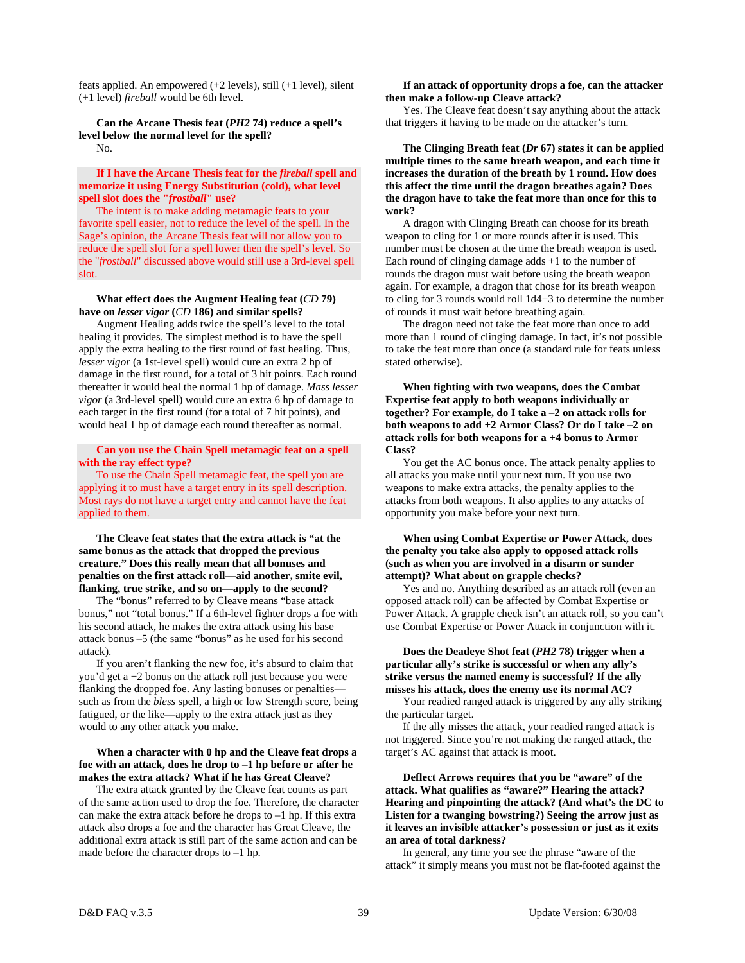feats applied. An empowered (+2 levels), still (+1 level), silent (+1 level) *fireball* would be 6th level.

 **Can the Arcane Thesis feat (***PH2* **74) reduce a spell's level below the normal level for the spell?**  No.

 **If I have the Arcane Thesis feat for the** *fireball* **spell and memorize it using Energy Substitution (cold), what level spell slot does the "***frostball***" use?** 

 The intent is to make adding metamagic feats to your favorite spell easier, not to reduce the level of the spell. In the Sage's opinion, the Arcane Thesis feat will not allow you to reduce the spell slot for a spell lower then the spell's level. So the "*frostball*" discussed above would still use a 3rd-level spell slot.

#### **What effect does the Augment Healing feat (***CD* **79) have on** *lesser vigor* **(***CD* **186) and similar spells?**

 Augment Healing adds twice the spell's level to the total healing it provides. The simplest method is to have the spell apply the extra healing to the first round of fast healing. Thus, *lesser vigor* (a 1st-level spell) would cure an extra 2 hp of damage in the first round, for a total of 3 hit points. Each round thereafter it would heal the normal 1 hp of damage. *Mass lesser vigor* (a 3rd-level spell) would cure an extra 6 hp of damage to each target in the first round (for a total of 7 hit points), and would heal 1 hp of damage each round thereafter as normal.

# **Can you use the Chain Spell metamagic feat on a spell with the ray effect type?**

 To use the Chain Spell metamagic feat, the spell you are applying it to must have a target entry in its spell description. Most rays do not have a target entry and cannot have the feat applied to them.

# **The Cleave feat states that the extra attack is "at the same bonus as the attack that dropped the previous creature." Does this really mean that all bonuses and penalties on the first attack roll—aid another, smite evil, flanking, true strike, and so on—apply to the second?**

 The "bonus" referred to by Cleave means "base attack bonus," not "total bonus." If a 6th-level fighter drops a foe with his second attack, he makes the extra attack using his base attack bonus –5 (the same "bonus" as he used for his second attack).

 If you aren't flanking the new foe, it's absurd to claim that you'd get a +2 bonus on the attack roll just because you were flanking the dropped foe. Any lasting bonuses or penalties such as from the *bless* spell, a high or low Strength score, being fatigued, or the like—apply to the extra attack just as they would to any other attack you make.

# **When a character with 0 hp and the Cleave feat drops a foe with an attack, does he drop to –1 hp before or after he makes the extra attack? What if he has Great Cleave?**

 The extra attack granted by the Cleave feat counts as part of the same action used to drop the foe. Therefore, the character can make the extra attack before he drops to –1 hp. If this extra attack also drops a foe and the character has Great Cleave, the additional extra attack is still part of the same action and can be made before the character drops to –1 hp.

## **If an attack of opportunity drops a foe, can the attacker then make a follow-up Cleave attack?**

 Yes. The Cleave feat doesn't say anything about the attack that triggers it having to be made on the attacker's turn.

 **The Clinging Breath feat (***Dr* **67) states it can be applied multiple times to the same breath weapon, and each time it increases the duration of the breath by 1 round. How does this affect the time until the dragon breathes again? Does the dragon have to take the feat more than once for this to work?** 

 A dragon with Clinging Breath can choose for its breath weapon to cling for 1 or more rounds after it is used. This number must be chosen at the time the breath weapon is used. Each round of clinging damage adds +1 to the number of rounds the dragon must wait before using the breath weapon again. For example, a dragon that chose for its breath weapon to cling for 3 rounds would roll 1d4+3 to determine the number of rounds it must wait before breathing again.

 The dragon need not take the feat more than once to add more than 1 round of clinging damage. In fact, it's not possible to take the feat more than once (a standard rule for feats unless stated otherwise).

 **When fighting with two weapons, does the Combat Expertise feat apply to both weapons individually or together? For example, do I take a –2 on attack rolls for both weapons to add +2 Armor Class? Or do I take –2 on attack rolls for both weapons for a +4 bonus to Armor Class?** 

 You get the AC bonus once. The attack penalty applies to all attacks you make until your next turn. If you use two weapons to make extra attacks, the penalty applies to the attacks from both weapons. It also applies to any attacks of opportunity you make before your next turn.

# **When using Combat Expertise or Power Attack, does the penalty you take also apply to opposed attack rolls (such as when you are involved in a disarm or sunder attempt)? What about on grapple checks?**

 Yes and no. Anything described as an attack roll (even an opposed attack roll) can be affected by Combat Expertise or Power Attack. A grapple check isn't an attack roll, so you can't use Combat Expertise or Power Attack in conjunction with it.

# **Does the Deadeye Shot feat (***PH2* **78) trigger when a particular ally's strike is successful or when any ally's strike versus the named enemy is successful? If the ally misses his attack, does the enemy use its normal AC?**

 Your readied ranged attack is triggered by any ally striking the particular target.

 If the ally misses the attack, your readied ranged attack is not triggered. Since you're not making the ranged attack, the target's AC against that attack is moot.

 **Deflect Arrows requires that you be "aware" of the attack. What qualifies as "aware?" Hearing the attack? Hearing and pinpointing the attack? (And what's the DC to Listen for a twanging bowstring?) Seeing the arrow just as it leaves an invisible attacker's possession or just as it exits an area of total darkness?** 

 In general, any time you see the phrase "aware of the attack" it simply means you must not be flat-footed against the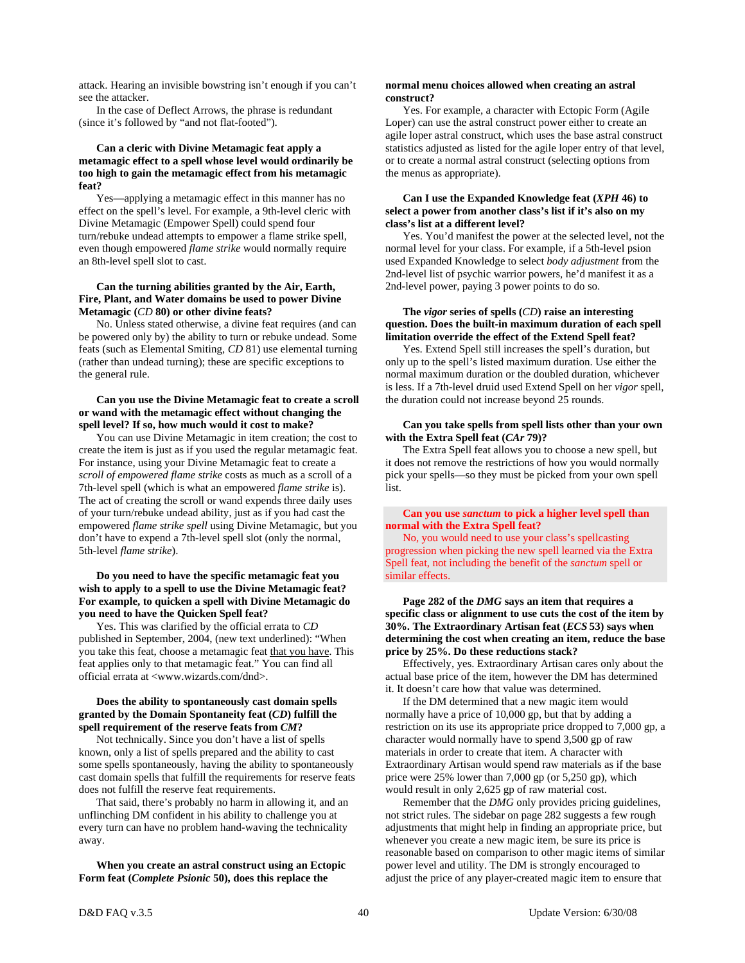attack. Hearing an invisible bowstring isn't enough if you can't see the attacker.

 In the case of Deflect Arrows, the phrase is redundant (since it's followed by "and not flat-footed").

# **Can a cleric with Divine Metamagic feat apply a metamagic effect to a spell whose level would ordinarily be too high to gain the metamagic effect from his metamagic feat?**

 Yes—applying a metamagic effect in this manner has no effect on the spell's level. For example, a 9th-level cleric with Divine Metamagic (Empower Spell) could spend four turn/rebuke undead attempts to empower a flame strike spell, even though empowered *flame strike* would normally require an 8th-level spell slot to cast.

# **Can the turning abilities granted by the Air, Earth, Fire, Plant, and Water domains be used to power Divine Metamagic (***CD* **80) or other divine feats?**

 No. Unless stated otherwise, a divine feat requires (and can be powered only by) the ability to turn or rebuke undead. Some feats (such as Elemental Smiting, *CD* 81) use elemental turning (rather than undead turning); these are specific exceptions to the general rule.

# **Can you use the Divine Metamagic feat to create a scroll or wand with the metamagic effect without changing the spell level? If so, how much would it cost to make?**

 You can use Divine Metamagic in item creation; the cost to create the item is just as if you used the regular metamagic feat. For instance, using your Divine Metamagic feat to create a *scroll of empowered flame strike* costs as much as a scroll of a 7th-level spell (which is what an empowered *flame strike* is). The act of creating the scroll or wand expends three daily uses of your turn/rebuke undead ability, just as if you had cast the empowered *flame strike spell* using Divine Metamagic, but you don't have to expend a 7th-level spell slot (only the normal, 5th-level *flame strike*).

## **Do you need to have the specific metamagic feat you wish to apply to a spell to use the Divine Metamagic feat? For example, to quicken a spell with Divine Metamagic do you need to have the Quicken Spell feat?**

 Yes. This was clarified by the official errata to *CD* published in September, 2004, (new text underlined): "When you take this feat, choose a metamagic feat that you have. This feat applies only to that metamagic feat." You can find all official errata at <www.wizards.com/dnd>.

#### **Does the ability to spontaneously cast domain spells granted by the Domain Spontaneity feat (***CD***) fulfill the spell requirement of the reserve feats from** *CM***?**

 Not technically. Since you don't have a list of spells known, only a list of spells prepared and the ability to cast some spells spontaneously, having the ability to spontaneously cast domain spells that fulfill the requirements for reserve feats does not fulfill the reserve feat requirements.

 That said, there's probably no harm in allowing it, and an unflinching DM confident in his ability to challenge you at every turn can have no problem hand-waving the technicality away.

 **When you create an astral construct using an Ectopic Form feat (***Complete Psionic* **50), does this replace the** 

#### **normal menu choices allowed when creating an astral construct?**

 Yes. For example, a character with Ectopic Form (Agile Loper) can use the astral construct power either to create an agile loper astral construct, which uses the base astral construct statistics adjusted as listed for the agile loper entry of that level, or to create a normal astral construct (selecting options from the menus as appropriate).

## **Can I use the Expanded Knowledge feat (***XPH* **46) to select a power from another class's list if it's also on my class's list at a different level?**

 Yes. You'd manifest the power at the selected level, not the normal level for your class. For example, if a 5th-level psion used Expanded Knowledge to select *body adjustment* from the 2nd-level list of psychic warrior powers, he'd manifest it as a 2nd-level power, paying 3 power points to do so.

#### **The** *vigor* **series of spells (***CD***) raise an interesting question. Does the built-in maximum duration of each spell limitation override the effect of the Extend Spell feat?**

 Yes. Extend Spell still increases the spell's duration, but only up to the spell's listed maximum duration. Use either the normal maximum duration or the doubled duration, whichever is less. If a 7th-level druid used Extend Spell on her *vigor* spell, the duration could not increase beyond 25 rounds.

#### **Can you take spells from spell lists other than your own with the Extra Spell feat (***CAr* **79)?**

 The Extra Spell feat allows you to choose a new spell, but it does not remove the restrictions of how you would normally pick your spells—so they must be picked from your own spell list.

# **Can you use** *sanctum* **to pick a higher level spell than normal with the Extra Spell feat?**

 No, you would need to use your class's spellcasting progression when picking the new spell learned via the Extra Spell feat, not including the benefit of the *sanctum* spell or similar effects.

# **Page 282 of the** *DMG* **says an item that requires a specific class or alignment to use cuts the cost of the item by 30%. The Extraordinary Artisan feat (***ECS* **53) says when determining the cost when creating an item, reduce the base price by 25%. Do these reductions stack?**

 Effectively, yes. Extraordinary Artisan cares only about the actual base price of the item, however the DM has determined it. It doesn't care how that value was determined.

 If the DM determined that a new magic item would normally have a price of 10,000 gp, but that by adding a restriction on its use its appropriate price dropped to 7,000 gp, a character would normally have to spend 3,500 gp of raw materials in order to create that item. A character with Extraordinary Artisan would spend raw materials as if the base price were 25% lower than 7,000 gp (or 5,250 gp), which would result in only 2,625 gp of raw material cost.

 Remember that the *DMG* only provides pricing guidelines, not strict rules. The sidebar on page 282 suggests a few rough adjustments that might help in finding an appropriate price, but whenever you create a new magic item, be sure its price is reasonable based on comparison to other magic items of similar power level and utility. The DM is strongly encouraged to adjust the price of any player-created magic item to ensure that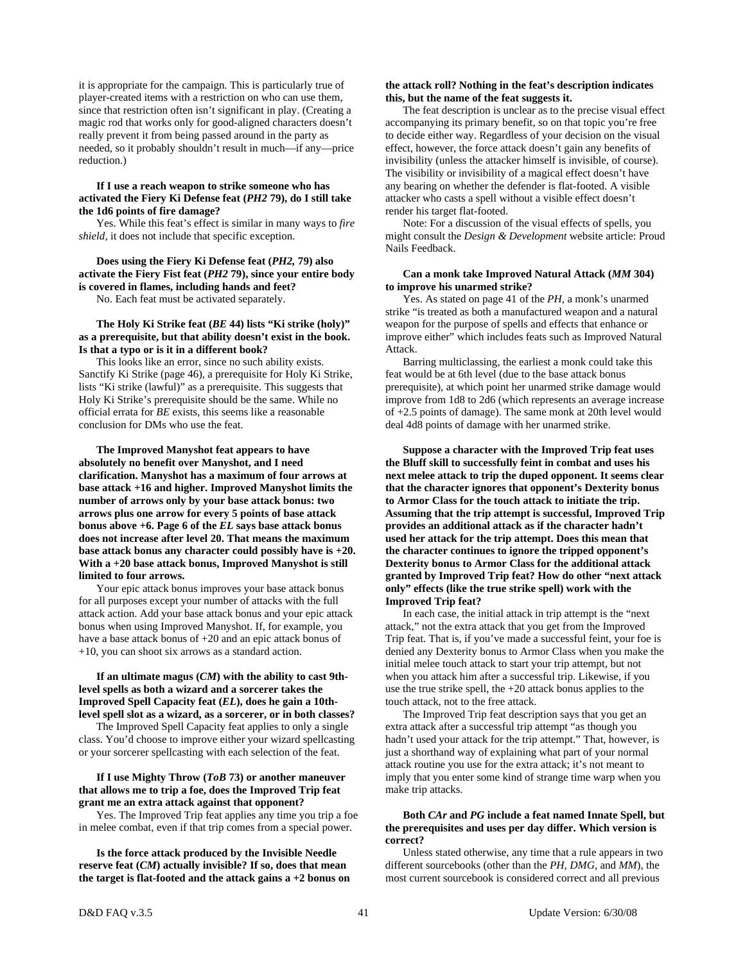it is appropriate for the campaign. This is particularly true of player-created items with a restriction on who can use them, since that restriction often isn't significant in play. (Creating a magic rod that works only for good-aligned characters doesn't really prevent it from being passed around in the party as needed, so it probably shouldn't result in much—if any—price reduction.)

# **If I use a reach weapon to strike someone who has activated the Fiery Ki Defense feat (***PH2* **79), do I still take the 1d6 points of fire damage?**

 Yes. While this feat's effect is similar in many ways to *fire shield,* it does not include that specific exception.

 **Does using the Fiery Ki Defense feat (***PH2,* **79) also activate the Fiery Fist feat (***PH2* **79), since your entire body is covered in flames, including hands and feet?** 

No. Each feat must be activated separately.

## **The Holy Ki Strike feat (***BE* **44) lists "Ki strike (holy)" as a prerequisite, but that ability doesn't exist in the book. Is that a typo or is it in a different book?**

 This looks like an error, since no such ability exists. Sanctify Ki Strike (page 46), a prerequisite for Holy Ki Strike, lists "Ki strike (lawful)" as a prerequisite. This suggests that Holy Ki Strike's prerequisite should be the same. While no official errata for *BE* exists, this seems like a reasonable conclusion for DMs who use the feat.

 **The Improved Manyshot feat appears to have absolutely no benefit over Manyshot, and I need clarification. Manyshot has a maximum of four arrows at base attack +16 and higher. Improved Manyshot limits the number of arrows only by your base attack bonus: two arrows plus one arrow for every 5 points of base attack bonus above +6. Page 6 of the** *EL* **says base attack bonus does not increase after level 20. That means the maximum base attack bonus any character could possibly have is +20. With a +20 base attack bonus, Improved Manyshot is still limited to four arrows.** 

 Your epic attack bonus improves your base attack bonus for all purposes except your number of attacks with the full attack action. Add your base attack bonus and your epic attack bonus when using Improved Manyshot. If, for example, you have a base attack bonus of +20 and an epic attack bonus of +10, you can shoot six arrows as a standard action.

# **If an ultimate magus (***CM***) with the ability to cast 9thlevel spells as both a wizard and a sorcerer takes the Improved Spell Capacity feat (***EL***), does he gain a 10thlevel spell slot as a wizard, as a sorcerer, or in both classes?**

 The Improved Spell Capacity feat applies to only a single class. You'd choose to improve either your wizard spellcasting or your sorcerer spellcasting with each selection of the feat.

# **If I use Mighty Throw (***ToB* **73) or another maneuver that allows me to trip a foe, does the Improved Trip feat grant me an extra attack against that opponent?**

 Yes. The Improved Trip feat applies any time you trip a foe in melee combat, even if that trip comes from a special power.

 **Is the force attack produced by the Invisible Needle reserve feat (***CM***) actually invisible? If so, does that mean the target is flat-footed and the attack gains a +2 bonus on** 

# **the attack roll? Nothing in the feat's description indicates this, but the name of the feat suggests it.**

 The feat description is unclear as to the precise visual effect accompanying its primary benefit, so on that topic you're free to decide either way. Regardless of your decision on the visual effect, however, the force attack doesn't gain any benefits of invisibility (unless the attacker himself is invisible, of course). The visibility or invisibility of a magical effect doesn't have any bearing on whether the defender is flat-footed. A visible attacker who casts a spell without a visible effect doesn't render his target flat-footed.

 Note: For a discussion of the visual effects of spells, you might consult the *Design & Development* website article: Proud Nails Feedback.

# **Can a monk take Improved Natural Attack (***MM* **304) to improve his unarmed strike?**

 Yes. As stated on page 41 of the *PH,* a monk's unarmed strike "is treated as both a manufactured weapon and a natural weapon for the purpose of spells and effects that enhance or improve either" which includes feats such as Improved Natural Attack.

 Barring multiclassing, the earliest a monk could take this feat would be at 6th level (due to the base attack bonus prerequisite), at which point her unarmed strike damage would improve from 1d8 to 2d6 (which represents an average increase of +2.5 points of damage). The same monk at 20th level would deal 4d8 points of damage with her unarmed strike.

 **Suppose a character with the Improved Trip feat uses the Bluff skill to successfully feint in combat and uses his next melee attack to trip the duped opponent. It seems clear that the character ignores that opponent's Dexterity bonus to Armor Class for the touch attack to initiate the trip. Assuming that the trip attempt is successful, Improved Trip provides an additional attack as if the character hadn't used her attack for the trip attempt. Does this mean that the character continues to ignore the tripped opponent's Dexterity bonus to Armor Class for the additional attack granted by Improved Trip feat? How do other "next attack only" effects (like the true strike spell) work with the Improved Trip feat?** 

 In each case, the initial attack in trip attempt is the "next attack," not the extra attack that you get from the Improved Trip feat. That is, if you've made a successful feint, your foe is denied any Dexterity bonus to Armor Class when you make the initial melee touch attack to start your trip attempt, but not when you attack him after a successful trip. Likewise, if you use the true strike spell, the +20 attack bonus applies to the touch attack, not to the free attack.

 The Improved Trip feat description says that you get an extra attack after a successful trip attempt "as though you hadn't used your attack for the trip attempt." That, however, is just a shorthand way of explaining what part of your normal attack routine you use for the extra attack; it's not meant to imply that you enter some kind of strange time warp when you make trip attacks.

# **Both** *CAr* **and** *PG* **include a feat named Innate Spell, but the prerequisites and uses per day differ. Which version is correct?**

 Unless stated otherwise, any time that a rule appears in two different sourcebooks (other than the *PH, DMG,* and *MM*), the most current sourcebook is considered correct and all previous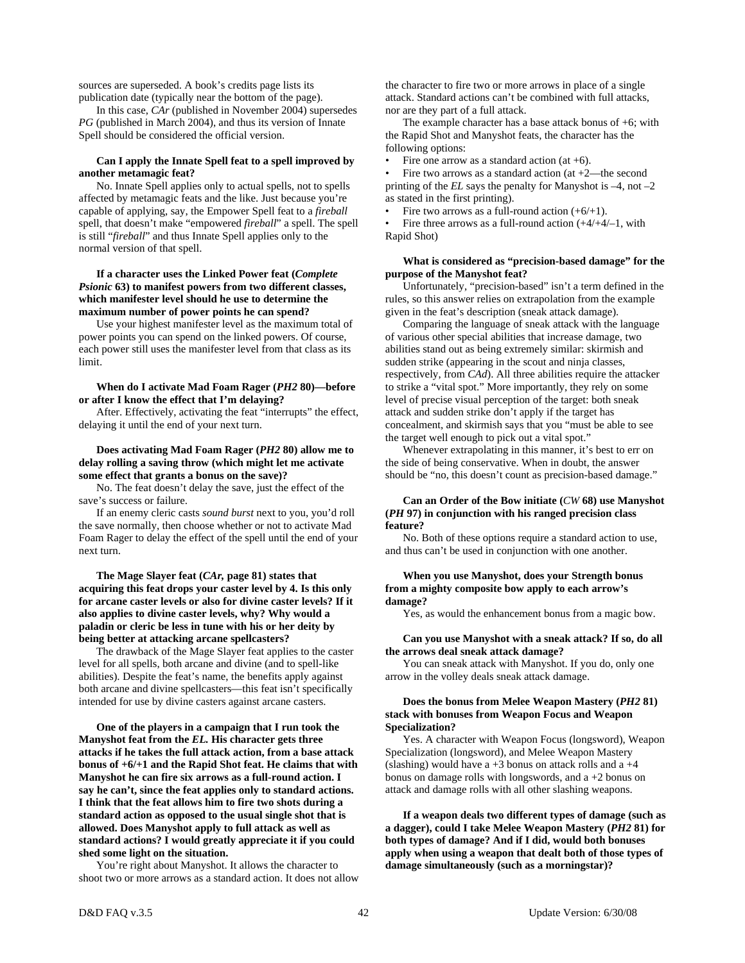sources are superseded. A book's credits page lists its publication date (typically near the bottom of the page).

 In this case, *CAr* (published in November 2004) supersedes *PG* (published in March 2004), and thus its version of Innate Spell should be considered the official version.

# **Can I apply the Innate Spell feat to a spell improved by another metamagic feat?**

 No. Innate Spell applies only to actual spells, not to spells affected by metamagic feats and the like. Just because you're capable of applying, say, the Empower Spell feat to a *fireball* spell, that doesn't make "empowered *fireball*" a spell. The spell is still "*fireball*" and thus Innate Spell applies only to the normal version of that spell.

# **If a character uses the Linked Power feat (***Complete Psionic* **63) to manifest powers from two different classes, which manifester level should he use to determine the maximum number of power points he can spend?**

 Use your highest manifester level as the maximum total of power points you can spend on the linked powers. Of course, each power still uses the manifester level from that class as its limit.

 **When do I activate Mad Foam Rager (***PH2* **80)—before or after I know the effect that I'm delaying?** 

 After. Effectively, activating the feat "interrupts" the effect, delaying it until the end of your next turn.

# **Does activating Mad Foam Rager (***PH2* **80) allow me to delay rolling a saving throw (which might let me activate some effect that grants a bonus on the save)?**

 No. The feat doesn't delay the save, just the effect of the save's success or failure.

 If an enemy cleric casts *sound burst* next to you, you'd roll the save normally, then choose whether or not to activate Mad Foam Rager to delay the effect of the spell until the end of your next turn.

 **The Mage Slayer feat (***CAr,* **page 81) states that acquiring this feat drops your caster level by 4. Is this only for arcane caster levels or also for divine caster levels? If it also applies to divine caster levels, why? Why would a paladin or cleric be less in tune with his or her deity by being better at attacking arcane spellcasters?** 

 The drawback of the Mage Slayer feat applies to the caster level for all spells, both arcane and divine (and to spell-like abilities). Despite the feat's name, the benefits apply against both arcane and divine spellcasters—this feat isn't specifically intended for use by divine casters against arcane casters.

 **One of the players in a campaign that I run took the Manyshot feat from the** *EL.* **His character gets three attacks if he takes the full attack action, from a base attack bonus of +6/+1 and the Rapid Shot feat. He claims that with Manyshot he can fire six arrows as a full-round action. I say he can't, since the feat applies only to standard actions. I think that the feat allows him to fire two shots during a standard action as opposed to the usual single shot that is allowed. Does Manyshot apply to full attack as well as standard actions? I would greatly appreciate it if you could shed some light on the situation.** 

 You're right about Manyshot. It allows the character to shoot two or more arrows as a standard action. It does not allow the character to fire two or more arrows in place of a single attack. Standard actions can't be combined with full attacks, nor are they part of a full attack.

The example character has a base attack bonus of  $+6$ ; with the Rapid Shot and Manyshot feats, the character has the following options:

Fire one arrow as a standard action (at  $+6$ ).

Fire two arrows as a standard action (at  $+2$ —the second printing of the *EL* says the penalty for Manyshot is –4, not –2 as stated in the first printing).

• Fire two arrows as a full-round action  $(+6/+1)$ .

Fire three arrows as a full-round action  $(+4/4/4)$ , with Rapid Shot)

#### **What is considered as "precision-based damage" for the purpose of the Manyshot feat?**

 Unfortunately, "precision-based" isn't a term defined in the rules, so this answer relies on extrapolation from the example given in the feat's description (sneak attack damage).

 Comparing the language of sneak attack with the language of various other special abilities that increase damage, two abilities stand out as being extremely similar: skirmish and sudden strike (appearing in the scout and ninja classes, respectively, from *CAd*). All three abilities require the attacker to strike a "vital spot." More importantly, they rely on some level of precise visual perception of the target: both sneak attack and sudden strike don't apply if the target has concealment, and skirmish says that you "must be able to see the target well enough to pick out a vital spot."

Whenever extrapolating in this manner, it's best to err on the side of being conservative. When in doubt, the answer should be "no, this doesn't count as precision-based damage."

#### **Can an Order of the Bow initiate (***CW* **68) use Manyshot (***PH* **97) in conjunction with his ranged precision class feature?**

 No. Both of these options require a standard action to use, and thus can't be used in conjunction with one another.

# **When you use Manyshot, does your Strength bonus from a mighty composite bow apply to each arrow's damage?**

Yes, as would the enhancement bonus from a magic bow.

#### **Can you use Manyshot with a sneak attack? If so, do all the arrows deal sneak attack damage?**

 You can sneak attack with Manyshot. If you do, only one arrow in the volley deals sneak attack damage.

#### **Does the bonus from Melee Weapon Mastery (***PH2* **81) stack with bonuses from Weapon Focus and Weapon Specialization?**

 Yes. A character with Weapon Focus (longsword), Weapon Specialization (longsword), and Melee Weapon Mastery (slashing) would have  $a +3$  bonus on attack rolls and  $a +4$ bonus on damage rolls with longswords, and a +2 bonus on attack and damage rolls with all other slashing weapons.

 **If a weapon deals two different types of damage (such as a dagger), could I take Melee Weapon Mastery (***PH2* **81) for both types of damage? And if I did, would both bonuses apply when using a weapon that dealt both of those types of damage simultaneously (such as a morningstar)?**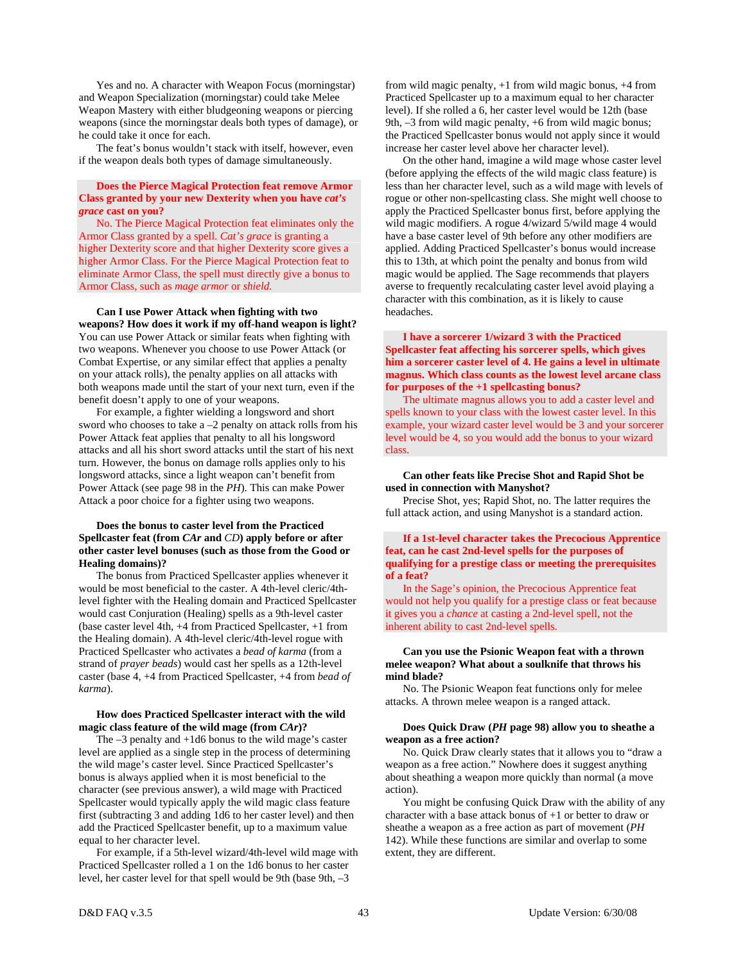Yes and no. A character with Weapon Focus (morningstar) and Weapon Specialization (morningstar) could take Melee Weapon Mastery with either bludgeoning weapons or piercing weapons (since the morningstar deals both types of damage), or he could take it once for each.

 The feat's bonus wouldn't stack with itself, however, even if the weapon deals both types of damage simultaneously.

# **Does the Pierce Magical Protection feat remove Armor Class granted by your new Dexterity when you have** *cat's grace* **cast on you?**

 No. The Pierce Magical Protection feat eliminates only the Armor Class granted by a spell. *Cat's grace* is granting a higher Dexterity score and that higher Dexterity score gives a higher Armor Class. For the Pierce Magical Protection feat to eliminate Armor Class, the spell must directly give a bonus to Armor Class, such as *mage armor* or *shield*.

#### **Can I use Power Attack when fighting with two weapons? How does it work if my off-hand weapon is light?**

You can use Power Attack or similar feats when fighting with two weapons. Whenever you choose to use Power Attack (or Combat Expertise, or any similar effect that applies a penalty on your attack rolls), the penalty applies on all attacks with both weapons made until the start of your next turn, even if the benefit doesn't apply to one of your weapons.

 For example, a fighter wielding a longsword and short sword who chooses to take a –2 penalty on attack rolls from his Power Attack feat applies that penalty to all his longsword attacks and all his short sword attacks until the start of his next turn. However, the bonus on damage rolls applies only to his longsword attacks, since a light weapon can't benefit from Power Attack (see page 98 in the *PH*). This can make Power Attack a poor choice for a fighter using two weapons.

# **Does the bonus to caster level from the Practiced Spellcaster feat (from** *CAr* **and** *CD***) apply before or after other caster level bonuses (such as those from the Good or Healing domains)?**

 The bonus from Practiced Spellcaster applies whenever it would be most beneficial to the caster. A 4th-level cleric/4thlevel fighter with the Healing domain and Practiced Spellcaster would cast Conjuration (Healing) spells as a 9th-level caster (base caster level 4th, +4 from Practiced Spellcaster, +1 from the Healing domain). A 4th-level cleric/4th-level rogue with Practiced Spellcaster who activates a *bead of karma* (from a strand of *prayer beads*) would cast her spells as a 12th-level caster (base 4, +4 from Practiced Spellcaster, +4 from *bead of karma*).

# **How does Practiced Spellcaster interact with the wild magic class feature of the wild mage (from** *CAr***)?**

The  $-3$  penalty and  $+1d6$  bonus to the wild mage's caster level are applied as a single step in the process of determining the wild mage's caster level. Since Practiced Spellcaster's bonus is always applied when it is most beneficial to the character (see previous answer), a wild mage with Practiced Spellcaster would typically apply the wild magic class feature first (subtracting 3 and adding 1d6 to her caster level) and then add the Practiced Spellcaster benefit, up to a maximum value equal to her character level.

 For example, if a 5th-level wizard/4th-level wild mage with Practiced Spellcaster rolled a 1 on the 1d6 bonus to her caster level, her caster level for that spell would be 9th (base 9th, –3

from wild magic penalty, +1 from wild magic bonus, +4 from Practiced Spellcaster up to a maximum equal to her character level). If she rolled a 6, her caster level would be 12th (base 9th, –3 from wild magic penalty, +6 from wild magic bonus; the Practiced Spellcaster bonus would not apply since it would increase her caster level above her character level).

 On the other hand, imagine a wild mage whose caster level (before applying the effects of the wild magic class feature) is less than her character level, such as a wild mage with levels of rogue or other non-spellcasting class. She might well choose to apply the Practiced Spellcaster bonus first, before applying the wild magic modifiers. A rogue 4/wizard 5/wild mage 4 would have a base caster level of 9th before any other modifiers are applied. Adding Practiced Spellcaster's bonus would increase this to 13th, at which point the penalty and bonus from wild magic would be applied. The Sage recommends that players averse to frequently recalculating caster level avoid playing a character with this combination, as it is likely to cause headaches.

# **I have a sorcerer 1/wizard 3 with the Practiced Spellcaster feat affecting his sorcerer spells, which gives him a sorcerer caster level of 4. He gains a level in ultimate magnus. Which class counts as the lowest level arcane class for purposes of the +1 spellcasting bonus?**

 The ultimate magnus allows you to add a caster level and spells known to your class with the lowest caster level. In this example, your wizard caster level would be 3 and your sorcerer level would be 4, so you would add the bonus to your wizard class.

# **Can other feats like Precise Shot and Rapid Shot be used in connection with Manyshot?**

 Precise Shot, yes; Rapid Shot, no. The latter requires the full attack action, and using Manyshot is a standard action.

# **If a 1st-level character takes the Precocious Apprentice feat, can he cast 2nd-level spells for the purposes of qualifying for a prestige class or meeting the prerequisites of a feat?**

 In the Sage's opinion, the Precocious Apprentice feat would not help you qualify for a prestige class or feat because it gives you a *chance* at casting a 2nd-level spell, not the inherent ability to cast 2nd-level spells.

# **Can you use the Psionic Weapon feat with a thrown melee weapon? What about a soulknife that throws his mind blade?**

No. The Psionic Weapon feat functions only for melee attacks. A thrown melee weapon is a ranged attack.

# **Does Quick Draw (***PH* **page 98) allow you to sheathe a weapon as a free action?**

 No. Quick Draw clearly states that it allows you to "draw a weapon as a free action." Nowhere does it suggest anything about sheathing a weapon more quickly than normal (a move action).

 You might be confusing Quick Draw with the ability of any character with a base attack bonus of +1 or better to draw or sheathe a weapon as a free action as part of movement (*PH* 142). While these functions are similar and overlap to some extent, they are different.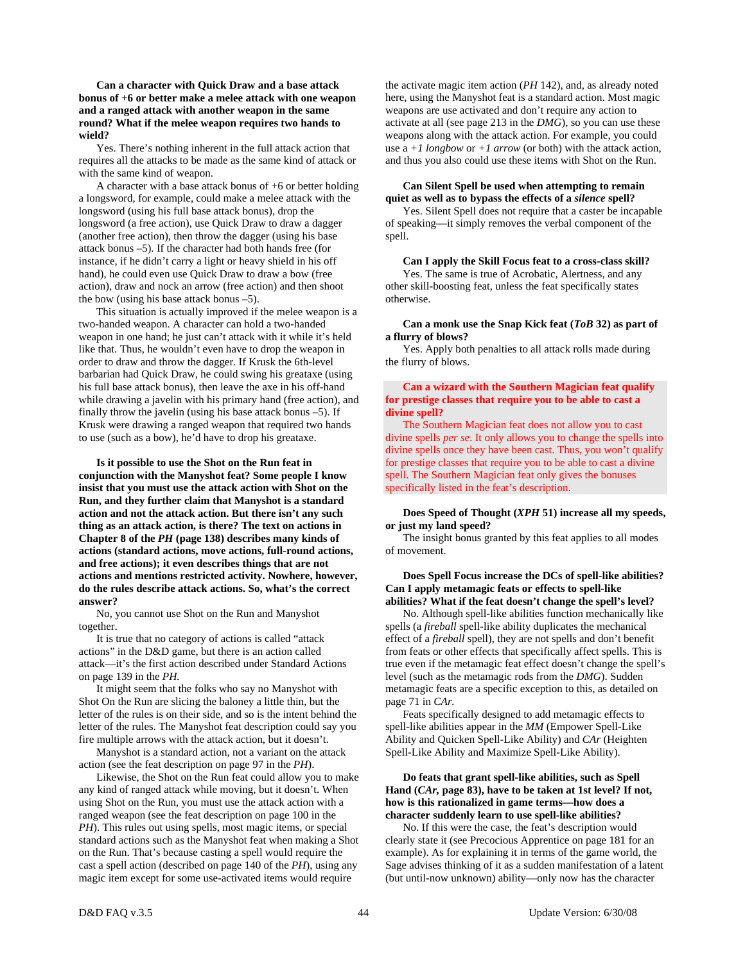**Can a character with Quick Draw and a base attack bonus of +6 or better make a melee attack with one weapon and a ranged attack with another weapon in the same round? What if the melee weapon requires two hands to wield?** 

 Yes. There's nothing inherent in the full attack action that requires all the attacks to be made as the same kind of attack or with the same kind of weapon.

 A character with a base attack bonus of +6 or better holding a longsword, for example, could make a melee attack with the longsword (using his full base attack bonus), drop the longsword (a free action), use Quick Draw to draw a dagger (another free action), then throw the dagger (using his base attack bonus –5). If the character had both hands free (for instance, if he didn't carry a light or heavy shield in his off hand), he could even use Quick Draw to draw a bow (free action), draw and nock an arrow (free action) and then shoot the bow (using his base attack bonus –5).

 This situation is actually improved if the melee weapon is a two-handed weapon. A character can hold a two-handed weapon in one hand; he just can't attack with it while it's held like that. Thus, he wouldn't even have to drop the weapon in order to draw and throw the dagger. If Krusk the 6th-level barbarian had Quick Draw, he could swing his greataxe (using his full base attack bonus), then leave the axe in his off-hand while drawing a javelin with his primary hand (free action), and finally throw the javelin (using his base attack bonus –5). If Krusk were drawing a ranged weapon that required two hands to use (such as a bow), he'd have to drop his greataxe.

 **Is it possible to use the Shot on the Run feat in conjunction with the Manyshot feat? Some people I know insist that you must use the attack action with Shot on the Run, and they further claim that Manyshot is a standard action and not the attack action. But there isn't any such thing as an attack action, is there? The text on actions in Chapter 8 of the** *PH* **(page 138) describes many kinds of actions (standard actions, move actions, full-round actions, and free actions); it even describes things that are not actions and mentions restricted activity. Nowhere, however, do the rules describe attack actions. So, what's the correct answer?** 

 No, you cannot use Shot on the Run and Manyshot together.

 It is true that no category of actions is called "attack actions" in the D&D game, but there is an action called attack—it's the first action described under Standard Actions on page 139 in the *PH.*

 It might seem that the folks who say no Manyshot with Shot On the Run are slicing the baloney a little thin, but the letter of the rules is on their side, and so is the intent behind the letter of the rules. The Manyshot feat description could say you fire multiple arrows with the attack action, but it doesn't.

Manyshot is a standard action, not a variant on the attack action (see the feat description on page 97 in the *PH*).

 Likewise, the Shot on the Run feat could allow you to make any kind of ranged attack while moving, but it doesn't. When using Shot on the Run, you must use the attack action with a ranged weapon (see the feat description on page 100 in the *PH*). This rules out using spells, most magic items, or special standard actions such as the Manyshot feat when making a Shot on the Run. That's because casting a spell would require the cast a spell action (described on page 140 of the *PH*), using any magic item except for some use-activated items would require

the activate magic item action (*PH* 142), and, as already noted here, using the Manyshot feat is a standard action. Most magic weapons are use activated and don't require any action to activate at all (see page 213 in the *DMG*), so you can use these weapons along with the attack action. For example, you could use a  $+1$  *longbow* or  $+1$  *arrow* (or both) with the attack action, and thus you also could use these items with Shot on the Run.

## **Can Silent Spell be used when attempting to remain quiet as well as to bypass the effects of a** *silence* **spell?**

 Yes. Silent Spell does not require that a caster be incapable of speaking—it simply removes the verbal component of the spell.

 **Can I apply the Skill Focus feat to a cross-class skill?**  Yes. The same is true of Acrobatic, Alertness, and any other skill-boosting feat, unless the feat specifically states otherwise.

#### **Can a monk use the Snap Kick feat (***ToB* **32) as part of a flurry of blows?**

 Yes. Apply both penalties to all attack rolls made during the flurry of blows.

#### **Can a wizard with the Southern Magician feat qualify for prestige classes that require you to be able to cast a divine spell?**

 The Southern Magician feat does not allow you to cast divine spells *per se*. It only allows you to change the spells into divine spells once they have been cast. Thus, you won't qualify for prestige classes that require you to be able to cast a divine spell. The Southern Magician feat only gives the bonuses specifically listed in the feat's description.

#### **Does Speed of Thought (***XPH* **51) increase all my speeds, or just my land speed?**

 The insight bonus granted by this feat applies to all modes of movement.

#### **Does Spell Focus increase the DCs of spell-like abilities? Can I apply metamagic feats or effects to spell-like abilities? What if the feat doesn't change the spell's level?**

 No. Although spell-like abilities function mechanically like spells (a *fireball* spell-like ability duplicates the mechanical effect of a *fireball* spell), they are not spells and don't benefit from feats or other effects that specifically affect spells. This is true even if the metamagic feat effect doesn't change the spell's level (such as the metamagic rods from the *DMG*). Sudden metamagic feats are a specific exception to this, as detailed on page 71 in *CAr.*

 Feats specifically designed to add metamagic effects to spell-like abilities appear in the *MM* (Empower Spell-Like Ability and Quicken Spell-Like Ability) and *CAr* (Heighten Spell-Like Ability and Maximize Spell-Like Ability).

# **Do feats that grant spell-like abilities, such as Spell Hand (***CAr,* **page 83), have to be taken at 1st level? If not, how is this rationalized in game terms—how does a character suddenly learn to use spell-like abilities?**

 No. If this were the case, the feat's description would clearly state it (see Precocious Apprentice on page 181 for an example). As for explaining it in terms of the game world, the Sage advises thinking of it as a sudden manifestation of a latent (but until-now unknown) ability—only now has the character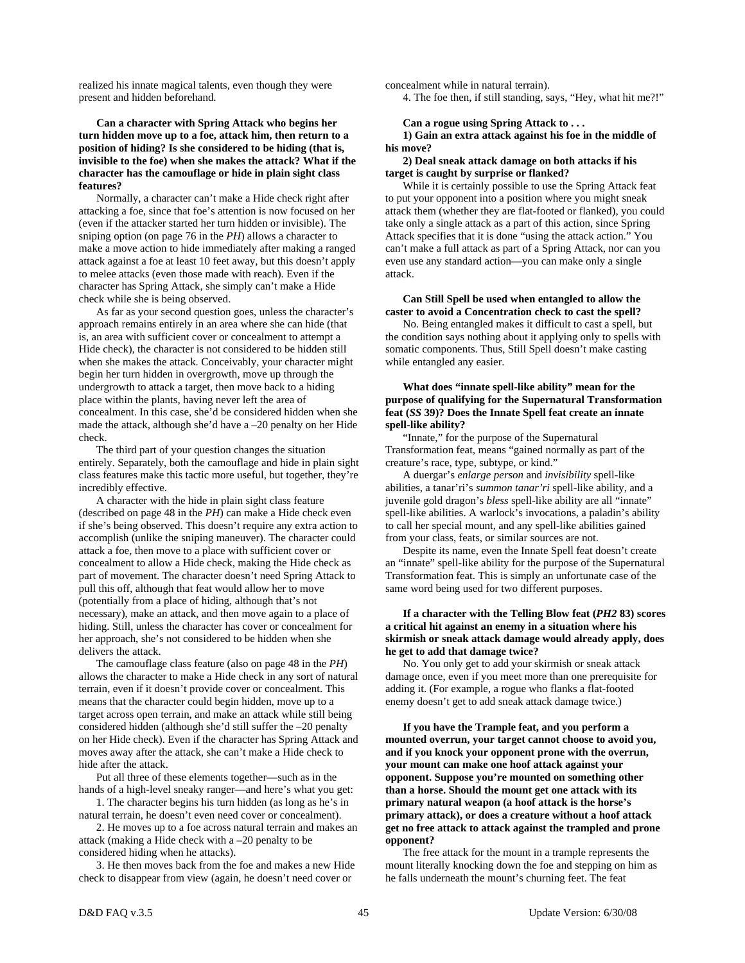realized his innate magical talents, even though they were present and hidden beforehand.

# **Can a character with Spring Attack who begins her turn hidden move up to a foe, attack him, then return to a position of hiding? Is she considered to be hiding (that is, invisible to the foe) when she makes the attack? What if the character has the camouflage or hide in plain sight class features?**

 Normally, a character can't make a Hide check right after attacking a foe, since that foe's attention is now focused on her (even if the attacker started her turn hidden or invisible). The sniping option (on page 76 in the *PH*) allows a character to make a move action to hide immediately after making a ranged attack against a foe at least 10 feet away, but this doesn't apply to melee attacks (even those made with reach). Even if the character has Spring Attack, she simply can't make a Hide check while she is being observed.

 As far as your second question goes, unless the character's approach remains entirely in an area where she can hide (that is, an area with sufficient cover or concealment to attempt a Hide check), the character is not considered to be hidden still when she makes the attack. Conceivably, your character might begin her turn hidden in overgrowth, move up through the undergrowth to attack a target, then move back to a hiding place within the plants, having never left the area of concealment. In this case, she'd be considered hidden when she made the attack, although she'd have a –20 penalty on her Hide check.

 The third part of your question changes the situation entirely. Separately, both the camouflage and hide in plain sight class features make this tactic more useful, but together, they're incredibly effective.

 A character with the hide in plain sight class feature (described on page 48 in the *PH*) can make a Hide check even if she's being observed. This doesn't require any extra action to accomplish (unlike the sniping maneuver). The character could attack a foe, then move to a place with sufficient cover or concealment to allow a Hide check, making the Hide check as part of movement. The character doesn't need Spring Attack to pull this off, although that feat would allow her to move (potentially from a place of hiding, although that's not necessary), make an attack, and then move again to a place of hiding. Still, unless the character has cover or concealment for her approach, she's not considered to be hidden when she delivers the attack.

 The camouflage class feature (also on page 48 in the *PH*) allows the character to make a Hide check in any sort of natural terrain, even if it doesn't provide cover or concealment. This means that the character could begin hidden, move up to a target across open terrain, and make an attack while still being considered hidden (although she'd still suffer the –20 penalty on her Hide check). Even if the character has Spring Attack and moves away after the attack, she can't make a Hide check to hide after the attack.

 Put all three of these elements together—such as in the hands of a high-level sneaky ranger—and here's what you get:

 1. The character begins his turn hidden (as long as he's in natural terrain, he doesn't even need cover or concealment).

 2. He moves up to a foe across natural terrain and makes an attack (making a Hide check with a –20 penalty to be considered hiding when he attacks).

 3. He then moves back from the foe and makes a new Hide check to disappear from view (again, he doesn't need cover or

concealment while in natural terrain).

4. The foe then, if still standing, says, "Hey, what hit me?!"

 **Can a rogue using Spring Attack to . . . 1) Gain an extra attack against his foe in the middle of his move?** 

#### **2) Deal sneak attack damage on both attacks if his target is caught by surprise or flanked?**

 While it is certainly possible to use the Spring Attack feat to put your opponent into a position where you might sneak attack them (whether they are flat-footed or flanked), you could take only a single attack as a part of this action, since Spring Attack specifies that it is done "using the attack action." You can't make a full attack as part of a Spring Attack, nor can you even use any standard action—you can make only a single attack.

# **Can Still Spell be used when entangled to allow the caster to avoid a Concentration check to cast the spell?**

 No. Being entangled makes it difficult to cast a spell, but the condition says nothing about it applying only to spells with somatic components. Thus, Still Spell doesn't make casting while entangled any easier.

# **What does "innate spell-like ability" mean for the purpose of qualifying for the Supernatural Transformation feat (***SS* **39)? Does the Innate Spell feat create an innate spell-like ability?**

 "Innate," for the purpose of the Supernatural Transformation feat, means "gained normally as part of the creature's race, type, subtype, or kind."

 A duergar's *enlarge person* and *invisibility* spell-like abilities, a tanar'ri's *summon tanar'ri* spell-like ability, and a juvenile gold dragon's *bless* spell-like ability are all "innate" spell-like abilities. A warlock's invocations, a paladin's ability to call her special mount, and any spell-like abilities gained from your class, feats, or similar sources are not.

 Despite its name, even the Innate Spell feat doesn't create an "innate" spell-like ability for the purpose of the Supernatural Transformation feat. This is simply an unfortunate case of the same word being used for two different purposes.

# **If a character with the Telling Blow feat (***PH2* **83) scores a critical hit against an enemy in a situation where his skirmish or sneak attack damage would already apply, does he get to add that damage twice?**

 No. You only get to add your skirmish or sneak attack damage once, even if you meet more than one prerequisite for adding it. (For example, a rogue who flanks a flat-footed enemy doesn't get to add sneak attack damage twice.)

 **If you have the Trample feat, and you perform a mounted overrun, your target cannot choose to avoid you, and if you knock your opponent prone with the overrun, your mount can make one hoof attack against your opponent. Suppose you're mounted on something other than a horse. Should the mount get one attack with its primary natural weapon (a hoof attack is the horse's primary attack), or does a creature without a hoof attack get no free attack to attack against the trampled and prone opponent?** 

 The free attack for the mount in a trample represents the mount literally knocking down the foe and stepping on him as he falls underneath the mount's churning feet. The feat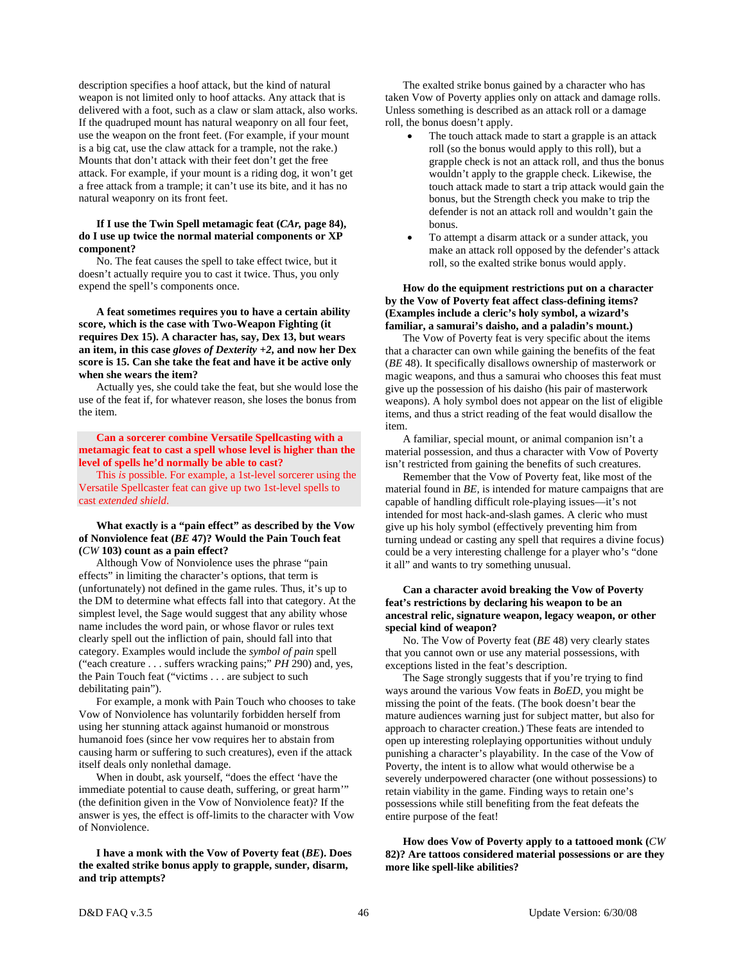description specifies a hoof attack, but the kind of natural weapon is not limited only to hoof attacks. Any attack that is delivered with a foot, such as a claw or slam attack, also works. If the quadruped mount has natural weaponry on all four feet, use the weapon on the front feet. (For example, if your mount is a big cat, use the claw attack for a trample, not the rake.) Mounts that don't attack with their feet don't get the free attack. For example, if your mount is a riding dog, it won't get a free attack from a trample; it can't use its bite, and it has no natural weaponry on its front feet.

#### **If I use the Twin Spell metamagic feat (***CAr,* **page 84), do I use up twice the normal material components or XP component?**

 No. The feat causes the spell to take effect twice, but it doesn't actually require you to cast it twice. Thus, you only expend the spell's components once.

## **A feat sometimes requires you to have a certain ability score, which is the case with Two-Weapon Fighting (it requires Dex 15). A character has, say, Dex 13, but wears an item, in this case** *gloves of Dexterity +2***, and now her Dex score is 15. Can she take the feat and have it be active only when she wears the item?**

 Actually yes, she could take the feat, but she would lose the use of the feat if, for whatever reason, she loses the bonus from the item.

# **Can a sorcerer combine Versatile Spellcasting with a metamagic feat to cast a spell whose level is higher than the level of spells he'd normally be able to cast?**

 This *is* possible. For example, a 1st-level sorcerer using the Versatile Spellcaster feat can give up two 1st-level spells to cast *extended shield*.

# **What exactly is a "pain effect" as described by the Vow of Nonviolence feat (***BE* **47)? Would the Pain Touch feat (***CW* **103) count as a pain effect?**

 Although Vow of Nonviolence uses the phrase "pain effects" in limiting the character's options, that term is (unfortunately) not defined in the game rules. Thus, it's up to the DM to determine what effects fall into that category. At the simplest level, the Sage would suggest that any ability whose name includes the word pain, or whose flavor or rules text clearly spell out the infliction of pain, should fall into that category. Examples would include the *symbol of pain* spell ("each creature . . . suffers wracking pains;" *PH* 290) and, yes, the Pain Touch feat ("victims . . . are subject to such debilitating pain").

 For example, a monk with Pain Touch who chooses to take Vow of Nonviolence has voluntarily forbidden herself from using her stunning attack against humanoid or monstrous humanoid foes (since her vow requires her to abstain from causing harm or suffering to such creatures), even if the attack itself deals only nonlethal damage.

 When in doubt, ask yourself, "does the effect 'have the immediate potential to cause death, suffering, or great harm'" (the definition given in the Vow of Nonviolence feat)? If the answer is yes, the effect is off-limits to the character with Vow of Nonviolence.

# **I have a monk with the Vow of Poverty feat (***BE***). Does the exalted strike bonus apply to grapple, sunder, disarm, and trip attempts?**

 The exalted strike bonus gained by a character who has taken Vow of Poverty applies only on attack and damage rolls. Unless something is described as an attack roll or a damage roll, the bonus doesn't apply.

- The touch attack made to start a grapple is an attack roll (so the bonus would apply to this roll), but a grapple check is not an attack roll, and thus the bonus wouldn't apply to the grapple check. Likewise, the touch attack made to start a trip attack would gain the bonus, but the Strength check you make to trip the defender is not an attack roll and wouldn't gain the bonus.
- To attempt a disarm attack or a sunder attack, you make an attack roll opposed by the defender's attack roll, so the exalted strike bonus would apply.

## **How do the equipment restrictions put on a character by the Vow of Poverty feat affect class-defining items? (Examples include a cleric's holy symbol, a wizard's familiar, a samurai's daisho, and a paladin's mount.)**

 The Vow of Poverty feat is very specific about the items that a character can own while gaining the benefits of the feat (*BE* 48). It specifically disallows ownership of masterwork or magic weapons, and thus a samurai who chooses this feat must give up the possession of his daisho (his pair of masterwork weapons). A holy symbol does not appear on the list of eligible items, and thus a strict reading of the feat would disallow the item.

 A familiar, special mount, or animal companion isn't a material possession, and thus a character with Vow of Poverty isn't restricted from gaining the benefits of such creatures.

 Remember that the Vow of Poverty feat, like most of the material found in *BE,* is intended for mature campaigns that are capable of handling difficult role-playing issues—it's not intended for most hack-and-slash games. A cleric who must give up his holy symbol (effectively preventing him from turning undead or casting any spell that requires a divine focus) could be a very interesting challenge for a player who's "done it all" and wants to try something unusual.

# **Can a character avoid breaking the Vow of Poverty feat's restrictions by declaring his weapon to be an ancestral relic, signature weapon, legacy weapon, or other special kind of weapon?**

 No. The Vow of Poverty feat (*BE* 48) very clearly states that you cannot own or use any material possessions, with exceptions listed in the feat's description.

 The Sage strongly suggests that if you're trying to find ways around the various Vow feats in *BoED*, you might be missing the point of the feats. (The book doesn't bear the mature audiences warning just for subject matter, but also for approach to character creation.) These feats are intended to open up interesting roleplaying opportunities without unduly punishing a character's playability. In the case of the Vow of Poverty, the intent is to allow what would otherwise be a severely underpowered character (one without possessions) to retain viability in the game. Finding ways to retain one's possessions while still benefiting from the feat defeats the entire purpose of the feat!

 **How does Vow of Poverty apply to a tattooed monk (***CW* **82)? Are tattoos considered material possessions or are they more like spell-like abilities?**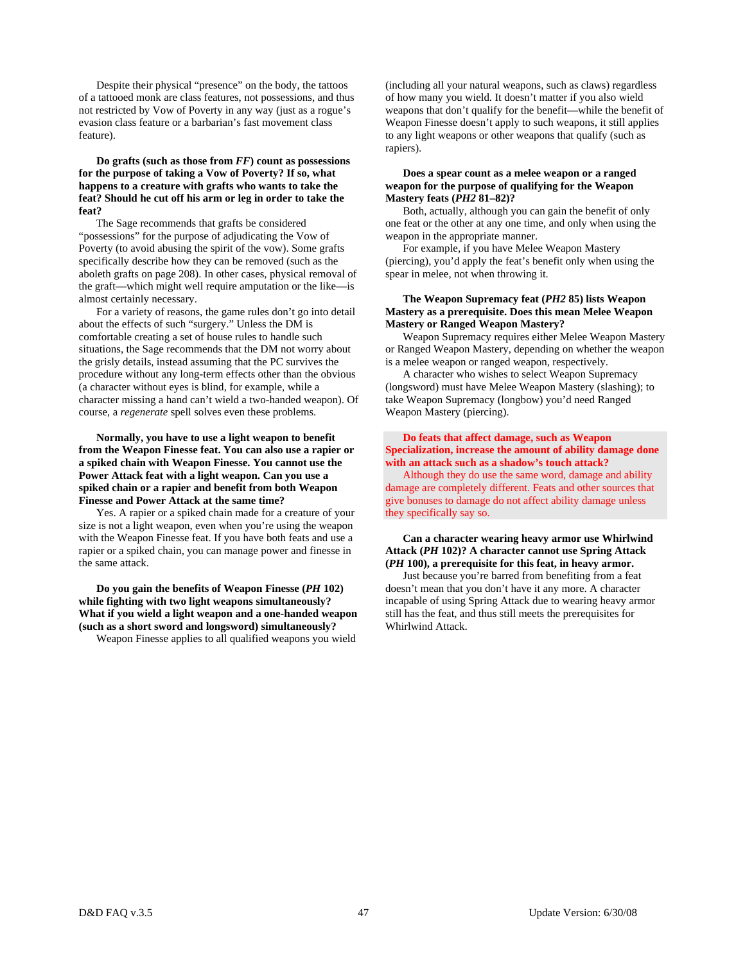Despite their physical "presence" on the body, the tattoos of a tattooed monk are class features, not possessions, and thus not restricted by Vow of Poverty in any way (just as a rogue's evasion class feature or a barbarian's fast movement class feature).

# **Do grafts (such as those from** *FF***) count as possessions for the purpose of taking a Vow of Poverty? If so, what happens to a creature with grafts who wants to take the feat? Should he cut off his arm or leg in order to take the feat?**

 The Sage recommends that grafts be considered "possessions" for the purpose of adjudicating the Vow of Poverty (to avoid abusing the spirit of the vow). Some grafts specifically describe how they can be removed (such as the aboleth grafts on page 208). In other cases, physical removal of the graft—which might well require amputation or the like—is almost certainly necessary.

 For a variety of reasons, the game rules don't go into detail about the effects of such "surgery." Unless the DM is comfortable creating a set of house rules to handle such situations, the Sage recommends that the DM not worry about the grisly details, instead assuming that the PC survives the procedure without any long-term effects other than the obvious (a character without eyes is blind, for example, while a character missing a hand can't wield a two-handed weapon). Of course, a *regenerate* spell solves even these problems.

 **Normally, you have to use a light weapon to benefit from the Weapon Finesse feat. You can also use a rapier or a spiked chain with Weapon Finesse. You cannot use the Power Attack feat with a light weapon. Can you use a spiked chain or a rapier and benefit from both Weapon Finesse and Power Attack at the same time?** 

 Yes. A rapier or a spiked chain made for a creature of your size is not a light weapon, even when you're using the weapon with the Weapon Finesse feat. If you have both feats and use a rapier or a spiked chain, you can manage power and finesse in the same attack.

 **Do you gain the benefits of Weapon Finesse (***PH* **102) while fighting with two light weapons simultaneously? What if you wield a light weapon and a one-handed weapon (such as a short sword and longsword) simultaneously?** 

Weapon Finesse applies to all qualified weapons you wield

(including all your natural weapons, such as claws) regardless of how many you wield. It doesn't matter if you also wield weapons that don't qualify for the benefit—while the benefit of Weapon Finesse doesn't apply to such weapons, it still applies to any light weapons or other weapons that qualify (such as rapiers).

# **Does a spear count as a melee weapon or a ranged weapon for the purpose of qualifying for the Weapon Mastery feats (***PH2* **81–82)?**

 Both, actually, although you can gain the benefit of only one feat or the other at any one time, and only when using the weapon in the appropriate manner.

 For example, if you have Melee Weapon Mastery (piercing), you'd apply the feat's benefit only when using the spear in melee, not when throwing it.

# **The Weapon Supremacy feat (***PH2* **85) lists Weapon Mastery as a prerequisite. Does this mean Melee Weapon Mastery or Ranged Weapon Mastery?**

 Weapon Supremacy requires either Melee Weapon Mastery or Ranged Weapon Mastery, depending on whether the weapon is a melee weapon or ranged weapon, respectively.

 A character who wishes to select Weapon Supremacy (longsword) must have Melee Weapon Mastery (slashing); to take Weapon Supremacy (longbow) you'd need Ranged Weapon Mastery (piercing).

# **Do feats that affect damage, such as Weapon Specialization, increase the amount of ability damage done with an attack such as a shadow's touch attack?**

 Although they do use the same word, damage and ability damage are completely different. Feats and other sources that give bonuses to damage do not affect ability damage unless they specifically say so.

# **Can a character wearing heavy armor use Whirlwind Attack (***PH* **102)? A character cannot use Spring Attack (***PH* **100), a prerequisite for this feat, in heavy armor.**

 Just because you're barred from benefiting from a feat doesn't mean that you don't have it any more. A character incapable of using Spring Attack due to wearing heavy armor still has the feat, and thus still meets the prerequisites for Whirlwind Attack.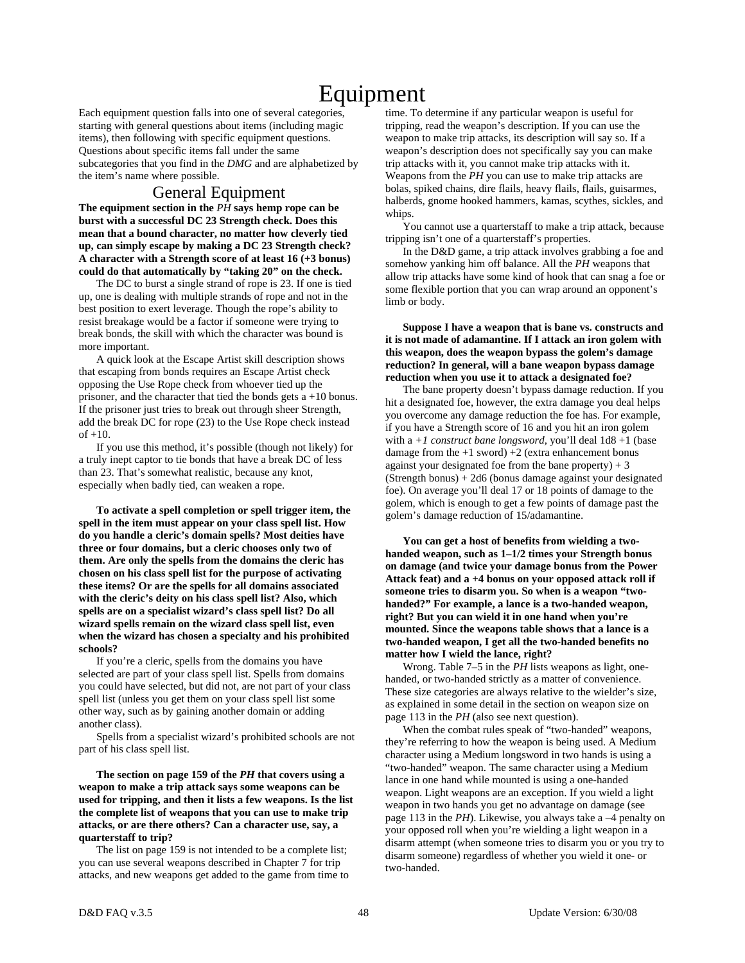# Equipment

Each equipment question falls into one of several categories, starting with general questions about items (including magic items), then following with specific equipment questions. Questions about specific items fall under the same subcategories that you find in the *DMG* and are alphabetized by the item's name where possible.

# General Equipment

**The equipment section in the** *PH* **says hemp rope can be burst with a successful DC 23 Strength check. Does this mean that a bound character, no matter how cleverly tied up, can simply escape by making a DC 23 Strength check? A character with a Strength score of at least 16 (+3 bonus) could do that automatically by "taking 20" on the check.** 

 The DC to burst a single strand of rope is 23. If one is tied up, one is dealing with multiple strands of rope and not in the best position to exert leverage. Though the rope's ability to resist breakage would be a factor if someone were trying to break bonds, the skill with which the character was bound is more important.

 A quick look at the Escape Artist skill description shows that escaping from bonds requires an Escape Artist check opposing the Use Rope check from whoever tied up the prisoner, and the character that tied the bonds gets a +10 bonus. If the prisoner just tries to break out through sheer Strength, add the break DC for rope (23) to the Use Rope check instead of +10.

 If you use this method, it's possible (though not likely) for a truly inept captor to tie bonds that have a break DC of less than 23. That's somewhat realistic, because any knot, especially when badly tied, can weaken a rope.

 **To activate a spell completion or spell trigger item, the spell in the item must appear on your class spell list. How do you handle a cleric's domain spells? Most deities have three or four domains, but a cleric chooses only two of them. Are only the spells from the domains the cleric has chosen on his class spell list for the purpose of activating these items? Or are the spells for all domains associated with the cleric's deity on his class spell list? Also, which spells are on a specialist wizard's class spell list? Do all wizard spells remain on the wizard class spell list, even when the wizard has chosen a specialty and his prohibited schools?** 

 If you're a cleric, spells from the domains you have selected are part of your class spell list. Spells from domains you could have selected, but did not, are not part of your class spell list (unless you get them on your class spell list some other way, such as by gaining another domain or adding another class).

 Spells from a specialist wizard's prohibited schools are not part of his class spell list.

 **The section on page 159 of the** *PH* **that covers using a weapon to make a trip attack says some weapons can be used for tripping, and then it lists a few weapons. Is the list the complete list of weapons that you can use to make trip attacks, or are there others? Can a character use, say, a quarterstaff to trip?** 

 The list on page 159 is not intended to be a complete list; you can use several weapons described in Chapter 7 for trip attacks, and new weapons get added to the game from time to time. To determine if any particular weapon is useful for tripping, read the weapon's description. If you can use the weapon to make trip attacks, its description will say so. If a weapon's description does not specifically say you can make trip attacks with it, you cannot make trip attacks with it. Weapons from the *PH* you can use to make trip attacks are bolas, spiked chains, dire flails, heavy flails, flails, guisarmes, halberds, gnome hooked hammers, kamas, scythes, sickles, and whips.

 You cannot use a quarterstaff to make a trip attack, because tripping isn't one of a quarterstaff's properties.

 In the D&D game, a trip attack involves grabbing a foe and somehow yanking him off balance. All the *PH* weapons that allow trip attacks have some kind of hook that can snag a foe or some flexible portion that you can wrap around an opponent's limb or body.

# **Suppose I have a weapon that is bane vs. constructs and it is not made of adamantine. If I attack an iron golem with this weapon, does the weapon bypass the golem's damage reduction? In general, will a bane weapon bypass damage reduction when you use it to attack a designated foe?**

 The bane property doesn't bypass damage reduction. If you hit a designated foe, however, the extra damage you deal helps you overcome any damage reduction the foe has. For example, if you have a Strength score of 16 and you hit an iron golem with a *+1 construct bane longsword*, you'll deal  $1d8 + 1$  (base damage from the  $+1$  sword)  $+2$  (extra enhancement bonus against your designated foe from the bane property)  $+3$  $(Strength bonus) + 2d6 (bonus damage against your designated)$ foe). On average you'll deal 17 or 18 points of damage to the golem, which is enough to get a few points of damage past the golem's damage reduction of 15/adamantine.

 **You can get a host of benefits from wielding a twohanded weapon, such as 1–1/2 times your Strength bonus on damage (and twice your damage bonus from the Power Attack feat) and a +4 bonus on your opposed attack roll if someone tries to disarm you. So when is a weapon "twohanded?" For example, a lance is a two-handed weapon, right? But you can wield it in one hand when you're mounted. Since the weapons table shows that a lance is a two-handed weapon, I get all the two-handed benefits no matter how I wield the lance, right?** 

 Wrong. Table 7–5 in the *PH* lists weapons as light, onehanded, or two-handed strictly as a matter of convenience. These size categories are always relative to the wielder's size, as explained in some detail in the section on weapon size on page 113 in the *PH* (also see next question).

 When the combat rules speak of "two-handed" weapons, they're referring to how the weapon is being used. A Medium character using a Medium longsword in two hands is using a "two-handed" weapon. The same character using a Medium lance in one hand while mounted is using a one-handed weapon. Light weapons are an exception. If you wield a light weapon in two hands you get no advantage on damage (see page 113 in the *PH*). Likewise, you always take a –4 penalty on your opposed roll when you're wielding a light weapon in a disarm attempt (when someone tries to disarm you or you try to disarm someone) regardless of whether you wield it one- or two-handed.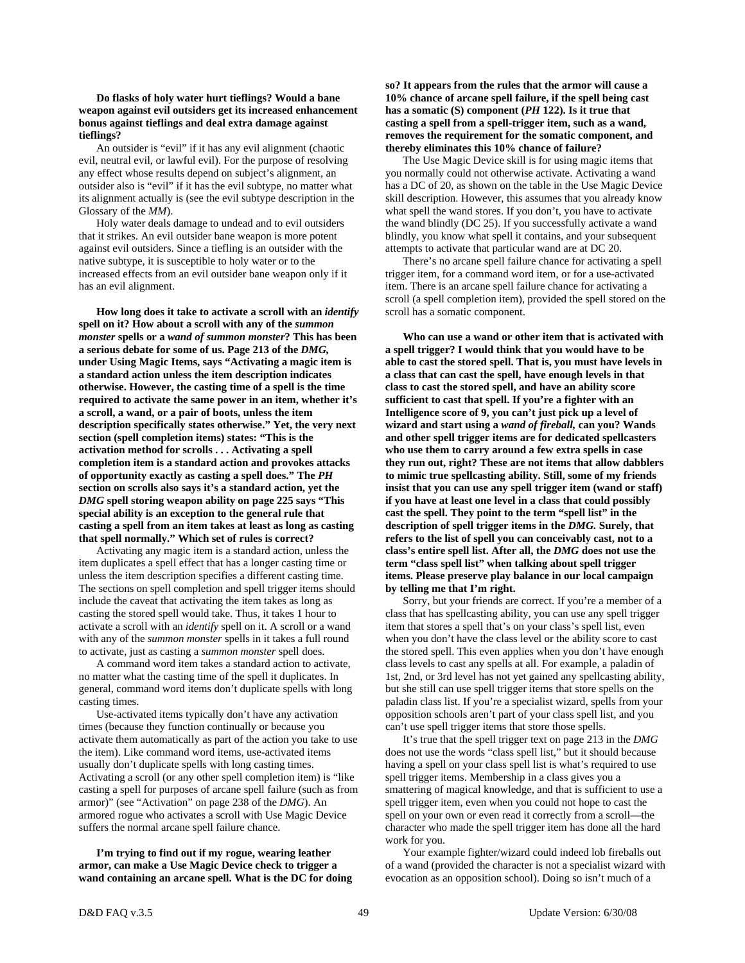**Do flasks of holy water hurt tieflings? Would a bane weapon against evil outsiders get its increased enhancement bonus against tieflings and deal extra damage against tieflings?** 

 An outsider is "evil" if it has any evil alignment (chaotic evil, neutral evil, or lawful evil). For the purpose of resolving any effect whose results depend on subject's alignment, an outsider also is "evil" if it has the evil subtype, no matter what its alignment actually is (see the evil subtype description in the Glossary of the *MM*).

 Holy water deals damage to undead and to evil outsiders that it strikes. An evil outsider bane weapon is more potent against evil outsiders. Since a tiefling is an outsider with the native subtype, it is susceptible to holy water or to the increased effects from an evil outsider bane weapon only if it has an evil alignment.

 **How long does it take to activate a scroll with an** *identify* **spell on it? How about a scroll with any of the** *summon monster* **spells or a** *wand of summon monster***? This has been a serious debate for some of us. Page 213 of the** *DMG,* **under Using Magic Items, says "Activating a magic item is a standard action unless the item description indicates otherwise. However, the casting time of a spell is the time required to activate the same power in an item, whether it's a scroll, a wand, or a pair of boots, unless the item description specifically states otherwise." Yet, the very next section (spell completion items) states: "This is the activation method for scrolls . . . Activating a spell completion item is a standard action and provokes attacks of opportunity exactly as casting a spell does." The** *PH* **section on scrolls also says it's a standard action, yet the**  *DMG* **spell storing weapon ability on page 225 says "This special ability is an exception to the general rule that casting a spell from an item takes at least as long as casting that spell normally." Which set of rules is correct?** 

 Activating any magic item is a standard action, unless the item duplicates a spell effect that has a longer casting time or unless the item description specifies a different casting time. The sections on spell completion and spell trigger items should include the caveat that activating the item takes as long as casting the stored spell would take. Thus, it takes 1 hour to activate a scroll with an *identify* spell on it. A scroll or a wand with any of the *summon monster* spells in it takes a full round to activate, just as casting a *summon monster* spell does.

 A command word item takes a standard action to activate, no matter what the casting time of the spell it duplicates. In general, command word items don't duplicate spells with long casting times.

 Use-activated items typically don't have any activation times (because they function continually or because you activate them automatically as part of the action you take to use the item). Like command word items, use-activated items usually don't duplicate spells with long casting times. Activating a scroll (or any other spell completion item) is "like casting a spell for purposes of arcane spell failure (such as from armor)" (see "Activation" on page 238 of the *DMG*). An armored rogue who activates a scroll with Use Magic Device suffers the normal arcane spell failure chance.

 **I'm trying to find out if my rogue, wearing leather armor, can make a Use Magic Device check to trigger a wand containing an arcane spell. What is the DC for doing**  **so? It appears from the rules that the armor will cause a 10% chance of arcane spell failure, if the spell being cast has a somatic (S) component (***PH* **122). Is it true that casting a spell from a spell-trigger item, such as a wand, removes the requirement for the somatic component, and thereby eliminates this 10% chance of failure?** 

 The Use Magic Device skill is for using magic items that you normally could not otherwise activate. Activating a wand has a DC of 20, as shown on the table in the Use Magic Device skill description. However, this assumes that you already know what spell the wand stores. If you don't, you have to activate the wand blindly (DC 25). If you successfully activate a wand blindly, you know what spell it contains, and your subsequent attempts to activate that particular wand are at DC 20.

 There's no arcane spell failure chance for activating a spell trigger item, for a command word item, or for a use-activated item. There is an arcane spell failure chance for activating a scroll (a spell completion item), provided the spell stored on the scroll has a somatic component.

 **Who can use a wand or other item that is activated with a spell trigger? I would think that you would have to be able to cast the stored spell. That is, you must have levels in a class that can cast the spell, have enough levels in that class to cast the stored spell, and have an ability score sufficient to cast that spell. If you're a fighter with an Intelligence score of 9, you can't just pick up a level of wizard and start using a** *wand of fireball,* **can you? Wands and other spell trigger items are for dedicated spellcasters who use them to carry around a few extra spells in case they run out, right? These are not items that allow dabblers to mimic true spellcasting ability. Still, some of my friends insist that you can use any spell trigger item (wand or staff) if you have at least one level in a class that could possibly cast the spell. They point to the term "spell list" in the description of spell trigger items in the** *DMG.* **Surely, that refers to the list of spell you can conceivably cast, not to a class's entire spell list. After all, the** *DMG* **does not use the term "class spell list" when talking about spell trigger items. Please preserve play balance in our local campaign by telling me that I'm right.** 

 Sorry, but your friends are correct. If you're a member of a class that has spellcasting ability, you can use any spell trigger item that stores a spell that's on your class's spell list, even when you don't have the class level or the ability score to cast the stored spell. This even applies when you don't have enough class levels to cast any spells at all. For example, a paladin of 1st, 2nd, or 3rd level has not yet gained any spellcasting ability, but she still can use spell trigger items that store spells on the paladin class list. If you're a specialist wizard, spells from your opposition schools aren't part of your class spell list, and you can't use spell trigger items that store those spells.

 It's true that the spell trigger text on page 213 in the *DMG* does not use the words "class spell list," but it should because having a spell on your class spell list is what's required to use spell trigger items. Membership in a class gives you a smattering of magical knowledge, and that is sufficient to use a spell trigger item, even when you could not hope to cast the spell on your own or even read it correctly from a scroll—the character who made the spell trigger item has done all the hard work for you.

 Your example fighter/wizard could indeed lob fireballs out of a wand (provided the character is not a specialist wizard with evocation as an opposition school). Doing so isn't much of a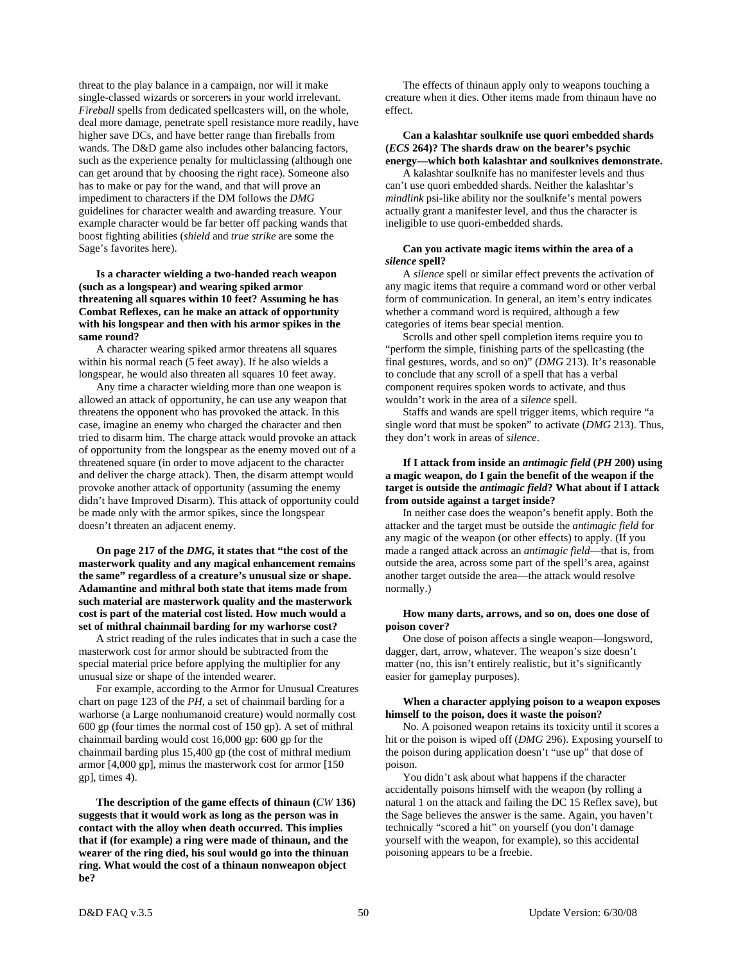threat to the play balance in a campaign, nor will it make single-classed wizards or sorcerers in your world irrelevant. *Fireball* spells from dedicated spellcasters will, on the whole, deal more damage, penetrate spell resistance more readily, have higher save DCs, and have better range than fireballs from wands. The D&D game also includes other balancing factors, such as the experience penalty for multiclassing (although one can get around that by choosing the right race). Someone also has to make or pay for the wand, and that will prove an impediment to characters if the DM follows the *DMG* guidelines for character wealth and awarding treasure. Your example character would be far better off packing wands that boost fighting abilities (*shield* and *true strike* are some the Sage's favorites here).

# **Is a character wielding a two-handed reach weapon (such as a longspear) and wearing spiked armor threatening all squares within 10 feet? Assuming he has Combat Reflexes, can he make an attack of opportunity with his longspear and then with his armor spikes in the same round?**

 A character wearing spiked armor threatens all squares within his normal reach (5 feet away). If he also wields a longspear, he would also threaten all squares 10 feet away.

 Any time a character wielding more than one weapon is allowed an attack of opportunity, he can use any weapon that threatens the opponent who has provoked the attack. In this case, imagine an enemy who charged the character and then tried to disarm him. The charge attack would provoke an attack of opportunity from the longspear as the enemy moved out of a threatened square (in order to move adjacent to the character and deliver the charge attack). Then, the disarm attempt would provoke another attack of opportunity (assuming the enemy didn't have Improved Disarm). This attack of opportunity could be made only with the armor spikes, since the longspear doesn't threaten an adjacent enemy.

 **On page 217 of the** *DMG,* **it states that "the cost of the masterwork quality and any magical enhancement remains the same" regardless of a creature's unusual size or shape. Adamantine and mithral both state that items made from such material are masterwork quality and the masterwork cost is part of the material cost listed. How much would a set of mithral chainmail barding for my warhorse cost?** 

 A strict reading of the rules indicates that in such a case the masterwork cost for armor should be subtracted from the special material price before applying the multiplier for any unusual size or shape of the intended wearer.

 For example, according to the Armor for Unusual Creatures chart on page 123 of the *PH,* a set of chainmail barding for a warhorse (a Large nonhumanoid creature) would normally cost 600 gp (four times the normal cost of 150 gp). A set of mithral chainmail barding would cost 16,000 gp: 600 gp for the chainmail barding plus 15,400 gp (the cost of mithral medium armor [4,000 gp], minus the masterwork cost for armor [150 gp], times 4).

 **The description of the game effects of thinaun (***CW* **136) suggests that it would work as long as the person was in contact with the alloy when death occurred. This implies that if (for example) a ring were made of thinaun, and the wearer of the ring died, his soul would go into the thinuan ring. What would the cost of a thinaun nonweapon object be?** 

 The effects of thinaun apply only to weapons touching a creature when it dies. Other items made from thinaun have no effect.

#### **Can a kalashtar soulknife use quori embedded shards (***ECS* **264)? The shards draw on the bearer's psychic energy—which both kalashtar and soulknives demonstrate.**

 A kalashtar soulknife has no manifester levels and thus can't use quori embedded shards. Neither the kalashtar's *mindlink* psi-like ability nor the soulknife's mental powers actually grant a manifester level, and thus the character is ineligible to use quori-embedded shards.

#### **Can you activate magic items within the area of a**  *silence* **spell?**

 A *silence* spell or similar effect prevents the activation of any magic items that require a command word or other verbal form of communication. In general, an item's entry indicates whether a command word is required, although a few categories of items bear special mention.

 Scrolls and other spell completion items require you to "perform the simple, finishing parts of the spellcasting (the final gestures, words, and so on)" (*DMG* 213). It's reasonable to conclude that any scroll of a spell that has a verbal component requires spoken words to activate, and thus wouldn't work in the area of a *silence* spell.

 Staffs and wands are spell trigger items, which require "a single word that must be spoken" to activate (*DMG* 213). Thus, they don't work in areas of *silence*.

# **If I attack from inside an** *antimagic field* **(***PH* **200) using a magic weapon, do I gain the benefit of the weapon if the target is outside the** *antimagic field***? What about if I attack from outside against a target inside?**

 In neither case does the weapon's benefit apply. Both the attacker and the target must be outside the *antimagic field* for any magic of the weapon (or other effects) to apply. (If you made a ranged attack across an *antimagic field*—that is, from outside the area, across some part of the spell's area, against another target outside the area—the attack would resolve normally.)

# **How many darts, arrows, and so on, does one dose of poison cover?**

 One dose of poison affects a single weapon—longsword, dagger, dart, arrow, whatever. The weapon's size doesn't matter (no, this isn't entirely realistic, but it's significantly easier for gameplay purposes).

# **When a character applying poison to a weapon exposes himself to the poison, does it waste the poison?**

 No. A poisoned weapon retains its toxicity until it scores a hit or the poison is wiped off (*DMG* 296). Exposing yourself to the poison during application doesn't "use up" that dose of poison.

 You didn't ask about what happens if the character accidentally poisons himself with the weapon (by rolling a natural 1 on the attack and failing the DC 15 Reflex save), but the Sage believes the answer is the same. Again, you haven't technically "scored a hit" on yourself (you don't damage yourself with the weapon, for example), so this accidental poisoning appears to be a freebie.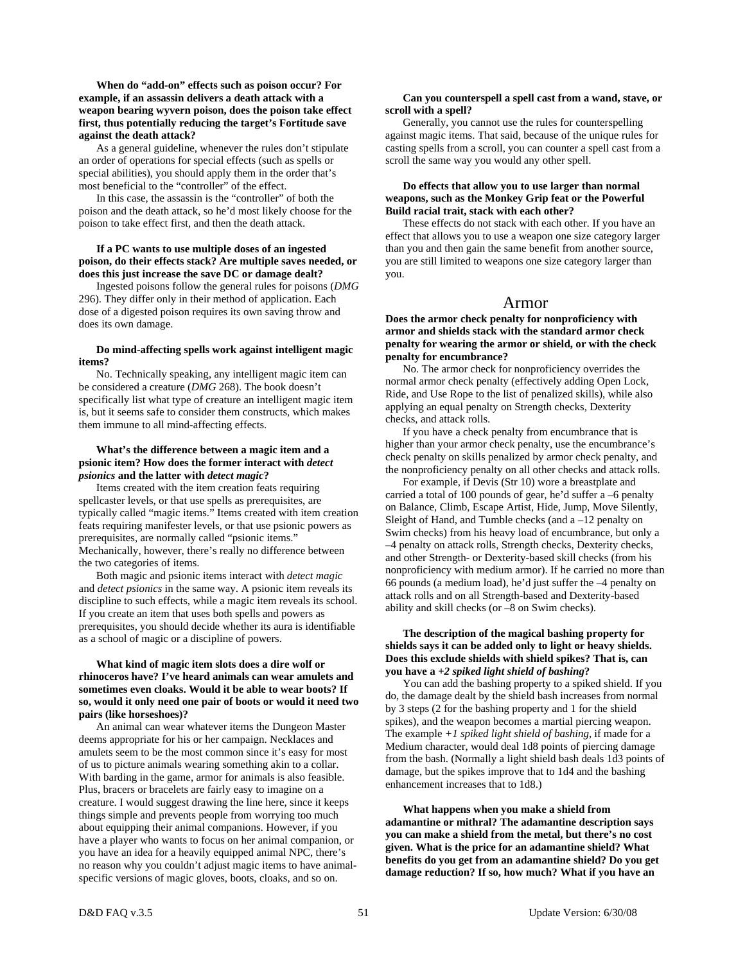# **When do "add-on" effects such as poison occur? For example, if an assassin delivers a death attack with a weapon bearing wyvern poison, does the poison take effect first, thus potentially reducing the target's Fortitude save against the death attack?**

 As a general guideline, whenever the rules don't stipulate an order of operations for special effects (such as spells or special abilities), you should apply them in the order that's most beneficial to the "controller" of the effect.

 In this case, the assassin is the "controller" of both the poison and the death attack, so he'd most likely choose for the poison to take effect first, and then the death attack.

#### **If a PC wants to use multiple doses of an ingested poison, do their effects stack? Are multiple saves needed, or does this just increase the save DC or damage dealt?**

 Ingested poisons follow the general rules for poisons (*DMG* 296). They differ only in their method of application. Each dose of a digested poison requires its own saving throw and does its own damage.

# **Do mind-affecting spells work against intelligent magic items?**

 No. Technically speaking, any intelligent magic item can be considered a creature (*DMG* 268). The book doesn't specifically list what type of creature an intelligent magic item is, but it seems safe to consider them constructs, which makes them immune to all mind-affecting effects.

# **What's the difference between a magic item and a psionic item? How does the former interact with** *detect psionics* **and the latter with** *detect magic***?**

 Items created with the item creation feats requiring spellcaster levels, or that use spells as prerequisites, are typically called "magic items." Items created with item creation feats requiring manifester levels, or that use psionic powers as prerequisites, are normally called "psionic items." Mechanically, however, there's really no difference between the two categories of items.

 Both magic and psionic items interact with *detect magic* and *detect psionics* in the same way. A psionic item reveals its discipline to such effects, while a magic item reveals its school. If you create an item that uses both spells and powers as prerequisites, you should decide whether its aura is identifiable as a school of magic or a discipline of powers.

# **What kind of magic item slots does a dire wolf or rhinoceros have? I've heard animals can wear amulets and sometimes even cloaks. Would it be able to wear boots? If so, would it only need one pair of boots or would it need two pairs (like horseshoes)?**

An animal can wear whatever items the Dungeon Master deems appropriate for his or her campaign. Necklaces and amulets seem to be the most common since it's easy for most of us to picture animals wearing something akin to a collar. With barding in the game, armor for animals is also feasible. Plus, bracers or bracelets are fairly easy to imagine on a creature. I would suggest drawing the line here, since it keeps things simple and prevents people from worrying too much about equipping their animal companions. However, if you have a player who wants to focus on her animal companion, or you have an idea for a heavily equipped animal NPC, there's no reason why you couldn't adjust magic items to have animalspecific versions of magic gloves, boots, cloaks, and so on.

#### **Can you counterspell a spell cast from a wand, stave, or scroll with a spell?**

 Generally, you cannot use the rules for counterspelling against magic items. That said, because of the unique rules for casting spells from a scroll, you can counter a spell cast from a scroll the same way you would any other spell.

# **Do effects that allow you to use larger than normal weapons, such as the Monkey Grip feat or the Powerful Build racial trait, stack with each other?**

 These effects do not stack with each other. If you have an effect that allows you to use a weapon one size category larger than you and then gain the same benefit from another source, you are still limited to weapons one size category larger than you.

# Armor

**Does the armor check penalty for nonproficiency with armor and shields stack with the standard armor check penalty for wearing the armor or shield, or with the check penalty for encumbrance?** 

 No. The armor check for nonproficiency overrides the normal armor check penalty (effectively adding Open Lock, Ride, and Use Rope to the list of penalized skills), while also applying an equal penalty on Strength checks, Dexterity checks, and attack rolls.

 If you have a check penalty from encumbrance that is higher than your armor check penalty, use the encumbrance's check penalty on skills penalized by armor check penalty, and the nonproficiency penalty on all other checks and attack rolls.

 For example, if Devis (Str 10) wore a breastplate and carried a total of 100 pounds of gear, he'd suffer a –6 penalty on Balance, Climb, Escape Artist, Hide, Jump, Move Silently, Sleight of Hand, and Tumble checks (and a –12 penalty on Swim checks) from his heavy load of encumbrance, but only a –4 penalty on attack rolls, Strength checks, Dexterity checks, and other Strength- or Dexterity-based skill checks (from his nonproficiency with medium armor). If he carried no more than 66 pounds (a medium load), he'd just suffer the –4 penalty on attack rolls and on all Strength-based and Dexterity-based ability and skill checks (or –8 on Swim checks).

# **The description of the magical bashing property for shields says it can be added only to light or heavy shields. Does this exclude shields with shield spikes? That is, can you have a** *+2 spiked light shield of bashing***?**

 You can add the bashing property to a spiked shield. If you do, the damage dealt by the shield bash increases from normal by 3 steps (2 for the bashing property and 1 for the shield spikes), and the weapon becomes a martial piercing weapon. The example *+1 spiked light shield of bashing,* if made for a Medium character, would deal 1d8 points of piercing damage from the bash. (Normally a light shield bash deals 1d3 points of damage, but the spikes improve that to 1d4 and the bashing enhancement increases that to 1d8.)

 **What happens when you make a shield from adamantine or mithral? The adamantine description says you can make a shield from the metal, but there's no cost given. What is the price for an adamantine shield? What benefits do you get from an adamantine shield? Do you get damage reduction? If so, how much? What if you have an**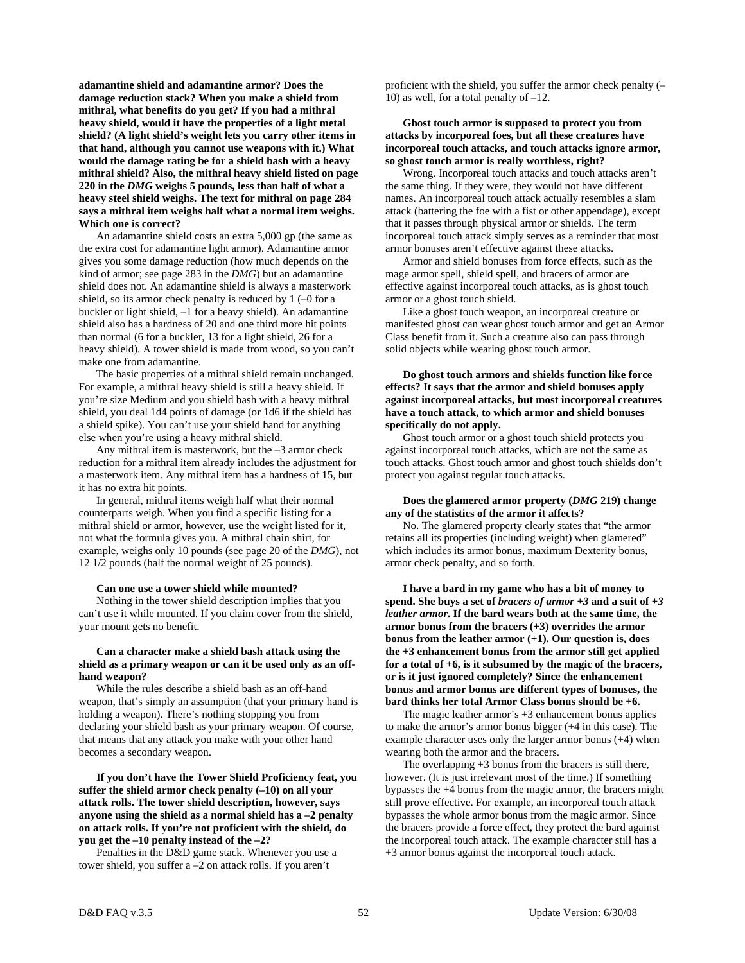**adamantine shield and adamantine armor? Does the damage reduction stack? When you make a shield from mithral, what benefits do you get? If you had a mithral heavy shield, would it have the properties of a light metal shield? (A light shield's weight lets you carry other items in that hand, although you cannot use weapons with it.) What would the damage rating be for a shield bash with a heavy mithral shield? Also, the mithral heavy shield listed on page 220 in the** *DMG* **weighs 5 pounds, less than half of what a heavy steel shield weighs. The text for mithral on page 284 says a mithral item weighs half what a normal item weighs. Which one is correct?** 

 An adamantine shield costs an extra 5,000 gp (the same as the extra cost for adamantine light armor). Adamantine armor gives you some damage reduction (how much depends on the kind of armor; see page 283 in the *DMG*) but an adamantine shield does not. An adamantine shield is always a masterwork shield, so its armor check penalty is reduced by  $1$  (-0 for a buckler or light shield, –1 for a heavy shield). An adamantine shield also has a hardness of 20 and one third more hit points than normal (6 for a buckler, 13 for a light shield, 26 for a heavy shield). A tower shield is made from wood, so you can't make one from adamantine.

 The basic properties of a mithral shield remain unchanged. For example, a mithral heavy shield is still a heavy shield. If you're size Medium and you shield bash with a heavy mithral shield, you deal 1d4 points of damage (or 1d6 if the shield has a shield spike). You can't use your shield hand for anything else when you're using a heavy mithral shield.

 Any mithral item is masterwork, but the –3 armor check reduction for a mithral item already includes the adjustment for a masterwork item. Any mithral item has a hardness of 15, but it has no extra hit points.

 In general, mithral items weigh half what their normal counterparts weigh. When you find a specific listing for a mithral shield or armor, however, use the weight listed for it, not what the formula gives you. A mithral chain shirt, for example, weighs only 10 pounds (see page 20 of the *DMG*), not 12 1/2 pounds (half the normal weight of 25 pounds).

#### **Can one use a tower shield while mounted?**

 Nothing in the tower shield description implies that you can't use it while mounted. If you claim cover from the shield, your mount gets no benefit.

#### **Can a character make a shield bash attack using the shield as a primary weapon or can it be used only as an offhand weapon?**

 While the rules describe a shield bash as an off-hand weapon, that's simply an assumption (that your primary hand is holding a weapon). There's nothing stopping you from declaring your shield bash as your primary weapon. Of course, that means that any attack you make with your other hand becomes a secondary weapon.

 **If you don't have the Tower Shield Proficiency feat, you suffer the shield armor check penalty (–10) on all your attack rolls. The tower shield description, however, says anyone using the shield as a normal shield has a –2 penalty on attack rolls. If you're not proficient with the shield, do you get the –10 penalty instead of the –2?** 

 Penalties in the D&D game stack. Whenever you use a tower shield, you suffer a –2 on attack rolls. If you aren't

proficient with the shield, you suffer the armor check penalty (– 10) as well, for a total penalty of –12.

# **Ghost touch armor is supposed to protect you from attacks by incorporeal foes, but all these creatures have incorporeal touch attacks, and touch attacks ignore armor, so ghost touch armor is really worthless, right?**

 Wrong. Incorporeal touch attacks and touch attacks aren't the same thing. If they were, they would not have different names. An incorporeal touch attack actually resembles a slam attack (battering the foe with a fist or other appendage), except that it passes through physical armor or shields. The term incorporeal touch attack simply serves as a reminder that most armor bonuses aren't effective against these attacks.

 Armor and shield bonuses from force effects, such as the mage armor spell, shield spell, and bracers of armor are effective against incorporeal touch attacks, as is ghost touch armor or a ghost touch shield.

 Like a ghost touch weapon, an incorporeal creature or manifested ghost can wear ghost touch armor and get an Armor Class benefit from it. Such a creature also can pass through solid objects while wearing ghost touch armor.

# **Do ghost touch armors and shields function like force effects? It says that the armor and shield bonuses apply against incorporeal attacks, but most incorporeal creatures have a touch attack, to which armor and shield bonuses specifically do not apply.**

 Ghost touch armor or a ghost touch shield protects you against incorporeal touch attacks, which are not the same as touch attacks. Ghost touch armor and ghost touch shields don't protect you against regular touch attacks.

#### **Does the glamered armor property (***DMG* **219) change any of the statistics of the armor it affects?**

 No. The glamered property clearly states that "the armor retains all its properties (including weight) when glamered" which includes its armor bonus, maximum Dexterity bonus, armor check penalty, and so forth.

 **I have a bard in my game who has a bit of money to spend. She buys a set of** *bracers of armor +3* **and a suit of** *+3 leather armor***. If the bard wears both at the same time, the armor bonus from the bracers (+3) overrides the armor bonus from the leather armor (+1). Our question is, does the +3 enhancement bonus from the armor still get applied for a total of +6, is it subsumed by the magic of the bracers, or is it just ignored completely? Since the enhancement bonus and armor bonus are different types of bonuses, the bard thinks her total Armor Class bonus should be +6.** 

 The magic leather armor's +3 enhancement bonus applies to make the armor's armor bonus bigger (+4 in this case). The example character uses only the larger armor bonus (+4) when wearing both the armor and the bracers.

 The overlapping +3 bonus from the bracers is still there, however. (It is just irrelevant most of the time.) If something bypasses the +4 bonus from the magic armor, the bracers might still prove effective. For example, an incorporeal touch attack bypasses the whole armor bonus from the magic armor. Since the bracers provide a force effect, they protect the bard against the incorporeal touch attack. The example character still has a +3 armor bonus against the incorporeal touch attack.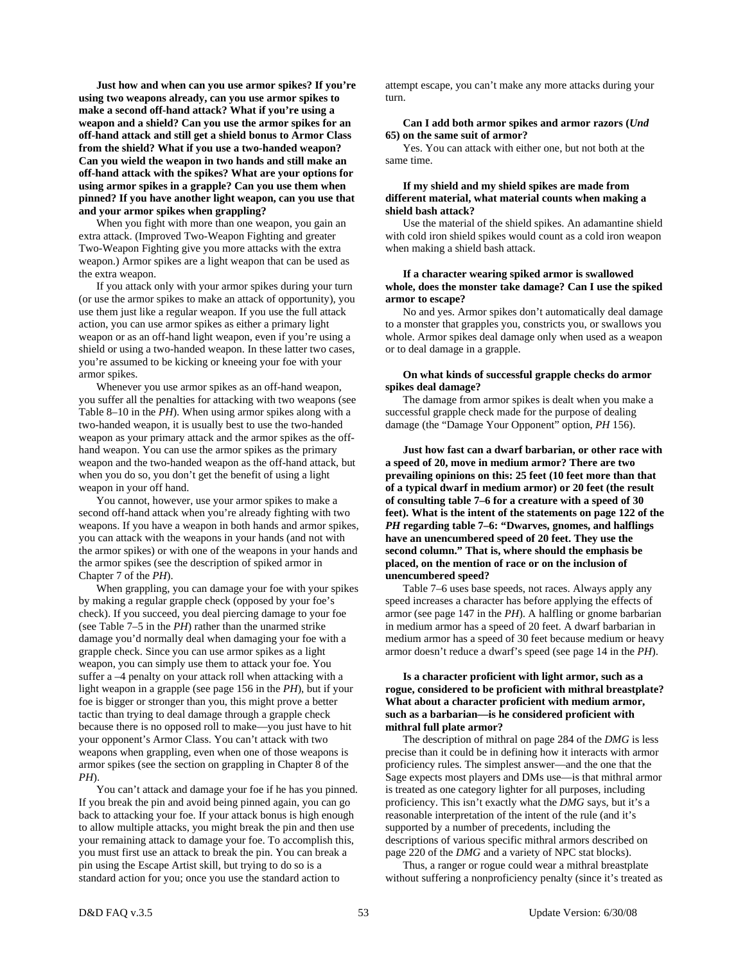**Just how and when can you use armor spikes? If you're using two weapons already, can you use armor spikes to make a second off-hand attack? What if you're using a weapon and a shield? Can you use the armor spikes for an off-hand attack and still get a shield bonus to Armor Class from the shield? What if you use a two-handed weapon? Can you wield the weapon in two hands and still make an off-hand attack with the spikes? What are your options for using armor spikes in a grapple? Can you use them when pinned? If you have another light weapon, can you use that and your armor spikes when grappling?** 

 When you fight with more than one weapon, you gain an extra attack. (Improved Two-Weapon Fighting and greater Two-Weapon Fighting give you more attacks with the extra weapon.) Armor spikes are a light weapon that can be used as the extra weapon.

 If you attack only with your armor spikes during your turn (or use the armor spikes to make an attack of opportunity), you use them just like a regular weapon. If you use the full attack action, you can use armor spikes as either a primary light weapon or as an off-hand light weapon, even if you're using a shield or using a two-handed weapon. In these latter two cases, you're assumed to be kicking or kneeing your foe with your armor spikes.

 Whenever you use armor spikes as an off-hand weapon, you suffer all the penalties for attacking with two weapons (see Table 8–10 in the *PH*). When using armor spikes along with a two-handed weapon, it is usually best to use the two-handed weapon as your primary attack and the armor spikes as the offhand weapon. You can use the armor spikes as the primary weapon and the two-handed weapon as the off-hand attack, but when you do so, you don't get the benefit of using a light weapon in your off hand.

 You cannot, however, use your armor spikes to make a second off-hand attack when you're already fighting with two weapons. If you have a weapon in both hands and armor spikes, you can attack with the weapons in your hands (and not with the armor spikes) or with one of the weapons in your hands and the armor spikes (see the description of spiked armor in Chapter 7 of the *PH*).

 When grappling, you can damage your foe with your spikes by making a regular grapple check (opposed by your foe's check). If you succeed, you deal piercing damage to your foe (see Table 7–5 in the *PH*) rather than the unarmed strike damage you'd normally deal when damaging your foe with a grapple check. Since you can use armor spikes as a light weapon, you can simply use them to attack your foe. You suffer a –4 penalty on your attack roll when attacking with a light weapon in a grapple (see page 156 in the *PH*), but if your foe is bigger or stronger than you, this might prove a better tactic than trying to deal damage through a grapple check because there is no opposed roll to make—you just have to hit your opponent's Armor Class. You can't attack with two weapons when grappling, even when one of those weapons is armor spikes (see the section on grappling in Chapter 8 of the *PH*).

 You can't attack and damage your foe if he has you pinned. If you break the pin and avoid being pinned again, you can go back to attacking your foe. If your attack bonus is high enough to allow multiple attacks, you might break the pin and then use your remaining attack to damage your foe. To accomplish this, you must first use an attack to break the pin. You can break a pin using the Escape Artist skill, but trying to do so is a standard action for you; once you use the standard action to

attempt escape, you can't make any more attacks during your turn.

#### **Can I add both armor spikes and armor razors (***Und* **65) on the same suit of armor?**

 Yes. You can attack with either one, but not both at the same time.

#### **If my shield and my shield spikes are made from different material, what material counts when making a shield bash attack?**

 Use the material of the shield spikes. An adamantine shield with cold iron shield spikes would count as a cold iron weapon when making a shield bash attack.

# **If a character wearing spiked armor is swallowed whole, does the monster take damage? Can I use the spiked armor to escape?**

 No and yes. Armor spikes don't automatically deal damage to a monster that grapples you, constricts you, or swallows you whole. Armor spikes deal damage only when used as a weapon or to deal damage in a grapple.

#### **On what kinds of successful grapple checks do armor spikes deal damage?**

 The damage from armor spikes is dealt when you make a successful grapple check made for the purpose of dealing damage (the "Damage Your Opponent" option, *PH* 156).

 **Just how fast can a dwarf barbarian, or other race with a speed of 20, move in medium armor? There are two prevailing opinions on this: 25 feet (10 feet more than that of a typical dwarf in medium armor) or 20 feet (the result of consulting table 7–6 for a creature with a speed of 30 feet). What is the intent of the statements on page 122 of the**  *PH* **regarding table 7–6: "Dwarves, gnomes, and halflings have an unencumbered speed of 20 feet. They use the second column." That is, where should the emphasis be placed, on the mention of race or on the inclusion of unencumbered speed?** 

 Table 7–6 uses base speeds, not races. Always apply any speed increases a character has before applying the effects of armor (see page 147 in the *PH*). A halfling or gnome barbarian in medium armor has a speed of 20 feet. A dwarf barbarian in medium armor has a speed of 30 feet because medium or heavy armor doesn't reduce a dwarf's speed (see page 14 in the *PH*).

# **Is a character proficient with light armor, such as a rogue, considered to be proficient with mithral breastplate? What about a character proficient with medium armor, such as a barbarian—is he considered proficient with mithral full plate armor?**

 The description of mithral on page 284 of the *DMG* is less precise than it could be in defining how it interacts with armor proficiency rules. The simplest answer—and the one that the Sage expects most players and DMs use—is that mithral armor is treated as one category lighter for all purposes, including proficiency. This isn't exactly what the *DMG* says, but it's a reasonable interpretation of the intent of the rule (and it's supported by a number of precedents, including the descriptions of various specific mithral armors described on page 220 of the *DMG* and a variety of NPC stat blocks).

 Thus, a ranger or rogue could wear a mithral breastplate without suffering a nonproficiency penalty (since it's treated as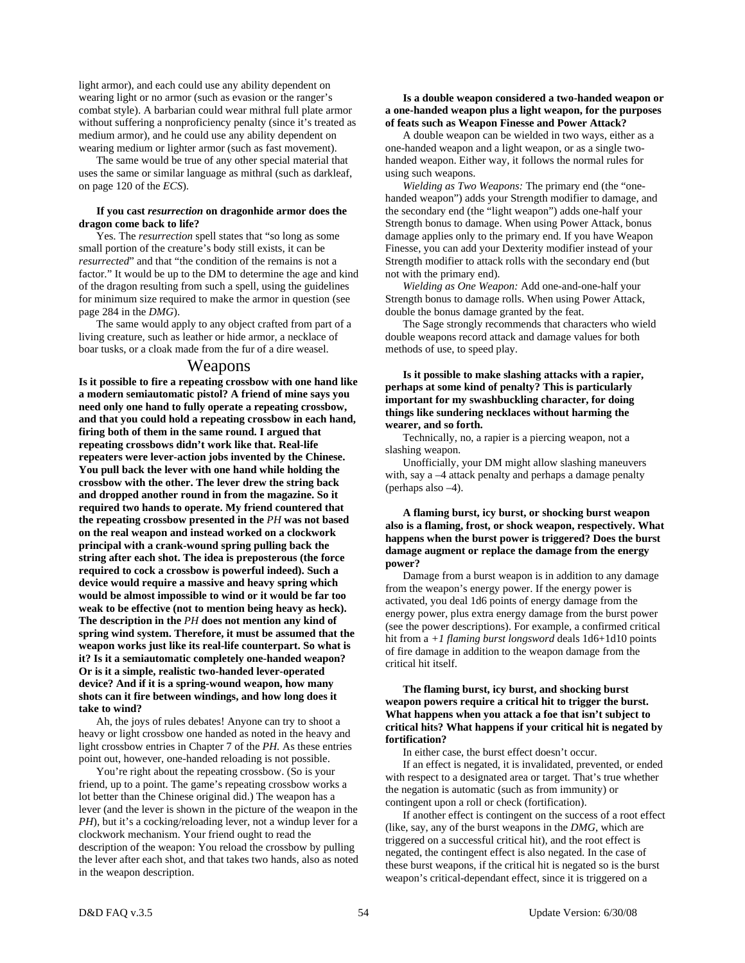light armor), and each could use any ability dependent on wearing light or no armor (such as evasion or the ranger's combat style). A barbarian could wear mithral full plate armor without suffering a nonproficiency penalty (since it's treated as medium armor), and he could use any ability dependent on wearing medium or lighter armor (such as fast movement).

 The same would be true of any other special material that uses the same or similar language as mithral (such as darkleaf, on page 120 of the *ECS*).

# **If you cast** *resurrection* **on dragonhide armor does the dragon come back to life?**

 Yes. The *resurrection* spell states that "so long as some small portion of the creature's body still exists, it can be *resurrected*" and that "the condition of the remains is not a factor." It would be up to the DM to determine the age and kind of the dragon resulting from such a spell, using the guidelines for minimum size required to make the armor in question (see page 284 in the *DMG*).

 The same would apply to any object crafted from part of a living creature, such as leather or hide armor, a necklace of boar tusks, or a cloak made from the fur of a dire weasel.

# Weapons

**Is it possible to fire a repeating crossbow with one hand like a modern semiautomatic pistol? A friend of mine says you need only one hand to fully operate a repeating crossbow, and that you could hold a repeating crossbow in each hand, firing both of them in the same round. I argued that repeating crossbows didn't work like that. Real-life repeaters were lever-action jobs invented by the Chinese. You pull back the lever with one hand while holding the crossbow with the other. The lever drew the string back and dropped another round in from the magazine. So it required two hands to operate. My friend countered that the repeating crossbow presented in the** *PH* **was not based on the real weapon and instead worked on a clockwork principal with a crank-wound spring pulling back the string after each shot. The idea is preposterous (the force required to cock a crossbow is powerful indeed). Such a device would require a massive and heavy spring which would be almost impossible to wind or it would be far too weak to be effective (not to mention being heavy as heck). The description in the** *PH* **does not mention any kind of spring wind system. Therefore, it must be assumed that the weapon works just like its real-life counterpart. So what is it? Is it a semiautomatic completely one-handed weapon? Or is it a simple, realistic two-handed lever-operated device? And if it is a spring-wound weapon, how many shots can it fire between windings, and how long does it take to wind?** 

 Ah, the joys of rules debates! Anyone can try to shoot a heavy or light crossbow one handed as noted in the heavy and light crossbow entries in Chapter 7 of the *PH.* As these entries point out, however, one-handed reloading is not possible.

You're right about the repeating crossbow. (So is your friend, up to a point. The game's repeating crossbow works a lot better than the Chinese original did.) The weapon has a lever (and the lever is shown in the picture of the weapon in the *PH*), but it's a cocking/reloading lever, not a windup lever for a clockwork mechanism. Your friend ought to read the description of the weapon: You reload the crossbow by pulling the lever after each shot, and that takes two hands, also as noted in the weapon description.

#### **Is a double weapon considered a two-handed weapon or a one-handed weapon plus a light weapon, for the purposes of feats such as Weapon Finesse and Power Attack?**

 A double weapon can be wielded in two ways, either as a one-handed weapon and a light weapon, or as a single twohanded weapon. Either way, it follows the normal rules for using such weapons.

*Wielding as Two Weapons:* The primary end (the "onehanded weapon") adds your Strength modifier to damage, and the secondary end (the "light weapon") adds one-half your Strength bonus to damage. When using Power Attack, bonus damage applies only to the primary end. If you have Weapon Finesse, you can add your Dexterity modifier instead of your Strength modifier to attack rolls with the secondary end (but not with the primary end).

*Wielding as One Weapon:* Add one-and-one-half your Strength bonus to damage rolls. When using Power Attack, double the bonus damage granted by the feat.

 The Sage strongly recommends that characters who wield double weapons record attack and damage values for both methods of use, to speed play.

 **Is it possible to make slashing attacks with a rapier, perhaps at some kind of penalty? This is particularly important for my swashbuckling character, for doing things like sundering necklaces without harming the wearer, and so forth.** 

 Technically, no, a rapier is a piercing weapon, not a slashing weapon.

 Unofficially, your DM might allow slashing maneuvers with, say a –4 attack penalty and perhaps a damage penalty (perhaps also –4).

# **A flaming burst, icy burst, or shocking burst weapon also is a flaming, frost, or shock weapon, respectively. What happens when the burst power is triggered? Does the burst damage augment or replace the damage from the energy power?**

 Damage from a burst weapon is in addition to any damage from the weapon's energy power. If the energy power is activated, you deal 1d6 points of energy damage from the energy power, plus extra energy damage from the burst power (see the power descriptions). For example, a confirmed critical hit from a *+1 flaming burst longsword* deals 1d6+1d10 points of fire damage in addition to the weapon damage from the critical hit itself.

# **The flaming burst, icy burst, and shocking burst weapon powers require a critical hit to trigger the burst. What happens when you attack a foe that isn't subject to critical hits? What happens if your critical hit is negated by fortification?**

In either case, the burst effect doesn't occur.

 If an effect is negated, it is invalidated, prevented, or ended with respect to a designated area or target. That's true whether the negation is automatic (such as from immunity) or contingent upon a roll or check (fortification).

 If another effect is contingent on the success of a root effect (like, say, any of the burst weapons in the *DMG*, which are triggered on a successful critical hit), and the root effect is negated, the contingent effect is also negated. In the case of these burst weapons, if the critical hit is negated so is the burst weapon's critical-dependant effect, since it is triggered on a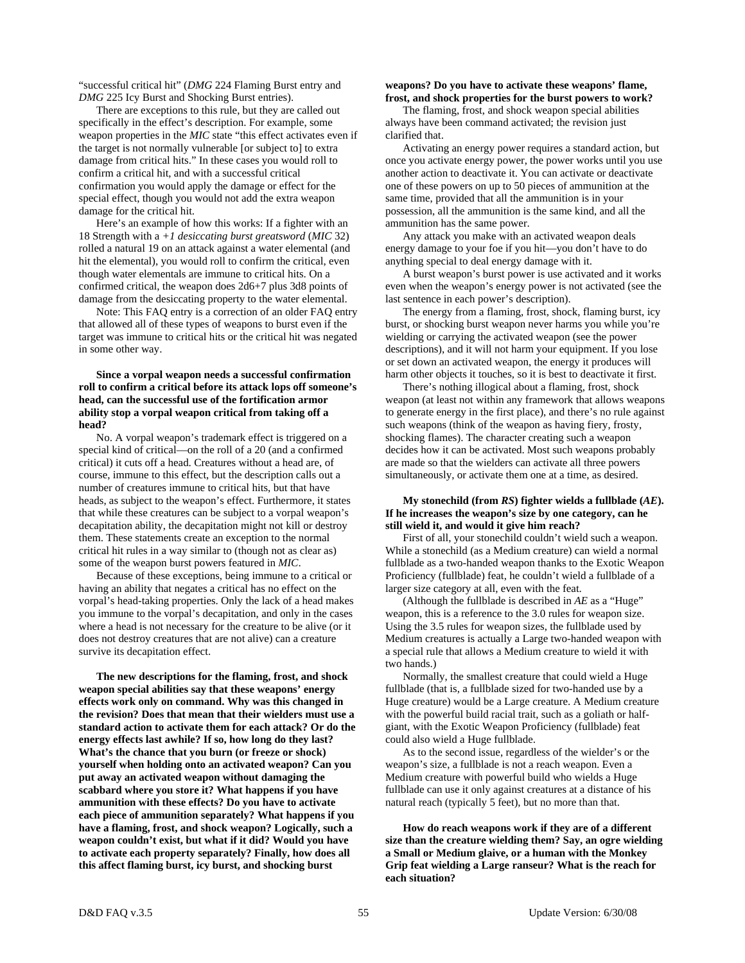"successful critical hit" (*DMG* 224 Flaming Burst entry and *DMG* 225 Icy Burst and Shocking Burst entries).

 There are exceptions to this rule, but they are called out specifically in the effect's description. For example, some weapon properties in the *MIC* state "this effect activates even if the target is not normally vulnerable [or subject to] to extra damage from critical hits." In these cases you would roll to confirm a critical hit, and with a successful critical confirmation you would apply the damage or effect for the special effect, though you would not add the extra weapon damage for the critical hit.

 Here's an example of how this works: If a fighter with an 18 Strength with a *+1 desiccating burst greatsword* (*MIC* 32) rolled a natural 19 on an attack against a water elemental (and hit the elemental), you would roll to confirm the critical, even though water elementals are immune to critical hits. On a confirmed critical, the weapon does 2d6+7 plus 3d8 points of damage from the desiccating property to the water elemental.

 Note: This FAQ entry is a correction of an older FAQ entry that allowed all of these types of weapons to burst even if the target was immune to critical hits or the critical hit was negated in some other way.

## **Since a vorpal weapon needs a successful confirmation roll to confirm a critical before its attack lops off someone's head, can the successful use of the fortification armor ability stop a vorpal weapon critical from taking off a head?**

 No. A vorpal weapon's trademark effect is triggered on a special kind of critical—on the roll of a 20 (and a confirmed critical) it cuts off a head. Creatures without a head are, of course, immune to this effect, but the description calls out a number of creatures immune to critical hits, but that have heads, as subject to the weapon's effect. Furthermore, it states that while these creatures can be subject to a vorpal weapon's decapitation ability, the decapitation might not kill or destroy them. These statements create an exception to the normal critical hit rules in a way similar to (though not as clear as) some of the weapon burst powers featured in *MIC*.

 Because of these exceptions, being immune to a critical or having an ability that negates a critical has no effect on the vorpal's head-taking properties. Only the lack of a head makes you immune to the vorpal's decapitation, and only in the cases where a head is not necessary for the creature to be alive (or it does not destroy creatures that are not alive) can a creature survive its decapitation effect.

 **The new descriptions for the flaming, frost, and shock weapon special abilities say that these weapons' energy effects work only on command. Why was this changed in the revision? Does that mean that their wielders must use a standard action to activate them for each attack? Or do the energy effects last awhile? If so, how long do they last? What's the chance that you burn (or freeze or shock) yourself when holding onto an activated weapon? Can you put away an activated weapon without damaging the scabbard where you store it? What happens if you have ammunition with these effects? Do you have to activate each piece of ammunition separately? What happens if you have a flaming, frost, and shock weapon? Logically, such a weapon couldn't exist, but what if it did? Would you have to activate each property separately? Finally, how does all this affect flaming burst, icy burst, and shocking burst** 

#### **weapons? Do you have to activate these weapons' flame, frost, and shock properties for the burst powers to work?**

 The flaming, frost, and shock weapon special abilities always have been command activated; the revision just clarified that.

 Activating an energy power requires a standard action, but once you activate energy power, the power works until you use another action to deactivate it. You can activate or deactivate one of these powers on up to 50 pieces of ammunition at the same time, provided that all the ammunition is in your possession, all the ammunition is the same kind, and all the ammunition has the same power.

 Any attack you make with an activated weapon deals energy damage to your foe if you hit—you don't have to do anything special to deal energy damage with it.

 A burst weapon's burst power is use activated and it works even when the weapon's energy power is not activated (see the last sentence in each power's description).

 The energy from a flaming, frost, shock, flaming burst, icy burst, or shocking burst weapon never harms you while you're wielding or carrying the activated weapon (see the power descriptions), and it will not harm your equipment. If you lose or set down an activated weapon, the energy it produces will harm other objects it touches, so it is best to deactivate it first.

 There's nothing illogical about a flaming, frost, shock weapon (at least not within any framework that allows weapons to generate energy in the first place), and there's no rule against such weapons (think of the weapon as having fiery, frosty, shocking flames). The character creating such a weapon decides how it can be activated. Most such weapons probably are made so that the wielders can activate all three powers simultaneously, or activate them one at a time, as desired.

## **My stonechild (from** *RS***) fighter wields a fullblade (***AE***). If he increases the weapon's size by one category, can he still wield it, and would it give him reach?**

 First of all, your stonechild couldn't wield such a weapon. While a stonechild (as a Medium creature) can wield a normal fullblade as a two-handed weapon thanks to the Exotic Weapon Proficiency (fullblade) feat, he couldn't wield a fullblade of a larger size category at all, even with the feat.

 (Although the fullblade is described in *AE* as a "Huge" weapon, this is a reference to the 3.0 rules for weapon size. Using the 3.5 rules for weapon sizes, the fullblade used by Medium creatures is actually a Large two-handed weapon with a special rule that allows a Medium creature to wield it with two hands.)

 Normally, the smallest creature that could wield a Huge fullblade (that is, a fullblade sized for two-handed use by a Huge creature) would be a Large creature. A Medium creature with the powerful build racial trait, such as a goliath or halfgiant, with the Exotic Weapon Proficiency (fullblade) feat could also wield a Huge fullblade.

 As to the second issue, regardless of the wielder's or the weapon's size, a fullblade is not a reach weapon. Even a Medium creature with powerful build who wields a Huge fullblade can use it only against creatures at a distance of his natural reach (typically 5 feet), but no more than that.

 **How do reach weapons work if they are of a different size than the creature wielding them? Say, an ogre wielding a Small or Medium glaive, or a human with the Monkey Grip feat wielding a Large ranseur? What is the reach for each situation?**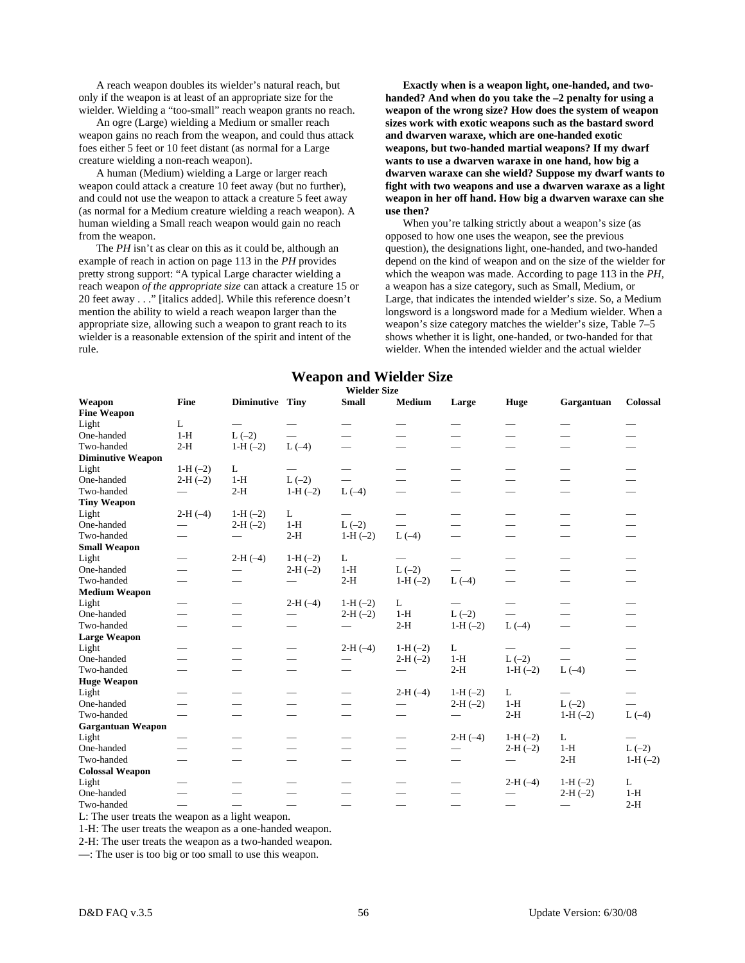A reach weapon doubles its wielder's natural reach, but only if the weapon is at least of an appropriate size for the wielder. Wielding a "too-small" reach weapon grants no reach.

 An ogre (Large) wielding a Medium or smaller reach weapon gains no reach from the weapon, and could thus attack foes either 5 feet or 10 feet distant (as normal for a Large creature wielding a non-reach weapon).

 A human (Medium) wielding a Large or larger reach weapon could attack a creature 10 feet away (but no further), and could not use the weapon to attack a creature 5 feet away (as normal for a Medium creature wielding a reach weapon). A human wielding a Small reach weapon would gain no reach from the weapon.

 The *PH* isn't as clear on this as it could be, although an example of reach in action on page 113 in the *PH* provides pretty strong support: "A typical Large character wielding a reach weapon *of the appropriate size* can attack a creature 15 or 20 feet away . . ." [italics added]. While this reference doesn't mention the ability to wield a reach weapon larger than the appropriate size, allowing such a weapon to grant reach to its wielder is a reasonable extension of the spirit and intent of the rule.

 **Exactly when is a weapon light, one-handed, and twohanded? And when do you take the –2 penalty for using a weapon of the wrong size? How does the system of weapon sizes work with exotic weapons such as the bastard sword and dwarven waraxe, which are one-handed exotic weapons, but two-handed martial weapons? If my dwarf wants to use a dwarven waraxe in one hand, how big a dwarven waraxe can she wield? Suppose my dwarf wants to fight with two weapons and use a dwarven waraxe as a light weapon in her off hand. How big a dwarven waraxe can she use then?** 

 When you're talking strictly about a weapon's size (as opposed to how one uses the weapon, see the previous question), the designations light, one-handed, and two-handed depend on the kind of weapon and on the size of the wielder for which the weapon was made. According to page 113 in the *PH,* a weapon has a size category, such as Small, Medium, or Large, that indicates the intended wielder's size. So, a Medium longsword is a longsword made for a Medium wielder. When a weapon's size category matches the wielder's size, Table 7–5 shows whether it is light, one-handed, or two-handed for that wielder. When the intended wielder and the actual wielder

# **Weapon and Wielder Size**

| Wielder Size |  |
|--------------|--|
|--------------|--|

| <b>Wielder Size</b>          |                          |                               |                          |                          |                               |                               |                               |                          |                                 |  |  |
|------------------------------|--------------------------|-------------------------------|--------------------------|--------------------------|-------------------------------|-------------------------------|-------------------------------|--------------------------|---------------------------------|--|--|
| Weapon<br><b>Fine Weapon</b> | Fine                     | Diminutive Tiny               |                          | <b>Small</b>             | <b>Medium</b>                 | Large                         | <b>Huge</b>                   | Gargantuan               | Colossal                        |  |  |
| Light                        | L                        | $\qquad \qquad$               | $\hspace{0.05cm}$        |                          | $\overbrace{\phantom{aaaaa}}$ |                               | $\qquad \qquad$               |                          | $\hspace{0.1mm}-\hspace{0.1mm}$ |  |  |
| One-handed                   | $1-H$                    | $L(-2)$                       | $\equiv$                 |                          |                               | $\overbrace{\phantom{aaaaa}}$ |                               |                          |                                 |  |  |
| Two-handed                   | $2-H$                    | $1-H(-2)$                     | $L(-4)$                  | $\overline{\phantom{0}}$ | $\overline{\phantom{0}}$      |                               |                               |                          |                                 |  |  |
| <b>Diminutive Weapon</b>     |                          |                               |                          |                          |                               |                               |                               |                          |                                 |  |  |
| Light                        | $1-H(-2)$                | L                             |                          | $\hspace{0.05cm}$        |                               |                               | $\overbrace{\phantom{aaaaa}}$ |                          |                                 |  |  |
| One-handed                   | $2-H(-2)$                | $1-H$                         | $L(-2)$                  | $\overline{\phantom{0}}$ |                               |                               |                               |                          |                                 |  |  |
| Two-handed                   | $\qquad \qquad$          | $2-H$                         | $1-H$ $(-2)$             | $L(-4)$                  | $\overline{\phantom{0}}$      |                               |                               |                          |                                 |  |  |
| <b>Tiny Weapon</b>           |                          |                               |                          |                          |                               |                               |                               |                          |                                 |  |  |
| Light                        | $2-H(-4)$                | $1-H(-2)$                     | L                        | $\overline{\phantom{0}}$ | $\overbrace{\phantom{aaaaa}}$ |                               | $\qquad \qquad$               |                          |                                 |  |  |
| One-handed                   | $\qquad \qquad$          | $2-H(-2)$                     | $1-H$                    | $L(-2)$                  | $\overline{\phantom{0}}$      |                               |                               |                          |                                 |  |  |
| Two-handed                   | $\overline{\phantom{0}}$ |                               | $2-H$                    | $1-H$ $(-2)$             | $L(-4)$                       |                               |                               |                          |                                 |  |  |
| <b>Small Weapon</b>          |                          |                               |                          |                          |                               |                               |                               |                          |                                 |  |  |
| Light                        | $\qquad \qquad$          | $2-H(-4)$                     | $1-H(-2)$                | L                        |                               |                               |                               | $\overline{\phantom{0}}$ |                                 |  |  |
| One-handed                   | $\overline{\phantom{0}}$ | $\overbrace{\phantom{aaaaa}}$ | $2-H(-2)$                | $1-H$                    | $L(-2)$                       |                               |                               |                          |                                 |  |  |
| Two-handed                   | $\overline{\phantom{0}}$ |                               | $\overline{\phantom{0}}$ | $2-H$                    | $1-H$ $(-2)$                  | $L(-4)$                       | $\overline{\phantom{0}}$      |                          |                                 |  |  |
| <b>Medium Weapon</b>         |                          |                               |                          |                          |                               |                               |                               |                          |                                 |  |  |
| Light                        |                          | $\overbrace{\phantom{aaaaa}}$ | $2-H(-4)$                | $1-H$ $(-2)$             | L                             |                               | $\overline{\phantom{0}}$      |                          |                                 |  |  |
| One-handed                   | $\overline{\phantom{0}}$ |                               | $\hspace{0.05cm}$        | $2-H(-2)$                | $1-H$                         | $L(-2)$                       | $\overline{\phantom{0}}$      |                          |                                 |  |  |
| Two-handed                   |                          |                               |                          | $\overline{\phantom{0}}$ | $2-H$                         | $1-H$ $(-2)$                  | $L(-4)$                       |                          |                                 |  |  |
| <b>Large Weapon</b>          |                          |                               |                          |                          |                               |                               |                               |                          |                                 |  |  |
| Light                        | $\qquad \qquad$          | $\overbrace{\phantom{aaaaa}}$ | $\qquad \qquad$          | $2-H(-4)$                | $1-H$ $(-2)$                  | L                             |                               | $\hspace{0.05cm}$        |                                 |  |  |
| One-handed                   | $\overline{\phantom{0}}$ |                               |                          |                          | $2-H(-2)$                     | $1-H$                         | $L(-2)$                       | $\overline{\phantom{0}}$ |                                 |  |  |
| Two-handed                   | $\overline{\phantom{0}}$ |                               | $\overline{\phantom{0}}$ |                          | $\overline{\phantom{0}}$      | $2-H$                         | $1-H(-2)$                     | $L(-4)$                  |                                 |  |  |
| <b>Huge Weapon</b>           |                          |                               |                          |                          |                               |                               |                               |                          |                                 |  |  |
| Light                        |                          |                               |                          | $\overline{\phantom{0}}$ | $2-H(-4)$                     | $1-H$ $(-2)$                  | L                             |                          | $\overline{\phantom{0}}$        |  |  |
| One-handed                   |                          |                               | $\overline{\phantom{0}}$ | $\overline{\phantom{0}}$ | $\overline{\phantom{0}}$      | $2-H(-2)$                     | $1-H$                         | $L(-2)$                  | $\equiv$                        |  |  |
| Two-handed                   | $\overline{\phantom{0}}$ | $\overline{\phantom{0}}$      | $\overline{\phantom{0}}$ | $\overline{\phantom{0}}$ | $\overline{\phantom{0}}$      |                               | $2-H$                         | $1-H(-2)$                | $L(-4)$                         |  |  |
| <b>Gargantuan Weapon</b>     |                          |                               |                          |                          |                               |                               |                               |                          |                                 |  |  |
| Light                        |                          | $\overbrace{\phantom{aaaaa}}$ | $\qquad \qquad$          |                          | $\overline{\phantom{0}}$      | $2-H(-4)$                     | $1-H(-2)$                     | L                        | $\overline{\phantom{0}}$        |  |  |
| One-handed                   | $\overline{\phantom{0}}$ | $\overline{\phantom{0}}$      | $\overline{\phantom{0}}$ | $\overline{\phantom{0}}$ | $\overline{\phantom{0}}$      | $\qquad \qquad$               | $2-H(-2)$                     | $1-H$                    | $L(-2)$                         |  |  |
| Two-handed                   |                          |                               | $\overline{\phantom{0}}$ |                          | $\overline{\phantom{0}}$      |                               |                               | $2-H$                    | $1-H$ $(-2)$                    |  |  |
| <b>Colossal Weapon</b>       |                          |                               |                          |                          |                               |                               |                               |                          |                                 |  |  |
| Light                        | $\qquad \qquad$          | $\overbrace{\phantom{aaaaa}}$ |                          |                          | $\overbrace{\phantom{aaaaa}}$ |                               | $2-H(-4)$                     | $1-H$ $(-2)$             | L                               |  |  |
| One-handed                   | $\overline{\phantom{0}}$ |                               |                          |                          |                               |                               |                               | $2-H(-2)$                | $1-H$                           |  |  |
| Two-handed                   |                          |                               |                          |                          |                               |                               | $\qquad \qquad$               |                          | $2-H$                           |  |  |

L: The user treats the weapon as a light weapon.

1-H: The user treats the weapon as a one-handed weapon.

2-H: The user treats the weapon as a two-handed weapon.

—: The user is too big or too small to use this weapon.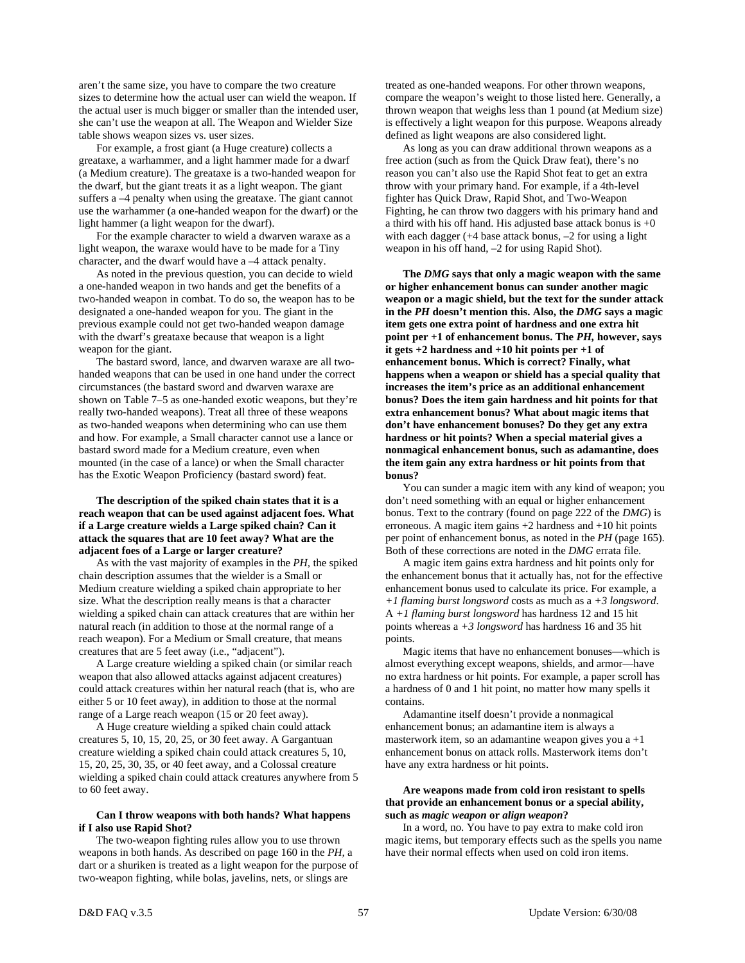aren't the same size, you have to compare the two creature sizes to determine how the actual user can wield the weapon. If the actual user is much bigger or smaller than the intended user, she can't use the weapon at all. The Weapon and Wielder Size table shows weapon sizes vs. user sizes.

 For example, a frost giant (a Huge creature) collects a greataxe, a warhammer, and a light hammer made for a dwarf (a Medium creature). The greataxe is a two-handed weapon for the dwarf, but the giant treats it as a light weapon. The giant suffers a –4 penalty when using the greataxe. The giant cannot use the warhammer (a one-handed weapon for the dwarf) or the light hammer (a light weapon for the dwarf).

 For the example character to wield a dwarven waraxe as a light weapon, the waraxe would have to be made for a Tiny character, and the dwarf would have a –4 attack penalty.

 As noted in the previous question, you can decide to wield a one-handed weapon in two hands and get the benefits of a two-handed weapon in combat. To do so, the weapon has to be designated a one-handed weapon for you. The giant in the previous example could not get two-handed weapon damage with the dwarf's greataxe because that weapon is a light weapon for the giant.

The bastard sword, lance, and dwarven waraxe are all twohanded weapons that can be used in one hand under the correct circumstances (the bastard sword and dwarven waraxe are shown on Table 7–5 as one-handed exotic weapons, but they're really two-handed weapons). Treat all three of these weapons as two-handed weapons when determining who can use them and how. For example, a Small character cannot use a lance or bastard sword made for a Medium creature, even when mounted (in the case of a lance) or when the Small character has the Exotic Weapon Proficiency (bastard sword) feat.

# **The description of the spiked chain states that it is a reach weapon that can be used against adjacent foes. What if a Large creature wields a Large spiked chain? Can it attack the squares that are 10 feet away? What are the adjacent foes of a Large or larger creature?**

 As with the vast majority of examples in the *PH,* the spiked chain description assumes that the wielder is a Small or Medium creature wielding a spiked chain appropriate to her size. What the description really means is that a character wielding a spiked chain can attack creatures that are within her natural reach (in addition to those at the normal range of a reach weapon). For a Medium or Small creature, that means creatures that are 5 feet away (i.e., "adjacent").

 A Large creature wielding a spiked chain (or similar reach weapon that also allowed attacks against adjacent creatures) could attack creatures within her natural reach (that is, who are either 5 or 10 feet away), in addition to those at the normal range of a Large reach weapon (15 or 20 feet away).

 A Huge creature wielding a spiked chain could attack creatures 5, 10, 15, 20, 25, or 30 feet away. A Gargantuan creature wielding a spiked chain could attack creatures 5, 10, 15, 20, 25, 30, 35, or 40 feet away, and a Colossal creature wielding a spiked chain could attack creatures anywhere from 5 to 60 feet away.

# **Can I throw weapons with both hands? What happens if I also use Rapid Shot?**

 The two-weapon fighting rules allow you to use thrown weapons in both hands. As described on page 160 in the *PH,* a dart or a shuriken is treated as a light weapon for the purpose of two-weapon fighting, while bolas, javelins, nets, or slings are

treated as one-handed weapons. For other thrown weapons, compare the weapon's weight to those listed here. Generally, a thrown weapon that weighs less than 1 pound (at Medium size) is effectively a light weapon for this purpose. Weapons already defined as light weapons are also considered light.

 As long as you can draw additional thrown weapons as a free action (such as from the Quick Draw feat), there's no reason you can't also use the Rapid Shot feat to get an extra throw with your primary hand. For example, if a 4th-level fighter has Quick Draw, Rapid Shot, and Two-Weapon Fighting, he can throw two daggers with his primary hand and a third with his off hand. His adjusted base attack bonus is  $+0$ with each dagger (+4 base attack bonus, –2 for using a light weapon in his off hand, –2 for using Rapid Shot).

 **The** *DMG* **says that only a magic weapon with the same or higher enhancement bonus can sunder another magic weapon or a magic shield, but the text for the sunder attack in the** *PH* **doesn't mention this. Also, the** *DMG* **says a magic item gets one extra point of hardness and one extra hit point per +1 of enhancement bonus. The** *PH,* **however, says it gets +2 hardness and +10 hit points per +1 of enhancement bonus. Which is correct? Finally, what happens when a weapon or shield has a special quality that increases the item's price as an additional enhancement bonus? Does the item gain hardness and hit points for that extra enhancement bonus? What about magic items that don't have enhancement bonuses? Do they get any extra hardness or hit points? When a special material gives a nonmagical enhancement bonus, such as adamantine, does the item gain any extra hardness or hit points from that bonus?** 

 You can sunder a magic item with any kind of weapon; you don't need something with an equal or higher enhancement bonus. Text to the contrary (found on page 222 of the *DMG*) is erroneous. A magic item gains +2 hardness and +10 hit points per point of enhancement bonus, as noted in the *PH* (page 165). Both of these corrections are noted in the *DMG* errata file.

 A magic item gains extra hardness and hit points only for the enhancement bonus that it actually has, not for the effective enhancement bonus used to calculate its price. For example, a *+1 flaming burst longsword* costs as much as a *+3 longsword*. A *+1 flaming burst longsword* has hardness 12 and 15 hit points whereas a *+3 longsword* has hardness 16 and 35 hit points.

 Magic items that have no enhancement bonuses—which is almost everything except weapons, shields, and armor—have no extra hardness or hit points. For example, a paper scroll has a hardness of 0 and 1 hit point, no matter how many spells it contains.

 Adamantine itself doesn't provide a nonmagical enhancement bonus; an adamantine item is always a masterwork item, so an adamantine weapon gives you  $a + 1$ enhancement bonus on attack rolls. Masterwork items don't have any extra hardness or hit points.

# **Are weapons made from cold iron resistant to spells that provide an enhancement bonus or a special ability, such as** *magic weapon* **or** *align weapon***?**

 In a word, no. You have to pay extra to make cold iron magic items, but temporary effects such as the spells you name have their normal effects when used on cold iron items.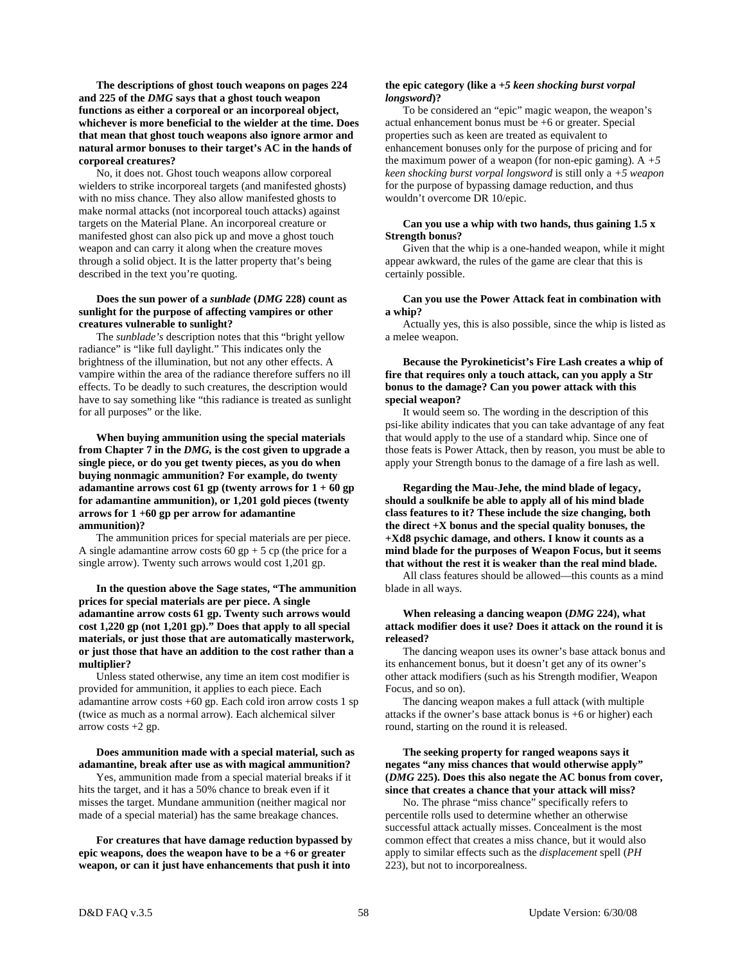**The descriptions of ghost touch weapons on pages 224 and 225 of the** *DMG* **says that a ghost touch weapon functions as either a corporeal or an incorporeal object, whichever is more beneficial to the wielder at the time. Does that mean that ghost touch weapons also ignore armor and natural armor bonuses to their target's AC in the hands of corporeal creatures?** 

 No, it does not. Ghost touch weapons allow corporeal wielders to strike incorporeal targets (and manifested ghosts) with no miss chance. They also allow manifested ghosts to make normal attacks (not incorporeal touch attacks) against targets on the Material Plane. An incorporeal creature or manifested ghost can also pick up and move a ghost touch weapon and can carry it along when the creature moves through a solid object. It is the latter property that's being described in the text you're quoting.

# **Does the sun power of a** *sunblade* **(***DMG* **228) count as sunlight for the purpose of affecting vampires or other creatures vulnerable to sunlight?**

 The *sunblade's* description notes that this "bright yellow radiance" is "like full daylight." This indicates only the brightness of the illumination, but not any other effects. A vampire within the area of the radiance therefore suffers no ill effects. To be deadly to such creatures, the description would have to say something like "this radiance is treated as sunlight for all purposes" or the like.

 **When buying ammunition using the special materials from Chapter 7 in the** *DMG,* **is the cost given to upgrade a single piece, or do you get twenty pieces, as you do when buying nonmagic ammunition? For example, do twenty adamantine arrows cost 61 gp (twenty arrows for 1 + 60 gp for adamantine ammunition), or 1,201 gold pieces (twenty arrows for 1 +60 gp per arrow for adamantine ammunition)?** 

 The ammunition prices for special materials are per piece. A single adamantine arrow costs  $60$  gp + 5 cp (the price for a single arrow). Twenty such arrows would cost 1,201 gp.

 **In the question above the Sage states, "The ammunition prices for special materials are per piece. A single adamantine arrow costs 61 gp. Twenty such arrows would cost 1,220 gp (not 1,201 gp)." Does that apply to all special materials, or just those that are automatically masterwork, or just those that have an addition to the cost rather than a multiplier?** 

 Unless stated otherwise, any time an item cost modifier is provided for ammunition, it applies to each piece. Each adamantine arrow costs +60 gp. Each cold iron arrow costs 1 sp (twice as much as a normal arrow). Each alchemical silver arrow costs  $+2$  gp.

#### **Does ammunition made with a special material, such as adamantine, break after use as with magical ammunition?**

 Yes, ammunition made from a special material breaks if it hits the target, and it has a 50% chance to break even if it misses the target. Mundane ammunition (neither magical nor made of a special material) has the same breakage chances.

 **For creatures that have damage reduction bypassed by epic weapons, does the weapon have to be a +6 or greater weapon, or can it just have enhancements that push it into** 

# **the epic category (like a** *+5 keen shocking burst vorpal longsword***)?**

 To be considered an "epic" magic weapon, the weapon's actual enhancement bonus must be +6 or greater. Special properties such as keen are treated as equivalent to enhancement bonuses only for the purpose of pricing and for the maximum power of a weapon (for non-epic gaming).  $A + 5$ *keen shocking burst vorpal longsword* is still only a *+5 weapon* for the purpose of bypassing damage reduction, and thus wouldn't overcome DR 10/epic.

#### **Can you use a whip with two hands, thus gaining 1.5 x Strength bonus?**

 Given that the whip is a one-handed weapon, while it might appear awkward, the rules of the game are clear that this is certainly possible.

#### **Can you use the Power Attack feat in combination with a whip?**

 Actually yes, this is also possible, since the whip is listed as a melee weapon.

# **Because the Pyrokineticist's Fire Lash creates a whip of fire that requires only a touch attack, can you apply a Str bonus to the damage? Can you power attack with this special weapon?**

 It would seem so. The wording in the description of this psi-like ability indicates that you can take advantage of any feat that would apply to the use of a standard whip. Since one of those feats is Power Attack, then by reason, you must be able to apply your Strength bonus to the damage of a fire lash as well.

 **Regarding the Mau-Jehe, the mind blade of legacy, should a soulknife be able to apply all of his mind blade class features to it? These include the size changing, both the direct +X bonus and the special quality bonuses, the +Xd8 psychic damage, and others. I know it counts as a mind blade for the purposes of Weapon Focus, but it seems that without the rest it is weaker than the real mind blade.** 

 All class features should be allowed—this counts as a mind blade in all ways.

# **When releasing a dancing weapon (***DMG* **224), what attack modifier does it use? Does it attack on the round it is released?**

 The dancing weapon uses its owner's base attack bonus and its enhancement bonus, but it doesn't get any of its owner's other attack modifiers (such as his Strength modifier, Weapon Focus, and so on).

 The dancing weapon makes a full attack (with multiple attacks if the owner's base attack bonus is +6 or higher) each round, starting on the round it is released.

# **The seeking property for ranged weapons says it negates "any miss chances that would otherwise apply" (***DMG* **225). Does this also negate the AC bonus from cover, since that creates a chance that your attack will miss?**

 No. The phrase "miss chance" specifically refers to percentile rolls used to determine whether an otherwise successful attack actually misses. Concealment is the most common effect that creates a miss chance, but it would also apply to similar effects such as the *displacement* spell (*PH*  223), but not to incorporealness.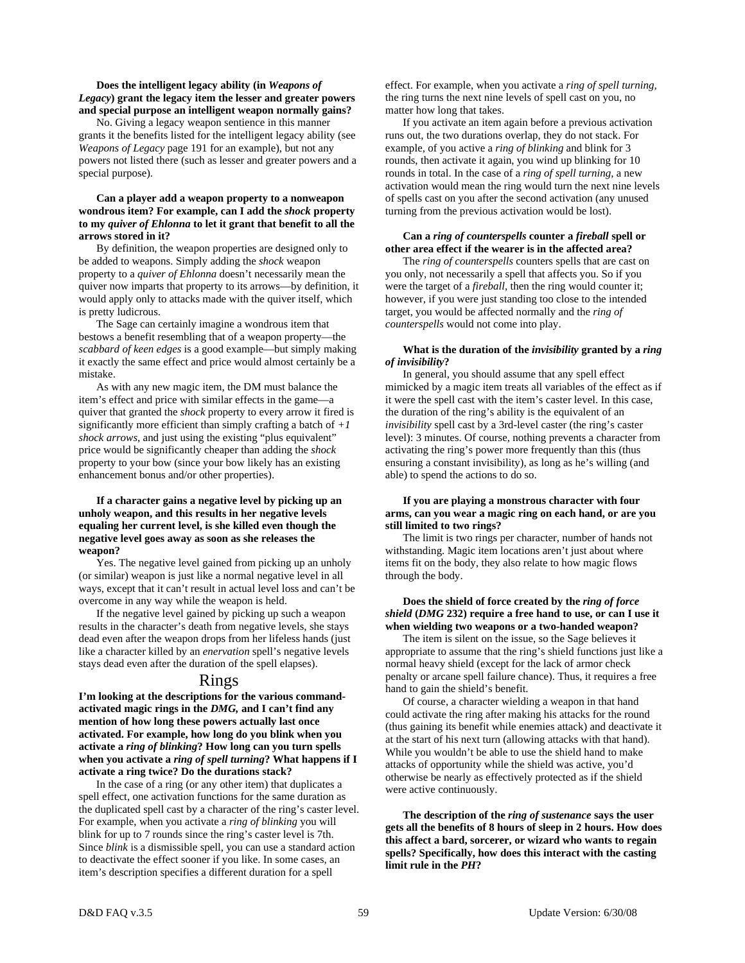# **Does the intelligent legacy ability (in** *Weapons of Legacy***) grant the legacy item the lesser and greater powers and special purpose an intelligent weapon normally gains?**

 No. Giving a legacy weapon sentience in this manner grants it the benefits listed for the intelligent legacy ability (see *Weapons of Legacy* page 191 for an example), but not any powers not listed there (such as lesser and greater powers and a special purpose).

# **Can a player add a weapon property to a nonweapon wondrous item? For example, can I add the** *shock* **property to my** *quiver of Ehlonna* **to let it grant that benefit to all the arrows stored in it?**

 By definition, the weapon properties are designed only to be added to weapons. Simply adding the *shock* weapon property to a *quiver of Ehlonna* doesn't necessarily mean the quiver now imparts that property to its arrows—by definition, it would apply only to attacks made with the quiver itself, which is pretty ludicrous.

 The Sage can certainly imagine a wondrous item that bestows a benefit resembling that of a weapon property—the *scabbard of keen edges* is a good example—but simply making it exactly the same effect and price would almost certainly be a mistake.

 As with any new magic item, the DM must balance the item's effect and price with similar effects in the game—a quiver that granted the *shock* property to every arrow it fired is significantly more efficient than simply crafting a batch of *+1 shock arrows*, and just using the existing "plus equivalent" price would be significantly cheaper than adding the *shock* property to your bow (since your bow likely has an existing enhancement bonus and/or other properties).

# **If a character gains a negative level by picking up an unholy weapon, and this results in her negative levels equaling her current level, is she killed even though the negative level goes away as soon as she releases the weapon?**

 Yes. The negative level gained from picking up an unholy (or similar) weapon is just like a normal negative level in all ways, except that it can't result in actual level loss and can't be overcome in any way while the weapon is held.

 If the negative level gained by picking up such a weapon results in the character's death from negative levels, she stays dead even after the weapon drops from her lifeless hands (just like a character killed by an *enervation* spell's negative levels stays dead even after the duration of the spell elapses).

# Rings

**I'm looking at the descriptions for the various commandactivated magic rings in the** *DMG,* **and I can't find any mention of how long these powers actually last once activated. For example, how long do you blink when you activate a** *ring of blinking***? How long can you turn spells when you activate a** *ring of spell turning***? What happens if I activate a ring twice? Do the durations stack?** 

 In the case of a ring (or any other item) that duplicates a spell effect, one activation functions for the same duration as the duplicated spell cast by a character of the ring's caster level. For example, when you activate a *ring of blinking* you will blink for up to 7 rounds since the ring's caster level is 7th. Since *blink* is a dismissible spell, you can use a standard action to deactivate the effect sooner if you like. In some cases, an item's description specifies a different duration for a spell

effect. For example, when you activate a *ring of spell turning,* the ring turns the next nine levels of spell cast on you, no matter how long that takes.

 If you activate an item again before a previous activation runs out, the two durations overlap, they do not stack. For example, of you active a *ring of blinking* and blink for 3 rounds, then activate it again, you wind up blinking for 10 rounds in total. In the case of a *ring of spell turning,* a new activation would mean the ring would turn the next nine levels of spells cast on you after the second activation (any unused turning from the previous activation would be lost).

# **Can a** *ring of counterspells* **counter a** *fireball* **spell or other area effect if the wearer is in the affected area?**

 The *ring of counterspells* counters spells that are cast on you only, not necessarily a spell that affects you. So if you were the target of a *fireball*, then the ring would counter it; however, if you were just standing too close to the intended target, you would be affected normally and the *ring of counterspells* would not come into play.

# **What is the duration of the** *invisibility* **granted by a** *ring of invisibility***?**

 In general, you should assume that any spell effect mimicked by a magic item treats all variables of the effect as if it were the spell cast with the item's caster level. In this case, the duration of the ring's ability is the equivalent of an *invisibility* spell cast by a 3rd-level caster (the ring's caster level): 3 minutes. Of course, nothing prevents a character from activating the ring's power more frequently than this (thus ensuring a constant invisibility), as long as he's willing (and able) to spend the actions to do so.

# **If you are playing a monstrous character with four arms, can you wear a magic ring on each hand, or are you still limited to two rings?**

 The limit is two rings per character, number of hands not withstanding. Magic item locations aren't just about where items fit on the body, they also relate to how magic flows through the body.

# **Does the shield of force created by the** *ring of force shield* **(***DMG* **232) require a free hand to use, or can I use it when wielding two weapons or a two-handed weapon?**

 The item is silent on the issue, so the Sage believes it appropriate to assume that the ring's shield functions just like a normal heavy shield (except for the lack of armor check penalty or arcane spell failure chance). Thus, it requires a free hand to gain the shield's benefit.

 Of course, a character wielding a weapon in that hand could activate the ring after making his attacks for the round (thus gaining its benefit while enemies attack) and deactivate it at the start of his next turn (allowing attacks with that hand). While you wouldn't be able to use the shield hand to make attacks of opportunity while the shield was active, you'd otherwise be nearly as effectively protected as if the shield were active continuously.

 **The description of the** *ring of sustenance* **says the user gets all the benefits of 8 hours of sleep in 2 hours. How does this affect a bard, sorcerer, or wizard who wants to regain spells? Specifically, how does this interact with the casting limit rule in the** *PH***?**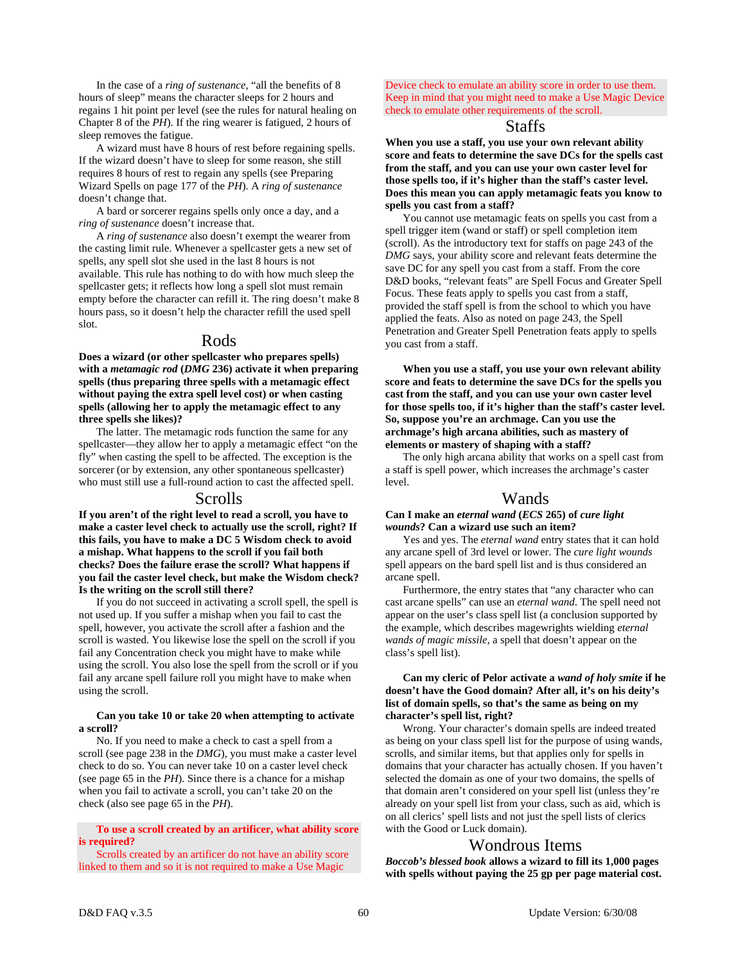In the case of a *ring of sustenance,* "all the benefits of 8 hours of sleep" means the character sleeps for 2 hours and regains 1 hit point per level (see the rules for natural healing on Chapter 8 of the *PH*). If the ring wearer is fatigued, 2 hours of sleep removes the fatigue.

 A wizard must have 8 hours of rest before regaining spells. If the wizard doesn't have to sleep for some reason, she still requires 8 hours of rest to regain any spells (see Preparing Wizard Spells on page 177 of the *PH*). A *ring of sustenance* doesn't change that.

 A bard or sorcerer regains spells only once a day, and a *ring of sustenance* doesn't increase that.

 A *ring of sustenance* also doesn't exempt the wearer from the casting limit rule. Whenever a spellcaster gets a new set of spells, any spell slot she used in the last 8 hours is not available. This rule has nothing to do with how much sleep the spellcaster gets; it reflects how long a spell slot must remain empty before the character can refill it. The ring doesn't make 8 hours pass, so it doesn't help the character refill the used spell slot.

# Rods

**Does a wizard (or other spellcaster who prepares spells) with a** *metamagic rod* **(***DMG* **236) activate it when preparing spells (thus preparing three spells with a metamagic effect without paying the extra spell level cost) or when casting spells (allowing her to apply the metamagic effect to any three spells she likes)?** 

 The latter. The metamagic rods function the same for any spellcaster—they allow her to apply a metamagic effect "on the fly" when casting the spell to be affected. The exception is the sorcerer (or by extension, any other spontaneous spellcaster) who must still use a full-round action to cast the affected spell.

# Scrolls

**If you aren't of the right level to read a scroll, you have to make a caster level check to actually use the scroll, right? If this fails, you have to make a DC 5 Wisdom check to avoid a mishap. What happens to the scroll if you fail both checks? Does the failure erase the scroll? What happens if you fail the caster level check, but make the Wisdom check? Is the writing on the scroll still there?** 

 If you do not succeed in activating a scroll spell, the spell is not used up. If you suffer a mishap when you fail to cast the spell, however, you activate the scroll after a fashion and the scroll is wasted. You likewise lose the spell on the scroll if you fail any Concentration check you might have to make while using the scroll. You also lose the spell from the scroll or if you fail any arcane spell failure roll you might have to make when using the scroll.

# **Can you take 10 or take 20 when attempting to activate a scroll?**

 No. If you need to make a check to cast a spell from a scroll (see page 238 in the *DMG*), you must make a caster level check to do so. You can never take 10 on a caster level check (see page 65 in the *PH*). Since there is a chance for a mishap when you fail to activate a scroll, you can't take 20 on the check (also see page 65 in the *PH*).

# **To use a scroll created by an artificer, what ability score is required?**

 Scrolls created by an artificer do not have an ability score linked to them and so it is not required to make a Use Magic

Device check to emulate an ability score in order to use them. Keep in mind that you might need to make a Use Magic Device check to emulate other requirements of the scroll.

# Staffs

**When you use a staff, you use your own relevant ability score and feats to determine the save DCs for the spells cast from the staff, and you can use your own caster level for those spells too, if it's higher than the staff's caster level. Does this mean you can apply metamagic feats you know to spells you cast from a staff?** 

 You cannot use metamagic feats on spells you cast from a spell trigger item (wand or staff) or spell completion item (scroll). As the introductory text for staffs on page 243 of the *DMG* says, your ability score and relevant feats determine the save DC for any spell you cast from a staff. From the core D&D books, "relevant feats" are Spell Focus and Greater Spell Focus. These feats apply to spells you cast from a staff, provided the staff spell is from the school to which you have applied the feats. Also as noted on page 243, the Spell Penetration and Greater Spell Penetration feats apply to spells you cast from a staff.

 **When you use a staff, you use your own relevant ability score and feats to determine the save DCs for the spells you cast from the staff, and you can use your own caster level for those spells too, if it's higher than the staff's caster level. So, suppose you're an archmage. Can you use the archmage's high arcana abilities, such as mastery of elements or mastery of shaping with a staff?** 

 The only high arcana ability that works on a spell cast from a staff is spell power, which increases the archmage's caster level.

# Wands

# **Can I make an** *eternal wand* **(***ECS* **265) of** *cure light wounds***? Can a wizard use such an item?**

 Yes and yes. The *eternal wand* entry states that it can hold any arcane spell of 3rd level or lower. The *cure light wounds* spell appears on the bard spell list and is thus considered an arcane spell.

 Furthermore, the entry states that "any character who can cast arcane spells" can use an *eternal wand*. The spell need not appear on the user's class spell list (a conclusion supported by the example, which describes magewrights wielding *eternal wands of magic missile,* a spell that doesn't appear on the class's spell list).

# **Can my cleric of Pelor activate a** *wand of holy smite* **if he doesn't have the Good domain? After all, it's on his deity's list of domain spells, so that's the same as being on my character's spell list, right?**

 Wrong. Your character's domain spells are indeed treated as being on your class spell list for the purpose of using wands, scrolls, and similar items, but that applies only for spells in domains that your character has actually chosen. If you haven't selected the domain as one of your two domains, the spells of that domain aren't considered on your spell list (unless they're already on your spell list from your class, such as aid, which is on all clerics' spell lists and not just the spell lists of clerics with the Good or Luck domain).

# Wondrous Items

*Boccob's blessed book* **allows a wizard to fill its 1,000 pages with spells without paying the 25 gp per page material cost.**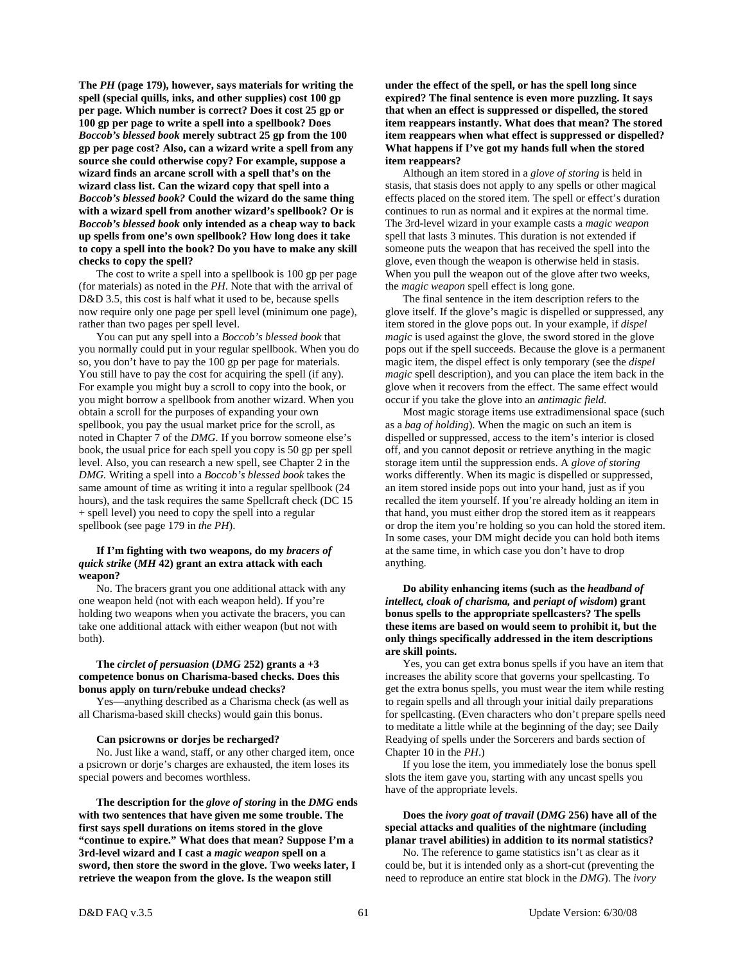**The** *PH* **(page 179), however, says materials for writing the spell (special quills, inks, and other supplies) cost 100 gp per page. Which number is correct? Does it cost 25 gp or 100 gp per page to write a spell into a spellbook? Does**  *Boccob's blessed book* **merely subtract 25 gp from the 100 gp per page cost? Also, can a wizard write a spell from any source she could otherwise copy? For example, suppose a wizard finds an arcane scroll with a spell that's on the wizard class list. Can the wizard copy that spell into a**  *Boccob's blessed book?* **Could the wizard do the same thing with a wizard spell from another wizard's spellbook? Or is**  *Boccob's blessed book* **only intended as a cheap way to back up spells from one's own spellbook? How long does it take to copy a spell into the book? Do you have to make any skill checks to copy the spell?** 

 The cost to write a spell into a spellbook is 100 gp per page (for materials) as noted in the *PH*. Note that with the arrival of D&D 3.5, this cost is half what it used to be, because spells now require only one page per spell level (minimum one page), rather than two pages per spell level.

 You can put any spell into a *Boccob's blessed book* that you normally could put in your regular spellbook. When you do so, you don't have to pay the 100 gp per page for materials. You still have to pay the cost for acquiring the spell (if any). For example you might buy a scroll to copy into the book, or you might borrow a spellbook from another wizard. When you obtain a scroll for the purposes of expanding your own spellbook, you pay the usual market price for the scroll, as noted in Chapter 7 of the *DMG.* If you borrow someone else's book, the usual price for each spell you copy is 50 gp per spell level. Also, you can research a new spell, see Chapter 2 in the *DMG.* Writing a spell into a *Boccob's blessed book* takes the same amount of time as writing it into a regular spellbook (24 hours), and the task requires the same Spellcraft check (DC 15 + spell level) you need to copy the spell into a regular spellbook (see page 179 in *the PH*).

#### **If I'm fighting with two weapons, do my** *bracers of quick strike* **(***MH* **42) grant an extra attack with each weapon?**

 No. The bracers grant you one additional attack with any one weapon held (not with each weapon held). If you're holding two weapons when you activate the bracers, you can take one additional attack with either weapon (but not with both).

# **The** *circlet of persuasion* **(***DMG* **252) grants a +3 competence bonus on Charisma-based checks. Does this bonus apply on turn/rebuke undead checks?**

 Yes—anything described as a Charisma check (as well as all Charisma-based skill checks) would gain this bonus.

#### **Can psicrowns or dorjes be recharged?**

 No. Just like a wand, staff, or any other charged item, once a psicrown or dorje's charges are exhausted, the item loses its special powers and becomes worthless.

 **The description for the** *glove of storing* **in the** *DMG* **ends with two sentences that have given me some trouble. The first says spell durations on items stored in the glove "continue to expire." What does that mean? Suppose I'm a 3rd-level wizard and I cast a** *magic weapon* **spell on a sword, then store the sword in the glove. Two weeks later, I retrieve the weapon from the glove. Is the weapon still** 

**under the effect of the spell, or has the spell long since expired? The final sentence is even more puzzling. It says that when an effect is suppressed or dispelled, the stored item reappears instantly. What does that mean? The stored item reappears when what effect is suppressed or dispelled? What happens if I've got my hands full when the stored item reappears?** 

 Although an item stored in a *glove of storing* is held in stasis, that stasis does not apply to any spells or other magical effects placed on the stored item. The spell or effect's duration continues to run as normal and it expires at the normal time. The 3rd-level wizard in your example casts a *magic weapon* spell that lasts 3 minutes. This duration is not extended if someone puts the weapon that has received the spell into the glove, even though the weapon is otherwise held in stasis. When you pull the weapon out of the glove after two weeks, the *magic weapon* spell effect is long gone.

 The final sentence in the item description refers to the glove itself. If the glove's magic is dispelled or suppressed, any item stored in the glove pops out. In your example, if *dispel magic* is used against the glove, the sword stored in the glove pops out if the spell succeeds. Because the glove is a permanent magic item, the dispel effect is only temporary (see the *dispel magic* spell description), and you can place the item back in the glove when it recovers from the effect. The same effect would occur if you take the glove into an *antimagic field*.

 Most magic storage items use extradimensional space (such as a *bag of holding*). When the magic on such an item is dispelled or suppressed, access to the item's interior is closed off, and you cannot deposit or retrieve anything in the magic storage item until the suppression ends. A *glove of storing* works differently. When its magic is dispelled or suppressed, an item stored inside pops out into your hand, just as if you recalled the item yourself. If you're already holding an item in that hand, you must either drop the stored item as it reappears or drop the item you're holding so you can hold the stored item. In some cases, your DM might decide you can hold both items at the same time, in which case you don't have to drop anything.

# **Do ability enhancing items (such as the** *headband of intellect, cloak of charisma,* **and** *periapt of wisdom***) grant bonus spells to the appropriate spellcasters? The spells these items are based on would seem to prohibit it, but the only things specifically addressed in the item descriptions are skill points.**

 Yes, you can get extra bonus spells if you have an item that increases the ability score that governs your spellcasting. To get the extra bonus spells, you must wear the item while resting to regain spells and all through your initial daily preparations for spellcasting. (Even characters who don't prepare spells need to meditate a little while at the beginning of the day; see Daily Readying of spells under the Sorcerers and bards section of Chapter 10 in the *PH*.)

 If you lose the item, you immediately lose the bonus spell slots the item gave you, starting with any uncast spells you have of the appropriate levels.

# **Does the** *ivory goat of travail* **(***DMG* **256) have all of the special attacks and qualities of the nightmare (including planar travel abilities) in addition to its normal statistics?**

 No. The reference to game statistics isn't as clear as it could be, but it is intended only as a short-cut (preventing the need to reproduce an entire stat block in the *DMG*). The *ivory*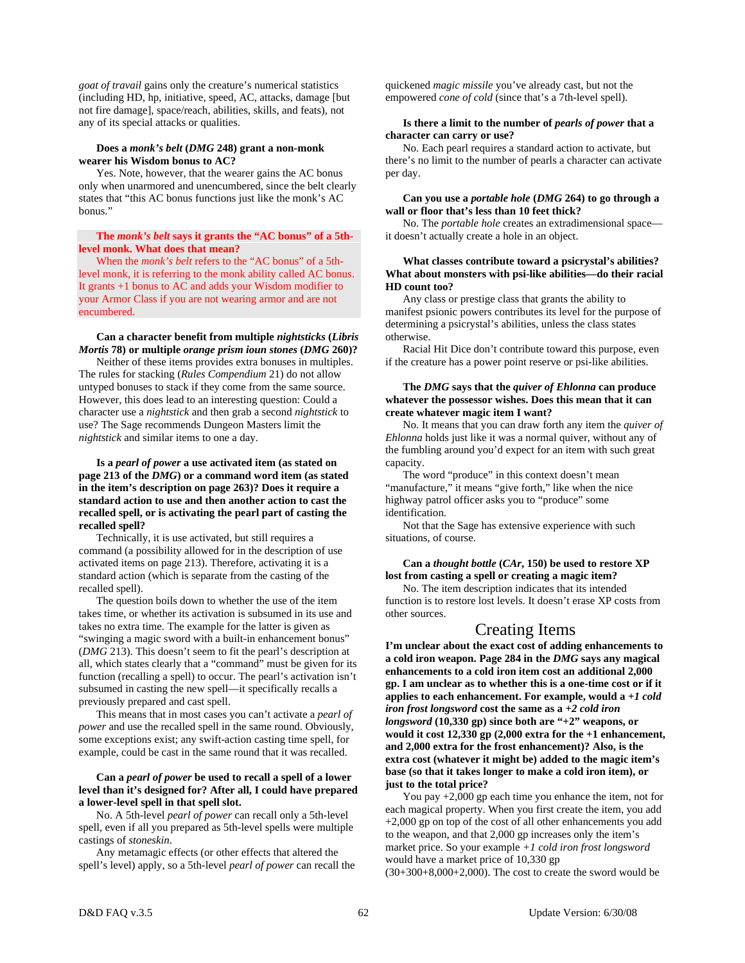*goat of travail* gains only the creature's numerical statistics (including HD, hp, initiative, speed, AC, attacks, damage [but not fire damage], space/reach, abilities, skills, and feats), not any of its special attacks or qualities.

# **Does a** *monk's belt* **(***DMG* **248) grant a non-monk wearer his Wisdom bonus to AC?**

 Yes. Note, however, that the wearer gains the AC bonus only when unarmored and unencumbered, since the belt clearly states that "this AC bonus functions just like the monk's AC bonus."

# **The** *monk's belt* **says it grants the "AC bonus" of a 5thlevel monk. What does that mean?**

 When the *monk's belt* refers to the "AC bonus" of a 5thlevel monk, it is referring to the monk ability called AC bonus. It grants +1 bonus to AC and adds your Wisdom modifier to your Armor Class if you are not wearing armor and are not encumbered.

# **Can a character benefit from multiple** *nightsticks* **(***Libris Mortis* **78) or multiple** *orange prism ioun stones* **(***DMG* **260)?**

 Neither of these items provides extra bonuses in multiples. The rules for stacking (*Rules Compendium* 21) do not allow untyped bonuses to stack if they come from the same source. However, this does lead to an interesting question: Could a character use a *nightstick* and then grab a second *nightstick* to use? The Sage recommends Dungeon Masters limit the *nightstick* and similar items to one a day.

# **Is a** *pearl of power* **a use activated item (as stated on page 213 of the** *DMG***) or a command word item (as stated in the item's description on page 263)? Does it require a standard action to use and then another action to cast the recalled spell, or is activating the pearl part of casting the recalled spell?**

 Technically, it is use activated, but still requires a command (a possibility allowed for in the description of use activated items on page 213). Therefore, activating it is a standard action (which is separate from the casting of the recalled spell).

 The question boils down to whether the use of the item takes time, or whether its activation is subsumed in its use and takes no extra time. The example for the latter is given as "swinging a magic sword with a built-in enhancement bonus" (*DMG* 213). This doesn't seem to fit the pearl's description at all, which states clearly that a "command" must be given for its function (recalling a spell) to occur. The pearl's activation isn't subsumed in casting the new spell—it specifically recalls a previously prepared and cast spell.

 This means that in most cases you can't activate a *pearl of power* and use the recalled spell in the same round. Obviously, some exceptions exist; any swift-action casting time spell, for example, could be cast in the same round that it was recalled.

# **Can a** *pearl of power* **be used to recall a spell of a lower level than it's designed for? After all, I could have prepared a lower-level spell in that spell slot.**

 No. A 5th-level *pearl of power* can recall only a 5th-level spell, even if all you prepared as 5th-level spells were multiple castings of *stoneskin*.

 Any metamagic effects (or other effects that altered the spell's level) apply, so a 5th-level *pearl of power* can recall the quickened *magic missile* you've already cast, but not the empowered *cone of cold* (since that's a 7th-level spell).

# **Is there a limit to the number of** *pearls of power* **that a character can carry or use?**

 No. Each pearl requires a standard action to activate, but there's no limit to the number of pearls a character can activate per day.

#### **Can you use a** *portable hole* **(***DMG* **264) to go through a wall or floor that's less than 10 feet thick?**

 No. The *portable hole* creates an extradimensional space it doesn't actually create a hole in an object.

#### **What classes contribute toward a psicrystal's abilities? What about monsters with psi-like abilities—do their racial HD count too?**

 Any class or prestige class that grants the ability to manifest psionic powers contributes its level for the purpose of determining a psicrystal's abilities, unless the class states otherwise.

 Racial Hit Dice don't contribute toward this purpose, even if the creature has a power point reserve or psi-like abilities.

# **The** *DMG* **says that the** *quiver of Ehlonna* **can produce whatever the possessor wishes. Does this mean that it can create whatever magic item I want?**

 No. It means that you can draw forth any item the *quiver of Ehlonna* holds just like it was a normal quiver, without any of the fumbling around you'd expect for an item with such great capacity.

 The word "produce" in this context doesn't mean "manufacture," it means "give forth," like when the nice highway patrol officer asks you to "produce" some identification.

 Not that the Sage has extensive experience with such situations, of course.

# **Can a** *thought bottle* **(***CAr***, 150) be used to restore XP lost from casting a spell or creating a magic item?**

 No. The item description indicates that its intended function is to restore lost levels. It doesn't erase XP costs from other sources.

# Creating Items

**I'm unclear about the exact cost of adding enhancements to a cold iron weapon. Page 284 in the** *DMG* **says any magical enhancements to a cold iron item cost an additional 2,000 gp. I am unclear as to whether this is a one-time cost or if it applies to each enhancement. For example, would a** *+1 cold iron frost longsword* **cost the same as a** *+2 cold iron longsword* **(10,330 gp) since both are "+2" weapons, or would it cost 12,330 gp (2,000 extra for the +1 enhancement, and 2,000 extra for the frost enhancement)? Also, is the extra cost (whatever it might be) added to the magic item's base (so that it takes longer to make a cold iron item), or just to the total price?** 

 You pay +2,000 gp each time you enhance the item, not for each magical property. When you first create the item, you add +2,000 gp on top of the cost of all other enhancements you add to the weapon, and that 2,000 gp increases only the item's market price. So your example *+1 cold iron frost longsword* would have a market price of 10,330 gp  $(30+300+8,000+2,000)$ . The cost to create the sword would be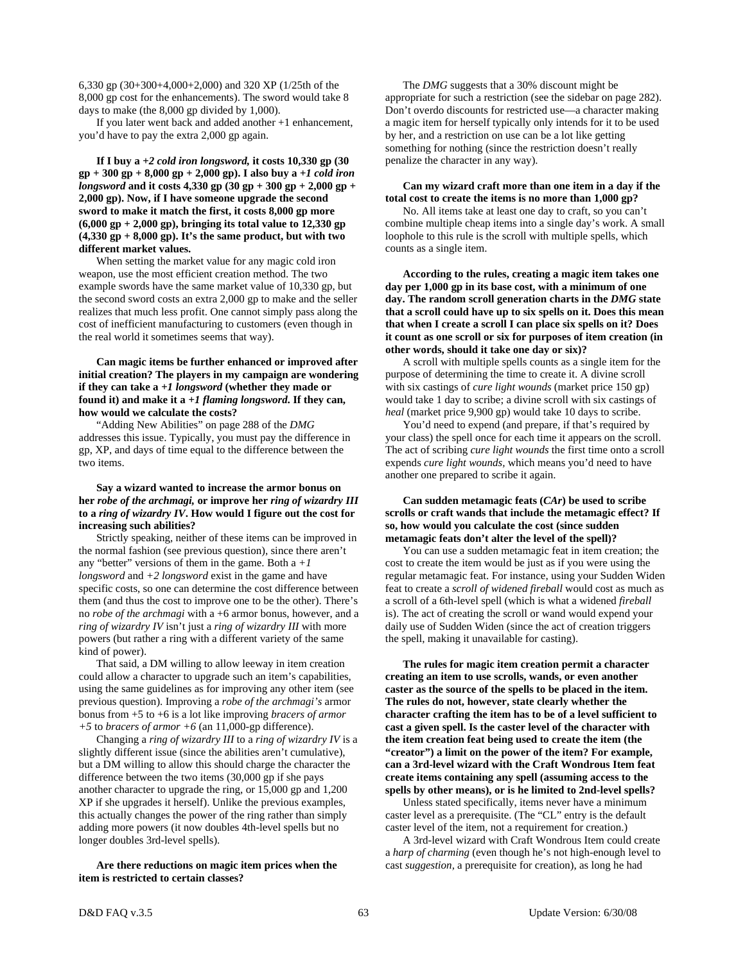6,330 gp (30+300+4,000+2,000) and 320 XP (1/25th of the 8,000 gp cost for the enhancements). The sword would take 8 days to make (the 8,000 gp divided by 1,000).

 If you later went back and added another +1 enhancement, you'd have to pay the extra 2,000 gp again.

 **If I buy a** *+2 cold iron longsword,* **it costs 10,330 gp (30 gp + 300 gp + 8,000 gp + 2,000 gp). I also buy a** *+1 cold iron longsword* **and it costs 4,330 gp (30 gp + 300 gp + 2,000 gp + 2,000 gp). Now, if I have someone upgrade the second sword to make it match the first, it costs 8,000 gp more (6,000 gp + 2,000 gp), bringing its total value to 12,330 gp (4,330 gp + 8,000 gp). It's the same product, but with two different market values.** 

 When setting the market value for any magic cold iron weapon, use the most efficient creation method. The two example swords have the same market value of 10,330 gp, but the second sword costs an extra 2,000 gp to make and the seller realizes that much less profit. One cannot simply pass along the cost of inefficient manufacturing to customers (even though in the real world it sometimes seems that way).

# **Can magic items be further enhanced or improved after initial creation? The players in my campaign are wondering if they can take a** *+1 longsword* **(whether they made or found it) and make it a** *+1 flaming longsword***. If they can, how would we calculate the costs?**

 "Adding New Abilities" on page 288 of the *DMG* addresses this issue. Typically, you must pay the difference in gp, XP, and days of time equal to the difference between the two items.

# **Say a wizard wanted to increase the armor bonus on her** *robe of the archmagi,* **or improve her** *ring of wizardry III* **to a** *ring of wizardry IV***. How would I figure out the cost for increasing such abilities?**

 Strictly speaking, neither of these items can be improved in the normal fashion (see previous question), since there aren't any "better" versions of them in the game. Both  $a + I$ *longsword* and *+2 longsword* exist in the game and have specific costs, so one can determine the cost difference between them (and thus the cost to improve one to be the other). There's no *robe of the archmagi* with a +6 armor bonus, however, and a *ring of wizardry IV* isn't just a *ring of wizardry III* with more powers (but rather a ring with a different variety of the same kind of power).

 That said, a DM willing to allow leeway in item creation could allow a character to upgrade such an item's capabilities, using the same guidelines as for improving any other item (see previous question). Improving a *robe of the archmagi's* armor bonus from +5 to +6 is a lot like improving *bracers of armor +5* to *bracers of armor +6* (an 11,000-gp difference).

 Changing a *ring of wizardry III* to a *ring of wizardry IV* is a slightly different issue (since the abilities aren't cumulative), but a DM willing to allow this should charge the character the difference between the two items (30,000 gp if she pays another character to upgrade the ring, or 15,000 gp and 1,200 XP if she upgrades it herself). Unlike the previous examples, this actually changes the power of the ring rather than simply adding more powers (it now doubles 4th-level spells but no longer doubles 3rd-level spells).

 **Are there reductions on magic item prices when the item is restricted to certain classes?** 

 The *DMG* suggests that a 30% discount might be appropriate for such a restriction (see the sidebar on page 282). Don't overdo discounts for restricted use—a character making a magic item for herself typically only intends for it to be used by her, and a restriction on use can be a lot like getting something for nothing (since the restriction doesn't really penalize the character in any way).

 **Can my wizard craft more than one item in a day if the total cost to create the items is no more than 1,000 gp?** 

 No. All items take at least one day to craft, so you can't combine multiple cheap items into a single day's work. A small loophole to this rule is the scroll with multiple spells, which counts as a single item.

 **According to the rules, creating a magic item takes one day per 1,000 gp in its base cost, with a minimum of one day. The random scroll generation charts in the** *DMG* **state that a scroll could have up to six spells on it. Does this mean that when I create a scroll I can place six spells on it? Does it count as one scroll or six for purposes of item creation (in other words, should it take one day or six)?** 

 A scroll with multiple spells counts as a single item for the purpose of determining the time to create it. A divine scroll with six castings of *cure light wounds* (market price 150 gp) would take 1 day to scribe; a divine scroll with six castings of *heal* (market price 9,900 gp) would take 10 days to scribe.

 You'd need to expend (and prepare, if that's required by your class) the spell once for each time it appears on the scroll. The act of scribing *cure light wounds* the first time onto a scroll expends *cure light wounds,* which means you'd need to have another one prepared to scribe it again.

# **Can sudden metamagic feats (***CAr***) be used to scribe scrolls or craft wands that include the metamagic effect? If so, how would you calculate the cost (since sudden metamagic feats don't alter the level of the spell)?**

 You can use a sudden metamagic feat in item creation; the cost to create the item would be just as if you were using the regular metamagic feat. For instance, using your Sudden Widen feat to create a *scroll of widened fireball* would cost as much as a scroll of a 6th-level spell (which is what a widened *fireball* is). The act of creating the scroll or wand would expend your daily use of Sudden Widen (since the act of creation triggers the spell, making it unavailable for casting).

 **The rules for magic item creation permit a character creating an item to use scrolls, wands, or even another caster as the source of the spells to be placed in the item. The rules do not, however, state clearly whether the character crafting the item has to be of a level sufficient to cast a given spell. Is the caster level of the character with the item creation feat being used to create the item (the "creator") a limit on the power of the item? For example, can a 3rd-level wizard with the Craft Wondrous Item feat create items containing any spell (assuming access to the spells by other means), or is he limited to 2nd-level spells?** 

 Unless stated specifically, items never have a minimum caster level as a prerequisite. (The "CL" entry is the default caster level of the item, not a requirement for creation.)

 A 3rd-level wizard with Craft Wondrous Item could create a *harp of charming* (even though he's not high-enough level to cast *suggestion,* a prerequisite for creation), as long he had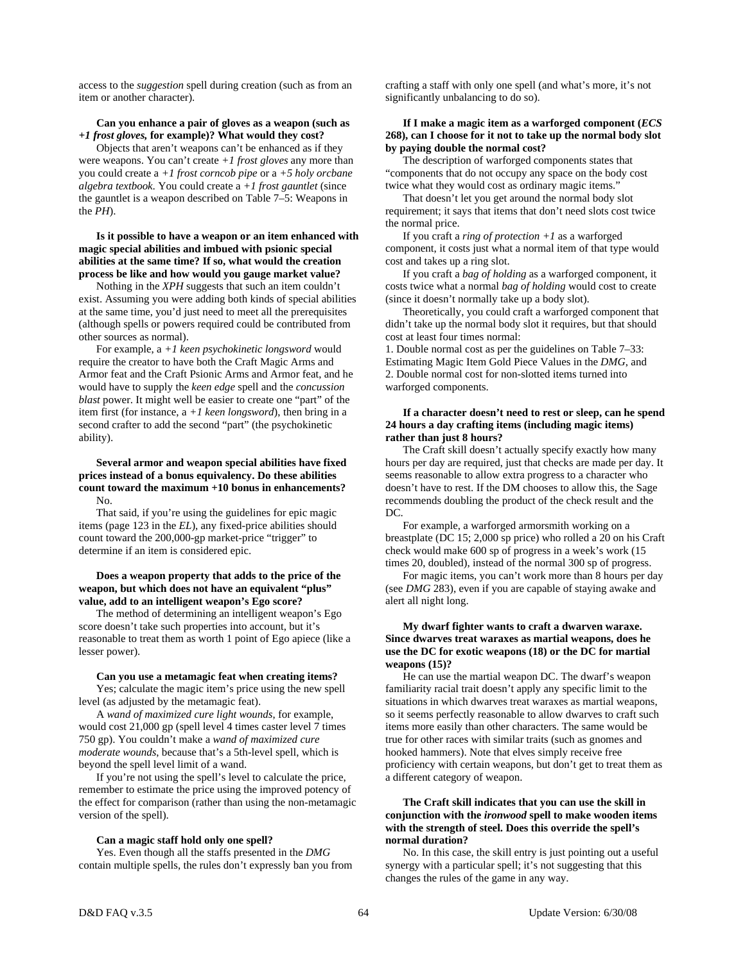access to the *suggestion* spell during creation (such as from an item or another character).

#### **Can you enhance a pair of gloves as a weapon (such as**  *+1 frost gloves,* **for example)? What would they cost?**

 Objects that aren't weapons can't be enhanced as if they were weapons. You can't create *+1 frost gloves* any more than you could create a *+1 frost corncob pipe* or a *+5 holy orcbane algebra textbook*. You could create a *+1 frost gauntlet* (since the gauntlet is a weapon described on Table 7–5: Weapons in the *PH*).

#### **Is it possible to have a weapon or an item enhanced with magic special abilities and imbued with psionic special abilities at the same time? If so, what would the creation process be like and how would you gauge market value?**

 Nothing in the *XPH* suggests that such an item couldn't exist. Assuming you were adding both kinds of special abilities at the same time, you'd just need to meet all the prerequisites (although spells or powers required could be contributed from other sources as normal).

 For example, a *+1 keen psychokinetic longsword* would require the creator to have both the Craft Magic Arms and Armor feat and the Craft Psionic Arms and Armor feat, and he would have to supply the *keen edge* spell and the *concussion blast* power. It might well be easier to create one "part" of the item first (for instance, a *+1 keen longsword*), then bring in a second crafter to add the second "part" (the psychokinetic ability).

#### **Several armor and weapon special abilities have fixed prices instead of a bonus equivalency. Do these abilities count toward the maximum +10 bonus in enhancements?**  No.

 That said, if you're using the guidelines for epic magic items (page 123 in the *EL*), any fixed-price abilities should count toward the 200,000-gp market-price "trigger" to determine if an item is considered epic.

### **Does a weapon property that adds to the price of the weapon, but which does not have an equivalent "plus" value, add to an intelligent weapon's Ego score?**

 The method of determining an intelligent weapon's Ego score doesn't take such properties into account, but it's reasonable to treat them as worth 1 point of Ego apiece (like a lesser power).

#### **Can you use a metamagic feat when creating items?**

 Yes; calculate the magic item's price using the new spell level (as adjusted by the metamagic feat).

 A *wand of maximized cure light wounds*, for example, would cost 21,000 gp (spell level 4 times caster level 7 times 750 gp). You couldn't make a *wand of maximized cure moderate wounds*, because that's a 5th-level spell, which is beyond the spell level limit of a wand.

 If you're not using the spell's level to calculate the price, remember to estimate the price using the improved potency of the effect for comparison (rather than using the non-metamagic version of the spell).

#### **Can a magic staff hold only one spell?**

 Yes. Even though all the staffs presented in the *DMG* contain multiple spells, the rules don't expressly ban you from crafting a staff with only one spell (and what's more, it's not significantly unbalancing to do so).

#### **If I make a magic item as a warforged component (***ECS* **268), can I choose for it not to take up the normal body slot by paying double the normal cost?**

The description of warforged components states that "components that do not occupy any space on the body cost twice what they would cost as ordinary magic items."

 That doesn't let you get around the normal body slot requirement; it says that items that don't need slots cost twice the normal price.

 If you craft a *ring of protection +1* as a warforged component, it costs just what a normal item of that type would cost and takes up a ring slot.

 If you craft a *bag of holding* as a warforged component, it costs twice what a normal *bag of holding* would cost to create (since it doesn't normally take up a body slot).

 Theoretically, you could craft a warforged component that didn't take up the normal body slot it requires, but that should cost at least four times normal:

1. Double normal cost as per the guidelines on Table 7–33: Estimating Magic Item Gold Piece Values in the *DMG*, and 2. Double normal cost for non-slotted items turned into warforged components.

# **If a character doesn't need to rest or sleep, can he spend 24 hours a day crafting items (including magic items) rather than just 8 hours?**

 The Craft skill doesn't actually specify exactly how many hours per day are required, just that checks are made per day. It seems reasonable to allow extra progress to a character who doesn't have to rest. If the DM chooses to allow this, the Sage recommends doubling the product of the check result and the  $DC$ 

 For example, a warforged armorsmith working on a breastplate (DC 15; 2,000 sp price) who rolled a 20 on his Craft check would make 600 sp of progress in a week's work (15 times 20, doubled), instead of the normal 300 sp of progress.

 For magic items, you can't work more than 8 hours per day (see *DMG* 283), even if you are capable of staying awake and alert all night long.

# **My dwarf fighter wants to craft a dwarven waraxe. Since dwarves treat waraxes as martial weapons, does he use the DC for exotic weapons (18) or the DC for martial weapons (15)?**

 He can use the martial weapon DC. The dwarf's weapon familiarity racial trait doesn't apply any specific limit to the situations in which dwarves treat waraxes as martial weapons, so it seems perfectly reasonable to allow dwarves to craft such items more easily than other characters. The same would be true for other races with similar traits (such as gnomes and hooked hammers). Note that elves simply receive free proficiency with certain weapons, but don't get to treat them as a different category of weapon.

# **The Craft skill indicates that you can use the skill in conjunction with the** *ironwood* **spell to make wooden items with the strength of steel. Does this override the spell's normal duration?**

 No. In this case, the skill entry is just pointing out a useful synergy with a particular spell; it's not suggesting that this changes the rules of the game in any way.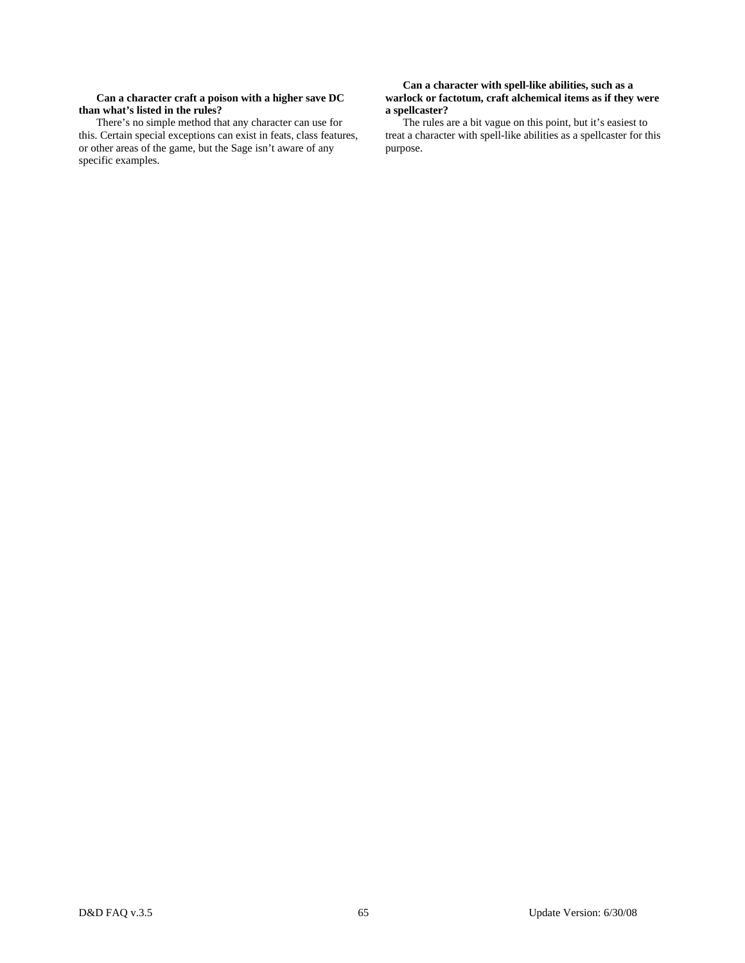# **Can a character craft a poison with a higher save DC than what's listed in the rules?**

There's no simple method that any character can use for this. Certain special exceptions can exist in feats, class features, or other areas of the game, but the Sage isn't aware of any specific examples.

# **Can a character with spell-like abilities, such as a warlock or factotum, craft alchemical items as if they were a spellcaster?**

 The rules are a bit vague on this point, but it's easiest to treat a character with spell-like abilities as a spellcaster for this purpose.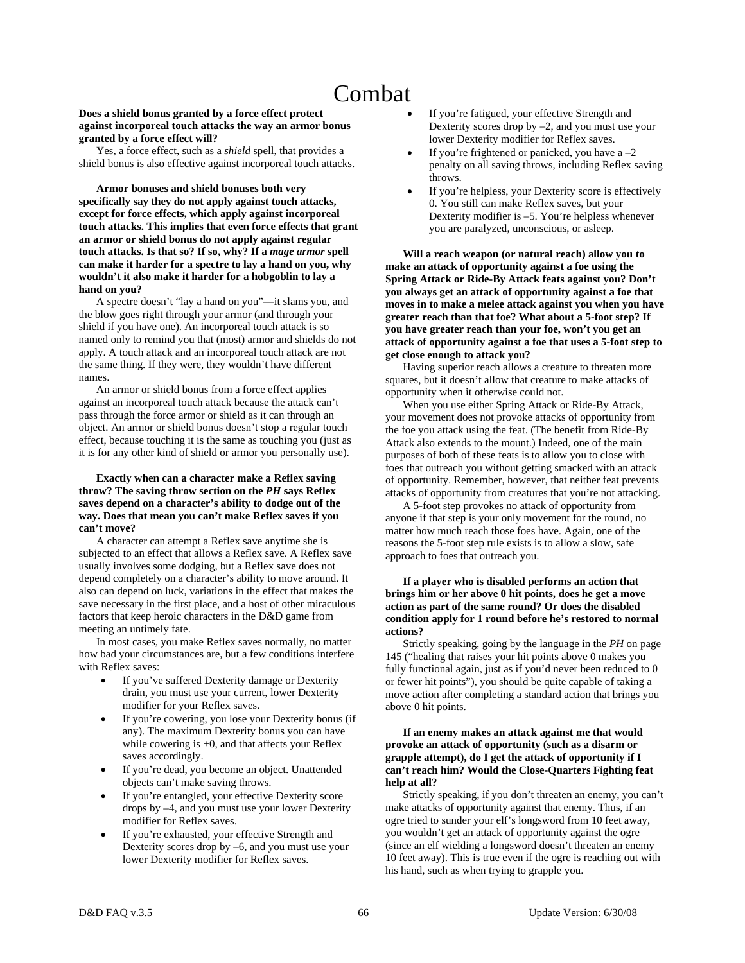# Combat

# **Does a shield bonus granted by a force effect protect against incorporeal touch attacks the way an armor bonus granted by a force effect will?**

 Yes, a force effect, such as a *shield* spell, that provides a shield bonus is also effective against incorporeal touch attacks.

 **Armor bonuses and shield bonuses both very specifically say they do not apply against touch attacks, except for force effects, which apply against incorporeal touch attacks. This implies that even force effects that grant an armor or shield bonus do not apply against regular touch attacks. Is that so? If so, why? If a** *mage armor* **spell can make it harder for a spectre to lay a hand on you, why wouldn't it also make it harder for a hobgoblin to lay a hand on you?** 

 A spectre doesn't "lay a hand on you"—it slams you, and the blow goes right through your armor (and through your shield if you have one). An incorporeal touch attack is so named only to remind you that (most) armor and shields do not apply. A touch attack and an incorporeal touch attack are not the same thing. If they were, they wouldn't have different names.

 An armor or shield bonus from a force effect applies against an incorporeal touch attack because the attack can't pass through the force armor or shield as it can through an object. An armor or shield bonus doesn't stop a regular touch effect, because touching it is the same as touching you (just as it is for any other kind of shield or armor you personally use).

# **Exactly when can a character make a Reflex saving throw? The saving throw section on the** *PH* **says Reflex saves depend on a character's ability to dodge out of the way. Does that mean you can't make Reflex saves if you can't move?**

 A character can attempt a Reflex save anytime she is subjected to an effect that allows a Reflex save. A Reflex save usually involves some dodging, but a Reflex save does not depend completely on a character's ability to move around. It also can depend on luck, variations in the effect that makes the save necessary in the first place, and a host of other miraculous factors that keep heroic characters in the D&D game from meeting an untimely fate.

 In most cases, you make Reflex saves normally, no matter how bad your circumstances are, but a few conditions interfere with Reflex saves:

- If you've suffered Dexterity damage or Dexterity drain, you must use your current, lower Dexterity modifier for your Reflex saves.
- If you're cowering, you lose your Dexterity bonus (if any). The maximum Dexterity bonus you can have while cowering is  $+0$ , and that affects your Reflex saves accordingly.
- If you're dead, you become an object. Unattended objects can't make saving throws.
- If you're entangled, your effective Dexterity score drops by –4, and you must use your lower Dexterity modifier for Reflex saves.
- If you're exhausted, your effective Strength and Dexterity scores drop by –6, and you must use your lower Dexterity modifier for Reflex saves.
- If you're fatigued, your effective Strength and Dexterity scores drop by –2, and you must use your lower Dexterity modifier for Reflex saves.
- If you're frightened or panicked, you have  $a 2$ penalty on all saving throws, including Reflex saving throws.
- If you're helpless, your Dexterity score is effectively 0. You still can make Reflex saves, but your Dexterity modifier is –5. You're helpless whenever you are paralyzed, unconscious, or asleep.

 **Will a reach weapon (or natural reach) allow you to make an attack of opportunity against a foe using the Spring Attack or Ride-By Attack feats against you? Don't you always get an attack of opportunity against a foe that moves in to make a melee attack against you when you have greater reach than that foe? What about a 5-foot step? If you have greater reach than your foe, won't you get an attack of opportunity against a foe that uses a 5-foot step to get close enough to attack you?** 

 Having superior reach allows a creature to threaten more squares, but it doesn't allow that creature to make attacks of opportunity when it otherwise could not.

 When you use either Spring Attack or Ride-By Attack, your movement does not provoke attacks of opportunity from the foe you attack using the feat. (The benefit from Ride-By Attack also extends to the mount.) Indeed, one of the main purposes of both of these feats is to allow you to close with foes that outreach you without getting smacked with an attack of opportunity. Remember, however, that neither feat prevents attacks of opportunity from creatures that you're not attacking.

 A 5-foot step provokes no attack of opportunity from anyone if that step is your only movement for the round, no matter how much reach those foes have. Again, one of the reasons the 5-foot step rule exists is to allow a slow, safe approach to foes that outreach you.

# **If a player who is disabled performs an action that brings him or her above 0 hit points, does he get a move action as part of the same round? Or does the disabled condition apply for 1 round before he's restored to normal actions?**

 Strictly speaking, going by the language in the *PH* on page 145 ("healing that raises your hit points above 0 makes you fully functional again, just as if you'd never been reduced to 0 or fewer hit points"), you should be quite capable of taking a move action after completing a standard action that brings you above 0 hit points.

# **If an enemy makes an attack against me that would provoke an attack of opportunity (such as a disarm or grapple attempt), do I get the attack of opportunity if I can't reach him? Would the Close-Quarters Fighting feat help at all?**

 Strictly speaking, if you don't threaten an enemy, you can't make attacks of opportunity against that enemy. Thus, if an ogre tried to sunder your elf's longsword from 10 feet away, you wouldn't get an attack of opportunity against the ogre (since an elf wielding a longsword doesn't threaten an enemy 10 feet away). This is true even if the ogre is reaching out with his hand, such as when trying to grapple you.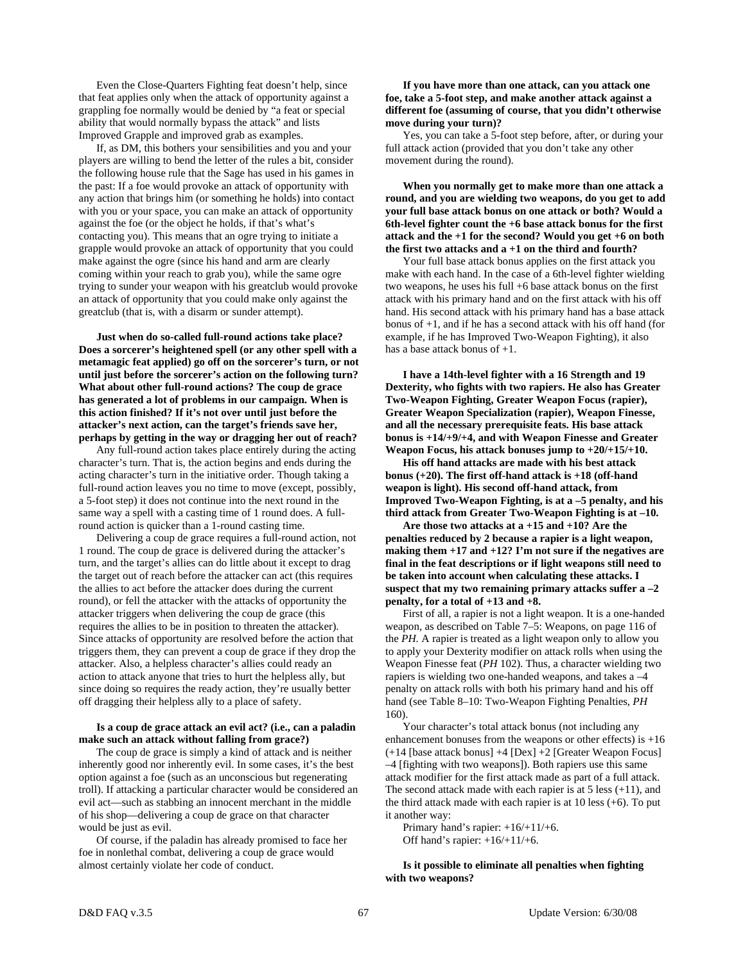Even the Close-Quarters Fighting feat doesn't help, since that feat applies only when the attack of opportunity against a grappling foe normally would be denied by "a feat or special ability that would normally bypass the attack" and lists Improved Grapple and improved grab as examples.

 If, as DM, this bothers your sensibilities and you and your players are willing to bend the letter of the rules a bit, consider the following house rule that the Sage has used in his games in the past: If a foe would provoke an attack of opportunity with any action that brings him (or something he holds) into contact with you or your space, you can make an attack of opportunity against the foe (or the object he holds, if that's what's contacting you). This means that an ogre trying to initiate a grapple would provoke an attack of opportunity that you could make against the ogre (since his hand and arm are clearly coming within your reach to grab you), while the same ogre trying to sunder your weapon with his greatclub would provoke an attack of opportunity that you could make only against the greatclub (that is, with a disarm or sunder attempt).

 **Just when do so-called full-round actions take place? Does a sorcerer's heightened spell (or any other spell with a metamagic feat applied) go off on the sorcerer's turn, or not until just before the sorcerer's action on the following turn? What about other full-round actions? The coup de grace has generated a lot of problems in our campaign. When is this action finished? If it's not over until just before the attacker's next action, can the target's friends save her, perhaps by getting in the way or dragging her out of reach?** 

 Any full-round action takes place entirely during the acting character's turn. That is, the action begins and ends during the acting character's turn in the initiative order. Though taking a full-round action leaves you no time to move (except, possibly, a 5-foot step) it does not continue into the next round in the same way a spell with a casting time of 1 round does. A fullround action is quicker than a 1-round casting time.

 Delivering a coup de grace requires a full-round action, not 1 round. The coup de grace is delivered during the attacker's turn, and the target's allies can do little about it except to drag the target out of reach before the attacker can act (this requires the allies to act before the attacker does during the current round), or fell the attacker with the attacks of opportunity the attacker triggers when delivering the coup de grace (this requires the allies to be in position to threaten the attacker). Since attacks of opportunity are resolved before the action that triggers them, they can prevent a coup de grace if they drop the attacker. Also, a helpless character's allies could ready an action to attack anyone that tries to hurt the helpless ally, but since doing so requires the ready action, they're usually better off dragging their helpless ally to a place of safety.

#### **Is a coup de grace attack an evil act? (i.e., can a paladin make such an attack without falling from grace?)**

 The coup de grace is simply a kind of attack and is neither inherently good nor inherently evil. In some cases, it's the best option against a foe (such as an unconscious but regenerating troll). If attacking a particular character would be considered an evil act—such as stabbing an innocent merchant in the middle of his shop—delivering a coup de grace on that character would be just as evil.

 Of course, if the paladin has already promised to face her foe in nonlethal combat, delivering a coup de grace would almost certainly violate her code of conduct.

# **If you have more than one attack, can you attack one foe, take a 5-foot step, and make another attack against a different foe (assuming of course, that you didn't otherwise move during your turn)?**

 Yes, you can take a 5-foot step before, after, or during your full attack action (provided that you don't take any other movement during the round).

 **When you normally get to make more than one attack a round, and you are wielding two weapons, do you get to add your full base attack bonus on one attack or both? Would a 6th-level fighter count the +6 base attack bonus for the first attack and the +1 for the second? Would you get +6 on both the first two attacks and a +1 on the third and fourth?** 

 Your full base attack bonus applies on the first attack you make with each hand. In the case of a 6th-level fighter wielding two weapons, he uses his full +6 base attack bonus on the first attack with his primary hand and on the first attack with his off hand. His second attack with his primary hand has a base attack bonus of +1, and if he has a second attack with his off hand (for example, if he has Improved Two-Weapon Fighting), it also has a base attack bonus of +1.

 **I have a 14th-level fighter with a 16 Strength and 19 Dexterity, who fights with two rapiers. He also has Greater Two-Weapon Fighting, Greater Weapon Focus (rapier), Greater Weapon Specialization (rapier), Weapon Finesse, and all the necessary prerequisite feats. His base attack bonus is +14/+9/+4, and with Weapon Finesse and Greater Weapon Focus, his attack bonuses jump to +20/+15/+10.** 

 **His off hand attacks are made with his best attack bonus (+20). The first off-hand attack is +18 (off-hand weapon is light). His second off-hand attack, from Improved Two-Weapon Fighting, is at a –5 penalty, and his third attack from Greater Two-Weapon Fighting is at –10.** 

 **Are those two attacks at a +15 and +10? Are the penalties reduced by 2 because a rapier is a light weapon, making them +17 and +12? I'm not sure if the negatives are final in the feat descriptions or if light weapons still need to be taken into account when calculating these attacks. I suspect that my two remaining primary attacks suffer a –2 penalty, for a total of +13 and +8.** 

 First of all, a rapier is not a light weapon. It is a one-handed weapon, as described on Table 7–5: Weapons, on page 116 of the *PH.* A rapier is treated as a light weapon only to allow you to apply your Dexterity modifier on attack rolls when using the Weapon Finesse feat (*PH* 102). Thus, a character wielding two rapiers is wielding two one-handed weapons, and takes a –4 penalty on attack rolls with both his primary hand and his off hand (see Table 8–10: Two-Weapon Fighting Penalties, *PH*  160).

 Your character's total attack bonus (not including any enhancement bonuses from the weapons or other effects) is  $+16$ (+14 [base attack bonus] +4 [Dex] +2 [Greater Weapon Focus] –4 [fighting with two weapons]). Both rapiers use this same attack modifier for the first attack made as part of a full attack. The second attack made with each rapier is at  $5$  less  $(+11)$ , and the third attack made with each rapier is at 10 less (+6). To put it another way:

 Primary hand's rapier: +16/+11/+6. Off hand's rapier:  $+16/+11/+6$ .

 **Is it possible to eliminate all penalties when fighting with two weapons?**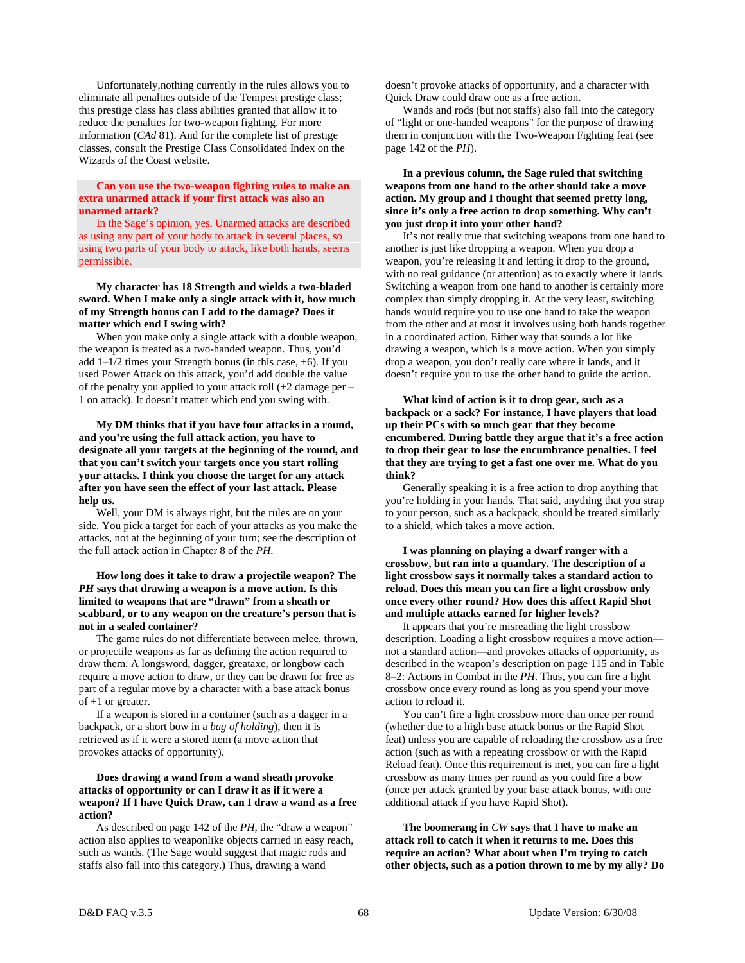Unfortunately,nothing currently in the rules allows you to eliminate all penalties outside of the Tempest prestige class; this prestige class has class abilities granted that allow it to reduce the penalties for two-weapon fighting. For more information (*CAd* 81). And for the complete list of prestige classes, consult the Prestige Class Consolidated Index on the Wizards of the Coast website.

## **Can you use the two-weapon fighting rules to make an extra unarmed attack if your first attack was also an unarmed attack?**

 In the Sage's opinion, yes. Unarmed attacks are described as using any part of your body to attack in several places, so using two parts of your body to attack, like both hands, seems permissible.

 **My character has 18 Strength and wields a two-bladed sword. When I make only a single attack with it, how much of my Strength bonus can I add to the damage? Does it matter which end I swing with?** 

 When you make only a single attack with a double weapon, the weapon is treated as a two-handed weapon. Thus, you'd add 1–1/2 times your Strength bonus (in this case, +6). If you used Power Attack on this attack, you'd add double the value of the penalty you applied to your attack roll (+2 damage per – 1 on attack). It doesn't matter which end you swing with.

 **My DM thinks that if you have four attacks in a round, and you're using the full attack action, you have to designate all your targets at the beginning of the round, and that you can't switch your targets once you start rolling your attacks. I think you choose the target for any attack after you have seen the effect of your last attack. Please help us.** 

 Well, your DM is always right, but the rules are on your side. You pick a target for each of your attacks as you make the attacks, not at the beginning of your turn; see the description of the full attack action in Chapter 8 of the *PH*.

 **How long does it take to draw a projectile weapon? The**  *PH* **says that drawing a weapon is a move action. Is this limited to weapons that are "drawn" from a sheath or scabbard, or to any weapon on the creature's person that is not in a sealed container?** 

 The game rules do not differentiate between melee, thrown, or projectile weapons as far as defining the action required to draw them. A longsword, dagger, greataxe, or longbow each require a move action to draw, or they can be drawn for free as part of a regular move by a character with a base attack bonus of +1 or greater.

 If a weapon is stored in a container (such as a dagger in a backpack, or a short bow in a *bag of holding*), then it is retrieved as if it were a stored item (a move action that provokes attacks of opportunity).

# **Does drawing a wand from a wand sheath provoke attacks of opportunity or can I draw it as if it were a weapon? If I have Quick Draw, can I draw a wand as a free action?**

 As described on page 142 of the *PH,* the "draw a weapon" action also applies to weaponlike objects carried in easy reach, such as wands. (The Sage would suggest that magic rods and staffs also fall into this category.) Thus, drawing a wand

doesn't provoke attacks of opportunity, and a character with Quick Draw could draw one as a free action.

 Wands and rods (but not staffs) also fall into the category of "light or one-handed weapons" for the purpose of drawing them in conjunction with the Two-Weapon Fighting feat (see page 142 of the *PH*).

# **In a previous column, the Sage ruled that switching weapons from one hand to the other should take a move action. My group and I thought that seemed pretty long, since it's only a free action to drop something. Why can't you just drop it into your other hand?**

 It's not really true that switching weapons from one hand to another is just like dropping a weapon. When you drop a weapon, you're releasing it and letting it drop to the ground, with no real guidance (or attention) as to exactly where it lands. Switching a weapon from one hand to another is certainly more complex than simply dropping it. At the very least, switching hands would require you to use one hand to take the weapon from the other and at most it involves using both hands together in a coordinated action. Either way that sounds a lot like drawing a weapon, which is a move action. When you simply drop a weapon, you don't really care where it lands, and it doesn't require you to use the other hand to guide the action.

 **What kind of action is it to drop gear, such as a backpack or a sack? For instance, I have players that load up their PCs with so much gear that they become encumbered. During battle they argue that it's a free action to drop their gear to lose the encumbrance penalties. I feel that they are trying to get a fast one over me. What do you think?** 

 Generally speaking it is a free action to drop anything that you're holding in your hands. That said, anything that you strap to your person, such as a backpack, should be treated similarly to a shield, which takes a move action.

 **I was planning on playing a dwarf ranger with a crossbow, but ran into a quandary. The description of a light crossbow says it normally takes a standard action to reload. Does this mean you can fire a light crossbow only once every other round? How does this affect Rapid Shot and multiple attacks earned for higher levels?** 

 It appears that you're misreading the light crossbow description. Loading a light crossbow requires a move action not a standard action—and provokes attacks of opportunity, as described in the weapon's description on page 115 and in Table 8–2: Actions in Combat in the *PH*. Thus, you can fire a light crossbow once every round as long as you spend your move action to reload it.

 You can't fire a light crossbow more than once per round (whether due to a high base attack bonus or the Rapid Shot feat) unless you are capable of reloading the crossbow as a free action (such as with a repeating crossbow or with the Rapid Reload feat). Once this requirement is met, you can fire a light crossbow as many times per round as you could fire a bow (once per attack granted by your base attack bonus, with one additional attack if you have Rapid Shot).

 **The boomerang in** *CW* **says that I have to make an attack roll to catch it when it returns to me. Does this require an action? What about when I'm trying to catch other objects, such as a potion thrown to me by my ally? Do**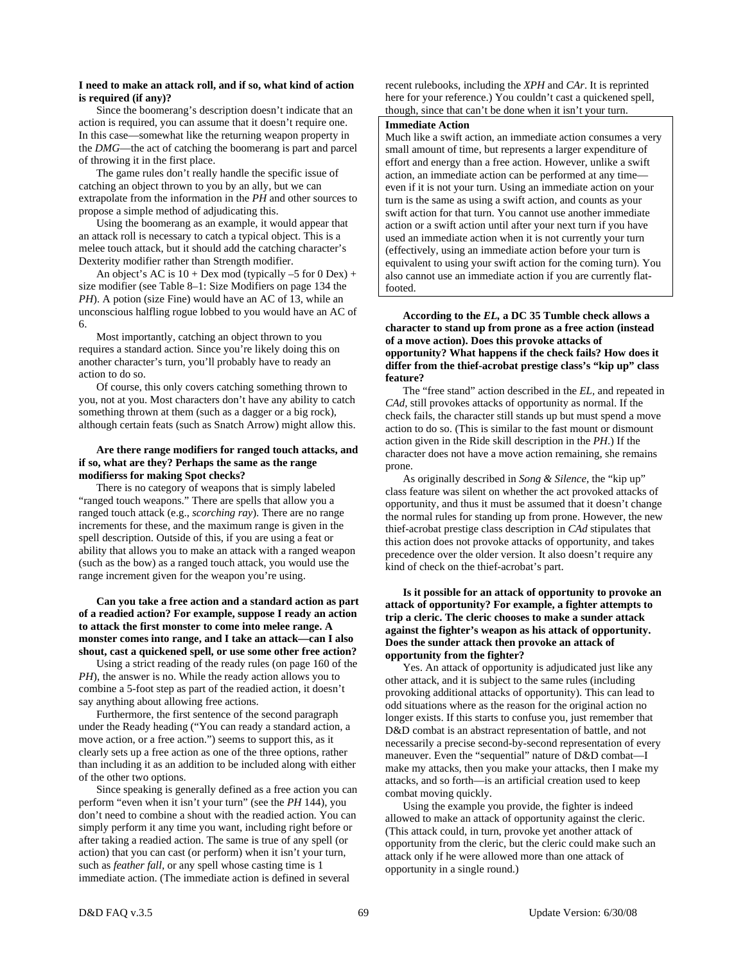## **I need to make an attack roll, and if so, what kind of action is required (if any)?**

 Since the boomerang's description doesn't indicate that an action is required, you can assume that it doesn't require one. In this case—somewhat like the returning weapon property in the *DMG*—the act of catching the boomerang is part and parcel of throwing it in the first place.

 The game rules don't really handle the specific issue of catching an object thrown to you by an ally, but we can extrapolate from the information in the *PH* and other sources to propose a simple method of adjudicating this.

 Using the boomerang as an example, it would appear that an attack roll is necessary to catch a typical object. This is a melee touch attack, but it should add the catching character's Dexterity modifier rather than Strength modifier.

An object's AC is  $10 +$  Dex mod (typically  $-5$  for  $0$  Dex) + size modifier (see Table 8–1: Size Modifiers on page 134 the *PH*). A potion (size Fine) would have an AC of 13, while an unconscious halfling rogue lobbed to you would have an AC of 6.

 Most importantly, catching an object thrown to you requires a standard action. Since you're likely doing this on another character's turn, you'll probably have to ready an action to do so.

 Of course, this only covers catching something thrown to you, not at you. Most characters don't have any ability to catch something thrown at them (such as a dagger or a big rock), although certain feats (such as Snatch Arrow) might allow this.

# **Are there range modifiers for ranged touch attacks, and if so, what are they? Perhaps the same as the range modifierss for making Spot checks?**

 There is no category of weapons that is simply labeled "ranged touch weapons." There are spells that allow you a ranged touch attack (e.g., *scorching ray*). There are no range increments for these, and the maximum range is given in the spell description. Outside of this, if you are using a feat or ability that allows you to make an attack with a ranged weapon (such as the bow) as a ranged touch attack, you would use the range increment given for the weapon you're using.

# **Can you take a free action and a standard action as part of a readied action? For example, suppose I ready an action to attack the first monster to come into melee range. A monster comes into range, and I take an attack—can I also shout, cast a quickened spell, or use some other free action?**

 Using a strict reading of the ready rules (on page 160 of the *PH*), the answer is no. While the ready action allows you to combine a 5-foot step as part of the readied action, it doesn't say anything about allowing free actions.

 Furthermore, the first sentence of the second paragraph under the Ready heading ("You can ready a standard action, a move action, or a free action.") seems to support this, as it clearly sets up a free action as one of the three options, rather than including it as an addition to be included along with either of the other two options.

 Since speaking is generally defined as a free action you can perform "even when it isn't your turn" (see the *PH* 144), you don't need to combine a shout with the readied action. You can simply perform it any time you want, including right before or after taking a readied action. The same is true of any spell (or action) that you can cast (or perform) when it isn't your turn, such as *feather fall,* or any spell whose casting time is 1 immediate action. (The immediate action is defined in several

recent rulebooks, including the *XPH* and *CAr*. It is reprinted here for your reference.) You couldn't cast a quickened spell, though, since that can't be done when it isn't your turn.

#### **Immediate Action**

Much like a swift action, an immediate action consumes a very small amount of time, but represents a larger expenditure of effort and energy than a free action. However, unlike a swift action, an immediate action can be performed at any time even if it is not your turn. Using an immediate action on your turn is the same as using a swift action, and counts as your swift action for that turn. You cannot use another immediate action or a swift action until after your next turn if you have used an immediate action when it is not currently your turn (effectively, using an immediate action before your turn is equivalent to using your swift action for the coming turn). You also cannot use an immediate action if you are currently flatfooted.

# **According to the** *EL,* **a DC 35 Tumble check allows a character to stand up from prone as a free action (instead of a move action). Does this provoke attacks of opportunity? What happens if the check fails? How does it differ from the thief-acrobat prestige class's "kip up" class feature?**

 The "free stand" action described in the *EL,* and repeated in *CAd,* still provokes attacks of opportunity as normal. If the check fails, the character still stands up but must spend a move action to do so. (This is similar to the fast mount or dismount action given in the Ride skill description in the *PH*.) If the character does not have a move action remaining, she remains prone.

 As originally described in *Song & Silence,* the "kip up" class feature was silent on whether the act provoked attacks of opportunity, and thus it must be assumed that it doesn't change the normal rules for standing up from prone. However, the new thief-acrobat prestige class description in *CAd* stipulates that this action does not provoke attacks of opportunity, and takes precedence over the older version. It also doesn't require any kind of check on the thief-acrobat's part.

 **Is it possible for an attack of opportunity to provoke an attack of opportunity? For example, a fighter attempts to trip a cleric. The cleric chooses to make a sunder attack against the fighter's weapon as his attack of opportunity. Does the sunder attack then provoke an attack of opportunity from the fighter?** 

 Yes. An attack of opportunity is adjudicated just like any other attack, and it is subject to the same rules (including provoking additional attacks of opportunity). This can lead to odd situations where as the reason for the original action no longer exists. If this starts to confuse you, just remember that D&D combat is an abstract representation of battle, and not necessarily a precise second-by-second representation of every maneuver. Even the "sequential" nature of D&D combat—I make my attacks, then you make your attacks, then I make my attacks, and so forth—is an artificial creation used to keep combat moving quickly.

 Using the example you provide, the fighter is indeed allowed to make an attack of opportunity against the cleric. (This attack could, in turn, provoke yet another attack of opportunity from the cleric, but the cleric could make such an attack only if he were allowed more than one attack of opportunity in a single round.)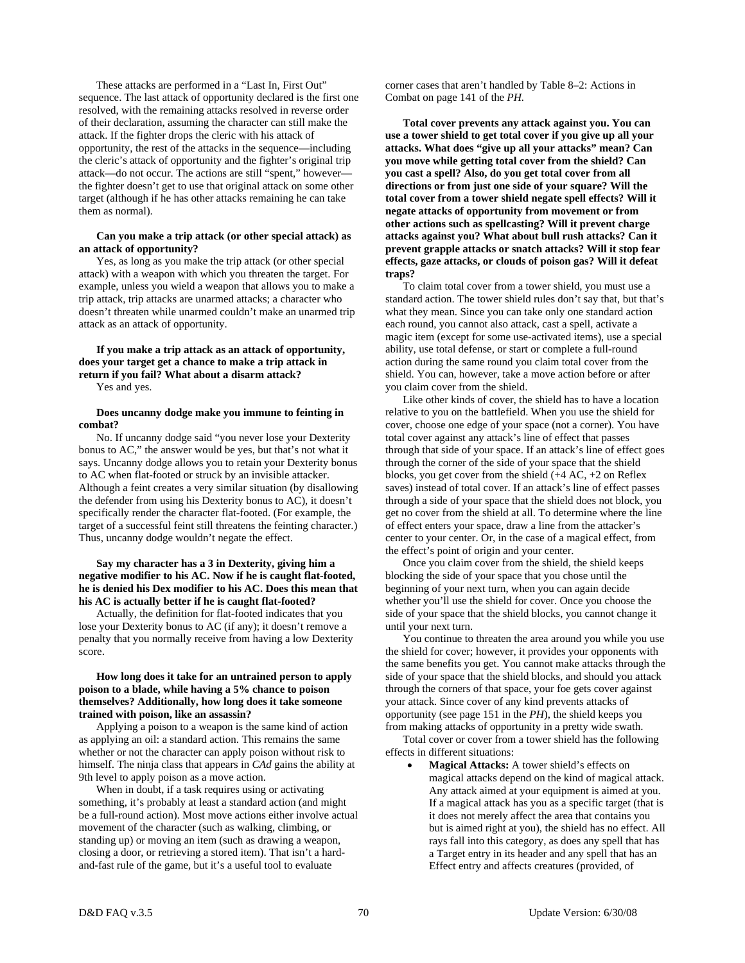These attacks are performed in a "Last In, First Out" sequence. The last attack of opportunity declared is the first one resolved, with the remaining attacks resolved in reverse order of their declaration, assuming the character can still make the attack. If the fighter drops the cleric with his attack of opportunity, the rest of the attacks in the sequence—including the cleric's attack of opportunity and the fighter's original trip attack—do not occur. The actions are still "spent," however the fighter doesn't get to use that original attack on some other target (although if he has other attacks remaining he can take them as normal).

#### **Can you make a trip attack (or other special attack) as an attack of opportunity?**

 Yes, as long as you make the trip attack (or other special attack) with a weapon with which you threaten the target. For example, unless you wield a weapon that allows you to make a trip attack, trip attacks are unarmed attacks; a character who doesn't threaten while unarmed couldn't make an unarmed trip attack as an attack of opportunity.

# **If you make a trip attack as an attack of opportunity, does your target get a chance to make a trip attack in return if you fail? What about a disarm attack?**

Yes and yes.

# **Does uncanny dodge make you immune to feinting in combat?**

 No. If uncanny dodge said "you never lose your Dexterity bonus to AC," the answer would be yes, but that's not what it says. Uncanny dodge allows you to retain your Dexterity bonus to AC when flat-footed or struck by an invisible attacker. Although a feint creates a very similar situation (by disallowing the defender from using his Dexterity bonus to AC), it doesn't specifically render the character flat-footed. (For example, the target of a successful feint still threatens the feinting character.) Thus, uncanny dodge wouldn't negate the effect.

# **Say my character has a 3 in Dexterity, giving him a negative modifier to his AC. Now if he is caught flat-footed, he is denied his Dex modifier to his AC. Does this mean that his AC is actually better if he is caught flat-footed?**

 Actually, the definition for flat-footed indicates that you lose your Dexterity bonus to AC (if any); it doesn't remove a penalty that you normally receive from having a low Dexterity score.

# **How long does it take for an untrained person to apply poison to a blade, while having a 5% chance to poison themselves? Additionally, how long does it take someone trained with poison, like an assassin?**

 Applying a poison to a weapon is the same kind of action as applying an oil: a standard action. This remains the same whether or not the character can apply poison without risk to himself. The ninja class that appears in *CAd* gains the ability at 9th level to apply poison as a move action.

 When in doubt, if a task requires using or activating something, it's probably at least a standard action (and might be a full-round action). Most move actions either involve actual movement of the character (such as walking, climbing, or standing up) or moving an item (such as drawing a weapon, closing a door, or retrieving a stored item). That isn't a hardand-fast rule of the game, but it's a useful tool to evaluate

corner cases that aren't handled by Table 8–2: Actions in Combat on page 141 of the *PH.*

 **Total cover prevents any attack against you. You can use a tower shield to get total cover if you give up all your attacks. What does "give up all your attacks" mean? Can you move while getting total cover from the shield? Can you cast a spell? Also, do you get total cover from all directions or from just one side of your square? Will the total cover from a tower shield negate spell effects? Will it negate attacks of opportunity from movement or from other actions such as spellcasting? Will it prevent charge attacks against you? What about bull rush attacks? Can it prevent grapple attacks or snatch attacks? Will it stop fear effects, gaze attacks, or clouds of poison gas? Will it defeat traps?** 

 To claim total cover from a tower shield, you must use a standard action. The tower shield rules don't say that, but that's what they mean. Since you can take only one standard action each round, you cannot also attack, cast a spell, activate a magic item (except for some use-activated items), use a special ability, use total defense, or start or complete a full-round action during the same round you claim total cover from the shield. You can, however, take a move action before or after you claim cover from the shield.

 Like other kinds of cover, the shield has to have a location relative to you on the battlefield. When you use the shield for cover, choose one edge of your space (not a corner). You have total cover against any attack's line of effect that passes through that side of your space. If an attack's line of effect goes through the corner of the side of your space that the shield blocks, you get cover from the shield (+4 AC, +2 on Reflex saves) instead of total cover. If an attack's line of effect passes through a side of your space that the shield does not block, you get no cover from the shield at all. To determine where the line of effect enters your space, draw a line from the attacker's center to your center. Or, in the case of a magical effect, from the effect's point of origin and your center.

 Once you claim cover from the shield, the shield keeps blocking the side of your space that you chose until the beginning of your next turn, when you can again decide whether you'll use the shield for cover. Once you choose the side of your space that the shield blocks, you cannot change it until your next turn.

 You continue to threaten the area around you while you use the shield for cover; however, it provides your opponents with the same benefits you get. You cannot make attacks through the side of your space that the shield blocks, and should you attack through the corners of that space, your foe gets cover against your attack. Since cover of any kind prevents attacks of opportunity (see page 151 in the *PH*), the shield keeps you from making attacks of opportunity in a pretty wide swath.

 Total cover or cover from a tower shield has the following effects in different situations:

• **Magical Attacks:** A tower shield's effects on magical attacks depend on the kind of magical attack. Any attack aimed at your equipment is aimed at you. If a magical attack has you as a specific target (that is it does not merely affect the area that contains you but is aimed right at you), the shield has no effect. All rays fall into this category, as does any spell that has a Target entry in its header and any spell that has an Effect entry and affects creatures (provided, of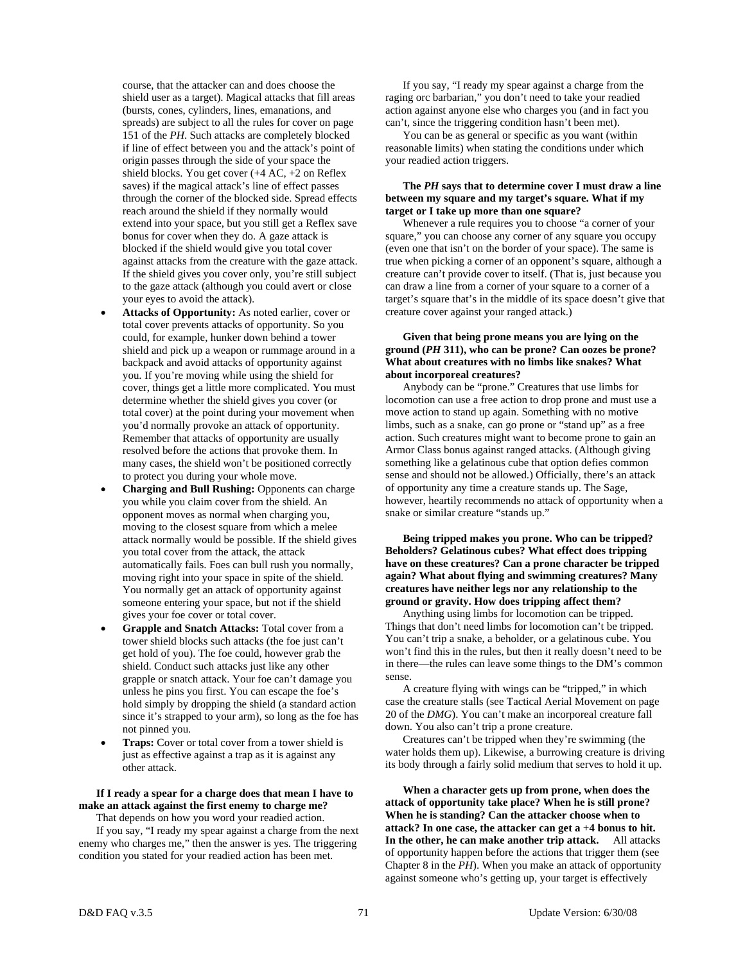course, that the attacker can and does choose the shield user as a target). Magical attacks that fill areas (bursts, cones, cylinders, lines, emanations, and spreads) are subject to all the rules for cover on page 151 of the *PH*. Such attacks are completely blocked if line of effect between you and the attack's point of origin passes through the side of your space the shield blocks. You get cover (+4 AC, +2 on Reflex saves) if the magical attack's line of effect passes through the corner of the blocked side. Spread effects reach around the shield if they normally would extend into your space, but you still get a Reflex save bonus for cover when they do. A gaze attack is blocked if the shield would give you total cover against attacks from the creature with the gaze attack. If the shield gives you cover only, you're still subject to the gaze attack (although you could avert or close your eyes to avoid the attack).

- Attacks of Opportunity: As noted earlier, cover or total cover prevents attacks of opportunity. So you could, for example, hunker down behind a tower shield and pick up a weapon or rummage around in a backpack and avoid attacks of opportunity against you. If you're moving while using the shield for cover, things get a little more complicated. You must determine whether the shield gives you cover (or total cover) at the point during your movement when you'd normally provoke an attack of opportunity. Remember that attacks of opportunity are usually resolved before the actions that provoke them. In many cases, the shield won't be positioned correctly to protect you during your whole move.
- **Charging and Bull Rushing:** Opponents can charge you while you claim cover from the shield. An opponent moves as normal when charging you, moving to the closest square from which a melee attack normally would be possible. If the shield gives you total cover from the attack, the attack automatically fails. Foes can bull rush you normally, moving right into your space in spite of the shield. You normally get an attack of opportunity against someone entering your space, but not if the shield gives your foe cover or total cover.
- **Grapple and Snatch Attacks:** Total cover from a tower shield blocks such attacks (the foe just can't get hold of you). The foe could, however grab the shield. Conduct such attacks just like any other grapple or snatch attack. Your foe can't damage you unless he pins you first. You can escape the foe's hold simply by dropping the shield (a standard action since it's strapped to your arm), so long as the foe has not pinned you.
- **Traps:** Cover or total cover from a tower shield is just as effective against a trap as it is against any other attack.

#### **If I ready a spear for a charge does that mean I have to make an attack against the first enemy to charge me?**  That depends on how you word your readied action.

 If you say, "I ready my spear against a charge from the next enemy who charges me," then the answer is yes. The triggering condition you stated for your readied action has been met.

 If you say, "I ready my spear against a charge from the raging orc barbarian," you don't need to take your readied action against anyone else who charges you (and in fact you can't, since the triggering condition hasn't been met).

 You can be as general or specific as you want (within reasonable limits) when stating the conditions under which your readied action triggers.

# **The** *PH* **says that to determine cover I must draw a line between my square and my target's square. What if my target or I take up more than one square?**

 Whenever a rule requires you to choose "a corner of your square," you can choose any corner of any square you occupy (even one that isn't on the border of your space). The same is true when picking a corner of an opponent's square, although a creature can't provide cover to itself. (That is, just because you can draw a line from a corner of your square to a corner of a target's square that's in the middle of its space doesn't give that creature cover against your ranged attack.)

# **Given that being prone means you are lying on the ground (***PH* **311), who can be prone? Can oozes be prone? What about creatures with no limbs like snakes? What about incorporeal creatures?**

 Anybody can be "prone." Creatures that use limbs for locomotion can use a free action to drop prone and must use a move action to stand up again. Something with no motive limbs, such as a snake, can go prone or "stand up" as a free action. Such creatures might want to become prone to gain an Armor Class bonus against ranged attacks. (Although giving something like a gelatinous cube that option defies common sense and should not be allowed.) Officially, there's an attack of opportunity any time a creature stands up. The Sage, however, heartily recommends no attack of opportunity when a snake or similar creature "stands up."

 **Being tripped makes you prone. Who can be tripped? Beholders? Gelatinous cubes? What effect does tripping have on these creatures? Can a prone character be tripped again? What about flying and swimming creatures? Many creatures have neither legs nor any relationship to the ground or gravity. How does tripping affect them?** 

 Anything using limbs for locomotion can be tripped. Things that don't need limbs for locomotion can't be tripped. You can't trip a snake, a beholder, or a gelatinous cube. You won't find this in the rules, but then it really doesn't need to be in there—the rules can leave some things to the DM's common sense.

 A creature flying with wings can be "tripped," in which case the creature stalls (see Tactical Aerial Movement on page 20 of the *DMG*). You can't make an incorporeal creature fall down. You also can't trip a prone creature.

 Creatures can't be tripped when they're swimming (the water holds them up). Likewise, a burrowing creature is driving its body through a fairly solid medium that serves to hold it up.

 **When a character gets up from prone, when does the attack of opportunity take place? When he is still prone? When he is standing? Can the attacker choose when to attack? In one case, the attacker can get a +4 bonus to hit. In the other, he can make another trip attack.** All attacks of opportunity happen before the actions that trigger them (see Chapter 8 in the *PH*). When you make an attack of opportunity against someone who's getting up, your target is effectively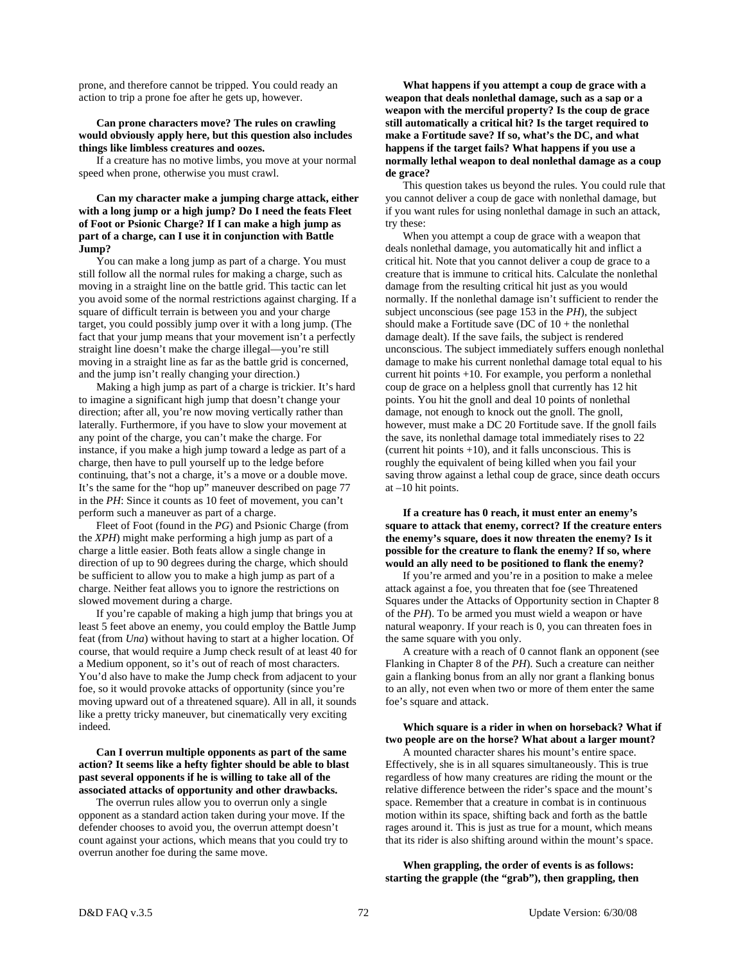prone, and therefore cannot be tripped. You could ready an action to trip a prone foe after he gets up, however.

#### **Can prone characters move? The rules on crawling would obviously apply here, but this question also includes things like limbless creatures and oozes.**

 If a creature has no motive limbs, you move at your normal speed when prone, otherwise you must crawl.

# **Can my character make a jumping charge attack, either with a long jump or a high jump? Do I need the feats Fleet of Foot or Psionic Charge? If I can make a high jump as part of a charge, can I use it in conjunction with Battle Jump?**

 You can make a long jump as part of a charge. You must still follow all the normal rules for making a charge, such as moving in a straight line on the battle grid. This tactic can let you avoid some of the normal restrictions against charging. If a square of difficult terrain is between you and your charge target, you could possibly jump over it with a long jump. (The fact that your jump means that your movement isn't a perfectly straight line doesn't make the charge illegal—you're still moving in a straight line as far as the battle grid is concerned, and the jump isn't really changing your direction.)

 Making a high jump as part of a charge is trickier. It's hard to imagine a significant high jump that doesn't change your direction; after all, you're now moving vertically rather than laterally. Furthermore, if you have to slow your movement at any point of the charge, you can't make the charge. For instance, if you make a high jump toward a ledge as part of a charge, then have to pull yourself up to the ledge before continuing, that's not a charge, it's a move or a double move. It's the same for the "hop up" maneuver described on page 77 in the *PH*: Since it counts as 10 feet of movement, you can't perform such a maneuver as part of a charge.

 Fleet of Foot (found in the *PG*) and Psionic Charge (from the *XPH*) might make performing a high jump as part of a charge a little easier. Both feats allow a single change in direction of up to 90 degrees during the charge, which should be sufficient to allow you to make a high jump as part of a charge. Neither feat allows you to ignore the restrictions on slowed movement during a charge.

 If you're capable of making a high jump that brings you at least 5 feet above an enemy, you could employ the Battle Jump feat (from *Una*) without having to start at a higher location. Of course, that would require a Jump check result of at least 40 for a Medium opponent, so it's out of reach of most characters. You'd also have to make the Jump check from adjacent to your foe, so it would provoke attacks of opportunity (since you're moving upward out of a threatened square). All in all, it sounds like a pretty tricky maneuver, but cinematically very exciting indeed.

# **Can I overrun multiple opponents as part of the same action? It seems like a hefty fighter should be able to blast past several opponents if he is willing to take all of the associated attacks of opportunity and other drawbacks.**

 The overrun rules allow you to overrun only a single opponent as a standard action taken during your move. If the defender chooses to avoid you, the overrun attempt doesn't count against your actions, which means that you could try to overrun another foe during the same move.

 **What happens if you attempt a coup de grace with a weapon that deals nonlethal damage, such as a sap or a weapon with the merciful property? Is the coup de grace still automatically a critical hit? Is the target required to make a Fortitude save? If so, what's the DC, and what happens if the target fails? What happens if you use a normally lethal weapon to deal nonlethal damage as a coup de grace?** 

 This question takes us beyond the rules. You could rule that you cannot deliver a coup de gace with nonlethal damage, but if you want rules for using nonlethal damage in such an attack, try these:

 When you attempt a coup de grace with a weapon that deals nonlethal damage, you automatically hit and inflict a critical hit. Note that you cannot deliver a coup de grace to a creature that is immune to critical hits. Calculate the nonlethal damage from the resulting critical hit just as you would normally. If the nonlethal damage isn't sufficient to render the subject unconscious (see page 153 in the *PH*), the subject should make a Fortitude save (DC of  $10 +$  the nonlethal damage dealt). If the save fails, the subject is rendered unconscious. The subject immediately suffers enough nonlethal damage to make his current nonlethal damage total equal to his current hit points +10. For example, you perform a nonlethal coup de grace on a helpless gnoll that currently has 12 hit points. You hit the gnoll and deal 10 points of nonlethal damage, not enough to knock out the gnoll. The gnoll, however, must make a DC 20 Fortitude save. If the gnoll fails the save, its nonlethal damage total immediately rises to 22 (current hit points +10), and it falls unconscious. This is roughly the equivalent of being killed when you fail your saving throw against a lethal coup de grace, since death occurs at –10 hit points.

# **If a creature has 0 reach, it must enter an enemy's square to attack that enemy, correct? If the creature enters the enemy's square, does it now threaten the enemy? Is it possible for the creature to flank the enemy? If so, where would an ally need to be positioned to flank the enemy?**

 If you're armed and you're in a position to make a melee attack against a foe, you threaten that foe (see Threatened Squares under the Attacks of Opportunity section in Chapter 8 of the *PH*). To be armed you must wield a weapon or have natural weaponry. If your reach is 0, you can threaten foes in the same square with you only.

 A creature with a reach of 0 cannot flank an opponent (see Flanking in Chapter 8 of the *PH*). Such a creature can neither gain a flanking bonus from an ally nor grant a flanking bonus to an ally, not even when two or more of them enter the same foe's square and attack.

# **Which square is a rider in when on horseback? What if two people are on the horse? What about a larger mount?**

 A mounted character shares his mount's entire space. Effectively, she is in all squares simultaneously. This is true regardless of how many creatures are riding the mount or the relative difference between the rider's space and the mount's space. Remember that a creature in combat is in continuous motion within its space, shifting back and forth as the battle rages around it. This is just as true for a mount, which means that its rider is also shifting around within the mount's space.

 **When grappling, the order of events is as follows: starting the grapple (the "grab"), then grappling, then**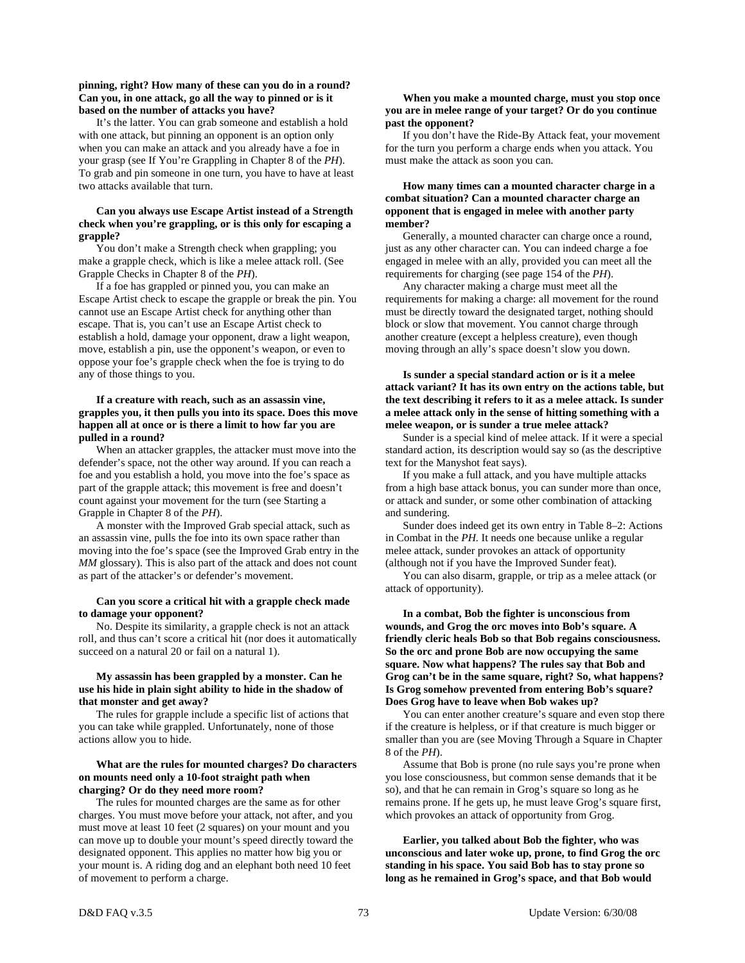# **pinning, right? How many of these can you do in a round? Can you, in one attack, go all the way to pinned or is it based on the number of attacks you have?**

 It's the latter. You can grab someone and establish a hold with one attack, but pinning an opponent is an option only when you can make an attack and you already have a foe in your grasp (see If You're Grappling in Chapter 8 of the *PH*). To grab and pin someone in one turn, you have to have at least two attacks available that turn.

# **Can you always use Escape Artist instead of a Strength check when you're grappling, or is this only for escaping a grapple?**

 You don't make a Strength check when grappling; you make a grapple check, which is like a melee attack roll. (See Grapple Checks in Chapter 8 of the *PH*).

 If a foe has grappled or pinned you, you can make an Escape Artist check to escape the grapple or break the pin. You cannot use an Escape Artist check for anything other than escape. That is, you can't use an Escape Artist check to establish a hold, damage your opponent, draw a light weapon, move, establish a pin, use the opponent's weapon, or even to oppose your foe's grapple check when the foe is trying to do any of those things to you.

# **If a creature with reach, such as an assassin vine, grapples you, it then pulls you into its space. Does this move happen all at once or is there a limit to how far you are pulled in a round?**

 When an attacker grapples, the attacker must move into the defender's space, not the other way around. If you can reach a foe and you establish a hold, you move into the foe's space as part of the grapple attack; this movement is free and doesn't count against your movement for the turn (see Starting a Grapple in Chapter 8 of the *PH*).

 A monster with the Improved Grab special attack, such as an assassin vine, pulls the foe into its own space rather than moving into the foe's space (see the Improved Grab entry in the *MM* glossary). This is also part of the attack and does not count as part of the attacker's or defender's movement.

# **Can you score a critical hit with a grapple check made to damage your opponent?**

 No. Despite its similarity, a grapple check is not an attack roll, and thus can't score a critical hit (nor does it automatically succeed on a natural 20 or fail on a natural 1).

# **My assassin has been grappled by a monster. Can he use his hide in plain sight ability to hide in the shadow of that monster and get away?**

 The rules for grapple include a specific list of actions that you can take while grappled. Unfortunately, none of those actions allow you to hide.

# **What are the rules for mounted charges? Do characters on mounts need only a 10-foot straight path when charging? Or do they need more room?**

 The rules for mounted charges are the same as for other charges. You must move before your attack, not after, and you must move at least 10 feet (2 squares) on your mount and you can move up to double your mount's speed directly toward the designated opponent. This applies no matter how big you or your mount is. A riding dog and an elephant both need 10 feet of movement to perform a charge.

# **When you make a mounted charge, must you stop once you are in melee range of your target? Or do you continue past the opponent?**

 If you don't have the Ride-By Attack feat, your movement for the turn you perform a charge ends when you attack. You must make the attack as soon you can.

# **How many times can a mounted character charge in a combat situation? Can a mounted character charge an opponent that is engaged in melee with another party member?**

 Generally, a mounted character can charge once a round, just as any other character can. You can indeed charge a foe engaged in melee with an ally, provided you can meet all the requirements for charging (see page 154 of the *PH*).

 Any character making a charge must meet all the requirements for making a charge: all movement for the round must be directly toward the designated target, nothing should block or slow that movement. You cannot charge through another creature (except a helpless creature), even though moving through an ally's space doesn't slow you down.

# **Is sunder a special standard action or is it a melee attack variant? It has its own entry on the actions table, but the text describing it refers to it as a melee attack. Is sunder a melee attack only in the sense of hitting something with a melee weapon, or is sunder a true melee attack?**

 Sunder is a special kind of melee attack. If it were a special standard action, its description would say so (as the descriptive text for the Manyshot feat says).

 If you make a full attack, and you have multiple attacks from a high base attack bonus, you can sunder more than once, or attack and sunder, or some other combination of attacking and sundering.

 Sunder does indeed get its own entry in Table 8–2: Actions in Combat in the *PH.* It needs one because unlike a regular melee attack, sunder provokes an attack of opportunity (although not if you have the Improved Sunder feat).

 You can also disarm, grapple, or trip as a melee attack (or attack of opportunity).

 **In a combat, Bob the fighter is unconscious from wounds, and Grog the orc moves into Bob's square. A friendly cleric heals Bob so that Bob regains consciousness. So the orc and prone Bob are now occupying the same square. Now what happens? The rules say that Bob and Grog can't be in the same square, right? So, what happens? Is Grog somehow prevented from entering Bob's square? Does Grog have to leave when Bob wakes up?** 

 You can enter another creature's square and even stop there if the creature is helpless, or if that creature is much bigger or smaller than you are (see Moving Through a Square in Chapter 8 of the *PH*).

 Assume that Bob is prone (no rule says you're prone when you lose consciousness, but common sense demands that it be so), and that he can remain in Grog's square so long as he remains prone. If he gets up, he must leave Grog's square first, which provokes an attack of opportunity from Grog.

 **Earlier, you talked about Bob the fighter, who was unconscious and later woke up, prone, to find Grog the orc standing in his space. You said Bob has to stay prone so long as he remained in Grog's space, and that Bob would**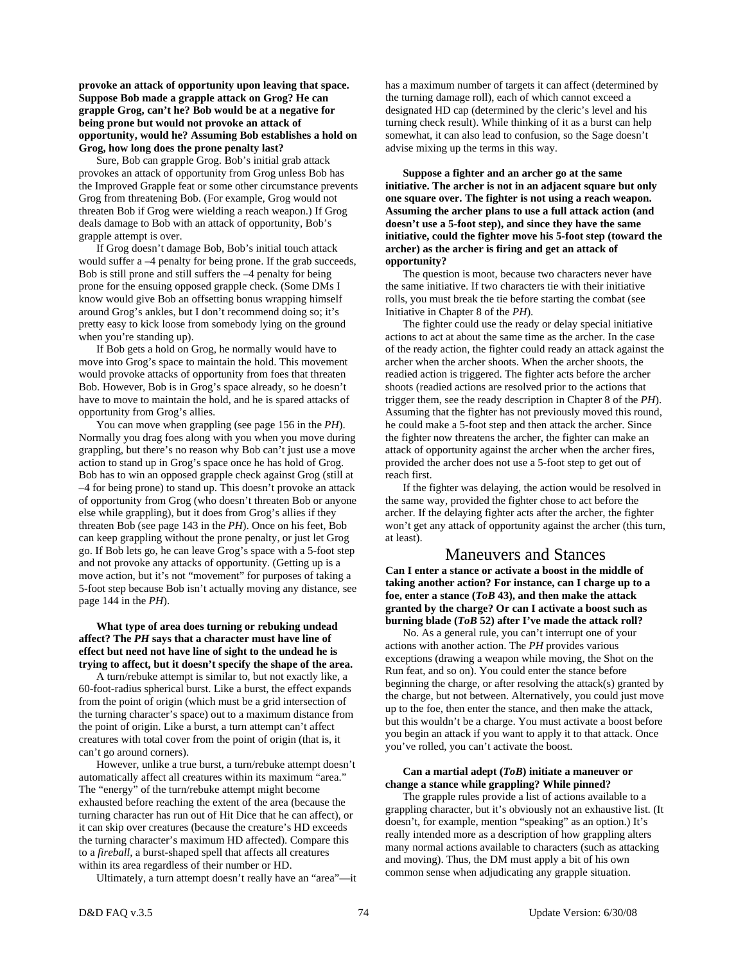**provoke an attack of opportunity upon leaving that space. Suppose Bob made a grapple attack on Grog? He can grapple Grog, can't he? Bob would be at a negative for being prone but would not provoke an attack of opportunity, would he? Assuming Bob establishes a hold on Grog, how long does the prone penalty last?** 

 Sure, Bob can grapple Grog. Bob's initial grab attack provokes an attack of opportunity from Grog unless Bob has the Improved Grapple feat or some other circumstance prevents Grog from threatening Bob. (For example, Grog would not threaten Bob if Grog were wielding a reach weapon.) If Grog deals damage to Bob with an attack of opportunity, Bob's grapple attempt is over.

 If Grog doesn't damage Bob, Bob's initial touch attack would suffer a –4 penalty for being prone. If the grab succeeds, Bob is still prone and still suffers the –4 penalty for being prone for the ensuing opposed grapple check. (Some DMs I know would give Bob an offsetting bonus wrapping himself around Grog's ankles, but I don't recommend doing so; it's pretty easy to kick loose from somebody lying on the ground when you're standing up).

 If Bob gets a hold on Grog, he normally would have to move into Grog's space to maintain the hold. This movement would provoke attacks of opportunity from foes that threaten Bob. However, Bob is in Grog's space already, so he doesn't have to move to maintain the hold, and he is spared attacks of opportunity from Grog's allies.

 You can move when grappling (see page 156 in the *PH*). Normally you drag foes along with you when you move during grappling, but there's no reason why Bob can't just use a move action to stand up in Grog's space once he has hold of Grog. Bob has to win an opposed grapple check against Grog (still at –4 for being prone) to stand up. This doesn't provoke an attack of opportunity from Grog (who doesn't threaten Bob or anyone else while grappling), but it does from Grog's allies if they threaten Bob (see page 143 in the *PH*). Once on his feet, Bob can keep grappling without the prone penalty, or just let Grog go. If Bob lets go, he can leave Grog's space with a 5-foot step and not provoke any attacks of opportunity. (Getting up is a move action, but it's not "movement" for purposes of taking a 5-foot step because Bob isn't actually moving any distance, see page 144 in the *PH*).

# **What type of area does turning or rebuking undead affect? The** *PH* **says that a character must have line of effect but need not have line of sight to the undead he is trying to affect, but it doesn't specify the shape of the area.**

 A turn/rebuke attempt is similar to, but not exactly like, a 60-foot-radius spherical burst. Like a burst, the effect expands from the point of origin (which must be a grid intersection of the turning character's space) out to a maximum distance from the point of origin. Like a burst, a turn attempt can't affect creatures with total cover from the point of origin (that is, it can't go around corners).

 However, unlike a true burst, a turn/rebuke attempt doesn't automatically affect all creatures within its maximum "area." The "energy" of the turn/rebuke attempt might become exhausted before reaching the extent of the area (because the turning character has run out of Hit Dice that he can affect), or it can skip over creatures (because the creature's HD exceeds the turning character's maximum HD affected). Compare this to a *fireball,* a burst-shaped spell that affects all creatures within its area regardless of their number or HD.

Ultimately, a turn attempt doesn't really have an "area"—it

has a maximum number of targets it can affect (determined by the turning damage roll), each of which cannot exceed a designated HD cap (determined by the cleric's level and his turning check result). While thinking of it as a burst can help somewhat, it can also lead to confusion, so the Sage doesn't advise mixing up the terms in this way.

 **Suppose a fighter and an archer go at the same initiative. The archer is not in an adjacent square but only one square over. The fighter is not using a reach weapon. Assuming the archer plans to use a full attack action (and doesn't use a 5-foot step), and since they have the same initiative, could the fighter move his 5-foot step (toward the archer) as the archer is firing and get an attack of opportunity?** 

 The question is moot, because two characters never have the same initiative. If two characters tie with their initiative rolls, you must break the tie before starting the combat (see Initiative in Chapter 8 of the *PH*).

 The fighter could use the ready or delay special initiative actions to act at about the same time as the archer. In the case of the ready action, the fighter could ready an attack against the archer when the archer shoots. When the archer shoots, the readied action is triggered. The fighter acts before the archer shoots (readied actions are resolved prior to the actions that trigger them, see the ready description in Chapter 8 of the *PH*). Assuming that the fighter has not previously moved this round, he could make a 5-foot step and then attack the archer. Since the fighter now threatens the archer, the fighter can make an attack of opportunity against the archer when the archer fires, provided the archer does not use a 5-foot step to get out of reach first.

 If the fighter was delaying, the action would be resolved in the same way, provided the fighter chose to act before the archer. If the delaying fighter acts after the archer, the fighter won't get any attack of opportunity against the archer (this turn, at least).

# Maneuvers and Stances

**Can I enter a stance or activate a boost in the middle of taking another action? For instance, can I charge up to a foe, enter a stance (***ToB* **43), and then make the attack granted by the charge? Or can I activate a boost such as burning blade (***ToB* **52) after I've made the attack roll?** 

 No. As a general rule, you can't interrupt one of your actions with another action. The *PH* provides various exceptions (drawing a weapon while moving, the Shot on the Run feat, and so on). You could enter the stance before beginning the charge, or after resolving the attack(s) granted by the charge, but not between. Alternatively, you could just move up to the foe, then enter the stance, and then make the attack, but this wouldn't be a charge. You must activate a boost before you begin an attack if you want to apply it to that attack. Once you've rolled, you can't activate the boost.

# **Can a martial adept (***ToB***) initiate a maneuver or change a stance while grappling? While pinned?**

 The grapple rules provide a list of actions available to a grappling character, but it's obviously not an exhaustive list. (It doesn't, for example, mention "speaking" as an option.) It's really intended more as a description of how grappling alters many normal actions available to characters (such as attacking and moving). Thus, the DM must apply a bit of his own common sense when adjudicating any grapple situation.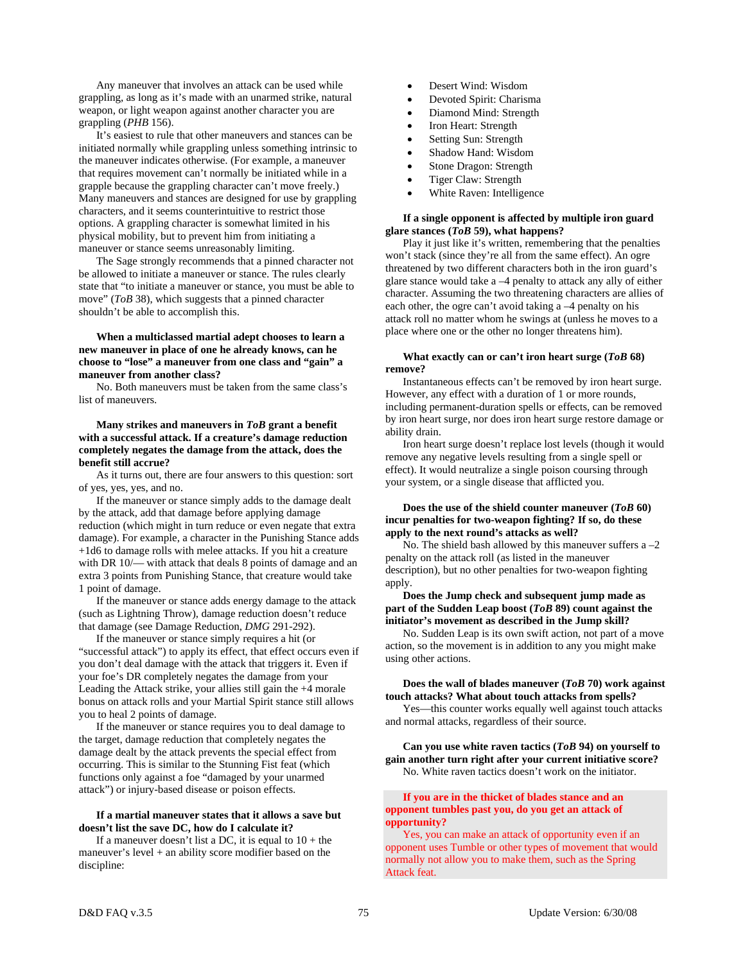Any maneuver that involves an attack can be used while grappling, as long as it's made with an unarmed strike, natural weapon, or light weapon against another character you are grappling (*PHB* 156).

 It's easiest to rule that other maneuvers and stances can be initiated normally while grappling unless something intrinsic to the maneuver indicates otherwise. (For example, a maneuver that requires movement can't normally be initiated while in a grapple because the grappling character can't move freely.) Many maneuvers and stances are designed for use by grappling characters, and it seems counterintuitive to restrict those options. A grappling character is somewhat limited in his physical mobility, but to prevent him from initiating a maneuver or stance seems unreasonably limiting.

 The Sage strongly recommends that a pinned character not be allowed to initiate a maneuver or stance. The rules clearly state that "to initiate a maneuver or stance, you must be able to move" (*ToB* 38), which suggests that a pinned character shouldn't be able to accomplish this.

 **When a multiclassed martial adept chooses to learn a new maneuver in place of one he already knows, can he choose to "lose" a maneuver from one class and "gain" a maneuver from another class?** 

 No. Both maneuvers must be taken from the same class's list of maneuvers.

 **Many strikes and maneuvers in** *ToB* **grant a benefit with a successful attack. If a creature's damage reduction completely negates the damage from the attack, does the benefit still accrue?** 

 As it turns out, there are four answers to this question: sort of yes, yes, yes, and no.

 If the maneuver or stance simply adds to the damage dealt by the attack, add that damage before applying damage reduction (which might in turn reduce or even negate that extra damage). For example, a character in the Punishing Stance adds +1d6 to damage rolls with melee attacks. If you hit a creature with DR 10/— with attack that deals 8 points of damage and an extra 3 points from Punishing Stance, that creature would take 1 point of damage.

 If the maneuver or stance adds energy damage to the attack (such as Lightning Throw), damage reduction doesn't reduce that damage (see Damage Reduction, *DMG* 291-292).

 If the maneuver or stance simply requires a hit (or "successful attack") to apply its effect, that effect occurs even if you don't deal damage with the attack that triggers it. Even if your foe's DR completely negates the damage from your Leading the Attack strike, your allies still gain the +4 morale bonus on attack rolls and your Martial Spirit stance still allows you to heal 2 points of damage.

 If the maneuver or stance requires you to deal damage to the target, damage reduction that completely negates the damage dealt by the attack prevents the special effect from occurring. This is similar to the Stunning Fist feat (which functions only against a foe "damaged by your unarmed attack") or injury-based disease or poison effects.

# **If a martial maneuver states that it allows a save but doesn't list the save DC, how do I calculate it?**

If a maneuver doesn't list a DC, it is equal to  $10 +$  the maneuver's level + an ability score modifier based on the discipline:

- Desert Wind: Wisdom
- Devoted Spirit: Charisma
- Diamond Mind: Strength
- Iron Heart: Strength
- Setting Sun: Strength
- Shadow Hand: Wisdom
- Stone Dragon: Strength
- Tiger Claw: Strength
- White Raven: Intelligence

# **If a single opponent is affected by multiple iron guard glare stances (***ToB* **59), what happens?**

 Play it just like it's written, remembering that the penalties won't stack (since they're all from the same effect). An ogre threatened by two different characters both in the iron guard's glare stance would take a –4 penalty to attack any ally of either character. Assuming the two threatening characters are allies of each other, the ogre can't avoid taking a –4 penalty on his attack roll no matter whom he swings at (unless he moves to a place where one or the other no longer threatens him).

# **What exactly can or can't iron heart surge (***ToB* **68) remove?**

 Instantaneous effects can't be removed by iron heart surge. However, any effect with a duration of 1 or more rounds, including permanent-duration spells or effects, can be removed by iron heart surge, nor does iron heart surge restore damage or ability drain.

 Iron heart surge doesn't replace lost levels (though it would remove any negative levels resulting from a single spell or effect). It would neutralize a single poison coursing through your system, or a single disease that afflicted you.

# **Does the use of the shield counter maneuver (***ToB* **60) incur penalties for two-weapon fighting? If so, do these apply to the next round's attacks as well?**

No. The shield bash allowed by this maneuver suffers a  $-2$ penalty on the attack roll (as listed in the maneuver description), but no other penalties for two-weapon fighting apply.

# **Does the Jump check and subsequent jump made as part of the Sudden Leap boost (***ToB* **89) count against the initiator's movement as described in the Jump skill?**

 No. Sudden Leap is its own swift action, not part of a move action, so the movement is in addition to any you might make using other actions.

# **Does the wall of blades maneuver (***ToB* **70) work against touch attacks? What about touch attacks from spells?**

 Yes—this counter works equally well against touch attacks and normal attacks, regardless of their source.

# **Can you use white raven tactics (***ToB* **94) on yourself to gain another turn right after your current initiative score?**  No. White raven tactics doesn't work on the initiator.

# **If you are in the thicket of blades stance and an opponent tumbles past you, do you get an attack of opportunity?**

 Yes, you can make an attack of opportunity even if an opponent uses Tumble or other types of movement that would normally not allow you to make them, such as the Spring Attack feat.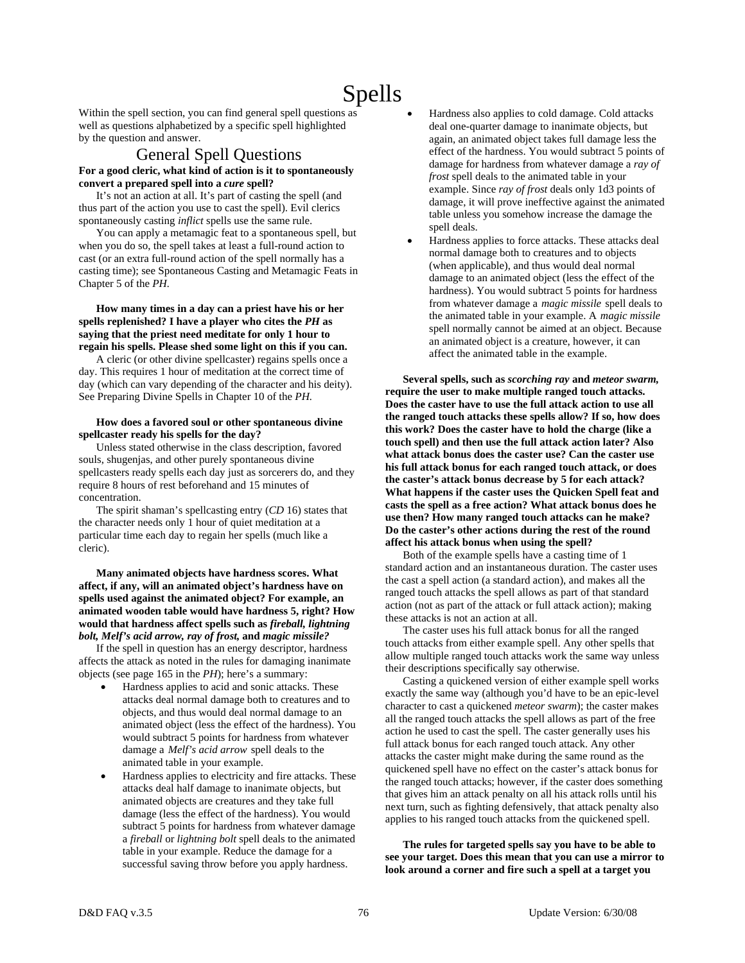# Spells

Within the spell section, you can find general spell questions as well as questions alphabetized by a specific spell highlighted by the question and answer.

# General Spell Questions **For a good cleric, what kind of action is it to spontaneously convert a prepared spell into a** *cure* **spell?**

 It's not an action at all. It's part of casting the spell (and thus part of the action you use to cast the spell). Evil clerics spontaneously casting *inflict* spells use the same rule.

 You can apply a metamagic feat to a spontaneous spell, but when you do so, the spell takes at least a full-round action to cast (or an extra full-round action of the spell normally has a casting time); see Spontaneous Casting and Metamagic Feats in Chapter 5 of the *PH.* 

# **How many times in a day can a priest have his or her spells replenished? I have a player who cites the** *PH* **as saying that the priest need meditate for only 1 hour to regain his spells. Please shed some light on this if you can.**

 A cleric (or other divine spellcaster) regains spells once a day. This requires 1 hour of meditation at the correct time of day (which can vary depending of the character and his deity). See Preparing Divine Spells in Chapter 10 of the *PH.* 

# **How does a favored soul or other spontaneous divine spellcaster ready his spells for the day?**

 Unless stated otherwise in the class description, favored souls, shugenjas, and other purely spontaneous divine spellcasters ready spells each day just as sorcerers do, and they require 8 hours of rest beforehand and 15 minutes of concentration.

 The spirit shaman's spellcasting entry (*CD* 16) states that the character needs only 1 hour of quiet meditation at a particular time each day to regain her spells (much like a cleric).

 **Many animated objects have hardness scores. What affect, if any, will an animated object's hardness have on spells used against the animated object? For example, an animated wooden table would have hardness 5, right? How would that hardness affect spells such as** *fireball, lightning bolt, Melf's acid arrow, ray of frost,* **and** *magic missile?*

 If the spell in question has an energy descriptor, hardness affects the attack as noted in the rules for damaging inanimate objects (see page 165 in the *PH*); here's a summary:

- Hardness applies to acid and sonic attacks. These attacks deal normal damage both to creatures and to objects, and thus would deal normal damage to an animated object (less the effect of the hardness). You would subtract 5 points for hardness from whatever damage a *Melf's acid arrow* spell deals to the animated table in your example.
- Hardness applies to electricity and fire attacks. These attacks deal half damage to inanimate objects, but animated objects are creatures and they take full damage (less the effect of the hardness). You would subtract 5 points for hardness from whatever damage a *fireball* or *lightning bolt* spell deals to the animated table in your example. Reduce the damage for a successful saving throw before you apply hardness.
- Hardness also applies to cold damage. Cold attacks deal one-quarter damage to inanimate objects, but again, an animated object takes full damage less the effect of the hardness. You would subtract 5 points of damage for hardness from whatever damage a *ray of frost* spell deals to the animated table in your example. Since *ray of frost* deals only 1d3 points of damage, it will prove ineffective against the animated table unless you somehow increase the damage the spell deals.
- Hardness applies to force attacks. These attacks deal normal damage both to creatures and to objects (when applicable), and thus would deal normal damage to an animated object (less the effect of the hardness). You would subtract 5 points for hardness from whatever damage a *magic missile* spell deals to the animated table in your example. A *magic missile* spell normally cannot be aimed at an object. Because an animated object is a creature, however, it can affect the animated table in the example.

 **Several spells, such as** *scorching ray* **and** *meteor swarm,* **require the user to make multiple ranged touch attacks. Does the caster have to use the full attack action to use all the ranged touch attacks these spells allow? If so, how does this work? Does the caster have to hold the charge (like a touch spell) and then use the full attack action later? Also what attack bonus does the caster use? Can the caster use his full attack bonus for each ranged touch attack, or does the caster's attack bonus decrease by 5 for each attack? What happens if the caster uses the Quicken Spell feat and casts the spell as a free action? What attack bonus does he use then? How many ranged touch attacks can he make? Do the caster's other actions during the rest of the round affect his attack bonus when using the spell?** 

 Both of the example spells have a casting time of 1 standard action and an instantaneous duration. The caster uses the cast a spell action (a standard action), and makes all the ranged touch attacks the spell allows as part of that standard action (not as part of the attack or full attack action); making these attacks is not an action at all.

 The caster uses his full attack bonus for all the ranged touch attacks from either example spell. Any other spells that allow multiple ranged touch attacks work the same way unless their descriptions specifically say otherwise.

 Casting a quickened version of either example spell works exactly the same way (although you'd have to be an epic-level character to cast a quickened *meteor swarm*); the caster makes all the ranged touch attacks the spell allows as part of the free action he used to cast the spell. The caster generally uses his full attack bonus for each ranged touch attack. Any other attacks the caster might make during the same round as the quickened spell have no effect on the caster's attack bonus for the ranged touch attacks; however, if the caster does something that gives him an attack penalty on all his attack rolls until his next turn, such as fighting defensively, that attack penalty also applies to his ranged touch attacks from the quickened spell.

 **The rules for targeted spells say you have to be able to see your target. Does this mean that you can use a mirror to look around a corner and fire such a spell at a target you**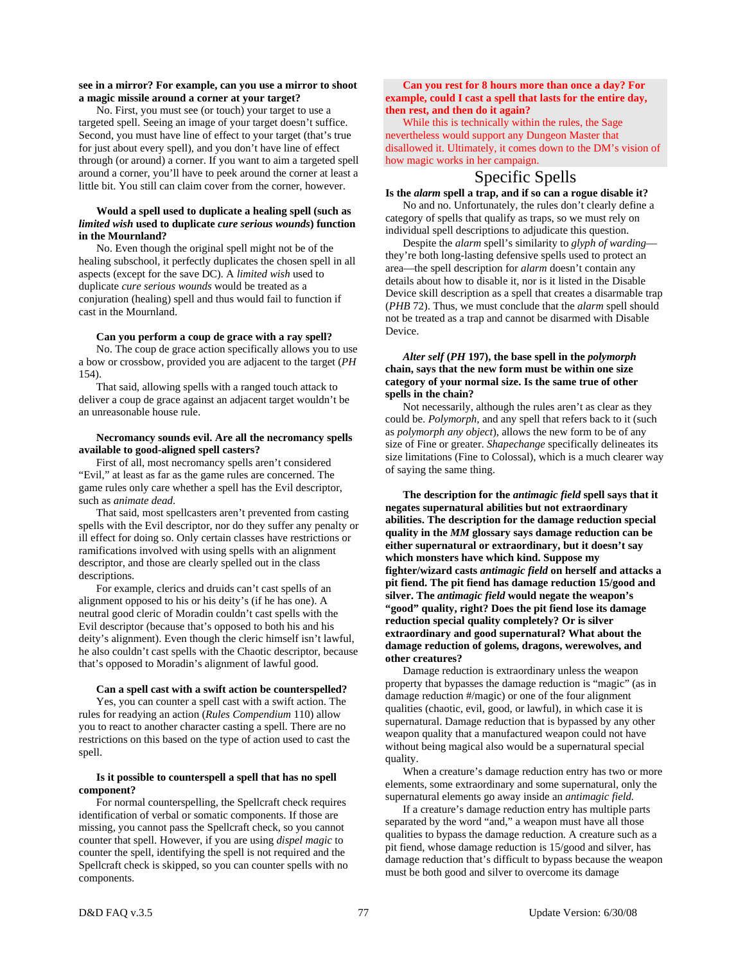# **see in a mirror? For example, can you use a mirror to shoot a magic missile around a corner at your target?**

 No. First, you must see (or touch) your target to use a targeted spell. Seeing an image of your target doesn't suffice. Second, you must have line of effect to your target (that's true for just about every spell), and you don't have line of effect through (or around) a corner. If you want to aim a targeted spell around a corner, you'll have to peek around the corner at least a little bit. You still can claim cover from the corner, however.

# **Would a spell used to duplicate a healing spell (such as**  *limited wish* **used to duplicate** *cure serious wounds***) function in the Mournland?**

 No. Even though the original spell might not be of the healing subschool, it perfectly duplicates the chosen spell in all aspects (except for the save DC). A *limited wish* used to duplicate *cure serious wounds* would be treated as a conjuration (healing) spell and thus would fail to function if cast in the Mournland.

# **Can you perform a coup de grace with a ray spell?**

 No. The coup de grace action specifically allows you to use a bow or crossbow, provided you are adjacent to the target (*PH*  154).

 That said, allowing spells with a ranged touch attack to deliver a coup de grace against an adjacent target wouldn't be an unreasonable house rule.

# **Necromancy sounds evil. Are all the necromancy spells available to good-aligned spell casters?**

 First of all, most necromancy spells aren't considered "Evil," at least as far as the game rules are concerned. The game rules only care whether a spell has the Evil descriptor, such as *animate dead*.

 That said, most spellcasters aren't prevented from casting spells with the Evil descriptor, nor do they suffer any penalty or ill effect for doing so. Only certain classes have restrictions or ramifications involved with using spells with an alignment descriptor, and those are clearly spelled out in the class descriptions.

 For example, clerics and druids can't cast spells of an alignment opposed to his or his deity's (if he has one). A neutral good cleric of Moradin couldn't cast spells with the Evil descriptor (because that's opposed to both his and his deity's alignment). Even though the cleric himself isn't lawful, he also couldn't cast spells with the Chaotic descriptor, because that's opposed to Moradin's alignment of lawful good.

### **Can a spell cast with a swift action be counterspelled?**

 Yes, you can counter a spell cast with a swift action. The rules for readying an action (*Rules Compendium* 110) allow you to react to another character casting a spell. There are no restrictions on this based on the type of action used to cast the spell.

# **Is it possible to counterspell a spell that has no spell component?**

 For normal counterspelling, the Spellcraft check requires identification of verbal or somatic components. If those are missing, you cannot pass the Spellcraft check, so you cannot counter that spell. However, if you are using *dispel magic* to counter the spell, identifying the spell is not required and the Spellcraft check is skipped, so you can counter spells with no components.

# **Can you rest for 8 hours more than once a day? For example, could I cast a spell that lasts for the entire day, then rest, and then do it again?**

 While this is technically within the rules, the Sage nevertheless would support any Dungeon Master that disallowed it. Ultimately, it comes down to the DM's vision of how magic works in her campaign.

# Specific Spells

# **Is the** *alarm* **spell a trap, and if so can a rogue disable it?**

 No and no. Unfortunately, the rules don't clearly define a category of spells that qualify as traps, so we must rely on individual spell descriptions to adjudicate this question.

 Despite the *alarm* spell's similarity to *glyph of warding* they're both long-lasting defensive spells used to protect an area—the spell description for *alarm* doesn't contain any details about how to disable it, nor is it listed in the Disable Device skill description as a spell that creates a disarmable trap (*PHB* 72). Thus, we must conclude that the *alarm* spell should not be treated as a trap and cannot be disarmed with Disable Device.

# *Alter self* **(***PH* **197), the base spell in the** *polymorph* **chain, says that the new form must be within one size category of your normal size. Is the same true of other spells in the chain?**

 Not necessarily, although the rules aren't as clear as they could be. *Polymorph,* and any spell that refers back to it (such as *polymorph any object*), allows the new form to be of any size of Fine or greater. *Shapechange* specifically delineates its size limitations (Fine to Colossal), which is a much clearer way of saying the same thing.

 **The description for the** *antimagic field* **spell says that it negates supernatural abilities but not extraordinary abilities. The description for the damage reduction special quality in the** *MM* **glossary says damage reduction can be either supernatural or extraordinary, but it doesn't say which monsters have which kind. Suppose my fighter/wizard casts** *antimagic field* **on herself and attacks a pit fiend. The pit fiend has damage reduction 15/good and silver. The** *antimagic field* **would negate the weapon's "good" quality, right? Does the pit fiend lose its damage reduction special quality completely? Or is silver extraordinary and good supernatural? What about the damage reduction of golems, dragons, werewolves, and other creatures?** 

 Damage reduction is extraordinary unless the weapon property that bypasses the damage reduction is "magic" (as in damage reduction #/magic) or one of the four alignment qualities (chaotic, evil, good, or lawful), in which case it is supernatural. Damage reduction that is bypassed by any other weapon quality that a manufactured weapon could not have without being magical also would be a supernatural special quality.

 When a creature's damage reduction entry has two or more elements, some extraordinary and some supernatural, only the supernatural elements go away inside an *antimagic field.*

 If a creature's damage reduction entry has multiple parts separated by the word "and," a weapon must have all those qualities to bypass the damage reduction. A creature such as a pit fiend, whose damage reduction is 15/good and silver, has damage reduction that's difficult to bypass because the weapon must be both good and silver to overcome its damage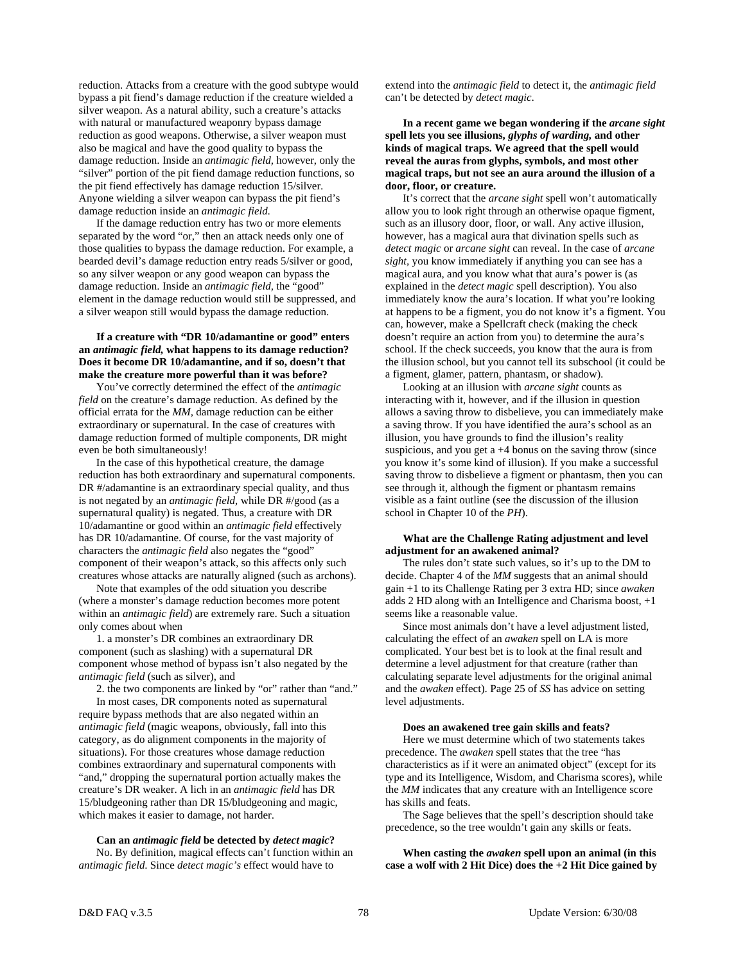reduction. Attacks from a creature with the good subtype would bypass a pit fiend's damage reduction if the creature wielded a silver weapon. As a natural ability, such a creature's attacks with natural or manufactured weaponry bypass damage reduction as good weapons. Otherwise, a silver weapon must also be magical and have the good quality to bypass the damage reduction. Inside an *antimagic field,* however, only the "silver" portion of the pit fiend damage reduction functions, so the pit fiend effectively has damage reduction 15/silver. Anyone wielding a silver weapon can bypass the pit fiend's damage reduction inside an *antimagic field*.

 If the damage reduction entry has two or more elements separated by the word "or," then an attack needs only one of those qualities to bypass the damage reduction. For example, a bearded devil's damage reduction entry reads 5/silver or good, so any silver weapon or any good weapon can bypass the damage reduction. Inside an *antimagic field,* the "good" element in the damage reduction would still be suppressed, and a silver weapon still would bypass the damage reduction.

# **If a creature with "DR 10/adamantine or good" enters an** *antimagic field,* **what happens to its damage reduction? Does it become DR 10/adamantine, and if so, doesn't that make the creature more powerful than it was before?**

 You've correctly determined the effect of the *antimagic field* on the creature's damage reduction. As defined by the official errata for the *MM,* damage reduction can be either extraordinary or supernatural. In the case of creatures with damage reduction formed of multiple components, DR might even be both simultaneously!

 In the case of this hypothetical creature, the damage reduction has both extraordinary and supernatural components. DR #/adamantine is an extraordinary special quality, and thus is not negated by an *antimagic field,* while DR #/good (as a supernatural quality) is negated. Thus, a creature with DR 10/adamantine or good within an *antimagic field* effectively has DR 10/adamantine. Of course, for the vast majority of characters the *antimagic field* also negates the "good" component of their weapon's attack*,* so this affects only such creatures whose attacks are naturally aligned (such as archons).

 Note that examples of the odd situation you describe (where a monster's damage reduction becomes more potent within an *antimagic field*) are extremely rare. Such a situation only comes about when

 1. a monster's DR combines an extraordinary DR component (such as slashing) with a supernatural DR component whose method of bypass isn't also negated by the *antimagic field* (such as silver), and

 2. the two components are linked by "or" rather than "and." In most cases, DR components noted as supernatural require bypass methods that are also negated within an *antimagic field* (magic weapons, obviously, fall into this category, as do alignment components in the majority of situations). For those creatures whose damage reduction combines extraordinary and supernatural components with "and," dropping the supernatural portion actually makes the creature's DR weaker. A lich in an *antimagic field* has DR 15/bludgeoning rather than DR 15/bludgeoning and magic, which makes it easier to damage, not harder.

 **Can an** *antimagic field* **be detected by** *detect magic***?** 

 No. By definition, magical effects can't function within an *antimagic field*. Since *detect magic's* effect would have to

extend into the *antimagic field* to detect it, the *antimagic field* can't be detected by *detect magic*.

 **In a recent game we began wondering if the** *arcane sight* **spell lets you see illusions,** *glyphs of warding,* **and other kinds of magical traps. We agreed that the spell would reveal the auras from glyphs, symbols, and most other magical traps, but not see an aura around the illusion of a door, floor, or creature.** 

 It's correct that the *arcane sight* spell won't automatically allow you to look right through an otherwise opaque figment, such as an illusory door, floor, or wall. Any active illusion, however, has a magical aura that divination spells such as *detect magic* or *arcane sight* can reveal. In the case of *arcane sight,* you know immediately if anything you can see has a magical aura, and you know what that aura's power is (as explained in the *detect magic* spell description). You also immediately know the aura's location. If what you're looking at happens to be a figment, you do not know it's a figment. You can, however, make a Spellcraft check (making the check doesn't require an action from you) to determine the aura's school. If the check succeeds, you know that the aura is from the illusion school, but you cannot tell its subschool (it could be a figment, glamer, pattern, phantasm, or shadow).

 Looking at an illusion with *arcane sight* counts as interacting with it, however, and if the illusion in question allows a saving throw to disbelieve, you can immediately make a saving throw. If you have identified the aura's school as an illusion, you have grounds to find the illusion's reality suspicious, and you get  $a +4$  bonus on the saving throw (since you know it's some kind of illusion). If you make a successful saving throw to disbelieve a figment or phantasm, then you can see through it, although the figment or phantasm remains visible as a faint outline (see the discussion of the illusion school in Chapter 10 of the *PH*).

# **What are the Challenge Rating adjustment and level adjustment for an awakened animal?**

 The rules don't state such values, so it's up to the DM to decide. Chapter 4 of the *MM* suggests that an animal should gain +1 to its Challenge Rating per 3 extra HD; since *awaken* adds 2 HD along with an Intelligence and Charisma boost, +1 seems like a reasonable value.

 Since most animals don't have a level adjustment listed, calculating the effect of an *awaken* spell on LA is more complicated. Your best bet is to look at the final result and determine a level adjustment for that creature (rather than calculating separate level adjustments for the original animal and the *awaken* effect). Page 25 of *SS* has advice on setting level adjustments.

### **Does an awakened tree gain skills and feats?**

 Here we must determine which of two statements takes precedence. The *awaken* spell states that the tree "has characteristics as if it were an animated object" (except for its type and its Intelligence, Wisdom, and Charisma scores), while the *MM* indicates that any creature with an Intelligence score has skills and feats.

 The Sage believes that the spell's description should take precedence, so the tree wouldn't gain any skills or feats.

**When casting the** *awaken* **spell upon an animal (in this case a wolf with 2 Hit Dice) does the +2 Hit Dice gained by**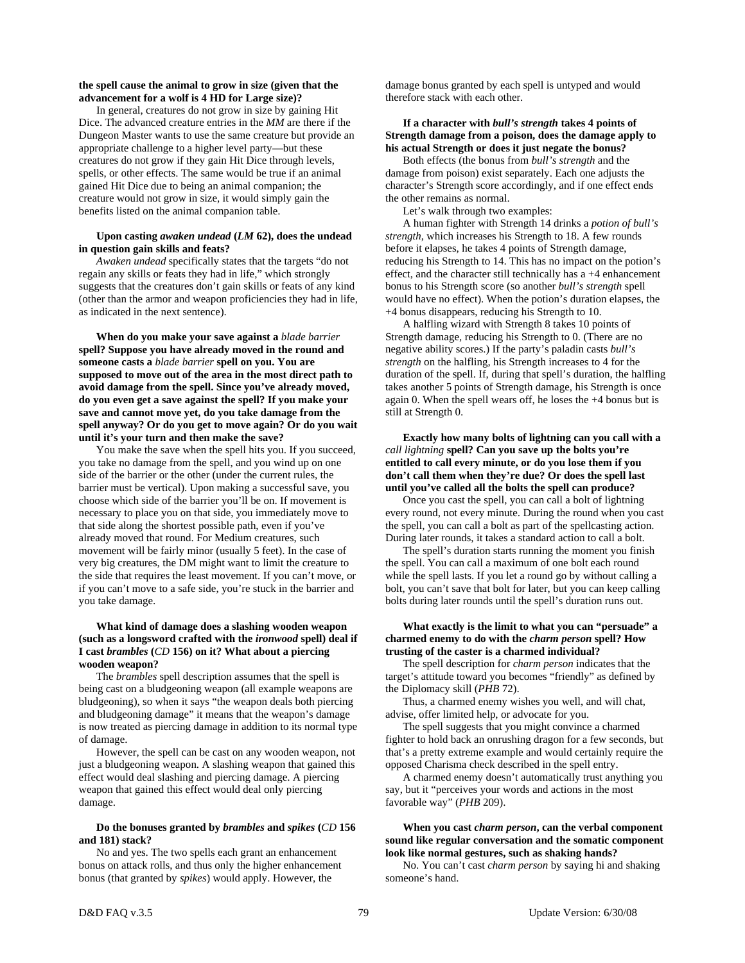# **the spell cause the animal to grow in size (given that the advancement for a wolf is 4 HD for Large size)?**

In general, creatures do not grow in size by gaining Hit Dice. The advanced creature entries in the *MM* are there if the Dungeon Master wants to use the same creature but provide an appropriate challenge to a higher level party—but these creatures do not grow if they gain Hit Dice through levels, spells, or other effects. The same would be true if an animal gained Hit Dice due to being an animal companion; the creature would not grow in size, it would simply gain the benefits listed on the animal companion table.

# **Upon casting** *awaken undead* **(***LM* **62), does the undead in question gain skills and feats?**

*Awaken undead* specifically states that the targets "do not regain any skills or feats they had in life," which strongly suggests that the creatures don't gain skills or feats of any kind (other than the armor and weapon proficiencies they had in life, as indicated in the next sentence).

 **When do you make your save against a** *blade barrier* **spell? Suppose you have already moved in the round and someone casts a** *blade barrier* **spell on you. You are supposed to move out of the area in the most direct path to avoid damage from the spell. Since you've already moved, do you even get a save against the spell? If you make your save and cannot move yet, do you take damage from the spell anyway? Or do you get to move again? Or do you wait until it's your turn and then make the save?** 

 You make the save when the spell hits you. If you succeed, you take no damage from the spell, and you wind up on one side of the barrier or the other (under the current rules, the barrier must be vertical). Upon making a successful save, you choose which side of the barrier you'll be on. If movement is necessary to place you on that side, you immediately move to that side along the shortest possible path, even if you've already moved that round. For Medium creatures, such movement will be fairly minor (usually 5 feet). In the case of very big creatures, the DM might want to limit the creature to the side that requires the least movement. If you can't move, or if you can't move to a safe side, you're stuck in the barrier and you take damage.

# **What kind of damage does a slashing wooden weapon (such as a longsword crafted with the** *ironwood* **spell) deal if I cast** *brambles* **(***CD* **156) on it? What about a piercing wooden weapon?**

 The *brambles* spell description assumes that the spell is being cast on a bludgeoning weapon (all example weapons are bludgeoning), so when it says "the weapon deals both piercing and bludgeoning damage" it means that the weapon's damage is now treated as piercing damage in addition to its normal type of damage.

 However, the spell can be cast on any wooden weapon, not just a bludgeoning weapon. A slashing weapon that gained this effect would deal slashing and piercing damage. A piercing weapon that gained this effect would deal only piercing damage.

# **Do the bonuses granted by** *brambles* **and** *spikes* **(***CD* **156 and 181) stack?**

 No and yes. The two spells each grant an enhancement bonus on attack rolls, and thus only the higher enhancement bonus (that granted by *spikes*) would apply. However, the

damage bonus granted by each spell is untyped and would therefore stack with each other.

# **If a character with** *bull's strength* **takes 4 points of Strength damage from a poison, does the damage apply to his actual Strength or does it just negate the bonus?**

 Both effects (the bonus from *bull's strength* and the damage from poison) exist separately. Each one adjusts the character's Strength score accordingly, and if one effect ends the other remains as normal.

Let's walk through two examples:

 A human fighter with Strength 14 drinks a *potion of bull's strength*, which increases his Strength to 18. A few rounds before it elapses, he takes 4 points of Strength damage, reducing his Strength to 14. This has no impact on the potion's effect, and the character still technically has a +4 enhancement bonus to his Strength score (so another *bull's strength* spell would have no effect). When the potion's duration elapses, the +4 bonus disappears, reducing his Strength to 10.

 A halfling wizard with Strength 8 takes 10 points of Strength damage, reducing his Strength to 0. (There are no negative ability scores.) If the party's paladin casts *bull's strength* on the halfling, his Strength increases to 4 for the duration of the spell. If, during that spell's duration, the halfling takes another 5 points of Strength damage, his Strength is once again 0. When the spell wears off, he loses the +4 bonus but is still at Strength 0.

 **Exactly how many bolts of lightning can you call with a**  *call lightning* **spell? Can you save up the bolts you're entitled to call every minute, or do you lose them if you don't call them when they're due? Or does the spell last until you've called all the bolts the spell can produce?** 

 Once you cast the spell, you can call a bolt of lightning every round, not every minute. During the round when you cast the spell, you can call a bolt as part of the spellcasting action. During later rounds, it takes a standard action to call a bolt.

 The spell's duration starts running the moment you finish the spell. You can call a maximum of one bolt each round while the spell lasts. If you let a round go by without calling a bolt, you can't save that bolt for later, but you can keep calling bolts during later rounds until the spell's duration runs out.

# **What exactly is the limit to what you can "persuade" a charmed enemy to do with the** *charm person* **spell? How trusting of the caster is a charmed individual?**

 The spell description for *charm person* indicates that the target's attitude toward you becomes "friendly" as defined by the Diplomacy skill (*PHB* 72).

 Thus, a charmed enemy wishes you well, and will chat, advise, offer limited help, or advocate for you.

 The spell suggests that you might convince a charmed fighter to hold back an onrushing dragon for a few seconds, but that's a pretty extreme example and would certainly require the opposed Charisma check described in the spell entry.

 A charmed enemy doesn't automatically trust anything you say, but it "perceives your words and actions in the most favorable way" (*PHB* 209).

 **When you cast** *charm person***, can the verbal component sound like regular conversation and the somatic component look like normal gestures, such as shaking hands?** 

 No. You can't cast *charm person* by saying hi and shaking someone's hand.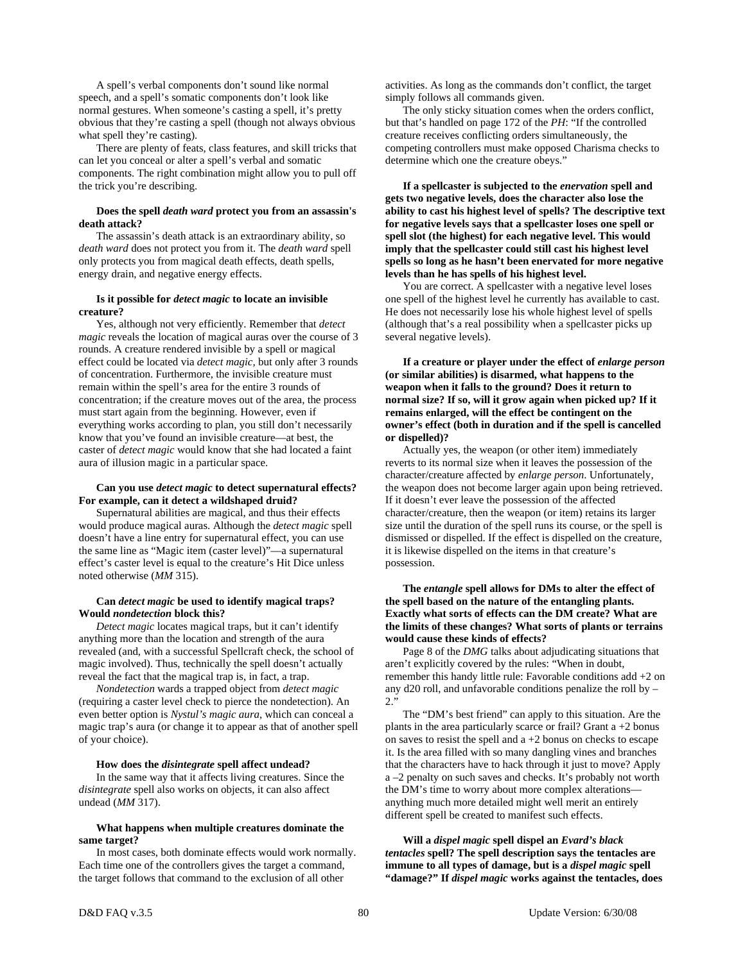A spell's verbal components don't sound like normal speech, and a spell's somatic components don't look like normal gestures. When someone's casting a spell, it's pretty obvious that they're casting a spell (though not always obvious what spell they're casting).

 There are plenty of feats, class features, and skill tricks that can let you conceal or alter a spell's verbal and somatic components. The right combination might allow you to pull off the trick you're describing.

# **Does the spell** *death ward* **protect you from an assassin's death attack?**

 The assassin's death attack is an extraordinary ability, so *death ward* does not protect you from it. The *death ward* spell only protects you from magical death effects, death spells, energy drain, and negative energy effects.

# **Is it possible for** *detect magic* **to locate an invisible creature?**

 Yes, although not very efficiently. Remember that *detect magic* reveals the location of magical auras over the course of 3 rounds. A creature rendered invisible by a spell or magical effect could be located via *detect magic,* but only after 3 rounds of concentration. Furthermore, the invisible creature must remain within the spell's area for the entire 3 rounds of concentration; if the creature moves out of the area, the process must start again from the beginning. However, even if everything works according to plan, you still don't necessarily know that you've found an invisible creature—at best, the caster of *detect magic* would know that she had located a faint aura of illusion magic in a particular space.

# **Can you use** *detect magic* **to detect supernatural effects? For example, can it detect a wildshaped druid?**

 Supernatural abilities are magical, and thus their effects would produce magical auras. Although the *detect magic* spell doesn't have a line entry for supernatural effect, you can use the same line as "Magic item (caster level)"—a supernatural effect's caster level is equal to the creature's Hit Dice unless noted otherwise (*MM* 315).

# **Can** *detect magic* **be used to identify magical traps? Would** *nondetection* **block this?**

 *Detect magic* locates magical traps, but it can't identify anything more than the location and strength of the aura revealed (and, with a successful Spellcraft check, the school of magic involved). Thus, technically the spell doesn't actually reveal the fact that the magical trap is, in fact, a trap.

 *Nondetection* wards a trapped object from *detect magic* (requiring a caster level check to pierce the nondetection). An even better option is *Nystul's magic aura*, which can conceal a magic trap's aura (or change it to appear as that of another spell of your choice).

# **How does the** *disintegrate* **spell affect undead?**

 In the same way that it affects living creatures. Since the *disintegrate* spell also works on objects, it can also affect undead (*MM* 317).

# **What happens when multiple creatures dominate the same target?**

 In most cases, both dominate effects would work normally. Each time one of the controllers gives the target a command, the target follows that command to the exclusion of all other

activities. As long as the commands don't conflict, the target simply follows all commands given.

 The only sticky situation comes when the orders conflict, but that's handled on page 172 of the *PH*: "If the controlled creature receives conflicting orders simultaneously, the competing controllers must make opposed Charisma checks to determine which one the creature obeys."

 **If a spellcaster is subjected to the** *enervation* **spell and gets two negative levels, does the character also lose the ability to cast his highest level of spells? The descriptive text for negative levels says that a spellcaster loses one spell or spell slot (the highest) for each negative level. This would imply that the spellcaster could still cast his highest level spells so long as he hasn't been enervated for more negative levels than he has spells of his highest level.** 

 You are correct. A spellcaster with a negative level loses one spell of the highest level he currently has available to cast. He does not necessarily lose his whole highest level of spells (although that's a real possibility when a spellcaster picks up several negative levels).

 **If a creature or player under the effect of** *enlarge person* **(or similar abilities) is disarmed, what happens to the weapon when it falls to the ground? Does it return to normal size? If so, will it grow again when picked up? If it remains enlarged, will the effect be contingent on the owner's effect (both in duration and if the spell is cancelled or dispelled)?** 

 Actually yes, the weapon (or other item) immediately reverts to its normal size when it leaves the possession of the character/creature affected by *enlarge person*. Unfortunately, the weapon does not become larger again upon being retrieved. If it doesn't ever leave the possession of the affected character/creature, then the weapon (or item) retains its larger size until the duration of the spell runs its course, or the spell is dismissed or dispelled. If the effect is dispelled on the creature, it is likewise dispelled on the items in that creature's possession.

# **The** *entangle* **spell allows for DMs to alter the effect of the spell based on the nature of the entangling plants. Exactly what sorts of effects can the DM create? What are the limits of these changes? What sorts of plants or terrains would cause these kinds of effects?**

 Page 8 of the *DMG* talks about adjudicating situations that aren't explicitly covered by the rules: "When in doubt, remember this handy little rule: Favorable conditions add +2 on any d20 roll, and unfavorable conditions penalize the roll by –  $2$ .

 The "DM's best friend" can apply to this situation. Are the plants in the area particularly scarce or frail? Grant  $a + 2$  bonus on saves to resist the spell and a +2 bonus on checks to escape it. Is the area filled with so many dangling vines and branches that the characters have to hack through it just to move? Apply a –2 penalty on such saves and checks. It's probably not worth the DM's time to worry about more complex alterations anything much more detailed might well merit an entirely different spell be created to manifest such effects.

 **Will a** *dispel magic* **spell dispel an** *Evard's black tentacles* **spell? The spell description says the tentacles are immune to all types of damage, but is a** *dispel magic* **spell "damage?" If** *dispel magic* **works against the tentacles, does**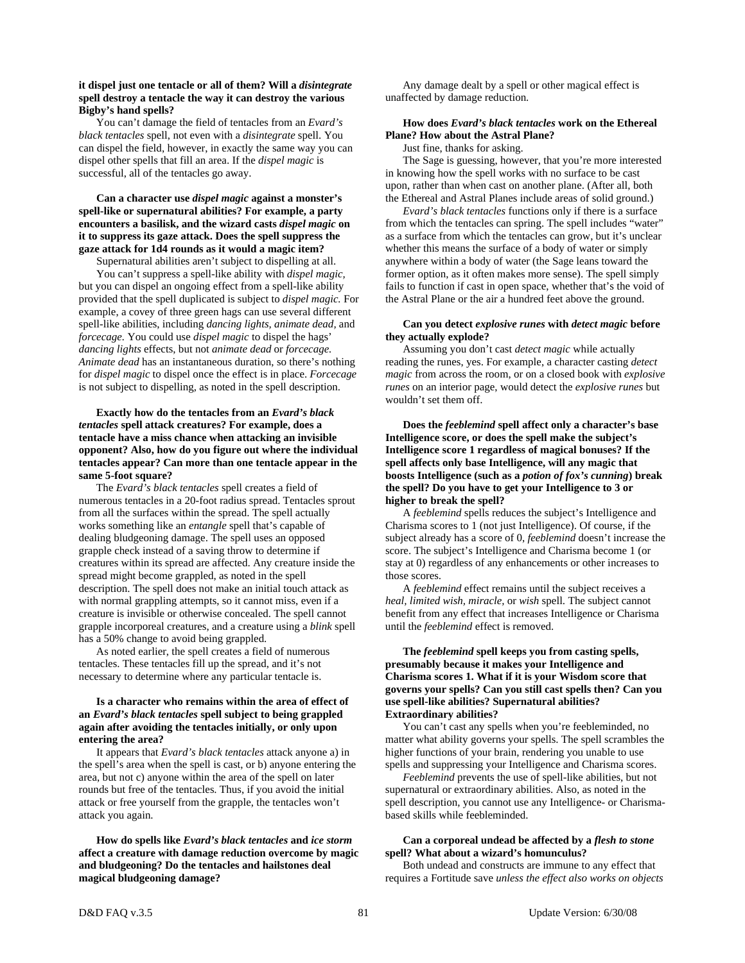# **it dispel just one tentacle or all of them? Will a** *disintegrate* **spell destroy a tentacle the way it can destroy the various Bigby's hand spells?**

 You can't damage the field of tentacles from an *Evard's black tentacles* spell, not even with a *disintegrate* spell. You can dispel the field, however, in exactly the same way you can dispel other spells that fill an area. If the *dispel magic* is successful, all of the tentacles go away.

# **Can a character use** *dispel magic* **against a monster's spell-like or supernatural abilities? For example, a party encounters a basilisk, and the wizard casts** *dispel magic* **on it to suppress its gaze attack. Does the spell suppress the gaze attack for 1d4 rounds as it would a magic item?**

Supernatural abilities aren't subject to dispelling at all.

 You can't suppress a spell-like ability with *dispel magic,* but you can dispel an ongoing effect from a spell-like ability provided that the spell duplicated is subject to *dispel magic.* For example, a covey of three green hags can use several different spell-like abilities, including *dancing lights, animate dead,* and *forcecage.* You could use *dispel magic* to dispel the hags' *dancing lights* effects, but not *animate dead* or *forcecage. Animate dead* has an instantaneous duration, so there's nothing for *dispel magic* to dispel once the effect is in place. *Forcecage* is not subject to dispelling, as noted in the spell description.

# **Exactly how do the tentacles from an** *Evard's black tentacles* **spell attack creatures? For example, does a tentacle have a miss chance when attacking an invisible opponent? Also, how do you figure out where the individual tentacles appear? Can more than one tentacle appear in the same 5-foot square?**

 The *Evard's black tentacles* spell creates a field of numerous tentacles in a 20-foot radius spread. Tentacles sprout from all the surfaces within the spread. The spell actually works something like an *entangle* spell that's capable of dealing bludgeoning damage. The spell uses an opposed grapple check instead of a saving throw to determine if creatures within its spread are affected. Any creature inside the spread might become grappled, as noted in the spell description. The spell does not make an initial touch attack as with normal grappling attempts, so it cannot miss, even if a creature is invisible or otherwise concealed. The spell cannot grapple incorporeal creatures, and a creature using a *blink* spell has a 50% change to avoid being grappled.

 As noted earlier, the spell creates a field of numerous tentacles. These tentacles fill up the spread, and it's not necessary to determine where any particular tentacle is.

# **Is a character who remains within the area of effect of an** *Evard's black tentacles* **spell subject to being grappled again after avoiding the tentacles initially, or only upon entering the area?**

 It appears that *Evard's black tentacles* attack anyone a) in the spell's area when the spell is cast, or b) anyone entering the area, but not c) anyone within the area of the spell on later rounds but free of the tentacles. Thus, if you avoid the initial attack or free yourself from the grapple, the tentacles won't attack you again.

**How do spells like** *Evard's black tentacles* **and** *ice storm* **affect a creature with damage reduction overcome by magic and bludgeoning? Do the tentacles and hailstones deal magical bludgeoning damage?** 

 Any damage dealt by a spell or other magical effect is unaffected by damage reduction.

# **How does** *Evard's black tentacles* **work on the Ethereal Plane? How about the Astral Plane?**

Just fine, thanks for asking.

 The Sage is guessing, however, that you're more interested in knowing how the spell works with no surface to be cast upon, rather than when cast on another plane. (After all, both the Ethereal and Astral Planes include areas of solid ground.)

*Evard's black tentacles* functions only if there is a surface from which the tentacles can spring. The spell includes "water" as a surface from which the tentacles can grow, but it's unclear whether this means the surface of a body of water or simply anywhere within a body of water (the Sage leans toward the former option, as it often makes more sense). The spell simply fails to function if cast in open space, whether that's the void of the Astral Plane or the air a hundred feet above the ground.

# **Can you detect** *explosive runes* **with** *detect magic* **before they actually explode?**

 Assuming you don't cast *detect magic* while actually reading the runes, yes. For example, a character casting *detect magic* from across the room, or on a closed book with *explosive runes* on an interior page, would detect the *explosive runes* but wouldn't set them off.

 **Does the** *feeblemind* **spell affect only a character's base Intelligence score, or does the spell make the subject's Intelligence score 1 regardless of magical bonuses? If the spell affects only base Intelligence, will any magic that boosts Intelligence (such as a** *potion of fox's cunning***) break the spell? Do you have to get your Intelligence to 3 or higher to break the spell?** 

 A *feeblemind* spells reduces the subject's Intelligence and Charisma scores to 1 (not just Intelligence). Of course, if the subject already has a score of 0, *feeblemind* doesn't increase the score. The subject's Intelligence and Charisma become 1 (or stay at 0) regardless of any enhancements or other increases to those scores.

 A *feeblemind* effect remains until the subject receives a *heal, limited wish, miracle,* or *wish* spell. The subject cannot benefit from any effect that increases Intelligence or Charisma until the *feeblemind* effect is removed.

# **The** *feeblemind* **spell keeps you from casting spells, presumably because it makes your Intelligence and Charisma scores 1. What if it is your Wisdom score that governs your spells? Can you still cast spells then? Can you use spell-like abilities? Supernatural abilities? Extraordinary abilities?**

 You can't cast any spells when you're feebleminded, no matter what ability governs your spells. The spell scrambles the higher functions of your brain, rendering you unable to use spells and suppressing your Intelligence and Charisma scores.

*Feeblemind* prevents the use of spell-like abilities, but not supernatural or extraordinary abilities. Also, as noted in the spell description, you cannot use any Intelligence- or Charismabased skills while feebleminded.

# **Can a corporeal undead be affected by a** *flesh to stone* **spell? What about a wizard's homunculus?**

 Both undead and constructs are immune to any effect that requires a Fortitude save *unless the effect also works on objects*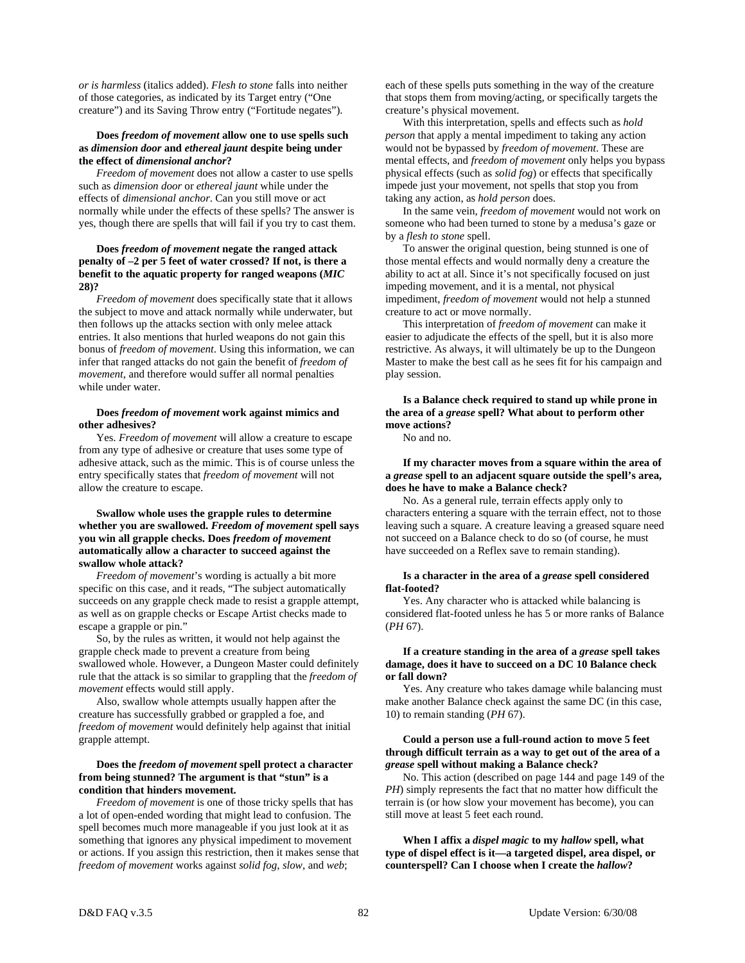*or is harmless* (italics added). *Flesh to stone* falls into neither of those categories, as indicated by its Target entry ("One creature") and its Saving Throw entry ("Fortitude negates").

# **Does** *freedom of movement* **allow one to use spells such as** *dimension door* **and** *ethereal jaunt* **despite being under the effect of** *dimensional anchor***?**

 *Freedom of movement* does not allow a caster to use spells such as *dimension door* or *ethereal jaunt* while under the effects of *dimensional anchor*. Can you still move or act normally while under the effects of these spells? The answer is yes, though there are spells that will fail if you try to cast them.

# **Does** *freedom of movement* **negate the ranged attack penalty of –2 per 5 feet of water crossed? If not, is there a benefit to the aquatic property for ranged weapons (***MIC* **28)?**

 *Freedom of movement* does specifically state that it allows the subject to move and attack normally while underwater, but then follows up the attacks section with only melee attack entries. It also mentions that hurled weapons do not gain this bonus of *freedom of movement*. Using this information, we can infer that ranged attacks do not gain the benefit of *freedom of movement*, and therefore would suffer all normal penalties while under water.

# **Does** *freedom of movement* **work against mimics and other adhesives?**

 Yes. *Freedom of movement* will allow a creature to escape from any type of adhesive or creature that uses some type of adhesive attack, such as the mimic. This is of course unless the entry specifically states that *freedom of movement* will not allow the creature to escape.

# **Swallow whole uses the grapple rules to determine whether you are swallowed.** *Freedom of movement* **spell says you win all grapple checks. Does** *freedom of movement* **automatically allow a character to succeed against the swallow whole attack?**

 *Freedom of movement*'s wording is actually a bit more specific on this case, and it reads, "The subject automatically succeeds on any grapple check made to resist a grapple attempt, as well as on grapple checks or Escape Artist checks made to escape a grapple or pin."

 So, by the rules as written, it would not help against the grapple check made to prevent a creature from being swallowed whole. However, a Dungeon Master could definitely rule that the attack is so similar to grappling that the *freedom of movement* effects would still apply.

 Also, swallow whole attempts usually happen after the creature has successfully grabbed or grappled a foe, and *freedom of movement* would definitely help against that initial grapple attempt.

# **Does the** *freedom of movement* **spell protect a character from being stunned? The argument is that "stun" is a condition that hinders movement.**

 *Freedom of movement* is one of those tricky spells that has a lot of open-ended wording that might lead to confusion. The spell becomes much more manageable if you just look at it as something that ignores any physical impediment to movement or actions. If you assign this restriction, then it makes sense that *freedom of movement* works against *solid fog*, *slow*, and *web*;

each of these spells puts something in the way of the creature that stops them from moving/acting, or specifically targets the creature's physical movement.

 With this interpretation, spells and effects such as *hold person* that apply a mental impediment to taking any action would not be bypassed by *freedom of movement*. These are mental effects, and *freedom of movement* only helps you bypass physical effects (such as *solid fog*) or effects that specifically impede just your movement, not spells that stop you from taking any action, as *hold person* does.

 In the same vein, *freedom of movement* would not work on someone who had been turned to stone by a medusa's gaze or by a *flesh to stone* spell.

 To answer the original question, being stunned is one of those mental effects and would normally deny a creature the ability to act at all. Since it's not specifically focused on just impeding movement, and it is a mental, not physical impediment, *freedom of movement* would not help a stunned creature to act or move normally.

 This interpretation of *freedom of movement* can make it easier to adjudicate the effects of the spell, but it is also more restrictive. As always, it will ultimately be up to the Dungeon Master to make the best call as he sees fit for his campaign and play session.

 **Is a Balance check required to stand up while prone in the area of a** *grease* **spell? What about to perform other move actions?** 

No and no.

 **If my character moves from a square within the area of a** *grease* **spell to an adjacent square outside the spell's area, does he have to make a Balance check?** 

 No. As a general rule, terrain effects apply only to characters entering a square with the terrain effect, not to those leaving such a square. A creature leaving a greased square need not succeed on a Balance check to do so (of course, he must have succeeded on a Reflex save to remain standing).

# **Is a character in the area of a** *grease* **spell considered flat-footed?**

 Yes. Any character who is attacked while balancing is considered flat-footed unless he has 5 or more ranks of Balance (*PH* 67).

# **If a creature standing in the area of a** *grease* **spell takes damage, does it have to succeed on a DC 10 Balance check or fall down?**

 Yes. Any creature who takes damage while balancing must make another Balance check against the same DC (in this case, 10) to remain standing (*PH* 67).

# **Could a person use a full-round action to move 5 feet through difficult terrain as a way to get out of the area of a**  *grease* **spell without making a Balance check?**

 No. This action (described on page 144 and page 149 of the *PH*) simply represents the fact that no matter how difficult the terrain is (or how slow your movement has become), you can still move at least 5 feet each round.

 **When I affix a** *dispel magic* **to my** *hallow* **spell, what type of dispel effect is it—a targeted dispel, area dispel, or counterspell? Can I choose when I create the** *hallow***?**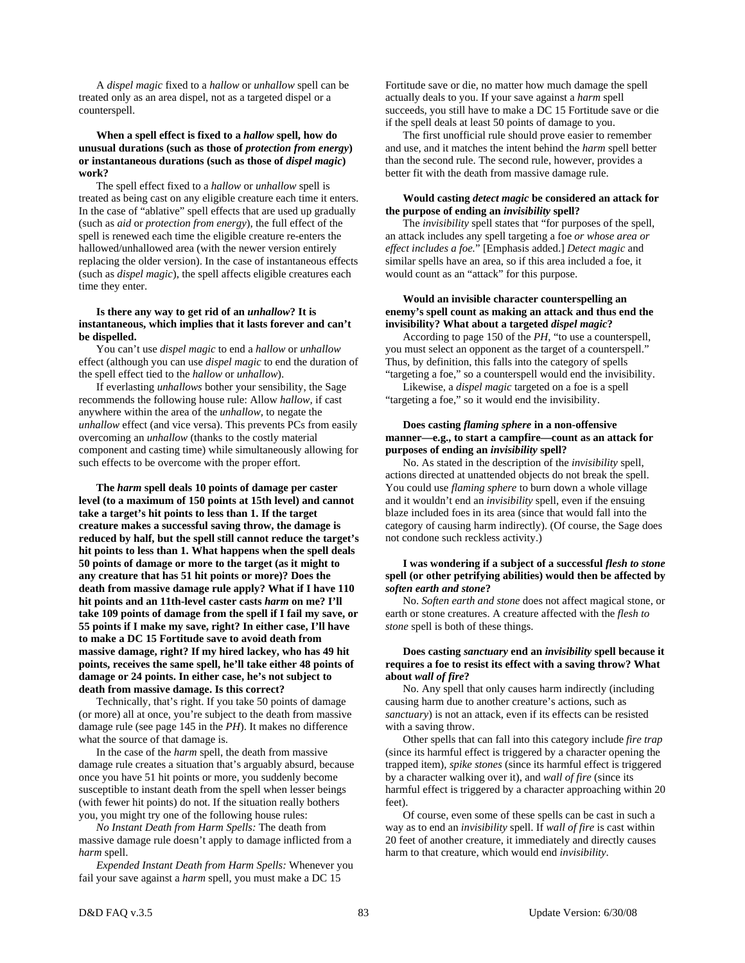A *dispel magic* fixed to a *hallow* or *unhallow* spell can be treated only as an area dispel, not as a targeted dispel or a counterspell.

# **When a spell effect is fixed to a** *hallow* **spell, how do unusual durations (such as those of** *protection from energy***) or instantaneous durations (such as those of** *dispel magic***) work?**

 The spell effect fixed to a *hallow* or *unhallow* spell is treated as being cast on any eligible creature each time it enters. In the case of "ablative" spell effects that are used up gradually (such as *aid* or *protection from energy*), the full effect of the spell is renewed each time the eligible creature re-enters the hallowed/unhallowed area (with the newer version entirely replacing the older version). In the case of instantaneous effects (such as *dispel magic*), the spell affects eligible creatures each time they enter.

# **Is there any way to get rid of an** *unhallow***? It is instantaneous, which implies that it lasts forever and can't be dispelled.**

 You can't use *dispel magic* to end a *hallow* or *unhallow* effect (although you can use *dispel magic* to end the duration of the spell effect tied to the *hallow* or *unhallow*).

 If everlasting *unhallows* bother your sensibility, the Sage recommends the following house rule: Allow *hallow,* if cast anywhere within the area of the *unhallow,* to negate the *unhallow* effect (and vice versa). This prevents PCs from easily overcoming an *unhallow* (thanks to the costly material component and casting time) while simultaneously allowing for such effects to be overcome with the proper effort.

 **The** *harm* **spell deals 10 points of damage per caster level (to a maximum of 150 points at 15th level) and cannot take a target's hit points to less than 1. If the target creature makes a successful saving throw, the damage is reduced by half, but the spell still cannot reduce the target's hit points to less than 1. What happens when the spell deals 50 points of damage or more to the target (as it might to any creature that has 51 hit points or more)? Does the death from massive damage rule apply? What if I have 110 hit points and an 11th-level caster casts** *harm* **on me? I'll take 109 points of damage from the spell if I fail my save, or 55 points if I make my save, right? In either case, I'll have to make a DC 15 Fortitude save to avoid death from massive damage, right? If my hired lackey, who has 49 hit points, receives the same spell, he'll take either 48 points of damage or 24 points. In either case, he's not subject to death from massive damage. Is this correct?** 

 Technically, that's right. If you take 50 points of damage (or more) all at once, you're subject to the death from massive damage rule (see page 145 in the *PH*). It makes no difference what the source of that damage is.

 In the case of the *harm* spell, the death from massive damage rule creates a situation that's arguably absurd, because once you have 51 hit points or more, you suddenly become susceptible to instant death from the spell when lesser beings (with fewer hit points) do not. If the situation really bothers you, you might try one of the following house rules:

 *No Instant Death from Harm Spells:* The death from massive damage rule doesn't apply to damage inflicted from a *harm* spell.

 *Expended Instant Death from Harm Spells:* Whenever you fail your save against a *harm* spell, you must make a DC 15

Fortitude save or die, no matter how much damage the spell actually deals to you. If your save against a *harm* spell succeeds, you still have to make a DC 15 Fortitude save or die if the spell deals at least 50 points of damage to you.

 The first unofficial rule should prove easier to remember and use, and it matches the intent behind the *harm* spell better than the second rule. The second rule, however, provides a better fit with the death from massive damage rule.

# **Would casting** *detect magic* **be considered an attack for the purpose of ending an** *invisibility* **spell?**

 The *invisibility* spell states that "for purposes of the spell, an attack includes any spell targeting a foe *or whose area or effect includes a foe.*" [Emphasis added.] *Detect magic* and similar spells have an area, so if this area included a foe, it would count as an "attack" for this purpose.

# **Would an invisible character counterspelling an enemy's spell count as making an attack and thus end the invisibility? What about a targeted** *dispel magic***?**

 According to page 150 of the *PH,* "to use a counterspell, you must select an opponent as the target of a counterspell." Thus, by definition, this falls into the category of spells "targeting a foe," so a counterspell would end the invisibility.

 Likewise, a *dispel magic* targeted on a foe is a spell "targeting a foe," so it would end the invisibility.

# **Does casting** *flaming sphere* **in a non-offensive manner—e.g., to start a campfire—count as an attack for purposes of ending an** *invisibility* **spell?**

 No. As stated in the description of the *invisibility* spell, actions directed at unattended objects do not break the spell. You could use *flaming sphere* to burn down a whole village and it wouldn't end an *invisibility* spell, even if the ensuing blaze included foes in its area (since that would fall into the category of causing harm indirectly). (Of course, the Sage does not condone such reckless activity.)

# **I was wondering if a subject of a successful** *flesh to stone* **spell (or other petrifying abilities) would then be affected by**  *soften earth and stone***?**

 No. *Soften earth and stone* does not affect magical stone, or earth or stone creatures. A creature affected with the *flesh to stone* spell is both of these things.

# **Does casting** *sanctuary* **end an** *invisibility* **spell because it requires a foe to resist its effect with a saving throw? What about** *wall of fire***?**

 No. Any spell that only causes harm indirectly (including causing harm due to another creature's actions, such as *sanctuary*) is not an attack, even if its effects can be resisted with a saving throw.

 Other spells that can fall into this category include *fire trap* (since its harmful effect is triggered by a character opening the trapped item), *spike stones* (since its harmful effect is triggered by a character walking over it), and *wall of fire* (since its harmful effect is triggered by a character approaching within 20 feet).

 Of course, even some of these spells can be cast in such a way as to end an *invisibility* spell. If *wall of fire* is cast within 20 feet of another creature, it immediately and directly causes harm to that creature, which would end *invisibility*.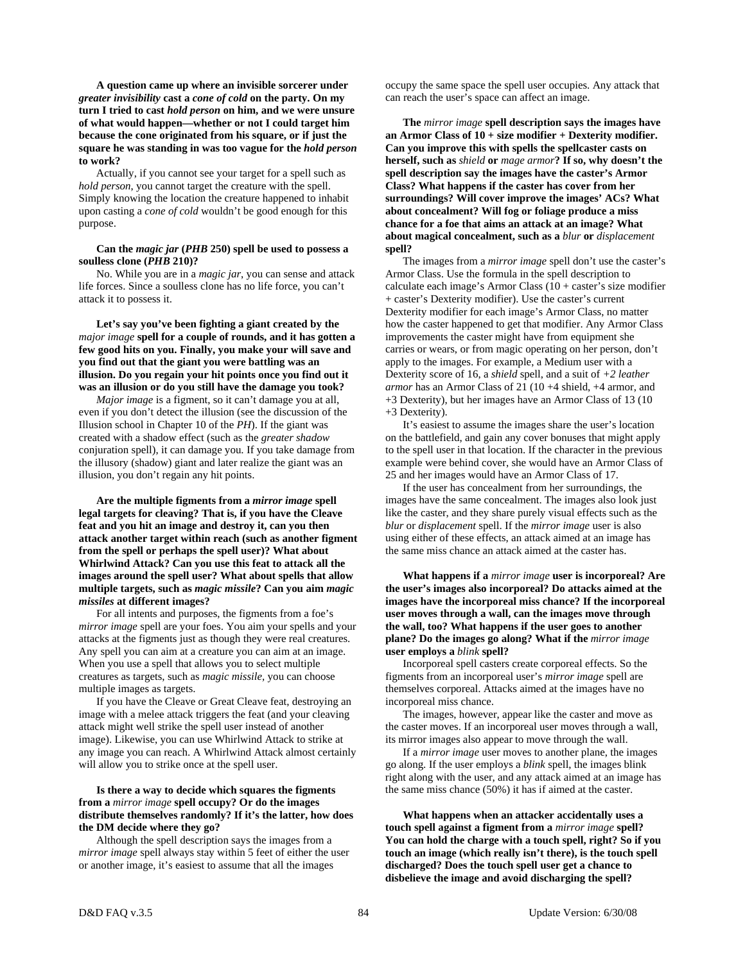**A question came up where an invisible sorcerer under**  *greater invisibility* **cast a** *cone of cold* **on the party. On my turn I tried to cast** *hold person* **on him, and we were unsure of what would happen—whether or not I could target him because the cone originated from his square, or if just the square he was standing in was too vague for the** *hold person* **to work?** 

 Actually, if you cannot see your target for a spell such as *hold person*, you cannot target the creature with the spell. Simply knowing the location the creature happened to inhabit upon casting a *cone of cold* wouldn't be good enough for this purpose.

# **Can the** *magic jar* **(***PHB* **250) spell be used to possess a soulless clone (***PHB* **210)?**

 No. While you are in a *magic jar*, you can sense and attack life forces. Since a soulless clone has no life force, you can't attack it to possess it.

 **Let's say you've been fighting a giant created by the**  *major image* **spell for a couple of rounds, and it has gotten a few good hits on you. Finally, you make your will save and you find out that the giant you were battling was an illusion. Do you regain your hit points once you find out it was an illusion or do you still have the damage you took?** 

 *Major image* is a figment, so it can't damage you at all, even if you don't detect the illusion (see the discussion of the Illusion school in Chapter 10 of the *PH*). If the giant was created with a shadow effect (such as the *greater shadow* conjuration spell), it can damage you. If you take damage from the illusory (shadow) giant and later realize the giant was an illusion, you don't regain any hit points.

 **Are the multiple figments from a** *mirror image* **spell legal targets for cleaving? That is, if you have the Cleave feat and you hit an image and destroy it, can you then attack another target within reach (such as another figment from the spell or perhaps the spell user)? What about Whirlwind Attack? Can you use this feat to attack all the images around the spell user? What about spells that allow multiple targets, such as** *magic missile***? Can you aim** *magic missiles* **at different images?** 

 For all intents and purposes, the figments from a foe's *mirror image* spell are your foes. You aim your spells and your attacks at the figments just as though they were real creatures. Any spell you can aim at a creature you can aim at an image. When you use a spell that allows you to select multiple creatures as targets, such as *magic missile,* you can choose multiple images as targets.

 If you have the Cleave or Great Cleave feat, destroying an image with a melee attack triggers the feat (and your cleaving attack might well strike the spell user instead of another image). Likewise, you can use Whirlwind Attack to strike at any image you can reach. A Whirlwind Attack almost certainly will allow you to strike once at the spell user.

# **Is there a way to decide which squares the figments from a** *mirror image* **spell occupy? Or do the images distribute themselves randomly? If it's the latter, how does the DM decide where they go?**

 Although the spell description says the images from a *mirror image* spell always stay within 5 feet of either the user or another image, it's easiest to assume that all the images

occupy the same space the spell user occupies. Any attack that can reach the user's space can affect an image.

 **The** *mirror image* **spell description says the images have an Armor Class of 10 + size modifier + Dexterity modifier. Can you improve this with spells the spellcaster casts on herself, such as** *shield* **or** *mage armor***? If so, why doesn't the spell description say the images have the caster's Armor Class? What happens if the caster has cover from her surroundings? Will cover improve the images' ACs? What about concealment? Will fog or foliage produce a miss chance for a foe that aims an attack at an image? What about magical concealment, such as a** *blur* **or** *displacement* **spell?** 

 The images from a *mirror image* spell don't use the caster's Armor Class. Use the formula in the spell description to calculate each image's Armor Class (10 + caster's size modifier + caster's Dexterity modifier). Use the caster's current Dexterity modifier for each image's Armor Class, no matter how the caster happened to get that modifier. Any Armor Class improvements the caster might have from equipment she carries or wears, or from magic operating on her person, don't apply to the images. For example, a Medium user with a Dexterity score of 16, a *shield* spell, and a suit of *+2 leather armor* has an Armor Class of 21 (10 +4 shield, +4 armor, and +3 Dexterity), but her images have an Armor Class of 13 (10 +3 Dexterity).

 It's easiest to assume the images share the user's location on the battlefield, and gain any cover bonuses that might apply to the spell user in that location. If the character in the previous example were behind cover, she would have an Armor Class of 25 and her images would have an Armor Class of 17.

 If the user has concealment from her surroundings, the images have the same concealment. The images also look just like the caster, and they share purely visual effects such as the *blur* or *displacement* spell. If the *mirror image* user is also using either of these effects, an attack aimed at an image has the same miss chance an attack aimed at the caster has.

 **What happens if a** *mirror image* **user is incorporeal? Are the user's images also incorporeal? Do attacks aimed at the images have the incorporeal miss chance? If the incorporeal user moves through a wall, can the images move through the wall, too? What happens if the user goes to another plane? Do the images go along? What if the** *mirror image* **user employs a** *blink* **spell?** 

 Incorporeal spell casters create corporeal effects. So the figments from an incorporeal user's *mirror image* spell are themselves corporeal. Attacks aimed at the images have no incorporeal miss chance.

 The images, however, appear like the caster and move as the caster moves. If an incorporeal user moves through a wall, its mirror images also appear to move through the wall.

 If a *mirror image* user moves to another plane, the images go along. If the user employs a *blink* spell, the images blink right along with the user, and any attack aimed at an image has the same miss chance (50%) it has if aimed at the caster.

 **What happens when an attacker accidentally uses a touch spell against a figment from a** *mirror image* **spell? You can hold the charge with a touch spell, right? So if you touch an image (which really isn't there), is the touch spell discharged? Does the touch spell user get a chance to disbelieve the image and avoid discharging the spell?**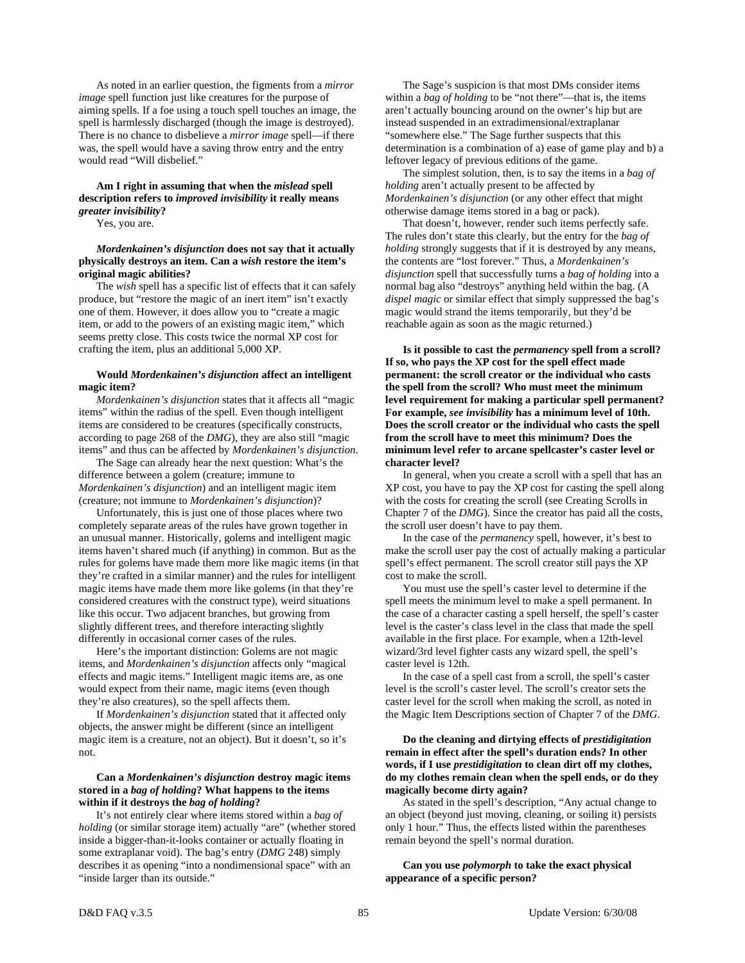As noted in an earlier question, the figments from a *mirror image* spell function just like creatures for the purpose of aiming spells. If a foe using a touch spell touches an image, the spell is harmlessly discharged (though the image is destroyed). There is no chance to disbelieve a *mirror image* spell—if there was, the spell would have a saving throw entry and the entry would read "Will disbelief."

# **Am I right in assuming that when the** *mislead* **spell description refers to** *improved invisibility* **it really means**  *greater invisibility***?**

Yes, you are.

# *Mordenkainen's disjunction* **does not say that it actually physically destroys an item. Can a** *wish* **restore the item's original magic abilities?**

 The *wish* spell has a specific list of effects that it can safely produce, but "restore the magic of an inert item" isn't exactly one of them. However, it does allow you to "create a magic item, or add to the powers of an existing magic item," which seems pretty close. This costs twice the normal XP cost for crafting the item, plus an additional 5,000 XP.

# **Would** *Mordenkainen's disjunction* **affect an intelligent magic item?**

*Mordenkainen's disjunction* states that it affects all "magic items" within the radius of the spell. Even though intelligent items are considered to be creatures (specifically constructs, according to page 268 of the *DMG*), they are also still "magic items" and thus can be affected by *Mordenkainen's disjunction*.

 The Sage can already hear the next question: What's the difference between a golem (creature; immune to *Mordenkainen's disjunction*) and an intelligent magic item (creature; not immune to *Mordenkainen's disjunction*)?

 Unfortunately, this is just one of those places where two completely separate areas of the rules have grown together in an unusual manner. Historically, golems and intelligent magic items haven't shared much (if anything) in common. But as the rules for golems have made them more like magic items (in that they're crafted in a similar manner) and the rules for intelligent magic items have made them more like golems (in that they're considered creatures with the construct type), weird situations like this occur. Two adjacent branches, but growing from slightly different trees, and therefore interacting slightly differently in occasional corner cases of the rules.

 Here's the important distinction: Golems are not magic items, and *Mordenkainen's disjunction* affects only "magical effects and magic items." Intelligent magic items are, as one would expect from their name, magic items (even though they're also creatures), so the spell affects them.

 If *Mordenkainen's disjunction* stated that it affected only objects, the answer might be different (since an intelligent magic item is a creature, not an object). But it doesn't, so it's not.

# **Can a** *Mordenkainen's disjunction* **destroy magic items stored in a** *bag of holding***? What happens to the items within if it destroys the** *bag of holding***?**

 It's not entirely clear where items stored within a *bag of holding* (or similar storage item) actually "are" (whether stored inside a bigger-than-it-looks container or actually floating in some extraplanar void). The bag's entry (*DMG* 248) simply describes it as opening "into a nondimensional space" with an "inside larger than its outside."

 The Sage's suspicion is that most DMs consider items within a *bag of holding* to be "not there"—that is, the items aren't actually bouncing around on the owner's hip but are instead suspended in an extradimensional/extraplanar "somewhere else." The Sage further suspects that this determination is a combination of a) ease of game play and b) a leftover legacy of previous editions of the game.

 The simplest solution, then, is to say the items in a *bag of holding* aren't actually present to be affected by *Mordenkainen's disjunction* (or any other effect that might otherwise damage items stored in a bag or pack).

 That doesn't, however, render such items perfectly safe. The rules don't state this clearly, but the entry for the *bag of holding* strongly suggests that if it is destroyed by any means, the contents are "lost forever." Thus, a *Mordenkainen's disjunction* spell that successfully turns a *bag of holding* into a normal bag also "destroys" anything held within the bag. (A *dispel magic* or similar effect that simply suppressed the bag's magic would strand the items temporarily, but they'd be reachable again as soon as the magic returned.)

 **Is it possible to cast the** *permanency* **spell from a scroll? If so, who pays the XP cost for the spell effect made permanent: the scroll creator or the individual who casts the spell from the scroll? Who must meet the minimum level requirement for making a particular spell permanent? For example,** *see invisibility* **has a minimum level of 10th. Does the scroll creator or the individual who casts the spell from the scroll have to meet this minimum? Does the minimum level refer to arcane spellcaster's caster level or character level?** 

 In general, when you create a scroll with a spell that has an XP cost, you have to pay the XP cost for casting the spell along with the costs for creating the scroll (see Creating Scrolls in Chapter 7 of the *DMG*). Since the creator has paid all the costs, the scroll user doesn't have to pay them.

 In the case of the *permanency* spell, however, it's best to make the scroll user pay the cost of actually making a particular spell's effect permanent. The scroll creator still pays the XP cost to make the scroll.

 You must use the spell's caster level to determine if the spell meets the minimum level to make a spell permanent. In the case of a character casting a spell herself, the spell's caster level is the caster's class level in the class that made the spell available in the first place. For example, when a 12th-level wizard/3rd level fighter casts any wizard spell, the spell's caster level is 12th.

 In the case of a spell cast from a scroll, the spell's caster level is the scroll's caster level. The scroll's creator sets the caster level for the scroll when making the scroll, as noted in the Magic Item Descriptions section of Chapter 7 of the *DMG*.

# **Do the cleaning and dirtying effects of** *prestidigitation* **remain in effect after the spell's duration ends? In other words, if I use** *prestidigitation* **to clean dirt off my clothes, do my clothes remain clean when the spell ends, or do they magically become dirty again?**

 As stated in the spell's description, "Any actual change to an object (beyond just moving, cleaning, or soiling it) persists only 1 hour." Thus, the effects listed within the parentheses remain beyond the spell's normal duration.

 **Can you use** *polymorph* **to take the exact physical appearance of a specific person?**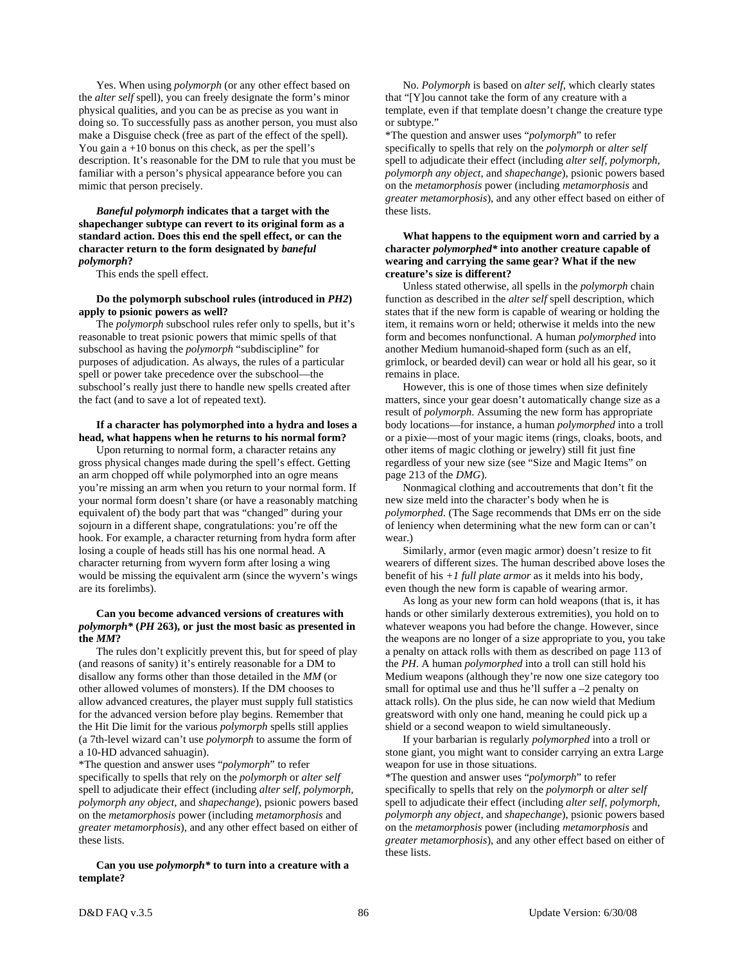Yes. When using *polymorph* (or any other effect based on the *alter self* spell), you can freely designate the form's minor physical qualities, and you can be as precise as you want in doing so. To successfully pass as another person, you must also make a Disguise check (free as part of the effect of the spell). You gain  $a + 10$  bonus on this check, as per the spell's description. It's reasonable for the DM to rule that you must be familiar with a person's physical appearance before you can mimic that person precisely.

 *Baneful polymorph* **indicates that a target with the shapechanger subtype can revert to its original form as a standard action. Does this end the spell effect, or can the character return to the form designated by** *baneful polymorph***?** 

This ends the spell effect.

# **Do the polymorph subschool rules (introduced in** *PH2***) apply to psionic powers as well?**

 The *polymorph* subschool rules refer only to spells, but it's reasonable to treat psionic powers that mimic spells of that subschool as having the *polymorph* "subdiscipline" for purposes of adjudication. As always, the rules of a particular spell or power take precedence over the subschool—the subschool's really just there to handle new spells created after the fact (and to save a lot of repeated text).

### **If a character has polymorphed into a hydra and loses a head, what happens when he returns to his normal form?**

 Upon returning to normal form, a character retains any gross physical changes made during the spell's effect. Getting an arm chopped off while polymorphed into an ogre means you're missing an arm when you return to your normal form. If your normal form doesn't share (or have a reasonably matching equivalent of) the body part that was "changed" during your sojourn in a different shape, congratulations: you're off the hook. For example, a character returning from hydra form after losing a couple of heads still has his one normal head. A character returning from wyvern form after losing a wing would be missing the equivalent arm (since the wyvern's wings are its forelimbs).

# **Can you become advanced versions of creatures with**  *polymorph\** **(***PH* **263), or just the most basic as presented in the** *MM***?**

 The rules don't explicitly prevent this, but for speed of play (and reasons of sanity) it's entirely reasonable for a DM to disallow any forms other than those detailed in the *MM* (or other allowed volumes of monsters). If the DM chooses to allow advanced creatures, the player must supply full statistics for the advanced version before play begins. Remember that the Hit Die limit for the various *polymorph* spells still applies (a 7th-level wizard can't use *polymorph* to assume the form of a 10-HD advanced sahuagin).

\*The question and answer uses "*polymorph*" to refer specifically to spells that rely on the *polymorph* or *alter self*  spell to adjudicate their effect (including *alter self, polymorph, polymorph any object*, and *shapechange*), psionic powers based on the *metamorphosis* power (including *metamorphosis* and *greater metamorphosis*), and any other effect based on either of these lists.

# **Can you use** *polymorph\** **to turn into a creature with a template?**

 No. *Polymorph* is based on *alter self*, which clearly states that "[Y]ou cannot take the form of any creature with a template, even if that template doesn't change the creature type or subtype."

\*The question and answer uses "*polymorph*" to refer specifically to spells that rely on the *polymorph* or *alter self*  spell to adjudicate their effect (including *alter self, polymorph, polymorph any object*, and *shapechange*), psionic powers based on the *metamorphosis* power (including *metamorphosis* and *greater metamorphosis*), and any other effect based on either of these lists.

# **What happens to the equipment worn and carried by a character** *polymorphed\** **into another creature capable of wearing and carrying the same gear? What if the new creature's size is different?**

 Unless stated otherwise, all spells in the *polymorph* chain function as described in the *alter self* spell description, which states that if the new form is capable of wearing or holding the item, it remains worn or held; otherwise it melds into the new form and becomes nonfunctional. A human *polymorphed* into another Medium humanoid-shaped form (such as an elf, grimlock, or bearded devil) can wear or hold all his gear, so it remains in place.

 However, this is one of those times when size definitely matters, since your gear doesn't automatically change size as a result of *polymorph*. Assuming the new form has appropriate body locations—for instance, a human *polymorphed* into a troll or a pixie—most of your magic items (rings, cloaks, boots, and other items of magic clothing or jewelry) still fit just fine regardless of your new size (see "Size and Magic Items" on page 213 of the *DMG*).

 Nonmagical clothing and accoutrements that don't fit the new size meld into the character's body when he is *polymorphed*. (The Sage recommends that DMs err on the side of leniency when determining what the new form can or can't wear.)

 Similarly, armor (even magic armor) doesn't resize to fit wearers of different sizes. The human described above loses the benefit of his *+1 full plate armor* as it melds into his body, even though the new form is capable of wearing armor.

 As long as your new form can hold weapons (that is, it has hands or other similarly dexterous extremities), you hold on to whatever weapons you had before the change. However, since the weapons are no longer of a size appropriate to you, you take a penalty on attack rolls with them as described on page 113 of the *PH*. A human *polymorphed* into a troll can still hold his Medium weapons (although they're now one size category too small for optimal use and thus he'll suffer a –2 penalty on attack rolls). On the plus side, he can now wield that Medium greatsword with only one hand, meaning he could pick up a shield or a second weapon to wield simultaneously.

 If your barbarian is regularly *polymorphed* into a troll or stone giant, you might want to consider carrying an extra Large weapon for use in those situations.

\*The question and answer uses "*polymorph*" to refer specifically to spells that rely on the *polymorph* or *alter self*  spell to adjudicate their effect (including *alter self, polymorph, polymorph any object*, and *shapechange*), psionic powers based on the *metamorphosis* power (including *metamorphosis* and *greater metamorphosis*), and any other effect based on either of these lists.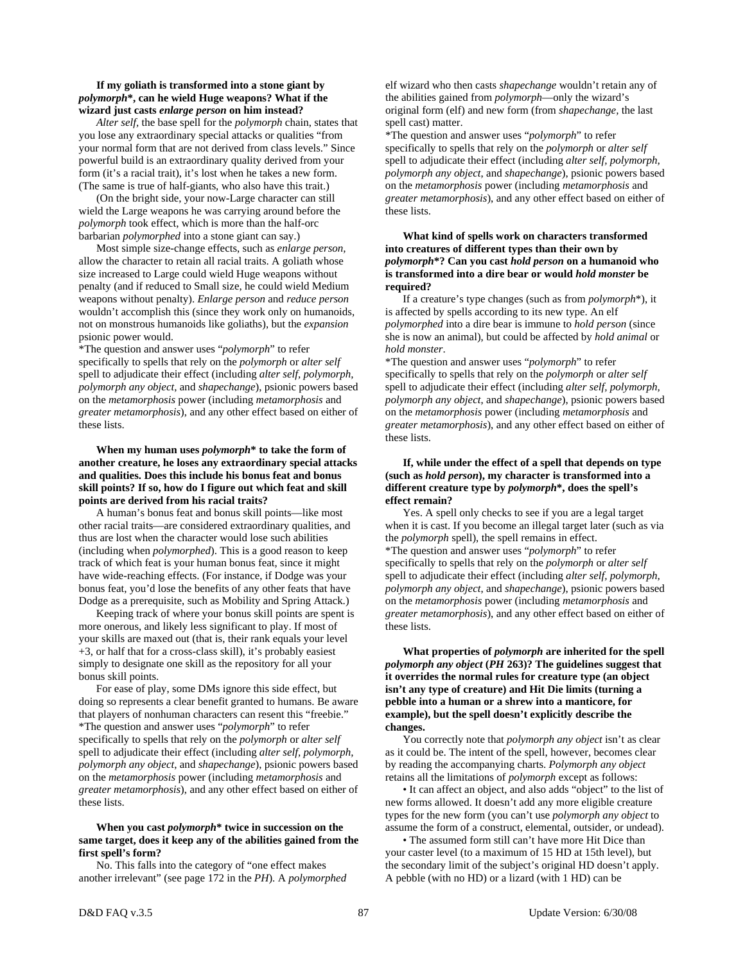# **If my goliath is transformed into a stone giant by**  *polymorph***\*, can he wield Huge weapons? What if the wizard just casts** *enlarge person* **on him instead?**

*Alter self,* the base spell for the *polymorph* chain, states that you lose any extraordinary special attacks or qualities "from your normal form that are not derived from class levels." Since powerful build is an extraordinary quality derived from your form (it's a racial trait), it's lost when he takes a new form. (The same is true of half-giants, who also have this trait.)

 (On the bright side, your now-Large character can still wield the Large weapons he was carrying around before the *polymorph* took effect, which is more than the half-orc barbarian *polymorphed* into a stone giant can say.)

 Most simple size-change effects, such as *enlarge person,* allow the character to retain all racial traits. A goliath whose size increased to Large could wield Huge weapons without penalty (and if reduced to Small size, he could wield Medium weapons without penalty). *Enlarge person* and *reduce person* wouldn't accomplish this (since they work only on humanoids, not on monstrous humanoids like goliaths), but the *expansion* psionic power would.

\*The question and answer uses "*polymorph*" to refer specifically to spells that rely on the *polymorph* or *alter self*  spell to adjudicate their effect (including *alter self, polymorph, polymorph any object*, and *shapechange*), psionic powers based on the *metamorphosis* power (including *metamorphosis* and *greater metamorphosis*), and any other effect based on either of these lists.

 **When my human uses** *polymorph***\* to take the form of another creature, he loses any extraordinary special attacks and qualities. Does this include his bonus feat and bonus skill points? If so, how do I figure out which feat and skill points are derived from his racial traits?** 

 A human's bonus feat and bonus skill points—like most other racial traits—are considered extraordinary qualities, and thus are lost when the character would lose such abilities (including when *polymorphed*). This is a good reason to keep track of which feat is your human bonus feat, since it might have wide-reaching effects. (For instance, if Dodge was your bonus feat, you'd lose the benefits of any other feats that have Dodge as a prerequisite, such as Mobility and Spring Attack.)

 Keeping track of where your bonus skill points are spent is more onerous, and likely less significant to play. If most of your skills are maxed out (that is, their rank equals your level +3, or half that for a cross-class skill), it's probably easiest simply to designate one skill as the repository for all your bonus skill points.

 For ease of play, some DMs ignore this side effect, but doing so represents a clear benefit granted to humans. Be aware that players of nonhuman characters can resent this "freebie." \*The question and answer uses "*polymorph*" to refer specifically to spells that rely on the *polymorph* or *alter self*  spell to adjudicate their effect (including *alter self, polymorph, polymorph any object*, and *shapechange*), psionic powers based on the *metamorphosis* power (including *metamorphosis* and *greater metamorphosis*), and any other effect based on either of these lists.

# **When you cast** *polymorph***\* twice in succession on the same target, does it keep any of the abilities gained from the first spell's form?**

 No. This falls into the category of "one effect makes another irrelevant" (see page 172 in the *PH*). A *polymorphed* elf wizard who then casts *shapechange* wouldn't retain any of the abilities gained from *polymorph*—only the wizard's original form (elf) and new form (from *shapechange,* the last spell cast) matter.

\*The question and answer uses "*polymorph*" to refer specifically to spells that rely on the *polymorph* or *alter self*  spell to adjudicate their effect (including *alter self, polymorph, polymorph any object*, and *shapechange*), psionic powers based on the *metamorphosis* power (including *metamorphosis* and *greater metamorphosis*), and any other effect based on either of these lists.

# **What kind of spells work on characters transformed into creatures of different types than their own by**  *polymorph***\*? Can you cast** *hold person* **on a humanoid who is transformed into a dire bear or would** *hold monster* **be required?**

 If a creature's type changes (such as from *polymorph*\*), it is affected by spells according to its new type. An elf *polymorphed* into a dire bear is immune to *hold person* (since she is now an animal), but could be affected by *hold animal* or *hold monster*.

\*The question and answer uses "*polymorph*" to refer specifically to spells that rely on the *polymorph* or *alter self*  spell to adjudicate their effect (including *alter self, polymorph, polymorph any object*, and *shapechange*), psionic powers based on the *metamorphosis* power (including *metamorphosis* and *greater metamorphosis*), and any other effect based on either of these lists.

# **If, while under the effect of a spell that depends on type (such as** *hold person***), my character is transformed into a different creature type by** *polymorph***\*, does the spell's effect remain?**

 Yes. A spell only checks to see if you are a legal target when it is cast. If you become an illegal target later (such as via the *polymorph* spell), the spell remains in effect. \*The question and answer uses "*polymorph*" to refer specifically to spells that rely on the *polymorph* or *alter self*  spell to adjudicate their effect (including *alter self, polymorph, polymorph any object*, and *shapechange*), psionic powers based on the *metamorphosis* power (including *metamorphosis* and *greater metamorphosis*), and any other effect based on either of these lists.

 **What properties of** *polymorph* **are inherited for the spell**  *polymorph any object* **(***PH* **263)? The guidelines suggest that it overrides the normal rules for creature type (an object isn't any type of creature) and Hit Die limits (turning a pebble into a human or a shrew into a manticore, for example), but the spell doesn't explicitly describe the changes.** 

 You correctly note that *polymorph any object* isn't as clear as it could be. The intent of the spell, however, becomes clear by reading the accompanying charts. *Polymorph any object* retains all the limitations of *polymorph* except as follows:

 • It can affect an object, and also adds "object" to the list of new forms allowed. It doesn't add any more eligible creature types for the new form (you can't use *polymorph any object* to assume the form of a construct, elemental, outsider, or undead).

 • The assumed form still can't have more Hit Dice than your caster level (to a maximum of 15 HD at 15th level), but the secondary limit of the subject's original HD doesn't apply. A pebble (with no HD) or a lizard (with 1 HD) can be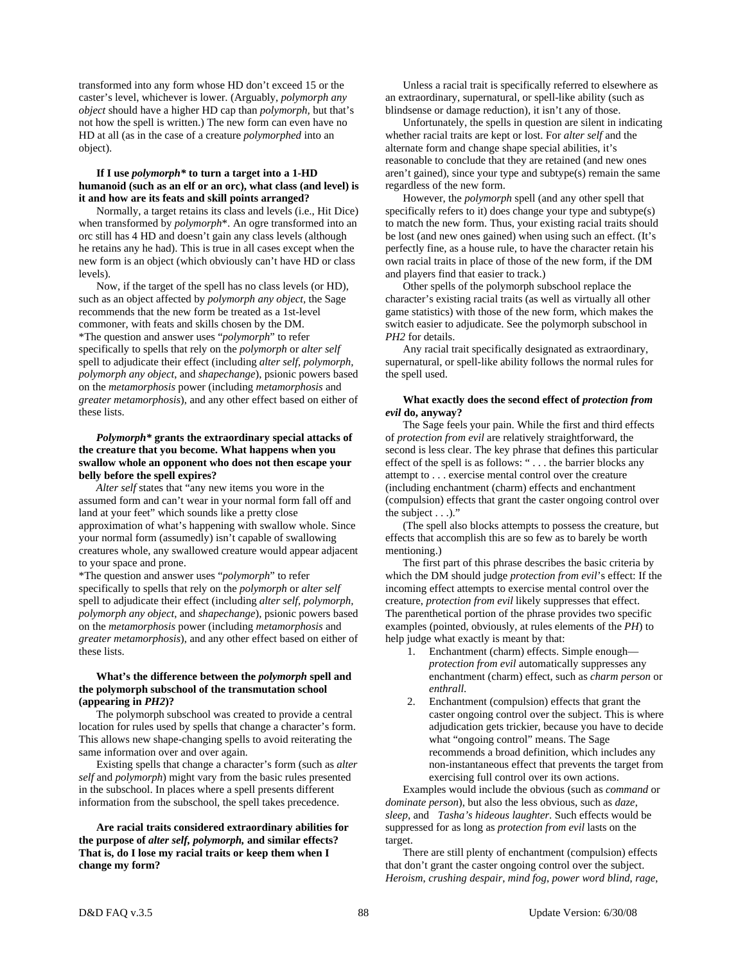transformed into any form whose HD don't exceed 15 or the caster's level, whichever is lower. (Arguably, *polymorph any object* should have a higher HD cap than *polymorph,* but that's not how the spell is written.) The new form can even have no HD at all (as in the case of a creature *polymorphed* into an object).

# **If I use** *polymorph\** **to turn a target into a 1-HD humanoid (such as an elf or an orc), what class (and level) is it and how are its feats and skill points arranged?**

 Normally, a target retains its class and levels (i.e., Hit Dice) when transformed by *polymorph*\*. An ogre transformed into an orc still has 4 HD and doesn't gain any class levels (although he retains any he had). This is true in all cases except when the new form is an object (which obviously can't have HD or class levels).

 Now, if the target of the spell has no class levels (or HD), such as an object affected by *polymorph any object,* the Sage recommends that the new form be treated as a 1st-level commoner, with feats and skills chosen by the DM. \*The question and answer uses "*polymorph*" to refer specifically to spells that rely on the *polymorph* or *alter self*  spell to adjudicate their effect (including *alter self, polymorph, polymorph any object*, and *shapechange*), psionic powers based on the *metamorphosis* power (including *metamorphosis* and *greater metamorphosis*), and any other effect based on either of these lists.

# *Polymorph\** **grants the extraordinary special attacks of the creature that you become. What happens when you swallow whole an opponent who does not then escape your belly before the spell expires?**

*Alter self* states that "any new items you wore in the assumed form and can't wear in your normal form fall off and land at your feet" which sounds like a pretty close approximation of what's happening with swallow whole. Since your normal form (assumedly) isn't capable of swallowing creatures whole, any swallowed creature would appear adjacent to your space and prone.

\*The question and answer uses "*polymorph*" to refer specifically to spells that rely on the *polymorph* or *alter self*  spell to adjudicate their effect (including *alter self, polymorph, polymorph any object*, and *shapechange*), psionic powers based on the *metamorphosis* power (including *metamorphosis* and *greater metamorphosis*), and any other effect based on either of these lists.

# **What's the difference between the** *polymorph* **spell and the polymorph subschool of the transmutation school (appearing in** *PH2***)?**

The polymorph subschool was created to provide a central location for rules used by spells that change a character's form. This allows new shape-changing spells to avoid reiterating the same information over and over again.

 Existing spells that change a character's form (such as *alter self* and *polymorph*) might vary from the basic rules presented in the subschool. In places where a spell presents different information from the subschool, the spell takes precedence.

 **Are racial traits considered extraordinary abilities for the purpose of** *alter self, polymorph,* **and similar effects? That is, do I lose my racial traits or keep them when I change my form?** 

Unless a racial trait is specifically referred to elsewhere as an extraordinary, supernatural, or spell-like ability (such as blindsense or damage reduction), it isn't any of those.

 Unfortunately, the spells in question are silent in indicating whether racial traits are kept or lost. For *alter self* and the alternate form and change shape special abilities, it's reasonable to conclude that they are retained (and new ones aren't gained), since your type and subtype(s) remain the same regardless of the new form.

 However, the *polymorph* spell (and any other spell that specifically refers to it) does change your type and subtype(s) to match the new form. Thus, your existing racial traits should be lost (and new ones gained) when using such an effect. (It's perfectly fine, as a house rule, to have the character retain his own racial traits in place of those of the new form, if the DM and players find that easier to track.)

 Other spells of the polymorph subschool replace the character's existing racial traits (as well as virtually all other game statistics) with those of the new form, which makes the switch easier to adjudicate. See the polymorph subschool in *PH2* for details.

 Any racial trait specifically designated as extraordinary, supernatural, or spell-like ability follows the normal rules for the spell used.

# **What exactly does the second effect of** *protection from evil* **do, anyway?**

 The Sage feels your pain. While the first and third effects of *protection from evil* are relatively straightforward, the second is less clear. The key phrase that defines this particular effect of the spell is as follows: " . . . the barrier blocks any attempt to . . . exercise mental control over the creature (including enchantment (charm) effects and enchantment (compulsion) effects that grant the caster ongoing control over the subject . . .)."

 (The spell also blocks attempts to possess the creature, but effects that accomplish this are so few as to barely be worth mentioning.)

 The first part of this phrase describes the basic criteria by which the DM should judge *protection from evil*'s effect: If the incoming effect attempts to exercise mental control over the creature, *protection from evil* likely suppresses that effect. The parenthetical portion of the phrase provides two specific examples (pointed, obviously, at rules elements of the *PH*) to help judge what exactly is meant by that:

- 1. Enchantment (charm) effects. Simple enough *protection from evil* automatically suppresses any enchantment (charm) effect, such as *charm person* or *enthrall*.
- 2. Enchantment (compulsion) effects that grant the caster ongoing control over the subject. This is where adjudication gets trickier, because you have to decide what "ongoing control" means. The Sage recommends a broad definition, which includes any non-instantaneous effect that prevents the target from exercising full control over its own actions.

 Examples would include the obvious (such as *command* or *dominate person*), but also the less obvious, such as *daze*, *sleep*, and *Tasha's hideous laughter*. Such effects would be suppressed for as long as *protection from evil* lasts on the target.

 There are still plenty of enchantment (compulsion) effects that don't grant the caster ongoing control over the subject. *Heroism*, *crushing despair*, *mind fog*, *power word blind*, *rage*,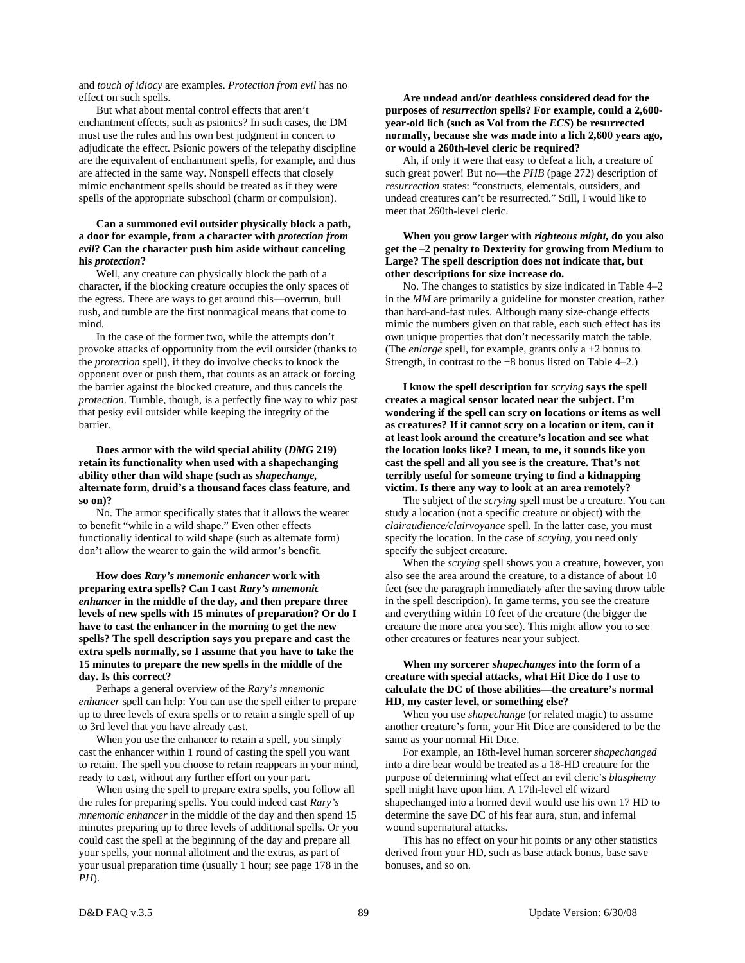and *touch of idiocy* are examples. *Protection from evil* has no effect on such spells.

 But what about mental control effects that aren't enchantment effects, such as psionics? In such cases, the DM must use the rules and his own best judgment in concert to adjudicate the effect. Psionic powers of the telepathy discipline are the equivalent of enchantment spells, for example, and thus are affected in the same way. Nonspell effects that closely mimic enchantment spells should be treated as if they were spells of the appropriate subschool (charm or compulsion).

# **Can a summoned evil outsider physically block a path, a door for example, from a character with** *protection from evil***? Can the character push him aside without canceling his** *protection***?**

 Well, any creature can physically block the path of a character, if the blocking creature occupies the only spaces of the egress. There are ways to get around this—overrun, bull rush, and tumble are the first nonmagical means that come to mind.

 In the case of the former two, while the attempts don't provoke attacks of opportunity from the evil outsider (thanks to the *protection* spell), if they do involve checks to knock the opponent over or push them, that counts as an attack or forcing the barrier against the blocked creature, and thus cancels the *protection*. Tumble, though, is a perfectly fine way to whiz past that pesky evil outsider while keeping the integrity of the barrier.

 **Does armor with the wild special ability (***DMG* **219) retain its functionality when used with a shapechanging ability other than wild shape (such as** *shapechange,* **alternate form, druid's a thousand faces class feature, and so on)?** 

 No. The armor specifically states that it allows the wearer to benefit "while in a wild shape." Even other effects functionally identical to wild shape (such as alternate form) don't allow the wearer to gain the wild armor's benefit.

 **How does** *Rary's mnemonic enhancer* **work with preparing extra spells? Can I cast** *Rary's mnemonic enhancer* **in the middle of the day, and then prepare three levels of new spells with 15 minutes of preparation? Or do I have to cast the enhancer in the morning to get the new spells? The spell description says you prepare and cast the extra spells normally, so I assume that you have to take the 15 minutes to prepare the new spells in the middle of the day. Is this correct?** 

 Perhaps a general overview of the *Rary's mnemonic enhancer* spell can help: You can use the spell either to prepare up to three levels of extra spells or to retain a single spell of up to 3rd level that you have already cast.

 When you use the enhancer to retain a spell, you simply cast the enhancer within 1 round of casting the spell you want to retain. The spell you choose to retain reappears in your mind, ready to cast, without any further effort on your part.

 When using the spell to prepare extra spells, you follow all the rules for preparing spells. You could indeed cast *Rary's mnemonic enhancer* in the middle of the day and then spend 15 minutes preparing up to three levels of additional spells. Or you could cast the spell at the beginning of the day and prepare all your spells, your normal allotment and the extras, as part of your usual preparation time (usually 1 hour; see page 178 in the *PH*).

 **Are undead and/or deathless considered dead for the purposes of** *resurrection* **spells? For example, could a 2,600 year-old lich (such as Vol from the** *ECS***) be resurrected normally, because she was made into a lich 2,600 years ago, or would a 260th-level cleric be required?** 

 Ah, if only it were that easy to defeat a lich, a creature of such great power! But no—the *PHB* (page 272) description of *resurrection* states: "constructs, elementals, outsiders, and undead creatures can't be resurrected." Still, I would like to meet that 260th-level cleric.

# **When you grow larger with** *righteous might,* **do you also get the –2 penalty to Dexterity for growing from Medium to Large? The spell description does not indicate that, but other descriptions for size increase do.**

 No. The changes to statistics by size indicated in Table 4–2 in the *MM* are primarily a guideline for monster creation, rather than hard-and-fast rules. Although many size-change effects mimic the numbers given on that table, each such effect has its own unique properties that don't necessarily match the table. (The *enlarge* spell, for example, grants only a +2 bonus to Strength, in contrast to the +8 bonus listed on Table 4–2.)

 **I know the spell description for** *scrying* **says the spell creates a magical sensor located near the subject. I'm wondering if the spell can scry on locations or items as well as creatures? If it cannot scry on a location or item, can it at least look around the creature's location and see what the location looks like? I mean, to me, it sounds like you cast the spell and all you see is the creature. That's not terribly useful for someone trying to find a kidnapping victim. Is there any way to look at an area remotely?** 

 The subject of the *scrying* spell must be a creature. You can study a location (not a specific creature or object) with the *clairaudience/clairvoyance* spell. In the latter case, you must specify the location. In the case of *scrying,* you need only specify the subject creature.

 When the *scrying* spell shows you a creature, however, you also see the area around the creature, to a distance of about 10 feet (see the paragraph immediately after the saving throw table in the spell description). In game terms, you see the creature and everything within 10 feet of the creature (the bigger the creature the more area you see). This might allow you to see other creatures or features near your subject.

# **When my sorcerer** *shapechanges* **into the form of a creature with special attacks, what Hit Dice do I use to calculate the DC of those abilities—the creature's normal HD, my caster level, or something else?**

 When you use *shapechange* (or related magic) to assume another creature's form, your Hit Dice are considered to be the same as your normal Hit Dice.

 For example, an 18th-level human sorcerer *shapechanged* into a dire bear would be treated as a 18-HD creature for the purpose of determining what effect an evil cleric's *blasphemy* spell might have upon him. A 17th-level elf wizard shapechanged into a horned devil would use his own 17 HD to determine the save DC of his fear aura, stun, and infernal wound supernatural attacks.

 This has no effect on your hit points or any other statistics derived from your HD, such as base attack bonus, base save bonuses, and so on.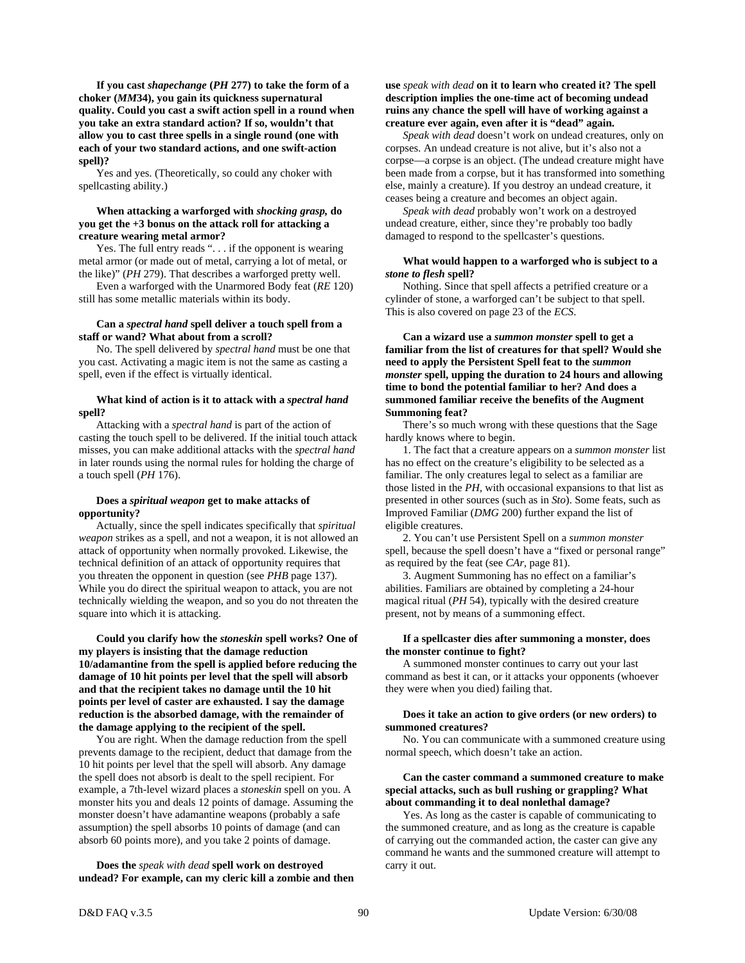**If you cast** *shapechange* **(***PH* **277) to take the form of a choker (***MM***34), you gain its quickness supernatural quality. Could you cast a swift action spell in a round when you take an extra standard action? If so, wouldn't that allow you to cast three spells in a single round (one with each of your two standard actions, and one swift-action spell)?** 

 Yes and yes. (Theoretically, so could any choker with spellcasting ability.)

# **When attacking a warforged with** *shocking grasp,* **do you get the +3 bonus on the attack roll for attacking a creature wearing metal armor?**

Yes. The full entry reads ". . . if the opponent is wearing metal armor (or made out of metal, carrying a lot of metal, or the like)" (*PH* 279). That describes a warforged pretty well.

 Even a warforged with the Unarmored Body feat (*RE* 120) still has some metallic materials within its body.

# **Can a** *spectral hand* **spell deliver a touch spell from a staff or wand? What about from a scroll?**

 No. The spell delivered by *spectral hand* must be one that you cast. Activating a magic item is not the same as casting a spell, even if the effect is virtually identical.

# **What kind of action is it to attack with a** *spectral hand* **spell?**

 Attacking with a *spectral hand* is part of the action of casting the touch spell to be delivered. If the initial touch attack misses, you can make additional attacks with the *spectral hand* in later rounds using the normal rules for holding the charge of a touch spell (*PH* 176).

# **Does a** *spiritual weapon* **get to make attacks of opportunity?**

 Actually, since the spell indicates specifically that *spiritual weapon* strikes as a spell, and not a weapon, it is not allowed an attack of opportunity when normally provoked. Likewise, the technical definition of an attack of opportunity requires that you threaten the opponent in question (see *PHB* page 137). While you do direct the spiritual weapon to attack, you are not technically wielding the weapon, and so you do not threaten the square into which it is attacking.

 **Could you clarify how the** *stoneskin* **spell works? One of my players is insisting that the damage reduction 10/adamantine from the spell is applied before reducing the damage of 10 hit points per level that the spell will absorb and that the recipient takes no damage until the 10 hit points per level of caster are exhausted. I say the damage reduction is the absorbed damage, with the remainder of the damage applying to the recipient of the spell.** 

 You are right. When the damage reduction from the spell prevents damage to the recipient, deduct that damage from the 10 hit points per level that the spell will absorb. Any damage the spell does not absorb is dealt to the spell recipient. For example, a 7th-level wizard places a *stoneskin* spell on you. A monster hits you and deals 12 points of damage. Assuming the monster doesn't have adamantine weapons (probably a safe assumption) the spell absorbs 10 points of damage (and can absorb 60 points more), and you take 2 points of damage.

 **Does the** *speak with dead* **spell work on destroyed undead? For example, can my cleric kill a zombie and then** 

# **use** *speak with dead* **on it to learn who created it? The spell description implies the one-time act of becoming undead ruins any chance the spell will have of working against a creature ever again, even after it is "dead" again.**

 *Speak with dead* doesn't work on undead creatures, only on corpses. An undead creature is not alive, but it's also not a corpse—a corpse is an object. (The undead creature might have been made from a corpse, but it has transformed into something else, mainly a creature). If you destroy an undead creature, it ceases being a creature and becomes an object again.

 *Speak with dead* probably won't work on a destroyed undead creature, either, since they're probably too badly damaged to respond to the spellcaster's questions.

### **What would happen to a warforged who is subject to a**  *stone to flesh* **spell?**

 Nothing. Since that spell affects a petrified creature or a cylinder of stone, a warforged can't be subject to that spell. This is also covered on page 23 of the *ECS*.

 **Can a wizard use a** *summon monster* **spell to get a familiar from the list of creatures for that spell? Would she need to apply the Persistent Spell feat to the** *summon monster* **spell, upping the duration to 24 hours and allowing time to bond the potential familiar to her? And does a summoned familiar receive the benefits of the Augment Summoning feat?** 

 There's so much wrong with these questions that the Sage hardly knows where to begin.

 1. The fact that a creature appears on a *summon monster* list has no effect on the creature's eligibility to be selected as a familiar. The only creatures legal to select as a familiar are those listed in the *PH,* with occasional expansions to that list as presented in other sources (such as in *Sto*). Some feats, such as Improved Familiar (*DMG* 200) further expand the list of eligible creatures.

 2. You can't use Persistent Spell on a *summon monster* spell, because the spell doesn't have a "fixed or personal range" as required by the feat (see *CAr,* page 81).

 3. Augment Summoning has no effect on a familiar's abilities. Familiars are obtained by completing a 24-hour magical ritual (*PH* 54), typically with the desired creature present, not by means of a summoning effect.

# **If a spellcaster dies after summoning a monster, does the monster continue to fight?**

A summoned monster continues to carry out your last command as best it can, or it attacks your opponents (whoever they were when you died) failing that.

# **Does it take an action to give orders (or new orders) to summoned creatures?**

 No. You can communicate with a summoned creature using normal speech, which doesn't take an action.

# **Can the caster command a summoned creature to make special attacks, such as bull rushing or grappling? What about commanding it to deal nonlethal damage?**

 Yes. As long as the caster is capable of communicating to the summoned creature, and as long as the creature is capable of carrying out the commanded action, the caster can give any command he wants and the summoned creature will attempt to carry it out.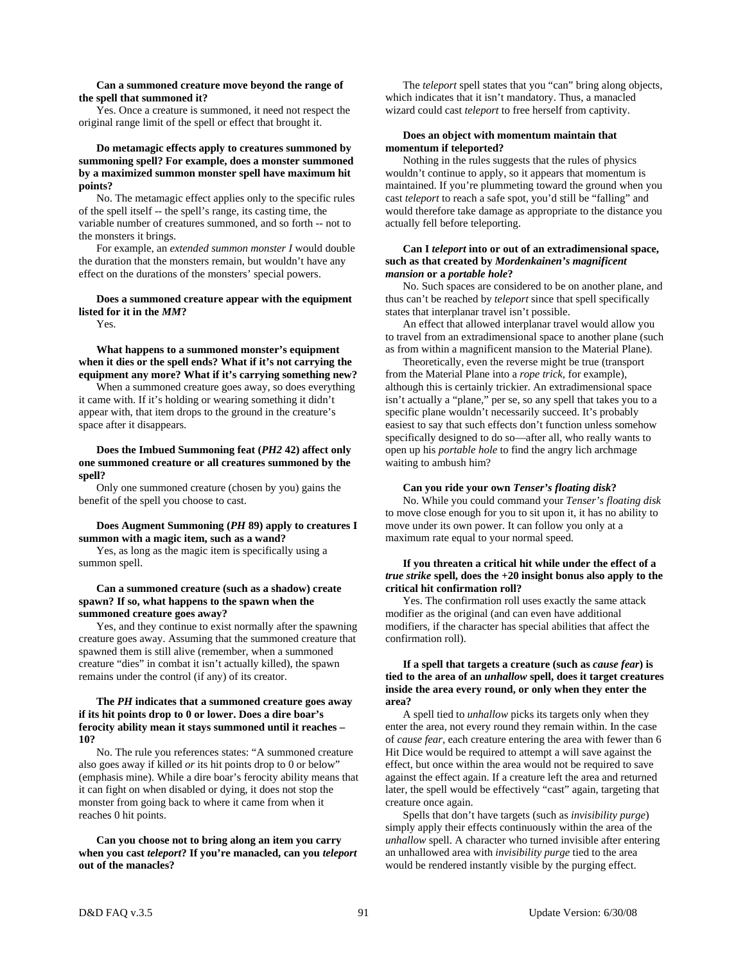# **Can a summoned creature move beyond the range of the spell that summoned it?**

 Yes. Once a creature is summoned, it need not respect the original range limit of the spell or effect that brought it.

# **Do metamagic effects apply to creatures summoned by summoning spell? For example, does a monster summoned by a maximized summon monster spell have maximum hit points?**

 No. The metamagic effect applies only to the specific rules of the spell itself -- the spell's range, its casting time, the variable number of creatures summoned, and so forth -- not to the monsters it brings.

 For example, an *extended summon monster I* would double the duration that the monsters remain, but wouldn't have any effect on the durations of the monsters' special powers.

# **Does a summoned creature appear with the equipment listed for it in the** *MM***?**

Yes.

 **What happens to a summoned monster's equipment when it dies or the spell ends? What if it's not carrying the equipment any more? What if it's carrying something new?** 

When a summoned creature goes away, so does everything it came with. If it's holding or wearing something it didn't appear with, that item drops to the ground in the creature's space after it disappears.

 **Does the Imbued Summoning feat (***PH2* **42) affect only one summoned creature or all creatures summoned by the spell?** 

 Only one summoned creature (chosen by you) gains the benefit of the spell you choose to cast.

# **Does Augment Summoning (***PH* **89) apply to creatures I summon with a magic item, such as a wand?**

 Yes, as long as the magic item is specifically using a summon spell.

# **Can a summoned creature (such as a shadow) create spawn? If so, what happens to the spawn when the summoned creature goes away?**

 Yes, and they continue to exist normally after the spawning creature goes away. Assuming that the summoned creature that spawned them is still alive (remember, when a summoned creature "dies" in combat it isn't actually killed), the spawn remains under the control (if any) of its creator.

# **The** *PH* **indicates that a summoned creature goes away if its hit points drop to 0 or lower. Does a dire boar's ferocity ability mean it stays summoned until it reaches – 10?**

 No. The rule you references states: "A summoned creature also goes away if killed *or* its hit points drop to 0 or below" (emphasis mine). While a dire boar's ferocity ability means that it can fight on when disabled or dying, it does not stop the monster from going back to where it came from when it reaches 0 hit points.

 **Can you choose not to bring along an item you carry when you cast** *teleport***? If you're manacled, can you** *teleport* **out of the manacles?** 

 The *teleport* spell states that you "can" bring along objects, which indicates that it isn't mandatory. Thus, a manacled wizard could cast *teleport* to free herself from captivity.

# **Does an object with momentum maintain that momentum if teleported?**

 Nothing in the rules suggests that the rules of physics wouldn't continue to apply, so it appears that momentum is maintained. If you're plummeting toward the ground when you cast *teleport* to reach a safe spot, you'd still be "falling" and would therefore take damage as appropriate to the distance you actually fell before teleporting.

# **Can I** *teleport* **into or out of an extradimensional space, such as that created by** *Mordenkainen's magnificent mansion* **or a** *portable hole***?**

 No. Such spaces are considered to be on another plane, and thus can't be reached by *teleport* since that spell specifically states that interplanar travel isn't possible.

 An effect that allowed interplanar travel would allow you to travel from an extradimensional space to another plane (such as from within a magnificent mansion to the Material Plane).

 Theoretically, even the reverse might be true (transport from the Material Plane into a *rope trick,* for example), although this is certainly trickier. An extradimensional space isn't actually a "plane," per se, so any spell that takes you to a specific plane wouldn't necessarily succeed. It's probably easiest to say that such effects don't function unless somehow specifically designed to do so—after all, who really wants to open up his *portable hole* to find the angry lich archmage waiting to ambush him?

# **Can you ride your own** *Tenser's floating disk***?**

 No. While you could command your *Tenser's floating disk* to move close enough for you to sit upon it, it has no ability to move under its own power. It can follow you only at a maximum rate equal to your normal speed.

# **If you threaten a critical hit while under the effect of a**  *true strike* **spell, does the +20 insight bonus also apply to the critical hit confirmation roll?**

 Yes. The confirmation roll uses exactly the same attack modifier as the original (and can even have additional modifiers, if the character has special abilities that affect the confirmation roll).

# **If a spell that targets a creature (such as** *cause fear***) is tied to the area of an** *unhallow* **spell, does it target creatures inside the area every round, or only when they enter the area?**

 A spell tied to *unhallow* picks its targets only when they enter the area, not every round they remain within. In the case of *cause fear,* each creature entering the area with fewer than 6 Hit Dice would be required to attempt a will save against the effect, but once within the area would not be required to save against the effect again. If a creature left the area and returned later, the spell would be effectively "cast" again, targeting that creature once again.

 Spells that don't have targets (such as *invisibility purge*) simply apply their effects continuously within the area of the *unhallow* spell. A character who turned invisible after entering an unhallowed area with *invisibility purge* tied to the area would be rendered instantly visible by the purging effect.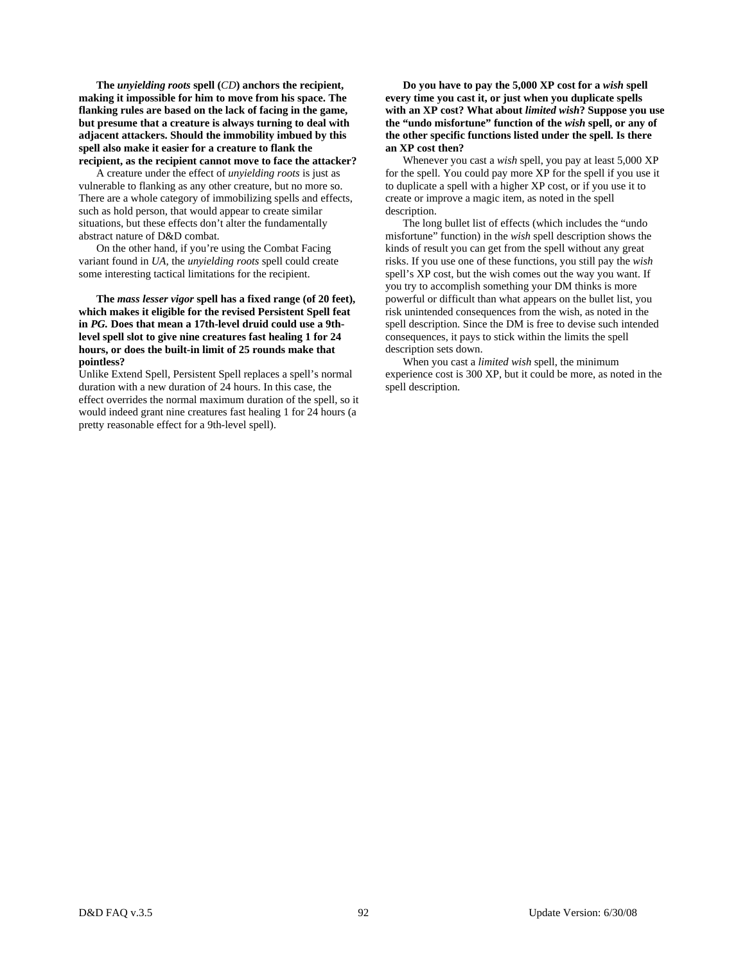**The** *unyielding roots* **spell (***CD***) anchors the recipient, making it impossible for him to move from his space. The flanking rules are based on the lack of facing in the game, but presume that a creature is always turning to deal with adjacent attackers. Should the immobility imbued by this spell also make it easier for a creature to flank the recipient, as the recipient cannot move to face the attacker?** 

 A creature under the effect of *unyielding roots* is just as vulnerable to flanking as any other creature, but no more so. There are a whole category of immobilizing spells and effects, such as hold person, that would appear to create similar situations, but these effects don't alter the fundamentally abstract nature of D&D combat.

 On the other hand, if you're using the Combat Facing variant found in *UA,* the *unyielding roots* spell could create some interesting tactical limitations for the recipient.

 **The** *mass lesser vigor* **spell has a fixed range (of 20 feet), which makes it eligible for the revised Persistent Spell feat in** *PG.* **Does that mean a 17th-level druid could use a 9thlevel spell slot to give nine creatures fast healing 1 for 24 hours, or does the built-in limit of 25 rounds make that pointless?** 

Unlike Extend Spell, Persistent Spell replaces a spell's normal duration with a new duration of 24 hours. In this case, the effect overrides the normal maximum duration of the spell, so it would indeed grant nine creatures fast healing 1 for 24 hours (a pretty reasonable effect for a 9th-level spell).

 **Do you have to pay the 5,000 XP cost for a** *wish* **spell every time you cast it, or just when you duplicate spells with an XP cost? What about** *limited wish***? Suppose you use the "undo misfortune" function of the** *wish* **spell, or any of the other specific functions listed under the spell. Is there an XP cost then?** 

 Whenever you cast a *wish* spell, you pay at least 5,000 XP for the spell. You could pay more XP for the spell if you use it to duplicate a spell with a higher XP cost, or if you use it to create or improve a magic item, as noted in the spell description.

 The long bullet list of effects (which includes the "undo misfortune" function) in the *wish* spell description shows the kinds of result you can get from the spell without any great risks. If you use one of these functions, you still pay the *wish* spell's XP cost, but the wish comes out the way you want. If you try to accomplish something your DM thinks is more powerful or difficult than what appears on the bullet list, you risk unintended consequences from the wish, as noted in the spell description. Since the DM is free to devise such intended consequences, it pays to stick within the limits the spell description sets down.

 When you cast a *limited wish* spell, the minimum experience cost is 300 XP, but it could be more, as noted in the spell description.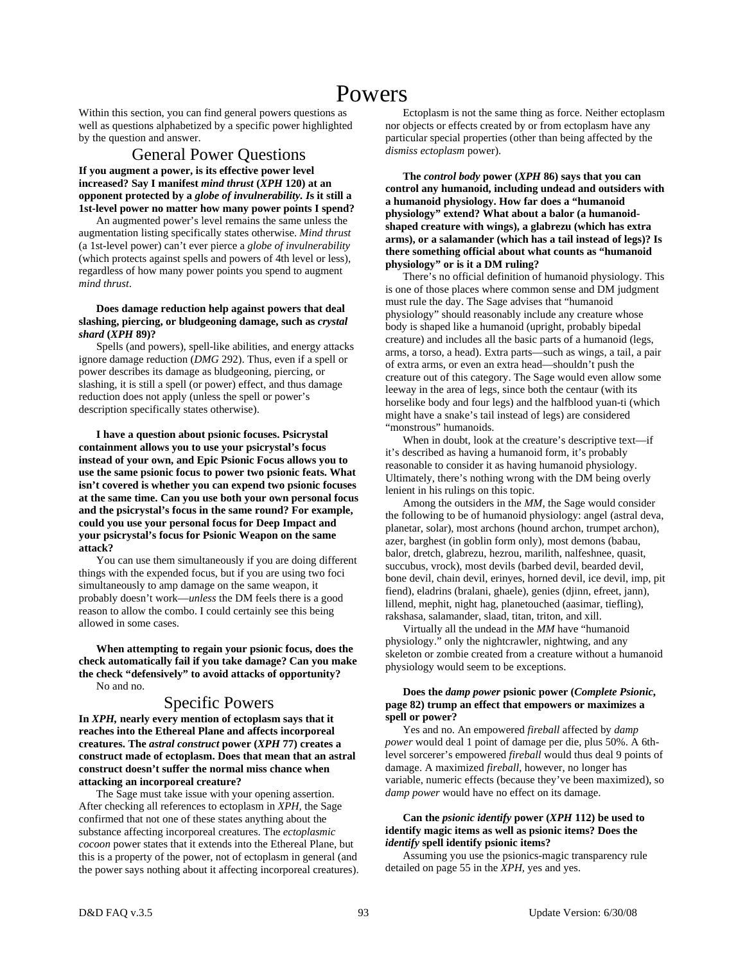# Powers

Within this section, you can find general powers questions as well as questions alphabetized by a specific power highlighted by the question and answer.

General Power Questions

**If you augment a power, is its effective power level increased? Say I manifest** *mind thrust* **(***XPH* **120) at an opponent protected by a** *globe of invulnerability. I***s it still a 1st-level power no matter how many power points I spend?** 

An augmented power's level remains the same unless the augmentation listing specifically states otherwise. *Mind thrust* (a 1st-level power) can't ever pierce a *globe of invulnerability* (which protects against spells and powers of 4th level or less), regardless of how many power points you spend to augment *mind thrust*.

# **Does damage reduction help against powers that deal slashing, piercing, or bludgeoning damage, such as** *crystal shard* **(***XPH* **89)?**

 Spells (and powers), spell-like abilities, and energy attacks ignore damage reduction (*DMG* 292). Thus, even if a spell or power describes its damage as bludgeoning, piercing, or slashing, it is still a spell (or power) effect, and thus damage reduction does not apply (unless the spell or power's description specifically states otherwise).

 **I have a question about psionic focuses. Psicrystal containment allows you to use your psicrystal's focus instead of your own, and Epic Psionic Focus allows you to use the same psionic focus to power two psionic feats. What isn't covered is whether you can expend two psionic focuses at the same time. Can you use both your own personal focus and the psicrystal's focus in the same round? For example, could you use your personal focus for Deep Impact and your psicrystal's focus for Psionic Weapon on the same attack?** 

 You can use them simultaneously if you are doing different things with the expended focus, but if you are using two foci simultaneously to amp damage on the same weapon, it probably doesn't work—*unless* the DM feels there is a good reason to allow the combo. I could certainly see this being allowed in some cases.

 **When attempting to regain your psionic focus, does the check automatically fail if you take damage? Can you make the check "defensively" to avoid attacks of opportunity?**  No and no.

# Specific Powers

**In** *XPH,* **nearly every mention of ectoplasm says that it reaches into the Ethereal Plane and affects incorporeal creatures. The** *astral construct* **power (***XPH* **77) creates a construct made of ectoplasm. Does that mean that an astral construct doesn't suffer the normal miss chance when attacking an incorporeal creature?** 

 The Sage must take issue with your opening assertion. After checking all references to ectoplasm in *XPH,* the Sage confirmed that not one of these states anything about the substance affecting incorporeal creatures. The *ectoplasmic cocoon* power states that it extends into the Ethereal Plane, but this is a property of the power, not of ectoplasm in general (and the power says nothing about it affecting incorporeal creatures).

 Ectoplasm is not the same thing as force. Neither ectoplasm nor objects or effects created by or from ectoplasm have any particular special properties (other than being affected by the *dismiss ectoplasm* power).

 **The** *control body* **power (***XPH* **86) says that you can control any humanoid, including undead and outsiders with a humanoid physiology. How far does a "humanoid physiology" extend? What about a balor (a humanoidshaped creature with wings), a glabrezu (which has extra arms), or a salamander (which has a tail instead of legs)? Is there something official about what counts as "humanoid physiology" or is it a DM ruling?** 

 There's no official definition of humanoid physiology. This is one of those places where common sense and DM judgment must rule the day. The Sage advises that "humanoid physiology" should reasonably include any creature whose body is shaped like a humanoid (upright, probably bipedal creature) and includes all the basic parts of a humanoid (legs, arms, a torso, a head). Extra parts—such as wings, a tail, a pair of extra arms, or even an extra head—shouldn't push the creature out of this category. The Sage would even allow some leeway in the area of legs, since both the centaur (with its horselike body and four legs) and the halfblood yuan-ti (which might have a snake's tail instead of legs) are considered "monstrous" humanoids.

 When in doubt, look at the creature's descriptive text—if it's described as having a humanoid form, it's probably reasonable to consider it as having humanoid physiology. Ultimately, there's nothing wrong with the DM being overly lenient in his rulings on this topic.

 Among the outsiders in the *MM,* the Sage would consider the following to be of humanoid physiology: angel (astral deva, planetar, solar), most archons (hound archon, trumpet archon), azer, barghest (in goblin form only), most demons (babau, balor, dretch, glabrezu, hezrou, marilith, nalfeshnee, quasit, succubus, vrock), most devils (barbed devil, bearded devil, bone devil, chain devil, erinyes, horned devil, ice devil, imp, pit fiend), eladrins (bralani, ghaele), genies (djinn, efreet, jann), lillend, mephit, night hag, planetouched (aasimar, tiefling), rakshasa, salamander, slaad, titan, triton, and xill.

 Virtually all the undead in the *MM* have "humanoid physiology." only the nightcrawler, nightwing, and any skeleton or zombie created from a creature without a humanoid physiology would seem to be exceptions.

# **Does the** *damp power* **psionic power (***Complete Psionic***, page 82) trump an effect that empowers or maximizes a spell or power?**

 Yes and no. An empowered *fireball* affected by *damp power* would deal 1 point of damage per die, plus 50%. A 6thlevel sorcerer's empowered *fireball* would thus deal 9 points of damage. A maximized *fireball*, however, no longer has variable, numeric effects (because they've been maximized), so *damp power* would have no effect on its damage.

# **Can the** *psionic identify* **power (***XPH* **112) be used to identify magic items as well as psionic items? Does the**  *identify* **spell identify psionic items?**

 Assuming you use the psionics-magic transparency rule detailed on page 55 in the *XPH,* yes and yes.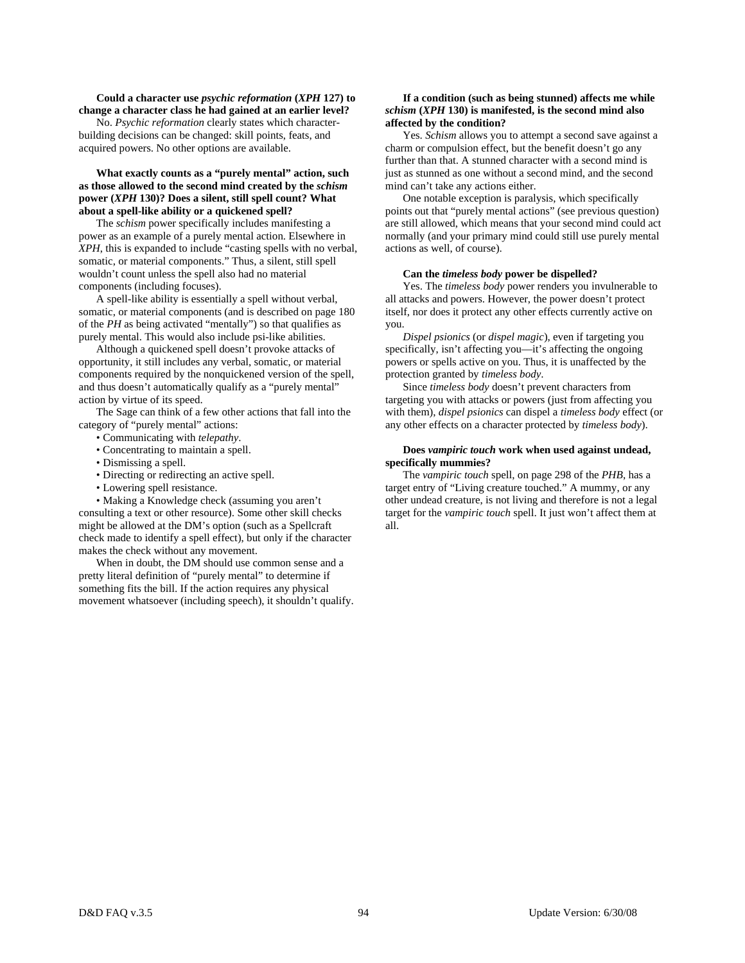### **Could a character use** *psychic reformation* **(***XPH* **127) to change a character class he had gained at an earlier level?**

 No. *Psychic reformation* clearly states which characterbuilding decisions can be changed: skill points, feats, and acquired powers. No other options are available.

# **What exactly counts as a "purely mental" action, such as those allowed to the second mind created by the** *schism* **power (***XPH* **130)? Does a silent, still spell count? What about a spell-like ability or a quickened spell?**

 The *schism* power specifically includes manifesting a power as an example of a purely mental action. Elsewhere in *XPH*, this is expanded to include "casting spells with no verbal, somatic, or material components." Thus, a silent, still spell wouldn't count unless the spell also had no material components (including focuses).

 A spell-like ability is essentially a spell without verbal, somatic, or material components (and is described on page 180 of the *PH* as being activated "mentally") so that qualifies as purely mental. This would also include psi-like abilities.

 Although a quickened spell doesn't provoke attacks of opportunity, it still includes any verbal, somatic, or material components required by the nonquickened version of the spell, and thus doesn't automatically qualify as a "purely mental" action by virtue of its speed.

 The Sage can think of a few other actions that fall into the category of "purely mental" actions:

- Communicating with *telepathy*.
- Concentrating to maintain a spell.
- Dismissing a spell.
- Directing or redirecting an active spell.
- Lowering spell resistance.

 • Making a Knowledge check (assuming you aren't consulting a text or other resource). Some other skill checks might be allowed at the DM's option (such as a Spellcraft check made to identify a spell effect), but only if the character makes the check without any movement.

 When in doubt, the DM should use common sense and a pretty literal definition of "purely mental" to determine if something fits the bill. If the action requires any physical movement whatsoever (including speech), it shouldn't qualify.

# **If a condition (such as being stunned) affects me while**  *schism* **(***XPH* **130) is manifested, is the second mind also affected by the condition?**

 Yes. *Schism* allows you to attempt a second save against a charm or compulsion effect, but the benefit doesn't go any further than that. A stunned character with a second mind is just as stunned as one without a second mind, and the second mind can't take any actions either.

 One notable exception is paralysis, which specifically points out that "purely mental actions" (see previous question) are still allowed, which means that your second mind could act normally (and your primary mind could still use purely mental actions as well, of course).

# **Can the** *timeless body* **power be dispelled?**

 Yes. The *timeless body* power renders you invulnerable to all attacks and powers. However, the power doesn't protect itself, nor does it protect any other effects currently active on you.

 *Dispel psionics* (or *dispel magic*), even if targeting you specifically, isn't affecting you—it's affecting the ongoing powers or spells active on you. Thus, it is unaffected by the protection granted by *timeless body*.

 Since *timeless body* doesn't prevent characters from targeting you with attacks or powers (just from affecting you with them), *dispel psionics* can dispel a *timeless body* effect (or any other effects on a character protected by *timeless body*).

# **Does** *vampiric touch* **work when used against undead, specifically mummies?**

The *vampiric touch* spell, on page 298 of the *PHB*, has a target entry of "Living creature touched." A mummy, or any other undead creature, is not living and therefore is not a legal target for the *vampiric touch* spell. It just won't affect them at all.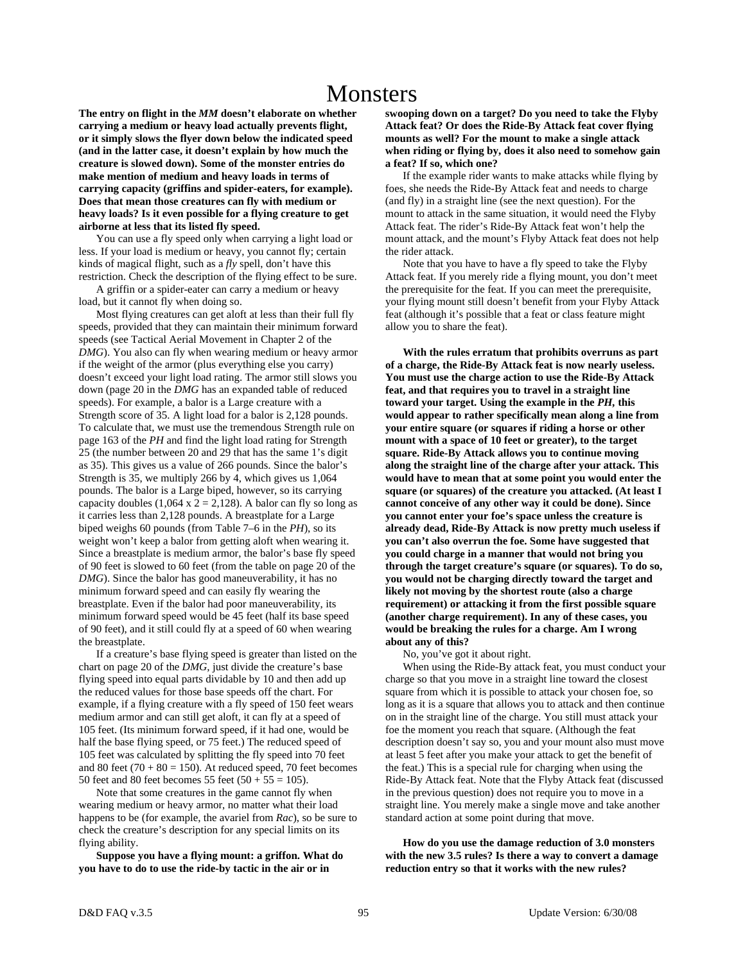# **Monsters**

**The entry on flight in the** *MM* **doesn't elaborate on whether carrying a medium or heavy load actually prevents flight, or it simply slows the flyer down below the indicated speed (and in the latter case, it doesn't explain by how much the creature is slowed down). Some of the monster entries do make mention of medium and heavy loads in terms of carrying capacity (griffins and spider-eaters, for example). Does that mean those creatures can fly with medium or heavy loads? Is it even possible for a flying creature to get airborne at less that its listed fly speed.** 

 You can use a fly speed only when carrying a light load or less. If your load is medium or heavy, you cannot fly; certain kinds of magical flight, such as a *fly* spell, don't have this restriction. Check the description of the flying effect to be sure.

 A griffin or a spider-eater can carry a medium or heavy load, but it cannot fly when doing so.

 Most flying creatures can get aloft at less than their full fly speeds, provided that they can maintain their minimum forward speeds (see Tactical Aerial Movement in Chapter 2 of the *DMG*). You also can fly when wearing medium or heavy armor if the weight of the armor (plus everything else you carry) doesn't exceed your light load rating. The armor still slows you down (page 20 in the *DMG* has an expanded table of reduced speeds). For example, a balor is a Large creature with a Strength score of 35. A light load for a balor is 2,128 pounds. To calculate that, we must use the tremendous Strength rule on page 163 of the *PH* and find the light load rating for Strength 25 (the number between 20 and 29 that has the same 1's digit as 35). This gives us a value of 266 pounds. Since the balor's Strength is 35, we multiply 266 by 4, which gives us 1,064 pounds. The balor is a Large biped, however, so its carrying capacity doubles (1,064 x  $2 = 2,128$ ). A balor can fly so long as it carries less than 2,128 pounds. A breastplate for a Large biped weighs 60 pounds (from Table 7–6 in the *PH*), so its weight won't keep a balor from getting aloft when wearing it. Since a breastplate is medium armor, the balor's base fly speed of 90 feet is slowed to 60 feet (from the table on page 20 of the *DMG*). Since the balor has good maneuverability, it has no minimum forward speed and can easily fly wearing the breastplate. Even if the balor had poor maneuverability, its minimum forward speed would be 45 feet (half its base speed of 90 feet), and it still could fly at a speed of 60 when wearing the breastplate.

 If a creature's base flying speed is greater than listed on the chart on page 20 of the *DMG,* just divide the creature's base flying speed into equal parts dividable by 10 and then add up the reduced values for those base speeds off the chart. For example, if a flying creature with a fly speed of 150 feet wears medium armor and can still get aloft, it can fly at a speed of 105 feet. (Its minimum forward speed, if it had one, would be half the base flying speed, or 75 feet.) The reduced speed of 105 feet was calculated by splitting the fly speed into 70 feet and 80 feet  $(70 + 80 = 150)$ . At reduced speed, 70 feet becomes 50 feet and 80 feet becomes 55 feet  $(50 + 55 = 105)$ .

 Note that some creatures in the game cannot fly when wearing medium or heavy armor, no matter what their load happens to be (for example, the avariel from *Rac*), so be sure to check the creature's description for any special limits on its flying ability.

 **Suppose you have a flying mount: a griffon. What do you have to do to use the ride-by tactic in the air or in** 

**swooping down on a target? Do you need to take the Flyby Attack feat? Or does the Ride-By Attack feat cover flying mounts as well? For the mount to make a single attack when riding or flying by, does it also need to somehow gain a feat? If so, which one?** 

 If the example rider wants to make attacks while flying by foes, she needs the Ride-By Attack feat and needs to charge (and fly) in a straight line (see the next question). For the mount to attack in the same situation, it would need the Flyby Attack feat. The rider's Ride-By Attack feat won't help the mount attack, and the mount's Flyby Attack feat does not help the rider attack.

 Note that you have to have a fly speed to take the Flyby Attack feat. If you merely ride a flying mount, you don't meet the prerequisite for the feat. If you can meet the prerequisite, your flying mount still doesn't benefit from your Flyby Attack feat (although it's possible that a feat or class feature might allow you to share the feat).

 **With the rules erratum that prohibits overruns as part of a charge, the Ride-By Attack feat is now nearly useless. You must use the charge action to use the Ride-By Attack feat, and that requires you to travel in a straight line toward your target. Using the example in the** *PH,* **this would appear to rather specifically mean along a line from your entire square (or squares if riding a horse or other mount with a space of 10 feet or greater), to the target square. Ride-By Attack allows you to continue moving along the straight line of the charge after your attack. This would have to mean that at some point you would enter the square (or squares) of the creature you attacked. (At least I cannot conceive of any other way it could be done). Since you cannot enter your foe's space unless the creature is already dead, Ride-By Attack is now pretty much useless if you can't also overrun the foe. Some have suggested that you could charge in a manner that would not bring you through the target creature's square (or squares). To do so, you would not be charging directly toward the target and likely not moving by the shortest route (also a charge requirement) or attacking it from the first possible square (another charge requirement). In any of these cases, you would be breaking the rules for a charge. Am I wrong about any of this?** 

No, you've got it about right.

 When using the Ride-By attack feat, you must conduct your charge so that you move in a straight line toward the closest square from which it is possible to attack your chosen foe, so long as it is a square that allows you to attack and then continue on in the straight line of the charge. You still must attack your foe the moment you reach that square. (Although the feat description doesn't say so, you and your mount also must move at least 5 feet after you make your attack to get the benefit of the feat.) This is a special rule for charging when using the Ride-By Attack feat. Note that the Flyby Attack feat (discussed in the previous question) does not require you to move in a straight line. You merely make a single move and take another standard action at some point during that move.

 **How do you use the damage reduction of 3.0 monsters with the new 3.5 rules? Is there a way to convert a damage reduction entry so that it works with the new rules?**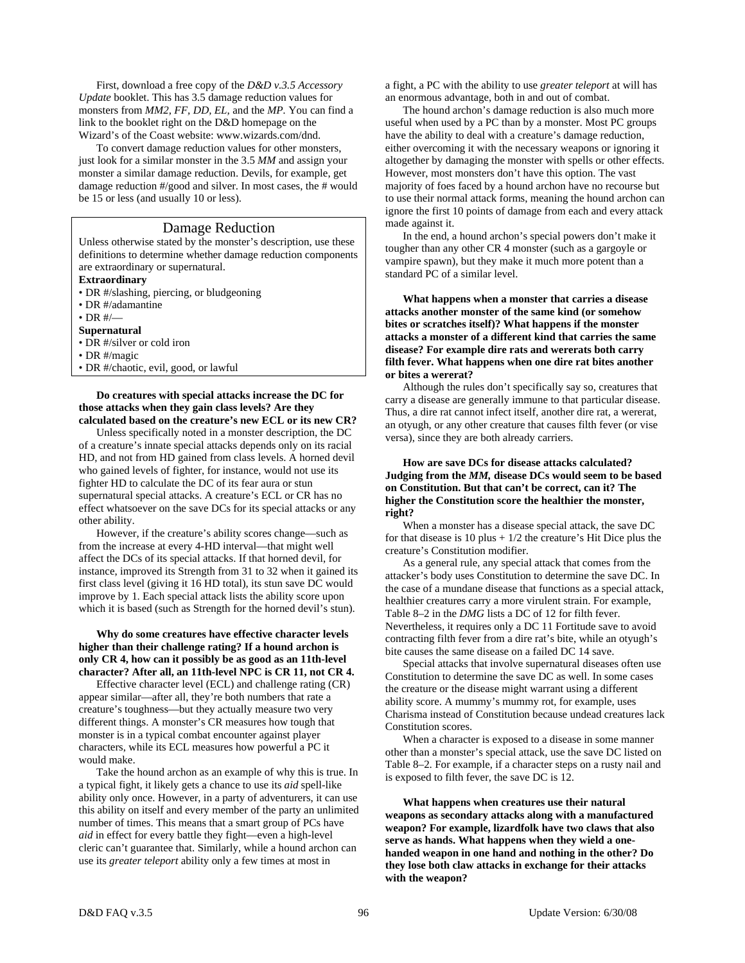First, download a free copy of the *D&D v.3.5 Accessory Update* booklet. This has 3.5 damage reduction values for monsters from *MM2, FF, DD, EL,* and the *MP.* You can find a link to the booklet right on the D&D homepage on the Wizard's of the Coast website: www.wizards.com/dnd.

 To convert damage reduction values for other monsters, just look for a similar monster in the 3.5 *MM* and assign your monster a similar damage reduction. Devils, for example, get damage reduction #/good and silver. In most cases, the # would be 15 or less (and usually 10 or less).

# Damage Reduction

Unless otherwise stated by the monster's description, use these definitions to determine whether damage reduction components are extraordinary or supernatural.

**Extraordinary** 

- DR #/slashing, piercing, or bludgeoning
- DR #/adamantine
- $\cdot$  DR  $\#$ / $\_\$

# **Supernatural**

- DR #/silver or cold iron
- DR #/magic
- DR #/chaotic, evil, good, or lawful

# **Do creatures with special attacks increase the DC for those attacks when they gain class levels? Are they calculated based on the creature's new ECL or its new CR?**

 Unless specifically noted in a monster description, the DC of a creature's innate special attacks depends only on its racial HD, and not from HD gained from class levels. A horned devil who gained levels of fighter, for instance, would not use its fighter HD to calculate the DC of its fear aura or stun supernatural special attacks. A creature's ECL or CR has no effect whatsoever on the save DCs for its special attacks or any other ability.

 However, if the creature's ability scores change—such as from the increase at every 4-HD interval—that might well affect the DCs of its special attacks. If that horned devil, for instance, improved its Strength from 31 to 32 when it gained its first class level (giving it 16 HD total), its stun save DC would improve by 1. Each special attack lists the ability score upon which it is based (such as Strength for the horned devil's stun).

# **Why do some creatures have effective character levels higher than their challenge rating? If a hound archon is only CR 4, how can it possibly be as good as an 11th-level character? After all, an 11th-level NPC is CR 11, not CR 4.**

 Effective character level (ECL) and challenge rating (CR) appear similar—after all, they're both numbers that rate a creature's toughness—but they actually measure two very different things. A monster's CR measures how tough that monster is in a typical combat encounter against player characters, while its ECL measures how powerful a PC it would make.

 Take the hound archon as an example of why this is true. In a typical fight, it likely gets a chance to use its *aid* spell-like ability only once. However, in a party of adventurers, it can use this ability on itself and every member of the party an unlimited number of times. This means that a smart group of PCs have *aid* in effect for every battle they fight—even a high-level cleric can't guarantee that. Similarly, while a hound archon can use its *greater teleport* ability only a few times at most in

a fight, a PC with the ability to use *greater teleport* at will has an enormous advantage, both in and out of combat.

 The hound archon's damage reduction is also much more useful when used by a PC than by a monster. Most PC groups have the ability to deal with a creature's damage reduction, either overcoming it with the necessary weapons or ignoring it altogether by damaging the monster with spells or other effects. However, most monsters don't have this option. The vast majority of foes faced by a hound archon have no recourse but to use their normal attack forms, meaning the hound archon can ignore the first 10 points of damage from each and every attack made against it.

 In the end, a hound archon's special powers don't make it tougher than any other CR 4 monster (such as a gargoyle or vampire spawn), but they make it much more potent than a standard PC of a similar level.

 **What happens when a monster that carries a disease attacks another monster of the same kind (or somehow bites or scratches itself)? What happens if the monster attacks a monster of a different kind that carries the same disease? For example dire rats and wererats both carry filth fever. What happens when one dire rat bites another or bites a wererat?** 

 Although the rules don't specifically say so, creatures that carry a disease are generally immune to that particular disease. Thus, a dire rat cannot infect itself, another dire rat, a wererat, an otyugh, or any other creature that causes filth fever (or vise versa), since they are both already carriers.

# **How are save DCs for disease attacks calculated? Judging from the** *MM,* **disease DCs would seem to be based on Constitution. But that can't be correct, can it? The higher the Constitution score the healthier the monster, right?**

 When a monster has a disease special attack, the save DC for that disease is 10 plus  $+1/2$  the creature's Hit Dice plus the creature's Constitution modifier.

 As a general rule, any special attack that comes from the attacker's body uses Constitution to determine the save DC. In the case of a mundane disease that functions as a special attack, healthier creatures carry a more virulent strain. For example, Table 8–2 in the *DMG* lists a DC of 12 for filth fever. Nevertheless, it requires only a DC 11 Fortitude save to avoid contracting filth fever from a dire rat's bite, while an otyugh's bite causes the same disease on a failed DC 14 save.

 Special attacks that involve supernatural diseases often use Constitution to determine the save DC as well. In some cases the creature or the disease might warrant using a different ability score. A mummy's mummy rot, for example, uses Charisma instead of Constitution because undead creatures lack Constitution scores.

 When a character is exposed to a disease in some manner other than a monster's special attack, use the save DC listed on Table 8–2. For example, if a character steps on a rusty nail and is exposed to filth fever, the save DC is 12.

 **What happens when creatures use their natural weapons as secondary attacks along with a manufactured weapon? For example, lizardfolk have two claws that also serve as hands. What happens when they wield a onehanded weapon in one hand and nothing in the other? Do they lose both claw attacks in exchange for their attacks with the weapon?**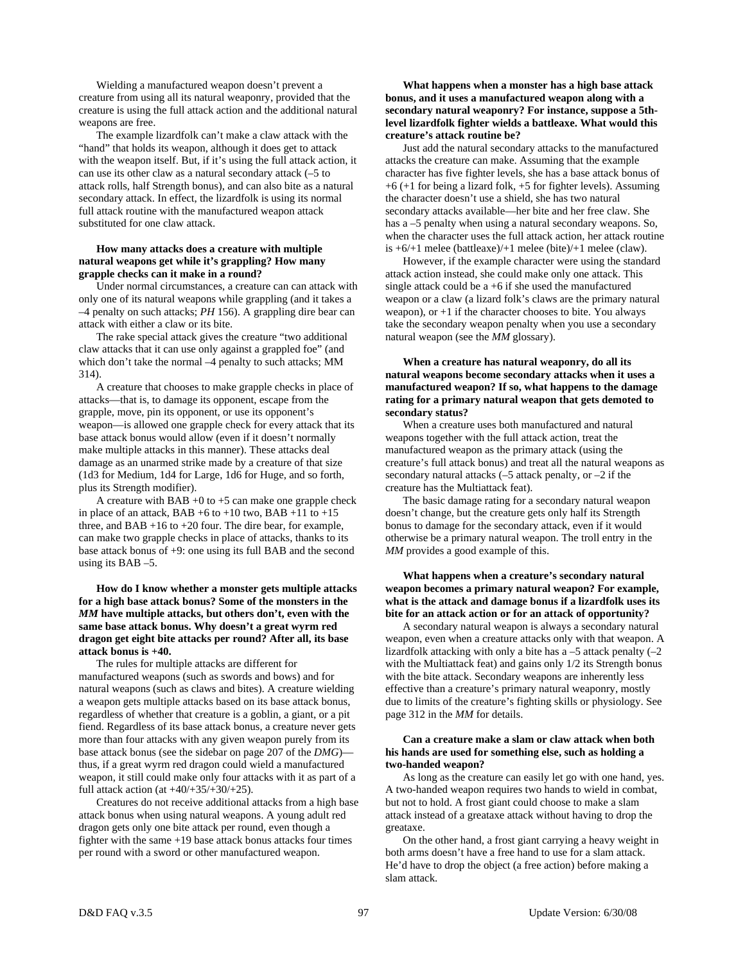Wielding a manufactured weapon doesn't prevent a creature from using all its natural weaponry, provided that the creature is using the full attack action and the additional natural weapons are free.

 The example lizardfolk can't make a claw attack with the "hand" that holds its weapon, although it does get to attack with the weapon itself. But, if it's using the full attack action, it can use its other claw as a natural secondary attack (–5 to attack rolls, half Strength bonus), and can also bite as a natural secondary attack. In effect, the lizardfolk is using its normal full attack routine with the manufactured weapon attack substituted for one claw attack.

# **How many attacks does a creature with multiple natural weapons get while it's grappling? How many grapple checks can it make in a round?**

 Under normal circumstances, a creature can can attack with only one of its natural weapons while grappling (and it takes a –4 penalty on such attacks; *PH* 156). A grappling dire bear can attack with either a claw or its bite.

 The rake special attack gives the creature "two additional claw attacks that it can use only against a grappled foe" (and which don't take the normal –4 penalty to such attacks; MM 314).

 A creature that chooses to make grapple checks in place of attacks—that is, to damage its opponent, escape from the grapple, move, pin its opponent, or use its opponent's weapon—is allowed one grapple check for every attack that its base attack bonus would allow (even if it doesn't normally make multiple attacks in this manner). These attacks deal damage as an unarmed strike made by a creature of that size (1d3 for Medium, 1d4 for Large, 1d6 for Huge, and so forth, plus its Strength modifier).

A creature with  $BAB +0$  to  $+5$  can make one grapple check in place of an attack, BAB  $+6$  to  $+10$  two, BAB  $+11$  to  $+15$ three, and  $BAB +16$  to  $+20$  four. The dire bear, for example, can make two grapple checks in place of attacks, thanks to its base attack bonus of +9: one using its full BAB and the second using its BAB –5.

 **How do I know whether a monster gets multiple attacks for a high base attack bonus? Some of the monsters in the**  *MM* **have multiple attacks, but others don't, even with the same base attack bonus. Why doesn't a great wyrm red dragon get eight bite attacks per round? After all, its base attack bonus is +40.** 

 The rules for multiple attacks are different for manufactured weapons (such as swords and bows) and for natural weapons (such as claws and bites). A creature wielding a weapon gets multiple attacks based on its base attack bonus, regardless of whether that creature is a goblin, a giant, or a pit fiend. Regardless of its base attack bonus, a creature never gets more than four attacks with any given weapon purely from its base attack bonus (see the sidebar on page 207 of the *DMG*) thus, if a great wyrm red dragon could wield a manufactured weapon, it still could make only four attacks with it as part of a full attack action (at  $+40/+35/+30/+25$ ).

 Creatures do not receive additional attacks from a high base attack bonus when using natural weapons. A young adult red dragon gets only one bite attack per round, even though a fighter with the same +19 base attack bonus attacks four times per round with a sword or other manufactured weapon.

 **What happens when a monster has a high base attack bonus, and it uses a manufactured weapon along with a secondary natural weaponry? For instance, suppose a 5thlevel lizardfolk fighter wields a battleaxe. What would this creature's attack routine be?** 

 Just add the natural secondary attacks to the manufactured attacks the creature can make. Assuming that the example character has five fighter levels, she has a base attack bonus of +6 (+1 for being a lizard folk, +5 for fighter levels). Assuming the character doesn't use a shield, she has two natural secondary attacks available—her bite and her free claw. She has a –5 penalty when using a natural secondary weapons. So, when the character uses the full attack action, her attack routine is +6/+1 melee (battleaxe)/+1 melee (bite)/+1 melee (claw).

 However, if the example character were using the standard attack action instead, she could make only one attack. This single attack could be a +6 if she used the manufactured weapon or a claw (a lizard folk's claws are the primary natural weapon), or  $+1$  if the character chooses to bite. You always take the secondary weapon penalty when you use a secondary natural weapon (see the *MM* glossary).

# **When a creature has natural weaponry, do all its natural weapons become secondary attacks when it uses a manufactured weapon? If so, what happens to the damage rating for a primary natural weapon that gets demoted to secondary status?**

 When a creature uses both manufactured and natural weapons together with the full attack action, treat the manufactured weapon as the primary attack (using the creature's full attack bonus) and treat all the natural weapons as secondary natural attacks  $(-5$  attack penalty, or  $-2$  if the creature has the Multiattack feat).

 The basic damage rating for a secondary natural weapon doesn't change, but the creature gets only half its Strength bonus to damage for the secondary attack, even if it would otherwise be a primary natural weapon. The troll entry in the *MM* provides a good example of this.

# **What happens when a creature's secondary natural weapon becomes a primary natural weapon? For example, what is the attack and damage bonus if a lizardfolk uses its bite for an attack action or for an attack of opportunity?**

 A secondary natural weapon is always a secondary natural weapon, even when a creature attacks only with that weapon. A lizardfolk attacking with only a bite has a  $-5$  attack penalty  $(-2)$ with the Multiattack feat) and gains only 1/2 its Strength bonus with the bite attack. Secondary weapons are inherently less effective than a creature's primary natural weaponry, mostly due to limits of the creature's fighting skills or physiology. See page 312 in the *MM* for details.

# **Can a creature make a slam or claw attack when both his hands are used for something else, such as holding a two-handed weapon?**

 As long as the creature can easily let go with one hand, yes. A two-handed weapon requires two hands to wield in combat, but not to hold. A frost giant could choose to make a slam attack instead of a greataxe attack without having to drop the greataxe.

 On the other hand, a frost giant carrying a heavy weight in both arms doesn't have a free hand to use for a slam attack. He'd have to drop the object (a free action) before making a slam attack.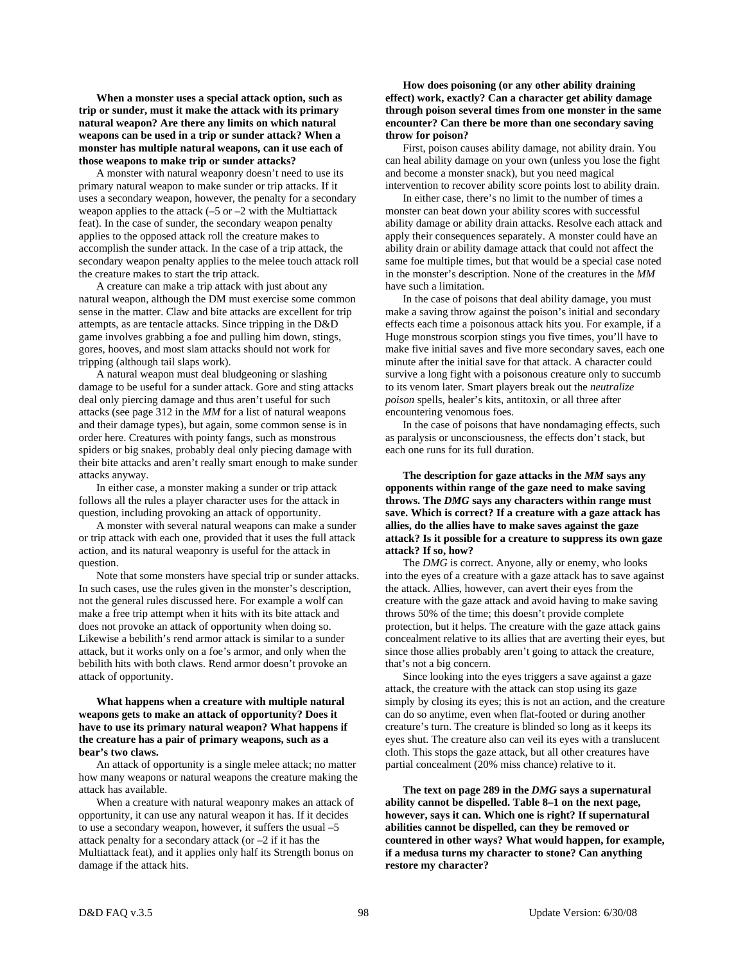**When a monster uses a special attack option, such as trip or sunder, must it make the attack with its primary natural weapon? Are there any limits on which natural weapons can be used in a trip or sunder attack? When a monster has multiple natural weapons, can it use each of those weapons to make trip or sunder attacks?** 

 A monster with natural weaponry doesn't need to use its primary natural weapon to make sunder or trip attacks. If it uses a secondary weapon, however, the penalty for a secondary weapon applies to the attack  $(-5 \text{ or } -2 \text{ with the Multi attack})$ feat). In the case of sunder, the secondary weapon penalty applies to the opposed attack roll the creature makes to accomplish the sunder attack. In the case of a trip attack, the secondary weapon penalty applies to the melee touch attack roll the creature makes to start the trip attack.

 A creature can make a trip attack with just about any natural weapon, although the DM must exercise some common sense in the matter. Claw and bite attacks are excellent for trip attempts, as are tentacle attacks. Since tripping in the D&D game involves grabbing a foe and pulling him down, stings, gores, hooves, and most slam attacks should not work for tripping (although tail slaps work).

 A natural weapon must deal bludgeoning or slashing damage to be useful for a sunder attack. Gore and sting attacks deal only piercing damage and thus aren't useful for such attacks (see page 312 in the *MM* for a list of natural weapons and their damage types), but again, some common sense is in order here. Creatures with pointy fangs, such as monstrous spiders or big snakes, probably deal only piecing damage with their bite attacks and aren't really smart enough to make sunder attacks anyway.

 In either case, a monster making a sunder or trip attack follows all the rules a player character uses for the attack in question, including provoking an attack of opportunity.

 A monster with several natural weapons can make a sunder or trip attack with each one, provided that it uses the full attack action, and its natural weaponry is useful for the attack in question.

 Note that some monsters have special trip or sunder attacks. In such cases, use the rules given in the monster's description, not the general rules discussed here. For example a wolf can make a free trip attempt when it hits with its bite attack and does not provoke an attack of opportunity when doing so. Likewise a bebilith's rend armor attack is similar to a sunder attack, but it works only on a foe's armor, and only when the bebilith hits with both claws. Rend armor doesn't provoke an attack of opportunity.

# **What happens when a creature with multiple natural weapons gets to make an attack of opportunity? Does it have to use its primary natural weapon? What happens if the creature has a pair of primary weapons, such as a bear's two claws.**

 An attack of opportunity is a single melee attack; no matter how many weapons or natural weapons the creature making the attack has available.

 When a creature with natural weaponry makes an attack of opportunity, it can use any natural weapon it has. If it decides to use a secondary weapon, however, it suffers the usual –5 attack penalty for a secondary attack (or –2 if it has the Multiattack feat), and it applies only half its Strength bonus on damage if the attack hits.

# **How does poisoning (or any other ability draining effect) work, exactly? Can a character get ability damage through poison several times from one monster in the same encounter? Can there be more than one secondary saving throw for poison?**

 First, poison causes ability damage, not ability drain. You can heal ability damage on your own (unless you lose the fight and become a monster snack), but you need magical intervention to recover ability score points lost to ability drain.

 In either case, there's no limit to the number of times a monster can beat down your ability scores with successful ability damage or ability drain attacks. Resolve each attack and apply their consequences separately. A monster could have an ability drain or ability damage attack that could not affect the same foe multiple times, but that would be a special case noted in the monster's description. None of the creatures in the *MM* have such a limitation.

 In the case of poisons that deal ability damage, you must make a saving throw against the poison's initial and secondary effects each time a poisonous attack hits you. For example, if a Huge monstrous scorpion stings you five times, you'll have to make five initial saves and five more secondary saves, each one minute after the initial save for that attack. A character could survive a long fight with a poisonous creature only to succumb to its venom later. Smart players break out the *neutralize poison* spells, healer's kits, antitoxin, or all three after encountering venomous foes.

 In the case of poisons that have nondamaging effects, such as paralysis or unconsciousness, the effects don't stack, but each one runs for its full duration.

 **The description for gaze attacks in the** *MM* **says any opponents within range of the gaze need to make saving throws. The** *DMG* **says any characters within range must save. Which is correct? If a creature with a gaze attack has allies, do the allies have to make saves against the gaze attack? Is it possible for a creature to suppress its own gaze attack? If so, how?** 

 The *DMG* is correct. Anyone, ally or enemy, who looks into the eyes of a creature with a gaze attack has to save against the attack. Allies, however, can avert their eyes from the creature with the gaze attack and avoid having to make saving throws 50% of the time; this doesn't provide complete protection, but it helps. The creature with the gaze attack gains concealment relative to its allies that are averting their eyes, but since those allies probably aren't going to attack the creature, that's not a big concern.

 Since looking into the eyes triggers a save against a gaze attack, the creature with the attack can stop using its gaze simply by closing its eyes; this is not an action, and the creature can do so anytime, even when flat-footed or during another creature's turn. The creature is blinded so long as it keeps its eyes shut. The creature also can veil its eyes with a translucent cloth. This stops the gaze attack, but all other creatures have partial concealment (20% miss chance) relative to it.

 **The text on page 289 in the** *DMG* **says a supernatural ability cannot be dispelled. Table 8–1 on the next page, however, says it can. Which one is right? If supernatural abilities cannot be dispelled, can they be removed or countered in other ways? What would happen, for example, if a medusa turns my character to stone? Can anything restore my character?**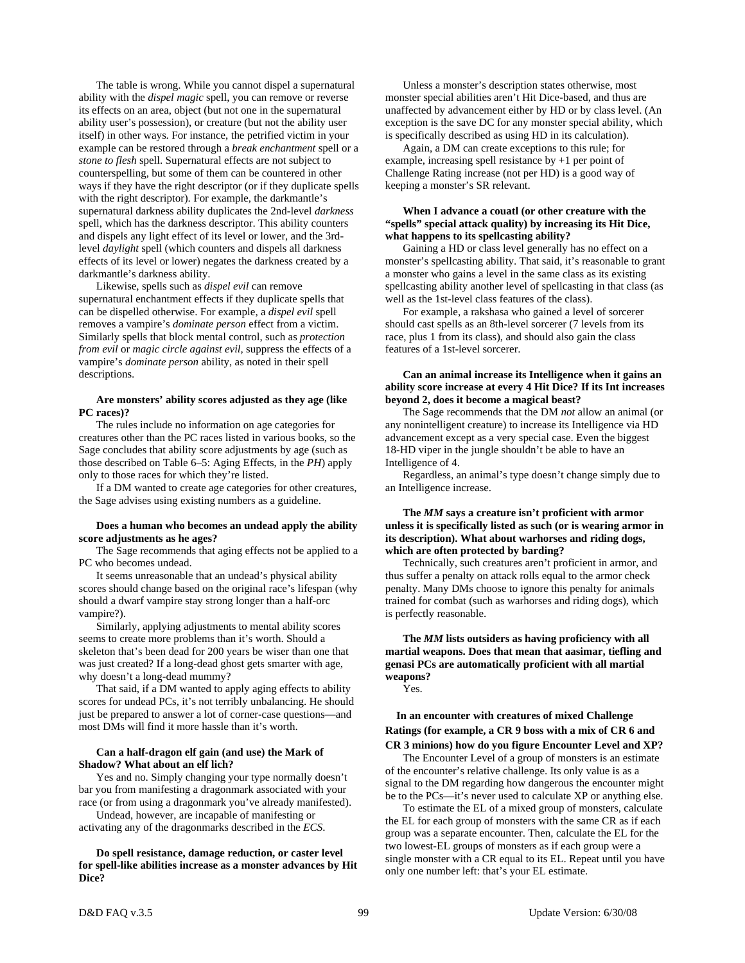The table is wrong. While you cannot dispel a supernatural ability with the *dispel magic* spell, you can remove or reverse its effects on an area, object (but not one in the supernatural ability user's possession), or creature (but not the ability user itself) in other ways. For instance, the petrified victim in your example can be restored through a *break enchantment* spell or a *stone to flesh* spell. Supernatural effects are not subject to counterspelling, but some of them can be countered in other ways if they have the right descriptor (or if they duplicate spells with the right descriptor). For example, the darkmantle's supernatural darkness ability duplicates the 2nd-level *darkness* spell, which has the darkness descriptor. This ability counters and dispels any light effect of its level or lower, and the 3rdlevel *daylight* spell (which counters and dispels all darkness effects of its level or lower) negates the darkness created by a darkmantle's darkness ability.

 Likewise, spells such as *dispel evil* can remove supernatural enchantment effects if they duplicate spells that can be dispelled otherwise. For example, a *dispel evil* spell removes a vampire's *dominate person* effect from a victim. Similarly spells that block mental control, such as *protection from evil* or *magic circle against evil,* suppress the effects of a vampire's *dominate person* ability, as noted in their spell descriptions.

# **Are monsters' ability scores adjusted as they age (like PC races)?**

 The rules include no information on age categories for creatures other than the PC races listed in various books, so the Sage concludes that ability score adjustments by age (such as those described on Table 6–5: Aging Effects, in the *PH*) apply only to those races for which they're listed.

 If a DM wanted to create age categories for other creatures, the Sage advises using existing numbers as a guideline.

# **Does a human who becomes an undead apply the ability score adjustments as he ages?**

 The Sage recommends that aging effects not be applied to a PC who becomes undead.

 It seems unreasonable that an undead's physical ability scores should change based on the original race's lifespan (why should a dwarf vampire stay strong longer than a half-orc vampire?).

 Similarly, applying adjustments to mental ability scores seems to create more problems than it's worth. Should a skeleton that's been dead for 200 years be wiser than one that was just created? If a long-dead ghost gets smarter with age, why doesn't a long-dead mummy?

 That said, if a DM wanted to apply aging effects to ability scores for undead PCs, it's not terribly unbalancing. He should just be prepared to answer a lot of corner-case questions—and most DMs will find it more hassle than it's worth.

# **Can a half-dragon elf gain (and use) the Mark of Shadow? What about an elf lich?**

 Yes and no. Simply changing your type normally doesn't bar you from manifesting a dragonmark associated with your race (or from using a dragonmark you've already manifested).

 Undead, however, are incapable of manifesting or activating any of the dragonmarks described in the *ECS*.

# **Do spell resistance, damage reduction, or caster level for spell-like abilities increase as a monster advances by Hit Dice?**

 Unless a monster's description states otherwise, most monster special abilities aren't Hit Dice-based, and thus are unaffected by advancement either by HD or by class level. (An exception is the save DC for any monster special ability, which is specifically described as using HD in its calculation).

 Again, a DM can create exceptions to this rule; for example, increasing spell resistance by +1 per point of Challenge Rating increase (not per HD) is a good way of keeping a monster's SR relevant.

# **When I advance a couatl (or other creature with the "spells" special attack quality) by increasing its Hit Dice, what happens to its spellcasting ability?**

 Gaining a HD or class level generally has no effect on a monster's spellcasting ability. That said, it's reasonable to grant a monster who gains a level in the same class as its existing spellcasting ability another level of spellcasting in that class (as well as the 1st-level class features of the class).

 For example, a rakshasa who gained a level of sorcerer should cast spells as an 8th-level sorcerer (7 levels from its race, plus 1 from its class), and should also gain the class features of a 1st-level sorcerer.

# **Can an animal increase its Intelligence when it gains an ability score increase at every 4 Hit Dice? If its Int increases beyond 2, does it become a magical beast?**

 The Sage recommends that the DM *not* allow an animal (or any nonintelligent creature) to increase its Intelligence via HD advancement except as a very special case. Even the biggest 18-HD viper in the jungle shouldn't be able to have an Intelligence of 4.

 Regardless, an animal's type doesn't change simply due to an Intelligence increase.

# **The** *MM* **says a creature isn't proficient with armor unless it is specifically listed as such (or is wearing armor in its description). What about warhorses and riding dogs, which are often protected by barding?**

 Technically, such creatures aren't proficient in armor, and thus suffer a penalty on attack rolls equal to the armor check penalty. Many DMs choose to ignore this penalty for animals trained for combat (such as warhorses and riding dogs), which is perfectly reasonable.

# **The** *MM* **lists outsiders as having proficiency with all martial weapons. Does that mean that aasimar, tiefling and genasi PCs are automatically proficient with all martial weapons?**

Yes.

# **In an encounter with creatures of mixed Challenge Ratings (for example, a CR 9 boss with a mix of CR 6 and CR 3 minions) how do you figure Encounter Level and XP?**

 The Encounter Level of a group of monsters is an estimate of the encounter's relative challenge. Its only value is as a signal to the DM regarding how dangerous the encounter might be to the PCs—it's never used to calculate XP or anything else.

 To estimate the EL of a mixed group of monsters, calculate the EL for each group of monsters with the same CR as if each group was a separate encounter. Then, calculate the EL for the two lowest-EL groups of monsters as if each group were a single monster with a CR equal to its EL. Repeat until you have only one number left: that's your EL estimate.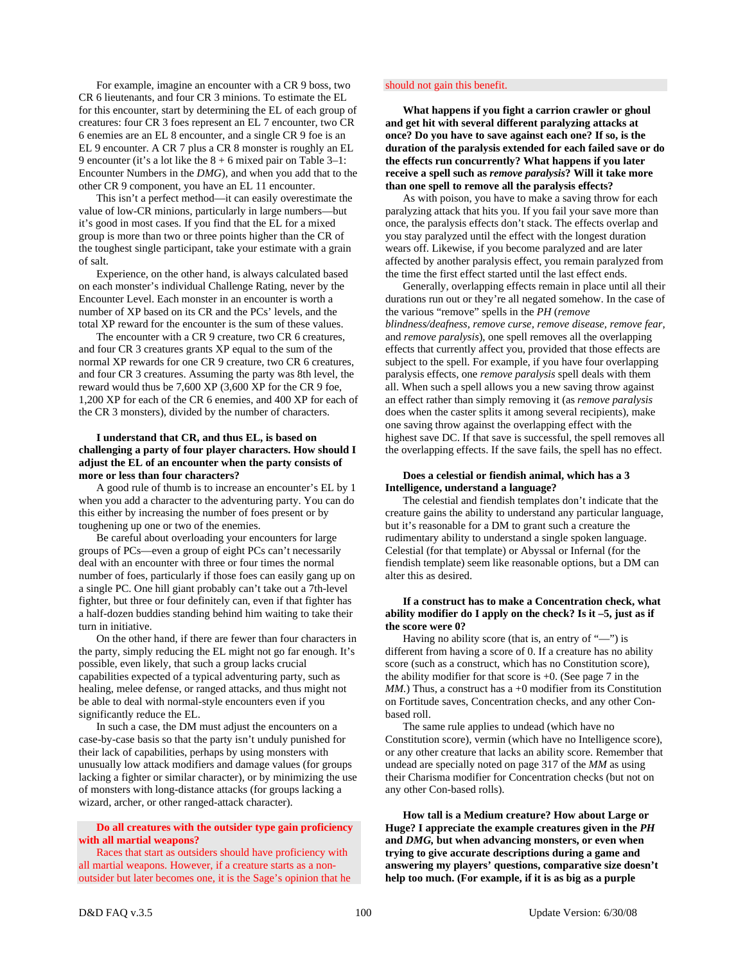For example, imagine an encounter with a CR 9 boss, two CR 6 lieutenants, and four CR 3 minions. To estimate the EL for this encounter, start by determining the EL of each group of creatures: four CR 3 foes represent an EL 7 encounter, two CR 6 enemies are an EL 8 encounter, and a single CR 9 foe is an EL 9 encounter. A CR 7 plus a CR 8 monster is roughly an EL 9 encounter (it's a lot like the 8 + 6 mixed pair on Table 3–1: Encounter Numbers in the *DMG*), and when you add that to the other CR 9 component, you have an EL 11 encounter.

 This isn't a perfect method—it can easily overestimate the value of low-CR minions, particularly in large numbers—but it's good in most cases. If you find that the EL for a mixed group is more than two or three points higher than the CR of the toughest single participant, take your estimate with a grain of salt.

 Experience, on the other hand, is always calculated based on each monster's individual Challenge Rating, never by the Encounter Level. Each monster in an encounter is worth a number of XP based on its CR and the PCs' levels, and the total XP reward for the encounter is the sum of these values.

 The encounter with a CR 9 creature, two CR 6 creatures, and four CR 3 creatures grants XP equal to the sum of the normal XP rewards for one CR 9 creature, two CR 6 creatures, and four CR 3 creatures. Assuming the party was 8th level, the reward would thus be 7,600 XP (3,600 XP for the CR 9 foe, 1,200 XP for each of the CR 6 enemies, and 400 XP for each of the CR 3 monsters), divided by the number of characters.

# **I understand that CR, and thus EL, is based on challenging a party of four player characters. How should I adjust the EL of an encounter when the party consists of more or less than four characters?**

 A good rule of thumb is to increase an encounter's EL by 1 when you add a character to the adventuring party. You can do this either by increasing the number of foes present or by toughening up one or two of the enemies.

 Be careful about overloading your encounters for large groups of PCs—even a group of eight PCs can't necessarily deal with an encounter with three or four times the normal number of foes, particularly if those foes can easily gang up on a single PC. One hill giant probably can't take out a 7th-level fighter, but three or four definitely can, even if that fighter has a half-dozen buddies standing behind him waiting to take their turn in initiative.

 On the other hand, if there are fewer than four characters in the party, simply reducing the EL might not go far enough. It's possible, even likely, that such a group lacks crucial capabilities expected of a typical adventuring party, such as healing, melee defense, or ranged attacks, and thus might not be able to deal with normal-style encounters even if you significantly reduce the EL.

 In such a case, the DM must adjust the encounters on a case-by-case basis so that the party isn't unduly punished for their lack of capabilities, perhaps by using monsters with unusually low attack modifiers and damage values (for groups lacking a fighter or similar character), or by minimizing the use of monsters with long-distance attacks (for groups lacking a wizard, archer, or other ranged-attack character).

# **Do all creatures with the outsider type gain proficiency with all martial weapons?**

 Races that start as outsiders should have proficiency with all martial weapons. However, if a creature starts as a nonoutsider but later becomes one, it is the Sage's opinion that he

### should not gain this benefit.

 **What happens if you fight a carrion crawler or ghoul and get hit with several different paralyzing attacks at once? Do you have to save against each one? If so, is the duration of the paralysis extended for each failed save or do the effects run concurrently? What happens if you later receive a spell such as** *remove paralysis***? Will it take more than one spell to remove all the paralysis effects?** 

 As with poison, you have to make a saving throw for each paralyzing attack that hits you. If you fail your save more than once, the paralysis effects don't stack. The effects overlap and you stay paralyzed until the effect with the longest duration wears off. Likewise, if you become paralyzed and are later affected by another paralysis effect, you remain paralyzed from the time the first effect started until the last effect ends.

 Generally, overlapping effects remain in place until all their durations run out or they're all negated somehow. In the case of the various "remove" spells in the *PH* (*remove blindness/deafness, remove curse, remove disease, remove fear,*  and *remove paralysis*), one spell removes all the overlapping effects that currently affect you, provided that those effects are subject to the spell. For example, if you have four overlapping paralysis effects, one *remove paralysis* spell deals with them all. When such a spell allows you a new saving throw against an effect rather than simply removing it (as *remove paralysis* does when the caster splits it among several recipients), make one saving throw against the overlapping effect with the highest save DC. If that save is successful, the spell removes all the overlapping effects. If the save fails, the spell has no effect.

# **Does a celestial or fiendish animal, which has a 3 Intelligence, understand a language?**

 The celestial and fiendish templates don't indicate that the creature gains the ability to understand any particular language, but it's reasonable for a DM to grant such a creature the rudimentary ability to understand a single spoken language. Celestial (for that template) or Abyssal or Infernal (for the fiendish template) seem like reasonable options, but a DM can alter this as desired.

# **If a construct has to make a Concentration check, what ability modifier do I apply on the check? Is it –5, just as if the score were 0?**

 Having no ability score (that is, an entry of "—") is different from having a score of 0. If a creature has no ability score (such as a construct, which has no Constitution score), the ability modifier for that score is  $+0$ . (See page 7 in the *MM*.) Thus, a construct has a +0 modifier from its Constitution on Fortitude saves, Concentration checks, and any other Conbased roll.

 The same rule applies to undead (which have no Constitution score), vermin (which have no Intelligence score), or any other creature that lacks an ability score. Remember that undead are specially noted on page 317 of the *MM* as using their Charisma modifier for Concentration checks (but not on any other Con-based rolls).

 **How tall is a Medium creature? How about Large or Huge? I appreciate the example creatures given in the** *PH* **and** *DMG,* **but when advancing monsters, or even when trying to give accurate descriptions during a game and answering my players' questions, comparative size doesn't help too much. (For example, if it is as big as a purple**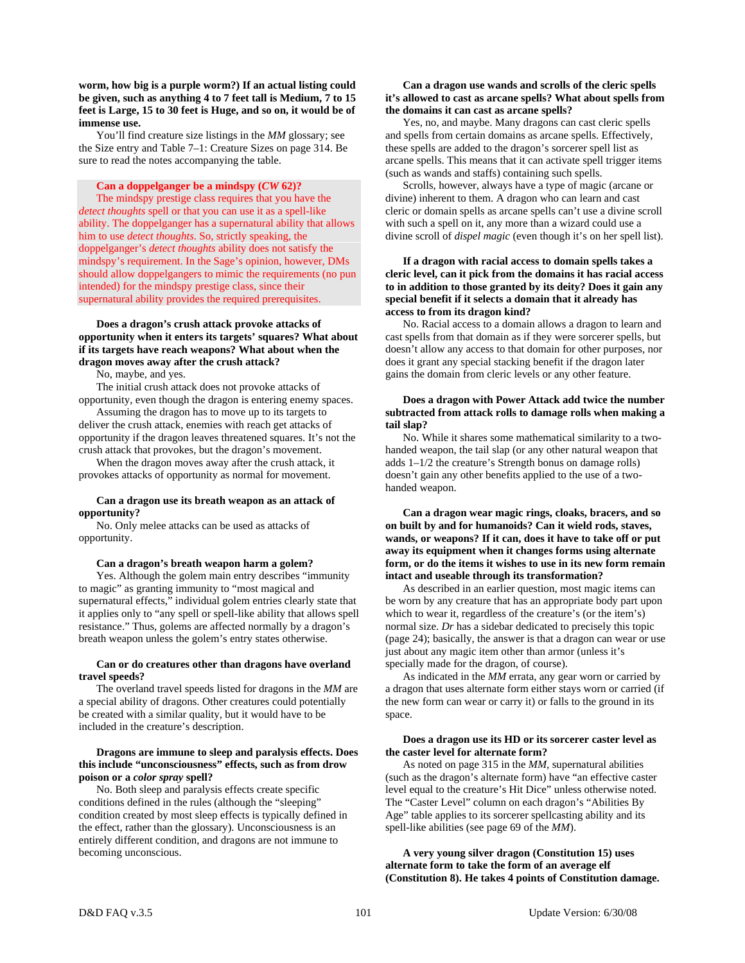**worm, how big is a purple worm?) If an actual listing could be given, such as anything 4 to 7 feet tall is Medium, 7 to 15 feet is Large, 15 to 30 feet is Huge, and so on, it would be of immense use.** 

 You'll find creature size listings in the *MM* glossary; see the Size entry and Table 7–1: Creature Sizes on page 314. Be sure to read the notes accompanying the table.

# **Can a doppelganger be a mindspy (***CW* **62)?**

 The mindspy prestige class requires that you have the *detect thoughts* spell or that you can use it as a spell-like ability. The doppelganger has a supernatural ability that allows him to use *detect thoughts*. So, strictly speaking, the doppelganger's *detect thoughts* ability does not satisfy the mindspy's requirement. In the Sage's opinion, however, DMs should allow doppelgangers to mimic the requirements (no pun intended) for the mindspy prestige class, since their supernatural ability provides the required prerequisites.

# **Does a dragon's crush attack provoke attacks of opportunity when it enters its targets' squares? What about if its targets have reach weapons? What about when the dragon moves away after the crush attack?**

No, maybe, and yes.

 The initial crush attack does not provoke attacks of opportunity, even though the dragon is entering enemy spaces.

 Assuming the dragon has to move up to its targets to deliver the crush attack, enemies with reach get attacks of opportunity if the dragon leaves threatened squares. It's not the crush attack that provokes, but the dragon's movement.

 When the dragon moves away after the crush attack, it provokes attacks of opportunity as normal for movement.

# **Can a dragon use its breath weapon as an attack of opportunity?**

 No. Only melee attacks can be used as attacks of opportunity.

#### **Can a dragon's breath weapon harm a golem?**

 Yes. Although the golem main entry describes "immunity to magic" as granting immunity to "most magical and supernatural effects," individual golem entries clearly state that it applies only to "any spell or spell-like ability that allows spell resistance." Thus, golems are affected normally by a dragon's breath weapon unless the golem's entry states otherwise.

# **Can or do creatures other than dragons have overland travel speeds?**

 The overland travel speeds listed for dragons in the *MM* are a special ability of dragons. Other creatures could potentially be created with a similar quality, but it would have to be included in the creature's description.

### **Dragons are immune to sleep and paralysis effects. Does this include "unconsciousness" effects, such as from drow poison or a** *color spray* **spell?**

 No. Both sleep and paralysis effects create specific conditions defined in the rules (although the "sleeping" condition created by most sleep effects is typically defined in the effect, rather than the glossary). Unconsciousness is an entirely different condition, and dragons are not immune to becoming unconscious.

# **Can a dragon use wands and scrolls of the cleric spells it's allowed to cast as arcane spells? What about spells from the domains it can cast as arcane spells?**

 Yes, no, and maybe. Many dragons can cast cleric spells and spells from certain domains as arcane spells. Effectively, these spells are added to the dragon's sorcerer spell list as arcane spells. This means that it can activate spell trigger items (such as wands and staffs) containing such spells.

 Scrolls, however, always have a type of magic (arcane or divine) inherent to them. A dragon who can learn and cast cleric or domain spells as arcane spells can't use a divine scroll with such a spell on it, any more than a wizard could use a divine scroll of *dispel magic* (even though it's on her spell list).

# **If a dragon with racial access to domain spells takes a cleric level, can it pick from the domains it has racial access to in addition to those granted by its deity? Does it gain any special benefit if it selects a domain that it already has access to from its dragon kind?**

 No. Racial access to a domain allows a dragon to learn and cast spells from that domain as if they were sorcerer spells, but doesn't allow any access to that domain for other purposes, nor does it grant any special stacking benefit if the dragon later gains the domain from cleric levels or any other feature.

# **Does a dragon with Power Attack add twice the number subtracted from attack rolls to damage rolls when making a tail slap?**

 No. While it shares some mathematical similarity to a twohanded weapon, the tail slap (or any other natural weapon that adds 1–1/2 the creature's Strength bonus on damage rolls) doesn't gain any other benefits applied to the use of a twohanded weapon.

 **Can a dragon wear magic rings, cloaks, bracers, and so on built by and for humanoids? Can it wield rods, staves, wands, or weapons? If it can, does it have to take off or put away its equipment when it changes forms using alternate form, or do the items it wishes to use in its new form remain intact and useable through its transformation?**

 As described in an earlier question, most magic items can be worn by any creature that has an appropriate body part upon which to wear it, regardless of the creature's (or the item's) normal size. *Dr* has a sidebar dedicated to precisely this topic (page 24); basically, the answer is that a dragon can wear or use just about any magic item other than armor (unless it's specially made for the dragon, of course).

 As indicated in the *MM* errata, any gear worn or carried by a dragon that uses alternate form either stays worn or carried (if the new form can wear or carry it) or falls to the ground in its space.

# **Does a dragon use its HD or its sorcerer caster level as the caster level for alternate form?**

 As noted on page 315 in the *MM,* supernatural abilities (such as the dragon's alternate form) have "an effective caster level equal to the creature's Hit Dice" unless otherwise noted. The "Caster Level" column on each dragon's "Abilities By Age" table applies to its sorcerer spellcasting ability and its spell-like abilities (see page 69 of the *MM*).

 **A very young silver dragon (Constitution 15) uses alternate form to take the form of an average elf (Constitution 8). He takes 4 points of Constitution damage.**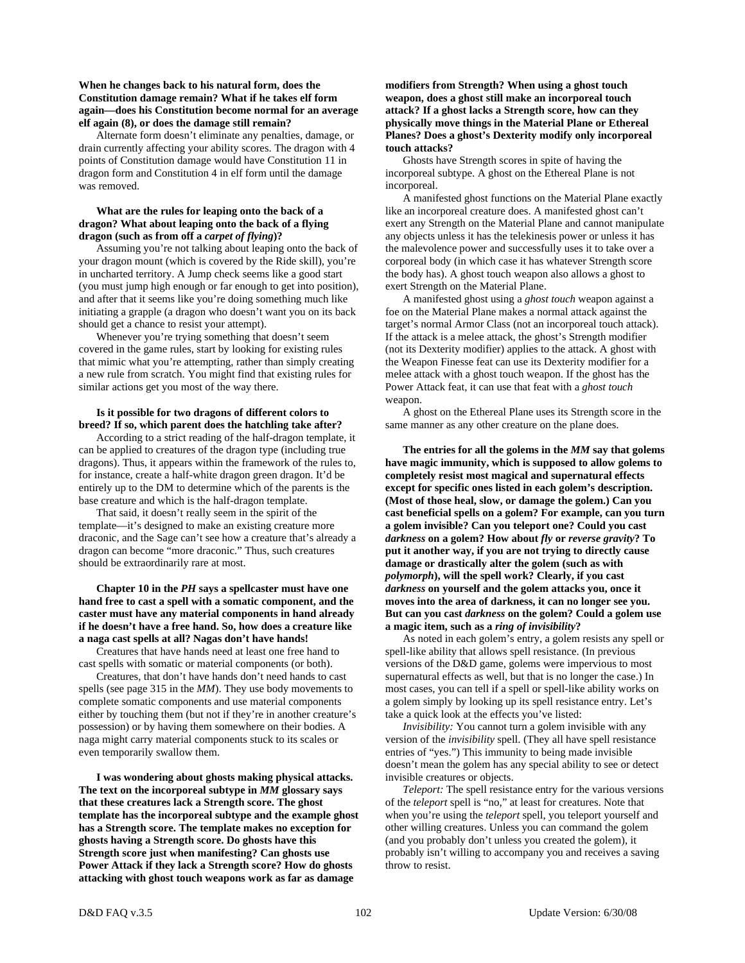# **When he changes back to his natural form, does the Constitution damage remain? What if he takes elf form again—does his Constitution become normal for an average elf again (8), or does the damage still remain?**

 Alternate form doesn't eliminate any penalties, damage, or drain currently affecting your ability scores. The dragon with 4 points of Constitution damage would have Constitution 11 in dragon form and Constitution 4 in elf form until the damage was removed.

# **What are the rules for leaping onto the back of a dragon? What about leaping onto the back of a flying dragon (such as from off a** *carpet of flying***)?**

 Assuming you're not talking about leaping onto the back of your dragon mount (which is covered by the Ride skill), you're in uncharted territory. A Jump check seems like a good start (you must jump high enough or far enough to get into position), and after that it seems like you're doing something much like initiating a grapple (a dragon who doesn't want you on its back should get a chance to resist your attempt).

 Whenever you're trying something that doesn't seem covered in the game rules, start by looking for existing rules that mimic what you're attempting, rather than simply creating a new rule from scratch. You might find that existing rules for similar actions get you most of the way there.

# **Is it possible for two dragons of different colors to breed? If so, which parent does the hatchling take after?**

 According to a strict reading of the half-dragon template, it can be applied to creatures of the dragon type (including true dragons). Thus, it appears within the framework of the rules to, for instance, create a half-white dragon green dragon. It'd be entirely up to the DM to determine which of the parents is the base creature and which is the half-dragon template.

 That said, it doesn't really seem in the spirit of the template—it's designed to make an existing creature more draconic, and the Sage can't see how a creature that's already a dragon can become "more draconic." Thus, such creatures should be extraordinarily rare at most.

# **Chapter 10 in the** *PH* **says a spellcaster must have one hand free to cast a spell with a somatic component, and the caster must have any material components in hand already if he doesn't have a free hand. So, how does a creature like a naga cast spells at all? Nagas don't have hands!**

 Creatures that have hands need at least one free hand to cast spells with somatic or material components (or both).

 Creatures, that don't have hands don't need hands to cast spells (see page 315 in the *MM*). They use body movements to complete somatic components and use material components either by touching them (but not if they're in another creature's possession) or by having them somewhere on their bodies. A naga might carry material components stuck to its scales or even temporarily swallow them.

 **I was wondering about ghosts making physical attacks. The text on the incorporeal subtype in** *MM* **glossary says that these creatures lack a Strength score. The ghost template has the incorporeal subtype and the example ghost has a Strength score. The template makes no exception for ghosts having a Strength score. Do ghosts have this Strength score just when manifesting? Can ghosts use Power Attack if they lack a Strength score? How do ghosts attacking with ghost touch weapons work as far as damage** 

# **modifiers from Strength? When using a ghost touch weapon, does a ghost still make an incorporeal touch attack? If a ghost lacks a Strength score, how can they physically move things in the Material Plane or Ethereal Planes? Does a ghost's Dexterity modify only incorporeal touch attacks?**

 Ghosts have Strength scores in spite of having the incorporeal subtype. A ghost on the Ethereal Plane is not incorporeal.

 A manifested ghost functions on the Material Plane exactly like an incorporeal creature does. A manifested ghost can't exert any Strength on the Material Plane and cannot manipulate any objects unless it has the telekinesis power or unless it has the malevolence power and successfully uses it to take over a corporeal body (in which case it has whatever Strength score the body has). A ghost touch weapon also allows a ghost to exert Strength on the Material Plane.

 A manifested ghost using a *ghost touch* weapon against a foe on the Material Plane makes a normal attack against the target's normal Armor Class (not an incorporeal touch attack). If the attack is a melee attack, the ghost's Strength modifier (not its Dexterity modifier) applies to the attack. A ghost with the Weapon Finesse feat can use its Dexterity modifier for a melee attack with a ghost touch weapon. If the ghost has the Power Attack feat, it can use that feat with a *ghost touch* weapon.

 A ghost on the Ethereal Plane uses its Strength score in the same manner as any other creature on the plane does.

 **The entries for all the golems in the** *MM* **say that golems have magic immunity, which is supposed to allow golems to completely resist most magical and supernatural effects except for specific ones listed in each golem's description. (Most of those heal, slow, or damage the golem.) Can you cast beneficial spells on a golem? For example, can you turn a golem invisible? Can you teleport one? Could you cast**  *darkness* **on a golem? How about** *fly* **or** *reverse gravity***? To put it another way, if you are not trying to directly cause damage or drastically alter the golem (such as with**  *polymorph***), will the spell work? Clearly, if you cast**  *darkness* **on yourself and the golem attacks you, once it moves into the area of darkness, it can no longer see you. But can you cast** *darkness* **on the golem? Could a golem use a magic item, such as a** *ring of invisibility***?** 

 As noted in each golem's entry, a golem resists any spell or spell-like ability that allows spell resistance. (In previous versions of the D&D game, golems were impervious to most supernatural effects as well, but that is no longer the case.) In most cases, you can tell if a spell or spell-like ability works on a golem simply by looking up its spell resistance entry. Let's take a quick look at the effects you've listed:

 *Invisibility:* You cannot turn a golem invisible with any version of the *invisibility* spell. (They all have spell resistance entries of "yes.") This immunity to being made invisible doesn't mean the golem has any special ability to see or detect invisible creatures or objects.

*Teleport:* The spell resistance entry for the various versions of the *teleport* spell is "no," at least for creatures. Note that when you're using the *teleport* spell, you teleport yourself and other willing creatures. Unless you can command the golem (and you probably don't unless you created the golem), it probably isn't willing to accompany you and receives a saving throw to resist.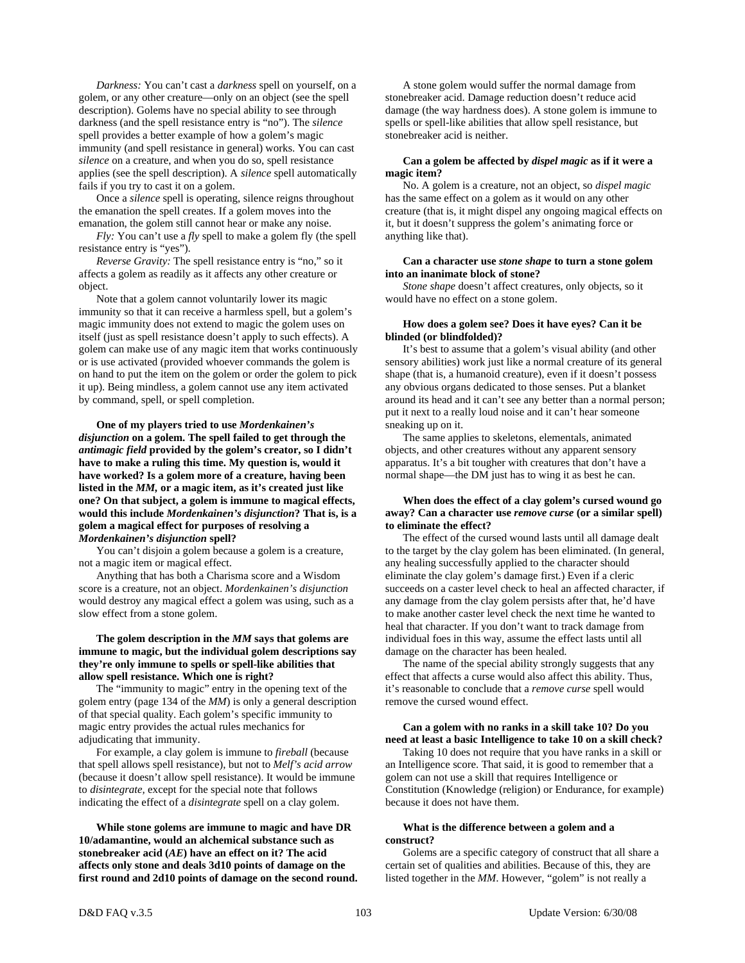*Darkness:* You can't cast a *darkness* spell on yourself, on a golem, or any other creature—only on an object (see the spell description). Golems have no special ability to see through darkness (and the spell resistance entry is "no"). The *silence* spell provides a better example of how a golem's magic immunity (and spell resistance in general) works. You can cast *silence* on a creature, and when you do so, spell resistance applies (see the spell description). A *silence* spell automatically fails if you try to cast it on a golem.

 Once a *silence* spell is operating, silence reigns throughout the emanation the spell creates. If a golem moves into the emanation, the golem still cannot hear or make any noise.

 *Fly:* You can't use a *fly* spell to make a golem fly (the spell resistance entry is "yes").

 *Reverse Gravity:* The spell resistance entry is "no," so it affects a golem as readily as it affects any other creature or object.

 Note that a golem cannot voluntarily lower its magic immunity so that it can receive a harmless spell, but a golem's magic immunity does not extend to magic the golem uses on itself (just as spell resistance doesn't apply to such effects). A golem can make use of any magic item that works continuously or is use activated (provided whoever commands the golem is on hand to put the item on the golem or order the golem to pick it up). Being mindless, a golem cannot use any item activated by command, spell, or spell completion.

 **One of my players tried to use** *Mordenkainen's disjunction* **on a golem. The spell failed to get through the**  *antimagic field* **provided by the golem's creator, so I didn't have to make a ruling this time. My question is, would it have worked? Is a golem more of a creature, having been listed in the** *MM,* **or a magic item, as it's created just like one? On that subject, a golem is immune to magical effects, would this include** *Mordenkainen's disjunction***? That is, is a golem a magical effect for purposes of resolving a**  *Mordenkainen's disjunction* **spell?** 

 You can't disjoin a golem because a golem is a creature, not a magic item or magical effect.

 Anything that has both a Charisma score and a Wisdom score is a creature, not an object. *Mordenkainen's disjunction* would destroy any magical effect a golem was using, such as a slow effect from a stone golem.

# **The golem description in the** *MM* **says that golems are immune to magic, but the individual golem descriptions say they're only immune to spells or spell-like abilities that allow spell resistance. Which one is right?**

 The "immunity to magic" entry in the opening text of the golem entry (page 134 of the *MM*) is only a general description of that special quality. Each golem's specific immunity to magic entry provides the actual rules mechanics for adjudicating that immunity.

 For example, a clay golem is immune to *fireball* (because that spell allows spell resistance), but not to *Melf's acid arrow* (because it doesn't allow spell resistance). It would be immune to *disintegrate,* except for the special note that follows indicating the effect of a *disintegrate* spell on a clay golem.

 **While stone golems are immune to magic and have DR 10/adamantine, would an alchemical substance such as stonebreaker acid (***AE***) have an effect on it? The acid affects only stone and deals 3d10 points of damage on the first round and 2d10 points of damage on the second round.** 

 A stone golem would suffer the normal damage from stonebreaker acid. Damage reduction doesn't reduce acid damage (the way hardness does). A stone golem is immune to spells or spell-like abilities that allow spell resistance, but stonebreaker acid is neither.

# **Can a golem be affected by** *dispel magic* **as if it were a magic item?**

 No. A golem is a creature, not an object, so *dispel magic* has the same effect on a golem as it would on any other creature (that is, it might dispel any ongoing magical effects on it, but it doesn't suppress the golem's animating force or anything like that).

### **Can a character use** *stone shape* **to turn a stone golem into an inanimate block of stone?**

 *Stone shape* doesn't affect creatures, only objects, so it would have no effect on a stone golem.

### **How does a golem see? Does it have eyes? Can it be blinded (or blindfolded)?**

 It's best to assume that a golem's visual ability (and other sensory abilities) work just like a normal creature of its general shape (that is, a humanoid creature), even if it doesn't possess any obvious organs dedicated to those senses. Put a blanket around its head and it can't see any better than a normal person; put it next to a really loud noise and it can't hear someone sneaking up on it.

 The same applies to skeletons, elementals, animated objects, and other creatures without any apparent sensory apparatus. It's a bit tougher with creatures that don't have a normal shape—the DM just has to wing it as best he can.

# **When does the effect of a clay golem's cursed wound go away? Can a character use** *remove curse* **(or a similar spell) to eliminate the effect?**

The effect of the cursed wound lasts until all damage dealt to the target by the clay golem has been eliminated. (In general, any healing successfully applied to the character should eliminate the clay golem's damage first.) Even if a cleric succeeds on a caster level check to heal an affected character, if any damage from the clay golem persists after that, he'd have to make another caster level check the next time he wanted to heal that character. If you don't want to track damage from individual foes in this way, assume the effect lasts until all damage on the character has been healed.

 The name of the special ability strongly suggests that any effect that affects a curse would also affect this ability. Thus, it's reasonable to conclude that a *remove curse* spell would remove the cursed wound effect.

# **Can a golem with no ranks in a skill take 10? Do you need at least a basic Intelligence to take 10 on a skill check?**

Taking 10 does not require that you have ranks in a skill or an Intelligence score. That said, it is good to remember that a golem can not use a skill that requires Intelligence or Constitution (Knowledge (religion) or Endurance, for example) because it does not have them.

# **What is the difference between a golem and a construct?**

Golems are a specific category of construct that all share a certain set of qualities and abilities. Because of this, they are listed together in the *MM*. However, "golem" is not really a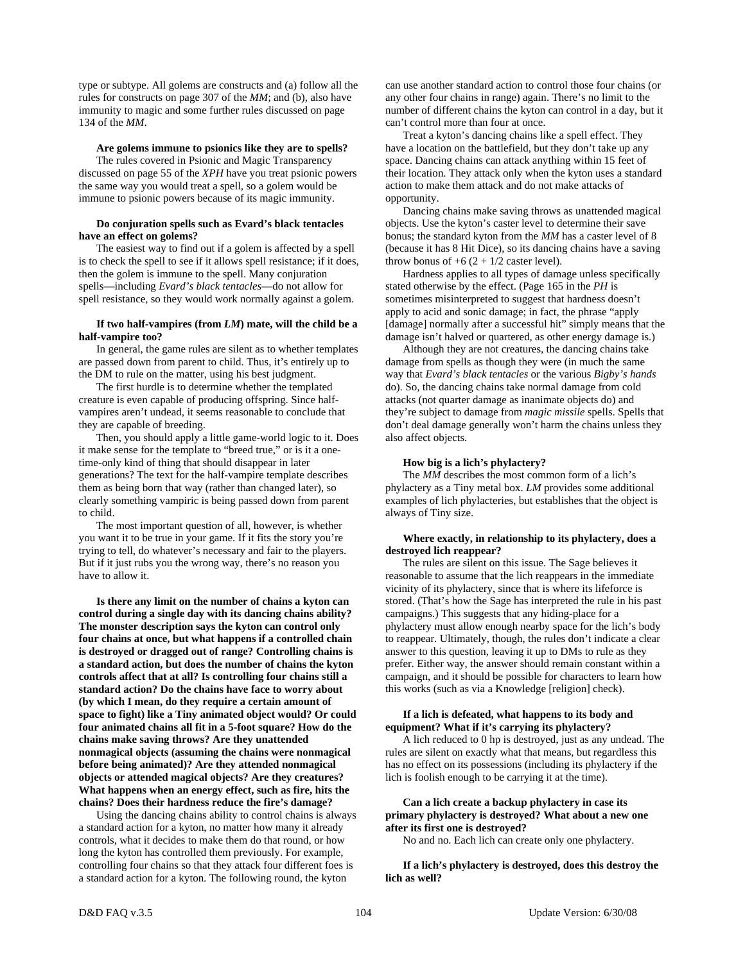type or subtype. All golems are constructs and (a) follow all the rules for constructs on page 307 of the *MM*; and (b), also have immunity to magic and some further rules discussed on page 134 of the *MM*.

# **Are golems immune to psionics like they are to spells?**

The rules covered in Psionic and Magic Transparency discussed on page 55 of the *XPH* have you treat psionic powers the same way you would treat a spell, so a golem would be immune to psionic powers because of its magic immunity.

### **Do conjuration spells such as Evard's black tentacles have an effect on golems?**

The easiest way to find out if a golem is affected by a spell is to check the spell to see if it allows spell resistance; if it does, then the golem is immune to the spell. Many conjuration spells—including *Evard's black tentacles*—do not allow for spell resistance, so they would work normally against a golem.

# **If two half-vampires (from** *LM***) mate, will the child be a half-vampire too?**

 In general, the game rules are silent as to whether templates are passed down from parent to child. Thus, it's entirely up to the DM to rule on the matter, using his best judgment.

 The first hurdle is to determine whether the templated creature is even capable of producing offspring. Since halfvampires aren't undead, it seems reasonable to conclude that they are capable of breeding.

 Then, you should apply a little game-world logic to it. Does it make sense for the template to "breed true," or is it a onetime-only kind of thing that should disappear in later generations? The text for the half-vampire template describes them as being born that way (rather than changed later), so clearly something vampiric is being passed down from parent to child.

 The most important question of all, however, is whether you want it to be true in your game. If it fits the story you're trying to tell, do whatever's necessary and fair to the players. But if it just rubs you the wrong way, there's no reason you have to allow it.

 **Is there any limit on the number of chains a kyton can control during a single day with its dancing chains ability? The monster description says the kyton can control only four chains at once, but what happens if a controlled chain is destroyed or dragged out of range? Controlling chains is a standard action, but does the number of chains the kyton controls affect that at all? Is controlling four chains still a standard action? Do the chains have face to worry about (by which I mean, do they require a certain amount of space to fight) like a Tiny animated object would? Or could four animated chains all fit in a 5-foot square? How do the chains make saving throws? Are they unattended nonmagical objects (assuming the chains were nonmagical before being animated)? Are they attended nonmagical objects or attended magical objects? Are they creatures? What happens when an energy effect, such as fire, hits the chains? Does their hardness reduce the fire's damage?** 

 Using the dancing chains ability to control chains is always a standard action for a kyton, no matter how many it already controls, what it decides to make them do that round, or how long the kyton has controlled them previously. For example, controlling four chains so that they attack four different foes is a standard action for a kyton. The following round, the kyton

can use another standard action to control those four chains (or any other four chains in range) again. There's no limit to the number of different chains the kyton can control in a day, but it can't control more than four at once.

 Treat a kyton's dancing chains like a spell effect. They have a location on the battlefield, but they don't take up any space. Dancing chains can attack anything within 15 feet of their location. They attack only when the kyton uses a standard action to make them attack and do not make attacks of opportunity.

 Dancing chains make saving throws as unattended magical objects. Use the kyton's caster level to determine their save bonus; the standard kyton from the *MM* has a caster level of 8 (because it has 8 Hit Dice), so its dancing chains have a saving throw bonus of  $+6$  (2 + 1/2 caster level).

 Hardness applies to all types of damage unless specifically stated otherwise by the effect. (Page 165 in the *PH* is sometimes misinterpreted to suggest that hardness doesn't apply to acid and sonic damage; in fact, the phrase "apply [damage] normally after a successful hit" simply means that the damage isn't halved or quartered, as other energy damage is.)

 Although they are not creatures, the dancing chains take damage from spells as though they were (in much the same way that *Evard's black tentacles* or the various *Bigby's hands* do). So, the dancing chains take normal damage from cold attacks (not quarter damage as inanimate objects do) and they're subject to damage from *magic missile* spells. Spells that don't deal damage generally won't harm the chains unless they also affect objects.

# **How big is a lich's phylactery?**

 The *MM* describes the most common form of a lich's phylactery as a Tiny metal box. *LM* provides some additional examples of lich phylacteries, but establishes that the object is always of Tiny size.

# **Where exactly, in relationship to its phylactery, does a destroyed lich reappear?**

 The rules are silent on this issue. The Sage believes it reasonable to assume that the lich reappears in the immediate vicinity of its phylactery, since that is where its lifeforce is stored. (That's how the Sage has interpreted the rule in his past campaigns.) This suggests that any hiding-place for a phylactery must allow enough nearby space for the lich's body to reappear. Ultimately, though, the rules don't indicate a clear answer to this question, leaving it up to DMs to rule as they prefer. Either way, the answer should remain constant within a campaign, and it should be possible for characters to learn how this works (such as via a Knowledge [religion] check).

# **If a lich is defeated, what happens to its body and equipment? What if it's carrying its phylactery?**

 A lich reduced to 0 hp is destroyed, just as any undead. The rules are silent on exactly what that means, but regardless this has no effect on its possessions (including its phylactery if the lich is foolish enough to be carrying it at the time).

# **Can a lich create a backup phylactery in case its primary phylactery is destroyed? What about a new one after its first one is destroyed?**

No and no. Each lich can create only one phylactery.

 **If a lich's phylactery is destroyed, does this destroy the lich as well?**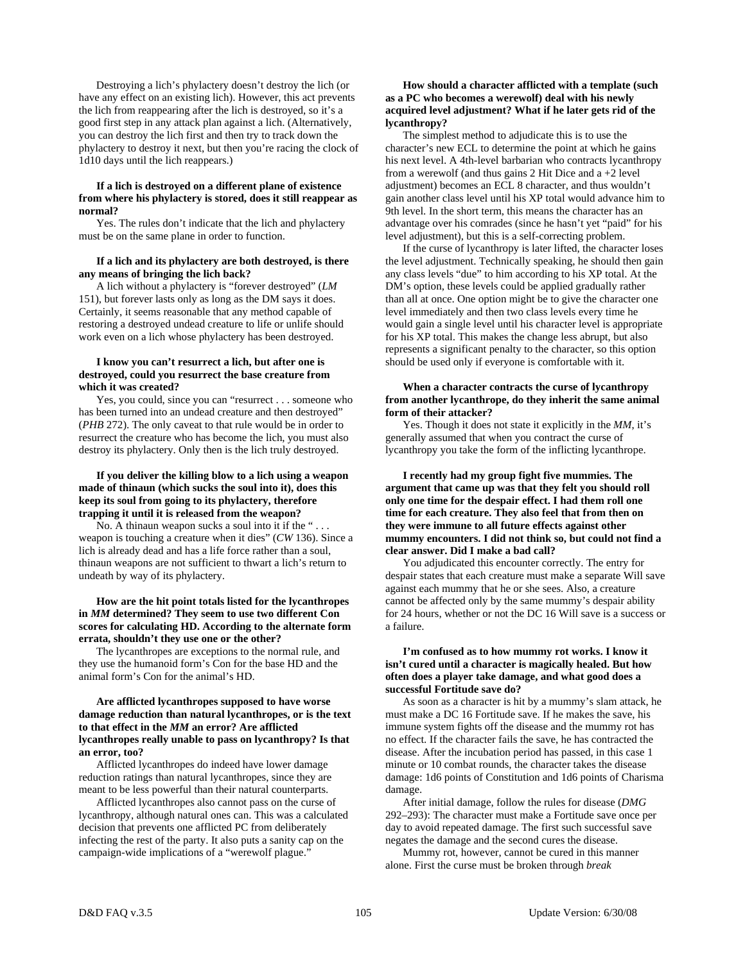Destroying a lich's phylactery doesn't destroy the lich (or have any effect on an existing lich). However, this act prevents the lich from reappearing after the lich is destroyed, so it's a good first step in any attack plan against a lich. (Alternatively, you can destroy the lich first and then try to track down the phylactery to destroy it next, but then you're racing the clock of 1d10 days until the lich reappears.)

# **If a lich is destroyed on a different plane of existence from where his phylactery is stored, does it still reappear as normal?**

 Yes. The rules don't indicate that the lich and phylactery must be on the same plane in order to function.

# **If a lich and its phylactery are both destroyed, is there any means of bringing the lich back?**

 A lich without a phylactery is "forever destroyed" (*LM* 151), but forever lasts only as long as the DM says it does. Certainly, it seems reasonable that any method capable of restoring a destroyed undead creature to life or unlife should work even on a lich whose phylactery has been destroyed.

# **I know you can't resurrect a lich, but after one is destroyed, could you resurrect the base creature from which it was created?**

Yes, you could, since you can "resurrect . . . someone who has been turned into an undead creature and then destroyed" (*PHB* 272). The only caveat to that rule would be in order to resurrect the creature who has become the lich, you must also destroy its phylactery. Only then is the lich truly destroyed.

# **If you deliver the killing blow to a lich using a weapon made of thinaun (which sucks the soul into it), does this keep its soul from going to its phylactery, therefore trapping it until it is released from the weapon?**

 No. A thinaun weapon sucks a soul into it if the " . . . weapon is touching a creature when it dies" (*CW* 136). Since a lich is already dead and has a life force rather than a soul, thinaun weapons are not sufficient to thwart a lich's return to undeath by way of its phylactery.

# **How are the hit point totals listed for the lycanthropes in** *MM* **determined? They seem to use two different Con scores for calculating HD. According to the alternate form errata, shouldn't they use one or the other?**

 The lycanthropes are exceptions to the normal rule, and they use the humanoid form's Con for the base HD and the animal form's Con for the animal's HD.

# **Are afflicted lycanthropes supposed to have worse damage reduction than natural lycanthropes, or is the text to that effect in the** *MM* **an error? Are afflicted lycanthropes really unable to pass on lycanthropy? Is that an error, too?**

 Afflicted lycanthropes do indeed have lower damage reduction ratings than natural lycanthropes, since they are meant to be less powerful than their natural counterparts.

 Afflicted lycanthropes also cannot pass on the curse of lycanthropy, although natural ones can. This was a calculated decision that prevents one afflicted PC from deliberately infecting the rest of the party. It also puts a sanity cap on the campaign-wide implications of a "werewolf plague."

# **How should a character afflicted with a template (such as a PC who becomes a werewolf) deal with his newly acquired level adjustment? What if he later gets rid of the lycanthropy?**

 The simplest method to adjudicate this is to use the character's new ECL to determine the point at which he gains his next level. A 4th-level barbarian who contracts lycanthropy from a werewolf (and thus gains 2 Hit Dice and a +2 level adjustment) becomes an ECL 8 character, and thus wouldn't gain another class level until his XP total would advance him to 9th level. In the short term, this means the character has an advantage over his comrades (since he hasn't yet "paid" for his level adjustment), but this is a self-correcting problem.

 If the curse of lycanthropy is later lifted, the character loses the level adjustment. Technically speaking, he should then gain any class levels "due" to him according to his XP total. At the DM's option, these levels could be applied gradually rather than all at once. One option might be to give the character one level immediately and then two class levels every time he would gain a single level until his character level is appropriate for his XP total. This makes the change less abrupt, but also represents a significant penalty to the character, so this option should be used only if everyone is comfortable with it.

# **When a character contracts the curse of lycanthropy from another lycanthrope, do they inherit the same animal form of their attacker?**

 Yes. Though it does not state it explicitly in the *MM*, it's generally assumed that when you contract the curse of lycanthropy you take the form of the inflicting lycanthrope.

# **I recently had my group fight five mummies. The argument that came up was that they felt you should roll only one time for the despair effect. I had them roll one time for each creature. They also feel that from then on they were immune to all future effects against other mummy encounters. I did not think so, but could not find a clear answer. Did I make a bad call?**

You adjudicated this encounter correctly. The entry for despair states that each creature must make a separate Will save against each mummy that he or she sees. Also, a creature cannot be affected only by the same mummy's despair ability for 24 hours, whether or not the DC 16 Will save is a success or a failure.

# **I'm confused as to how mummy rot works. I know it isn't cured until a character is magically healed. But how often does a player take damage, and what good does a successful Fortitude save do?**

As soon as a character is hit by a mummy's slam attack, he must make a DC 16 Fortitude save. If he makes the save, his immune system fights off the disease and the mummy rot has no effect. If the character fails the save, he has contracted the disease. After the incubation period has passed, in this case 1 minute or 10 combat rounds, the character takes the disease damage: 1d6 points of Constitution and 1d6 points of Charisma damage.

After initial damage, follow the rules for disease (*DMG* 292–293): The character must make a Fortitude save once per day to avoid repeated damage. The first such successful save negates the damage and the second cures the disease.

Mummy rot, however, cannot be cured in this manner alone. First the curse must be broken through *break*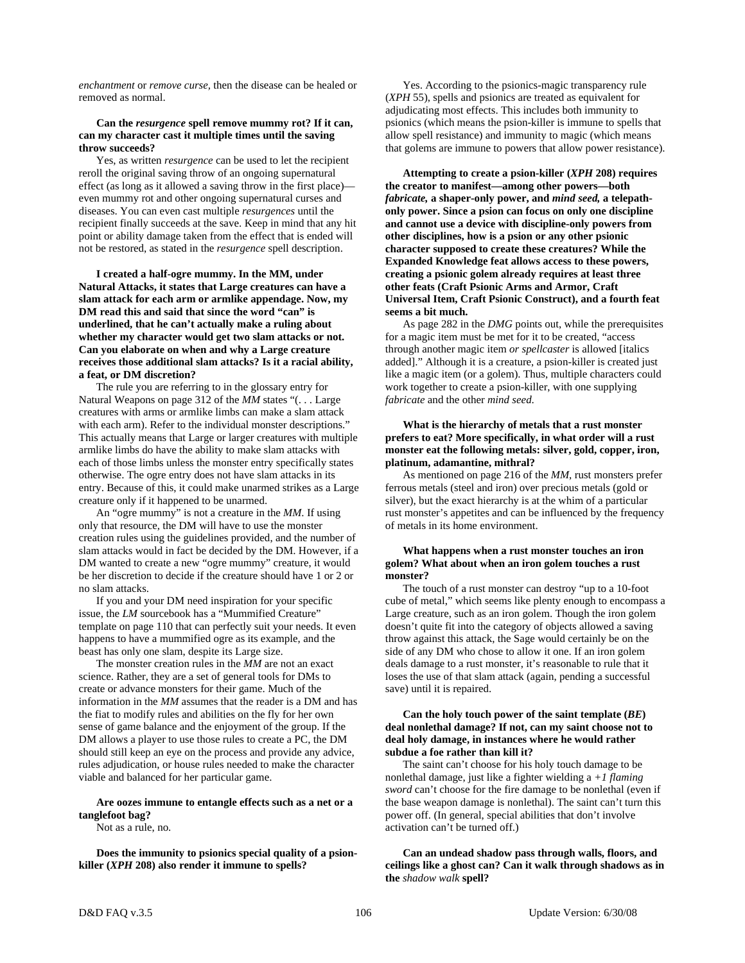*enchantment* or *remove curse,* then the disease can be healed or removed as normal.

# **Can the** *resurgence* **spell remove mummy rot? If it can, can my character cast it multiple times until the saving throw succeeds?**

Yes, as written *resurgence* can be used to let the recipient reroll the original saving throw of an ongoing supernatural effect (as long as it allowed a saving throw in the first place) even mummy rot and other ongoing supernatural curses and diseases. You can even cast multiple *resurgences* until the recipient finally succeeds at the save. Keep in mind that any hit point or ability damage taken from the effect that is ended will not be restored, as stated in the *resurgence* spell description.

**I created a half-ogre mummy. In the MM, under Natural Attacks, it states that Large creatures can have a slam attack for each arm or armlike appendage. Now, my DM read this and said that since the word "can" is underlined, that he can't actually make a ruling about whether my character would get two slam attacks or not. Can you elaborate on when and why a Large creature receives those additional slam attacks? Is it a racial ability, a feat, or DM discretion?** 

The rule you are referring to in the glossary entry for Natural Weapons on page 312 of the *MM* states "(. . . Large creatures with arms or armlike limbs can make a slam attack with each arm). Refer to the individual monster descriptions." This actually means that Large or larger creatures with multiple armlike limbs do have the ability to make slam attacks with each of those limbs unless the monster entry specifically states otherwise. The ogre entry does not have slam attacks in its entry. Because of this, it could make unarmed strikes as a Large creature only if it happened to be unarmed.

An "ogre mummy" is not a creature in the *MM*. If using only that resource, the DM will have to use the monster creation rules using the guidelines provided, and the number of slam attacks would in fact be decided by the DM. However, if a DM wanted to create a new "ogre mummy" creature, it would be her discretion to decide if the creature should have 1 or 2 or no slam attacks.

If you and your DM need inspiration for your specific issue, the *LM* sourcebook has a "Mummified Creature" template on page 110 that can perfectly suit your needs. It even happens to have a mummified ogre as its example, and the beast has only one slam, despite its Large size.

The monster creation rules in the *MM* are not an exact science. Rather, they are a set of general tools for DMs to create or advance monsters for their game. Much of the information in the *MM* assumes that the reader is a DM and has the fiat to modify rules and abilities on the fly for her own sense of game balance and the enjoyment of the group. If the DM allows a player to use those rules to create a PC, the DM should still keep an eye on the process and provide any advice, rules adjudication, or house rules needed to make the character viable and balanced for her particular game.

# **Are oozes immune to entangle effects such as a net or a tanglefoot bag?**

Not as a rule, no.

 **Does the immunity to psionics special quality of a psionkiller (***XPH* **208) also render it immune to spells?** 

 Yes. According to the psionics-magic transparency rule (*XPH* 55), spells and psionics are treated as equivalent for adjudicating most effects. This includes both immunity to psionics (which means the psion-killer is immune to spells that allow spell resistance) and immunity to magic (which means that golems are immune to powers that allow power resistance).

 **Attempting to create a psion-killer (***XPH* **208) requires the creator to manifest—among other powers—both**  *fabricate,* **a shaper-only power, and** *mind seed,* **a telepathonly power. Since a psion can focus on only one discipline and cannot use a device with discipline-only powers from other disciplines, how is a psion or any other psionic character supposed to create these creatures? While the Expanded Knowledge feat allows access to these powers, creating a psionic golem already requires at least three other feats (Craft Psionic Arms and Armor, Craft Universal Item, Craft Psionic Construct), and a fourth feat seems a bit much.** 

 As page 282 in the *DMG* points out, while the prerequisites for a magic item must be met for it to be created, "access through another magic item *or spellcaster* is allowed [italics added]." Although it is a creature, a psion-killer is created just like a magic item (or a golem). Thus, multiple characters could work together to create a psion-killer, with one supplying *fabricate* and the other *mind seed*.

# **What is the hierarchy of metals that a rust monster prefers to eat? More specifically, in what order will a rust monster eat the following metals: silver, gold, copper, iron, platinum, adamantine, mithral?**

 As mentioned on page 216 of the *MM*, rust monsters prefer ferrous metals (steel and iron) over precious metals (gold or silver), but the exact hierarchy is at the whim of a particular rust monster's appetites and can be influenced by the frequency of metals in its home environment.

# **What happens when a rust monster touches an iron golem? What about when an iron golem touches a rust monster?**

 The touch of a rust monster can destroy "up to a 10-foot cube of metal," which seems like plenty enough to encompass a Large creature, such as an iron golem. Though the iron golem doesn't quite fit into the category of objects allowed a saving throw against this attack, the Sage would certainly be on the side of any DM who chose to allow it one. If an iron golem deals damage to a rust monster, it's reasonable to rule that it loses the use of that slam attack (again, pending a successful save) until it is repaired.

# **Can the holy touch power of the saint template (***BE***) deal nonlethal damage? If not, can my saint choose not to deal holy damage, in instances where he would rather subdue a foe rather than kill it?**

 The saint can't choose for his holy touch damage to be nonlethal damage, just like a fighter wielding a *+1 flaming sword* can't choose for the fire damage to be nonlethal (even if the base weapon damage is nonlethal). The saint can't turn this power off. (In general, special abilities that don't involve activation can't be turned off.)

 **Can an undead shadow pass through walls, floors, and ceilings like a ghost can? Can it walk through shadows as in the** *shadow walk* **spell?**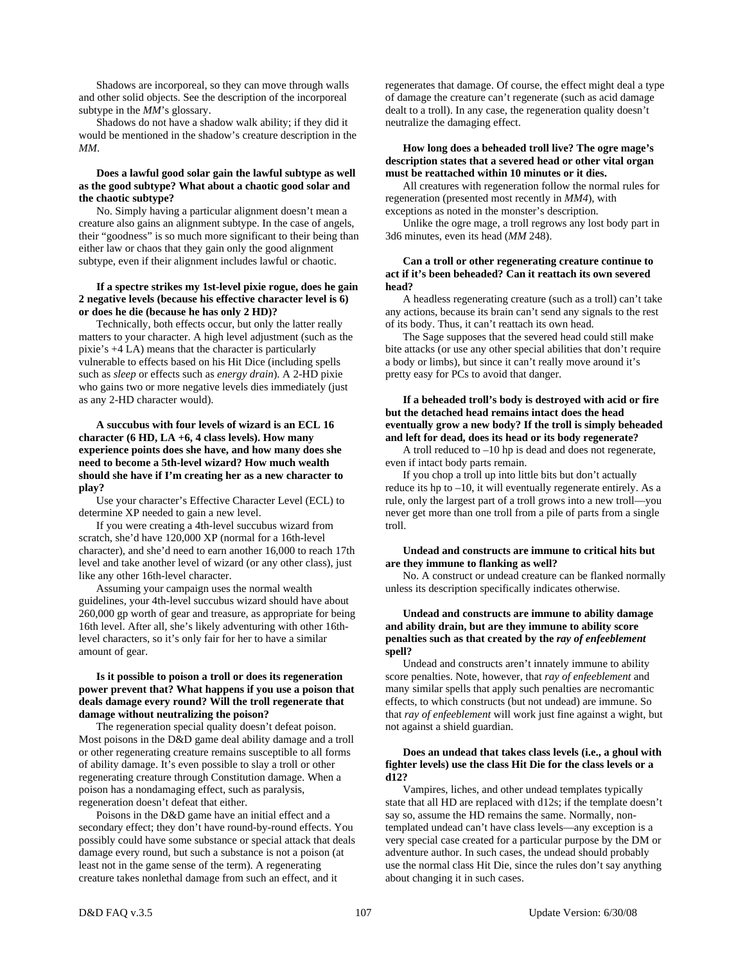Shadows are incorporeal, so they can move through walls and other solid objects. See the description of the incorporeal subtype in the *MM*'s glossary.

 Shadows do not have a shadow walk ability; if they did it would be mentioned in the shadow's creature description in the *MM*.

# **Does a lawful good solar gain the lawful subtype as well as the good subtype? What about a chaotic good solar and the chaotic subtype?**

 No. Simply having a particular alignment doesn't mean a creature also gains an alignment subtype. In the case of angels, their "goodness" is so much more significant to their being than either law or chaos that they gain only the good alignment subtype, even if their alignment includes lawful or chaotic.

# **If a spectre strikes my 1st-level pixie rogue, does he gain 2 negative levels (because his effective character level is 6) or does he die (because he has only 2 HD)?**

 Technically, both effects occur, but only the latter really matters to your character. A high level adjustment (such as the pixie's +4 LA) means that the character is particularly vulnerable to effects based on his Hit Dice (including spells such as *sleep* or effects such as *energy drain*). A 2-HD pixie who gains two or more negative levels dies immediately (just as any 2-HD character would).

 **A succubus with four levels of wizard is an ECL 16 character (6 HD, LA +6, 4 class levels). How many experience points does she have, and how many does she need to become a 5th-level wizard? How much wealth should she have if I'm creating her as a new character to play?** 

 Use your character's Effective Character Level (ECL) to determine XP needed to gain a new level.

 If you were creating a 4th-level succubus wizard from scratch, she'd have 120,000 XP (normal for a 16th-level character), and she'd need to earn another 16,000 to reach 17th level and take another level of wizard (or any other class), just like any other 16th-level character.

 Assuming your campaign uses the normal wealth guidelines, your 4th-level succubus wizard should have about 260,000 gp worth of gear and treasure, as appropriate for being 16th level. After all, she's likely adventuring with other 16thlevel characters, so it's only fair for her to have a similar amount of gear.

# **Is it possible to poison a troll or does its regeneration power prevent that? What happens if you use a poison that deals damage every round? Will the troll regenerate that damage without neutralizing the poison?**

 The regeneration special quality doesn't defeat poison. Most poisons in the D&D game deal ability damage and a troll or other regenerating creature remains susceptible to all forms of ability damage. It's even possible to slay a troll or other regenerating creature through Constitution damage. When a poison has a nondamaging effect, such as paralysis, regeneration doesn't defeat that either.

 Poisons in the D&D game have an initial effect and a secondary effect; they don't have round-by-round effects. You possibly could have some substance or special attack that deals damage every round, but such a substance is not a poison (at least not in the game sense of the term). A regenerating creature takes nonlethal damage from such an effect, and it

regenerates that damage. Of course, the effect might deal a type of damage the creature can't regenerate (such as acid damage dealt to a troll). In any case, the regeneration quality doesn't neutralize the damaging effect.

# **How long does a beheaded troll live? The ogre mage's description states that a severed head or other vital organ must be reattached within 10 minutes or it dies.**

 All creatures with regeneration follow the normal rules for regeneration (presented most recently in *MM4*), with exceptions as noted in the monster's description.

 Unlike the ogre mage, a troll regrows any lost body part in 3d6 minutes, even its head (*MM* 248).

### **Can a troll or other regenerating creature continue to act if it's been beheaded? Can it reattach its own severed head?**

 A headless regenerating creature (such as a troll) can't take any actions, because its brain can't send any signals to the rest of its body. Thus, it can't reattach its own head.

 The Sage supposes that the severed head could still make bite attacks (or use any other special abilities that don't require a body or limbs), but since it can't really move around it's pretty easy for PCs to avoid that danger.

# **If a beheaded troll's body is destroyed with acid or fire but the detached head remains intact does the head eventually grow a new body? If the troll is simply beheaded and left for dead, does its head or its body regenerate?**

 A troll reduced to –10 hp is dead and does not regenerate, even if intact body parts remain.

 If you chop a troll up into little bits but don't actually reduce its hp to –10, it will eventually regenerate entirely. As a rule, only the largest part of a troll grows into a new troll—you never get more than one troll from a pile of parts from a single troll.

# **Undead and constructs are immune to critical hits but are they immune to flanking as well?**

 No. A construct or undead creature can be flanked normally unless its description specifically indicates otherwise.

# **Undead and constructs are immune to ability damage and ability drain, but are they immune to ability score penalties such as that created by the** *ray of enfeeblement* **spell?**

 Undead and constructs aren't innately immune to ability score penalties. Note, however, that *ray of enfeeblement* and many similar spells that apply such penalties are necromantic effects, to which constructs (but not undead) are immune. So that *ray of enfeeblement* will work just fine against a wight, but not against a shield guardian.

# **Does an undead that takes class levels (i.e., a ghoul with fighter levels) use the class Hit Die for the class levels or a d12?**

 Vampires, liches, and other undead templates typically state that all HD are replaced with d12s; if the template doesn't say so, assume the HD remains the same. Normally, nontemplated undead can't have class levels—any exception is a very special case created for a particular purpose by the DM or adventure author. In such cases, the undead should probably use the normal class Hit Die, since the rules don't say anything about changing it in such cases.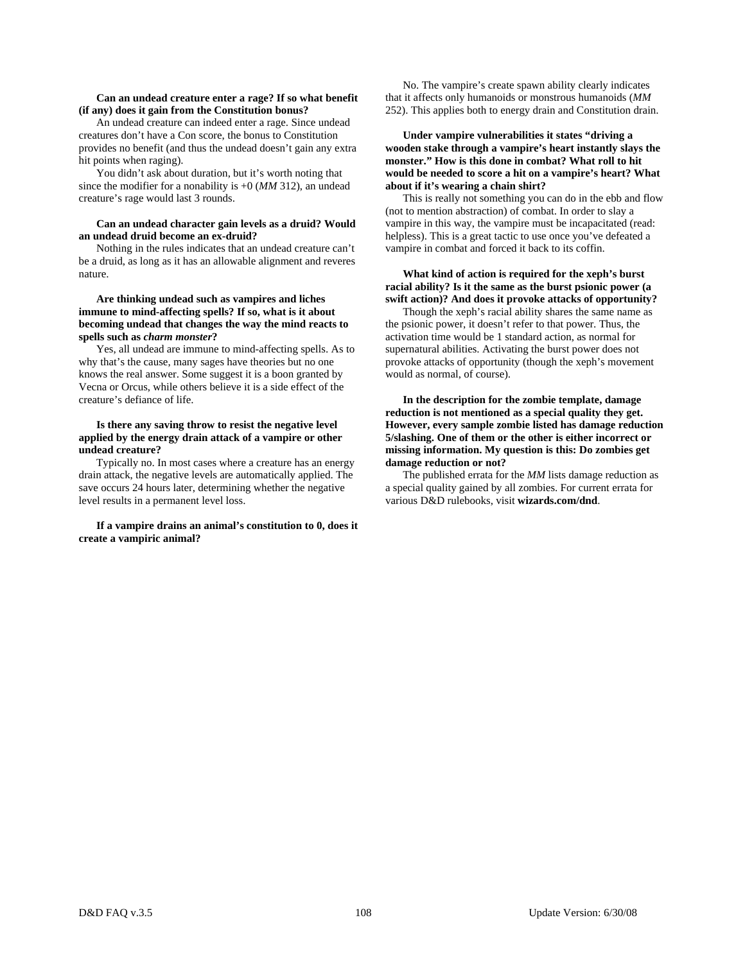# **Can an undead creature enter a rage? If so what benefit (if any) does it gain from the Constitution bonus?**

 An undead creature can indeed enter a rage. Since undead creatures don't have a Con score, the bonus to Constitution provides no benefit (and thus the undead doesn't gain any extra hit points when raging).

 You didn't ask about duration, but it's worth noting that since the modifier for a nonability is +0 (*MM* 312), an undead creature's rage would last 3 rounds.

# **Can an undead character gain levels as a druid? Would an undead druid become an ex-druid?**

 Nothing in the rules indicates that an undead creature can't be a druid, as long as it has an allowable alignment and reveres nature.

# **Are thinking undead such as vampires and liches immune to mind-affecting spells? If so, what is it about becoming undead that changes the way the mind reacts to spells such as** *charm monster***?**

 Yes, all undead are immune to mind-affecting spells. As to why that's the cause, many sages have theories but no one knows the real answer. Some suggest it is a boon granted by Vecna or Orcus, while others believe it is a side effect of the creature's defiance of life.

# **Is there any saving throw to resist the negative level applied by the energy drain attack of a vampire or other undead creature?**

 Typically no. In most cases where a creature has an energy drain attack, the negative levels are automatically applied. The save occurs 24 hours later, determining whether the negative level results in a permanent level loss.

# **If a vampire drains an animal's constitution to 0, does it create a vampiric animal?**

 No. The vampire's create spawn ability clearly indicates that it affects only humanoids or monstrous humanoids (*MM* 252). This applies both to energy drain and Constitution drain.

# **Under vampire vulnerabilities it states "driving a wooden stake through a vampire's heart instantly slays the monster." How is this done in combat? What roll to hit would be needed to score a hit on a vampire's heart? What about if it's wearing a chain shirt?**

 This is really not something you can do in the ebb and flow (not to mention abstraction) of combat. In order to slay a vampire in this way, the vampire must be incapacitated (read: helpless). This is a great tactic to use once you've defeated a vampire in combat and forced it back to its coffin.

# **What kind of action is required for the xeph's burst racial ability? Is it the same as the burst psionic power (a swift action)? And does it provoke attacks of opportunity?**

 Though the xeph's racial ability shares the same name as the psionic power, it doesn't refer to that power. Thus, the activation time would be 1 standard action, as normal for supernatural abilities. Activating the burst power does not provoke attacks of opportunity (though the xeph's movement would as normal, of course).

 **In the description for the zombie template, damage reduction is not mentioned as a special quality they get. However, every sample zombie listed has damage reduction 5/slashing. One of them or the other is either incorrect or missing information. My question is this: Do zombies get damage reduction or not?** 

 The published errata for the *MM* lists damage reduction as a special quality gained by all zombies. For current errata for various D&D rulebooks, visit **wizards.com/dnd**.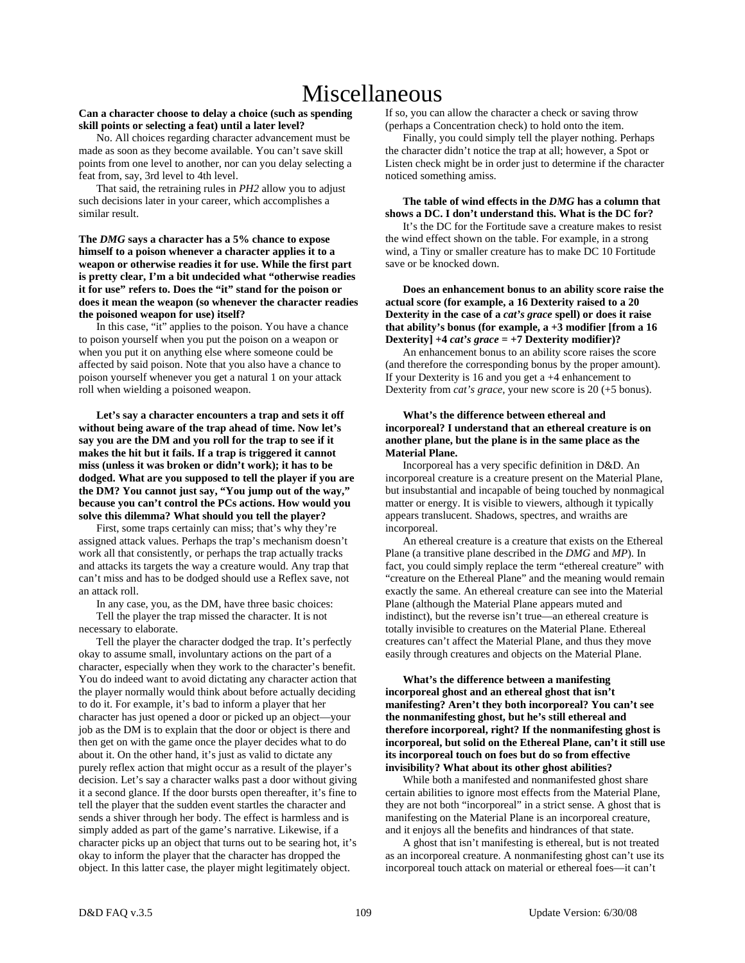# Miscellaneous

# **Can a character choose to delay a choice (such as spending skill points or selecting a feat) until a later level?**

 No. All choices regarding character advancement must be made as soon as they become available. You can't save skill points from one level to another, nor can you delay selecting a feat from, say, 3rd level to 4th level.

 That said, the retraining rules in *PH2* allow you to adjust such decisions later in your career, which accomplishes a similar result.

**The** *DMG* **says a character has a 5% chance to expose himself to a poison whenever a character applies it to a weapon or otherwise readies it for use. While the first part is pretty clear, I'm a bit undecided what "otherwise readies it for use" refers to. Does the "it" stand for the poison or does it mean the weapon (so whenever the character readies the poisoned weapon for use) itself?** 

 In this case, "it" applies to the poison. You have a chance to poison yourself when you put the poison on a weapon or when you put it on anything else where someone could be affected by said poison. Note that you also have a chance to poison yourself whenever you get a natural 1 on your attack roll when wielding a poisoned weapon.

 **Let's say a character encounters a trap and sets it off without being aware of the trap ahead of time. Now let's say you are the DM and you roll for the trap to see if it makes the hit but it fails. If a trap is triggered it cannot miss (unless it was broken or didn't work); it has to be dodged. What are you supposed to tell the player if you are the DM? You cannot just say, "You jump out of the way," because you can't control the PCs actions. How would you solve this dilemma? What should you tell the player?** 

 First, some traps certainly can miss; that's why they're assigned attack values. Perhaps the trap's mechanism doesn't work all that consistently, or perhaps the trap actually tracks and attacks its targets the way a creature would. Any trap that can't miss and has to be dodged should use a Reflex save, not an attack roll.

 In any case, you, as the DM, have three basic choices: Tell the player the trap missed the character. It is not necessary to elaborate.

 Tell the player the character dodged the trap. It's perfectly okay to assume small, involuntary actions on the part of a character, especially when they work to the character's benefit. You do indeed want to avoid dictating any character action that the player normally would think about before actually deciding to do it. For example, it's bad to inform a player that her character has just opened a door or picked up an object—your job as the DM is to explain that the door or object is there and then get on with the game once the player decides what to do about it. On the other hand, it's just as valid to dictate any purely reflex action that might occur as a result of the player's decision. Let's say a character walks past a door without giving it a second glance. If the door bursts open thereafter, it's fine to tell the player that the sudden event startles the character and sends a shiver through her body. The effect is harmless and is simply added as part of the game's narrative. Likewise, if a character picks up an object that turns out to be searing hot, it's okay to inform the player that the character has dropped the object. In this latter case, the player might legitimately object.

If so, you can allow the character a check or saving throw (perhaps a Concentration check) to hold onto the item.

 Finally, you could simply tell the player nothing. Perhaps the character didn't notice the trap at all; however, a Spot or Listen check might be in order just to determine if the character noticed something amiss.

#### **The table of wind effects in the** *DMG* **has a column that shows a DC. I don't understand this. What is the DC for?**

 It's the DC for the Fortitude save a creature makes to resist the wind effect shown on the table. For example, in a strong wind, a Tiny or smaller creature has to make DC 10 Fortitude save or be knocked down.

 **Does an enhancement bonus to an ability score raise the actual score (for example, a 16 Dexterity raised to a 20 Dexterity in the case of a** *cat's grace* **spell) or does it raise that ability's bonus (for example, a +3 modifier [from a 16 Dexterity] +4** *cat's grace* **= +7 Dexterity modifier)?** 

 An enhancement bonus to an ability score raises the score (and therefore the corresponding bonus by the proper amount). If your Dexterity is 16 and you get a +4 enhancement to Dexterity from *cat's grace,* your new score is 20 (+5 bonus).

# **What's the difference between ethereal and incorporeal? I understand that an ethereal creature is on another plane, but the plane is in the same place as the Material Plane.**

 Incorporeal has a very specific definition in D&D. An incorporeal creature is a creature present on the Material Plane, but insubstantial and incapable of being touched by nonmagical matter or energy. It is visible to viewers, although it typically appears translucent. Shadows, spectres, and wraiths are *incorporeal* 

 An ethereal creature is a creature that exists on the Ethereal Plane (a transitive plane described in the *DMG* and *MP*). In fact, you could simply replace the term "ethereal creature" with "creature on the Ethereal Plane" and the meaning would remain exactly the same. An ethereal creature can see into the Material Plane (although the Material Plane appears muted and indistinct), but the reverse isn't true—an ethereal creature is totally invisible to creatures on the Material Plane. Ethereal creatures can't affect the Material Plane, and thus they move easily through creatures and objects on the Material Plane.

## **What's the difference between a manifesting incorporeal ghost and an ethereal ghost that isn't manifesting? Aren't they both incorporeal? You can't see the nonmanifesting ghost, but he's still ethereal and therefore incorporeal, right? If the nonmanifesting ghost is incorporeal, but solid on the Ethereal Plane, can't it still use its incorporeal touch on foes but do so from effective invisibility? What about its other ghost abilities?**

 While both a manifested and nonmanifested ghost share certain abilities to ignore most effects from the Material Plane, they are not both "incorporeal" in a strict sense. A ghost that is manifesting on the Material Plane is an incorporeal creature, and it enjoys all the benefits and hindrances of that state.

 A ghost that isn't manifesting is ethereal, but is not treated as an incorporeal creature. A nonmanifesting ghost can't use its incorporeal touch attack on material or ethereal foes—it can't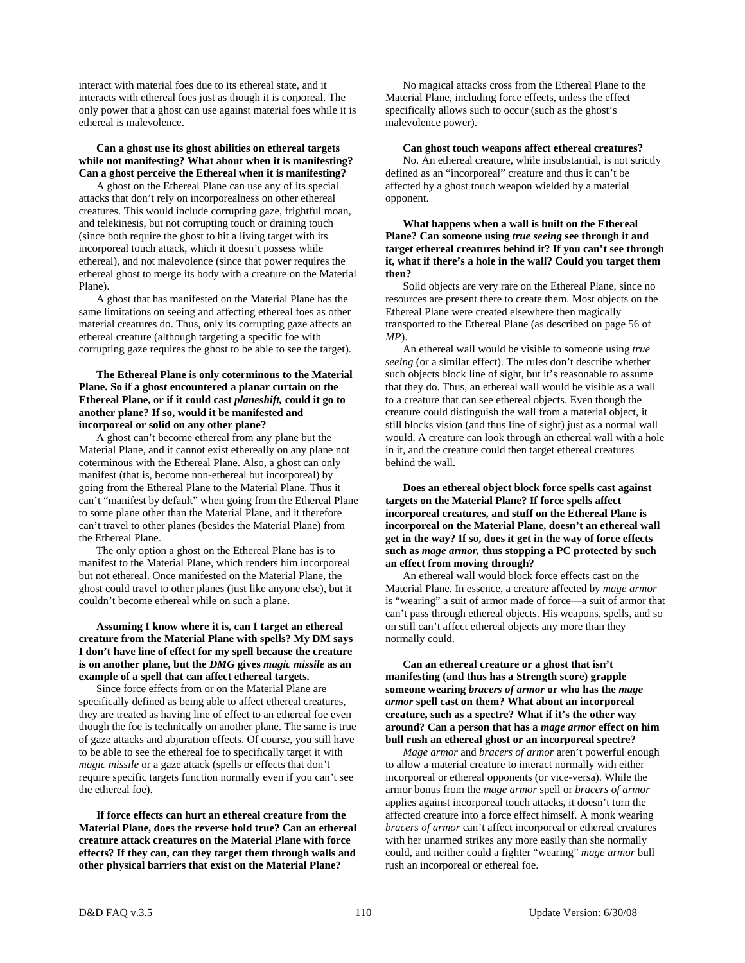interact with material foes due to its ethereal state, and it interacts with ethereal foes just as though it is corporeal. The only power that a ghost can use against material foes while it is ethereal is malevolence.

# **Can a ghost use its ghost abilities on ethereal targets while not manifesting? What about when it is manifesting? Can a ghost perceive the Ethereal when it is manifesting?**

 A ghost on the Ethereal Plane can use any of its special attacks that don't rely on incorporealness on other ethereal creatures. This would include corrupting gaze, frightful moan, and telekinesis, but not corrupting touch or draining touch (since both require the ghost to hit a living target with its incorporeal touch attack, which it doesn't possess while ethereal), and not malevolence (since that power requires the ethereal ghost to merge its body with a creature on the Material Plane).

 A ghost that has manifested on the Material Plane has the same limitations on seeing and affecting ethereal foes as other material creatures do. Thus, only its corrupting gaze affects an ethereal creature (although targeting a specific foe with corrupting gaze requires the ghost to be able to see the target).

## **The Ethereal Plane is only coterminous to the Material Plane. So if a ghost encountered a planar curtain on the Ethereal Plane, or if it could cast** *planeshift,* **could it go to another plane? If so, would it be manifested and incorporeal or solid on any other plane?**

 A ghost can't become ethereal from any plane but the Material Plane, and it cannot exist ethereally on any plane not coterminous with the Ethereal Plane. Also, a ghost can only manifest (that is, become non-ethereal but incorporeal) by going from the Ethereal Plane to the Material Plane. Thus it can't "manifest by default" when going from the Ethereal Plane to some plane other than the Material Plane, and it therefore can't travel to other planes (besides the Material Plane) from the Ethereal Plane.

 The only option a ghost on the Ethereal Plane has is to manifest to the Material Plane, which renders him incorporeal but not ethereal. Once manifested on the Material Plane, the ghost could travel to other planes (just like anyone else), but it couldn't become ethereal while on such a plane.

# **Assuming I know where it is, can I target an ethereal creature from the Material Plane with spells? My DM says I don't have line of effect for my spell because the creature is on another plane, but the** *DMG* **gives** *magic missile* **as an example of a spell that can affect ethereal targets.**

 Since force effects from or on the Material Plane are specifically defined as being able to affect ethereal creatures, they are treated as having line of effect to an ethereal foe even though the foe is technically on another plane. The same is true of gaze attacks and abjuration effects. Of course, you still have to be able to see the ethereal foe to specifically target it with *magic missile* or a gaze attack (spells or effects that don't require specific targets function normally even if you can't see the ethereal foe).

 **If force effects can hurt an ethereal creature from the Material Plane, does the reverse hold true? Can an ethereal creature attack creatures on the Material Plane with force effects? If they can, can they target them through walls and other physical barriers that exist on the Material Plane?** 

 No magical attacks cross from the Ethereal Plane to the Material Plane, including force effects, unless the effect specifically allows such to occur (such as the ghost's malevolence power).

# **Can ghost touch weapons affect ethereal creatures?**

 No. An ethereal creature, while insubstantial, is not strictly defined as an "incorporeal" creature and thus it can't be affected by a ghost touch weapon wielded by a material opponent.

## **What happens when a wall is built on the Ethereal Plane? Can someone using** *true seeing* **see through it and target ethereal creatures behind it? If you can't see through it, what if there's a hole in the wall? Could you target them then?**

 Solid objects are very rare on the Ethereal Plane, since no resources are present there to create them. Most objects on the Ethereal Plane were created elsewhere then magically transported to the Ethereal Plane (as described on page 56 of *MP*).

 An ethereal wall would be visible to someone using *true seeing* (or a similar effect). The rules don't describe whether such objects block line of sight, but it's reasonable to assume that they do. Thus, an ethereal wall would be visible as a wall to a creature that can see ethereal objects. Even though the creature could distinguish the wall from a material object, it still blocks vision (and thus line of sight) just as a normal wall would. A creature can look through an ethereal wall with a hole in it, and the creature could then target ethereal creatures behind the wall.

 **Does an ethereal object block force spells cast against targets on the Material Plane? If force spells affect incorporeal creatures, and stuff on the Ethereal Plane is incorporeal on the Material Plane, doesn't an ethereal wall get in the way? If so, does it get in the way of force effects such as** *mage armor,* **thus stopping a PC protected by such an effect from moving through?** 

 An ethereal wall would block force effects cast on the Material Plane. In essence, a creature affected by *mage armor* is "wearing" a suit of armor made of force—a suit of armor that can't pass through ethereal objects. His weapons, spells, and so on still can't affect ethereal objects any more than they normally could.

 **Can an ethereal creature or a ghost that isn't manifesting (and thus has a Strength score) grapple someone wearing** *bracers of armor* **or who has the** *mage armor* **spell cast on them? What about an incorporeal creature, such as a spectre? What if it's the other way around? Can a person that has a** *mage armor* **effect on him bull rush an ethereal ghost or an incorporeal spectre?** 

 *Mage armor* and *bracers of armor* aren't powerful enough to allow a material creature to interact normally with either incorporeal or ethereal opponents (or vice-versa). While the armor bonus from the *mage armor* spell or *bracers of armor* applies against incorporeal touch attacks, it doesn't turn the affected creature into a force effect himself. A monk wearing *bracers of armor* can't affect incorporeal or ethereal creatures with her unarmed strikes any more easily than she normally could, and neither could a fighter "wearing" *mage armor* bull rush an incorporeal or ethereal foe.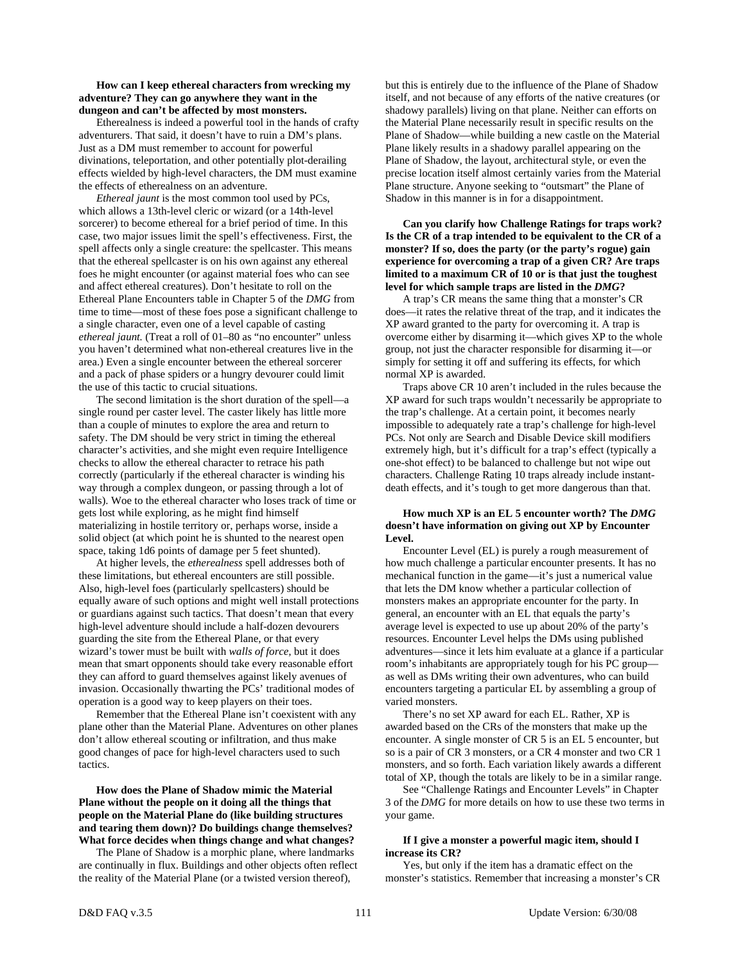## **How can I keep ethereal characters from wrecking my adventure? They can go anywhere they want in the dungeon and can't be affected by most monsters.**

 Etherealness is indeed a powerful tool in the hands of crafty adventurers. That said, it doesn't have to ruin a DM's plans. Just as a DM must remember to account for powerful divinations, teleportation, and other potentially plot-derailing effects wielded by high-level characters, the DM must examine the effects of etherealness on an adventure.

*Ethereal jaunt* is the most common tool used by PCs, which allows a 13th-level cleric or wizard (or a 14th-level sorcerer) to become ethereal for a brief period of time. In this case, two major issues limit the spell's effectiveness. First, the spell affects only a single creature: the spellcaster. This means that the ethereal spellcaster is on his own against any ethereal foes he might encounter (or against material foes who can see and affect ethereal creatures). Don't hesitate to roll on the Ethereal Plane Encounters table in Chapter 5 of the *DMG* from time to time—most of these foes pose a significant challenge to a single character, even one of a level capable of casting *ethereal jaunt.* (Treat a roll of 01–80 as "no encounter" unless you haven't determined what non-ethereal creatures live in the area.) Even a single encounter between the ethereal sorcerer and a pack of phase spiders or a hungry devourer could limit the use of this tactic to crucial situations.

 The second limitation is the short duration of the spell—a single round per caster level. The caster likely has little more than a couple of minutes to explore the area and return to safety. The DM should be very strict in timing the ethereal character's activities, and she might even require Intelligence checks to allow the ethereal character to retrace his path correctly (particularly if the ethereal character is winding his way through a complex dungeon, or passing through a lot of walls). Woe to the ethereal character who loses track of time or gets lost while exploring, as he might find himself materializing in hostile territory or, perhaps worse, inside a solid object (at which point he is shunted to the nearest open space, taking 1d6 points of damage per 5 feet shunted).

 At higher levels, the *etherealness* spell addresses both of these limitations, but ethereal encounters are still possible. Also, high-level foes (particularly spellcasters) should be equally aware of such options and might well install protections or guardians against such tactics. That doesn't mean that every high-level adventure should include a half-dozen devourers guarding the site from the Ethereal Plane, or that every wizard's tower must be built with *walls of force,* but it does mean that smart opponents should take every reasonable effort they can afford to guard themselves against likely avenues of invasion. Occasionally thwarting the PCs' traditional modes of operation is a good way to keep players on their toes.

 Remember that the Ethereal Plane isn't coexistent with any plane other than the Material Plane. Adventures on other planes don't allow ethereal scouting or infiltration, and thus make good changes of pace for high-level characters used to such tactics.

## **How does the Plane of Shadow mimic the Material Plane without the people on it doing all the things that people on the Material Plane do (like building structures and tearing them down)? Do buildings change themselves? What force decides when things change and what changes?**

 The Plane of Shadow is a morphic plane, where landmarks are continually in flux. Buildings and other objects often reflect the reality of the Material Plane (or a twisted version thereof),

but this is entirely due to the influence of the Plane of Shadow itself, and not because of any efforts of the native creatures (or shadowy parallels) living on that plane. Neither can efforts on the Material Plane necessarily result in specific results on the Plane of Shadow—while building a new castle on the Material Plane likely results in a shadowy parallel appearing on the Plane of Shadow, the layout, architectural style, or even the precise location itself almost certainly varies from the Material Plane structure. Anyone seeking to "outsmart" the Plane of Shadow in this manner is in for a disappointment.

 **Can you clarify how Challenge Ratings for traps work? Is the CR of a trap intended to be equivalent to the CR of a monster? If so, does the party (or the party's rogue) gain experience for overcoming a trap of a given CR? Are traps limited to a maximum CR of 10 or is that just the toughest level for which sample traps are listed in the** *DMG***?** 

 A trap's CR means the same thing that a monster's CR does—it rates the relative threat of the trap, and it indicates the XP award granted to the party for overcoming it. A trap is overcome either by disarming it—which gives XP to the whole group, not just the character responsible for disarming it—or simply for setting it off and suffering its effects, for which normal XP is awarded.

 Traps above CR 10 aren't included in the rules because the XP award for such traps wouldn't necessarily be appropriate to the trap's challenge. At a certain point, it becomes nearly impossible to adequately rate a trap's challenge for high-level PCs. Not only are Search and Disable Device skill modifiers extremely high, but it's difficult for a trap's effect (typically a one-shot effect) to be balanced to challenge but not wipe out characters. Challenge Rating 10 traps already include instantdeath effects, and it's tough to get more dangerous than that.

## **How much XP is an EL 5 encounter worth? The** *DMG* **doesn't have information on giving out XP by Encounter Level.**

 Encounter Level (EL) is purely a rough measurement of how much challenge a particular encounter presents. It has no mechanical function in the game—it's just a numerical value that lets the DM know whether a particular collection of monsters makes an appropriate encounter for the party. In general, an encounter with an EL that equals the party's average level is expected to use up about 20% of the party's resources. Encounter Level helps the DMs using published adventures—since it lets him evaluate at a glance if a particular room's inhabitants are appropriately tough for his PC group as well as DMs writing their own adventures, who can build encounters targeting a particular EL by assembling a group of varied monsters.

 There's no set XP award for each EL. Rather, XP is awarded based on the CRs of the monsters that make up the encounter. A single monster of CR 5 is an EL 5 encounter, but so is a pair of CR 3 monsters, or a CR 4 monster and two CR 1 monsters, and so forth. Each variation likely awards a different total of XP, though the totals are likely to be in a similar range.

 See "Challenge Ratings and Encounter Levels" in Chapter 3 of the *DMG* for more details on how to use these two terms in your game.

## **If I give a monster a powerful magic item, should I increase its CR?**

 Yes, but only if the item has a dramatic effect on the monster's statistics. Remember that increasing a monster's CR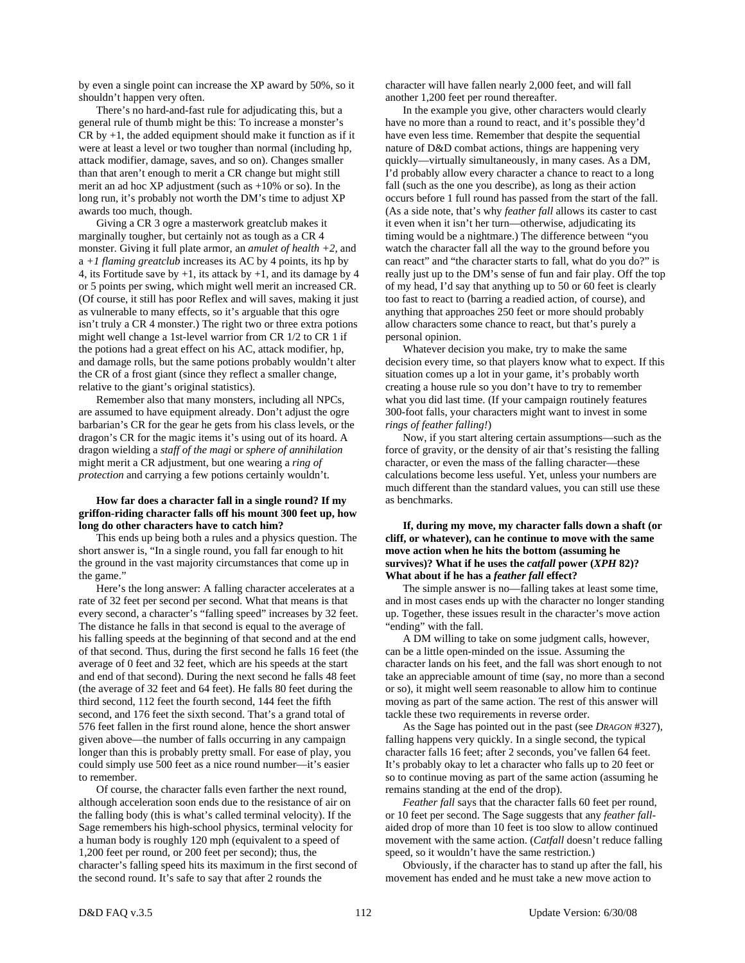by even a single point can increase the XP award by 50%, so it shouldn't happen very often.

 There's no hard-and-fast rule for adjudicating this, but a general rule of thumb might be this: To increase a monster's  $CR$  by  $+1$ , the added equipment should make it function as if it were at least a level or two tougher than normal (including hp, attack modifier, damage, saves, and so on). Changes smaller than that aren't enough to merit a CR change but might still merit an ad hoc XP adjustment (such as +10% or so). In the long run, it's probably not worth the DM's time to adjust XP awards too much, though.

 Giving a CR 3 ogre a masterwork greatclub makes it marginally tougher, but certainly not as tough as a CR 4 monster. Giving it full plate armor, an *amulet of health +2,* and  $a +1$  *flaming greatclub* increases its AC by 4 points, its hp by 4, its Fortitude save by  $+1$ , its attack by  $+1$ , and its damage by 4 or 5 points per swing, which might well merit an increased CR. (Of course, it still has poor Reflex and will saves, making it just as vulnerable to many effects, so it's arguable that this ogre isn't truly a CR 4 monster.) The right two or three extra potions might well change a 1st-level warrior from CR 1/2 to CR 1 if the potions had a great effect on his AC, attack modifier, hp, and damage rolls, but the same potions probably wouldn't alter the CR of a frost giant (since they reflect a smaller change, relative to the giant's original statistics).

 Remember also that many monsters, including all NPCs, are assumed to have equipment already. Don't adjust the ogre barbarian's CR for the gear he gets from his class levels, or the dragon's CR for the magic items it's using out of its hoard. A dragon wielding a *staff of the magi* or *sphere of annihilation* might merit a CR adjustment, but one wearing a *ring of protection* and carrying a few potions certainly wouldn't.

## **How far does a character fall in a single round? If my griffon-riding character falls off his mount 300 feet up, how long do other characters have to catch him?**

 This ends up being both a rules and a physics question. The short answer is, "In a single round, you fall far enough to hit the ground in the vast majority circumstances that come up in the game."

 Here's the long answer: A falling character accelerates at a rate of 32 feet per second per second. What that means is that every second, a character's "falling speed" increases by 32 feet. The distance he falls in that second is equal to the average of his falling speeds at the beginning of that second and at the end of that second. Thus, during the first second he falls 16 feet (the average of 0 feet and 32 feet, which are his speeds at the start and end of that second). During the next second he falls 48 feet (the average of 32 feet and 64 feet). He falls 80 feet during the third second, 112 feet the fourth second, 144 feet the fifth second, and 176 feet the sixth second. That's a grand total of 576 feet fallen in the first round alone, hence the short answer given above—the number of falls occurring in any campaign longer than this is probably pretty small. For ease of play, you could simply use 500 feet as a nice round number—it's easier to remember.

 Of course, the character falls even farther the next round, although acceleration soon ends due to the resistance of air on the falling body (this is what's called terminal velocity). If the Sage remembers his high-school physics, terminal velocity for a human body is roughly 120 mph (equivalent to a speed of 1,200 feet per round, or 200 feet per second); thus, the character's falling speed hits its maximum in the first second of the second round. It's safe to say that after 2 rounds the

character will have fallen nearly 2,000 feet, and will fall another 1,200 feet per round thereafter.

 In the example you give, other characters would clearly have no more than a round to react, and it's possible they'd have even less time. Remember that despite the sequential nature of D&D combat actions, things are happening very quickly—virtually simultaneously, in many cases. As a DM, I'd probably allow every character a chance to react to a long fall (such as the one you describe), as long as their action occurs before 1 full round has passed from the start of the fall. (As a side note, that's why *feather fall* allows its caster to cast it even when it isn't her turn—otherwise, adjudicating its timing would be a nightmare.) The difference between "you watch the character fall all the way to the ground before you can react" and "the character starts to fall, what do you do?" is really just up to the DM's sense of fun and fair play. Off the top of my head, I'd say that anything up to 50 or 60 feet is clearly too fast to react to (barring a readied action, of course), and anything that approaches 250 feet or more should probably allow characters some chance to react, but that's purely a personal opinion.

 Whatever decision you make, try to make the same decision every time, so that players know what to expect. If this situation comes up a lot in your game, it's probably worth creating a house rule so you don't have to try to remember what you did last time. (If your campaign routinely features 300-foot falls, your characters might want to invest in some *rings of feather falling!*)

 Now, if you start altering certain assumptions—such as the force of gravity, or the density of air that's resisting the falling character, or even the mass of the falling character—these calculations become less useful. Yet, unless your numbers are much different than the standard values, you can still use these as benchmarks.

## **If, during my move, my character falls down a shaft (or cliff, or whatever), can he continue to move with the same move action when he hits the bottom (assuming he survives)? What if he uses the** *catfall* **power (***XPH* **82)? What about if he has a** *feather fall* **effect?**

 The simple answer is no—falling takes at least some time, and in most cases ends up with the character no longer standing up. Together, these issues result in the character's move action "ending" with the fall.

 A DM willing to take on some judgment calls, however, can be a little open-minded on the issue. Assuming the character lands on his feet, and the fall was short enough to not take an appreciable amount of time (say, no more than a second or so), it might well seem reasonable to allow him to continue moving as part of the same action. The rest of this answer will tackle these two requirements in reverse order.

 As the Sage has pointed out in the past (see *DRAGON* #327), falling happens very quickly. In a single second, the typical character falls 16 feet; after 2 seconds, you've fallen 64 feet. It's probably okay to let a character who falls up to 20 feet or so to continue moving as part of the same action (assuming he remains standing at the end of the drop).

*Feather fall* says that the character falls 60 feet per round, or 10 feet per second. The Sage suggests that any *feather fall*aided drop of more than 10 feet is too slow to allow continued movement with the same action. (*Catfall* doesn't reduce falling speed, so it wouldn't have the same restriction.)

 Obviously, if the character has to stand up after the fall, his movement has ended and he must take a new move action to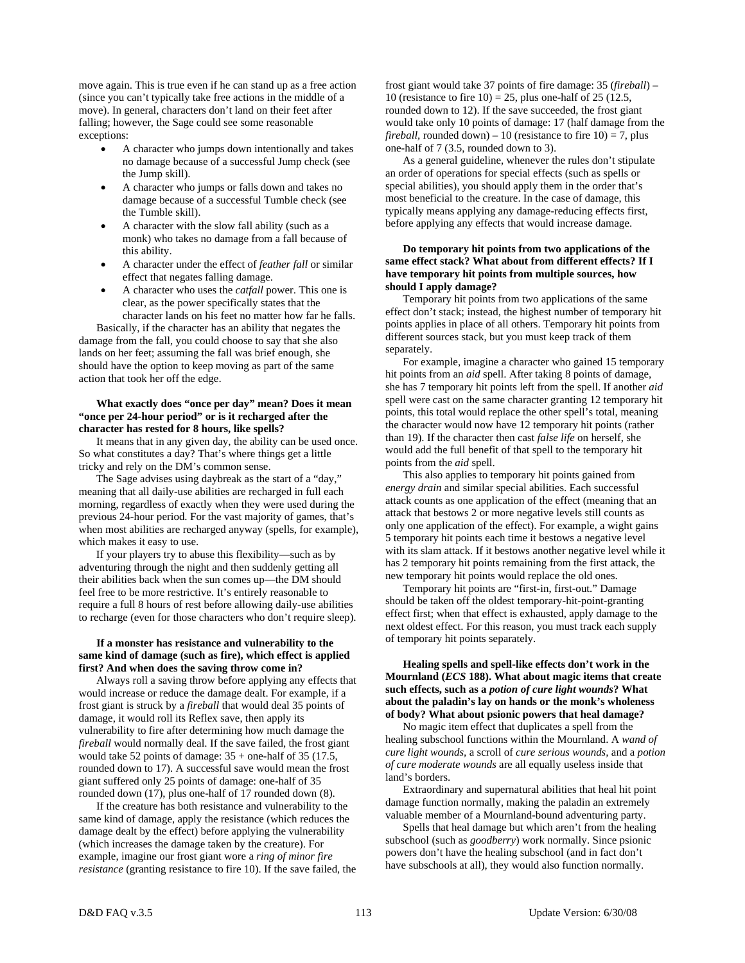move again. This is true even if he can stand up as a free action (since you can't typically take free actions in the middle of a move). In general, characters don't land on their feet after falling; however, the Sage could see some reasonable exceptions:

- A character who jumps down intentionally and takes no damage because of a successful Jump check (see the Jump skill).
- A character who jumps or falls down and takes no damage because of a successful Tumble check (see the Tumble skill).
- A character with the slow fall ability (such as a monk) who takes no damage from a fall because of this ability.
- A character under the effect of *feather fall* or similar effect that negates falling damage.
- A character who uses the *catfall* power. This one is clear, as the power specifically states that the character lands on his feet no matter how far he falls.

 Basically, if the character has an ability that negates the damage from the fall, you could choose to say that she also lands on her feet; assuming the fall was brief enough, she should have the option to keep moving as part of the same action that took her off the edge.

## **What exactly does "once per day" mean? Does it mean "once per 24-hour period" or is it recharged after the character has rested for 8 hours, like spells?**

 It means that in any given day, the ability can be used once. So what constitutes a day? That's where things get a little tricky and rely on the DM's common sense.

 The Sage advises using daybreak as the start of a "day," meaning that all daily-use abilities are recharged in full each morning, regardless of exactly when they were used during the previous 24-hour period. For the vast majority of games, that's when most abilities are recharged anyway (spells, for example), which makes it easy to use.

 If your players try to abuse this flexibility—such as by adventuring through the night and then suddenly getting all their abilities back when the sun comes up—the DM should feel free to be more restrictive. It's entirely reasonable to require a full 8 hours of rest before allowing daily-use abilities to recharge (even for those characters who don't require sleep).

# **If a monster has resistance and vulnerability to the same kind of damage (such as fire), which effect is applied first? And when does the saving throw come in?**

 Always roll a saving throw before applying any effects that would increase or reduce the damage dealt. For example, if a frost giant is struck by a *fireball* that would deal 35 points of damage, it would roll its Reflex save, then apply its vulnerability to fire after determining how much damage the *fireball* would normally deal. If the save failed, the frost giant would take 52 points of damage:  $35 +$  one-half of 35 (17.5, rounded down to 17). A successful save would mean the frost giant suffered only 25 points of damage: one-half of 35 rounded down (17), plus one-half of 17 rounded down (8).

 If the creature has both resistance and vulnerability to the same kind of damage, apply the resistance (which reduces the damage dealt by the effect) before applying the vulnerability (which increases the damage taken by the creature). For example, imagine our frost giant wore a *ring of minor fire resistance* (granting resistance to fire 10). If the save failed, the frost giant would take 37 points of fire damage: 35 (*fireball*) – 10 (resistance to fire  $10$ ) = 25, plus one-half of 25 (12.5, rounded down to 12). If the save succeeded, the frost giant would take only 10 points of damage: 17 (half damage from the *fireball,* rounded down) – 10 (resistance to fire  $10$ ) = 7, plus one-half of 7 (3.5, rounded down to 3).

 As a general guideline, whenever the rules don't stipulate an order of operations for special effects (such as spells or special abilities), you should apply them in the order that's most beneficial to the creature. In the case of damage, this typically means applying any damage-reducing effects first, before applying any effects that would increase damage.

## **Do temporary hit points from two applications of the same effect stack? What about from different effects? If I have temporary hit points from multiple sources, how should I apply damage?**

 Temporary hit points from two applications of the same effect don't stack; instead, the highest number of temporary hit points applies in place of all others. Temporary hit points from different sources stack, but you must keep track of them separately.

 For example, imagine a character who gained 15 temporary hit points from an *aid* spell. After taking 8 points of damage, she has 7 temporary hit points left from the spell. If another *aid* spell were cast on the same character granting 12 temporary hit points, this total would replace the other spell's total, meaning the character would now have 12 temporary hit points (rather than 19). If the character then cast *false life* on herself, she would add the full benefit of that spell to the temporary hit points from the *aid* spell.

 This also applies to temporary hit points gained from *energy drain* and similar special abilities. Each successful attack counts as one application of the effect (meaning that an attack that bestows 2 or more negative levels still counts as only one application of the effect). For example, a wight gains 5 temporary hit points each time it bestows a negative level with its slam attack. If it bestows another negative level while it has 2 temporary hit points remaining from the first attack, the new temporary hit points would replace the old ones.

 Temporary hit points are "first-in, first-out." Damage should be taken off the oldest temporary-hit-point-granting effect first; when that effect is exhausted, apply damage to the next oldest effect. For this reason, you must track each supply of temporary hit points separately.

# **Healing spells and spell-like effects don't work in the Mournland (***ECS* **188). What about magic items that create such effects, such as a** *potion of cure light wounds***? What about the paladin's lay on hands or the monk's wholeness of body? What about psionic powers that heal damage?**

 No magic item effect that duplicates a spell from the healing subschool functions within the Mournland. A *wand of cure light wounds,* a scroll of *cure serious wounds,* and a *potion of cure moderate wounds* are all equally useless inside that land's borders.

 Extraordinary and supernatural abilities that heal hit point damage function normally, making the paladin an extremely valuable member of a Mournland-bound adventuring party.

 Spells that heal damage but which aren't from the healing subschool (such as *goodberry*) work normally. Since psionic powers don't have the healing subschool (and in fact don't have subschools at all), they would also function normally.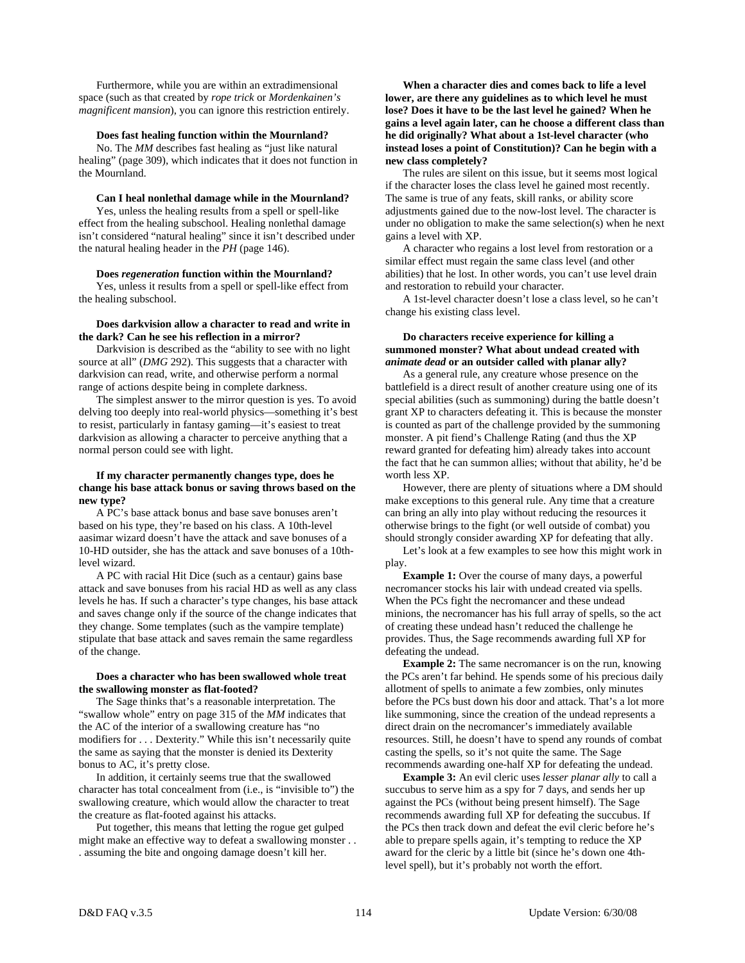Furthermore, while you are within an extradimensional space (such as that created by *rope trick* or *Mordenkainen's magnificent mansion*), you can ignore this restriction entirely.

#### **Does fast healing function within the Mournland?**

 No. The *MM* describes fast healing as "just like natural healing" (page 309), which indicates that it does not function in the Mournland.

# **Can I heal nonlethal damage while in the Mournland?**

 Yes, unless the healing results from a spell or spell-like effect from the healing subschool. Healing nonlethal damage isn't considered "natural healing" since it isn't described under the natural healing header in the *PH* (page 146).

 **Does** *regeneration* **function within the Mournland?** 

 Yes, unless it results from a spell or spell-like effect from the healing subschool.

#### **Does darkvision allow a character to read and write in the dark? Can he see his reflection in a mirror?**

 Darkvision is described as the "ability to see with no light source at all" (*DMG* 292). This suggests that a character with darkvision can read, write, and otherwise perform a normal range of actions despite being in complete darkness.

 The simplest answer to the mirror question is yes. To avoid delving too deeply into real-world physics—something it's best to resist, particularly in fantasy gaming—it's easiest to treat darkvision as allowing a character to perceive anything that a normal person could see with light.

## **If my character permanently changes type, does he change his base attack bonus or saving throws based on the new type?**

 A PC's base attack bonus and base save bonuses aren't based on his type, they're based on his class. A 10th-level aasimar wizard doesn't have the attack and save bonuses of a 10-HD outsider, she has the attack and save bonuses of a 10thlevel wizard.

 A PC with racial Hit Dice (such as a centaur) gains base attack and save bonuses from his racial HD as well as any class levels he has. If such a character's type changes, his base attack and saves change only if the source of the change indicates that they change. Some templates (such as the vampire template) stipulate that base attack and saves remain the same regardless of the change.

# **Does a character who has been swallowed whole treat the swallowing monster as flat-footed?**

 The Sage thinks that's a reasonable interpretation. The "swallow whole" entry on page 315 of the *MM* indicates that the AC of the interior of a swallowing creature has "no modifiers for . . . Dexterity." While this isn't necessarily quite the same as saying that the monster is denied its Dexterity bonus to AC, it's pretty close.

 In addition, it certainly seems true that the swallowed character has total concealment from (i.e., is "invisible to") the swallowing creature, which would allow the character to treat the creature as flat-footed against his attacks.

 Put together, this means that letting the rogue get gulped might make an effective way to defeat a swallowing monster . . . assuming the bite and ongoing damage doesn't kill her.

 **When a character dies and comes back to life a level lower, are there any guidelines as to which level he must lose? Does it have to be the last level he gained? When he gains a level again later, can he choose a different class than he did originally? What about a 1st-level character (who instead loses a point of Constitution)? Can he begin with a new class completely?** 

 The rules are silent on this issue, but it seems most logical if the character loses the class level he gained most recently. The same is true of any feats, skill ranks, or ability score adjustments gained due to the now-lost level. The character is under no obligation to make the same selection(s) when he next gains a level with XP.

 A character who regains a lost level from restoration or a similar effect must regain the same class level (and other abilities) that he lost. In other words, you can't use level drain and restoration to rebuild your character.

 A 1st-level character doesn't lose a class level, so he can't change his existing class level.

# **Do characters receive experience for killing a summoned monster? What about undead created with**  *animate dead* **or an outsider called with planar ally?**

 As a general rule, any creature whose presence on the battlefield is a direct result of another creature using one of its special abilities (such as summoning) during the battle doesn't grant XP to characters defeating it. This is because the monster is counted as part of the challenge provided by the summoning monster. A pit fiend's Challenge Rating (and thus the XP reward granted for defeating him) already takes into account the fact that he can summon allies; without that ability, he'd be worth less XP.

 However, there are plenty of situations where a DM should make exceptions to this general rule. Any time that a creature can bring an ally into play without reducing the resources it otherwise brings to the fight (or well outside of combat) you should strongly consider awarding XP for defeating that ally.

 Let's look at a few examples to see how this might work in play.

**Example 1:** Over the course of many days, a powerful necromancer stocks his lair with undead created via spells. When the PCs fight the necromancer and these undead minions, the necromancer has his full array of spells, so the act of creating these undead hasn't reduced the challenge he provides. Thus, the Sage recommends awarding full XP for defeating the undead.

**Example 2:** The same necromancer is on the run, knowing the PCs aren't far behind. He spends some of his precious daily allotment of spells to animate a few zombies, only minutes before the PCs bust down his door and attack. That's a lot more like summoning, since the creation of the undead represents a direct drain on the necromancer's immediately available resources. Still, he doesn't have to spend any rounds of combat casting the spells, so it's not quite the same. The Sage recommends awarding one-half XP for defeating the undead.

**Example 3:** An evil cleric uses *lesser planar ally* to call a succubus to serve him as a spy for 7 days, and sends her up against the PCs (without being present himself). The Sage recommends awarding full XP for defeating the succubus. If the PCs then track down and defeat the evil cleric before he's able to prepare spells again, it's tempting to reduce the XP award for the cleric by a little bit (since he's down one 4thlevel spell), but it's probably not worth the effort.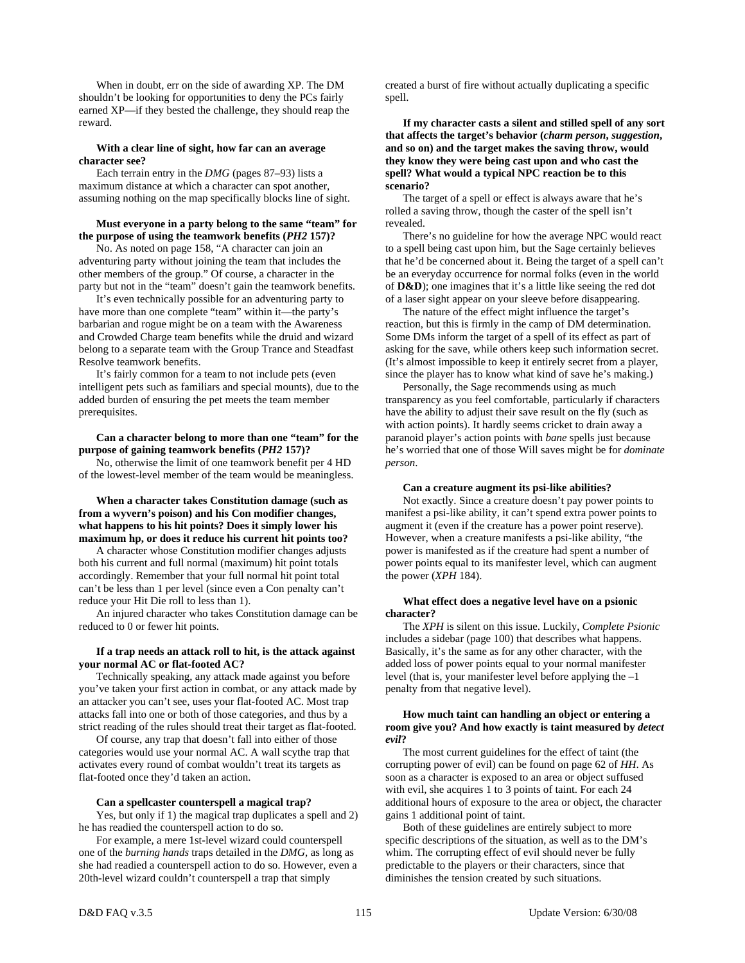When in doubt, err on the side of awarding XP. The DM shouldn't be looking for opportunities to deny the PCs fairly earned XP—if they bested the challenge, they should reap the reward.

#### **With a clear line of sight, how far can an average character see?**

 Each terrain entry in the *DMG* (pages 87–93) lists a maximum distance at which a character can spot another, assuming nothing on the map specifically blocks line of sight.

#### **Must everyone in a party belong to the same "team" for the purpose of using the teamwork benefits (***PH2* **157)?**

 No. As noted on page 158, "A character can join an adventuring party without joining the team that includes the other members of the group." Of course, a character in the party but not in the "team" doesn't gain the teamwork benefits.

 It's even technically possible for an adventuring party to have more than one complete "team" within it—the party's barbarian and rogue might be on a team with the Awareness and Crowded Charge team benefits while the druid and wizard belong to a separate team with the Group Trance and Steadfast Resolve teamwork benefits.

 It's fairly common for a team to not include pets (even intelligent pets such as familiars and special mounts), due to the added burden of ensuring the pet meets the team member prerequisites.

## **Can a character belong to more than one "team" for the purpose of gaining teamwork benefits (***PH2* **157)?**

 No, otherwise the limit of one teamwork benefit per 4 HD of the lowest-level member of the team would be meaningless.

## **When a character takes Constitution damage (such as from a wyvern's poison) and his Con modifier changes, what happens to his hit points? Does it simply lower his maximum hp, or does it reduce his current hit points too?**

 A character whose Constitution modifier changes adjusts both his current and full normal (maximum) hit point totals accordingly. Remember that your full normal hit point total can't be less than 1 per level (since even a Con penalty can't reduce your Hit Die roll to less than 1).

 An injured character who takes Constitution damage can be reduced to 0 or fewer hit points.

## **If a trap needs an attack roll to hit, is the attack against your normal AC or flat-footed AC?**

 Technically speaking, any attack made against you before you've taken your first action in combat, or any attack made by an attacker you can't see, uses your flat-footed AC. Most trap attacks fall into one or both of those categories, and thus by a strict reading of the rules should treat their target as flat-footed.

 Of course, any trap that doesn't fall into either of those categories would use your normal AC. A wall scythe trap that activates every round of combat wouldn't treat its targets as flat-footed once they'd taken an action.

#### **Can a spellcaster counterspell a magical trap?**

 Yes, but only if 1) the magical trap duplicates a spell and 2) he has readied the counterspell action to do so.

 For example, a mere 1st-level wizard could counterspell one of the *burning hands* traps detailed in the *DMG*, as long as she had readied a counterspell action to do so. However, even a 20th-level wizard couldn't counterspell a trap that simply

created a burst of fire without actually duplicating a specific spell.

 **If my character casts a silent and stilled spell of any sort that affects the target's behavior (***charm person***,** *suggestion***, and so on) and the target makes the saving throw, would they know they were being cast upon and who cast the spell? What would a typical NPC reaction be to this scenario?** 

 The target of a spell or effect is always aware that he's rolled a saving throw, though the caster of the spell isn't revealed.

 There's no guideline for how the average NPC would react to a spell being cast upon him, but the Sage certainly believes that he'd be concerned about it. Being the target of a spell can't be an everyday occurrence for normal folks (even in the world of **D&D**); one imagines that it's a little like seeing the red dot of a laser sight appear on your sleeve before disappearing.

 The nature of the effect might influence the target's reaction, but this is firmly in the camp of DM determination. Some DMs inform the target of a spell of its effect as part of asking for the save, while others keep such information secret. (It's almost impossible to keep it entirely secret from a player, since the player has to know what kind of save he's making.)

 Personally, the Sage recommends using as much transparency as you feel comfortable, particularly if characters have the ability to adjust their save result on the fly (such as with action points). It hardly seems cricket to drain away a paranoid player's action points with *bane* spells just because he's worried that one of those Will saves might be for *dominate person*.

#### **Can a creature augment its psi-like abilities?**

 Not exactly. Since a creature doesn't pay power points to manifest a psi-like ability, it can't spend extra power points to augment it (even if the creature has a power point reserve). However, when a creature manifests a psi-like ability, "the power is manifested as if the creature had spent a number of power points equal to its manifester level, which can augment the power (*XPH* 184).

#### **What effect does a negative level have on a psionic character?**

 The *XPH* is silent on this issue. Luckily, *Complete Psionic* includes a sidebar (page 100) that describes what happens. Basically, it's the same as for any other character, with the added loss of power points equal to your normal manifester level (that is, your manifester level before applying the –1 penalty from that negative level).

# **How much taint can handling an object or entering a room give you? And how exactly is taint measured by** *detect evil***?**

 The most current guidelines for the effect of taint (the corrupting power of evil) can be found on page 62 of *HH*. As soon as a character is exposed to an area or object suffused with evil, she acquires 1 to 3 points of taint. For each 24 additional hours of exposure to the area or object, the character gains 1 additional point of taint.

 Both of these guidelines are entirely subject to more specific descriptions of the situation, as well as to the DM's whim. The corrupting effect of evil should never be fully predictable to the players or their characters, since that diminishes the tension created by such situations.